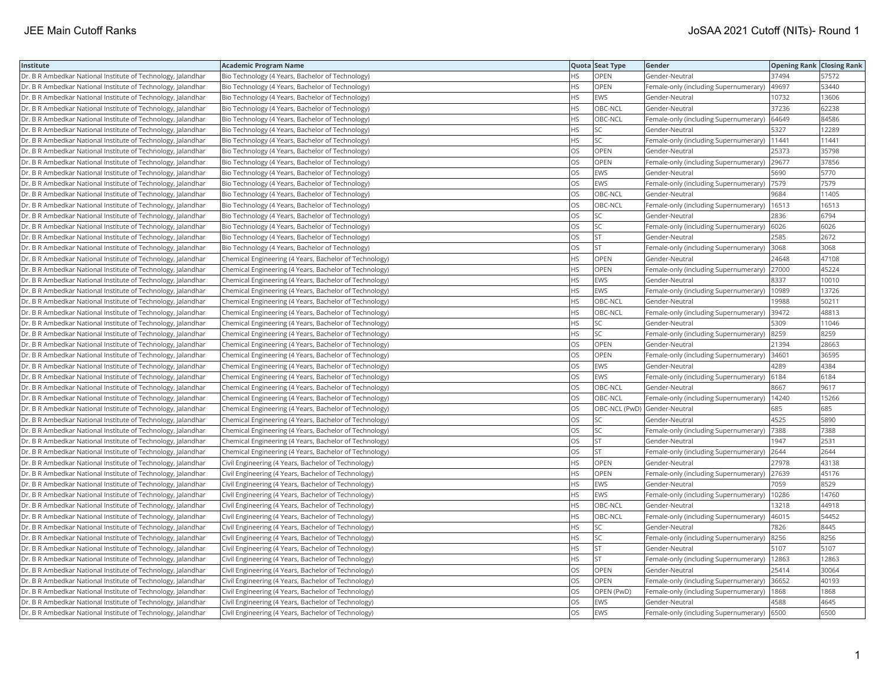| Institute                                                    | <b>Academic Program Name</b>                           |           | Quota Seat Type | Gender                                     | <b>Opening Rank Closing Rank</b> |       |
|--------------------------------------------------------------|--------------------------------------------------------|-----------|-----------------|--------------------------------------------|----------------------------------|-------|
| Dr. B R Ambedkar National Institute of Technology, Jalandhar | Bio Technology (4 Years, Bachelor of Technology)       | <b>HS</b> | <b>OPEN</b>     | Gender-Neutral                             | 37494                            | 57572 |
| Dr. B R Ambedkar National Institute of Technology, Jalandhar | Bio Technology (4 Years, Bachelor of Technology)       | НS        | OPEN            | Female-only (including Supernumerary)      | 49697                            | 53440 |
| Dr. B R Ambedkar National Institute of Technology, Jalandhar | Bio Technology (4 Years, Bachelor of Technology)       | HS        | <b>EWS</b>      | Gender-Neutral                             | 10732                            | 13606 |
| Dr. B R Ambedkar National Institute of Technology, Jalandhar | Bio Technology (4 Years, Bachelor of Technology)       | HS        | OBC-NCL         | Gender-Neutral                             | 37236                            | 62238 |
| Dr. B R Ambedkar National Institute of Technology, Jalandhar | Bio Technology (4 Years, Bachelor of Technology)       | HS        | OBC-NCL         | Female-only (including Supernumerary)      | 64649                            | 84586 |
| Dr. B R Ambedkar National Institute of Technology, Jalandhar | Bio Technology (4 Years, Bachelor of Technology)       | HS        | SC              | Gender-Neutral                             | 5327                             | 12289 |
| Dr. B R Ambedkar National Institute of Technology, Jalandhar | Bio Technology (4 Years, Bachelor of Technology)       | HS        | SC              | Female-only (including Supernumerary)      | 11441                            | 11441 |
| Dr. B R Ambedkar National Institute of Technology, Jalandhar | Bio Technology (4 Years, Bachelor of Technology)       | OS        | OPEN            | Gender-Neutral                             | 25373                            | 35798 |
| Dr. B R Ambedkar National Institute of Technology, Jalandhar | Bio Technology (4 Years, Bachelor of Technology)       | OS        | OPEN            | Female-only (including Supernumerary)      | 29677                            | 37856 |
| Dr. B R Ambedkar National Institute of Technology, Jalandhar | Bio Technology (4 Years, Bachelor of Technology)       | OS        | EWS             | Gender-Neutral                             | 5690                             | 5770  |
| Dr. B R Ambedkar National Institute of Technology, Jalandhar | Bio Technology (4 Years, Bachelor of Technology)       | OS        | EWS             | Female-only (including Supernumerary)      | 7579                             | 7579  |
| Dr. B R Ambedkar National Institute of Technology, Jalandhar | Bio Technology (4 Years, Bachelor of Technology)       | <b>OS</b> | OBC-NCL         | Gender-Neutral                             | 9684                             | 11405 |
| Dr. B R Ambedkar National Institute of Technology, Jalandhar | Bio Technology (4 Years, Bachelor of Technology)       | OS.       | OBC-NCL         | Female-only (including Supernumerary)      | 16513                            | 16513 |
| Dr. B R Ambedkar National Institute of Technology, Jalandhar | Bio Technology (4 Years, Bachelor of Technology)       | OS        | SC              | Gender-Neutral                             | 2836                             | 6794  |
| Dr. B R Ambedkar National Institute of Technology, Jalandhar | Bio Technology (4 Years, Bachelor of Technology)       | OS        | <b>SC</b>       | Female-only (including Supernumerary)      | 6026                             | 6026  |
| Dr. B R Ambedkar National Institute of Technology, Jalandhar | Bio Technology (4 Years, Bachelor of Technology)       | OS        | <b>ST</b>       | Gender-Neutral                             | 2585                             | 2672  |
| Dr. B R Ambedkar National Institute of Technology, Jalandhar | Bio Technology (4 Years, Bachelor of Technology)       | OS        | <b>ST</b>       | Female-only (including Supernumerary)      | 3068                             | 3068  |
| Dr. B R Ambedkar National Institute of Technology, Jalandhar | Chemical Engineering (4 Years, Bachelor of Technology) | HS.       | OPEN            | Gender-Neutral                             | 24648                            | 47108 |
| Dr. B R Ambedkar National Institute of Technology, Jalandhar | Chemical Engineering (4 Years, Bachelor of Technology) | HS        | OPEN            | Female-only (including Supernumerary)      | 27000                            | 45224 |
| Dr. B R Ambedkar National Institute of Technology, Jalandhar | Chemical Engineering (4 Years, Bachelor of Technology) | <b>HS</b> | <b>EWS</b>      | Gender-Neutral                             | 8337                             | 10010 |
| Dr. B R Ambedkar National Institute of Technology, Jalandhar | Chemical Engineering (4 Years, Bachelor of Technology) | HS        | <b>EWS</b>      | Female-only (including Supernumerary)      | 10989                            | 13726 |
| Dr. B R Ambedkar National Institute of Technology, Jalandhar | Chemical Engineering (4 Years, Bachelor of Technology) | HS        | OBC-NCL         | Gender-Neutral                             | 19988                            | 50211 |
| Dr. B R Ambedkar National Institute of Technology, Jalandhar | Chemical Engineering (4 Years, Bachelor of Technology) | ΗS        | OBC-NCL         | Female-only (including Supernumerary)      | 39472                            | 48813 |
| Dr. B R Ambedkar National Institute of Technology, Jalandhar | Chemical Engineering (4 Years, Bachelor of Technology) | ΗS        | SC              | Gender-Neutral                             | 5309                             | 11046 |
| Dr. B R Ambedkar National Institute of Technology, Jalandhar | Chemical Engineering (4 Years, Bachelor of Technology) | HS        | SC              | Female-only (including Supernumerary)      | 8259                             | 8259  |
| Dr. B R Ambedkar National Institute of Technology, Jalandhar | Chemical Engineering (4 Years, Bachelor of Technology) | OS        | OPEN            | Gender-Neutral                             | 21394                            | 28663 |
| Dr. B R Ambedkar National Institute of Technology, Jalandhar | Chemical Engineering (4 Years, Bachelor of Technology) | OS        | OPEN            | Female-only (including Supernumerary)      | 34601                            | 36595 |
| Dr. B R Ambedkar National Institute of Technology, Jalandhar | Chemical Engineering (4 Years, Bachelor of Technology) | OS        | <b>EWS</b>      | Gender-Neutral                             | 4289                             | 4384  |
| Dr. B R Ambedkar National Institute of Technology, Jalandhar | Chemical Engineering (4 Years, Bachelor of Technology) | OS        | EWS             | Female-only (including Supernumerary)      | 6184                             | 6184  |
| Dr. B R Ambedkar National Institute of Technology, Jalandhar | Chemical Engineering (4 Years, Bachelor of Technology) | OS        | OBC-NCL         | Gender-Neutral                             | 8667                             | 9617  |
| Dr. B R Ambedkar National Institute of Technology, Jalandhar | Chemical Engineering (4 Years, Bachelor of Technology) | OS        | OBC-NCL         | Female-only (including Supernumerary)      | 14240                            | 15266 |
| Dr. B R Ambedkar National Institute of Technology, Jalandhar | Chemical Engineering (4 Years, Bachelor of Technology) | OS        |                 | OBC-NCL (PwD) Gender-Neutral               | 685                              | 685   |
| Dr. B R Ambedkar National Institute of Technology, Jalandhar | Chemical Engineering (4 Years, Bachelor of Technology) | OS        | SC              | Gender-Neutral                             | 4525                             | 5890  |
| Dr. B R Ambedkar National Institute of Technology, Jalandhar | Chemical Engineering (4 Years, Bachelor of Technology) | OS        | SC              | Female-only (including Supernumerary)      | 7388                             | 7388  |
| Dr. B R Ambedkar National Institute of Technology, Jalandhar | Chemical Engineering (4 Years, Bachelor of Technology) | OS        | <b>ST</b>       | Gender-Neutral                             | 1947                             | 2531  |
| Dr. B R Ambedkar National Institute of Technology, Jalandhar | Chemical Engineering (4 Years, Bachelor of Technology) | OS        | lst.            | Female-only (including Supernumerary)      | 2644                             | 2644  |
| Dr. B R Ambedkar National Institute of Technology, Jalandhar | Civil Engineering (4 Years, Bachelor of Technology)    | HS        | OPEN            | Gender-Neutral                             | 27978                            | 43138 |
| Dr. B R Ambedkar National Institute of Technology, Jalandhar | Civil Engineering (4 Years, Bachelor of Technology)    | HS        | OPEN            | Female-only (including Supernumerary)      | 27639                            | 45176 |
| Dr. B R Ambedkar National Institute of Technology, Jalandhar | Civil Engineering (4 Years, Bachelor of Technology)    | HS        | EWS             | Gender-Neutral                             | 7059                             | 8529  |
| Dr. B R Ambedkar National Institute of Technology, Jalandhar | Civil Engineering (4 Years, Bachelor of Technology)    | HS.       | <b>EWS</b>      | Female-only (including Supernumerary)      | 10286                            | 14760 |
| Dr. B R Ambedkar National Institute of Technology, Jalandhar | Civil Engineering (4 Years, Bachelor of Technology)    | HS        | OBC-NCL         | Gender-Neutral                             | 13218                            | 44918 |
| Dr. B R Ambedkar National Institute of Technology, Jalandhar | Civil Engineering (4 Years, Bachelor of Technology)    | HS        | OBC-NCL         | Female-only (including Supernumerary)      | 46015                            | 54452 |
| Dr. B R Ambedkar National Institute of Technology, Jalandhar | Civil Engineering (4 Years, Bachelor of Technology)    | HS        | <b>SC</b>       | Gender-Neutral                             | 7826                             | 8445  |
| Dr. B R Ambedkar National Institute of Technology, Jalandhar | Civil Engineering (4 Years, Bachelor of Technology)    | HS        | SC              | Female-only (including Supernumerary)      | 8256                             | 8256  |
| Dr. B R Ambedkar National Institute of Technology, Jalandhar | Civil Engineering (4 Years, Bachelor of Technology)    | HS        | <b>ST</b>       | Gender-Neutral                             | 5107                             | 5107  |
| Dr. B R Ambedkar National Institute of Technology, Jalandhar | Civil Engineering (4 Years, Bachelor of Technology)    | HS        | <b>ST</b>       | Female-only (including Supernumerary)      | 12863                            | 12863 |
| Dr. B R Ambedkar National Institute of Technology, Jalandhar | Civil Engineering (4 Years, Bachelor of Technology)    | OS.       | <b>OPEN</b>     | Gender-Neutral                             | 25414                            | 30064 |
| Dr. B R Ambedkar National Institute of Technology, Jalandhar | Civil Engineering (4 Years, Bachelor of Technology)    | OS        | OPEN            | Female-only (including Supernumerary)      | 36652                            | 40193 |
| Dr. B R Ambedkar National Institute of Technology, Jalandhar | Civil Engineering (4 Years, Bachelor of Technology)    | OS        | OPEN (PwD)      | Female-only (including Supernumerary)      | 1868                             | 1868  |
| Dr. B R Ambedkar National Institute of Technology, Jalandhar | Civil Engineering (4 Years, Bachelor of Technology)    | OS        | EWS             | Gender-Neutral                             | 4588                             | 4645  |
| Dr. B R Ambedkar National Institute of Technology, Jalandhar | Civil Engineering (4 Years, Bachelor of Technology)    | <b>OS</b> | <b>EWS</b>      | Female-only (including Supernumerary) 6500 |                                  | 6500  |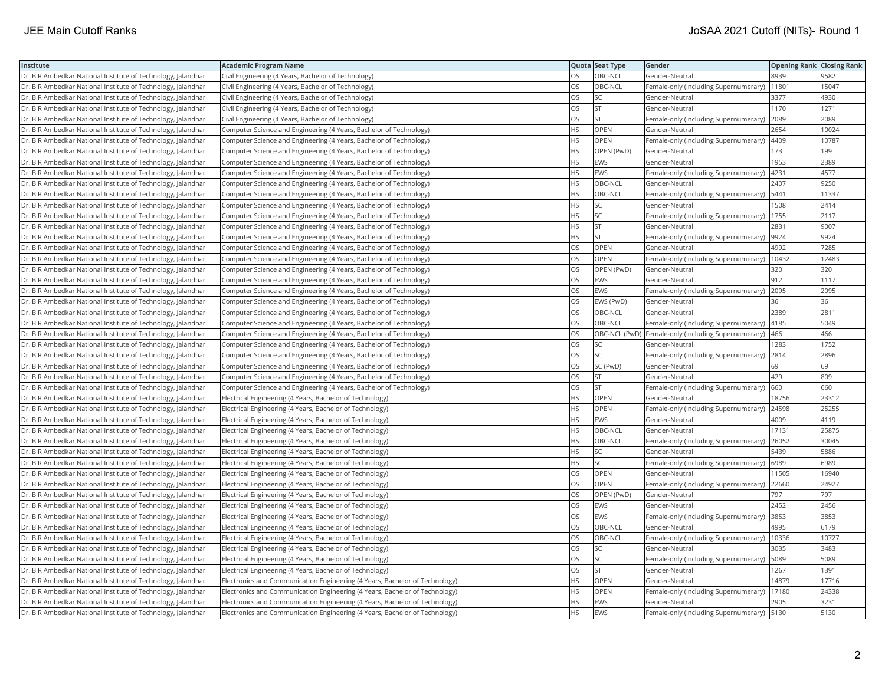| Institute                                                    | <b>Academic Program Name</b>                                                |           | Quota Seat Type | Gender                                                | <b>Opening Rank Closing Rank</b> |       |
|--------------------------------------------------------------|-----------------------------------------------------------------------------|-----------|-----------------|-------------------------------------------------------|----------------------------------|-------|
| Dr. B R Ambedkar National Institute of Technology, Jalandhar | Civil Engineering (4 Years, Bachelor of Technology)                         | OS        | OBC-NCL         | Gender-Neutral                                        | 8939                             | 9582  |
| Dr. B R Ambedkar National Institute of Technology, Jalandhar | Civil Engineering (4 Years, Bachelor of Technology)                         | OS        | OBC-NCL         | Female-only (including Supernumerary)                 | 11801                            | 15047 |
| Dr. B R Ambedkar National Institute of Technology, Jalandhar | Civil Engineering (4 Years, Bachelor of Technology)                         | <b>OS</b> | SC              | Gender-Neutral                                        | 3377                             | 4930  |
| Dr. B R Ambedkar National Institute of Technology, Jalandhar | Civil Engineering (4 Years, Bachelor of Technology)                         | OS        | <b>ST</b>       | Gender-Neutral                                        | 1170                             | 1271  |
| Dr. B R Ambedkar National Institute of Technology, Jalandhar | Civil Engineering (4 Years, Bachelor of Technology)                         | OS        | <b>ST</b>       | Female-only (including Supernumerary)                 | 2089                             | 2089  |
| Dr. B R Ambedkar National Institute of Technology, Jalandhar | Computer Science and Engineering (4 Years, Bachelor of Technology)          | <b>HS</b> | OPEN            | Gender-Neutral                                        | 2654                             | 10024 |
| Dr. B R Ambedkar National Institute of Technology, Jalandhar | Computer Science and Engineering (4 Years, Bachelor of Technology)          | ΗS        | OPEN            | Female-only (including Supernumerary)                 | 4409                             | 10787 |
| Dr. B R Ambedkar National Institute of Technology, Jalandhar | Computer Science and Engineering (4 Years, Bachelor of Technology)          | HS        | OPEN (PwD)      | Gender-Neutral                                        | 173                              | 199   |
| Dr. B R Ambedkar National Institute of Technology, Jalandhar | Computer Science and Engineering (4 Years, Bachelor of Technology)          | HS        | EWS             | Gender-Neutral                                        | 1953                             | 2389  |
| Dr. B R Ambedkar National Institute of Technology, Jalandhar | Computer Science and Engineering (4 Years, Bachelor of Technology)          | <b>HS</b> | EWS             | Female-only (including Supernumerary)                 | 4231                             | 4577  |
| Dr. B R Ambedkar National Institute of Technology, Jalandhar | Computer Science and Engineering (4 Years, Bachelor of Technology)          | HS        | OBC-NCL         | Gender-Neutral                                        | 2407                             | 9250  |
| Dr. B R Ambedkar National Institute of Technology, Jalandhar | Computer Science and Engineering (4 Years, Bachelor of Technology)          | HS        | OBC-NCL         | Female-only (including Supernumerary)                 | 5441                             | 11337 |
| Dr. B R Ambedkar National Institute of Technology, Jalandhar | Computer Science and Engineering (4 Years, Bachelor of Technology)          | HS.       | SC              | Gender-Neutral                                        | 1508                             | 2414  |
| Dr. B R Ambedkar National Institute of Technology, Jalandhar | Computer Science and Engineering (4 Years, Bachelor of Technology)          | HS.       | <b>SC</b>       | Female-only (including Supernumerary)                 | 1755                             | 2117  |
| Dr. B R Ambedkar National Institute of Technology, Jalandhar | Computer Science and Engineering (4 Years, Bachelor of Technology)          | HS.       | <b>ST</b>       | Gender-Neutral                                        | 2831                             | 9007  |
| Dr. B R Ambedkar National Institute of Technology, Jalandhar | Computer Science and Engineering (4 Years, Bachelor of Technology)          | HS.       | <b>ST</b>       | Female-only (including Supernumerary)                 | 9924                             | 9924  |
| Dr. B R Ambedkar National Institute of Technology, Jalandhar | Computer Science and Engineering (4 Years, Bachelor of Technology)          | OS        | OPEN            | Gender-Neutral                                        | 4992                             | 7285  |
| Dr. B R Ambedkar National Institute of Technology, Jalandhar | Computer Science and Engineering (4 Years, Bachelor of Technology)          | OS        | OPEN            | Female-only (including Supernumerary)                 | 10432                            | 12483 |
| Dr. B R Ambedkar National Institute of Technology, Jalandhar | Computer Science and Engineering (4 Years, Bachelor of Technology)          | <b>OS</b> | OPEN (PwD)      | Gender-Neutral                                        | 320                              | 320   |
| Dr. B R Ambedkar National Institute of Technology, Jalandhar | Computer Science and Engineering (4 Years, Bachelor of Technology)          | OS        | EWS             | Gender-Neutral                                        | 912                              | 1117  |
| Dr. B R Ambedkar National Institute of Technology, Jalandhar | Computer Science and Engineering (4 Years, Bachelor of Technology)          | OS        | EWS             | Female-only (including Supernumerary)                 | 2095                             | 2095  |
| Dr. B R Ambedkar National Institute of Technology, Jalandhar | Computer Science and Engineering (4 Years, Bachelor of Technology)          | OS        | EWS (PwD)       | Gender-Neutral                                        | 36                               | 36    |
| Dr. B R Ambedkar National Institute of Technology, Jalandhar | Computer Science and Engineering (4 Years, Bachelor of Technology)          | OS        | OBC-NCL         | Gender-Neutral                                        | 2389                             | 2811  |
| Dr. B R Ambedkar National Institute of Technology, Jalandhar | Computer Science and Engineering (4 Years, Bachelor of Technology)          | OS        | OBC-NCL         | Female-only (including Supernumerary)                 | 4185                             | 5049  |
| Dr. B R Ambedkar National Institute of Technology, Jalandhar | Computer Science and Engineering (4 Years, Bachelor of Technology)          | <b>OS</b> |                 | OBC-NCL (PwD)   Female-only (including Supernumerary) | 466                              | 466   |
| Dr. B R Ambedkar National Institute of Technology, Jalandhar | Computer Science and Engineering (4 Years, Bachelor of Technology)          | OS        | SC              | Gender-Neutral                                        | 1283                             | 1752  |
| Dr. B R Ambedkar National Institute of Technology, Jalandhar | Computer Science and Engineering (4 Years, Bachelor of Technology)          | OS        | SC              | Female-only (including Supernumerary)                 | 2814                             | 2896  |
| Dr. B R Ambedkar National Institute of Technology, Jalandhar | Computer Science and Engineering (4 Years, Bachelor of Technology)          | OS        | SC (PwD)        | Gender-Neutral                                        | 69                               | 69    |
| Dr. B R Ambedkar National Institute of Technology, Jalandhar | Computer Science and Engineering (4 Years, Bachelor of Technology)          | OS        | <b>ST</b>       | Gender-Neutral                                        | 429                              | 809   |
| Dr. B R Ambedkar National Institute of Technology, Jalandhar | Computer Science and Engineering (4 Years, Bachelor of Technology)          | <b>OS</b> | <b>ST</b>       | Female-only (including Supernumerary)                 | 660                              | 660   |
| Dr. B R Ambedkar National Institute of Technology, Jalandhar | Electrical Engineering (4 Years, Bachelor of Technology)                    | ΗS        | <b>OPEN</b>     | Gender-Neutral                                        | 18756                            | 23312 |
| Dr. B R Ambedkar National Institute of Technology, Jalandhar | Electrical Engineering (4 Years, Bachelor of Technology)                    | HS.       | <b>OPEN</b>     | Female-only (including Supernumerary)                 | 24598                            | 25255 |
| Dr. B R Ambedkar National Institute of Technology, Jalandhar | Electrical Engineering (4 Years, Bachelor of Technology)                    | HS.       | EWS             | Gender-Neutral                                        | 4009                             | 4119  |
| Dr. B R Ambedkar National Institute of Technology, Jalandhar | Electrical Engineering (4 Years, Bachelor of Technology)                    | HS.       | OBC-NCL         | Gender-Neutral                                        | 17131                            | 25875 |
| Dr. B R Ambedkar National Institute of Technology, Jalandhar | Electrical Engineering (4 Years, Bachelor of Technology)                    | HS        | OBC-NCL         | Female-only (including Supernumerary)                 | 26052                            | 30045 |
| Dr. B R Ambedkar National Institute of Technology, Jalandhar | Electrical Engineering (4 Years, Bachelor of Technology)                    | HS.       | SC              | Gender-Neutral                                        | 5439                             | 5886  |
| Dr. B R Ambedkar National Institute of Technology, Jalandhar | Electrical Engineering (4 Years, Bachelor of Technology)                    | HS.       | SC              | Female-only (including Supernumerary)                 | 6989                             | 6989  |
| Dr. B R Ambedkar National Institute of Technology, Jalandhar | Electrical Engineering (4 Years, Bachelor of Technology)                    | OS        | OPEN            | Gender-Neutral                                        | 11505                            | 16940 |
| Dr. B R Ambedkar National Institute of Technology, Jalandhar | Electrical Engineering (4 Years, Bachelor of Technology)                    | OS        | <b>OPEN</b>     | Female-only (including Supernumerary)                 | 22660                            | 24927 |
| Dr. B R Ambedkar National Institute of Technology, Jalandhar | Electrical Engineering (4 Years, Bachelor of Technology)                    | OS.       | OPEN (PwD)      | Gender-Neutral                                        | 797                              | 797   |
| Dr. B R Ambedkar National Institute of Technology, Jalandhar | Electrical Engineering (4 Years, Bachelor of Technology)                    | OS        | EWS             | Gender-Neutral                                        | 2452                             | 2456  |
| Dr. B R Ambedkar National Institute of Technology, Jalandhar | Electrical Engineering (4 Years, Bachelor of Technology)                    | OS        | EWS             | Female-only (including Supernumerary)                 | 3853                             | 3853  |
| Dr. B R Ambedkar National Institute of Technology, Jalandhar | Electrical Engineering (4 Years, Bachelor of Technology)                    | <b>OS</b> | OBC-NCL         | Gender-Neutral                                        | 4995                             | 6179  |
| Dr. B R Ambedkar National Institute of Technology, Jalandhar | Electrical Engineering (4 Years, Bachelor of Technology)                    | <b>OS</b> | OBC-NCL         | Female-only (including Supernumerary)                 | 10336                            | 10727 |
| Dr. B R Ambedkar National Institute of Technology, Jalandhar | Electrical Engineering (4 Years, Bachelor of Technology)                    | OS        | SC              | Gender-Neutral                                        | 3035                             | 3483  |
| Dr. B R Ambedkar National Institute of Technology, Jalandhar | Electrical Engineering (4 Years, Bachelor of Technology)                    | <b>OS</b> | SC              | Female-only (including Supernumerary)                 | 5089                             | 5089  |
| Dr. B R Ambedkar National Institute of Technology, Jalandhar | Electrical Engineering (4 Years, Bachelor of Technology)                    | OS        | <b>ST</b>       | Gender-Neutral                                        | 1267                             | 1391  |
| Dr. B R Ambedkar National Institute of Technology, Jalandhar | Electronics and Communication Engineering (4 Years, Bachelor of Technology) | HS.       | <b>OPEN</b>     | Gender-Neutral                                        | 14879                            | 17716 |
| Dr. B R Ambedkar National Institute of Technology, Jalandhar | Electronics and Communication Engineering (4 Years, Bachelor of Technology) | HS        | OPEN            | Female-only (including Supernumerary)                 | 17180                            | 24338 |
| Dr. B R Ambedkar National Institute of Technology, Jalandhar | Electronics and Communication Engineering (4 Years, Bachelor of Technology) | HS.       | <b>EWS</b>      | Gender-Neutral                                        | 2905                             | 3231  |
| Dr. B R Ambedkar National Institute of Technology, Jalandhar | Electronics and Communication Engineering (4 Years, Bachelor of Technology) | <b>HS</b> | EWS             | Female-only (including Supernumerary)   5130          |                                  | 5130  |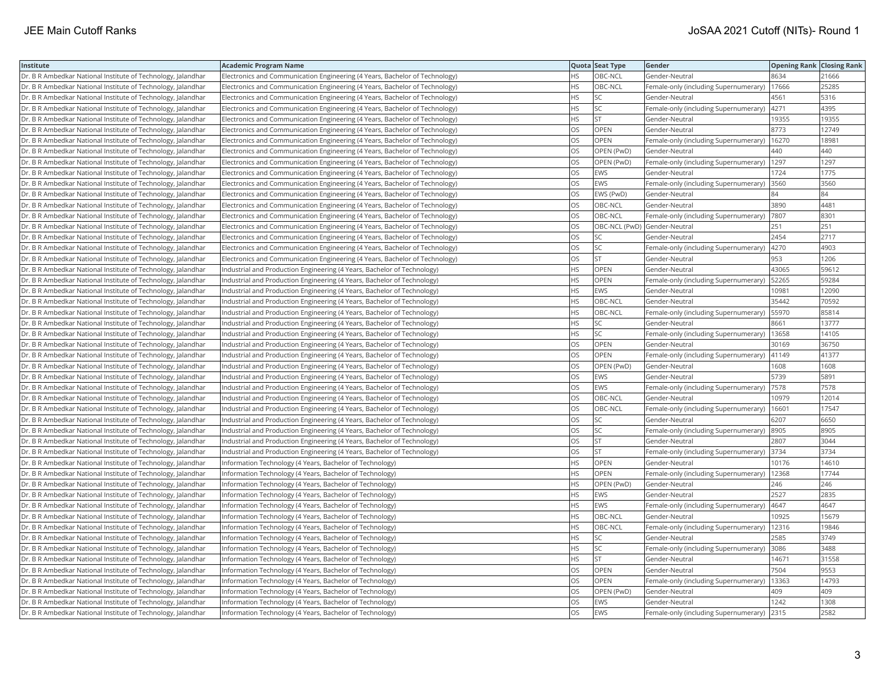| Institute                                                    | <b>Academic Program Name</b>                                                |           | Quota Seat Type              | Gender                                | <b>Opening Rank Closing Rank</b> |       |
|--------------------------------------------------------------|-----------------------------------------------------------------------------|-----------|------------------------------|---------------------------------------|----------------------------------|-------|
| Dr. B R Ambedkar National Institute of Technology, Jalandhar | Electronics and Communication Engineering (4 Years, Bachelor of Technology) | <b>HS</b> | OBC-NCL                      | Gender-Neutral                        | 8634                             | 21666 |
| Dr. B R Ambedkar National Institute of Technology, Jalandhar | Electronics and Communication Engineering (4 Years, Bachelor of Technology) | HS        | OBC-NCL                      | Female-only (including Supernumerary) | 17666                            | 25285 |
| Dr. B R Ambedkar National Institute of Technology, Jalandhar | Electronics and Communication Engineering (4 Years, Bachelor of Technology) | HS        | <b>SC</b>                    | Gender-Neutral                        | 4561                             | 5316  |
| Dr. B R Ambedkar National Institute of Technology, Jalandhar | Electronics and Communication Engineering (4 Years, Bachelor of Technology) | HS        | <b>SC</b>                    | Female-only (including Supernumerary) | 4271                             | 4395  |
| Dr. B R Ambedkar National Institute of Technology, Jalandhar | Electronics and Communication Engineering (4 Years, Bachelor of Technology) | HS.       | lst.                         | Gender-Neutral                        | 19355                            | 19355 |
| Dr. B R Ambedkar National Institute of Technology, Jalandhar | Electronics and Communication Engineering (4 Years, Bachelor of Technology) | OS        | <b>OPEN</b>                  | Gender-Neutral                        | 8773                             | 12749 |
| Dr. B R Ambedkar National Institute of Technology, Jalandhar | Electronics and Communication Engineering (4 Years, Bachelor of Technology) | OS        | <b>OPEN</b>                  | Female-only (including Supernumerary) | 16270                            | 18981 |
| Dr. B R Ambedkar National Institute of Technology, Jalandhar | Electronics and Communication Engineering (4 Years, Bachelor of Technology) | OS        | OPEN (PwD)                   | Gender-Neutral                        | 440                              | 440   |
| Dr. B R Ambedkar National Institute of Technology, Jalandhar | Electronics and Communication Engineering (4 Years, Bachelor of Technology) | OS        | OPEN (PwD)                   | Female-only (including Supernumerary) | 1297                             | 1297  |
| Dr. B R Ambedkar National Institute of Technology, Jalandhar | Electronics and Communication Engineering (4 Years, Bachelor of Technology) | OS.       | <b>EWS</b>                   | Gender-Neutral                        | 1724                             | 1775  |
| Dr. B R Ambedkar National Institute of Technology, Jalandhar | Electronics and Communication Engineering (4 Years, Bachelor of Technology) | OS        | <b>EWS</b>                   | Female-only (including Supernumerary) | 3560                             | 3560  |
| Dr. B R Ambedkar National Institute of Technology, Jalandhar | Electronics and Communication Engineering (4 Years, Bachelor of Technology) | OS        | EWS (PwD)                    | Gender-Neutral                        | 84                               | 84    |
| Dr. B R Ambedkar National Institute of Technology, Jalandhar | Electronics and Communication Engineering (4 Years, Bachelor of Technology) | OS.       | OBC-NCL                      | Gender-Neutral                        | 3890                             | 4481  |
| Dr. B R Ambedkar National Institute of Technology, Jalandhar | Electronics and Communication Engineering (4 Years, Bachelor of Technology) | OS        | OBC-NCL                      | Female-only (including Supernumerary) | 7807                             | 8301  |
| Dr. B R Ambedkar National Institute of Technology, Jalandhar | Electronics and Communication Engineering (4 Years, Bachelor of Technology) | OS        | OBC-NCL (PwD) Gender-Neutral |                                       | 251                              | 251   |
| Dr. B R Ambedkar National Institute of Technology, Jalandhar | Electronics and Communication Engineering (4 Years, Bachelor of Technology) | OS        | SC                           | Gender-Neutral                        | 2454                             | 2717  |
| Dr. B R Ambedkar National Institute of Technology, Jalandhar | Electronics and Communication Engineering (4 Years, Bachelor of Technology) | OS        | <b>SC</b>                    | Female-only (including Supernumerary) | 4270                             | 4903  |
| Dr. B R Ambedkar National Institute of Technology, Jalandhar | Electronics and Communication Engineering (4 Years, Bachelor of Technology) | OS        | <b>ST</b>                    | Gender-Neutral                        | 953                              | 1206  |
| Dr. B R Ambedkar National Institute of Technology, Jalandhar | Industrial and Production Engineering (4 Years, Bachelor of Technology)     | HS        | OPEN                         | Gender-Neutral                        | 43065                            | 59612 |
| Dr. B R Ambedkar National Institute of Technology, Jalandhar | Industrial and Production Engineering (4 Years, Bachelor of Technology)     | HS        | OPEN                         | Female-only (including Supernumerary) | 52265                            | 59284 |
| Dr. B R Ambedkar National Institute of Technology, Jalandhar | Industrial and Production Engineering (4 Years, Bachelor of Technology)     | HS.       | EWS                          | Gender-Neutral                        | 10981                            | 12090 |
| Dr. B R Ambedkar National Institute of Technology, Jalandhar | Industrial and Production Engineering (4 Years, Bachelor of Technology)     | HS        | OBC-NCL                      | Gender-Neutral                        | 35442                            | 70592 |
| Dr. B R Ambedkar National Institute of Technology, Jalandhar | Industrial and Production Engineering (4 Years, Bachelor of Technology)     | HS        | OBC-NCL                      | Female-only (including Supernumerary) | 55970                            | 85814 |
| Dr. B R Ambedkar National Institute of Technology, Jalandhar | Industrial and Production Engineering (4 Years, Bachelor of Technology)     | HS        | <b>SC</b>                    | Gender-Neutral                        | 8661                             | 13777 |
| Dr. B R Ambedkar National Institute of Technology, Jalandhar | Industrial and Production Engineering (4 Years, Bachelor of Technology)     | HS.       | SC                           | Female-only (including Supernumerary) | 13658                            | 14105 |
| Dr. B R Ambedkar National Institute of Technology, Jalandhar | Industrial and Production Engineering (4 Years, Bachelor of Technology)     | OS        | OPEN                         | Gender-Neutral                        | 30169                            | 36750 |
| Dr. B R Ambedkar National Institute of Technology, Jalandhar | Industrial and Production Engineering (4 Years, Bachelor of Technology)     | OS        | <b>OPEN</b>                  | Female-only (including Supernumerary) | 41149                            | 41377 |
| Dr. B R Ambedkar National Institute of Technology, Jalandhar | Industrial and Production Engineering (4 Years, Bachelor of Technology)     | OS        | OPEN (PwD)                   | Gender-Neutral                        | 1608                             | 1608  |
| Dr. B R Ambedkar National Institute of Technology, Jalandhar | Industrial and Production Engineering (4 Years, Bachelor of Technology)     | OS        | <b>EWS</b>                   | Gender-Neutral                        | 5739                             | 5891  |
| Dr. B R Ambedkar National Institute of Technology, Jalandhar | Industrial and Production Engineering (4 Years, Bachelor of Technology)     | OS        | <b>EWS</b>                   | Female-only (including Supernumerary) | 7578                             | 7578  |
| Dr. B R Ambedkar National Institute of Technology, Jalandhar | Industrial and Production Engineering (4 Years, Bachelor of Technology)     | OS        | OBC-NCL                      | Gender-Neutral                        | 10979                            | 12014 |
| Dr. B R Ambedkar National Institute of Technology, Jalandhar | Industrial and Production Engineering (4 Years, Bachelor of Technology)     | OS        | OBC-NCL                      | Female-only (including Supernumerary) | 16601                            | 17547 |
| Dr. B R Ambedkar National Institute of Technology, Jalandhar | Industrial and Production Engineering (4 Years, Bachelor of Technology)     | OS        | SC                           | Gender-Neutral                        | 6207                             | 6650  |
| Dr. B R Ambedkar National Institute of Technology, Jalandhar | Industrial and Production Engineering (4 Years, Bachelor of Technology)     | OS        | SC                           | Female-only (including Supernumerary) | 8905                             | 8905  |
| Dr. B R Ambedkar National Institute of Technology, Jalandhar | Industrial and Production Engineering (4 Years, Bachelor of Technology)     | OS        | <b>ST</b>                    | Gender-Neutral                        | 2807                             | 3044  |
| Dr. B R Ambedkar National Institute of Technology, Jalandhar | Industrial and Production Engineering (4 Years, Bachelor of Technology)     | OS        | <b>ST</b>                    | Female-only (including Supernumerary) | 3734                             | 3734  |
| Dr. B R Ambedkar National Institute of Technology, Jalandhar | Information Technology (4 Years, Bachelor of Technology)                    | HS.       | <b>OPEN</b>                  | Gender-Neutral                        | 10176                            | 14610 |
| Dr. B R Ambedkar National Institute of Technology, Jalandhar | Information Technology (4 Years, Bachelor of Technology)                    | HS.       | <b>OPEN</b>                  | Female-only (including Supernumerary) | 12368                            | 17744 |
| Dr. B R Ambedkar National Institute of Technology, Jalandhar | Information Technology (4 Years, Bachelor of Technology)                    | HS        | OPEN (PwD)                   | Gender-Neutral                        | 246                              | 246   |
| Dr. B R Ambedkar National Institute of Technology, Jalandhar | Information Technology (4 Years, Bachelor of Technology)                    | HS        | EWS                          | Gender-Neutral                        | 2527                             | 2835  |
| Dr. B R Ambedkar National Institute of Technology, Jalandhar | Information Technology (4 Years, Bachelor of Technology)                    | HS        | EWS                          | Female-only (including Supernumerary) | 4647                             | 4647  |
| Dr. B R Ambedkar National Institute of Technology, Jalandhar | Information Technology (4 Years, Bachelor of Technology)                    | HS        | OBC-NCL                      | Gender-Neutral                        | 10925                            | 15679 |
| Dr. B R Ambedkar National Institute of Technology, Jalandhar | Information Technology (4 Years, Bachelor of Technology)                    | HS        | OBC-NCL                      | Female-only (including Supernumerary) | 12316                            | 19846 |
| Dr. B R Ambedkar National Institute of Technology, Jalandhar | Information Technology (4 Years, Bachelor of Technology)                    | HS        | SC                           | Gender-Neutral                        | 2585                             | 3749  |
| Dr. B R Ambedkar National Institute of Technology, Jalandhar | Information Technology (4 Years, Bachelor of Technology)                    | HS.       | lsc                          | Female-only (including Supernumerary) | 3086                             | 3488  |
| Dr. B R Ambedkar National Institute of Technology, Jalandhar | Information Technology (4 Years, Bachelor of Technology)                    | HS.       | lst.                         | Gender-Neutral                        | 14671                            | 31558 |
| Dr. B R Ambedkar National Institute of Technology, Jalandhar | Information Technology (4 Years, Bachelor of Technology)                    | OS        | OPEN                         | Gender-Neutral                        | 7504                             | 9553  |
| Dr. B R Ambedkar National Institute of Technology, Jalandhar | Information Technology (4 Years, Bachelor of Technology)                    | OS        | <b>OPEN</b>                  | Female-only (including Supernumerary) | 13363                            | 14793 |
| Dr. B R Ambedkar National Institute of Technology, Jalandhar | Information Technology (4 Years, Bachelor of Technology)                    | OS        | OPEN (PwD)                   | Gender-Neutral                        | 409                              | 409   |
| Dr. B R Ambedkar National Institute of Technology, Jalandhar | Information Technology (4 Years, Bachelor of Technology)                    | OS        | EWS                          | Gender-Neutral                        | 1242                             | 1308  |
| Dr. B R Ambedkar National Institute of Technology, Jalandhar | Information Technology (4 Years, Bachelor of Technology)                    | OS        | EWS                          | Female-only (including Supernumerary) | 2315                             | 2582  |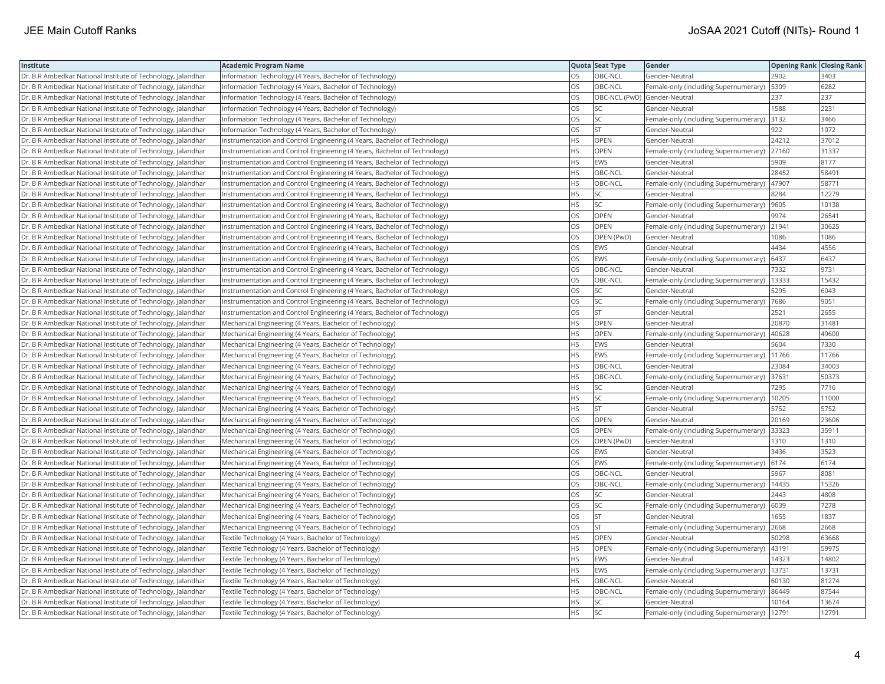| Institute                                                    | <b>Academic Program Name</b>                                              |           | Quota Seat Type              | Gender                                | <b>Opening Rank   Closing Rank</b> |       |
|--------------------------------------------------------------|---------------------------------------------------------------------------|-----------|------------------------------|---------------------------------------|------------------------------------|-------|
| Dr. B R Ambedkar National Institute of Technology, Jalandhar | Information Technology (4 Years, Bachelor of Technology)                  | OS        | OBC-NCL                      | Gender-Neutral                        | 2902                               | 3403  |
| Dr. B R Ambedkar National Institute of Technology, Jalandhar | Information Technology (4 Years, Bachelor of Technology)                  | OS        | OBC-NCL                      | Female-only (including Supernumerary) | 5309                               | 6282  |
| Dr. B R Ambedkar National Institute of Technology, Jalandhar | Information Technology (4 Years, Bachelor of Technology)                  | OS        | OBC-NCL (PwD) Gender-Neutral |                                       | 237                                | 237   |
| Dr. B R Ambedkar National Institute of Technology, Jalandhar | Information Technology (4 Years, Bachelor of Technology)                  | OS        | <b>SC</b>                    | Gender-Neutral                        | 1588                               | 2231  |
| Dr. B R Ambedkar National Institute of Technology, Jalandhar | Information Technology (4 Years, Bachelor of Technology)                  | OS        | SC                           | Female-only (including Supernumerary) | 3132                               | 3466  |
| Dr. B R Ambedkar National Institute of Technology, Jalandhar | Information Technology (4 Years, Bachelor of Technology)                  | OS        | <b>ST</b>                    | Gender-Neutral                        | 922                                | 1072  |
| Dr. B R Ambedkar National Institute of Technology, Jalandhar | Instrumentation and Control Engineering (4 Years, Bachelor of Technology) | HS        | OPEN                         | Gender-Neutral                        | 24212                              | 37012 |
| Dr. B R Ambedkar National Institute of Technology, Jalandhar | Instrumentation and Control Engineering (4 Years, Bachelor of Technology) | HS.       | <b>OPEN</b>                  | Female-only (including Supernumerary) | 27160                              | 31337 |
| Dr. B R Ambedkar National Institute of Technology, Jalandhar | Instrumentation and Control Engineering (4 Years, Bachelor of Technology) | HS        | EWS                          | Gender-Neutral                        | 5909                               | 8177  |
| Dr. B R Ambedkar National Institute of Technology, Jalandhar | Instrumentation and Control Engineering (4 Years, Bachelor of Technology) | HS        | OBC-NCL                      | Gender-Neutral                        | 28452                              | 58491 |
| Dr. B R Ambedkar National Institute of Technology, Jalandhar | Instrumentation and Control Engineering (4 Years, Bachelor of Technology) | <b>HS</b> | OBC-NCL                      | Female-only (including Supernumerary) | 47907                              | 58771 |
| Dr. B R Ambedkar National Institute of Technology, Jalandhar | Instrumentation and Control Engineering (4 Years, Bachelor of Technology) | HS        | SC                           | Gender-Neutral                        | 8284                               | 12279 |
| Dr. B R Ambedkar National Institute of Technology, Jalandhar | Instrumentation and Control Engineering (4 Years, Bachelor of Technology) | HS        | SC                           | Female-only (including Supernumerary) | 9605                               | 10138 |
| Dr. B R Ambedkar National Institute of Technology, Jalandhar | Instrumentation and Control Engineering (4 Years, Bachelor of Technology) | OS        | OPEN                         | Gender-Neutral                        | 9974                               | 26541 |
| Dr. B R Ambedkar National Institute of Technology, Jalandhar | Instrumentation and Control Engineering (4 Years, Bachelor of Technology) | OS        | OPEN                         | Female-only (including Supernumerary) | 21941                              | 30625 |
| Dr. B R Ambedkar National Institute of Technology, Jalandhar | Instrumentation and Control Engineering (4 Years, Bachelor of Technology) | OS        | OPEN (PwD)                   | Gender-Neutral                        | 1086                               | 1086  |
| Dr. B R Ambedkar National Institute of Technology, Jalandhar | Instrumentation and Control Engineering (4 Years, Bachelor of Technology) | OS        | <b>EWS</b>                   | Gender-Neutral                        | 4434                               | 4556  |
| Dr. B R Ambedkar National Institute of Technology, Jalandhar | Instrumentation and Control Engineering (4 Years, Bachelor of Technology) | OS        | EWS                          | Female-only (including Supernumerary) | 6437                               | 6437  |
| Dr. B R Ambedkar National Institute of Technology, Jalandhar | Instrumentation and Control Engineering (4 Years, Bachelor of Technology) | OS        | OBC-NCL                      | Gender-Neutral                        | 7332                               | 9731  |
| Dr. B R Ambedkar National Institute of Technology, Jalandhar | Instrumentation and Control Engineering (4 Years, Bachelor of Technology) | <b>OS</b> | OBC-NCL                      | Female-only (including Supernumerary) | 13333                              | 15432 |
| Dr. B R Ambedkar National Institute of Technology, Jalandhar | Instrumentation and Control Engineering (4 Years, Bachelor of Technology) | OS        | SC                           | Gender-Neutral                        | 5295                               | 6043  |
| Dr. B R Ambedkar National Institute of Technology, Jalandhar | Instrumentation and Control Engineering (4 Years, Bachelor of Technology) | OS        | <b>SC</b>                    | Female-only (including Supernumerary) | 7686                               | 9051  |
| Dr. B R Ambedkar National Institute of Technology, Jalandhar | Instrumentation and Control Engineering (4 Years, Bachelor of Technology) | OS        | <b>ST</b>                    | Gender-Neutral                        | 2521                               | 2655  |
| Dr. B R Ambedkar National Institute of Technology, Jalandhar | Mechanical Engineering (4 Years, Bachelor of Technology)                  | HS        | OPEN                         | Gender-Neutral                        | 20870                              | 31481 |
| Dr. B R Ambedkar National Institute of Technology, Jalandhar | Mechanical Engineering (4 Years, Bachelor of Technology)                  | HS.       | <b>OPEN</b>                  | Female-only (including Supernumerary) | 40628                              | 49600 |
| Dr. B R Ambedkar National Institute of Technology, Jalandhar | Mechanical Engineering (4 Years, Bachelor of Technology)                  | HS        | EWS                          | Gender-Neutral                        | 5604                               | 7330  |
| Dr. B R Ambedkar National Institute of Technology, Jalandhar | Mechanical Engineering (4 Years, Bachelor of Technology)                  | ΗS        | EWS                          | Female-only (including Supernumerary) | 11766                              | 11766 |
| Dr. B R Ambedkar National Institute of Technology, Jalandhar | Mechanical Engineering (4 Years, Bachelor of Technology)                  | <b>HS</b> | OBC-NCL                      | Gender-Neutral                        | 23084                              | 34003 |
| Dr. B R Ambedkar National Institute of Technology, Jalandhar | Mechanical Engineering (4 Years, Bachelor of Technology)                  | HS        | OBC-NCL                      | Female-only (including Supernumerary) | 37631                              | 50373 |
| Dr. B R Ambedkar National Institute of Technology, Jalandhar | Mechanical Engineering (4 Years, Bachelor of Technology)                  | HS        | SC                           | Gender-Neutral                        | 7295                               | 7716  |
| Dr. B R Ambedkar National Institute of Technology, Jalandhar | Mechanical Engineering (4 Years, Bachelor of Technology)                  | HS        | SC                           | Female-only (including Supernumerary) | 10205                              | 11000 |
| Dr. B R Ambedkar National Institute of Technology, Jalandhar | Mechanical Engineering (4 Years, Bachelor of Technology)                  | HS        | <b>ST</b>                    | Gender-Neutral                        | 5752                               | 5752  |
| Dr. B R Ambedkar National Institute of Technology, Jalandhar | Mechanical Engineering (4 Years, Bachelor of Technology)                  | OS        | OPEN                         | Gender-Neutral                        | 20169                              | 23606 |
| Dr. B R Ambedkar National Institute of Technology, Jalandhar | Mechanical Engineering (4 Years, Bachelor of Technology)                  | OS        | OPEN                         | Female-only (including Supernumerary) | 33323                              | 35911 |
| Dr. B R Ambedkar National Institute of Technology, Jalandhar | Mechanical Engineering (4 Years, Bachelor of Technology)                  | OS        | OPEN (PwD)                   | Gender-Neutral                        | 1310                               | 1310  |
| Dr. B R Ambedkar National Institute of Technology, Jalandhar | Mechanical Engineering (4 Years, Bachelor of Technology)                  | OS.       | <b>EWS</b>                   | Gender-Neutral                        | 3436                               | 3523  |
| Dr. B R Ambedkar National Institute of Technology, Jalandhar | Mechanical Engineering (4 Years, Bachelor of Technology)                  | OS        | EWS                          | Female-only (including Supernumerary) | 6174                               | 6174  |
| Dr. B R Ambedkar National Institute of Technology, Jalandhar | Mechanical Engineering (4 Years, Bachelor of Technology)                  | OS        | OBC-NCL                      | Gender-Neutral                        | 5967                               | 8081  |
| Dr. B R Ambedkar National Institute of Technology, Jalandhar | Mechanical Engineering (4 Years, Bachelor of Technology)                  | OS        | OBC-NCL                      | Female-only (including Supernumerary) | 14435                              | 15326 |
| Dr. B R Ambedkar National Institute of Technology, Jalandhar | Mechanical Engineering (4 Years, Bachelor of Technology)                  | OS        | SC                           | Gender-Neutral                        | 2443                               | 4808  |
| Dr. B R Ambedkar National Institute of Technology, Jalandhar | Mechanical Engineering (4 Years, Bachelor of Technology)                  | OS.       | SC                           | Female-only (including Supernumerary) | 6039                               | 7278  |
| Dr. B R Ambedkar National Institute of Technology, Jalandhar | Mechanical Engineering (4 Years, Bachelor of Technology)                  | OS        | <b>ST</b>                    | Gender-Neutral                        | 1655                               | 1837  |
| Dr. B R Ambedkar National Institute of Technology, Jalandhar | Mechanical Engineering (4 Years, Bachelor of Technology)                  | OS        | <b>ST</b>                    | Female-only (including Supernumerary) | 2668                               | 2668  |
| Dr. B R Ambedkar National Institute of Technology, Jalandhar | Textile Technology (4 Years, Bachelor of Technology)                      | <b>HS</b> | <b>OPEN</b>                  | Gender-Neutral                        | 50298                              | 63668 |
| Dr. B R Ambedkar National Institute of Technology, Jalandhar | Textile Technology (4 Years, Bachelor of Technology)                      | <b>HS</b> | OPEN                         | Female-only (including Supernumerary) | 43191                              | 59975 |
| Dr. B R Ambedkar National Institute of Technology, Jalandhar | Textile Technology (4 Years, Bachelor of Technology)                      | HS        | EWS                          | Gender-Neutral                        | 14323                              | 14802 |
| Dr. B R Ambedkar National Institute of Technology, Jalandhar | Textile Technology (4 Years, Bachelor of Technology)                      | HS        | <b>EWS</b>                   | Female-only (including Supernumerary) | 13731                              | 13731 |
| Dr. B R Ambedkar National Institute of Technology, Jalandhar | Textile Technology (4 Years, Bachelor of Technology)                      | HS.       | OBC-NCL                      | Gender-Neutral                        | 60130                              | 81274 |
| Dr. B R Ambedkar National Institute of Technology, Jalandhar | Textile Technology (4 Years, Bachelor of Technology)                      | HS        | OBC-NCL                      | Female-only (including Supernumerary) | 86449                              | 87544 |
| Dr. B R Ambedkar National Institute of Technology, Jalandhar | Textile Technology (4 Years, Bachelor of Technology)                      | HS        | <b>SC</b>                    | Gender-Neutral                        | 10164                              | 13674 |
| Dr. B R Ambedkar National Institute of Technology, Jalandhar | Textile Technology (4 Years, Bachelor of Technology)                      | <b>HS</b> | <b>SC</b>                    | Female-only (including Supernumerary) | 12791                              | 12791 |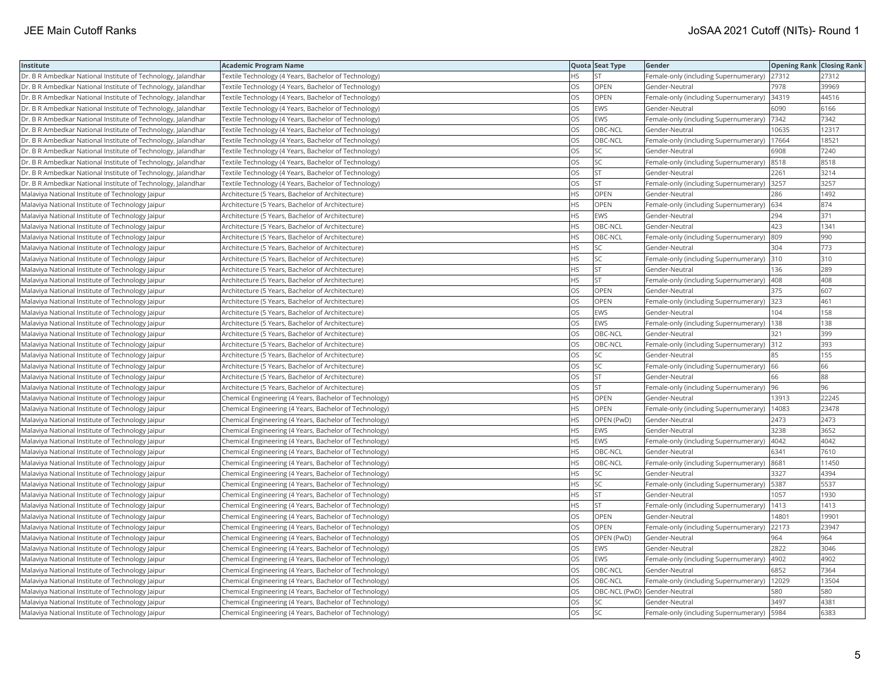| Institute                                                    | <b>Academic Program Name</b>                           |           | Quota Seat Type              | Gender                                       | Opening Rank Closing Rank |       |
|--------------------------------------------------------------|--------------------------------------------------------|-----------|------------------------------|----------------------------------------------|---------------------------|-------|
| Dr. B R Ambedkar National Institute of Technology, Jalandhar | Textile Technology (4 Years, Bachelor of Technology)   | <b>HS</b> | Ist                          | Female-only (including Supernumerary)        | 27312                     | 27312 |
| Dr. B R Ambedkar National Institute of Technology, Jalandhar | Textile Technology (4 Years, Bachelor of Technology)   | OS        | OPEN                         | Gender-Neutral                               | 7978                      | 39969 |
| Dr. B R Ambedkar National Institute of Technology, Jalandhar | Textile Technology (4 Years, Bachelor of Technology)   | OS        | OPEN                         | Female-only (including Supernumerary)        | 34319                     | 44516 |
| Dr. B R Ambedkar National Institute of Technology, Jalandhar | Textile Technology (4 Years, Bachelor of Technology)   | OS        | EWS                          | Gender-Neutral                               | 6090                      | 6166  |
| Dr. B R Ambedkar National Institute of Technology, Jalandhar | Textile Technology (4 Years, Bachelor of Technology)   | OS        | EWS                          | Female-only (including Supernumerary)        | 7342                      | 7342  |
| Dr. B R Ambedkar National Institute of Technology, Jalandhar | Textile Technology (4 Years, Bachelor of Technology)   | <b>OS</b> | OBC-NCL                      | Gender-Neutral                               | 10635                     | 12317 |
| Dr. B R Ambedkar National Institute of Technology, Jalandhar | Textile Technology (4 Years, Bachelor of Technology)   | OS        | OBC-NCL                      | Female-only (including Supernumerary)        | 17664                     | 18521 |
| Dr. B R Ambedkar National Institute of Technology, Jalandhar | Textile Technology (4 Years, Bachelor of Technology)   | OS        | SC                           | Gender-Neutral                               | 6908                      | 7240  |
| Dr. B R Ambedkar National Institute of Technology, Jalandhar | Textile Technology (4 Years, Bachelor of Technology)   | OS        | SC                           | Female-only (including Supernumerary) 8518   |                           | 8518  |
| Dr. B R Ambedkar National Institute of Technology, Jalandhar | Textile Technology (4 Years, Bachelor of Technology)   | <b>OS</b> | lst                          | Gender-Neutral                               | 2261                      | 3214  |
| Dr. B R Ambedkar National Institute of Technology, Jalandhar | Textile Technology (4 Years, Bachelor of Technology)   | OS        | <b>ST</b>                    | Female-only (including Supernumerary)        | 3257                      | 3257  |
| Malaviya National Institute of Technology Jaipur             | Architecture (5 Years, Bachelor of Architecture)       | <b>HS</b> | OPEN                         | Gender-Neutral                               | 286                       | 1492  |
| Malaviya National Institute of Technology Jaipur             | Architecture (5 Years, Bachelor of Architecture)       | <b>HS</b> | OPEN                         | Female-only (including Supernumerary)        | 634                       | 874   |
| Malaviya National Institute of Technology Jaipur             | Architecture (5 Years, Bachelor of Architecture)       | <b>HS</b> | EWS                          | Gender-Neutral                               | 294                       | 371   |
| Malaviya National Institute of Technology Jaipur             | Architecture (5 Years, Bachelor of Architecture)       | <b>HS</b> | OBC-NCL                      | Gender-Neutral                               | 423                       | 1341  |
| Malaviya National Institute of Technology Jaipur             | Architecture (5 Years, Bachelor of Architecture)       | <b>HS</b> | OBC-NCL                      | Female-only (including Supernumerary)        | 809                       | 990   |
| Malaviya National Institute of Technology Jaipur             | Architecture (5 Years, Bachelor of Architecture)       | <b>HS</b> | SC                           | Gender-Neutral                               | 304                       | 773   |
| Malaviya National Institute of Technology Jaipur             | Architecture (5 Years, Bachelor of Architecture)       | HS        | SC                           | Female-only (including Supernumerary)        | 310                       | 310   |
| Malaviya National Institute of Technology Jaipur             | Architecture (5 Years, Bachelor of Architecture)       | <b>HS</b> | <b>ST</b>                    | Gender-Neutral                               | 136                       | 289   |
| Malaviya National Institute of Technology Jaipur             | Architecture (5 Years, Bachelor of Architecture)       | <b>HS</b> | <b>ST</b>                    | Female-only (including Supernumerary)        | 408                       | 408   |
| Malaviya National Institute of Technology Jaipur             | Architecture (5 Years, Bachelor of Architecture)       | <b>OS</b> | OPEN                         | Gender-Neutral                               | 375                       | 607   |
| Malaviya National Institute of Technology Jaipur             | Architecture (5 Years, Bachelor of Architecture)       | OS        | OPEN                         | Female-only (including Supernumerary)        | 323                       | 461   |
| Malaviya National Institute of Technology Jaipur             | Architecture (5 Years, Bachelor of Architecture)       | <b>OS</b> | <b>EWS</b>                   | Gender-Neutral                               | 104                       | 158   |
| Malaviya National Institute of Technology Jaipur             | Architecture (5 Years, Bachelor of Architecture)       | OS        | EWS                          | Female-only (including Supernumerary)   138  |                           | 138   |
| Malaviya National Institute of Technology Jaipur             | Architecture (5 Years, Bachelor of Architecture)       | <b>OS</b> | OBC-NCL                      | Gender-Neutral                               | 321                       | 399   |
| Malaviya National Institute of Technology Jaipur             | Architecture (5 Years, Bachelor of Architecture)       | OS        | OBC-NCL                      | Female-only (including Supernumerary)        | 312                       | 393   |
| Malaviya National Institute of Technology Jaipur             | Architecture (5 Years, Bachelor of Architecture)       | OS        | SC                           | Gender-Neutral                               | 85                        | 155   |
| Malaviya National Institute of Technology Jaipur             | Architecture (5 Years, Bachelor of Architecture)       | <b>OS</b> | SC.                          | Female-only (including Supernumerary)        | 66                        | 66    |
| Malaviya National Institute of Technology Jaipur             | Architecture (5 Years, Bachelor of Architecture)       | <b>OS</b> | lst                          | Gender-Neutral                               | 66                        | 88    |
| Malaviya National Institute of Technology Jaipur             | Architecture (5 Years, Bachelor of Architecture)       | OS        | <b>ST</b>                    | Female-only (including Supernumerary)        | 96                        | 96    |
| Malaviya National Institute of Technology Jaipur             | Chemical Engineering (4 Years, Bachelor of Technology) | <b>HS</b> | OPEN                         | Gender-Neutral                               | 13913                     | 22245 |
| Malaviya National Institute of Technology Jaipur             | Chemical Engineering (4 Years, Bachelor of Technology) | <b>HS</b> | OPEN                         | Female-only (including Supernumerary)        | 14083                     | 23478 |
| Malaviya National Institute of Technology Jaipur             | Chemical Engineering (4 Years, Bachelor of Technology) | <b>HS</b> | OPEN (PwD)                   | Gender-Neutral                               | 2473                      | 2473  |
| Malaviya National Institute of Technology Jaipur             | Chemical Engineering (4 Years, Bachelor of Technology) | <b>HS</b> | EWS                          | Gender-Neutral                               | 3238                      | 3652  |
| Malaviya National Institute of Technology Jaipur             | Chemical Engineering (4 Years, Bachelor of Technology) | <b>HS</b> | EWS                          | Female-only (including Supernumerary)        | 4042                      | 4042  |
| Malaviya National Institute of Technology Jaipur             | Chemical Engineering (4 Years, Bachelor of Technology) | <b>HS</b> | OBC-NCL                      | Gender-Neutral                               | 6341                      | 7610  |
| Malaviya National Institute of Technology Jaipur             | Chemical Engineering (4 Years, Bachelor of Technology) | <b>HS</b> | OBC-NCL                      | Female-only (including Supernumerary)        | 8681                      | 11450 |
| Malaviya National Institute of Technology Jaipur             | Chemical Engineering (4 Years, Bachelor of Technology) | <b>HS</b> | SC.                          | Gender-Neutral                               | 3327                      | 4394  |
| Malaviya National Institute of Technology Jaipur             | Chemical Engineering (4 Years, Bachelor of Technology) | <b>HS</b> | SC.                          | Female-only (including Supernumerary)   5387 |                           | 5537  |
| Malaviya National Institute of Technology Jaipur             | Chemical Engineering (4 Years, Bachelor of Technology) | <b>HS</b> | <b>ST</b>                    | Gender-Neutral                               | 1057                      | 1930  |
| Malaviya National Institute of Technology Jaipur             | Chemical Engineering (4 Years, Bachelor of Technology) | HS        | lst                          | Female-only (including Supernumerary)        | 1413                      | 1413  |
| Malaviya National Institute of Technology Jaipur             | Chemical Engineering (4 Years, Bachelor of Technology) | OS        | OPEN                         | Gender-Neutral                               | 14801                     | 19901 |
| Malaviya National Institute of Technology Jaipur             | Chemical Engineering (4 Years, Bachelor of Technology) | OS        | OPEN                         | Female-only (including Supernumerary)        | 22173                     | 23947 |
| Malaviya National Institute of Technology Jaipur             | Chemical Engineering (4 Years, Bachelor of Technology) | <b>OS</b> | OPEN (PwD)                   | Gender-Neutral                               | 964                       | 964   |
| Malaviya National Institute of Technology Jaipur             | Chemical Engineering (4 Years, Bachelor of Technology) | <b>OS</b> | EWS                          | Gender-Neutral                               | 2822                      | 3046  |
| Malaviya National Institute of Technology Jaipur             | Chemical Engineering (4 Years, Bachelor of Technology) | OS        | EWS                          | Female-only (including Supernumerary)        | 4902                      | 4902  |
| Malaviya National Institute of Technology Jaipur             | Chemical Engineering (4 Years, Bachelor of Technology) | OS        | OBC-NCL                      | Gender-Neutral                               | 6852                      | 7364  |
| Malaviya National Institute of Technology Jaipur             | Chemical Engineering (4 Years, Bachelor of Technology) | OS        | OBC-NCL                      | Female-only (including Supernumerary)        | 12029                     | 13504 |
| Malaviya National Institute of Technology Jaipur             | Chemical Engineering (4 Years, Bachelor of Technology) | OS        | OBC-NCL (PwD) Gender-Neutral |                                              | 580                       | 580   |
| Malaviya National Institute of Technology Jaipur             | Chemical Engineering (4 Years, Bachelor of Technology) | OS        | SC                           | Gender-Neutral                               | 3497                      | 4381  |
| Malaviya National Institute of Technology Jaipur             | Chemical Engineering (4 Years, Bachelor of Technology) | <b>OS</b> | <b>SC</b>                    | Female-only (including Supernumerary)   5984 |                           | 6383  |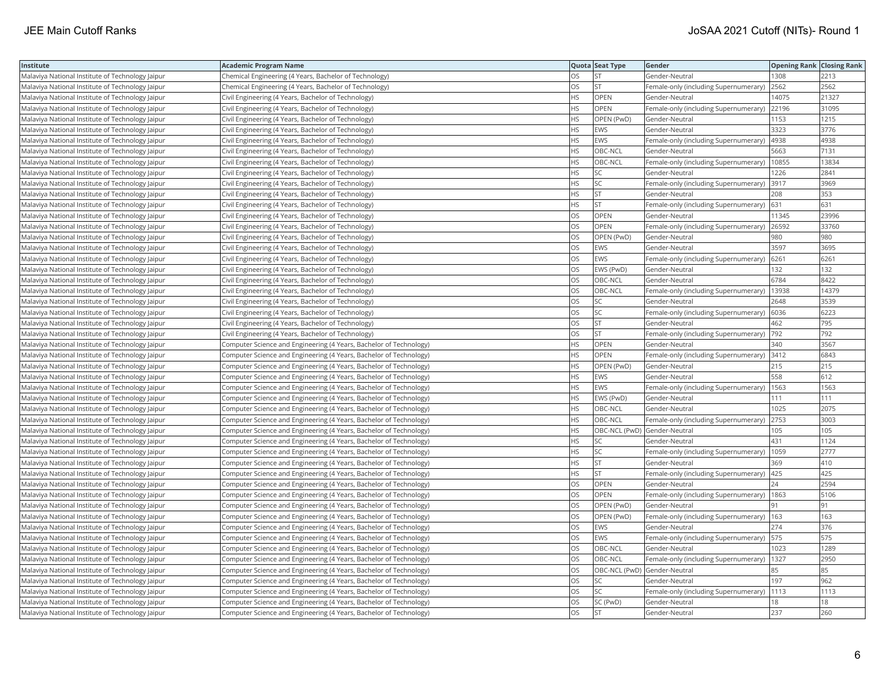| Institute                                        | Academic Program Name                                              |           | Quota Seat Type              | Gender                                        | <b>Opening Rank Closing Rank</b> |       |
|--------------------------------------------------|--------------------------------------------------------------------|-----------|------------------------------|-----------------------------------------------|----------------------------------|-------|
| Malaviya National Institute of Technology Jaipur | Chemical Engineering (4 Years, Bachelor of Technology)             | OS.       | <b>ST</b>                    | Gender-Neutral                                | 1308                             | 2213  |
| Malaviya National Institute of Technology Jaipur | Chemical Engineering (4 Years, Bachelor of Technology)             | OS        | <b>ST</b>                    | Female-only (including Supernumerary)         | 2562                             | 2562  |
| Malaviya National Institute of Technology Jaipur | Civil Engineering (4 Years, Bachelor of Technology)                | HS        | OPEN                         | Gender-Neutral                                | 14075                            | 21327 |
| Malaviya National Institute of Technology Jaipur | Civil Engineering (4 Years, Bachelor of Technology)                | HS        | OPEN                         | Female-only (including Supernumerary)         | 22196                            | 31095 |
| Malaviya National Institute of Technology Jaipur | Civil Engineering (4 Years, Bachelor of Technology)                | HS        | OPEN (PwD)                   | Gender-Neutral                                | 1153                             | 1215  |
| Malaviya National Institute of Technology Jaipur | Civil Engineering (4 Years, Bachelor of Technology)                | HS        | <b>EWS</b>                   | Gender-Neutral                                | 3323                             | 3776  |
| Malaviya National Institute of Technology Jaipur | Civil Engineering (4 Years, Bachelor of Technology)                | HS        | <b>EWS</b>                   | Female-only (including Supernumerary)         | 4938                             | 4938  |
| Malaviya National Institute of Technology Jaipur | Civil Engineering (4 Years, Bachelor of Technology)                | <b>HS</b> | OBC-NCL                      | Gender-Neutral                                | 5663                             | 7131  |
| Malaviya National Institute of Technology Jaipur | Civil Engineering (4 Years, Bachelor of Technology)                | HS        | OBC-NCL                      | Female-only (including Supernumerary)         | 10855                            | 13834 |
| Malaviya National Institute of Technology Jaipur | Civil Engineering (4 Years, Bachelor of Technology)                | HS        | SC                           | Gender-Neutral                                | 1226                             | 2841  |
| Malaviya National Institute of Technology Jaipur | Civil Engineering (4 Years, Bachelor of Technology)                | ΗS        | SC                           | Female-only (including Supernumerary)         | 3917                             | 3969  |
| Malaviya National Institute of Technology Jaipur | Civil Engineering (4 Years, Bachelor of Technology)                | HS        | <b>ST</b>                    | Gender-Neutral                                | 208                              | 353   |
| Malaviya National Institute of Technology Jaipur | Civil Engineering (4 Years, Bachelor of Technology)                | HS.       | <b>ST</b>                    | Female-only (including Supernumerary)         | 631                              | 631   |
| Malaviya National Institute of Technology Jaipur | Civil Engineering (4 Years, Bachelor of Technology)                | OS        | OPEN                         | Gender-Neutral                                | 11345                            | 23996 |
| Malaviya National Institute of Technology Jaipur | Civil Engineering (4 Years, Bachelor of Technology)                | OS        | OPEN                         | Female-only (including Supernumerary)   26592 |                                  | 33760 |
| Malaviya National Institute of Technology Jaipur | Civil Engineering (4 Years, Bachelor of Technology)                | OS        | OPEN (PwD)                   | Gender-Neutral                                | 980                              | 980   |
| Malaviya National Institute of Technology Jaipur | Civil Engineering (4 Years, Bachelor of Technology)                | <b>OS</b> | <b>EWS</b>                   | Gender-Neutral                                | 3597                             | 3695  |
| Malaviya National Institute of Technology Jaipur | Civil Engineering (4 Years, Bachelor of Technology)                | OS        | <b>EWS</b>                   | Female-only (including Supernumerary)         | 6261                             | 6261  |
| Malaviya National Institute of Technology Jaipur | Civil Engineering (4 Years, Bachelor of Technology)                | OS        | EWS (PwD)                    | Gender-Neutral                                | 132                              | 132   |
| Malaviya National Institute of Technology Jaipur | Civil Engineering (4 Years, Bachelor of Technology)                | <b>OS</b> | OBC-NCL                      | Gender-Neutral                                | 6784                             | 8422  |
| Malaviya National Institute of Technology Jaipur | Civil Engineering (4 Years, Bachelor of Technology)                | OS.       | OBC-NCL                      | Female-only (including Supernumerary)         | 13938                            | 14379 |
| Malaviya National Institute of Technology Jaipur | Civil Engineering (4 Years, Bachelor of Technology)                | OS        | SC                           | Gender-Neutral                                | 2648                             | 3539  |
| Malaviya National Institute of Technology Jaipur | Civil Engineering (4 Years, Bachelor of Technology)                | OS        | SC                           | Female-only (including Supernumerary)   6036  |                                  | 6223  |
| Malaviya National Institute of Technology Jaipur | Civil Engineering (4 Years, Bachelor of Technology)                | OS        | <b>ST</b>                    | Gender-Neutral                                | 462                              | 795   |
| Malaviya National Institute of Technology Jaipur | Civil Engineering (4 Years, Bachelor of Technology)                | OS        | <b>ST</b>                    | Female-only (including Supernumerary)         | 792                              | 792   |
| Malaviya National Institute of Technology Jaipur | Computer Science and Engineering (4 Years, Bachelor of Technology) | <b>HS</b> | OPEN                         | Gender-Neutral                                | 340                              | 3567  |
| Malaviya National Institute of Technology Jaipur | Computer Science and Engineering (4 Years, Bachelor of Technology) | HS        | OPEN                         | Female-only (including Supernumerary) 3412    |                                  | 6843  |
| Malaviya National Institute of Technology Jaipur | Computer Science and Engineering (4 Years, Bachelor of Technology) | HS        | OPEN (PwD)                   | Gender-Neutral                                | 215                              | 215   |
| Malaviya National Institute of Technology Jaipur | Computer Science and Engineering (4 Years, Bachelor of Technology) | <b>HS</b> | <b>EWS</b>                   | Gender-Neutral                                | 558                              | 612   |
| Malaviya National Institute of Technology Jaipur | Computer Science and Engineering (4 Years, Bachelor of Technology) | HS        | EWS                          | Female-only (including Supernumerary)   1563  |                                  | 1563  |
| Malaviya National Institute of Technology Jaipur | Computer Science and Engineering (4 Years, Bachelor of Technology) | HS        | EWS (PwD)                    | Gender-Neutral                                | 111                              | 111   |
| Malaviya National Institute of Technology Jaipur | Computer Science and Engineering (4 Years, Bachelor of Technology) | HS        | OBC-NCL                      | Gender-Neutral                                | 1025                             | 2075  |
| Malaviya National Institute of Technology Jaipur | Computer Science and Engineering (4 Years, Bachelor of Technology) | HS        | OBC-NCL                      | Female-only (including Supernumerary)         | 2753                             | 3003  |
| Malaviya National Institute of Technology Jaipur | Computer Science and Engineering (4 Years, Bachelor of Technology) | HS        | OBC-NCL (PwD) Gender-Neutral |                                               | 105                              | 105   |
| Malaviya National Institute of Technology Jaipur | Computer Science and Engineering (4 Years, Bachelor of Technology) | ΗS        | <b>SC</b>                    | Gender-Neutral                                | 431                              | 1124  |
| Malaviya National Institute of Technology Jaipur | Computer Science and Engineering (4 Years, Bachelor of Technology) | HS        | <b>SC</b>                    | Female-only (including Supernumerary)         | 1059                             | 2777  |
| Malaviya National Institute of Technology Jaipur | Computer Science and Engineering (4 Years, Bachelor of Technology) | HS        | <b>ST</b>                    | Gender-Neutral                                | 369                              | 410   |
| Malaviya National Institute of Technology Jaipur | Computer Science and Engineering (4 Years, Bachelor of Technology) | HS        | lst                          | Female-only (including Supernumerary)   425   |                                  | 425   |
| Malaviya National Institute of Technology Jaipur | Computer Science and Engineering (4 Years, Bachelor of Technology) | OS        | OPEN                         | Gender-Neutral                                | 24                               | 2594  |
| Malaviya National Institute of Technology Jaipur | Computer Science and Engineering (4 Years, Bachelor of Technology) | OS        | OPEN                         | Female-only (including Supernumerary)   1863  |                                  | 5106  |
| Malaviya National Institute of Technology Jaipur | Computer Science and Engineering (4 Years, Bachelor of Technology) | OS        | OPEN (PwD)                   | Gender-Neutral                                | 91                               | 91    |
| Malaviya National Institute of Technology Jaipur | Computer Science and Engineering (4 Years, Bachelor of Technology) | OS        | OPEN (PwD)                   | Female-only (including Supernumerary)   163   |                                  | 163   |
| Malaviya National Institute of Technology Jaipur | Computer Science and Engineering (4 Years, Bachelor of Technology) | OS        | <b>EWS</b>                   | Gender-Neutral                                | 274                              | 376   |
| Malaviya National Institute of Technology Jaipur | Computer Science and Engineering (4 Years, Bachelor of Technology) | <b>OS</b> | <b>EWS</b>                   | Female-only (including Supernumerary)   575   |                                  | 575   |
| Malaviya National Institute of Technology Jaipur | Computer Science and Engineering (4 Years, Bachelor of Technology) | OS        | OBC-NCL                      | Gender-Neutral                                | 1023                             | 1289  |
| Malaviya National Institute of Technology Jaipur | Computer Science and Engineering (4 Years, Bachelor of Technology) | OS        | OBC-NCL                      | Female-only (including Supernumerary)   1327  |                                  | 2950  |
| Malaviya National Institute of Technology Jaipur | Computer Science and Engineering (4 Years, Bachelor of Technology) | OS        | OBC-NCL (PwD) Gender-Neutral |                                               | 85                               | 85    |
| Malaviya National Institute of Technology Jaipur | Computer Science and Engineering (4 Years, Bachelor of Technology) | OS        | SC                           | Gender-Neutral                                | 197                              | 962   |
| Malaviya National Institute of Technology Jaipur | Computer Science and Engineering (4 Years, Bachelor of Technology) | OS        | SC                           | Female-only (including Supernumerary)         | 1113                             | 1113  |
| Malaviya National Institute of Technology Jaipur | Computer Science and Engineering (4 Years, Bachelor of Technology) | OS        | SC (PwD)                     | Gender-Neutral                                | 18                               | 18    |
| Malaviya National Institute of Technology Jaipur | Computer Science and Engineering (4 Years, Bachelor of Technology) | OS        | <b>ST</b>                    | Gender-Neutral                                | 237                              | 260   |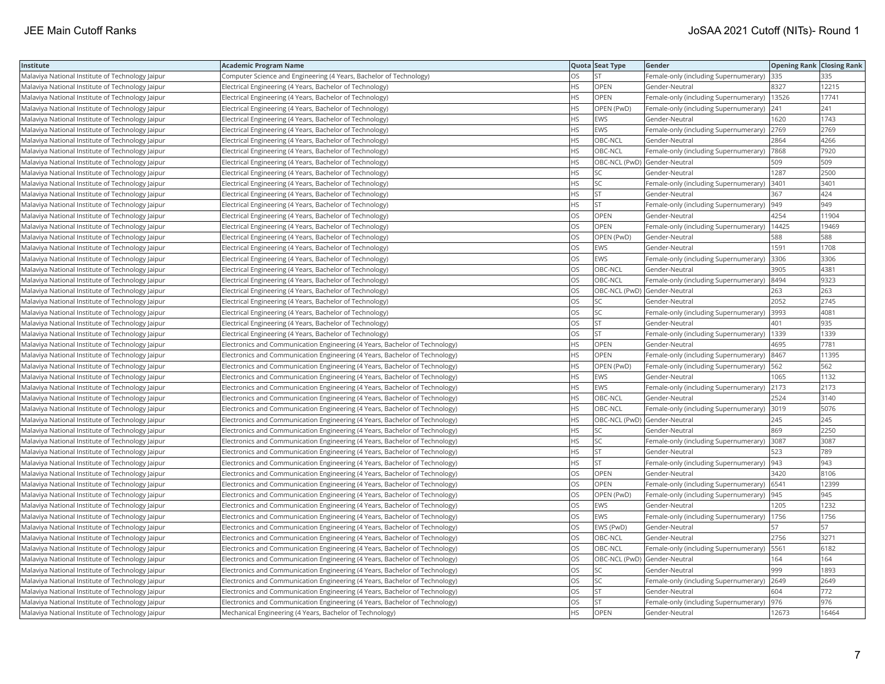| <b>Institute</b>                                 | Academic Program Name                                                       |           | Quota Seat Type              | <b>Gender</b>                                 | <b>Opening Rank Closing Rank</b> |       |
|--------------------------------------------------|-----------------------------------------------------------------------------|-----------|------------------------------|-----------------------------------------------|----------------------------------|-------|
| Malaviya National Institute of Technology Jaipur | Computer Science and Engineering (4 Years, Bachelor of Technology)          | OS        | <b>ST</b>                    | Female-only (including Supernumerary)         | 335                              | 335   |
| Malaviya National Institute of Technology Jaipur | Electrical Engineering (4 Years, Bachelor of Technology)                    | HS.       | OPEN                         | Gender-Neutral                                | 8327                             | 12215 |
| Malaviya National Institute of Technology Jaipur | Electrical Engineering (4 Years, Bachelor of Technology)                    | HS        | OPEN                         | Female-only (including Supernumerary)         | 13526                            | 17741 |
| Malaviya National Institute of Technology Jaipur | Electrical Engineering (4 Years, Bachelor of Technology)                    | HS        | OPEN (PwD)                   | Female-only (including Supernumerary)         | 241                              | 241   |
| Malaviya National Institute of Technology Jaipur | Electrical Engineering (4 Years, Bachelor of Technology)                    | HS.       | <b>EWS</b>                   | Gender-Neutral                                | 1620                             | 1743  |
| Malaviya National Institute of Technology Jaipur | Electrical Engineering (4 Years, Bachelor of Technology)                    | HS.       | <b>EWS</b>                   | Female-only (including Supernumerary) 2769    |                                  | 2769  |
| Malaviya National Institute of Technology Jaipur | Electrical Engineering (4 Years, Bachelor of Technology)                    | HS        | OBC-NCL                      | Gender-Neutral                                | 2864                             | 4266  |
| Malaviya National Institute of Technology Jaipur | Electrical Engineering (4 Years, Bachelor of Technology)                    | HS.       | OBC-NCL                      | Female-only (including Supernumerary)  7868   |                                  | 7920  |
| Malaviya National Institute of Technology Jaipur | Electrical Engineering (4 Years, Bachelor of Technology)                    | НS        | OBC-NCL (PwD) Gender-Neutral |                                               | 509                              | 509   |
| Malaviya National Institute of Technology Jaipur | Electrical Engineering (4 Years, Bachelor of Technology)                    | HS        | SC                           | Gender-Neutral                                | 1287                             | 2500  |
| Malaviya National Institute of Technology Jaipur | Electrical Engineering (4 Years, Bachelor of Technology)                    | HS.       | <b>SC</b>                    | Female-only (including Supernumerary)         | 3401                             | 3401  |
| Malaviya National Institute of Technology Jaipur | Electrical Engineering (4 Years, Bachelor of Technology)                    | HS.       | <b>ST</b>                    | Gender-Neutral                                | 367                              | 424   |
| Malaviya National Institute of Technology Jaipur | Electrical Engineering (4 Years, Bachelor of Technology)                    | HS        | <b>ST</b>                    | Female-only (including Supernumerary)         | 949                              | 949   |
| Malaviya National Institute of Technology Jaipur | Electrical Engineering (4 Years, Bachelor of Technology)                    | OS        | OPEN                         | Gender-Neutral                                | 4254                             | 11904 |
| Malaviya National Institute of Technology Jaipur | Electrical Engineering (4 Years, Bachelor of Technology)                    | OS        | <b>OPEN</b>                  | Female-only (including Supernumerary)   14425 |                                  | 19469 |
| Malaviya National Institute of Technology Jaipur | Electrical Engineering (4 Years, Bachelor of Technology)                    | OS        | OPEN (PwD)                   | Gender-Neutral                                | 588                              | 588   |
| Malaviya National Institute of Technology Jaipur | Electrical Engineering (4 Years, Bachelor of Technology)                    | OS.       | <b>EWS</b>                   | Gender-Neutral                                | 1591                             | 1708  |
| Malaviya National Institute of Technology Jaipur | Electrical Engineering (4 Years, Bachelor of Technology)                    | OS        | <b>EWS</b>                   | Female-only (including Supernumerary)         | 3306                             | 3306  |
| Malaviya National Institute of Technology Jaipur | Electrical Engineering (4 Years, Bachelor of Technology)                    | OS        | OBC-NCL                      | Gender-Neutral                                | 3905                             | 4381  |
| Malaviya National Institute of Technology Jaipur | Electrical Engineering (4 Years, Bachelor of Technology)                    | OS.       | OBC-NCL                      | Female-only (including Supernumerary)         | 8494                             | 9323  |
| Malaviya National Institute of Technology Jaipur | Electrical Engineering (4 Years, Bachelor of Technology)                    | OS        | OBC-NCL (PwD) Gender-Neutral |                                               | 263                              | 263   |
| Malaviya National Institute of Technology Jaipur | Electrical Engineering (4 Years, Bachelor of Technology)                    | OS        | SC                           | Gender-Neutral                                | 2052                             | 2745  |
| Malaviya National Institute of Technology Jaipur | Electrical Engineering (4 Years, Bachelor of Technology)                    | OS        | SC                           | Female-only (including Supernumerary)         | 3993                             | 4081  |
| Malaviya National Institute of Technology Jaipur | Electrical Engineering (4 Years, Bachelor of Technology)                    | <b>OS</b> | <b>ST</b>                    | Gender-Neutral                                | 401                              | 935   |
| Malaviya National Institute of Technology Jaipur | Electrical Engineering (4 Years, Bachelor of Technology)                    | OS        | <b>ST</b>                    | Female-only (including Supernumerary)         | 1339                             | 1339  |
| Malaviya National Institute of Technology Jaipur | Electronics and Communication Engineering (4 Years, Bachelor of Technology) | <b>HS</b> | OPEN                         | Gender-Neutral                                | 4695                             | 7781  |
| Malaviya National Institute of Technology Jaipur | Electronics and Communication Engineering (4 Years, Bachelor of Technology) | HS        | <b>OPEN</b>                  | Female-only (including Supernumerary)         | 8467                             | 11395 |
| Malaviya National Institute of Technology Jaipur | Electronics and Communication Engineering (4 Years, Bachelor of Technology) | HS.       | OPEN (PwD)                   | Female-only (including Supernumerary)   562   |                                  | 562   |
| Malaviya National Institute of Technology Jaipur | Electronics and Communication Engineering (4 Years, Bachelor of Technology) | <b>HS</b> | EWS                          | Gender-Neutral                                | 1065                             | 1132  |
| Malaviya National Institute of Technology Jaipur | Electronics and Communication Engineering (4 Years, Bachelor of Technology) | HS        | EWS                          | Female-only (including Supernumerary) 2173    |                                  | 2173  |
| Malaviya National Institute of Technology Jaipur | Electronics and Communication Engineering (4 Years, Bachelor of Technology) | HS        | OBC-NCL                      | Gender-Neutral                                | 2524                             | 3140  |
| Malaviya National Institute of Technology Jaipur | Electronics and Communication Engineering (4 Years, Bachelor of Technology) | HS.       | OBC-NCL                      | Female-only (including Supernumerary)         | 3019                             | 5076  |
| Malaviya National Institute of Technology Jaipur | Electronics and Communication Engineering (4 Years, Bachelor of Technology) | HS        | OBC-NCL (PwD) Gender-Neutral |                                               | 245                              | 245   |
| Malaviya National Institute of Technology Jaipur | Electronics and Communication Engineering (4 Years, Bachelor of Technology) | HS.       | SC                           | Gender-Neutral                                | 869                              | 2250  |
| Malaviya National Institute of Technology Jaipur | Electronics and Communication Engineering (4 Years, Bachelor of Technology) | HS.       | <b>SC</b>                    | Female-only (including Supernumerary)  3087   |                                  | 3087  |
| Malaviya National Institute of Technology Jaipur | Electronics and Communication Engineering (4 Years, Bachelor of Technology) | HS.       | <b>ST</b>                    | Gender-Neutral                                | 523                              | 789   |
| Malaviya National Institute of Technology Jaipur | Electronics and Communication Engineering (4 Years, Bachelor of Technology) | HS.       | <b>ST</b>                    | Female-only (including Supernumerary)  943    |                                  | 943   |
| Malaviya National Institute of Technology Jaipur | Electronics and Communication Engineering (4 Years, Bachelor of Technology) | OS        | OPEN                         | Gender-Neutral                                | 3420                             | 8106  |
| Malaviya National Institute of Technology Jaipur | Electronics and Communication Engineering (4 Years, Bachelor of Technology) | OS        | OPEN                         | Female-only (including Supernumerary)   6541  |                                  | 12399 |
| Malaviya National Institute of Technology Jaipur | Electronics and Communication Engineering (4 Years, Bachelor of Technology) | OS        | OPEN (PwD)                   | Female-only (including Supernumerary)  945    |                                  | 945   |
| Malaviya National Institute of Technology Jaipur | Electronics and Communication Engineering (4 Years, Bachelor of Technology) | OS        | <b>EWS</b>                   | Gender-Neutral                                | 1205                             | 1232  |
| Malaviya National Institute of Technology Jaipur | Electronics and Communication Engineering (4 Years, Bachelor of Technology) | OS        | <b>EWS</b>                   | Female-only (including Supernumerary)         | 1756                             | 1756  |
| Malaviya National Institute of Technology Jaipur | Electronics and Communication Engineering (4 Years, Bachelor of Technology) | OS        | EWS (PwD)                    | Gender-Neutral                                | 57                               | 57    |
| Malaviya National Institute of Technology Jaipur | Electronics and Communication Engineering (4 Years, Bachelor of Technology) | OS        | OBC-NCL                      | Gender-Neutral                                | 2756                             | 3271  |
| Malaviya National Institute of Technology Jaipur | Electronics and Communication Engineering (4 Years, Bachelor of Technology) | OS        | OBC-NCL                      | Female-only (including Supernumerary)   5561  |                                  | 6182  |
| Malaviya National Institute of Technology Jaipur | Electronics and Communication Engineering (4 Years, Bachelor of Technology) | OS        | OBC-NCL (PwD) Gender-Neutral |                                               | 164                              | 164   |
| Malaviya National Institute of Technology Jaipur | Electronics and Communication Engineering (4 Years, Bachelor of Technology) | OS        | <b>SC</b>                    | Gender-Neutral                                | 999                              | 1893  |
| Malaviya National Institute of Technology Jaipur | Electronics and Communication Engineering (4 Years, Bachelor of Technology) | OS        | SC                           | Female-only (including Supernumerary)         | 2649                             | 2649  |
| Malaviya National Institute of Technology Jaipur | Electronics and Communication Engineering (4 Years, Bachelor of Technology) | OS        | <b>ST</b>                    | Gender-Neutral                                | 604                              | 772   |
| Malaviya National Institute of Technology Jaipur | Electronics and Communication Engineering (4 Years, Bachelor of Technology) | OS.       | <b>ST</b>                    | Female-only (including Supernumerary)         | 976                              | 976   |
| Malaviya National Institute of Technology Jaipur | Mechanical Engineering (4 Years, Bachelor of Technology)                    | <b>HS</b> | <b>OPEN</b>                  | Gender-Neutral                                | 12673                            | 16464 |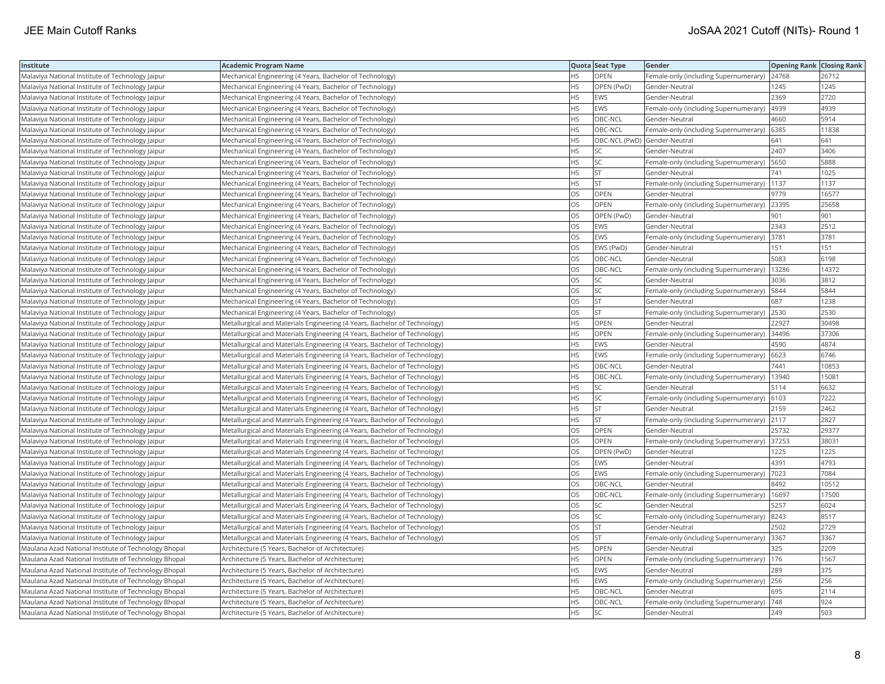| Institute                                            | <b>Academic Program Name</b>                                              |           | Quota Seat Type              | Gender                                      | <b>Opening Rank Closing Rank</b> |       |
|------------------------------------------------------|---------------------------------------------------------------------------|-----------|------------------------------|---------------------------------------------|----------------------------------|-------|
| Malaviya National Institute of Technology Jaipur     | Mechanical Engineering (4 Years, Bachelor of Technology)                  | <b>HS</b> | OPEN                         | Female-only (including Supernumerary) 24768 |                                  | 26712 |
| Malaviya National Institute of Technology Jaipur     | Mechanical Engineering (4 Years, Bachelor of Technology)                  | HS.       | OPEN (PwD)                   | Gender-Neutral                              | 1245                             | 1245  |
| Malaviya National Institute of Technology Jaipur     | Mechanical Engineering (4 Years, Bachelor of Technology)                  | <b>HS</b> | EWS                          | Gender-Neutral                              | 2369                             | 2720  |
| Malaviya National Institute of Technology Jaipur     | Mechanical Engineering (4 Years, Bachelor of Technology)                  | <b>HS</b> | EWS                          | Female-only (including Supernumerary)       | 4939                             | 4939  |
| Malaviya National Institute of Technology Jaipur     | Mechanical Engineering (4 Years, Bachelor of Technology)                  | <b>HS</b> | OBC-NCL                      | Gender-Neutral                              | 4660                             | 5914  |
| Malaviya National Institute of Technology Jaipur     | Mechanical Engineering (4 Years, Bachelor of Technology)                  | <b>HS</b> | OBC-NCL                      | Female-only (including Supernumerary)       | 6385                             | 11838 |
| Malaviya National Institute of Technology Jaipur     | Mechanical Engineering (4 Years, Bachelor of Technology)                  | <b>HS</b> | OBC-NCL (PwD) Gender-Neutral |                                             | 641                              | 641   |
| Malaviya National Institute of Technology Jaipur     | Mechanical Engineering (4 Years, Bachelor of Technology)                  | <b>HS</b> | SC                           | Gender-Neutral                              | 2407                             | 3406  |
| Malaviya National Institute of Technology Jaipur     | Mechanical Engineering (4 Years, Bachelor of Technology)                  | <b>HS</b> | SC.                          | Female-only (including Supernumerary)       | 5650                             | 5888  |
| Malaviya National Institute of Technology Jaipur     | Mechanical Engineering (4 Years, Bachelor of Technology)                  | <b>HS</b> | <b>ST</b>                    | Gender-Neutral                              | 741                              | 1025  |
| Malaviya National Institute of Technology Jaipur     | Mechanical Engineering (4 Years, Bachelor of Technology)                  | <b>HS</b> | <b>ST</b>                    | Female-only (including Supernumerary)       | 1137                             | 1137  |
| Malaviya National Institute of Technology Jaipur     | Mechanical Engineering (4 Years, Bachelor of Technology)                  | OS        | OPEN                         | Gender-Neutral                              | 9779                             | 16577 |
| Malaviya National Institute of Technology Jaipur     | Mechanical Engineering (4 Years, Bachelor of Technology)                  | <b>OS</b> | OPEN                         | Female-only (including Supernumerary)       | 23395                            | 25658 |
| Malaviya National Institute of Technology Jaipur     | Mechanical Engineering (4 Years, Bachelor of Technology)                  | OS        | OPEN (PwD)                   | Gender-Neutral                              | 901                              | 901   |
| Malaviya National Institute of Technology Jaipur     | Mechanical Engineering (4 Years, Bachelor of Technology)                  | <b>OS</b> | <b>EWS</b>                   | Gender-Neutral                              | 2343                             | 2512  |
| Malaviya National Institute of Technology Jaipur     | Mechanical Engineering (4 Years, Bachelor of Technology)                  | OS        | EWS                          | Female-only (including Supernumerary)       | 3781                             | 3781  |
| Malaviya National Institute of Technology Jaipur     | Mechanical Engineering (4 Years, Bachelor of Technology)                  | <b>OS</b> | EWS (PwD)                    | Gender-Neutral                              | 151                              | 151   |
| Malaviya National Institute of Technology Jaipur     | Mechanical Engineering (4 Years, Bachelor of Technology)                  | OS        | OBC-NCL                      | Gender-Neutral                              | 5083                             | 6198  |
| Malaviya National Institute of Technology Jaipur     | Mechanical Engineering (4 Years, Bachelor of Technology)                  | OS        | OBC-NCL                      | Female-only (including Supernumerary)       | 13286                            | 14372 |
| Malaviya National Institute of Technology Jaipur     | Mechanical Engineering (4 Years, Bachelor of Technology)                  | <b>OS</b> | lsc                          | Gender-Neutral                              | 3036                             | 3812  |
| Malaviya National Institute of Technology Jaipur     | Mechanical Engineering (4 Years, Bachelor of Technology)                  | <b>OS</b> | lsc                          | Female-only (including Supernumerary)       | 5844                             | 5844  |
| Malaviya National Institute of Technology Jaipur     | Mechanical Engineering (4 Years, Bachelor of Technology)                  | OS        | <b>ST</b>                    | Gender-Neutral                              | 687                              | 1238  |
| Malaviya National Institute of Technology Jaipur     | Mechanical Engineering (4 Years, Bachelor of Technology)                  | OS        | <b>ST</b>                    | Female-only (including Supernumerary) 2530  |                                  | 2530  |
| Malaviya National Institute of Technology Jaipur     | Metallurgical and Materials Engineering (4 Years, Bachelor of Technology) | <b>HS</b> | OPEN                         | Gender-Neutral                              | 22927                            | 30498 |
| Malaviya National Institute of Technology Jaipur     | Metallurgical and Materials Engineering (4 Years, Bachelor of Technology) | HS.       | OPEN                         | Female-only (including Supernumerary)       | 34496                            | 37306 |
| Malaviya National Institute of Technology Jaipur     | Metallurgical and Materials Engineering (4 Years, Bachelor of Technology) | <b>HS</b> | EWS                          | Gender-Neutral                              | 4590                             | 4874  |
| Malaviya National Institute of Technology Jaipur     | Metallurgical and Materials Engineering (4 Years, Bachelor of Technology) | <b>HS</b> | EWS                          | Female-only (including Supernumerary)       | 6623                             | 6746  |
| Malaviya National Institute of Technology Jaipur     | Metallurgical and Materials Engineering (4 Years, Bachelor of Technology) | <b>HS</b> | OBC-NCL                      | Gender-Neutral                              | 7441                             | 10853 |
| Malaviya National Institute of Technology Jaipur     | Metallurgical and Materials Engineering (4 Years, Bachelor of Technology) | <b>HS</b> | OBC-NCL                      | Female-only (including Supernumerary)       | 13940                            | 15081 |
| Malaviya National Institute of Technology Jaipur     | Metallurgical and Materials Engineering (4 Years, Bachelor of Technology) | <b>HS</b> | SC                           | Gender-Neutral                              | 5114                             | 6632  |
| Malaviya National Institute of Technology Jaipur     | Metallurgical and Materials Engineering (4 Years, Bachelor of Technology) | <b>HS</b> | SC.                          | Female-only (including Supernumerary)       | 6103                             | 7222  |
| Malaviya National Institute of Technology Jaipur     | Metallurgical and Materials Engineering (4 Years, Bachelor of Technology) | HS.       | <b>ST</b>                    | Gender-Neutral                              | 2159                             | 2462  |
| Malaviya National Institute of Technology Jaipur     | Metallurgical and Materials Engineering (4 Years, Bachelor of Technology) | <b>HS</b> | <b>ST</b>                    | Female-only (including Supernumerary)       | 2117                             | 2827  |
| Malaviya National Institute of Technology Jaipur     | Metallurgical and Materials Engineering (4 Years, Bachelor of Technology) | OS        | OPEN                         | Gender-Neutral                              | 25732                            | 29377 |
| Malaviya National Institute of Technology Jaipur     | Metallurgical and Materials Engineering (4 Years, Bachelor of Technology) | OS        | OPEN                         | Female-only (including Supernumerary)       | 37253                            | 38031 |
| Malaviya National Institute of Technology Jaipur     | Metallurgical and Materials Engineering (4 Years, Bachelor of Technology) | <b>OS</b> | OPEN (PwD)                   | Gender-Neutral                              | 1225                             | 1225  |
| Malaviya National Institute of Technology Jaipur     | Metallurgical and Materials Engineering (4 Years, Bachelor of Technology) | OS        | EWS                          | Gender-Neutral                              | 4391                             | 4793  |
| Malaviya National Institute of Technology Jaipur     | Metallurgical and Materials Engineering (4 Years, Bachelor of Technology) | <b>OS</b> | EWS                          | Female-only (including Supernumerary)       | 7023                             | 7084  |
| Malaviya National Institute of Technology Jaipur     | Metallurgical and Materials Engineering (4 Years, Bachelor of Technology) | OS        | OBC-NCL                      | Gender-Neutral                              | 8492                             | 10512 |
| Malaviya National Institute of Technology Jaipur     | Metallurgical and Materials Engineering (4 Years, Bachelor of Technology) | <b>OS</b> | OBC-NCL                      | Female-only (including Supernumerary)       | 16697                            | 17500 |
| Malaviya National Institute of Technology Jaipur     | Metallurgical and Materials Engineering (4 Years, Bachelor of Technology) | OS        | SC                           | Gender-Neutral                              | 5257                             | 6024  |
| Malaviya National Institute of Technology Jaipur     | Metallurgical and Materials Engineering (4 Years, Bachelor of Technology) | OS        | SC                           | Female-only (including Supernumerary)       | 8243                             | 8517  |
| Malaviya National Institute of Technology Jaipur     | Metallurgical and Materials Engineering (4 Years, Bachelor of Technology) | OS        | <b>ST</b>                    | Gender-Neutral                              | 2502                             | 2729  |
| Malaviya National Institute of Technology Jaipur     | Metallurgical and Materials Engineering (4 Years, Bachelor of Technology) | OS        | lst                          | Female-only (including Supernumerary)       | 3367                             | 3367  |
| Maulana Azad National Institute of Technology Bhopal | Architecture (5 Years, Bachelor of Architecture)                          | <b>HS</b> | OPEN                         | Gender-Neutral                              | 325                              | 2209  |
| Maulana Azad National Institute of Technology Bhopal | Architecture (5 Years, Bachelor of Architecture)                          | <b>HS</b> | OPEN                         | Female-only (including Supernumerary)       | 176                              | 1567  |
| Maulana Azad National Institute of Technology Bhopal | Architecture (5 Years, Bachelor of Architecture)                          | <b>HS</b> | EWS                          | Gender-Neutral                              | 289                              | 375   |
| Maulana Azad National Institute of Technology Bhopal | Architecture (5 Years, Bachelor of Architecture)                          | HS.       | EWS                          | Female-only (including Supernumerary)       | 256                              | 256   |
| Maulana Azad National Institute of Technology Bhopal | Architecture (5 Years, Bachelor of Architecture)                          | <b>HS</b> | OBC-NCL                      | Gender-Neutral                              | 695                              | 2114  |
| Maulana Azad National Institute of Technology Bhopal | Architecture (5 Years, Bachelor of Architecture)                          | <b>HS</b> | OBC-NCL                      | Female-only (including Supernumerary)       | 748                              | 924   |
| Maulana Azad National Institute of Technology Bhopal | Architecture (5 Years, Bachelor of Architecture)                          | <b>HS</b> | SC                           | lGender-Neutral                             | 249                              | 503   |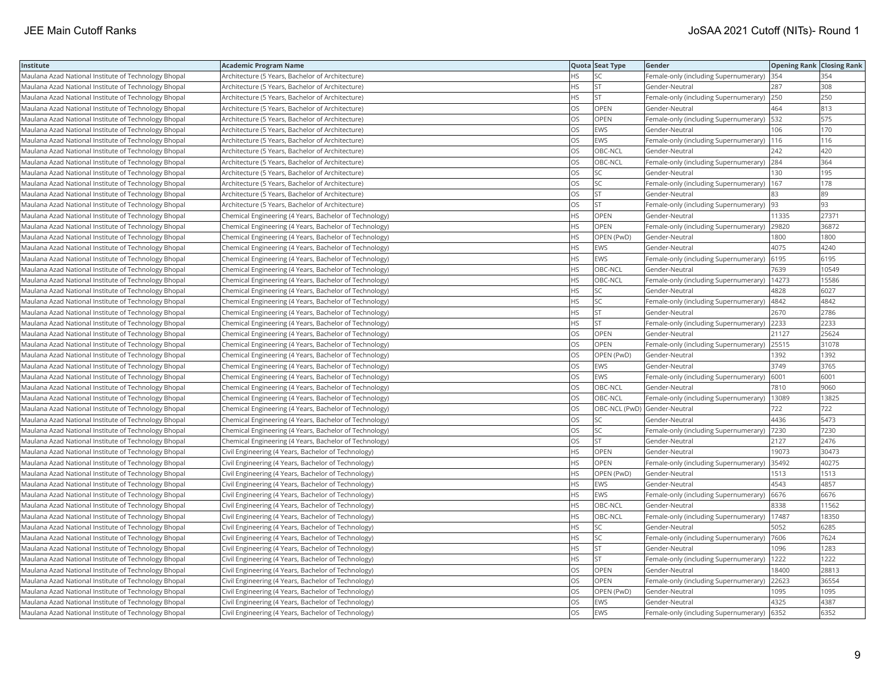| Institute                                            | <b>Academic Program Name</b>                           |           | Quota Seat Type              | Gender                                        | <b>Opening Rank Closing Rank</b> |       |
|------------------------------------------------------|--------------------------------------------------------|-----------|------------------------------|-----------------------------------------------|----------------------------------|-------|
| Maulana Azad National Institute of Technology Bhopal | Architecture (5 Years, Bachelor of Architecture)       | HS.       | <b>SC</b>                    | Female-only (including Supernumerary)         | 354                              | 354   |
| Maulana Azad National Institute of Technology Bhopal | Architecture (5 Years, Bachelor of Architecture)       | ΗS        | <b>ST</b>                    | Gender-Neutral                                | 287                              | 308   |
| Maulana Azad National Institute of Technology Bhopal | Architecture (5 Years, Bachelor of Architecture)       | HS        | <b>ST</b>                    | Female-only (including Supernumerary)         | 250                              | 250   |
| Maulana Azad National Institute of Technology Bhopal | Architecture (5 Years, Bachelor of Architecture)       | OS        | OPEN                         | Gender-Neutral                                | 464                              | 813   |
| Maulana Azad National Institute of Technology Bhopal | Architecture (5 Years, Bachelor of Architecture)       | OS        | <b>OPEN</b>                  | Female-only (including Supernumerary)         | 532                              | 575   |
| Maulana Azad National Institute of Technology Bhopal | Architecture (5 Years, Bachelor of Architecture)       | OS        | <b>EWS</b>                   | Gender-Neutral                                | 106                              | 170   |
| Maulana Azad National Institute of Technology Bhopal | Architecture (5 Years, Bachelor of Architecture)       | OS        | EWS                          | Female-only (including Supernumerary)   116   |                                  | 116   |
| Maulana Azad National Institute of Technology Bhopal | Architecture (5 Years, Bachelor of Architecture)       | OS.       | OBC-NCL                      | Gender-Neutral                                | 242                              | 420   |
| Maulana Azad National Institute of Technology Bhopal | Architecture (5 Years, Bachelor of Architecture)       | OS        | OBC-NCL                      | Female-only (including Supernumerary)         | 284                              | 364   |
| Maulana Azad National Institute of Technology Bhopal | Architecture (5 Years, Bachelor of Architecture)       | OS        | SC                           | Gender-Neutral                                | 130                              | 195   |
| Maulana Azad National Institute of Technology Bhopal | Architecture (5 Years, Bachelor of Architecture)       | OS.       | <b>SC</b>                    | Female-only (including Supernumerary)         | 167                              | 178   |
| Maulana Azad National Institute of Technology Bhopal | Architecture (5 Years, Bachelor of Architecture)       | OS        | lst.                         | Gender-Neutral                                | 83                               | 89    |
| Maulana Azad National Institute of Technology Bhopal | Architecture (5 Years, Bachelor of Architecture)       | OS        | lst.                         | Female-only (including Supernumerary)         | 93                               | 93    |
| Maulana Azad National Institute of Technology Bhopal | Chemical Engineering (4 Years, Bachelor of Technology) | <b>HS</b> | <b>OPEN</b>                  | Gender-Neutral                                | 11335                            | 27371 |
| Maulana Azad National Institute of Technology Bhopal | Chemical Engineering (4 Years, Bachelor of Technology) | HS        | <b>OPEN</b>                  | Female-only (including Supernumerary) 29820   |                                  | 36872 |
| Maulana Azad National Institute of Technology Bhopal | Chemical Engineering (4 Years, Bachelor of Technology) | HS        | OPEN (PwD)                   | Gender-Neutral                                | 1800                             | 1800  |
| Maulana Azad National Institute of Technology Bhopal | Chemical Engineering (4 Years, Bachelor of Technology) | <b>HS</b> | <b>EWS</b>                   | Gender-Neutral                                | 4075                             | 4240  |
| Maulana Azad National Institute of Technology Bhopal | Chemical Engineering (4 Years, Bachelor of Technology) | HS        | EWS                          | Female-only (including Supernumerary)         | 6195                             | 6195  |
| Maulana Azad National Institute of Technology Bhopal | Chemical Engineering (4 Years, Bachelor of Technology) | HS        | OBC-NCL                      | Gender-Neutral                                | 7639                             | 10549 |
| Maulana Azad National Institute of Technology Bhopal | Chemical Engineering (4 Years, Bachelor of Technology) | HS.       | OBC-NCL                      | Female-only (including Supernumerary)         | 14273                            | 15586 |
| Maulana Azad National Institute of Technology Bhopal | Chemical Engineering (4 Years, Bachelor of Technology) | HS.       | <b>SC</b>                    | Gender-Neutral                                | 4828                             | 6027  |
| Maulana Azad National Institute of Technology Bhopal | Chemical Engineering (4 Years, Bachelor of Technology) | HS        | <b>SC</b>                    | Female-only (including Supernumerary)         | 4842                             | 4842  |
| Maulana Azad National Institute of Technology Bhopal | Chemical Engineering (4 Years, Bachelor of Technology) | ΗS        | <b>ST</b>                    | Gender-Neutral                                | 2670                             | 2786  |
| Maulana Azad National Institute of Technology Bhopal | Chemical Engineering (4 Years, Bachelor of Technology) | HS        | <b>ST</b>                    | Female-only (including Supernumerary)         | 2233                             | 2233  |
| Maulana Azad National Institute of Technology Bhopal | Chemical Engineering (4 Years, Bachelor of Technology) | OS        | OPEN                         | Gender-Neutral                                | 21127                            | 25624 |
| Maulana Azad National Institute of Technology Bhopal | Chemical Engineering (4 Years, Bachelor of Technology) | OS        | <b>OPEN</b>                  | Female-only (including Supernumerary)         | 25515                            | 31078 |
| Maulana Azad National Institute of Technology Bhopal | Chemical Engineering (4 Years, Bachelor of Technology) | OS        | OPEN (PwD)                   | Gender-Neutral                                | 1392                             | 1392  |
| Maulana Azad National Institute of Technology Bhopal | Chemical Engineering (4 Years, Bachelor of Technology) | OS        | <b>EWS</b>                   | Gender-Neutral                                | 3749                             | 3765  |
| Maulana Azad National Institute of Technology Bhopal | Chemical Engineering (4 Years, Bachelor of Technology) | OS        | <b>EWS</b>                   | Female-only (including Supernumerary)         | 6001                             | 6001  |
| Maulana Azad National Institute of Technology Bhopal | Chemical Engineering (4 Years, Bachelor of Technology) | OS        | OBC-NCL                      | Gender-Neutral                                | 7810                             | 9060  |
| Maulana Azad National Institute of Technology Bhopal | Chemical Engineering (4 Years, Bachelor of Technology) | OS        | OBC-NCL                      | Female-only (including Supernumerary)   13089 |                                  | 13825 |
| Maulana Azad National Institute of Technology Bhopal | Chemical Engineering (4 Years, Bachelor of Technology) | OS.       | OBC-NCL (PwD) Gender-Neutral |                                               | 722                              | 722   |
| Maulana Azad National Institute of Technology Bhopal | Chemical Engineering (4 Years, Bachelor of Technology) | OS        | SC                           | Gender-Neutral                                | 4436                             | 5473  |
| Maulana Azad National Institute of Technology Bhopal | Chemical Engineering (4 Years, Bachelor of Technology) | OS        | <b>SC</b>                    | Female-only (including Supernumerary)         | 7230                             | 7230  |
| Maulana Azad National Institute of Technology Bhopal | Chemical Engineering (4 Years, Bachelor of Technology) | OS        | <b>ST</b>                    | Gender-Neutral                                | 2127                             | 2476  |
| Maulana Azad National Institute of Technology Bhopal | Civil Engineering (4 Years, Bachelor of Technology)    | HS.       | <b>OPEN</b>                  | Gender-Neutral                                | 19073                            | 30473 |
| Maulana Azad National Institute of Technology Bhopal | Civil Engineering (4 Years, Bachelor of Technology)    | HS        | OPEN                         | Female-only (including Supernumerary)         | 35492                            | 40275 |
| Maulana Azad National Institute of Technology Bhopal | Civil Engineering (4 Years, Bachelor of Technology)    | HS.       | OPEN (PwD)                   | Gender-Neutral                                | 1513                             | 1513  |
| Maulana Azad National Institute of Technology Bhopal | Civil Engineering (4 Years, Bachelor of Technology)    | HS        | EWS                          | Gender-Neutral                                | 4543                             | 4857  |
| Maulana Azad National Institute of Technology Bhopal | Civil Engineering (4 Years, Bachelor of Technology)    | HS        | <b>EWS</b>                   | Female-only (including Supernumerary)         | 6676                             | 6676  |
| Maulana Azad National Institute of Technology Bhopal | Civil Engineering (4 Years, Bachelor of Technology)    | <b>HS</b> | OBC-NCL                      | Gender-Neutral                                | 8338                             | 11562 |
| Maulana Azad National Institute of Technology Bhopal | Civil Engineering (4 Years, Bachelor of Technology)    | HS        | OBC-NCL                      | Female-only (including Supernumerary)         | 17487                            | 18350 |
| Maulana Azad National Institute of Technology Bhopal | Civil Engineering (4 Years, Bachelor of Technology)    | HS        | <b>SC</b>                    | Gender-Neutral                                | 5052                             | 6285  |
| Maulana Azad National Institute of Technology Bhopal | Civil Engineering (4 Years, Bachelor of Technology)    | HS.       | lsc                          | Female-only (including Supernumerary)         | 7606                             | 7624  |
| Maulana Azad National Institute of Technology Bhopal | Civil Engineering (4 Years, Bachelor of Technology)    | HS        | <b>ST</b>                    | Gender-Neutral                                | 1096                             | 1283  |
| Maulana Azad National Institute of Technology Bhopal | Civil Engineering (4 Years, Bachelor of Technology)    | HS        | <b>ST</b>                    | Female-only (including Supernumerary)         | 1222                             | 1222  |
| Maulana Azad National Institute of Technology Bhopal | Civil Engineering (4 Years, Bachelor of Technology)    | OS        | <b>OPEN</b>                  | Gender-Neutral                                | 18400                            | 28813 |
| Maulana Azad National Institute of Technology Bhopal | Civil Engineering (4 Years, Bachelor of Technology)    | OS        | <b>OPEN</b>                  | Female-only (including Supernumerary)         | 22623                            | 36554 |
| Maulana Azad National Institute of Technology Bhopal | Civil Engineering (4 Years, Bachelor of Technology)    | OS        | OPEN (PwD)                   | Gender-Neutral                                | 1095                             | 1095  |
| Maulana Azad National Institute of Technology Bhopal | Civil Engineering (4 Years, Bachelor of Technology)    | OS        | EWS                          | Gender-Neutral                                | 4325                             | 4387  |
| Maulana Azad National Institute of Technology Bhopal | Civil Engineering (4 Years, Bachelor of Technology)    | <b>OS</b> | <b>EWS</b>                   | Female-only (including Supernumerary)         | 6352                             | 6352  |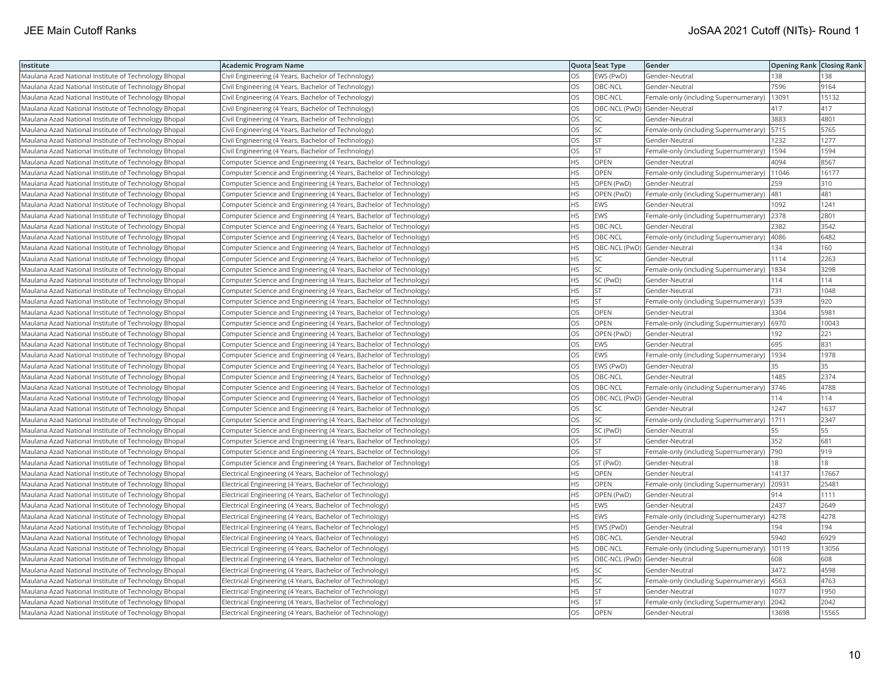| Institute                                            | <b>Academic Program Name</b>                                       |           | Quota Seat Type              | Gender                                        | <b>Opening Rank Closing Rank</b> |       |
|------------------------------------------------------|--------------------------------------------------------------------|-----------|------------------------------|-----------------------------------------------|----------------------------------|-------|
| Maulana Azad National Institute of Technology Bhopal | Civil Engineering (4 Years, Bachelor of Technology)                | OS        | EWS (PwD)                    | Gender-Neutral                                | 138                              | 138   |
| Maulana Azad National Institute of Technology Bhopal | Civil Engineering (4 Years, Bachelor of Technology)                | OS.       | OBC-NCL                      | Gender-Neutral                                | 7596                             | 9164  |
| Maulana Azad National Institute of Technology Bhopal | Civil Engineering (4 Years, Bachelor of Technology)                | OS        | OBC-NCL                      | Female-only (including Supernumerary)         | 13091                            | 15132 |
| Maulana Azad National Institute of Technology Bhopal | Civil Engineering (4 Years, Bachelor of Technology)                | OS        | OBC-NCL (PwD) Gender-Neutral |                                               | 417                              | 417   |
| Maulana Azad National Institute of Technology Bhopal | Civil Engineering (4 Years, Bachelor of Technology)                | <b>OS</b> | lsc                          | Gender-Neutral                                | 3883                             | 4801  |
| Maulana Azad National Institute of Technology Bhopal | Civil Engineering (4 Years, Bachelor of Technology)                | OS        | <b>SC</b>                    | Female-only (including Supernumerary)   5715  |                                  | 5765  |
| Maulana Azad National Institute of Technology Bhopal | Civil Engineering (4 Years, Bachelor of Technology)                | OS        | <b>ST</b>                    | Gender-Neutral                                | 1232                             | 1277  |
| Maulana Azad National Institute of Technology Bhopal | Civil Engineering (4 Years, Bachelor of Technology)                | <b>OS</b> | lst.                         | Female-only (including Supernumerary)         | 1594                             | 1594  |
| Maulana Azad National Institute of Technology Bhopal | Computer Science and Engineering (4 Years, Bachelor of Technology) | <b>HS</b> | OPEN                         | Gender-Neutral                                | 4094                             | 8567  |
| Maulana Azad National Institute of Technology Bhopal | Computer Science and Engineering (4 Years, Bachelor of Technology) | <b>HS</b> | OPEN                         | Female-only (including Supernumerary)         | 11046                            | 16177 |
| Maulana Azad National Institute of Technology Bhopal | Computer Science and Engineering (4 Years, Bachelor of Technology) | <b>HS</b> | OPEN (PwD)                   | Gender-Neutral                                | 259                              | 310   |
| Maulana Azad National Institute of Technology Bhopal | Computer Science and Engineering (4 Years, Bachelor of Technology) | <b>HS</b> | OPEN (PwD)                   | Female-only (including Supernumerary)         | 481                              | 481   |
| Maulana Azad National Institute of Technology Bhopal | Computer Science and Engineering (4 Years, Bachelor of Technology) | <b>HS</b> | <b>EWS</b>                   | Gender-Neutral                                | 1092                             | 1241  |
| Maulana Azad National Institute of Technology Bhopal | Computer Science and Engineering (4 Years, Bachelor of Technology) | <b>HS</b> | <b>EWS</b>                   | Female-only (including Supernumerary) 2378    |                                  | 2801  |
| Maulana Azad National Institute of Technology Bhopal | Computer Science and Engineering (4 Years, Bachelor of Technology) | HS        | OBC-NCL                      | Gender-Neutral                                | 2382                             | 3542  |
| Maulana Azad National Institute of Technology Bhopal | Computer Science and Engineering (4 Years, Bachelor of Technology) | HS        | OBC-NCL                      | Female-only (including Supernumerary)         | 4086                             | 6482  |
| Maulana Azad National Institute of Technology Bhopal | Computer Science and Engineering (4 Years, Bachelor of Technology) | <b>HS</b> | OBC-NCL (PwD) Gender-Neutral |                                               | 134                              | 160   |
| Maulana Azad National Institute of Technology Bhopal | Computer Science and Engineering (4 Years, Bachelor of Technology) | <b>HS</b> | <b>SC</b>                    | Gender-Neutral                                | 1114                             | 2263  |
| Maulana Azad National Institute of Technology Bhopal | Computer Science and Engineering (4 Years, Bachelor of Technology) | <b>HS</b> | <b>SC</b>                    | Female-only (including Supernumerary)         | 1834                             | 3298  |
| Maulana Azad National Institute of Technology Bhopal | Computer Science and Engineering (4 Years, Bachelor of Technology) | <b>HS</b> | SC (PwD)                     | Gender-Neutral                                | 114                              | 114   |
| Maulana Azad National Institute of Technology Bhopal | Computer Science and Engineering (4 Years, Bachelor of Technology) | <b>HS</b> | <b>ST</b>                    | Gender-Neutral                                | 731                              | 1048  |
| Maulana Azad National Institute of Technology Bhopal | Computer Science and Engineering (4 Years, Bachelor of Technology) | <b>HS</b> | <b>ST</b>                    | Female-only (including Supernumerary)         | 539                              | 920   |
| Maulana Azad National Institute of Technology Bhopal | Computer Science and Engineering (4 Years, Bachelor of Technology) | OS        | <b>OPEN</b>                  | Gender-Neutral                                | 3304                             | 5981  |
| Maulana Azad National Institute of Technology Bhopal | Computer Science and Engineering (4 Years, Bachelor of Technology) | <b>OS</b> | <b>OPEN</b>                  | Female-only (including Supernumerary)  6970   |                                  | 10043 |
| Maulana Azad National Institute of Technology Bhopal | Computer Science and Engineering (4 Years, Bachelor of Technology) | OS        | OPEN (PwD)                   | Gender-Neutral                                | 192                              | 221   |
| Maulana Azad National Institute of Technology Bhopal | Computer Science and Engineering (4 Years, Bachelor of Technology) | OS        | <b>EWS</b>                   | Gender-Neutral                                | 695                              | 831   |
| Maulana Azad National Institute of Technology Bhopal | Computer Science and Engineering (4 Years, Bachelor of Technology) | OS        | <b>EWS</b>                   | Female-only (including Supernumerary)         | 1934                             | 1978  |
| Maulana Azad National Institute of Technology Bhopal | Computer Science and Engineering (4 Years, Bachelor of Technology) | OS        | EWS (PwD)                    | Gender-Neutral                                | 35                               | 35    |
| Maulana Azad National Institute of Technology Bhopal | Computer Science and Engineering (4 Years, Bachelor of Technology) | <b>OS</b> | OBC-NCL                      | Gender-Neutral                                | 1485                             | 2374  |
| Maulana Azad National Institute of Technology Bhopal | Computer Science and Engineering (4 Years, Bachelor of Technology) | OS        | OBC-NCL                      | Female-only (including Supernumerary)         | 3746                             | 4788  |
| Maulana Azad National Institute of Technology Bhopal | Computer Science and Engineering (4 Years, Bachelor of Technology) | OS        | OBC-NCL (PwD) Gender-Neutral |                                               | 114                              | 114   |
| Maulana Azad National Institute of Technology Bhopal | Computer Science and Engineering (4 Years, Bachelor of Technology) | OS.       | lsc                          | Gender-Neutral                                | 1247                             | 1637  |
| Maulana Azad National Institute of Technology Bhopal | Computer Science and Engineering (4 Years, Bachelor of Technology) | <b>OS</b> | <b>SC</b>                    | Female-only (including Supernumerary)         | 1711                             | 2347  |
| Maulana Azad National Institute of Technology Bhopal | Computer Science and Engineering (4 Years, Bachelor of Technology) | OS        | SC (PwD)                     | Gender-Neutral                                | 55                               | 55    |
| Maulana Azad National Institute of Technology Bhopal | Computer Science and Engineering (4 Years, Bachelor of Technology) | <b>OS</b> | lst.                         | Gender-Neutral                                | 352                              | 681   |
| Maulana Azad National Institute of Technology Bhopal | Computer Science and Engineering (4 Years, Bachelor of Technology) | OS        | <b>ST</b>                    | Female-only (including Supernumerary)         | 790                              | 919   |
| Maulana Azad National Institute of Technology Bhopal | Computer Science and Engineering (4 Years, Bachelor of Technology) | OS        | ST (PwD)                     | Gender-Neutral                                | 18                               | 18    |
| Maulana Azad National Institute of Technology Bhopal | Electrical Engineering (4 Years, Bachelor of Technology)           | <b>HS</b> | <b>OPEN</b>                  | Gender-Neutral                                | 14137                            | 17667 |
| Maulana Azad National Institute of Technology Bhopal | Electrical Engineering (4 Years, Bachelor of Technology)           | <b>HS</b> | <b>OPEN</b>                  | Female-only (including Supernumerary)         | 20931                            | 25481 |
| Maulana Azad National Institute of Technology Bhopal | Electrical Engineering (4 Years, Bachelor of Technology)           | HS.       | OPEN (PwD)                   | Gender-Neutral                                | 914                              | 1111  |
| Maulana Azad National Institute of Technology Bhopal | Electrical Engineering (4 Years, Bachelor of Technology)           | <b>HS</b> | <b>EWS</b>                   | Gender-Neutral                                | 2437                             | 2649  |
| Maulana Azad National Institute of Technology Bhopal | Electrical Engineering (4 Years, Bachelor of Technology)           | <b>HS</b> | <b>EWS</b>                   | Female-only (including Supernumerary)         | 4278                             | 4278  |
| Maulana Azad National Institute of Technology Bhopal | Electrical Engineering (4 Years, Bachelor of Technology)           | <b>HS</b> | EWS (PwD)                    | Gender-Neutral                                | 194                              | 194   |
| Maulana Azad National Institute of Technology Bhopal | Electrical Engineering (4 Years, Bachelor of Technology)           | <b>HS</b> | OBC-NCL                      | Gender-Neutral                                | 5940                             | 6929  |
| Maulana Azad National Institute of Technology Bhopal | Electrical Engineering (4 Years, Bachelor of Technology)           | <b>HS</b> | OBC-NCL                      | Female-only (including Supernumerary)   10119 |                                  | 13056 |
| Maulana Azad National Institute of Technology Bhopal | Electrical Engineering (4 Years, Bachelor of Technology)           | <b>HS</b> | OBC-NCL (PwD) Gender-Neutral |                                               | 608                              | 608   |
| Maulana Azad National Institute of Technology Bhopal | Electrical Engineering (4 Years, Bachelor of Technology)           | <b>HS</b> | SC.                          | Gender-Neutral                                | 3472                             | 4598  |
| Maulana Azad National Institute of Technology Bhopal | Electrical Engineering (4 Years, Bachelor of Technology)           | HS.       | <b>SC</b>                    | Female-only (including Supernumerary)         | 4563                             | 4763  |
| Maulana Azad National Institute of Technology Bhopal | Electrical Engineering (4 Years, Bachelor of Technology)           | <b>HS</b> | <b>ST</b>                    | Gender-Neutral                                | 1077                             | 1950  |
| Maulana Azad National Institute of Technology Bhopal | Electrical Engineering (4 Years, Bachelor of Technology)           | HS.       | <b>ST</b>                    | Female-only (including Supernumerary)         | 2042                             | 2042  |
| Maulana Azad National Institute of Technology Bhopal | Electrical Engineering (4 Years, Bachelor of Technology)           | <b>OS</b> | OPEN                         | Gender-Neutral                                | 13698                            | 15565 |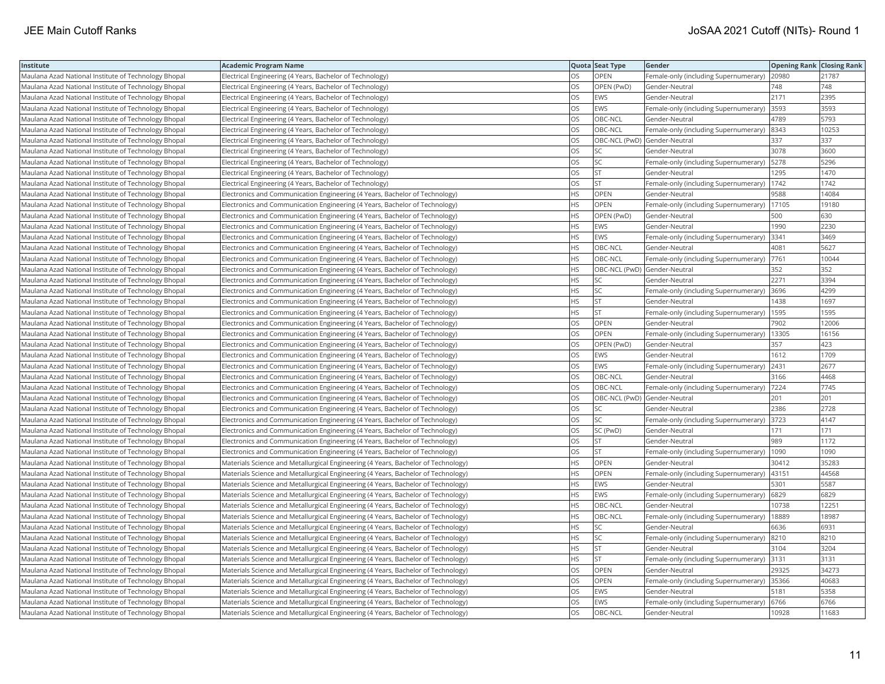| Institute                                            | <b>Academic Program Name</b>                                                      |           | Quota Seat Type              | Gender                                       | <b>Opening Rank Closing Rank</b> |       |
|------------------------------------------------------|-----------------------------------------------------------------------------------|-----------|------------------------------|----------------------------------------------|----------------------------------|-------|
| Maulana Azad National Institute of Technology Bhopal | Electrical Engineering (4 Years, Bachelor of Technology)                          | <b>OS</b> | <b>OPEN</b>                  | Female-only (including Supernumerary) 20980  |                                  | 21787 |
| Maulana Azad National Institute of Technology Bhopal | Electrical Engineering (4 Years, Bachelor of Technology)                          | OS        | OPEN (PwD)                   | Gender-Neutral                               | 748                              | 748   |
| Maulana Azad National Institute of Technology Bhopal | Electrical Engineering (4 Years, Bachelor of Technology)                          | <b>OS</b> | <b>EWS</b>                   | Gender-Neutral                               | 2171                             | 2395  |
| Maulana Azad National Institute of Technology Bhopal | Electrical Engineering (4 Years, Bachelor of Technology)                          | OS        | <b>EWS</b>                   | Female-only (including Supernumerary)        | 3593                             | 3593  |
| Maulana Azad National Institute of Technology Bhopal | Electrical Engineering (4 Years, Bachelor of Technology)                          | OS        | OBC-NCL                      | Gender-Neutral                               | 4789                             | 5793  |
| Maulana Azad National Institute of Technology Bhopal | Electrical Engineering (4 Years, Bachelor of Technology)                          | OS        | OBC-NCL                      | Female-only (including Supernumerary)        | 8343                             | 10253 |
| Maulana Azad National Institute of Technology Bhopal | Electrical Engineering (4 Years, Bachelor of Technology)                          | OS        | OBC-NCL (PwD) Gender-Neutral |                                              | 337                              | 337   |
| Maulana Azad National Institute of Technology Bhopal | Electrical Engineering (4 Years, Bachelor of Technology)                          | <b>OS</b> | SC                           | Gender-Neutral                               | 3078                             | 3600  |
| Maulana Azad National Institute of Technology Bhopal | Electrical Engineering (4 Years, Bachelor of Technology)                          | OS.       | lsc                          | Female-only (including Supernumerary)        | 5278                             | 5296  |
| Maulana Azad National Institute of Technology Bhopal | Electrical Engineering (4 Years, Bachelor of Technology)                          | OS        | <b>ST</b>                    | Gender-Neutral                               | 1295                             | 1470  |
| Maulana Azad National Institute of Technology Bhopal | Electrical Engineering (4 Years, Bachelor of Technology)                          | OS        | <b>ST</b>                    | Female-only (including Supernumerary)        | 1742                             | 1742  |
| Maulana Azad National Institute of Technology Bhopal | Electronics and Communication Engineering (4 Years, Bachelor of Technology)       | <b>HS</b> | <b>OPEN</b>                  | Gender-Neutral                               | 9588                             | 14084 |
| Maulana Azad National Institute of Technology Bhopal | Electronics and Communication Engineering (4 Years, Bachelor of Technology)       | <b>HS</b> | <b>OPEN</b>                  | Female-only (including Supernumerary)        | 17105                            | 19180 |
| Maulana Azad National Institute of Technology Bhopal | Electronics and Communication Engineering (4 Years, Bachelor of Technology)       | <b>HS</b> | OPEN (PwD)                   | Gender-Neutral                               | 500                              | 630   |
| Maulana Azad National Institute of Technology Bhopal | Electronics and Communication Engineering (4 Years, Bachelor of Technology)       | HS        | <b>EWS</b>                   | Gender-Neutral                               | 1990                             | 2230  |
| Maulana Azad National Institute of Technology Bhopal | Electronics and Communication Engineering (4 Years, Bachelor of Technology)       | <b>HS</b> | EWS                          | Female-only (including Supernumerary)        | 3341                             | 3469  |
| Maulana Azad National Institute of Technology Bhopal | Electronics and Communication Engineering (4 Years, Bachelor of Technology)       | <b>HS</b> | OBC-NCL                      | Gender-Neutral                               | 4081                             | 5627  |
| Maulana Azad National Institute of Technology Bhopal | Electronics and Communication Engineering (4 Years, Bachelor of Technology)       | <b>HS</b> | OBC-NCL                      | Female-only (including Supernumerary)        | 7761                             | 10044 |
| Maulana Azad National Institute of Technology Bhopal | Electronics and Communication Engineering (4 Years, Bachelor of Technology)       | <b>HS</b> | OBC-NCL (PwD) Gender-Neutral |                                              | 352                              | 352   |
| Maulana Azad National Institute of Technology Bhopal | Electronics and Communication Engineering (4 Years, Bachelor of Technology)       | <b>HS</b> | lsc                          | Gender-Neutral                               | 2271                             | 3394  |
| Maulana Azad National Institute of Technology Bhopal | Electronics and Communication Engineering (4 Years, Bachelor of Technology)       | <b>HS</b> | lsc                          | Female-only (including Supernumerary)        | 3696                             | 4299  |
| Maulana Azad National Institute of Technology Bhopal | Electronics and Communication Engineering (4 Years, Bachelor of Technology)       | <b>HS</b> | <b>ST</b>                    | Gender-Neutral                               | 1438                             | 1697  |
| Maulana Azad National Institute of Technology Bhopal | Electronics and Communication Engineering (4 Years, Bachelor of Technology)       | HS        | <b>ST</b>                    | Female-only (including Supernumerary)  1595  |                                  | 1595  |
| Maulana Azad National Institute of Technology Bhopal | Electronics and Communication Engineering (4 Years, Bachelor of Technology)       | OS.       | <b>OPEN</b>                  | Gender-Neutral                               | 7902                             | 12006 |
| Maulana Azad National Institute of Technology Bhopal | Electronics and Communication Engineering (4 Years, Bachelor of Technology)       | OS        | OPEN                         | Female-only (including Supernumerary)        | 13305                            | 16156 |
| Maulana Azad National Institute of Technology Bhopal | Electronics and Communication Engineering (4 Years, Bachelor of Technology)       | <b>OS</b> | OPEN (PwD)                   | Gender-Neutral                               | 357                              | 423   |
| Maulana Azad National Institute of Technology Bhopal | Electronics and Communication Engineering (4 Years, Bachelor of Technology)       | OS        | <b>EWS</b>                   | Gender-Neutral                               | 1612                             | 1709  |
| Maulana Azad National Institute of Technology Bhopal | Electronics and Communication Engineering (4 Years, Bachelor of Technology)       | <b>OS</b> | <b>EWS</b>                   | Female-only (including Supernumerary)        | 2431                             | 2677  |
| Maulana Azad National Institute of Technology Bhopal | Electronics and Communication Engineering (4 Years, Bachelor of Technology)       | <b>OS</b> | OBC-NCL                      | Gender-Neutral                               | 3166                             | 4468  |
| Maulana Azad National Institute of Technology Bhopal | Electronics and Communication Engineering (4 Years, Bachelor of Technology)       | OS        | OBC-NCL                      | Female-only (including Supernumerary)   7224 |                                  | 7745  |
| Maulana Azad National Institute of Technology Bhopal | Electronics and Communication Engineering (4 Years, Bachelor of Technology)       | OS        | OBC-NCL (PwD) Gender-Neutral |                                              | 201                              | 201   |
| Maulana Azad National Institute of Technology Bhopal | Electronics and Communication Engineering (4 Years, Bachelor of Technology)       | OS        | SC                           | Gender-Neutral                               | 2386                             | 2728  |
| Maulana Azad National Institute of Technology Bhopal | Electronics and Communication Engineering (4 Years, Bachelor of Technology)       | OS        | <b>SC</b>                    | Female-only (including Supernumerary)        | 3723                             | 4147  |
| Maulana Azad National Institute of Technology Bhopal | Electronics and Communication Engineering (4 Years, Bachelor of Technology)       | OS        | SC (PwD)                     | Gender-Neutral                               | 171                              | 171   |
| Maulana Azad National Institute of Technology Bhopal | Electronics and Communication Engineering (4 Years, Bachelor of Technology)       | OS        | <b>ST</b>                    | Gender-Neutral                               | 989                              | 1172  |
| Maulana Azad National Institute of Technology Bhopal | Electronics and Communication Engineering (4 Years, Bachelor of Technology)       | <b>OS</b> | lst.                         | Female-only (including Supernumerary)        | 1090                             | 1090  |
| Maulana Azad National Institute of Technology Bhopal | Materials Science and Metallurgical Engineering (4 Years, Bachelor of Technology) | <b>HS</b> | <b>OPEN</b>                  | Gender-Neutral                               | 30412                            | 35283 |
| Maulana Azad National Institute of Technology Bhopal | Materials Science and Metallurgical Engineering (4 Years, Bachelor of Technology) | <b>HS</b> | <b>OPEN</b>                  | Female-only (including Supernumerary)  43151 |                                  | 44568 |
| Maulana Azad National Institute of Technology Bhopal | Materials Science and Metallurgical Engineering (4 Years, Bachelor of Technology) | HS        | <b>EWS</b>                   | Gender-Neutral                               | 5301                             | 5587  |
| Maulana Azad National Institute of Technology Bhopal | Materials Science and Metallurgical Engineering (4 Years, Bachelor of Technology) | <b>HS</b> | <b>EWS</b>                   | Female-only (including Supernumerary)        | 6829                             | 6829  |
| Maulana Azad National Institute of Technology Bhopal | Materials Science and Metallurgical Engineering (4 Years, Bachelor of Technology) | HS.       | OBC-NCL                      | Gender-Neutral                               | 10738                            | 12251 |
| Maulana Azad National Institute of Technology Bhopal | Materials Science and Metallurgical Engineering (4 Years, Bachelor of Technology) | HS        | OBC-NCL                      | Female-only (including Supernumerary)        | 18889                            | 18987 |
| Maulana Azad National Institute of Technology Bhopal | Materials Science and Metallurgical Engineering (4 Years, Bachelor of Technology) | <b>HS</b> | <b>SC</b>                    | Gender-Neutral                               | 6636                             | 6931  |
| Maulana Azad National Institute of Technology Bhopal | Materials Science and Metallurgical Engineering (4 Years, Bachelor of Technology) | <b>HS</b> | lsc                          | Female-only (including Supernumerary)        | 8210                             | 8210  |
| Maulana Azad National Institute of Technology Bhopal | Materials Science and Metallurgical Engineering (4 Years, Bachelor of Technology) | HS        | <b>ST</b>                    | Gender-Neutral                               | 3104                             | 3204  |
| Maulana Azad National Institute of Technology Bhopal | Materials Science and Metallurgical Engineering (4 Years, Bachelor of Technology) | <b>HS</b> | <b>ST</b>                    | Female-only (including Supernumerary) 3131   |                                  | 3131  |
| Maulana Azad National Institute of Technology Bhopal | Materials Science and Metallurgical Engineering (4 Years, Bachelor of Technology) | OS.       | <b>OPEN</b>                  | Gender-Neutral                               | 29325                            | 34273 |
| Maulana Azad National Institute of Technology Bhopal | Materials Science and Metallurgical Engineering (4 Years, Bachelor of Technology) | OS        | <b>OPEN</b>                  | Female-only (including Supernumerary)        | 35366                            | 40683 |
| Maulana Azad National Institute of Technology Bhopal | Materials Science and Metallurgical Engineering (4 Years, Bachelor of Technology) | OS        | EWS                          | Gender-Neutral                               | 5181                             | 5358  |
| Maulana Azad National Institute of Technology Bhopal | Materials Science and Metallurgical Engineering (4 Years, Bachelor of Technology) | OS        | <b>EWS</b>                   | Female-only (including Supernumerary)        | 6766                             | 6766  |
| Maulana Azad National Institute of Technology Bhopal | Materials Science and Metallurgical Engineering (4 Years, Bachelor of Technology) | los       | OBC-NCL                      | Gender-Neutral                               | 10928                            | 11683 |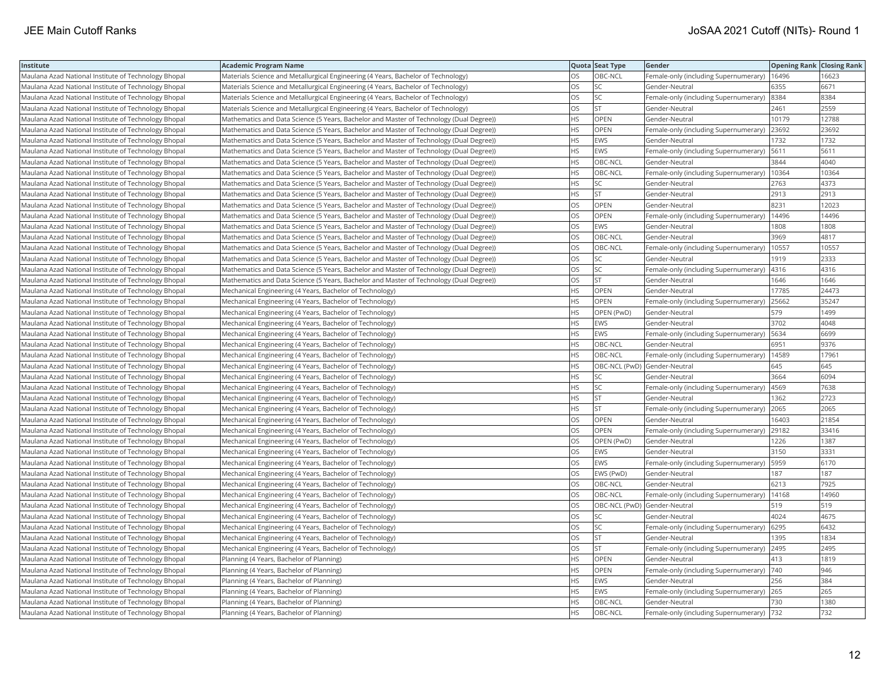| Institute                                            | <b>Academic Program Name</b>                                                            |           | Quota Seat Type              | Gender                                | <b>Opening Rank Closing Rank</b> |       |
|------------------------------------------------------|-----------------------------------------------------------------------------------------|-----------|------------------------------|---------------------------------------|----------------------------------|-------|
| Maulana Azad National Institute of Technology Bhopal | Materials Science and Metallurgical Engineering (4 Years, Bachelor of Technology)       | OS.       | OBC-NCL                      | Female-only (including Supernumerary) | 16496                            | 16623 |
| Maulana Azad National Institute of Technology Bhopal | Materials Science and Metallurgical Engineering (4 Years, Bachelor of Technology)       | OS        | SC                           | Gender-Neutral                        | 6355                             | 6671  |
| Maulana Azad National Institute of Technology Bhopal | Materials Science and Metallurgical Engineering (4 Years, Bachelor of Technology)       | OS        | <b>SC</b>                    | Female-only (including Supernumerary) | 8384                             | 8384  |
| Maulana Azad National Institute of Technology Bhopal | Materials Science and Metallurgical Engineering (4 Years, Bachelor of Technology)       | OS        | <b>ST</b>                    | Gender-Neutral                        | 2461                             | 2559  |
| Maulana Azad National Institute of Technology Bhopal | Mathematics and Data Science (5 Years, Bachelor and Master of Technology (Dual Degree)) | HS        | <b>OPEN</b>                  | Gender-Neutral                        | 10179                            | 12788 |
| Maulana Azad National Institute of Technology Bhopal | Mathematics and Data Science (5 Years, Bachelor and Master of Technology (Dual Degree)) | HS.       | <b>OPEN</b>                  | Female-only (including Supernumerary) | 23692                            | 23692 |
| Maulana Azad National Institute of Technology Bhopal | Mathematics and Data Science (5 Years, Bachelor and Master of Technology (Dual Degree)) | HS        | <b>EWS</b>                   | Gender-Neutral                        | 1732                             | 1732  |
| Maulana Azad National Institute of Technology Bhopal | Mathematics and Data Science (5 Years, Bachelor and Master of Technology (Dual Degree)) | HS.       | EWS                          | Female-only (including Supernumerary) | 5611                             | 5611  |
| Maulana Azad National Institute of Technology Bhopal | Mathematics and Data Science (5 Years, Bachelor and Master of Technology (Dual Degree)) | HS        | OBC-NCL                      | Gender-Neutral                        | 3844                             | 4040  |
| Maulana Azad National Institute of Technology Bhopal | Mathematics and Data Science (5 Years, Bachelor and Master of Technology (Dual Degree)) | HS.       | OBC-NCL                      | Female-only (including Supernumerary) | 10364                            | 10364 |
| Maulana Azad National Institute of Technology Bhopal | Mathematics and Data Science (5 Years, Bachelor and Master of Technology (Dual Degree)) | HS.       | <b>SC</b>                    | Gender-Neutral                        | 2763                             | 4373  |
| Maulana Azad National Institute of Technology Bhopal | Mathematics and Data Science (5 Years, Bachelor and Master of Technology (Dual Degree)) | HS.       | lst.                         | Gender-Neutral                        | 2913                             | 2913  |
| Maulana Azad National Institute of Technology Bhopal | Mathematics and Data Science (5 Years, Bachelor and Master of Technology (Dual Degree)) | OS.       | OPEN                         | Gender-Neutral                        | 8231                             | 12023 |
| Maulana Azad National Institute of Technology Bhopal | Mathematics and Data Science (5 Years, Bachelor and Master of Technology (Dual Degree)) | OS.       | <b>OPEN</b>                  | Female-only (including Supernumerary) | 14496                            | 14496 |
| Maulana Azad National Institute of Technology Bhopal | Mathematics and Data Science (5 Years, Bachelor and Master of Technology (Dual Degree)) | OS        | EWS                          | Gender-Neutral                        | 1808                             | 1808  |
| Maulana Azad National Institute of Technology Bhopal | Mathematics and Data Science (5 Years, Bachelor and Master of Technology (Dual Degree)) | OS        | OBC-NCL                      | Gender-Neutral                        | 3969                             | 4817  |
| Maulana Azad National Institute of Technology Bhopal | Mathematics and Data Science (5 Years, Bachelor and Master of Technology (Dual Degree)) | OS        | OBC-NCL                      | Female-only (including Supernumerary) | 10557                            | 10557 |
| Maulana Azad National Institute of Technology Bhopal | Mathematics and Data Science (5 Years, Bachelor and Master of Technology (Dual Degree)) | OS        | SC                           | Gender-Neutral                        | 1919                             | 2333  |
| Maulana Azad National Institute of Technology Bhopal | Mathematics and Data Science (5 Years, Bachelor and Master of Technology (Dual Degree)) | OS        | <b>SC</b>                    | Female-only (including Supernumerary) | 4316                             | 4316  |
| Maulana Azad National Institute of Technology Bhopal | Mathematics and Data Science (5 Years, Bachelor and Master of Technology (Dual Degree)) | OS.       | lst.                         | Gender-Neutral                        | 1646                             | 1646  |
| Maulana Azad National Institute of Technology Bhopal | Mechanical Engineering (4 Years, Bachelor of Technology)                                | HS.       | <b>OPEN</b>                  | Gender-Neutral                        | 17785                            | 24473 |
| Maulana Azad National Institute of Technology Bhopal | Mechanical Engineering (4 Years, Bachelor of Technology)                                | HS        | OPEN                         | Female-only (including Supernumerary) | 25662                            | 35247 |
| Maulana Azad National Institute of Technology Bhopal | Mechanical Engineering (4 Years, Bachelor of Technology)                                | ΗS        | OPEN (PwD)                   | Gender-Neutral                        | 579                              | 1499  |
| Maulana Azad National Institute of Technology Bhopal | Mechanical Engineering (4 Years, Bachelor of Technology)                                | HS        | <b>EWS</b>                   | Gender-Neutral                        | 3702                             | 4048  |
| Maulana Azad National Institute of Technology Bhopal | Mechanical Engineering (4 Years, Bachelor of Technology)                                | HS        | EWS                          | Female-only (including Supernumerary) | 5634                             | 6699  |
| Maulana Azad National Institute of Technology Bhopal | Mechanical Engineering (4 Years, Bachelor of Technology)                                | HS.       | OBC-NCL                      | Gender-Neutral                        | 6951                             | 9376  |
| Maulana Azad National Institute of Technology Bhopal | Mechanical Engineering (4 Years, Bachelor of Technology)                                | HS        | OBC-NCL                      | Female-only (including Supernumerary) | 14589                            | 17961 |
| Maulana Azad National Institute of Technology Bhopal | Mechanical Engineering (4 Years, Bachelor of Technology)                                | HS        | OBC-NCL (PwD) Gender-Neutral |                                       | 645                              | 645   |
| Maulana Azad National Institute of Technology Bhopal | Mechanical Engineering (4 Years, Bachelor of Technology)                                | HS.       | lsc                          | Gender-Neutral                        | 3664                             | 6094  |
| Maulana Azad National Institute of Technology Bhopal | Mechanical Engineering (4 Years, Bachelor of Technology)                                | HS        | <b>SC</b>                    | Female-only (including Supernumerary) | 4569                             | 7638  |
| Maulana Azad National Institute of Technology Bhopal | Mechanical Engineering (4 Years, Bachelor of Technology)                                | HS        | <b>ST</b>                    | Gender-Neutral                        | 1362                             | 2723  |
| Maulana Azad National Institute of Technology Bhopal | Mechanical Engineering (4 Years, Bachelor of Technology)                                | <b>HS</b> | lst                          | Female-only (including Supernumerary) | 2065                             | 2065  |
| Maulana Azad National Institute of Technology Bhopal | Mechanical Engineering (4 Years, Bachelor of Technology)                                | OS        | OPEN                         | Gender-Neutral                        | 16403                            | 21854 |
| Maulana Azad National Institute of Technology Bhopal | Mechanical Engineering (4 Years, Bachelor of Technology)                                | OS        | OPEN                         | Female-only (including Supernumerary) | 29182                            | 33416 |
| Maulana Azad National Institute of Technology Bhopal | Mechanical Engineering (4 Years, Bachelor of Technology)                                | OS.       | OPEN (PwD)                   | Gender-Neutral                        | 1226                             | 1387  |
| Maulana Azad National Institute of Technology Bhopal | Mechanical Engineering (4 Years, Bachelor of Technology)                                | <b>OS</b> | <b>EWS</b>                   | Gender-Neutral                        | 3150                             | 3331  |
| Maulana Azad National Institute of Technology Bhopal | Mechanical Engineering (4 Years, Bachelor of Technology)                                | OS        | <b>EWS</b>                   | Female-only (including Supernumerary) | 5959                             | 6170  |
| Maulana Azad National Institute of Technology Bhopal | Mechanical Engineering (4 Years, Bachelor of Technology)                                | OS.       | EWS (PwD)                    | Gender-Neutral                        | 187                              | 187   |
| Maulana Azad National Institute of Technology Bhopal | Mechanical Engineering (4 Years, Bachelor of Technology)                                | OS        | OBC-NCL                      | Gender-Neutral                        | 6213                             | 7925  |
| Maulana Azad National Institute of Technology Bhopal | Mechanical Engineering (4 Years, Bachelor of Technology)                                | OS.       | OBC-NCL                      | Female-only (including Supernumerary) | 14168                            | 14960 |
| Maulana Azad National Institute of Technology Bhopal | Mechanical Engineering (4 Years, Bachelor of Technology)                                | OS.       | OBC-NCL (PwD) Gender-Neutral |                                       | 519                              | 519   |
| Maulana Azad National Institute of Technology Bhopal | Mechanical Engineering (4 Years, Bachelor of Technology)                                | OS        | SC                           | Gender-Neutral                        | 4024                             | 4675  |
| Maulana Azad National Institute of Technology Bhopal | Mechanical Engineering (4 Years, Bachelor of Technology)                                | OS        | <b>SC</b>                    | Female-only (including Supernumerary) | 6295                             | 6432  |
| Maulana Azad National Institute of Technology Bhopal | Mechanical Engineering (4 Years, Bachelor of Technology)                                | OS.       | lst                          | Gender-Neutral                        | 1395                             | 1834  |
| Maulana Azad National Institute of Technology Bhopal | Mechanical Engineering (4 Years, Bachelor of Technology)                                | OS        | lst.                         | Female-only (including Supernumerary) | 2495                             | 2495  |
| Maulana Azad National Institute of Technology Bhopal | Planning (4 Years, Bachelor of Planning)                                                | HS        | <b>OPEN</b>                  | Gender-Neutral                        | 413                              | 1819  |
| Maulana Azad National Institute of Technology Bhopal | Planning (4 Years, Bachelor of Planning)                                                | HS        | <b>OPEN</b>                  | Female-only (including Supernumerary) | $740$                            | 946   |
| Maulana Azad National Institute of Technology Bhopal | Planning (4 Years, Bachelor of Planning)                                                | HS.       | <b>EWS</b>                   | Gender-Neutral                        | 256                              | 384   |
| Maulana Azad National Institute of Technology Bhopal | Planning (4 Years, Bachelor of Planning)                                                | HS        | EWS                          | Female-only (including Supernumerary) | 265                              | 265   |
| Maulana Azad National Institute of Technology Bhopal | Planning (4 Years, Bachelor of Planning)                                                | HS.       | OBC-NCL                      | Gender-Neutral                        | 730                              | 1380  |
| Maulana Azad National Institute of Technology Bhopal | Planning (4 Years, Bachelor of Planning)                                                | HS        | OBC-NCL                      | Female-only (including Supernumerary) | 732                              | 732   |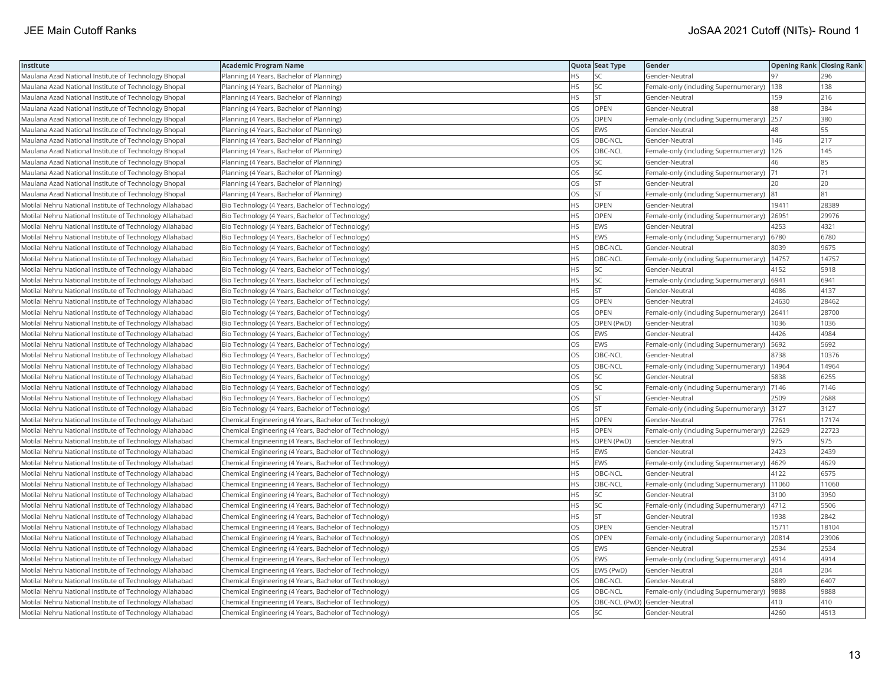| Institute                                                | Academic Program Name                                  |           | Quota Seat Type              | Gender                                | <b>Opening Rank Closing Rank</b> |       |
|----------------------------------------------------------|--------------------------------------------------------|-----------|------------------------------|---------------------------------------|----------------------------------|-------|
| Maulana Azad National Institute of Technology Bhopal     | Planning (4 Years, Bachelor of Planning)               | HS        | SC                           | Gender-Neutral                        | 97                               | 296   |
| Maulana Azad National Institute of Technology Bhopal     | Planning (4 Years, Bachelor of Planning)               | HS        | <b>SC</b>                    | Female-only (including Supernumerary) | 138                              | 138   |
| Maulana Azad National Institute of Technology Bhopal     | Planning (4 Years, Bachelor of Planning)               | HS        | lst                          | Gender-Neutral                        | 159                              | 216   |
| Maulana Azad National Institute of Technology Bhopal     | Planning (4 Years, Bachelor of Planning)               | OS.       | OPEN                         | Gender-Neutral                        | 88                               | 384   |
| Maulana Azad National Institute of Technology Bhopal     | Planning (4 Years, Bachelor of Planning)               | OS        | OPEN                         | Female-only (including Supernumerary) | 257                              | 380   |
| Maulana Azad National Institute of Technology Bhopal     | Planning (4 Years, Bachelor of Planning)               | OS        | <b>EWS</b>                   | Gender-Neutral                        | 48                               | 55    |
| Maulana Azad National Institute of Technology Bhopal     | Planning (4 Years, Bachelor of Planning)               | OS.       | OBC-NCL                      | Gender-Neutral                        | 146                              | 217   |
| Maulana Azad National Institute of Technology Bhopal     | Planning (4 Years, Bachelor of Planning)               | OS        | OBC-NCL                      | Female-only (including Supernumerary) | 126                              | 145   |
| Maulana Azad National Institute of Technology Bhopal     | Planning (4 Years, Bachelor of Planning)               | OS        | SC                           | Gender-Neutral                        | 46                               | 85    |
| Maulana Azad National Institute of Technology Bhopal     | Planning (4 Years, Bachelor of Planning)               | OS        | SC                           | Female-only (including Supernumerary) | 171                              | 71    |
| Maulana Azad National Institute of Technology Bhopal     | Planning (4 Years, Bachelor of Planning)               | OS        | lst.                         | Gender-Neutral                        | 20                               | 20    |
| Maulana Azad National Institute of Technology Bhopal     | Planning (4 Years, Bachelor of Planning)               | OS        | <b>ST</b>                    | Female-only (including Supernumerary) | 81                               | 81    |
| Motilal Nehru National Institute of Technology Allahabad | Bio Technology (4 Years, Bachelor of Technology)       | HS        | OPEN                         | Gender-Neutral                        | 19411                            | 28389 |
| Motilal Nehru National Institute of Technology Allahabad | Bio Technology (4 Years, Bachelor of Technology)       | HS        | OPEN                         | Female-only (including Supernumerary) | 26951                            | 29976 |
| Motilal Nehru National Institute of Technology Allahabad | Bio Technology (4 Years, Bachelor of Technology)       | HS.       | <b>EWS</b>                   | Gender-Neutral                        | 4253                             | 4321  |
| Motilal Nehru National Institute of Technology Allahabad | Bio Technology (4 Years, Bachelor of Technology)       | НS        | EWS                          | Female-only (including Supernumerary) | 6780                             | 6780  |
| Motilal Nehru National Institute of Technology Allahabad | Bio Technology (4 Years, Bachelor of Technology)       | HS        | OBC-NCL                      | Gender-Neutral                        | 8039                             | 9675  |
| Motilal Nehru National Institute of Technology Allahabad | Bio Technology (4 Years, Bachelor of Technology)       | HS.       | OBC-NCL                      | Female-only (including Supernumerary) | 14757                            | 14757 |
| Motilal Nehru National Institute of Technology Allahabad | Bio Technology (4 Years, Bachelor of Technology)       | HS        | SC                           | Gender-Neutral                        | 4152                             | 5918  |
| Motilal Nehru National Institute of Technology Allahabad | Bio Technology (4 Years, Bachelor of Technology)       | <b>HS</b> | SC                           | Female-only (including Supernumerary) | 6941                             | 6941  |
| Motilal Nehru National Institute of Technology Allahabad | Bio Technology (4 Years, Bachelor of Technology)       | HS        | <b>ST</b>                    | Gender-Neutral                        | 4086                             | 4137  |
| Motilal Nehru National Institute of Technology Allahabad | Bio Technology (4 Years, Bachelor of Technology)       | OS        | OPEN                         | Gender-Neutral                        | 24630                            | 28462 |
| Motilal Nehru National Institute of Technology Allahabad | Bio Technology (4 Years, Bachelor of Technology)       | OS        | <b>OPEN</b>                  | Female-only (including Supernumerary) | 26411                            | 28700 |
| Motilal Nehru National Institute of Technology Allahabad | Bio Technology (4 Years, Bachelor of Technology)       | OS        | OPEN (PwD)                   | Gender-Neutral                        | 1036                             | 1036  |
| Motilal Nehru National Institute of Technology Allahabad | Bio Technology (4 Years, Bachelor of Technology)       | OS        | EWS                          | Gender-Neutral                        | 4426                             | 4984  |
| Motilal Nehru National Institute of Technology Allahabad | Bio Technology (4 Years, Bachelor of Technology)       | OS        | EWS                          | Female-only (including Supernumerary) | 5692                             | 5692  |
| Motilal Nehru National Institute of Technology Allahabad | Bio Technology (4 Years, Bachelor of Technology)       | <b>OS</b> | OBC-NCL                      | Gender-Neutral                        | 8738                             | 10376 |
| Motilal Nehru National Institute of Technology Allahabad | Bio Technology (4 Years, Bachelor of Technology)       | OS        | OBC-NCL                      | Female-only (including Supernumerary) | 14964                            | 14964 |
| Motilal Nehru National Institute of Technology Allahabad | Bio Technology (4 Years, Bachelor of Technology)       | OS        | SC                           | Gender-Neutral                        | 5838                             | 6255  |
| Motilal Nehru National Institute of Technology Allahabad | Bio Technology (4 Years, Bachelor of Technology)       | OS        | SC                           | Female-only (including Supernumerary) | 7146                             | 7146  |
| Motilal Nehru National Institute of Technology Allahabad | Bio Technology (4 Years, Bachelor of Technology)       | OS.       | <b>ST</b>                    | Gender-Neutral                        | 2509                             | 2688  |
| Motilal Nehru National Institute of Technology Allahabad | Bio Technology (4 Years, Bachelor of Technology)       | OS        | <b>ST</b>                    | Female-only (including Supernumerary) | 3127                             | 3127  |
| Motilal Nehru National Institute of Technology Allahabad | Chemical Engineering (4 Years, Bachelor of Technology) | HS        | OPEN                         | Gender-Neutral                        | 7761                             | 17174 |
| Motilal Nehru National Institute of Technology Allahabad | Chemical Engineering (4 Years, Bachelor of Technology) | HS        | <b>OPEN</b>                  | Female-only (including Supernumerary) | 22629                            | 22723 |
| Motilal Nehru National Institute of Technology Allahabad | Chemical Engineering (4 Years, Bachelor of Technology) | HS        | OPEN (PwD)                   | Gender-Neutral                        | 975                              | 975   |
| Motilal Nehru National Institute of Technology Allahabad | Chemical Engineering (4 Years, Bachelor of Technology) | <b>HS</b> | EWS                          | Gender-Neutral                        | 2423                             | 2439  |
| Motilal Nehru National Institute of Technology Allahabad | Chemical Engineering (4 Years, Bachelor of Technology) | HS        | EWS                          | Female-only (including Supernumerary) | 4629                             | 4629  |
| Motilal Nehru National Institute of Technology Allahabad | Chemical Engineering (4 Years, Bachelor of Technology) | HS        | OBC-NCL                      | Gender-Neutral                        | 4122                             | 6575  |
| Motilal Nehru National Institute of Technology Allahabad | Chemical Engineering (4 Years, Bachelor of Technology) | HS.       | OBC-NCL                      | Female-only (including Supernumerary) | 11060                            | 11060 |
| Motilal Nehru National Institute of Technology Allahabad | Chemical Engineering (4 Years, Bachelor of Technology) | HS        | SC                           | Gender-Neutral                        | 3100                             | 3950  |
| Motilal Nehru National Institute of Technology Allahabad | Chemical Engineering (4 Years, Bachelor of Technology) | HS        | <b>SC</b>                    | Female-only (including Supernumerary) | 4712                             | 5506  |
| Motilal Nehru National Institute of Technology Allahabad | Chemical Engineering (4 Years, Bachelor of Technology) | <b>HS</b> | lst.                         | Gender-Neutral                        | 1938                             | 2842  |
| Motilal Nehru National Institute of Technology Allahabad | Chemical Engineering (4 Years, Bachelor of Technology) | <b>OS</b> | <b>OPEN</b>                  | Gender-Neutral                        | 15711                            | 18104 |
| Motilal Nehru National Institute of Technology Allahabad | Chemical Engineering (4 Years, Bachelor of Technology) | OS        | OPEN                         | Female-only (including Supernumerary) | 20814                            | 23906 |
| Motilal Nehru National Institute of Technology Allahabad | Chemical Engineering (4 Years, Bachelor of Technology) | OS        | EWS                          | Gender-Neutral                        | 2534                             | 2534  |
| Motilal Nehru National Institute of Technology Allahabad | Chemical Engineering (4 Years, Bachelor of Technology) | OS        | EWS                          | Female-only (including Supernumerary) | 4914                             | 4914  |
| Motilal Nehru National Institute of Technology Allahabad | Chemical Engineering (4 Years, Bachelor of Technology) | OS        | EWS (PwD)                    | Gender-Neutral                        | 204                              | 204   |
| Motilal Nehru National Institute of Technology Allahabad | Chemical Engineering (4 Years, Bachelor of Technology) | OS        | OBC-NCL                      | Gender-Neutral                        | 5889                             | 6407  |
| Motilal Nehru National Institute of Technology Allahabad | Chemical Engineering (4 Years, Bachelor of Technology) | OS        | OBC-NCL                      | Female-only (including Supernumerary) | 9888                             | 9888  |
| Motilal Nehru National Institute of Technology Allahabad | Chemical Engineering (4 Years, Bachelor of Technology) | OS        | OBC-NCL (PwD) Gender-Neutral |                                       | 410                              | 410   |
| Motilal Nehru National Institute of Technology Allahabad | Chemical Engineering (4 Years, Bachelor of Technology) | <b>OS</b> | <b>SC</b>                    | Gender-Neutral                        | 4260                             | 4513  |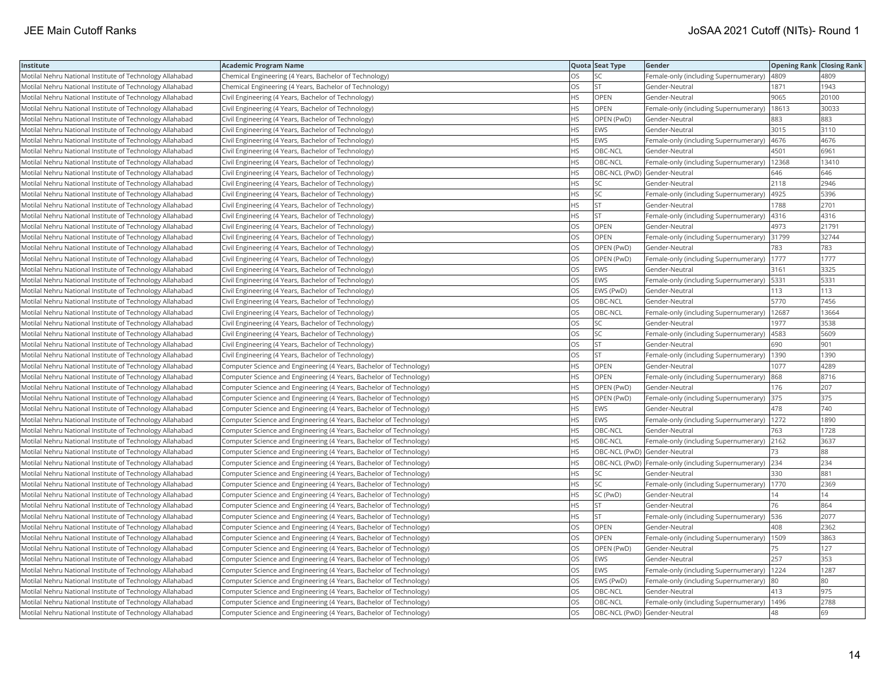| <b>Institute</b>                                         | <b>Academic Program Name</b>                                       |           | Quota Seat Type              | Gender                                                | <b>Opening Rank Closing Rank</b> |       |
|----------------------------------------------------------|--------------------------------------------------------------------|-----------|------------------------------|-------------------------------------------------------|----------------------------------|-------|
| Motilal Nehru National Institute of Technology Allahabad | Chemical Engineering (4 Years, Bachelor of Technology)             | OS        | SC                           | Female-only (including Supernumerary)                 | 4809                             | 4809  |
| Motilal Nehru National Institute of Technology Allahabad | Chemical Engineering (4 Years, Bachelor of Technology)             | OS.       | lst                          | Gender-Neutral                                        | 1871                             | 1943  |
| Motilal Nehru National Institute of Technology Allahabad | Civil Engineering (4 Years, Bachelor of Technology)                | HS        | OPEN                         | Gender-Neutral                                        | 9065                             | 20100 |
| Motilal Nehru National Institute of Technology Allahabad | Civil Engineering (4 Years, Bachelor of Technology)                | HS.       | OPEN                         | Female-only (including Supernumerary)                 | 18613                            | 30033 |
| Motilal Nehru National Institute of Technology Allahabad | Civil Engineering (4 Years, Bachelor of Technology)                | HS.       | OPEN (PwD)                   | Gender-Neutral                                        | 883                              | 883   |
| Motilal Nehru National Institute of Technology Allahabad | Civil Engineering (4 Years, Bachelor of Technology)                | HS        | EWS                          | Gender-Neutral                                        | 3015                             | 3110  |
| Motilal Nehru National Institute of Technology Allahabad | Civil Engineering (4 Years, Bachelor of Technology)                | НS        | EWS                          | Female-only (including Supernumerary)                 | 4676                             | 4676  |
| Motilal Nehru National Institute of Technology Allahabad | Civil Engineering (4 Years, Bachelor of Technology)                | HS.       | OBC-NCL                      | Gender-Neutral                                        | 4501                             | 6961  |
| Motilal Nehru National Institute of Technology Allahabad | Civil Engineering (4 Years, Bachelor of Technology)                | HS.       | OBC-NCL                      | Female-only (including Supernumerary)                 | 12368                            | 13410 |
| Motilal Nehru National Institute of Technology Allahabad | Civil Engineering (4 Years, Bachelor of Technology)                | HS        | OBC-NCL (PwD) Gender-Neutral |                                                       | 646                              | 646   |
| Motilal Nehru National Institute of Technology Allahabad | Civil Engineering (4 Years, Bachelor of Technology)                | HS        | lsc                          | Gender-Neutral                                        | 2118                             | 2946  |
| Motilal Nehru National Institute of Technology Allahabad | Civil Engineering (4 Years, Bachelor of Technology)                | HS.       | lsc                          | Female-only (including Supernumerary)                 | 4925                             | 5396  |
| Motilal Nehru National Institute of Technology Allahabad | Civil Engineering (4 Years, Bachelor of Technology)                | HS        | <b>ST</b>                    | Gender-Neutral                                        | 1788                             | 2701  |
| Motilal Nehru National Institute of Technology Allahabad | Civil Engineering (4 Years, Bachelor of Technology)                | HS        | <b>ST</b>                    | Female-only (including Supernumerary)                 | 4316                             | 4316  |
| Motilal Nehru National Institute of Technology Allahabad | Civil Engineering (4 Years, Bachelor of Technology)                | OS        | <b>OPEN</b>                  | Gender-Neutral                                        | 4973                             | 21791 |
| Motilal Nehru National Institute of Technology Allahabad | Civil Engineering (4 Years, Bachelor of Technology)                | OS        | OPEN                         | Female-only (including Supernumerary)                 | 31799                            | 32744 |
| Motilal Nehru National Institute of Technology Allahabad | Civil Engineering (4 Years, Bachelor of Technology)                | OS        | OPEN (PwD)                   | Gender-Neutral                                        | 783                              | 783   |
| Motilal Nehru National Institute of Technology Allahabad | Civil Engineering (4 Years, Bachelor of Technology)                | OS        | OPEN (PwD)                   | Female-only (including Supernumerary)                 | 1777                             | 1777  |
| Motilal Nehru National Institute of Technology Allahabad | Civil Engineering (4 Years, Bachelor of Technology)                | OS        | <b>EWS</b>                   | Gender-Neutral                                        | 3161                             | 3325  |
| Motilal Nehru National Institute of Technology Allahabad | Civil Engineering (4 Years, Bachelor of Technology)                | OS        | <b>EWS</b>                   | Female-only (including Supernumerary)                 | 5331                             | 5331  |
| Motilal Nehru National Institute of Technology Allahabad | Civil Engineering (4 Years, Bachelor of Technology)                | OS        | EWS (PwD)                    | Gender-Neutral                                        | 113                              | 113   |
| Motilal Nehru National Institute of Technology Allahabad | Civil Engineering (4 Years, Bachelor of Technology)                | OS        | OBC-NCL                      | Gender-Neutral                                        | 5770                             | 7456  |
| Motilal Nehru National Institute of Technology Allahabad | Civil Engineering (4 Years, Bachelor of Technology)                | OS        | OBC-NCL                      | Female-only (including Supernumerary)                 | 12687                            | 13664 |
| Motilal Nehru National Institute of Technology Allahabad | Civil Engineering (4 Years, Bachelor of Technology)                | OS.       | <b>SC</b>                    | Gender-Neutral                                        | 1977                             | 3538  |
| Motilal Nehru National Institute of Technology Allahabad | Civil Engineering (4 Years, Bachelor of Technology)                | OS        | <b>SC</b>                    | Female-only (including Supernumerary)                 | 4583                             | 5609  |
| Motilal Nehru National Institute of Technology Allahabad | Civil Engineering (4 Years, Bachelor of Technology)                | OS        | <b>ST</b>                    | Gender-Neutral                                        | 690                              | 901   |
| Motilal Nehru National Institute of Technology Allahabad | Civil Engineering (4 Years, Bachelor of Technology)                | <b>OS</b> | lst.                         | Female-only (including Supernumerary)                 | 1390                             | 1390  |
| Motilal Nehru National Institute of Technology Allahabad | Computer Science and Engineering (4 Years, Bachelor of Technology) | HS        | <b>OPEN</b>                  | Gender-Neutral                                        | 1077                             | 4289  |
| Motilal Nehru National Institute of Technology Allahabad | Computer Science and Engineering (4 Years, Bachelor of Technology) | HS.       | <b>OPEN</b>                  | Female-only (including Supernumerary)                 | 868                              | 8716  |
| Motilal Nehru National Institute of Technology Allahabad | Computer Science and Engineering (4 Years, Bachelor of Technology) | НS        | OPEN (PwD)                   | Gender-Neutral                                        | 176                              | 207   |
| Motilal Nehru National Institute of Technology Allahabad | Computer Science and Engineering (4 Years, Bachelor of Technology) | HS        | OPEN (PwD)                   | Female-only (including Supernumerary)                 | 375                              | 375   |
| Motilal Nehru National Institute of Technology Allahabad | Computer Science and Engineering (4 Years, Bachelor of Technology) | <b>HS</b> | <b>EWS</b>                   | Gender-Neutral                                        | 478                              | 740   |
| Motilal Nehru National Institute of Technology Allahabad | Computer Science and Engineering (4 Years, Bachelor of Technology) | HS        | <b>EWS</b>                   | Female-only (including Supernumerary)                 | 1272                             | 1890  |
| Motilal Nehru National Institute of Technology Allahabad | Computer Science and Engineering (4 Years, Bachelor of Technology) | HS        | OBC-NCL                      | Gender-Neutral                                        | 763                              | 1728  |
| Motilal Nehru National Institute of Technology Allahabad | Computer Science and Engineering (4 Years, Bachelor of Technology) | HS        | OBC-NCL                      | Female-only (including Supernumerary)                 | 2162                             | 3637  |
| Motilal Nehru National Institute of Technology Allahabad | Computer Science and Engineering (4 Years, Bachelor of Technology) | HS        | OBC-NCL (PwD) Gender-Neutral |                                                       | 73                               | 88    |
| Motilal Nehru National Institute of Technology Allahabad | Computer Science and Engineering (4 Years, Bachelor of Technology) | HS        |                              | OBC-NCL (PwD)   Female-only (including Supernumerary) | 234                              | 234   |
| Motilal Nehru National Institute of Technology Allahabad | Computer Science and Engineering (4 Years, Bachelor of Technology) | HS        | <b>SC</b>                    | Gender-Neutral                                        | 330                              | 881   |
| Motilal Nehru National Institute of Technology Allahabad | Computer Science and Engineering (4 Years, Bachelor of Technology) | HS        | <b>SC</b>                    | Female-only (including Supernumerary)                 | 1770                             | 2369  |
| Motilal Nehru National Institute of Technology Allahabad | Computer Science and Engineering (4 Years, Bachelor of Technology) | HS        | SC (PwD)                     | Gender-Neutral                                        | $\overline{4}$                   | 14    |
| Motilal Nehru National Institute of Technology Allahabad | Computer Science and Engineering (4 Years, Bachelor of Technology) | HS        | <b>ST</b>                    | Gender-Neutral                                        | 76                               | 864   |
| Motilal Nehru National Institute of Technology Allahabad | Computer Science and Engineering (4 Years, Bachelor of Technology) | HS        | <b>ST</b>                    | Female-only (including Supernumerary)                 | 536                              | 2077  |
| Motilal Nehru National Institute of Technology Allahabad | Computer Science and Engineering (4 Years, Bachelor of Technology) | OS        | OPEN                         | Gender-Neutral                                        | 408                              | 2362  |
| Motilal Nehru National Institute of Technology Allahabad | Computer Science and Engineering (4 Years, Bachelor of Technology) | OS        | <b>OPEN</b>                  | Female-only (including Supernumerary)                 | 1509                             | 3863  |
| Motilal Nehru National Institute of Technology Allahabad | Computer Science and Engineering (4 Years, Bachelor of Technology) | OS        | OPEN (PwD)                   | Gender-Neutral                                        | 75                               | 127   |
| Motilal Nehru National Institute of Technology Allahabad | Computer Science and Engineering (4 Years, Bachelor of Technology) | OS        | EWS                          | Gender-Neutral                                        | 257                              | 353   |
| Motilal Nehru National Institute of Technology Allahabad | Computer Science and Engineering (4 Years, Bachelor of Technology) | OS        | <b>EWS</b>                   | Female-only (including Supernumerary)                 | 1224                             | 1287  |
| Motilal Nehru National Institute of Technology Allahabad | Computer Science and Engineering (4 Years, Bachelor of Technology) | OS        | EWS (PwD)                    | Female-only (including Supernumerary)                 | 80                               | 80    |
| Motilal Nehru National Institute of Technology Allahabad | Computer Science and Engineering (4 Years, Bachelor of Technology) | OS        | OBC-NCL                      | Gender-Neutral                                        | 413                              | 975   |
| Motilal Nehru National Institute of Technology Allahabad | Computer Science and Engineering (4 Years, Bachelor of Technology) | OS        | OBC-NCL                      | Female-only (including Supernumerary)                 | 1496                             | 2788  |
| Motilal Nehru National Institute of Technology Allahabad | Computer Science and Engineering (4 Years, Bachelor of Technology) | <b>OS</b> | OBC-NCL (PwD) Gender-Neutral |                                                       | 48                               | 69    |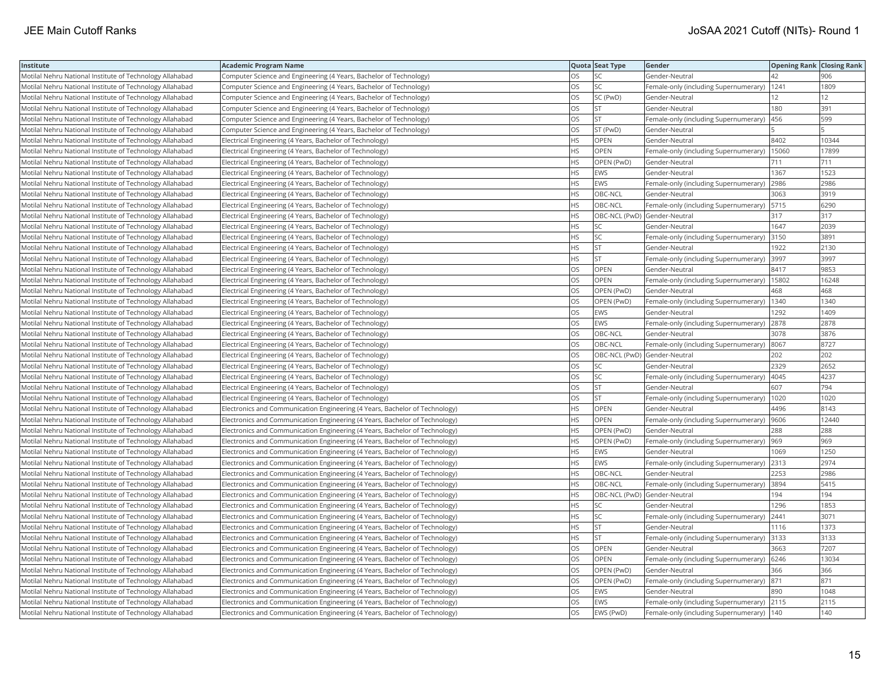| Institute                                                | <b>Academic Program Name</b>                                                |           | Quota Seat Type              | Gender                                      | <b>Opening Rank Closing Rank</b> |       |
|----------------------------------------------------------|-----------------------------------------------------------------------------|-----------|------------------------------|---------------------------------------------|----------------------------------|-------|
| Motilal Nehru National Institute of Technology Allahabad | Computer Science and Engineering (4 Years, Bachelor of Technology)          | OS        | SC.                          | Gender-Neutral                              | 42                               | 906   |
| Motilal Nehru National Institute of Technology Allahabad | Computer Science and Engineering (4 Years, Bachelor of Technology)          | OS.       | lsc                          | Female-only (including Supernumerary)       | 1241                             | 1809  |
| Motilal Nehru National Institute of Technology Allahabad | Computer Science and Engineering (4 Years, Bachelor of Technology)          | OS        | SC (PwD)                     | Gender-Neutral                              | 12                               | 12    |
| Motilal Nehru National Institute of Technology Allahabad | Computer Science and Engineering (4 Years, Bachelor of Technology)          | OS        | <b>ST</b>                    | Gender-Neutral                              | 180                              | 391   |
| Motilal Nehru National Institute of Technology Allahabad | Computer Science and Engineering (4 Years, Bachelor of Technology)          | <b>OS</b> | lst                          | Female-only (including Supernumerary)       | 456                              | 599   |
| Motilal Nehru National Institute of Technology Allahabad | Computer Science and Engineering (4 Years, Bachelor of Technology)          | OS        | ST (PwD)                     | Gender-Neutral                              |                                  |       |
| Motilal Nehru National Institute of Technology Allahabad | Electrical Engineering (4 Years, Bachelor of Technology)                    | <b>HS</b> | OPEN                         | Gender-Neutral                              | 8402                             | 10344 |
| Motilal Nehru National Institute of Technology Allahabad | Electrical Engineering (4 Years, Bachelor of Technology)                    | HS.       | OPEN                         | Female-only (including Supernumerary)       | 15060                            | 17899 |
| Motilal Nehru National Institute of Technology Allahabad | Electrical Engineering (4 Years, Bachelor of Technology)                    | <b>HS</b> | OPEN (PwD)                   | Gender-Neutral                              | 711                              | 711   |
| Motilal Nehru National Institute of Technology Allahabad | Electrical Engineering (4 Years, Bachelor of Technology)                    | <b>HS</b> | <b>EWS</b>                   | Gender-Neutral                              | 1367                             | 1523  |
| Motilal Nehru National Institute of Technology Allahabad | Electrical Engineering (4 Years, Bachelor of Technology)                    | <b>HS</b> | <b>EWS</b>                   | Female-only (including Supernumerary)       | 2986                             | 2986  |
| Motilal Nehru National Institute of Technology Allahabad | Electrical Engineering (4 Years, Bachelor of Technology)                    | <b>HS</b> | OBC-NCL                      | Gender-Neutral                              | 3063                             | 3919  |
| Motilal Nehru National Institute of Technology Allahabad | Electrical Engineering (4 Years, Bachelor of Technology)                    | <b>HS</b> | OBC-NCL                      | Female-only (including Supernumerary)       | 5715                             | 6290  |
| Motilal Nehru National Institute of Technology Allahabad | Electrical Engineering (4 Years, Bachelor of Technology)                    | <b>HS</b> | OBC-NCL (PwD) Gender-Neutral |                                             | 317                              | 317   |
| Motilal Nehru National Institute of Technology Allahabad | Electrical Engineering (4 Years, Bachelor of Technology)                    | HS        | SC                           | Gender-Neutral                              | 1647                             | 2039  |
| Motilal Nehru National Institute of Technology Allahabad | Electrical Engineering (4 Years, Bachelor of Technology)                    | HS.       | <b>SC</b>                    | Female-only (including Supernumerary)       | 3150                             | 3891  |
| Motilal Nehru National Institute of Technology Allahabad | Electrical Engineering (4 Years, Bachelor of Technology)                    | <b>HS</b> | İst                          | Gender-Neutral                              | 1922                             | 2130  |
| Motilal Nehru National Institute of Technology Allahabad | Electrical Engineering (4 Years, Bachelor of Technology)                    | HS        | <b>ST</b>                    | Female-only (including Supernumerary)       | 3997                             | 3997  |
| Motilal Nehru National Institute of Technology Allahabad | Electrical Engineering (4 Years, Bachelor of Technology)                    | OS        | OPEN                         | Gender-Neutral                              | 8417                             | 9853  |
| Motilal Nehru National Institute of Technology Allahabad | Electrical Engineering (4 Years, Bachelor of Technology)                    | OS.       | <b>OPEN</b>                  | Female-only (including Supernumerary)       | 15802                            | 16248 |
| Motilal Nehru National Institute of Technology Allahabad | Electrical Engineering (4 Years, Bachelor of Technology)                    | OS        | OPEN (PwD)                   | Gender-Neutral                              | 468                              | 468   |
| Motilal Nehru National Institute of Technology Allahabad | Electrical Engineering (4 Years, Bachelor of Technology)                    | OS        | OPEN (PwD)                   | Female-only (including Supernumerary)       | 1340                             | 1340  |
| Motilal Nehru National Institute of Technology Allahabad | Electrical Engineering (4 Years, Bachelor of Technology)                    | OS        | <b>EWS</b>                   | Gender-Neutral                              | 1292                             | 1409  |
| Motilal Nehru National Institute of Technology Allahabad | Electrical Engineering (4 Years, Bachelor of Technology)                    | OS.       | <b>EWS</b>                   | Female-only (including Supernumerary)       | 2878                             | 2878  |
| Motilal Nehru National Institute of Technology Allahabad | Electrical Engineering (4 Years, Bachelor of Technology)                    | OS        | OBC-NCL                      | Gender-Neutral                              | 3078                             | 3876  |
| Motilal Nehru National Institute of Technology Allahabad | Electrical Engineering (4 Years, Bachelor of Technology)                    | OS        | OBC-NCL                      | Female-only (including Supernumerary)       | 8067                             | 8727  |
| Motilal Nehru National Institute of Technology Allahabad | Electrical Engineering (4 Years, Bachelor of Technology)                    | OS        | OBC-NCL (PwD) Gender-Neutral |                                             | 202                              | 202   |
| Motilal Nehru National Institute of Technology Allahabad | Electrical Engineering (4 Years, Bachelor of Technology)                    | OS        | <b>SC</b>                    | Gender-Neutral                              | 2329                             | 2652  |
| Motilal Nehru National Institute of Technology Allahabad | Electrical Engineering (4 Years, Bachelor of Technology)                    | OS        | <b>SC</b>                    | Female-only (including Supernumerary)       | 4045                             | 4237  |
| Motilal Nehru National Institute of Technology Allahabad | Electrical Engineering (4 Years, Bachelor of Technology)                    | OS        | <b>ST</b>                    | Gender-Neutral                              | 607                              | 794   |
| Motilal Nehru National Institute of Technology Allahabad | Electrical Engineering (4 Years, Bachelor of Technology)                    | OS        | <b>ST</b>                    | Female-only (including Supernumerary)       | 1020                             | 1020  |
| Motilal Nehru National Institute of Technology Allahabad | Electronics and Communication Engineering (4 Years, Bachelor of Technology) | HS.       | <b>OPEN</b>                  | Gender-Neutral                              | 4496                             | 8143  |
| Motilal Nehru National Institute of Technology Allahabad | Electronics and Communication Engineering (4 Years, Bachelor of Technology) | <b>HS</b> | OPEN                         | Female-only (including Supernumerary)       | 9606                             | 12440 |
| Motilal Nehru National Institute of Technology Allahabad | Electronics and Communication Engineering (4 Years, Bachelor of Technology) | <b>HS</b> | OPEN (PwD)                   | Gender-Neutral                              | 288                              | 288   |
| Motilal Nehru National Institute of Technology Allahabad | Electronics and Communication Engineering (4 Years, Bachelor of Technology) | <b>HS</b> | OPEN (PwD)                   | Female-only (including Supernumerary)       | 969                              | 969   |
| Motilal Nehru National Institute of Technology Allahabad | Electronics and Communication Engineering (4 Years, Bachelor of Technology) | <b>HS</b> | <b>EWS</b>                   | Gender-Neutral                              | 1069                             | 1250  |
| Motilal Nehru National Institute of Technology Allahabad | Electronics and Communication Engineering (4 Years, Bachelor of Technology) | <b>HS</b> | <b>EWS</b>                   | Female-only (including Supernumerary)       | 2313                             | 2974  |
| Motilal Nehru National Institute of Technology Allahabad | Electronics and Communication Engineering (4 Years, Bachelor of Technology) | <b>HS</b> | OBC-NCL                      | Gender-Neutral                              | 2253                             | 2986  |
| Motilal Nehru National Institute of Technology Allahabad | Electronics and Communication Engineering (4 Years, Bachelor of Technology) | <b>HS</b> | OBC-NCL                      | Female-only (including Supernumerary)       | 3894                             | 5415  |
| Motilal Nehru National Institute of Technology Allahabad | Electronics and Communication Engineering (4 Years, Bachelor of Technology) | HS.       | OBC-NCL (PwD) Gender-Neutral |                                             | 194                              | 194   |
| Motilal Nehru National Institute of Technology Allahabad | Electronics and Communication Engineering (4 Years, Bachelor of Technology) | <b>HS</b> | <b>SC</b>                    | Gender-Neutral                              | 1296                             | 1853  |
| Motilal Nehru National Institute of Technology Allahabad | Electronics and Communication Engineering (4 Years, Bachelor of Technology) | <b>HS</b> | <b>SC</b>                    | Female-only (including Supernumerary)       | 2441                             | 3071  |
| Motilal Nehru National Institute of Technology Allahabad | Electronics and Communication Engineering (4 Years, Bachelor of Technology) | <b>HS</b> | <b>ST</b>                    | Gender-Neutral                              | 1116                             | 1373  |
| Motilal Nehru National Institute of Technology Allahabad | Electronics and Communication Engineering (4 Years, Bachelor of Technology) | HS        | <b>ST</b>                    | Female-only (including Supernumerary)       | 3133                             | 3133  |
| Motilal Nehru National Institute of Technology Allahabad | Electronics and Communication Engineering (4 Years, Bachelor of Technology) | OS        | OPEN                         | Gender-Neutral                              | 3663                             | 7207  |
| Motilal Nehru National Institute of Technology Allahabad | Electronics and Communication Engineering (4 Years, Bachelor of Technology) | OS        | OPEN                         | Female-only (including Supernumerary)       | 6246                             | 13034 |
| Motilal Nehru National Institute of Technology Allahabad | Electronics and Communication Engineering (4 Years, Bachelor of Technology) | <b>OS</b> | OPEN (PwD)                   | Gender-Neutral                              | 366                              | 366   |
| Motilal Nehru National Institute of Technology Allahabad | Electronics and Communication Engineering (4 Years, Bachelor of Technology) | OS        | OPEN (PwD)                   | Female-only (including Supernumerary)       | 871                              | 871   |
| Motilal Nehru National Institute of Technology Allahabad | Electronics and Communication Engineering (4 Years, Bachelor of Technology) | OS        | <b>EWS</b>                   | Gender-Neutral                              | 890                              | 1048  |
| Motilal Nehru National Institute of Technology Allahabad | Electronics and Communication Engineering (4 Years, Bachelor of Technology) | OS        | <b>EWS</b>                   | Female-only (including Supernumerary) 2115  |                                  | 2115  |
| Motilal Nehru National Institute of Technology Allahabad | Electronics and Communication Engineering (4 Years, Bachelor of Technology) | <b>OS</b> | EWS (PwD)                    | Female-only (including Supernumerary)   140 |                                  | 140   |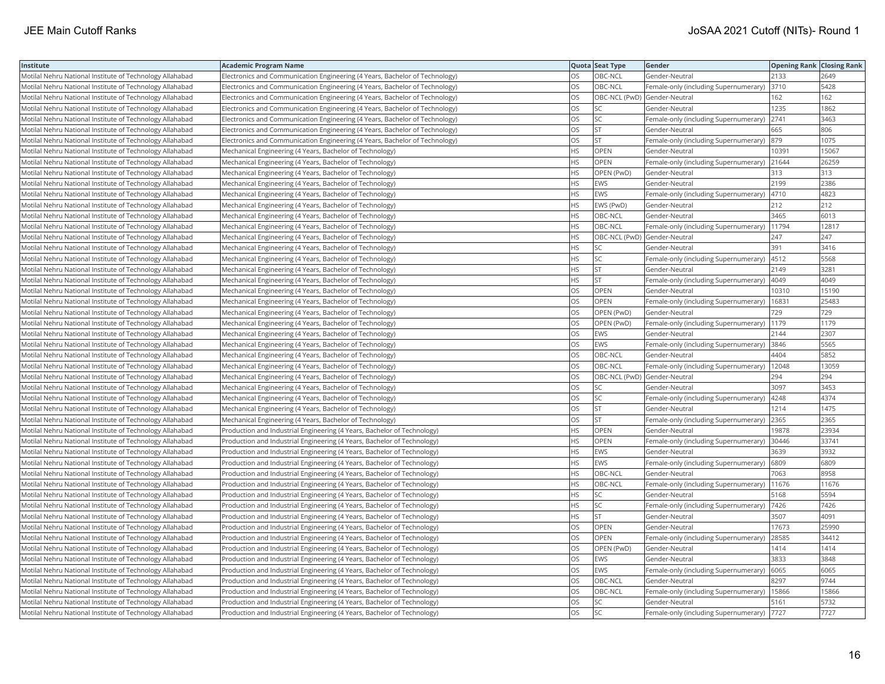| Institute                                                | <b>Academic Program Name</b>                                                |           | Quota Seat Type              | Gender                                     | <b>Opening Rank Closing Rank</b> |       |
|----------------------------------------------------------|-----------------------------------------------------------------------------|-----------|------------------------------|--------------------------------------------|----------------------------------|-------|
| Motilal Nehru National Institute of Technology Allahabad | Electronics and Communication Engineering (4 Years, Bachelor of Technology) | OS        | OBC-NCL                      | Gender-Neutral                             | 2133                             | 2649  |
| Motilal Nehru National Institute of Technology Allahabad | Electronics and Communication Engineering (4 Years, Bachelor of Technology) | OS.       | <b>OBC-NCL</b>               | Female-only (including Supernumerary)      | 3710                             | 5428  |
| Motilal Nehru National Institute of Technology Allahabad | Electronics and Communication Engineering (4 Years, Bachelor of Technology) | OS        | OBC-NCL (PwD) Gender-Neutral |                                            | 162                              | 162   |
| Motilal Nehru National Institute of Technology Allahabad | Electronics and Communication Engineering (4 Years, Bachelor of Technology) | OS        | <b>SC</b>                    | Gender-Neutral                             | 1235                             | 1862  |
| Motilal Nehru National Institute of Technology Allahabad | Electronics and Communication Engineering (4 Years, Bachelor of Technology) | <b>OS</b> | lsc                          | Female-only (including Supernumerary)      | 2741                             | 3463  |
| Motilal Nehru National Institute of Technology Allahabad | Electronics and Communication Engineering (4 Years, Bachelor of Technology) | OS        | <b>ST</b>                    | Gender-Neutral                             | 665                              | 806   |
| Motilal Nehru National Institute of Technology Allahabad | Electronics and Communication Engineering (4 Years, Bachelor of Technology) | OS        | <b>ST</b>                    | Female-only (including Supernumerary)      | 879                              | 1075  |
| Motilal Nehru National Institute of Technology Allahabad | Mechanical Engineering (4 Years, Bachelor of Technology)                    | <b>HS</b> | <b>OPEN</b>                  | Gender-Neutral                             | 10391                            | 15067 |
| Motilal Nehru National Institute of Technology Allahabad | Mechanical Engineering (4 Years, Bachelor of Technology)                    | HS        | OPEN                         | Female-only (including Supernumerary)      | 21644                            | 26259 |
| Motilal Nehru National Institute of Technology Allahabad | Mechanical Engineering (4 Years, Bachelor of Technology)                    | <b>HS</b> | OPEN (PwD)                   | Gender-Neutral                             | 313                              | 313   |
| Motilal Nehru National Institute of Technology Allahabad | Mechanical Engineering (4 Years, Bachelor of Technology)                    | <b>HS</b> | <b>EWS</b>                   | Gender-Neutral                             | 2199                             | 2386  |
| Motilal Nehru National Institute of Technology Allahabad | Mechanical Engineering (4 Years, Bachelor of Technology)                    | <b>HS</b> | <b>EWS</b>                   | Female-only (including Supernumerary)      | 4710                             | 4823  |
| Motilal Nehru National Institute of Technology Allahabad | Mechanical Engineering (4 Years, Bachelor of Technology)                    | HS.       | EWS (PwD)                    | Gender-Neutral                             | 212                              | 212   |
| Motilal Nehru National Institute of Technology Allahabad | Mechanical Engineering (4 Years, Bachelor of Technology)                    | HS        | OBC-NCL                      | Gender-Neutral                             | 3465                             | 6013  |
| Motilal Nehru National Institute of Technology Allahabad | Mechanical Engineering (4 Years, Bachelor of Technology)                    | <b>HS</b> | OBC-NCL                      | Female-only (including Supernumerary)      | 11794                            | 12817 |
| Motilal Nehru National Institute of Technology Allahabad | Mechanical Engineering (4 Years, Bachelor of Technology)                    | <b>HS</b> | OBC-NCL (PwD) Gender-Neutral |                                            | 247                              | 247   |
| Motilal Nehru National Institute of Technology Allahabad | Mechanical Engineering (4 Years, Bachelor of Technology)                    | HS.       | SC.                          | Gender-Neutral                             | 391                              | 3416  |
| Motilal Nehru National Institute of Technology Allahabad | Mechanical Engineering (4 Years, Bachelor of Technology)                    | <b>HS</b> | <b>SC</b>                    | Female-only (including Supernumerary)      | 4512                             | 5568  |
| Motilal Nehru National Institute of Technology Allahabad | Mechanical Engineering (4 Years, Bachelor of Technology)                    | <b>HS</b> | <b>ST</b>                    | Gender-Neutral                             | 2149                             | 3281  |
| Motilal Nehru National Institute of Technology Allahabad | Mechanical Engineering (4 Years, Bachelor of Technology)                    | <b>HS</b> | lst.                         | Female-only (including Supernumerary)      | 4049                             | 4049  |
| Motilal Nehru National Institute of Technology Allahabad | Mechanical Engineering (4 Years, Bachelor of Technology)                    | OS        | OPEN                         | Gender-Neutral                             | 10310                            | 15190 |
| Motilal Nehru National Institute of Technology Allahabad | Mechanical Engineering (4 Years, Bachelor of Technology)                    | OS        | <b>OPEN</b>                  | Female-only (including Supernumerary)      | 16831                            | 25483 |
| Motilal Nehru National Institute of Technology Allahabad | Mechanical Engineering (4 Years, Bachelor of Technology)                    | OS        | OPEN (PwD)                   | Gender-Neutral                             | 729                              | 729   |
| Motilal Nehru National Institute of Technology Allahabad | Mechanical Engineering (4 Years, Bachelor of Technology)                    | OS        | OPEN (PwD)                   | Female-only (including Supernumerary)      | 1179                             | 1179  |
| Motilal Nehru National Institute of Technology Allahabad | Mechanical Engineering (4 Years, Bachelor of Technology)                    | OS        | EWS                          | Gender-Neutral                             | 2144                             | 2307  |
| Motilal Nehru National Institute of Technology Allahabad | Mechanical Engineering (4 Years, Bachelor of Technology)                    | OS        | <b>EWS</b>                   | Female-only (including Supernumerary)      | 3846                             | 5565  |
| Motilal Nehru National Institute of Technology Allahabad | Mechanical Engineering (4 Years, Bachelor of Technology)                    | OS        | OBC-NCL                      | Gender-Neutral                             | 4404                             | 5852  |
| Motilal Nehru National Institute of Technology Allahabad | Mechanical Engineering (4 Years, Bachelor of Technology)                    | <b>OS</b> | OBC-NCL                      | Female-only (including Supernumerary)      | 12048                            | 13059 |
| Motilal Nehru National Institute of Technology Allahabad | Mechanical Engineering (4 Years, Bachelor of Technology)                    | OS        | OBC-NCL (PwD) Gender-Neutral |                                            | 294                              | 294   |
| Motilal Nehru National Institute of Technology Allahabad | Mechanical Engineering (4 Years, Bachelor of Technology)                    | OS        | <b>SC</b>                    | Gender-Neutral                             | 3097                             | 3453  |
| Motilal Nehru National Institute of Technology Allahabad | Mechanical Engineering (4 Years, Bachelor of Technology)                    | OS        | <b>SC</b>                    | Female-only (including Supernumerary)      | 4248                             | 4374  |
| Motilal Nehru National Institute of Technology Allahabad | Mechanical Engineering (4 Years, Bachelor of Technology)                    | OS        | <b>ST</b>                    | Gender-Neutral                             | 1214                             | 1475  |
| Motilal Nehru National Institute of Technology Allahabad | Mechanical Engineering (4 Years, Bachelor of Technology)                    | OS.       | İst                          | Female-only (including Supernumerary)      | 2365                             | 2365  |
| Motilal Nehru National Institute of Technology Allahabad | Production and Industrial Engineering (4 Years, Bachelor of Technology)     | HS        | OPEN                         | Gender-Neutral                             | 19878                            | 23934 |
| Motilal Nehru National Institute of Technology Allahabad | Production and Industrial Engineering (4 Years, Bachelor of Technology)     | <b>HS</b> | OPEN                         | Female-only (including Supernumerary)      | 30446                            | 33741 |
| Motilal Nehru National Institute of Technology Allahabad | Production and Industrial Engineering (4 Years, Bachelor of Technology)     | <b>HS</b> | <b>EWS</b>                   | Gender-Neutral                             | 3639                             | 3932  |
| Motilal Nehru National Institute of Technology Allahabad | Production and Industrial Engineering (4 Years, Bachelor of Technology)     | HS        | <b>EWS</b>                   | Female-only (including Supernumerary)      | 6809                             | 6809  |
| Motilal Nehru National Institute of Technology Allahabad | Production and Industrial Engineering (4 Years, Bachelor of Technology)     | <b>HS</b> | OBC-NCL                      | Gender-Neutral                             | 7063                             | 8958  |
| Motilal Nehru National Institute of Technology Allahabad | Production and Industrial Engineering (4 Years, Bachelor of Technology)     | HS        | OBC-NCL                      | Female-only (including Supernumerary)      | 11676                            | 11676 |
| Motilal Nehru National Institute of Technology Allahabad | Production and Industrial Engineering (4 Years, Bachelor of Technology)     | HS.       | lsc                          | Gender-Neutral                             | 5168                             | 5594  |
| Motilal Nehru National Institute of Technology Allahabad | Production and Industrial Engineering (4 Years, Bachelor of Technology)     | <b>HS</b> | lsc                          | Female-only (including Supernumerary)      | 7426                             | 7426  |
| Motilal Nehru National Institute of Technology Allahabad | Production and Industrial Engineering (4 Years, Bachelor of Technology)     | HS        | <b>ST</b>                    | Gender-Neutral                             | 3507                             | 4091  |
| Motilal Nehru National Institute of Technology Allahabad | Production and Industrial Engineering (4 Years, Bachelor of Technology)     | OS        | OPEN                         | Gender-Neutral                             | 17673                            | 25990 |
| Motilal Nehru National Institute of Technology Allahabad | Production and Industrial Engineering (4 Years, Bachelor of Technology)     | <b>OS</b> | <b>OPEN</b>                  | Female-only (including Supernumerary)      | 28585                            | 34412 |
| Motilal Nehru National Institute of Technology Allahabad | Production and Industrial Engineering (4 Years, Bachelor of Technology)     | OS.       | OPEN (PwD)                   | Gender-Neutral                             | 1414                             | 1414  |
| Motilal Nehru National Institute of Technology Allahabad | Production and Industrial Engineering (4 Years, Bachelor of Technology)     | OS        | <b>EWS</b>                   | Gender-Neutral                             | 3833                             | 3848  |
| Motilal Nehru National Institute of Technology Allahabad | Production and Industrial Engineering (4 Years, Bachelor of Technology)     | <b>OS</b> | <b>EWS</b>                   | Female-only (including Supernumerary)      | 6065                             | 6065  |
| Motilal Nehru National Institute of Technology Allahabad | Production and Industrial Engineering (4 Years, Bachelor of Technology)     | OS.       | OBC-NCL                      | Gender-Neutral                             | 8297                             | 9744  |
| Motilal Nehru National Institute of Technology Allahabad | Production and Industrial Engineering (4 Years, Bachelor of Technology)     | OS        | OBC-NCL                      | Female-only (including Supernumerary)      | 15866                            | 15866 |
| Motilal Nehru National Institute of Technology Allahabad | Production and Industrial Engineering (4 Years, Bachelor of Technology)     | OS        | <b>SC</b>                    | Gender-Neutral                             | 5161                             | 5732  |
| Motilal Nehru National Institute of Technology Allahabad | Production and Industrial Engineering (4 Years, Bachelor of Technology)     | <b>OS</b> | <b>SC</b>                    | Female-only (including Supernumerary) 7727 |                                  | 7727  |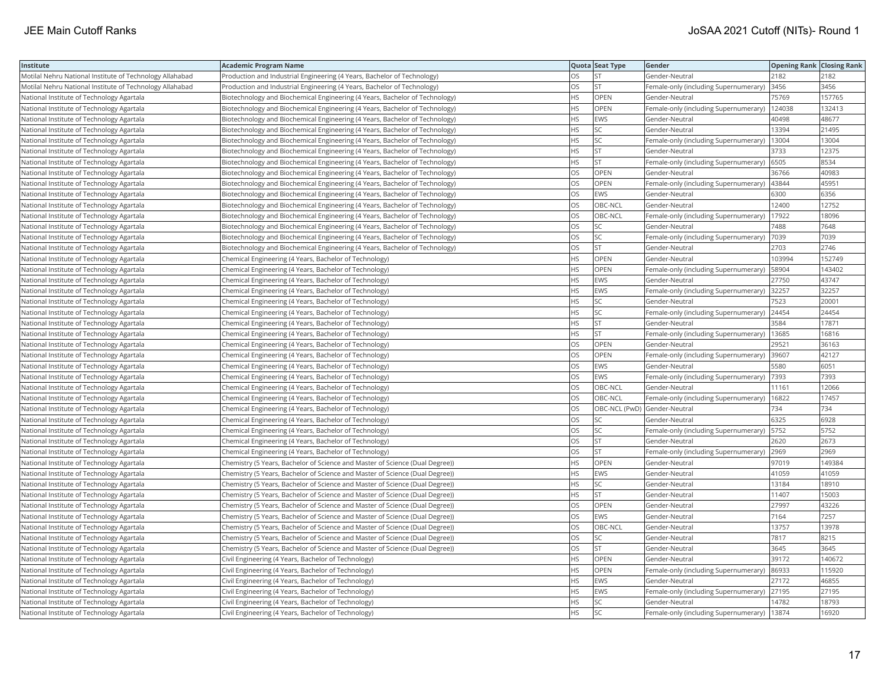| Institute                                                | Academic Program Name                                                         |           | Quota Seat Type              | Gender                                      | <b>Opening Rank Closing Rank</b> |        |
|----------------------------------------------------------|-------------------------------------------------------------------------------|-----------|------------------------------|---------------------------------------------|----------------------------------|--------|
| Motilal Nehru National Institute of Technology Allahabad | Production and Industrial Engineering (4 Years, Bachelor of Technology)       | OS        | <b>ST</b>                    | Gender-Neutral                              | 2182                             | 2182   |
| Motilal Nehru National Institute of Technology Allahabad | Production and Industrial Engineering (4 Years, Bachelor of Technology)       | OS.       | <b>ST</b>                    | Female-only (including Supernumerary)       | 3456                             | 3456   |
| National Institute of Technology Agartala                | Biotechnology and Biochemical Engineering (4 Years, Bachelor of Technology)   | HS        | OPEN                         | Gender-Neutral                              | 75769                            | 157765 |
| National Institute of Technology Agartala                | Biotechnology and Biochemical Engineering (4 Years, Bachelor of Technology)   | HS        | OPEN                         | Female-only (including Supernumerary)       | 124038                           | 132413 |
| National Institute of Technology Agartala                | Biotechnology and Biochemical Engineering (4 Years, Bachelor of Technology)   | HS.       | <b>EWS</b>                   | Gender-Neutral                              | 40498                            | 48677  |
| National Institute of Technology Agartala                | Biotechnology and Biochemical Engineering (4 Years, Bachelor of Technology)   | HS        | SC                           | Gender-Neutral                              | 13394                            | 21495  |
| National Institute of Technology Agartala                | Biotechnology and Biochemical Engineering (4 Years, Bachelor of Technology)   | HS        | SC                           | Female-only (including Supernumerary)       | 13004                            | 13004  |
| National Institute of Technology Agartala                | Biotechnology and Biochemical Engineering (4 Years, Bachelor of Technology)   | HS.       | <b>ST</b>                    | Gender-Neutral                              | 3733                             | 12375  |
| National Institute of Technology Agartala                | Biotechnology and Biochemical Engineering (4 Years, Bachelor of Technology)   | HS        | <b>ST</b>                    | Female-only (including Supernumerary)       | 6505                             | 8534   |
| National Institute of Technology Agartala                | Biotechnology and Biochemical Engineering (4 Years, Bachelor of Technology)   | OS        | OPEN                         | Gender-Neutral                              | 36766                            | 40983  |
| National Institute of Technology Agartala                | Biotechnology and Biochemical Engineering (4 Years, Bachelor of Technology)   | OS.       | <b>OPEN</b>                  | Female-only (including Supernumerary)       | 43844                            | 45951  |
| National Institute of Technology Agartala                | Biotechnology and Biochemical Engineering (4 Years, Bachelor of Technology)   | <b>OS</b> | <b>EWS</b>                   | Gender-Neutral                              | 6300                             | 6356   |
| National Institute of Technology Agartala                | Biotechnology and Biochemical Engineering (4 Years, Bachelor of Technology)   | OS        | OBC-NCL                      | Gender-Neutral                              | 12400                            | 12752  |
| National Institute of Technology Agartala                | Biotechnology and Biochemical Engineering (4 Years, Bachelor of Technology)   | OS        | OBC-NCL                      | Female-only (including Supernumerary)       | 17922                            | 18096  |
| National Institute of Technology Agartala                | Biotechnology and Biochemical Engineering (4 Years, Bachelor of Technology)   | OS        | SC                           | Gender-Neutral                              | 7488                             | 7648   |
| National Institute of Technology Agartala                | Biotechnology and Biochemical Engineering (4 Years, Bachelor of Technology)   | OS        | SC                           | Female-only (including Supernumerary)       | 7039                             | 7039   |
| National Institute of Technology Agartala                | Biotechnology and Biochemical Engineering (4 Years, Bachelor of Technology)   | OS.       | <b>ST</b>                    | Gender-Neutral                              | 2703                             | 2746   |
| National Institute of Technology Agartala                | Chemical Engineering (4 Years, Bachelor of Technology)                        | HS        | OPEN                         | Gender-Neutral                              | 103994                           | 152749 |
| National Institute of Technology Agartala                | Chemical Engineering (4 Years, Bachelor of Technology)                        | HS        | OPEN                         | Female-only (including Supernumerary)       | 58904                            | 143402 |
| National Institute of Technology Agartala                | Chemical Engineering (4 Years, Bachelor of Technology)                        | <b>HS</b> | <b>EWS</b>                   | Gender-Neutral                              | 27750                            | 43747  |
| National Institute of Technology Agartala                | Chemical Engineering (4 Years, Bachelor of Technology)                        | HS        | <b>EWS</b>                   | Female-only (including Supernumerary)       | 32257                            | 32257  |
| National Institute of Technology Agartala                | Chemical Engineering (4 Years, Bachelor of Technology)                        | ΗS        | SC.                          | Gender-Neutral                              | 7523                             | 20001  |
| National Institute of Technology Agartala                | Chemical Engineering (4 Years, Bachelor of Technology)                        | ΗS        | SC                           | Female-only (including Supernumerary)       | 24454                            | 24454  |
| National Institute of Technology Agartala                | Chemical Engineering (4 Years, Bachelor of Technology)                        | HS.       | <b>ST</b>                    | Gender-Neutral                              | 3584                             | 17871  |
| National Institute of Technology Agartala                | Chemical Engineering (4 Years, Bachelor of Technology)                        | HS        | <b>ST</b>                    | Female-only (including Supernumerary)       | 13685                            | 16816  |
| National Institute of Technology Agartala                | Chemical Engineering (4 Years, Bachelor of Technology)                        | OS        | OPEN                         | Gender-Neutral                              | 29521                            | 36163  |
| National Institute of Technology Agartala                | Chemical Engineering (4 Years, Bachelor of Technology)                        | OS        | OPEN                         | Female-only (including Supernumerary)       | 39607                            | 42127  |
| National Institute of Technology Agartala                | Chemical Engineering (4 Years, Bachelor of Technology)                        | OS        | EWS                          | Gender-Neutral                              | 5580                             | 6051   |
| National Institute of Technology Agartala                | Chemical Engineering (4 Years, Bachelor of Technology)                        | OS        | EWS                          | Female-only (including Supernumerary)  7393 |                                  | 7393   |
| National Institute of Technology Agartala                | Chemical Engineering (4 Years, Bachelor of Technology)                        | OS        | OBC-NCL                      | Gender-Neutral                              | 11161                            | 12066  |
| National Institute of Technology Agartala                | Chemical Engineering (4 Years, Bachelor of Technology)                        | OS        | OBC-NCL                      | Female-only (including Supernumerary)       | 16822                            | 17457  |
| National Institute of Technology Agartala                | Chemical Engineering (4 Years, Bachelor of Technology)                        | OS.       | OBC-NCL (PwD) Gender-Neutral |                                             | 734                              | 734    |
| National Institute of Technology Agartala                | Chemical Engineering (4 Years, Bachelor of Technology)                        | OS        | SC                           | Gender-Neutral                              | 6325                             | 6928   |
| National Institute of Technology Agartala                | Chemical Engineering (4 Years, Bachelor of Technology)                        | OS        | SC                           | Female-only (including Supernumerary)       | 5752                             | 5752   |
| National Institute of Technology Agartala                | Chemical Engineering (4 Years, Bachelor of Technology)                        | OS.       | <b>ST</b>                    | Gender-Neutral                              | 2620                             | 2673   |
| National Institute of Technology Agartala                | Chemical Engineering (4 Years, Bachelor of Technology)                        | OS        | lst                          | Female-only (including Supernumerary)       | 2969                             | 2969   |
| National Institute of Technology Agartala                | Chemistry (5 Years, Bachelor of Science and Master of Science (Dual Degree))  | HS        | OPEN                         | Gender-Neutral                              | 97019                            | 149384 |
| National Institute of Technology Agartala                | Chemistry (5 Years, Bachelor of Science and Master of Science (Dual Degree))  | HS        | EWS                          | Gender-Neutral                              | 41059                            | 41059  |
| National Institute of Technology Agartala                | Chemistry (5 Years, Bachelor of Science and Master of Science (Dual Degree))  | HS        | <b>SC</b>                    | Gender-Neutral                              | 13184                            | 18910  |
| National Institute of Technology Agartala                | Chemistry (5 Years, Bachelor of Science and Master of Science (Dual Degree))  | HS        | <b>ST</b>                    | Gender-Neutral                              | 11407                            | 15003  |
| National Institute of Technology Agartala                | (Chemistry (5 Years, Bachelor of Science and Master of Science (Dual Degree)) | OS        | OPEN                         | Gender-Neutral                              | 27997                            | 43226  |
| National Institute of Technology Agartala                | (Chemistry (5 Years, Bachelor of Science and Master of Science (Dual Degree)) | OS        | EWS                          | Gender-Neutral                              | 7164                             | 7257   |
| National Institute of Technology Agartala                | Chemistry (5 Years, Bachelor of Science and Master of Science (Dual Degree))  | OS        | OBC-NCL                      | Gender-Neutral                              | 13757                            | 13978  |
| National Institute of Technology Agartala                | (Chemistry (5 Years, Bachelor of Science and Master of Science (Dual Degree)) | OS        | SC                           | Gender-Neutral                              | 7817                             | 8215   |
| National Institute of Technology Agartala                | (Chemistry (5 Years, Bachelor of Science and Master of Science (Dual Degree)) | OS        | <b>ST</b>                    | Gender-Neutral                              | 3645                             | 3645   |
| National Institute of Technology Agartala                | Civil Engineering (4 Years, Bachelor of Technology)                           | HS        | OPEN                         | Gender-Neutral                              | 39172                            | 140672 |
| National Institute of Technology Agartala                | Civil Engineering (4 Years, Bachelor of Technology)                           | HS.       | <b>OPEN</b>                  | Female-only (including Supernumerary)       | 86933                            | 115920 |
| National Institute of Technology Agartala                | Civil Engineering (4 Years, Bachelor of Technology)                           | ΗS        | EWS                          | Gender-Neutral                              | 27172                            | 46855  |
| National Institute of Technology Agartala                | Civil Engineering (4 Years, Bachelor of Technology)                           | HS        | EWS                          | Female-only (including Supernumerary)       | 27195                            | 27195  |
| National Institute of Technology Agartala                | Civil Engineering (4 Years, Bachelor of Technology)                           | HS        | <b>SC</b>                    | Gender-Neutral                              | 14782                            | 18793  |
| National Institute of Technology Agartala                | Civil Engineering (4 Years, Bachelor of Technology)                           | <b>HS</b> | <b>SC</b>                    | Female-only (including Supernumerary)       | 13874                            | 16920  |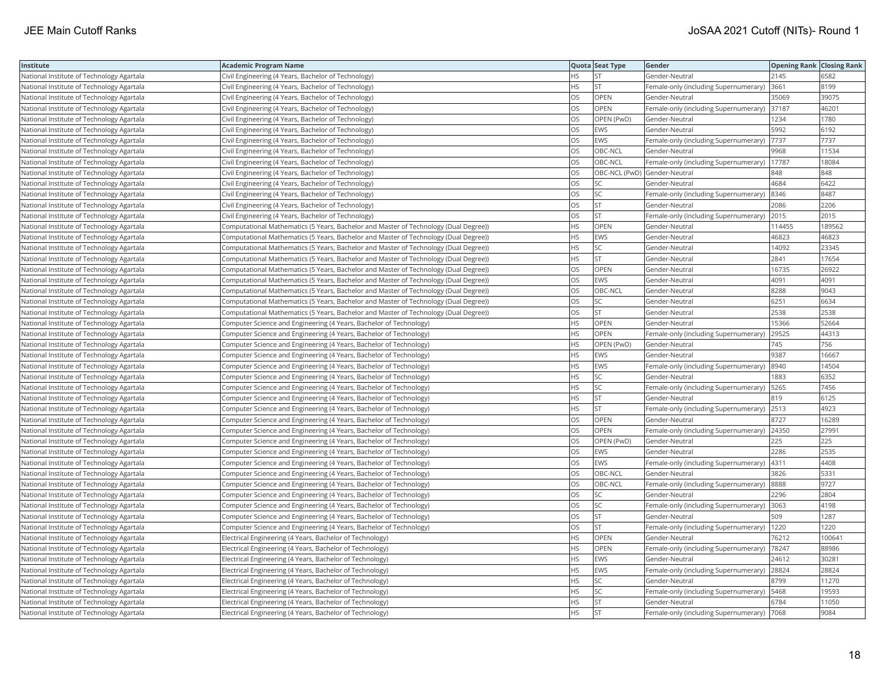| Institute                                 | <b>Academic Program Name</b>                                                         |           | Quota Seat Type              | Gender                                       | <b>Opening Rank Closing Rank</b> |        |
|-------------------------------------------|--------------------------------------------------------------------------------------|-----------|------------------------------|----------------------------------------------|----------------------------------|--------|
| National Institute of Technology Agartala | Civil Engineering (4 Years, Bachelor of Technology)                                  | ΗS        | <b>ST</b>                    | Gender-Neutral                               | 2145                             | 6582   |
| National Institute of Technology Agartala | Civil Engineering (4 Years, Bachelor of Technology)                                  | HS        | <b>ST</b>                    | Female-only (including Supernumerary)        | 3661                             | 8199   |
| National Institute of Technology Agartala | Civil Engineering (4 Years, Bachelor of Technology)                                  | OS        | OPEN                         | Gender-Neutral                               | 35069                            | 39075  |
| National Institute of Technology Agartala | Civil Engineering (4 Years, Bachelor of Technology)                                  | OS        | OPEN                         | Female-only (including Supernumerary)        | 37187                            | 46201  |
| National Institute of Technology Agartala | Civil Engineering (4 Years, Bachelor of Technology)                                  | OS        | OPEN (PwD)                   | Gender-Neutral                               | 1234                             | 1780   |
| National Institute of Technology Agartala | Civil Engineering (4 Years, Bachelor of Technology)                                  | OS        | <b>EWS</b>                   | Gender-Neutral                               | 5992                             | 6192   |
| National Institute of Technology Agartala | Civil Engineering (4 Years, Bachelor of Technology)                                  | OS        | EWS                          | Female-only (including Supernumerary)  7737  |                                  | 7737   |
| National Institute of Technology Agartala | Civil Engineering (4 Years, Bachelor of Technology)                                  | OS        | OBC-NCL                      | Gender-Neutral                               | 9968                             | 11534  |
| National Institute of Technology Agartala | Civil Engineering (4 Years, Bachelor of Technology)                                  | OS        | OBC-NCL                      | Female-only (including Supernumerary)        | 17787                            | 18084  |
| National Institute of Technology Agartala | Civil Engineering (4 Years, Bachelor of Technology)                                  | OS        | OBC-NCL (PwD) Gender-Neutral |                                              | 848                              | 848    |
| National Institute of Technology Agartala | Civil Engineering (4 Years, Bachelor of Technology)                                  | OS        | <b>SC</b>                    | Gender-Neutral                               | 4684                             | 6422   |
| National Institute of Technology Agartala | Civil Engineering (4 Years, Bachelor of Technology)                                  | <b>OS</b> | <b>SC</b>                    | Female-only (including Supernumerary) 8346   |                                  | 8487   |
| National Institute of Technology Agartala | Civil Engineering (4 Years, Bachelor of Technology)                                  | OS        | <b>ST</b>                    | Gender-Neutral                               | 2086                             | 2206   |
| National Institute of Technology Agartala | Civil Engineering (4 Years, Bachelor of Technology)                                  | OS        | <b>ST</b>                    | Female-only (including Supernumerary) 2015   |                                  | 2015   |
| National Institute of Technology Agartala | Computational Mathematics (5 Years, Bachelor and Master of Technology (Dual Degree)) | HS        | OPEN                         | Gender-Neutral                               | 114455                           | 189562 |
| National Institute of Technology Agartala | Computational Mathematics (5 Years, Bachelor and Master of Technology (Dual Degree)) | ΗS        | <b>EWS</b>                   | Gender-Neutral                               | 46823                            | 46823  |
| National Institute of Technology Agartala | Computational Mathematics (5 Years, Bachelor and Master of Technology (Dual Degree)) | HS        | SC                           | Gender-Neutral                               | 14092                            | 23345  |
| National Institute of Technology Agartala | Computational Mathematics (5 Years, Bachelor and Master of Technology (Dual Degree)) | HS        | <b>ST</b>                    | Gender-Neutral                               | 2841                             | 17654  |
| National Institute of Technology Agartala | Computational Mathematics (5 Years, Bachelor and Master of Technology (Dual Degree)) | OS        | OPEN                         | Gender-Neutral                               | 16735                            | 26922  |
| National Institute of Technology Agartala | Computational Mathematics (5 Years, Bachelor and Master of Technology (Dual Degree)) | OS        | <b>EWS</b>                   | Gender-Neutral                               | 4091                             | 4091   |
| National Institute of Technology Agartala | Computational Mathematics (5 Years, Bachelor and Master of Technology (Dual Degree)) | OS        | OBC-NCL                      | Gender-Neutral                               | 8288                             | 9043   |
| National Institute of Technology Agartala | Computational Mathematics (5 Years, Bachelor and Master of Technology (Dual Degree)) | OS        | SC                           | Gender-Neutral                               | 6251                             | 6634   |
| National Institute of Technology Agartala | Computational Mathematics (5 Years, Bachelor and Master of Technology (Dual Degree)) | OS        | <b>ST</b>                    | Gender-Neutral                               | 2538                             | 2538   |
| National Institute of Technology Agartala | Computer Science and Engineering (4 Years, Bachelor of Technology)                   | HS        | OPEN                         | Gender-Neutral                               | 15366                            | 52664  |
| National Institute of Technology Agartala | Computer Science and Engineering (4 Years, Bachelor of Technology)                   | HS        | OPEN                         | Female-only (including Supernumerary)        | 29525                            | 44313  |
| National Institute of Technology Agartala | Computer Science and Engineering (4 Years, Bachelor of Technology)                   | HS        | OPEN (PwD)                   | Gender-Neutral                               | 745                              | 756    |
| National Institute of Technology Agartala | Computer Science and Engineering (4 Years, Bachelor of Technology)                   | HS        | <b>EWS</b>                   | Gender-Neutral                               | 9387                             | 16667  |
| National Institute of Technology Agartala | Computer Science and Engineering (4 Years, Bachelor of Technology)                   | <b>HS</b> | <b>EWS</b>                   | Female-only (including Supernumerary) 8940   |                                  | 14504  |
| National Institute of Technology Agartala | Computer Science and Engineering (4 Years, Bachelor of Technology)                   | HS        | SC                           | Gender-Neutral                               | 1883                             | 6352   |
| National Institute of Technology Agartala | Computer Science and Engineering (4 Years, Bachelor of Technology)                   | HS        | SC                           | Female-only (including Supernumerary)   5265 |                                  | 7456   |
| National Institute of Technology Agartala | Computer Science and Engineering (4 Years, Bachelor of Technology)                   | HS        | <b>ST</b>                    | Gender-Neutral                               | 819                              | 6125   |
| National Institute of Technology Agartala | Computer Science and Engineering (4 Years, Bachelor of Technology)                   | ΗS        | <b>ST</b>                    | Female-only (including Supernumerary) 2513   |                                  | 4923   |
| National Institute of Technology Agartala | Computer Science and Engineering (4 Years, Bachelor of Technology)                   | OS        | OPEN                         | Gender-Neutral                               | 8727                             | 16289  |
| National Institute of Technology Agartala | Computer Science and Engineering (4 Years, Bachelor of Technology)                   | OS        | OPEN                         | Female-only (including Supernumerary)        | 24350                            | 27991  |
| National Institute of Technology Agartala | Computer Science and Engineering (4 Years, Bachelor of Technology)                   | OS        | OPEN (PwD)                   | Gender-Neutral                               | 225                              | 225    |
| National Institute of Technology Agartala | Computer Science and Engineering (4 Years, Bachelor of Technology)                   | OS        | <b>EWS</b>                   | Gender-Neutral                               | 2286                             | 2535   |
| National Institute of Technology Agartala | Computer Science and Engineering (4 Years, Bachelor of Technology)                   | OS        | <b>EWS</b>                   | Female-only (including Supernumerary)  4311  |                                  | 4408   |
| National Institute of Technology Agartala | Computer Science and Engineering (4 Years, Bachelor of Technology)                   | OS        | OBC-NCL                      | Gender-Neutral                               | 3826                             | 5331   |
| National Institute of Technology Agartala | Computer Science and Engineering (4 Years, Bachelor of Technology)                   | OS        | OBC-NCL                      | Female-only (including Supernumerary) 8888   |                                  | 9727   |
| National Institute of Technology Agartala | Computer Science and Engineering (4 Years, Bachelor of Technology)                   | OS        | SC                           | Gender-Neutral                               | 2296                             | 2804   |
| National Institute of Technology Agartala | Computer Science and Engineering (4 Years, Bachelor of Technology)                   | OS        | SC                           | Female-only (including Supernumerary)        | 3063                             | 4198   |
| National Institute of Technology Agartala | Computer Science and Engineering (4 Years, Bachelor of Technology)                   | OS        | <b>ST</b>                    | Gender-Neutral                               | 509                              | 1287   |
| National Institute of Technology Agartala | Computer Science and Engineering (4 Years, Bachelor of Technology)                   | OS        | <b>ST</b>                    | Female-only (including Supernumerary)        | 1220                             | 1220   |
| National Institute of Technology Agartala | Electrical Engineering (4 Years, Bachelor of Technology)                             | <b>HS</b> | <b>OPEN</b>                  | Gender-Neutral                               | 76212                            | 100641 |
| National Institute of Technology Agartala | Electrical Engineering (4 Years, Bachelor of Technology)                             | HS        | <b>OPEN</b>                  | Female-only (including Supernumerary)        | 78247                            | 88986  |
| National Institute of Technology Agartala | Electrical Engineering (4 Years, Bachelor of Technology)                             | HS        | <b>EWS</b>                   | Gender-Neutral                               | 24612                            | 30281  |
| National Institute of Technology Agartala | Electrical Engineering (4 Years, Bachelor of Technology)                             | HS        | <b>EWS</b>                   | Female-only (including Supernumerary) 28824  |                                  | 28824  |
| National Institute of Technology Agartala | Electrical Engineering (4 Years, Bachelor of Technology)                             | ΗS        | <b>SC</b>                    | Gender-Neutral                               | 8799                             | 11270  |
| National Institute of Technology Agartala | Electrical Engineering (4 Years, Bachelor of Technology)                             | ΗS        | SC                           | Female-only (including Supernumerary)   5468 |                                  | 19593  |
| National Institute of Technology Agartala | Electrical Engineering (4 Years, Bachelor of Technology)                             | HS        | <b>ST</b>                    | Gender-Neutral                               | 6784                             | 11050  |
| National Institute of Technology Agartala | Electrical Engineering (4 Years, Bachelor of Technology)                             | <b>HS</b> | <b>ST</b>                    | Female-only (including Supernumerary)  7068  |                                  | 9084   |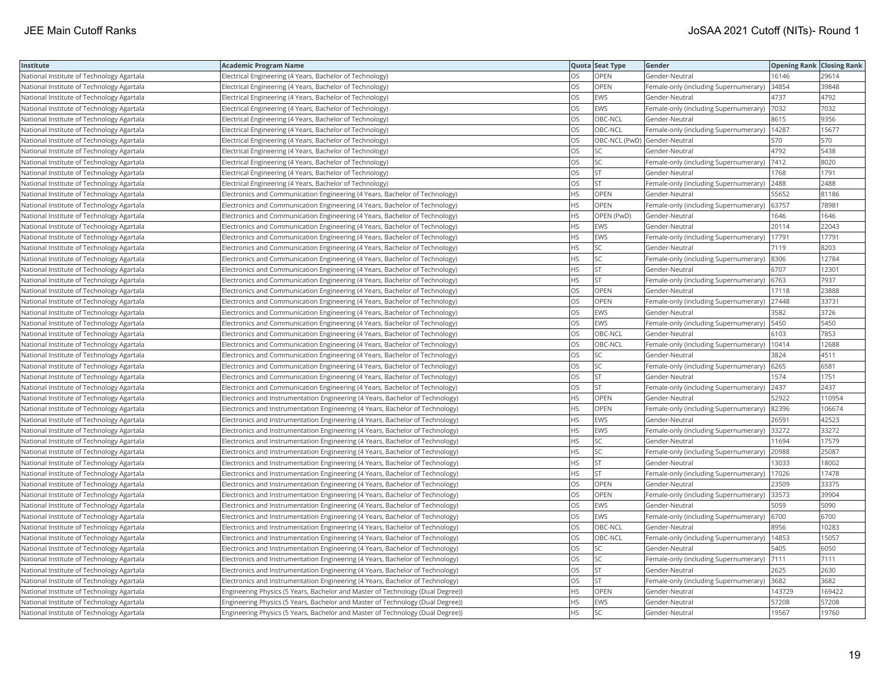| Institute                                 | <b>Academic Program Name</b>                                                   |           | Quota Seat Type              | Gender                                        | <b>Opening Rank Closing Rank</b> |        |
|-------------------------------------------|--------------------------------------------------------------------------------|-----------|------------------------------|-----------------------------------------------|----------------------------------|--------|
| National Institute of Technology Agartala | Electrical Engineering (4 Years, Bachelor of Technology)                       | OS        | OPEN                         | Gender-Neutral                                | 16146                            | 29614  |
| National Institute of Technology Agartala | Electrical Engineering (4 Years, Bachelor of Technology)                       | OS        | OPEN                         | Female-only (including Supernumerary)         | 34854                            | 39848  |
| National Institute of Technology Agartala | Electrical Engineering (4 Years, Bachelor of Technology)                       | OS        | <b>EWS</b>                   | Gender-Neutral                                | 4737                             | 4792   |
| National Institute of Technology Agartala | Electrical Engineering (4 Years, Bachelor of Technology)                       | OS        | <b>EWS</b>                   | Female-only (including Supernumerary)         | 7032                             | 7032   |
| National Institute of Technology Agartala | Electrical Engineering (4 Years, Bachelor of Technology)                       | OS        | OBC-NCL                      | Gender-Neutral                                | 8615                             | 9356   |
| National Institute of Technology Agartala | Electrical Engineering (4 Years, Bachelor of Technology)                       | OS        | OBC-NCL                      | Female-only (including Supernumerary)   14287 |                                  | 15677  |
| National Institute of Technology Agartala | Electrical Engineering (4 Years, Bachelor of Technology)                       | OS        | OBC-NCL (PwD) Gender-Neutral |                                               | 570                              | 570    |
| National Institute of Technology Agartala | Electrical Engineering (4 Years, Bachelor of Technology)                       | OS        | <b>SC</b>                    | Gender-Neutral                                | 4792                             | 5438   |
| National Institute of Technology Agartala | Electrical Engineering (4 Years, Bachelor of Technology)                       | OS        | SC                           | Female-only (including Supernumerary)         | 7412                             | 8020   |
| National Institute of Technology Agartala | Electrical Engineering (4 Years, Bachelor of Technology)                       | OS        | <b>ST</b>                    | Gender-Neutral                                | 1768                             | 1791   |
| National Institute of Technology Agartala | Electrical Engineering (4 Years, Bachelor of Technology)                       | OS        | <b>ST</b>                    | Female-only (including Supernumerary)         | 2488                             | 2488   |
| National Institute of Technology Agartala | Electronics and Communication Engineering (4 Years, Bachelor of Technology)    | <b>HS</b> | OPEN                         | Gender-Neutral                                | 55652                            | 81186  |
| National Institute of Technology Agartala | Electronics and Communication Engineering (4 Years, Bachelor of Technology)    | HS        | OPEN                         | Female-only (including Supernumerary)         | 63757                            | 78981  |
| National Institute of Technology Agartala | Electronics and Communication Engineering (4 Years, Bachelor of Technology)    | <b>HS</b> | OPEN (PwD)                   | Gender-Neutral                                | 1646                             | 1646   |
| National Institute of Technology Agartala | Electronics and Communication Engineering (4 Years, Bachelor of Technology)    | HS        | EWS                          | Gender-Neutral                                | 20114                            | 22043  |
| National Institute of Technology Agartala | Electronics and Communication Engineering (4 Years, Bachelor of Technology)    | ΗS        | <b>EWS</b>                   | Female-only (including Supernumerary)         | 17791                            | 17791  |
| National Institute of Technology Agartala | Electronics and Communication Engineering (4 Years, Bachelor of Technology)    | HS        | SC                           | Gender-Neutral                                | 7119                             | 8203   |
| National Institute of Technology Agartala | Electronics and Communication Engineering (4 Years, Bachelor of Technology)    | HS        | SC                           | Female-only (including Supernumerary)         | 8306                             | 12784  |
| National Institute of Technology Agartala | Electronics and Communication Engineering (4 Years, Bachelor of Technology)    | <b>HS</b> | <b>ST</b>                    | Gender-Neutral                                | 6707                             | 12301  |
| National Institute of Technology Agartala | Electronics and Communication Engineering (4 Years, Bachelor of Technology)    | <b>HS</b> | <b>ST</b>                    | Female-only (including Supernumerary)         | 6763                             | 7937   |
| National Institute of Technology Agartala | Electronics and Communication Engineering (4 Years, Bachelor of Technology)    | OS        | OPEN                         | Gender-Neutral                                | 17118                            | 23888  |
| National Institute of Technology Agartala | Electronics and Communication Engineering (4 Years, Bachelor of Technology)    | OS        | <b>OPEN</b>                  | Female-only (including Supernumerary) 27448   |                                  | 33731  |
| National Institute of Technology Agartala | Electronics and Communication Engineering (4 Years, Bachelor of Technology)    | OS        | <b>EWS</b>                   | Gender-Neutral                                | 3582                             | 3726   |
| National Institute of Technology Agartala | Electronics and Communication Engineering (4 Years, Bachelor of Technology)    | OS        | <b>EWS</b>                   | Female-only (including Supernumerary)   5450  |                                  | 5450   |
| National Institute of Technology Agartala | Electronics and Communication Engineering (4 Years, Bachelor of Technology)    | OS        | OBC-NCL                      | Gender-Neutral                                | 6103                             | 7853   |
| National Institute of Technology Agartala | Electronics and Communication Engineering (4 Years, Bachelor of Technology)    | OS        | OBC-NCL                      | Female-only (including Supernumerary)         | 10414                            | 12688  |
| National Institute of Technology Agartala | Electronics and Communication Engineering (4 Years, Bachelor of Technology)    | OS        | SC                           | Gender-Neutral                                | 3824                             | 4511   |
| National Institute of Technology Agartala | Electronics and Communication Engineering (4 Years, Bachelor of Technology)    | OS        | <b>SC</b>                    | Female-only (including Supernumerary) 6265    |                                  | 6581   |
| National Institute of Technology Agartala | Electronics and Communication Engineering (4 Years, Bachelor of Technology)    | OS        | <b>ST</b>                    | Gender-Neutral                                | 1574                             | 1751   |
| National Institute of Technology Agartala | Electronics and Communication Engineering (4 Years, Bachelor of Technology)    | OS        | <b>ST</b>                    | Female-only (including Supernumerary) 2437    |                                  | 2437   |
| National Institute of Technology Agartala | Electronics and Instrumentation Engineering (4 Years, Bachelor of Technology)  | HS        | <b>OPEN</b>                  | Gender-Neutral                                | 52922                            | 110954 |
| National Institute of Technology Agartala | Electronics and Instrumentation Engineering (4 Years, Bachelor of Technology)  | HS        | OPEN                         | Female-only (including Supernumerary)         | 82396                            | 106674 |
| National Institute of Technology Agartala | Electronics and Instrumentation Engineering (4 Years, Bachelor of Technology)  | <b>HS</b> | <b>EWS</b>                   | Gender-Neutral                                | 26591                            | 42523  |
| National Institute of Technology Agartala | Electronics and Instrumentation Engineering (4 Years, Bachelor of Technology)  | HS        | <b>EWS</b>                   | Female-only (including Supernumerary)         | 33272                            | 33272  |
| National Institute of Technology Agartala | Electronics and Instrumentation Engineering (4 Years, Bachelor of Technology)  | HS        | SC                           | Gender-Neutral                                | 11694                            | 17579  |
| National Institute of Technology Agartala | Electronics and Instrumentation Engineering (4 Years, Bachelor of Technology)  | <b>HS</b> | <b>SC</b>                    | Female-only (including Supernumerary)         | 20988                            | 25087  |
| National Institute of Technology Agartala | Electronics and Instrumentation Engineering (4 Years, Bachelor of Technology)  | HS        | <b>ST</b>                    | Gender-Neutral                                | 13033                            | 18002  |
| National Institute of Technology Agartala | Electronics and Instrumentation Engineering (4 Years, Bachelor of Technology)  | HS        | <b>ST</b>                    | Female-only (including Supernumerary)         | 17026                            | 17478  |
| National Institute of Technology Agartala | Electronics and Instrumentation Engineering (4 Years, Bachelor of Technology)  | OS        | OPEN                         | Gender-Neutral                                | 23509                            | 33375  |
| National Institute of Technology Agartala | Electronics and Instrumentation Engineering (4 Years, Bachelor of Technology)  | OS        | OPEN                         | Female-only (including Supernumerary)         | 33573                            | 39904  |
| National Institute of Technology Agartala | Electronics and Instrumentation Engineering (4 Years, Bachelor of Technology)  | OS        | EWS                          | Gender-Neutral                                | 5059                             | 5090   |
| National Institute of Technology Agartala | Electronics and Instrumentation Engineering (4 Years, Bachelor of Technology)  | OS        | <b>EWS</b>                   | Female-only (including Supernumerary) 6700    |                                  | 6700   |
| National Institute of Technology Agartala | Electronics and Instrumentation Engineering (4 Years, Bachelor of Technology)  | OS        | OBC-NCL                      | Gender-Neutral                                | 8956                             | 10283  |
| National Institute of Technology Agartala | Electronics and Instrumentation Engineering (4 Years, Bachelor of Technology)  | OS        | OBC-NCL                      | Female-only (including Supernumerary)         | 14853                            | 15057  |
| National Institute of Technology Agartala | Electronics and Instrumentation Engineering (4 Years, Bachelor of Technology)  | OS        | SC                           | Gender-Neutral                                | 5405                             | 6050   |
| National Institute of Technology Agartala | Electronics and Instrumentation Engineering (4 Years, Bachelor of Technology)  | OS        | SC                           | Female-only (including Supernumerary)  7111   |                                  | 7111   |
| National Institute of Technology Agartala | Electronics and Instrumentation Engineering (4 Years, Bachelor of Technology)  | OS        | <b>ST</b>                    | Gender-Neutral                                | 2625                             | 2630   |
| National Institute of Technology Agartala | Electronics and Instrumentation Engineering (4 Years, Bachelor of Technology)  | OS        | <b>ST</b>                    | Female-only (including Supernumerary) 3682    |                                  | 3682   |
| National Institute of Technology Agartala | Engineering Physics (5 Years, Bachelor and Master of Technology (Dual Degree)) | HS        | OPEN                         | Gender-Neutral                                | 143729                           | 169422 |
| National Institute of Technology Agartala | Engineering Physics (5 Years, Bachelor and Master of Technology (Dual Degree)) | HS        | <b>EWS</b>                   | Gender-Neutral                                | 57208                            | 57208  |
| National Institute of Technology Agartala | Engineering Physics (5 Years, Bachelor and Master of Technology (Dual Degree)) | <b>HS</b> | <b>SC</b>                    | Gender-Neutral                                | 19567                            | 19760  |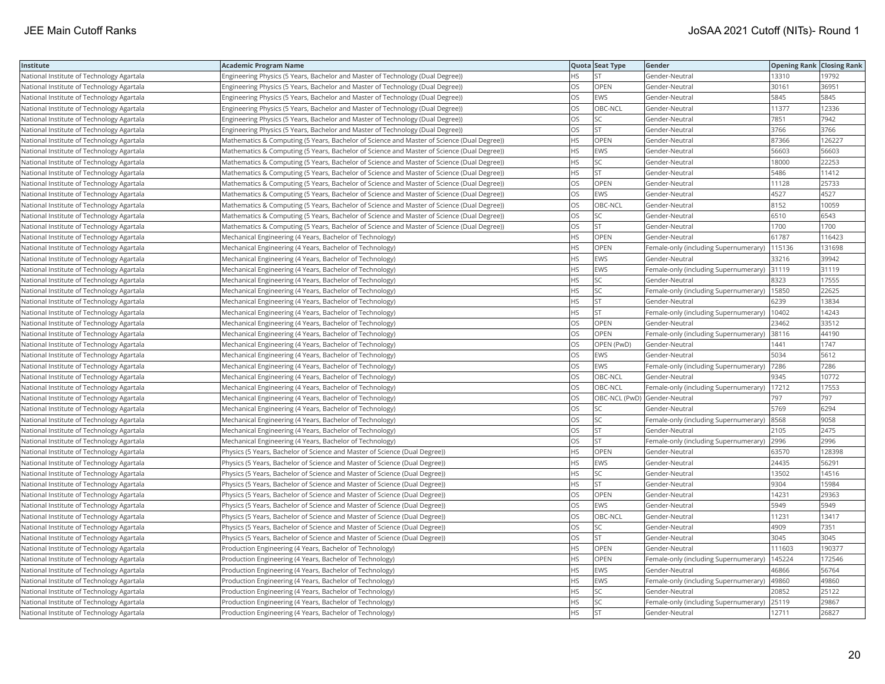| Institute                                 | <b>Academic Program Name</b>                                                               |           | Quota Seat Type              | Gender                                | <b>Opening Rank Closing Rank</b> |        |
|-------------------------------------------|--------------------------------------------------------------------------------------------|-----------|------------------------------|---------------------------------------|----------------------------------|--------|
| National Institute of Technology Agartala | Engineering Physics (5 Years, Bachelor and Master of Technology (Dual Degree))             | <b>HS</b> | <b>ST</b>                    | Gender-Neutral                        | 13310                            | 19792  |
| National Institute of Technology Agartala | Engineering Physics (5 Years, Bachelor and Master of Technology (Dual Degree))             | OS        | OPEN                         | Gender-Neutral                        | 30161                            | 36951  |
| National Institute of Technology Agartala | Engineering Physics (5 Years, Bachelor and Master of Technology (Dual Degree))             | OS        | <b>EWS</b>                   | Gender-Neutral                        | 5845                             | 5845   |
| National Institute of Technology Agartala | Engineering Physics (5 Years, Bachelor and Master of Technology (Dual Degree))             | <b>OS</b> | OBC-NCL                      | Gender-Neutral                        | 11377                            | 12336  |
| National Institute of Technology Agartala | (Engineering Physics (5 Years, Bachelor and Master of Technology (Dual Degree)             | OS        | SC.                          | Gender-Neutral                        | 7851                             | 7942   |
| National Institute of Technology Agartala | Engineering Physics (5 Years, Bachelor and Master of Technology (Dual Degree))             | OS        | <b>ST</b>                    | Gender-Neutral                        | 3766                             | 3766   |
| National Institute of Technology Agartala | Mathematics & Computing (5 Years, Bachelor of Science and Master of Science (Dual Degree)) | <b>HS</b> | OPEN                         | Gender-Neutral                        | 87366                            | 126227 |
| National Institute of Technology Agartala | Mathematics & Computing (5 Years, Bachelor of Science and Master of Science (Dual Degree)) | <b>HS</b> | <b>EWS</b>                   | Gender-Neutral                        | 56603                            | 56603  |
| National Institute of Technology Agartala | Mathematics & Computing (5 Years, Bachelor of Science and Master of Science (Dual Degree)) | HS        | SC                           | Gender-Neutral                        | 18000                            | 22253  |
| National Institute of Technology Agartala | Mathematics & Computing (5 Years, Bachelor of Science and Master of Science (Dual Degree)) | <b>HS</b> | lst                          | Gender-Neutral                        | 5486                             | 11412  |
| National Institute of Technology Agartala | Mathematics & Computing (5 Years, Bachelor of Science and Master of Science (Dual Degree)) | <b>OS</b> | OPEN                         | Gender-Neutral                        | 11128                            | 25733  |
| National Institute of Technology Agartala | Mathematics & Computing (5 Years, Bachelor of Science and Master of Science (Dual Degree)) | OS        | <b>EWS</b>                   | Gender-Neutral                        | 4527                             | 4527   |
| National Institute of Technology Agartala | Mathematics & Computing (5 Years, Bachelor of Science and Master of Science (Dual Degree)) | OS        | OBC-NCL                      | Gender-Neutral                        | 8152                             | 10059  |
| National Institute of Technology Agartala | Mathematics & Computing (5 Years, Bachelor of Science and Master of Science (Dual Degree)) | OS        | SC                           | Gender-Neutral                        | 6510                             | 6543   |
| National Institute of Technology Agartala | Mathematics & Computing (5 Years, Bachelor of Science and Master of Science (Dual Degree)) | OS        | <b>ST</b>                    | Gender-Neutral                        | 1700                             | 1700   |
| National Institute of Technology Agartala | Mechanical Engineering (4 Years, Bachelor of Technology)                                   | <b>HS</b> | OPEN                         | Gender-Neutral                        | 61787                            | 116423 |
| National Institute of Technology Agartala | Mechanical Engineering (4 Years, Bachelor of Technology)                                   | <b>HS</b> | OPEN                         | Female-only (including Supernumerary) | 115136                           | 131698 |
| National Institute of Technology Agartala | Mechanical Engineering (4 Years, Bachelor of Technology)                                   | <b>HS</b> | EWS                          | Gender-Neutral                        | 33216                            | 39942  |
| National Institute of Technology Agartala | Mechanical Engineering (4 Years, Bachelor of Technology)                                   | <b>HS</b> | <b>EWS</b>                   | Female-only (including Supernumerary) | 31119                            | 31119  |
| National Institute of Technology Agartala | Mechanical Engineering (4 Years, Bachelor of Technology)                                   | <b>HS</b> | <b>SC</b>                    | Gender-Neutral                        | 8323                             | 17555  |
| National Institute of Technology Agartala | Mechanical Engineering (4 Years, Bachelor of Technology)                                   | <b>HS</b> | SC.                          | Female-only (including Supernumerary) | 15850                            | 22625  |
| National Institute of Technology Agartala | Mechanical Engineering (4 Years, Bachelor of Technology)                                   | <b>HS</b> | <b>ST</b>                    | Gender-Neutral                        | 6239                             | 13834  |
| National Institute of Technology Agartala | Mechanical Engineering (4 Years, Bachelor of Technology)                                   | HS        | <b>ST</b>                    | Female-only (including Supernumerary) | 10402                            | 14243  |
| National Institute of Technology Agartala | Mechanical Engineering (4 Years, Bachelor of Technology)                                   | <b>OS</b> | OPEN                         | Gender-Neutral                        | 23462                            | 33512  |
| National Institute of Technology Agartala | Mechanical Engineering (4 Years, Bachelor of Technology)                                   | OS        | OPEN                         | Female-only (including Supernumerary) | 38116                            | 44190  |
| National Institute of Technology Agartala | Mechanical Engineering (4 Years, Bachelor of Technology)                                   | <b>OS</b> | OPEN (PwD)                   | Gender-Neutral                        | 1441                             | 1747   |
| National Institute of Technology Agartala | Mechanical Engineering (4 Years, Bachelor of Technology)                                   | <b>OS</b> | <b>EWS</b>                   | Gender-Neutral                        | 5034                             | 5612   |
| National Institute of Technology Agartala | Mechanical Engineering (4 Years, Bachelor of Technology)                                   | <b>OS</b> | EWS                          | Female-only (including Supernumerary) | 7286                             | 7286   |
| National Institute of Technology Agartala | Mechanical Engineering (4 Years, Bachelor of Technology)                                   | OS        | OBC-NCL                      | Gender-Neutral                        | 9345                             | 10772  |
| National Institute of Technology Agartala | Mechanical Engineering (4 Years, Bachelor of Technology)                                   | OS        | OBC-NCL                      | Female-only (including Supernumerary) | 17212                            | 17553  |
| National Institute of Technology Agartala | Mechanical Engineering (4 Years, Bachelor of Technology)                                   | OS        | OBC-NCL (PwD) Gender-Neutral |                                       | 797                              | 797    |
| National Institute of Technology Agartala | Mechanical Engineering (4 Years, Bachelor of Technology)                                   | OS        | SC                           | Gender-Neutral                        | 5769                             | 6294   |
| National Institute of Technology Agartala | Mechanical Engineering (4 Years, Bachelor of Technology)                                   | OS        | SC.                          | Female-only (including Supernumerary) | 8568                             | 9058   |
| National Institute of Technology Agartala | Mechanical Engineering (4 Years, Bachelor of Technology)                                   | OS        | <b>ST</b>                    | Gender-Neutral                        | 2105                             | 2475   |
| National Institute of Technology Agartala | Mechanical Engineering (4 Years, Bachelor of Technology)                                   | <b>OS</b> | İst                          | Female-only (including Supernumerary) | 2996                             | 2996   |
| National Institute of Technology Agartala | Physics (5 Years, Bachelor of Science and Master of Science (Dual Degree))                 | <b>HS</b> | OPEN                         | Gender-Neutral                        | 63570                            | 128398 |
| National Institute of Technology Agartala | Physics (5 Years, Bachelor of Science and Master of Science (Dual Degree))                 | <b>HS</b> | EWS                          | Gender-Neutral                        | 24435                            | 56291  |
| National Institute of Technology Agartala | Physics (5 Years, Bachelor of Science and Master of Science (Dual Degree))                 | <b>HS</b> | SC                           | Gender-Neutral                        | 13502                            | 14516  |
| National Institute of Technology Agartala | Physics (5 Years, Bachelor of Science and Master of Science (Dual Degree))                 | HS        | ST                           | Gender-Neutral                        | 9304                             | 15984  |
| National Institute of Technology Agartala | Physics (5 Years, Bachelor of Science and Master of Science (Dual Degree))                 | OS        | OPEN                         | Gender-Neutral                        | 14231                            | 29363  |
| National Institute of Technology Agartala | Physics (5 Years, Bachelor of Science and Master of Science (Dual Degree))                 | OS        | <b>EWS</b>                   | Gender-Neutral                        | 5949                             | 5949   |
| National Institute of Technology Agartala | Physics (5 Years, Bachelor of Science and Master of Science (Dual Degree))                 | <b>OS</b> | OBC-NCL                      | Gender-Neutral                        | 11231                            | 13417  |
| National Institute of Technology Agartala | Physics (5 Years, Bachelor of Science and Master of Science (Dual Degree))                 | OS        | <b>SC</b>                    | Gender-Neutral                        | 4909                             | 7351   |
| National Institute of Technology Agartala | Physics (5 Years, Bachelor of Science and Master of Science (Dual Degree))                 | OS        | <b>ST</b>                    | Gender-Neutral                        | 3045                             | 3045   |
| National Institute of Technology Agartala | Production Engineering (4 Years, Bachelor of Technology)                                   | <b>HS</b> | OPEN                         | Gender-Neutral                        | 111603                           | 190377 |
| National Institute of Technology Agartala | Production Engineering (4 Years, Bachelor of Technology)                                   | <b>HS</b> | OPEN                         | Female-only (including Supernumerary) | 145224                           | 172546 |
| National Institute of Technology Agartala | Production Engineering (4 Years, Bachelor of Technology)                                   | <b>HS</b> | <b>EWS</b>                   | Gender-Neutral                        | 46866                            | 56764  |
| National Institute of Technology Agartala | Production Engineering (4 Years, Bachelor of Technology)                                   | <b>HS</b> | EWS                          | Female-only (including Supernumerary) | 49860                            | 49860  |
| National Institute of Technology Agartala | Production Engineering (4 Years, Bachelor of Technology)                                   | <b>HS</b> | SC                           | Gender-Neutral                        | 20852                            | 25122  |
| National Institute of Technology Agartala | Production Engineering (4 Years, Bachelor of Technology)                                   | <b>HS</b> | lsc                          | Female-only (including Supernumerary) | 25119                            | 29867  |
| National Institute of Technology Agartala | Production Engineering (4 Years, Bachelor of Technology)                                   | <b>HS</b> | <b>ST</b>                    | Gender-Neutral                        | 12711                            | 26827  |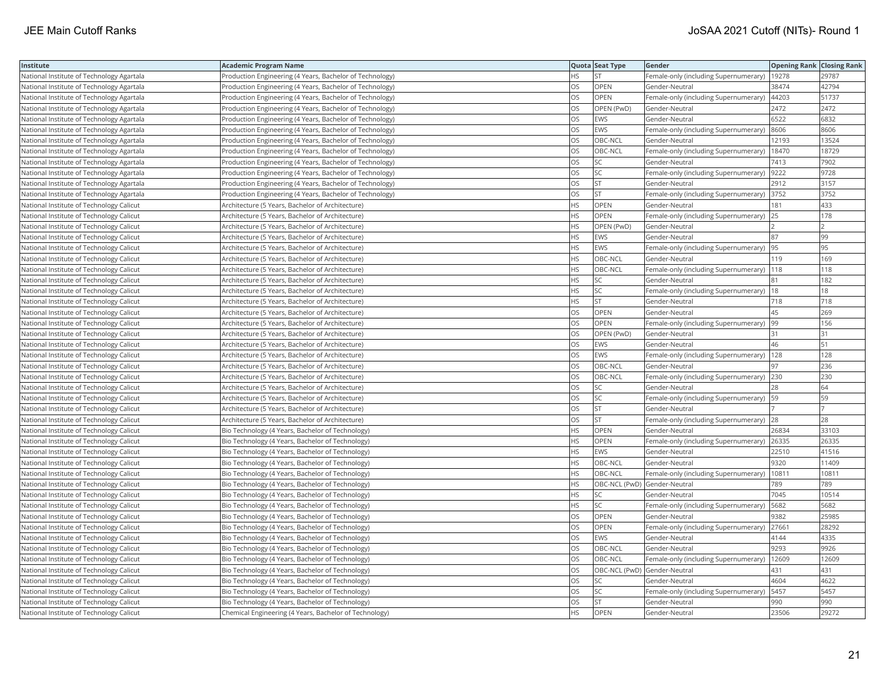| Institute                                 | Academic Program Name                                    |           | Quota Seat Type              | Gender                                        | <b>Opening Rank Closing Rank</b> |       |
|-------------------------------------------|----------------------------------------------------------|-----------|------------------------------|-----------------------------------------------|----------------------------------|-------|
| National Institute of Technology Agartala | Production Engineering (4 Years, Bachelor of Technology) | HS.       | <b>ST</b>                    | Female-only (including Supernumerary)   19278 |                                  | 29787 |
| National Institute of Technology Agartala | Production Engineering (4 Years, Bachelor of Technology) | OS        | OPEN                         | Gender-Neutral                                | 38474                            | 42794 |
| National Institute of Technology Agartala | Production Engineering (4 Years, Bachelor of Technology) | OS        | OPEN                         | Female-only (including Supernumerary)   44203 |                                  | 51737 |
| National Institute of Technology Agartala | Production Engineering (4 Years, Bachelor of Technology) | OS        | OPEN (PwD)                   | Gender-Neutral                                | 2472                             | 2472  |
| National Institute of Technology Agartala | Production Engineering (4 Years, Bachelor of Technology) | OS        | EWS                          | Gender-Neutral                                | 6522                             | 6832  |
| National Institute of Technology Agartala | Production Engineering (4 Years, Bachelor of Technology) | OS        | EWS                          | Female-only (including Supernumerary)         | 8606                             | 8606  |
| National Institute of Technology Agartala | Production Engineering (4 Years, Bachelor of Technology) | OS        | OBC-NCL                      | Gender-Neutral                                | 12193                            | 13524 |
| National Institute of Technology Agartala | Production Engineering (4 Years, Bachelor of Technology) | OS.       | OBC-NCL                      | Female-only (including Supernumerary)         | 18470                            | 18729 |
| National Institute of Technology Agartala | Production Engineering (4 Years, Bachelor of Technology) | OS        | SC                           | Gender-Neutral                                | 7413                             | 7902  |
| National Institute of Technology Agartala | Production Engineering (4 Years, Bachelor of Technology) | OS        | SC                           | Female-only (including Supernumerary)         | 9222                             | 9728  |
| National Institute of Technology Agartala | Production Engineering (4 Years, Bachelor of Technology) | OS        | <b>ST</b>                    | Gender-Neutral                                | 2912                             | 3157  |
| National Institute of Technology Agartala | Production Engineering (4 Years, Bachelor of Technology) | OS        | <b>ST</b>                    | Female-only (including Supernumerary)         | 3752                             | 3752  |
| National Institute of Technology Calicut  | Architecture (5 Years, Bachelor of Architecture)         | <b>HS</b> | OPEN                         | Gender-Neutral                                | 181                              | 433   |
| National Institute of Technology Calicut  | Architecture (5 Years, Bachelor of Architecture)         | <b>HS</b> | <b>OPEN</b>                  | Female-only (including Supernumerary)         | 25                               | 178   |
| National Institute of Technology Calicut  | Architecture (5 Years, Bachelor of Architecture)         | HS        | OPEN (PwD)                   | Gender-Neutral                                |                                  |       |
| National Institute of Technology Calicut  | Architecture (5 Years, Bachelor of Architecture)         | HS        | EWS                          | Gender-Neutral                                | 87                               | 99    |
| National Institute of Technology Calicut  | Architecture (5 Years, Bachelor of Architecture)         | <b>HS</b> | <b>EWS</b>                   | Female-only (including Supernumerary)         | 95                               | 95    |
| National Institute of Technology Calicut  | Architecture (5 Years, Bachelor of Architecture)         | HS.       | OBC-NCL                      | Gender-Neutral                                | 119                              | 169   |
| National Institute of Technology Calicut  | Architecture (5 Years, Bachelor of Architecture)         | HS        | OBC-NCL                      | Female-only (including Supernumerary)         | 118                              | 118   |
| National Institute of Technology Calicut  | Architecture (5 Years, Bachelor of Architecture)         | HS.       | <b>SC</b>                    | Gender-Neutral                                | 81                               | 182   |
| National Institute of Technology Calicut  | Architecture (5 Years, Bachelor of Architecture)         | <b>HS</b> | <b>SC</b>                    | Female-only (including Supernumerary)         | 18                               | 18    |
| National Institute of Technology Calicut  | Architecture (5 Years, Bachelor of Architecture)         | HS        | <b>ST</b>                    | Gender-Neutral                                | 718                              | 718   |
| National Institute of Technology Calicut  | Architecture (5 Years, Bachelor of Architecture)         | OS        | OPEN                         | Gender-Neutral                                | 45                               | 269   |
| National Institute of Technology Calicut  | Architecture (5 Years, Bachelor of Architecture)         | OS        | OPEN                         | Female-only (including Supernumerary)  99     |                                  | 156   |
| National Institute of Technology Calicut  | Architecture (5 Years, Bachelor of Architecture)         | OS        | OPEN (PwD)                   | Gender-Neutral                                | 31                               | 31    |
| National Institute of Technology Calicut  | Architecture (5 Years, Bachelor of Architecture)         | OS.       | <b>EWS</b>                   | Gender-Neutral                                | 46                               | 51    |
| National Institute of Technology Calicut  | Architecture (5 Years, Bachelor of Architecture)         | OS        | EWS                          | Female-only (including Supernumerary)         | 128                              | 128   |
| National Institute of Technology Calicut  | Architecture (5 Years, Bachelor of Architecture)         | OS        | OBC-NCL                      | Gender-Neutral                                | 97                               | 236   |
| National Institute of Technology Calicut  | Architecture (5 Years, Bachelor of Architecture)         | OS.       | OBC-NCL                      | Female-only (including Supernumerary)         | 230                              | 230   |
| National Institute of Technology Calicut  | Architecture (5 Years, Bachelor of Architecture)         | OS        | SC                           | Gender-Neutral                                | 28                               | 64    |
| National Institute of Technology Calicut  | Architecture (5 Years, Bachelor of Architecture)         | OS        | SC                           | Female-only (including Supernumerary)   59    |                                  | 59    |
| National Institute of Technology Calicut  | Architecture (5 Years, Bachelor of Architecture)         | OS        | <b>ST</b>                    | Gender-Neutral                                |                                  |       |
| National Institute of Technology Calicut  | Architecture (5 Years, Bachelor of Architecture)         | OS        | <b>ST</b>                    | Female-only (including Supernumerary)         | 28                               | 28    |
| National Institute of Technology Calicut  | Bio Technology (4 Years, Bachelor of Technology)         | HS        | OPEN                         | Gender-Neutral                                | 26834                            | 33103 |
| National Institute of Technology Calicut  | Bio Technology (4 Years, Bachelor of Technology)         | <b>HS</b> | OPEN                         | Female-only (including Supernumerary)  26335  |                                  | 26335 |
| National Institute of Technology Calicut  | Bio Technology (4 Years, Bachelor of Technology)         | <b>HS</b> | <b>EWS</b>                   | Gender-Neutral                                | 22510                            | 41516 |
| National Institute of Technology Calicut  | Bio Technology (4 Years, Bachelor of Technology)         | HS.       | OBC-NCL                      | Gender-Neutral                                | 9320                             | 11409 |
| National Institute of Technology Calicut  | Bio Technology (4 Years, Bachelor of Technology)         | <b>HS</b> | OBC-NCL                      | Female-only (including Supernumerary)         | 10811                            | 10811 |
| National Institute of Technology Calicut  | Bio Technology (4 Years, Bachelor of Technology)         | НS        | OBC-NCL (PwD) Gender-Neutral |                                               | 789                              | 789   |
| National Institute of Technology Calicut  | Bio Technology (4 Years, Bachelor of Technology)         | HS        | <b>SC</b>                    | Gender-Neutral                                | 7045                             | 10514 |
| National Institute of Technology Calicut  | Bio Technology (4 Years, Bachelor of Technology)         | HS.       | <b>SC</b>                    | Female-only (including Supernumerary)         | 5682                             | 5682  |
| National Institute of Technology Calicut  | Bio Technology (4 Years, Bachelor of Technology)         | OS        | OPEN                         | Gender-Neutral                                | 9382                             | 25985 |
| National Institute of Technology Calicut  | Bio Technology (4 Years, Bachelor of Technology)         | OS        | OPEN                         | Female-only (including Supernumerary)         | 27661                            | 28292 |
| National Institute of Technology Calicut  | Bio Technology (4 Years, Bachelor of Technology)         | OS.       | <b>EWS</b>                   | Gender-Neutral                                | 4144                             | 4335  |
| National Institute of Technology Calicut  | Bio Technology (4 Years, Bachelor of Technology)         | OS        | OBC-NCL                      | Gender-Neutral                                | 9293                             | 9926  |
| National Institute of Technology Calicut  | Bio Technology (4 Years, Bachelor of Technology)         | OS        | OBC-NCL                      | Female-only (including Supernumerary)         | 12609                            | 12609 |
| National Institute of Technology Calicut  | Bio Technology (4 Years, Bachelor of Technology)         | OS.       | OBC-NCL (PwD) Gender-Neutral |                                               | 431                              | 431   |
| National Institute of Technology Calicut  | Bio Technology (4 Years, Bachelor of Technology)         | OS        | SC                           | Gender-Neutral                                | 4604                             | 4622  |
| National Institute of Technology Calicut  | Bio Technology (4 Years, Bachelor of Technology)         | OS        | SC                           | Female-only (including Supernumerary)         | 5457                             | 5457  |
| National Institute of Technology Calicut  | Bio Technology (4 Years, Bachelor of Technology)         | OS        | <b>ST</b>                    | Gender-Neutral                                | 990                              | 990   |
| National Institute of Technology Calicut  | Chemical Engineering (4 Years, Bachelor of Technology)   | <b>HS</b> | OPEN                         | Gender-Neutral                                | 23506                            | 29272 |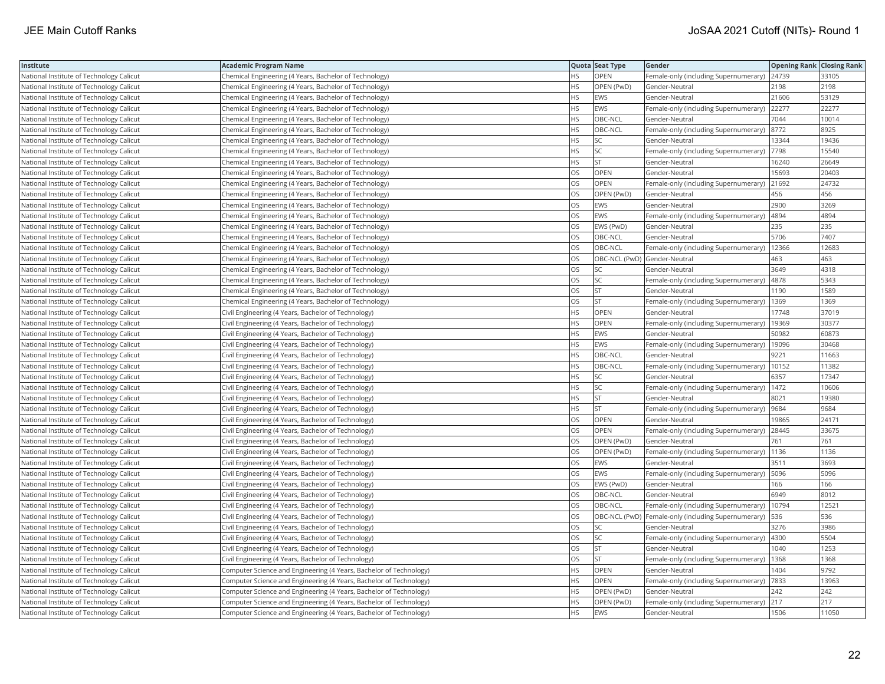| Institute                                | Academic Program Name                                              |           | Quota Seat Type | Gender                                               | <b>Opening Rank Closing Rank</b> |       |
|------------------------------------------|--------------------------------------------------------------------|-----------|-----------------|------------------------------------------------------|----------------------------------|-------|
| National Institute of Technology Calicut | Chemical Engineering (4 Years, Bachelor of Technology)             | ΗS        | OPEN            | Female-only (including Supernumerary)   24739        |                                  | 33105 |
| National Institute of Technology Calicut | Chemical Engineering (4 Years, Bachelor of Technology)             | HS        | OPEN (PwD)      | Gender-Neutral                                       | 2198                             | 2198  |
| National Institute of Technology Calicut | Chemical Engineering (4 Years, Bachelor of Technology)             | <b>HS</b> | EWS             | Gender-Neutral                                       | 21606                            | 53129 |
| National Institute of Technology Calicut | Chemical Engineering (4 Years, Bachelor of Technology)             | HS        | <b>EWS</b>      | Female-only (including Supernumerary)                | 22277                            | 22277 |
| National Institute of Technology Calicut | Chemical Engineering (4 Years, Bachelor of Technology)             | HS        | OBC-NCL         | Gender-Neutral                                       | 7044                             | 10014 |
| National Institute of Technology Calicut | Chemical Engineering (4 Years, Bachelor of Technology)             | HS        | OBC-NCL         | Female-only (including Supernumerary)                | 8772                             | 8925  |
| National Institute of Technology Calicut | Chemical Engineering (4 Years, Bachelor of Technology)             | HS        | <b>SC</b>       | Gender-Neutral                                       | 13344                            | 19436 |
| National Institute of Technology Calicut | Chemical Engineering (4 Years, Bachelor of Technology)             | HS        | SC              | Female-only (including Supernumerary)  7798          |                                  | 15540 |
| National Institute of Technology Calicut | Chemical Engineering (4 Years, Bachelor of Technology)             | HS        | <b>ST</b>       | Gender-Neutral                                       | 16240                            | 26649 |
| National Institute of Technology Calicut | Chemical Engineering (4 Years, Bachelor of Technology)             | OS        | <b>OPEN</b>     | Gender-Neutral                                       | 15693                            | 20403 |
| National Institute of Technology Calicut | Chemical Engineering (4 Years, Bachelor of Technology)             | OS        | OPEN            | Female-only (including Supernumerary)                | 21692                            | 24732 |
| National Institute of Technology Calicut | Chemical Engineering (4 Years, Bachelor of Technology)             | OS        | OPEN (PwD)      | Gender-Neutral                                       | 456                              | 456   |
| National Institute of Technology Calicut | Chemical Engineering (4 Years, Bachelor of Technology)             | OS        | <b>EWS</b>      | Gender-Neutral                                       | 2900                             | 3269  |
| National Institute of Technology Calicut | Chemical Engineering (4 Years, Bachelor of Technology)             | OS        | <b>EWS</b>      | Female-only (including Supernumerary)                | 4894                             | 4894  |
| National Institute of Technology Calicut | Chemical Engineering (4 Years, Bachelor of Technology)             | OS        | EWS (PwD)       | Gender-Neutral                                       | 235                              | 235   |
| National Institute of Technology Calicut | Chemical Engineering (4 Years, Bachelor of Technology)             | OS        | OBC-NCL         | Gender-Neutral                                       | 5706                             | 7407  |
| National Institute of Technology Calicut | Chemical Engineering (4 Years, Bachelor of Technology)             | OS        | OBC-NCL         | Female-only (including Supernumerary)                | 12366                            | 12683 |
| National Institute of Technology Calicut | Chemical Engineering (4 Years, Bachelor of Technology)             | OS        |                 | OBC-NCL (PwD) Gender-Neutral                         | 463                              | 463   |
| National Institute of Technology Calicut | Chemical Engineering (4 Years, Bachelor of Technology)             | OS        | SC              | Gender-Neutral                                       | 3649                             | 4318  |
| National Institute of Technology Calicut | Chemical Engineering (4 Years, Bachelor of Technology)             | OS        | <b>SC</b>       | Female-only (including Supernumerary)                | 4878                             | 5343  |
| National Institute of Technology Calicut | Chemical Engineering (4 Years, Bachelor of Technology)             | OS        | <b>ST</b>       | Gender-Neutral                                       | 1190                             | 1589  |
| National Institute of Technology Calicut | Chemical Engineering (4 Years, Bachelor of Technology)             | OS        | <b>ST</b>       | Female-only (including Supernumerary)                | 1369                             | 1369  |
| National Institute of Technology Calicut | Civil Engineering (4 Years, Bachelor of Technology)                | HS        | OPEN            | Gender-Neutral                                       | 17748                            | 37019 |
| National Institute of Technology Calicut | Civil Engineering (4 Years, Bachelor of Technology)                | HS        | OPEN            | Female-only (including Supernumerary)   19369        |                                  | 30377 |
| National Institute of Technology Calicut | Civil Engineering (4 Years, Bachelor of Technology)                | HS        | EWS             | Gender-Neutral                                       | 50982                            | 60873 |
| National Institute of Technology Calicut | Civil Engineering (4 Years, Bachelor of Technology)                | <b>HS</b> | EWS             | Female-only (including Supernumerary)                | 19096                            | 30468 |
| National Institute of Technology Calicut | Civil Engineering (4 Years, Bachelor of Technology)                | HS        | OBC-NCL         | Gender-Neutral                                       | 9221                             | 11663 |
| National Institute of Technology Calicut | Civil Engineering (4 Years, Bachelor of Technology)                | HS        | OBC-NCL         | Female-only (including Supernumerary)                | 10152                            | 11382 |
| National Institute of Technology Calicut | Civil Engineering (4 Years, Bachelor of Technology)                | HS        | SC              | Gender-Neutral                                       | 6357                             | 17347 |
| National Institute of Technology Calicut | Civil Engineering (4 Years, Bachelor of Technology)                | HS        | SC              | Female-only (including Supernumerary)   1472         |                                  | 10606 |
| National Institute of Technology Calicut | Civil Engineering (4 Years, Bachelor of Technology)                | HS        | <b>ST</b>       | Gender-Neutral                                       | 8021                             | 19380 |
| National Institute of Technology Calicut | Civil Engineering (4 Years, Bachelor of Technology)                | HS        | <b>ST</b>       | Female-only (including Supernumerary)                | 9684                             | 9684  |
| National Institute of Technology Calicut | Civil Engineering (4 Years, Bachelor of Technology)                | OS        | OPEN            | Gender-Neutral                                       | 19865                            | 24171 |
| National Institute of Technology Calicut | Civil Engineering (4 Years, Bachelor of Technology)                | OS        | OPEN            | Female-only (including Supernumerary)                | 28445                            | 33675 |
| National Institute of Technology Calicut | Civil Engineering (4 Years, Bachelor of Technology)                | OS        | OPEN (PwD)      | Gender-Neutral                                       | 761                              | 761   |
| National Institute of Technology Calicut | Civil Engineering (4 Years, Bachelor of Technology)                | OS        | OPEN (PwD)      | Female-only (including Supernumerary)                | 1136                             | 1136  |
| National Institute of Technology Calicut | Civil Engineering (4 Years, Bachelor of Technology)                | OS        | <b>EWS</b>      | Gender-Neutral                                       | 3511                             | 3693  |
| National Institute of Technology Calicut | Civil Engineering (4 Years, Bachelor of Technology)                | OS        | <b>EWS</b>      | Female-only (including Supernumerary)   5096         |                                  | 5096  |
| National Institute of Technology Calicut | Civil Engineering (4 Years, Bachelor of Technology)                | OS        | EWS (PwD)       | Gender-Neutral                                       | 166                              | 166   |
| National Institute of Technology Calicut | Civil Engineering (4 Years, Bachelor of Technology)                | OS        | OBC-NCL         | Gender-Neutral                                       | 6949                             | 8012  |
| National Institute of Technology Calicut | Civil Engineering (4 Years, Bachelor of Technology)                | OS        | OBC-NCL         | Female-only (including Supernumerary)                | 10794                            | 1252' |
| National Institute of Technology Calicut | Civil Engineering (4 Years, Bachelor of Technology)                | OS        |                 | OBC-NCL (PwD)  Female-only (including Supernumerary) | 536                              | 536   |
| National Institute of Technology Calicut | Civil Engineering (4 Years, Bachelor of Technology)                | OS        | <b>SC</b>       | Gender-Neutral                                       | 3276                             | 3986  |
| National Institute of Technology Calicut | Civil Engineering (4 Years, Bachelor of Technology)                | OS        | SC              | Female-only (including Supernumerary)                | 4300                             | 5504  |
| National Institute of Technology Calicut | Civil Engineering (4 Years, Bachelor of Technology)                | OS        | <b>ST</b>       | Gender-Neutral                                       | 1040                             | 1253  |
| National Institute of Technology Calicut | Civil Engineering (4 Years, Bachelor of Technology)                | OS        | ST              | Female-only (including Supernumerary)                | 1368                             | 1368  |
| National Institute of Technology Calicut | Computer Science and Engineering (4 Years, Bachelor of Technology) | <b>HS</b> | <b>OPEN</b>     | Gender-Neutral                                       | 1404                             | 9792  |
| National Institute of Technology Calicut | Computer Science and Engineering (4 Years, Bachelor of Technology) | HS        | OPEN            | Female-only (including Supernumerary)                | 7833                             | 13963 |
| National Institute of Technology Calicut | Computer Science and Engineering (4 Years, Bachelor of Technology) | HS        | OPEN (PwD)      | Gender-Neutral                                       | 242                              | 242   |
| National Institute of Technology Calicut | Computer Science and Engineering (4 Years, Bachelor of Technology) | HS.       | OPEN (PwD)      | Female-only (including Supernumerary)                | 217                              | 217   |
| National Institute of Technology Calicut | Computer Science and Engineering (4 Years, Bachelor of Technology) | <b>HS</b> | <b>EWS</b>      | Gender-Neutral                                       | 1506                             | 11050 |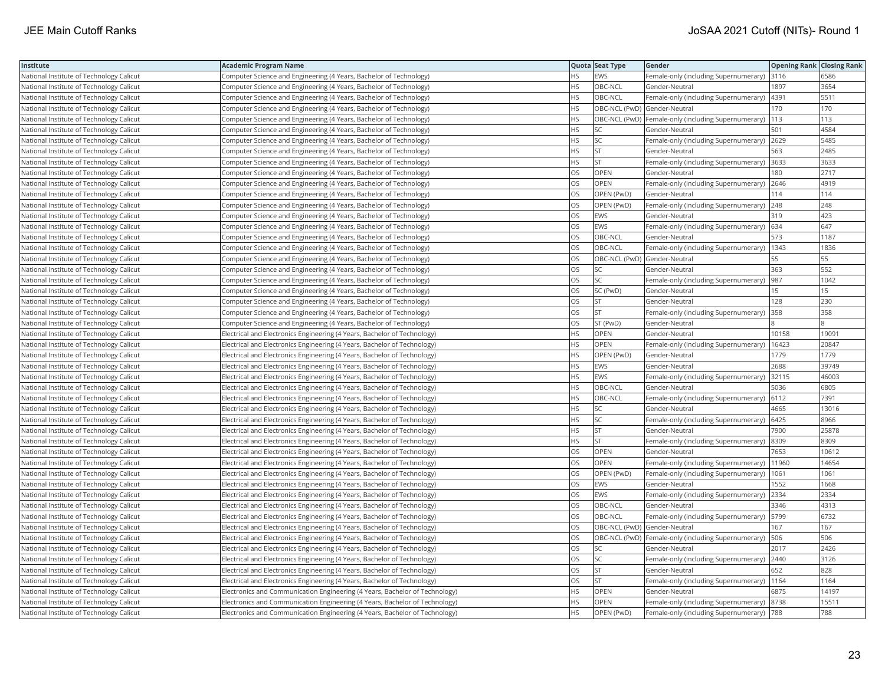| Institute                                | <b>Academic Program Name</b>                                                |           | Quota Seat Type              | Gender                                                  | <b>Opening Rank Closing Rank</b> |       |
|------------------------------------------|-----------------------------------------------------------------------------|-----------|------------------------------|---------------------------------------------------------|----------------------------------|-------|
| National Institute of Technology Calicut | Computer Science and Engineering (4 Years, Bachelor of Technology)          | ΗS        | EWS                          | Female-only (including Supernumerary) 3116              |                                  | 6586  |
| National Institute of Technology Calicut | Computer Science and Engineering (4 Years, Bachelor of Technology)          | HS        | OBC-NCL                      | Gender-Neutral                                          | 1897                             | 3654  |
| National Institute of Technology Calicut | Computer Science and Engineering (4 Years, Bachelor of Technology)          | <b>HS</b> | OBC-NCL                      | Female-only (including Supernumerary)                   | 4391                             | 5511  |
| National Institute of Technology Calicut | Computer Science and Engineering (4 Years, Bachelor of Technology)          | <b>HS</b> | OBC-NCL (PwD) Gender-Neutral |                                                         | 170                              | 170   |
| National Institute of Technology Calicut | Computer Science and Engineering (4 Years, Bachelor of Technology)          | <b>HS</b> |                              | OBC-NCL (PwD) Female-only (including Supernumerary)     | 113                              | 113   |
| National Institute of Technology Calicut | Computer Science and Engineering (4 Years, Bachelor of Technology)          | HS        | SC                           | Gender-Neutral                                          | 501                              | 4584  |
| National Institute of Technology Calicut | Computer Science and Engineering (4 Years, Bachelor of Technology)          | HS        | SC                           | Female-only (including Supernumerary) 2629              |                                  | 5485  |
| National Institute of Technology Calicut | Computer Science and Engineering (4 Years, Bachelor of Technology)          | <b>HS</b> | <b>ST</b>                    | Gender-Neutral                                          | 563                              | 2485  |
| National Institute of Technology Calicut | Computer Science and Engineering (4 Years, Bachelor of Technology)          | HS        | <b>ST</b>                    | Female-only (including Supernumerary) 3633              |                                  | 3633  |
| National Institute of Technology Calicut | Computer Science and Engineering (4 Years, Bachelor of Technology)          | OS        | <b>OPEN</b>                  | Gender-Neutral                                          | 180                              | 2717  |
| National Institute of Technology Calicut | Computer Science and Engineering (4 Years, Bachelor of Technology)          | OS        | OPEN                         | Female-only (including Supernumerary) 2646              |                                  | 4919  |
| National Institute of Technology Calicut | Computer Science and Engineering (4 Years, Bachelor of Technology)          | OS        | OPEN (PwD)                   | Gender-Neutral                                          | 114                              | 114   |
| National Institute of Technology Calicut | Computer Science and Engineering (4 Years, Bachelor of Technology)          | OS        | OPEN (PwD)                   | Female-only (including Supernumerary)                   | 248                              | 248   |
| National Institute of Technology Calicut | Computer Science and Engineering (4 Years, Bachelor of Technology)          | OS        | <b>EWS</b>                   | Gender-Neutral                                          | 319                              | 423   |
| National Institute of Technology Calicut | Computer Science and Engineering (4 Years, Bachelor of Technology)          | OS        | <b>EWS</b>                   | Female-only (including Supernumerary) 634               |                                  | 647   |
| National Institute of Technology Calicut | Computer Science and Engineering (4 Years, Bachelor of Technology)          | OS        | OBC-NCL                      | Gender-Neutral                                          | 573                              | 1187  |
| National Institute of Technology Calicut | Computer Science and Engineering (4 Years, Bachelor of Technology)          | OS        | OBC-NCL                      | Female-only (including Supernumerary)   1343            |                                  | 1836  |
| National Institute of Technology Calicut | Computer Science and Engineering (4 Years, Bachelor of Technology)          | OS        | OBC-NCL (PwD) Gender-Neutral |                                                         | 55                               | 55    |
| National Institute of Technology Calicut | Computer Science and Engineering (4 Years, Bachelor of Technology)          | OS        | SC                           | Gender-Neutral                                          | 363                              | 552   |
| National Institute of Technology Calicut | Computer Science and Engineering (4 Years, Bachelor of Technology)          | OS        | <b>SC</b>                    | Female-only (including Supernumerary)                   | 987                              | 1042  |
| National Institute of Technology Calicut | Computer Science and Engineering (4 Years, Bachelor of Technology)          | OS        | SC (PwD)                     | Gender-Neutral                                          | 15                               | 15    |
| National Institute of Technology Calicut | Computer Science and Engineering (4 Years, Bachelor of Technology)          | OS        | <b>ST</b>                    | Gender-Neutral                                          | 128                              | 230   |
| National Institute of Technology Calicut | Computer Science and Engineering (4 Years, Bachelor of Technology)          | OS        | <b>ST</b>                    | Female-only (including Supernumerary) 358               |                                  | 358   |
| National Institute of Technology Calicut | Computer Science and Engineering (4 Years, Bachelor of Technology)          | OS        | ST (PwD)                     | Gender-Neutral                                          |                                  |       |
| National Institute of Technology Calicut | Electrical and Electronics Engineering (4 Years, Bachelor of Technology)    | HS.       | <b>OPEN</b>                  | Gender-Neutral                                          | 10158                            | 1909  |
| National Institute of Technology Calicut | Electrical and Electronics Engineering (4 Years, Bachelor of Technology)    | НS        | OPEN                         | Female-only (including Supernumerary)                   | 16423                            | 20847 |
| National Institute of Technology Calicut | Electrical and Electronics Engineering (4 Years, Bachelor of Technology)    | ΗS        | OPEN (PwD)                   | Gender-Neutral                                          | 1779                             | 1779  |
| National Institute of Technology Calicut | Electrical and Electronics Engineering (4 Years, Bachelor of Technology)    | НS        | <b>EWS</b>                   | Gender-Neutral                                          | 2688                             | 39749 |
| National Institute of Technology Calicut | Electrical and Electronics Engineering (4 Years, Bachelor of Technology)    | <b>HS</b> | <b>EWS</b>                   | Female-only (including Supernumerary) 32115             |                                  | 46003 |
| National Institute of Technology Calicut | Electrical and Electronics Engineering (4 Years, Bachelor of Technology)    | <b>HS</b> | OBC-NCL                      | Gender-Neutral                                          | 5036                             | 6805  |
| National Institute of Technology Calicut | Electrical and Electronics Engineering (4 Years, Bachelor of Technology)    | HS        | OBC-NCL                      | Female-only (including Supernumerary) 6112              |                                  | 7391  |
| National Institute of Technology Calicut | Electrical and Electronics Engineering (4 Years, Bachelor of Technology)    | ΗS        | SC                           | Gender-Neutral                                          | 4665                             | 13016 |
| National Institute of Technology Calicut | Electrical and Electronics Engineering (4 Years, Bachelor of Technology)    | <b>HS</b> | <b>SC</b>                    | Female-only (including Supernumerary) 6425              |                                  | 8966  |
| National Institute of Technology Calicut | Electrical and Electronics Engineering (4 Years, Bachelor of Technology)    | HS        | <b>ST</b>                    | Gender-Neutral                                          | 7900                             | 25878 |
| National Institute of Technology Calicut | Electrical and Electronics Engineering (4 Years, Bachelor of Technology)    | <b>HS</b> | <b>ST</b>                    | Female-only (including Supernumerary) 8309              |                                  | 8309  |
| National Institute of Technology Calicut | Electrical and Electronics Engineering (4 Years, Bachelor of Technology)    | OS        | <b>OPEN</b>                  | Gender-Neutral                                          | 7653                             | 10612 |
| National Institute of Technology Calicut | Electrical and Electronics Engineering (4 Years, Bachelor of Technology)    | OS        | OPEN                         | Female-only (including Supernumerary)                   | 11960                            | 14654 |
| National Institute of Technology Calicut | Electrical and Electronics Engineering (4 Years, Bachelor of Technology)    | OS        | OPEN (PwD)                   | Female-only (including Supernumerary)                   | 1061                             | 1061  |
| National Institute of Technology Calicut | Electrical and Electronics Engineering (4 Years, Bachelor of Technology)    | OS        | <b>EWS</b>                   | Gender-Neutral                                          | 1552                             | 1668  |
| National Institute of Technology Calicut | Electrical and Electronics Engineering (4 Years, Bachelor of Technology)    | OS        | EWS                          | Female-only (including Supernumerary) 2334              |                                  | 2334  |
| National Institute of Technology Calicut | Electrical and Electronics Engineering (4 Years, Bachelor of Technology)    | OS        | OBC-NCL                      | Gender-Neutral                                          | 3346                             | 4313  |
| National Institute of Technology Calicut | Electrical and Electronics Engineering (4 Years, Bachelor of Technology)    | OS        | OBC-NCL                      | Female-only (including Supernumerary)   5799            |                                  | 6732  |
| National Institute of Technology Calicut | Electrical and Electronics Engineering (4 Years, Bachelor of Technology)    | OS        | OBC-NCL (PwD) Gender-Neutral |                                                         | 167                              | 167   |
| National Institute of Technology Calicut | Electrical and Electronics Engineering (4 Years, Bachelor of Technology)    | OS        |                              | OBC-NCL (PwD) Female-only (including Supernumerary) 506 |                                  | 506   |
| National Institute of Technology Calicut | Electrical and Electronics Engineering (4 Years, Bachelor of Technology)    | OS        | SC                           | Gender-Neutral                                          | 2017                             | 2426  |
| National Institute of Technology Calicut | Electrical and Electronics Engineering (4 Years, Bachelor of Technology)    | OS        | <b>SC</b>                    | Female-only (including Supernumerary)   2440            |                                  | 3126  |
| National Institute of Technology Calicut | Electrical and Electronics Engineering (4 Years, Bachelor of Technology)    | OS        | <b>ST</b>                    | Gender-Neutral                                          | 652                              | 828   |
| National Institute of Technology Calicut | Electrical and Electronics Engineering (4 Years, Bachelor of Technology)    | OS        | <b>ST</b>                    | Female-only (including Supernumerary)   1164            |                                  | 1164  |
| National Institute of Technology Calicut | Electronics and Communication Engineering (4 Years, Bachelor of Technology) | ΗS        | <b>OPEN</b>                  | Gender-Neutral                                          | 6875                             | 14197 |
| National Institute of Technology Calicut | Electronics and Communication Engineering (4 Years, Bachelor of Technology) | HS        | OPEN                         | Female-only (including Supernumerary) 8738              |                                  | 15511 |
| National Institute of Technology Calicut | Electronics and Communication Engineering (4 Years, Bachelor of Technology) | <b>HS</b> | OPEN (PwD)                   | Female-only (including Supernumerary)  788              |                                  | 788   |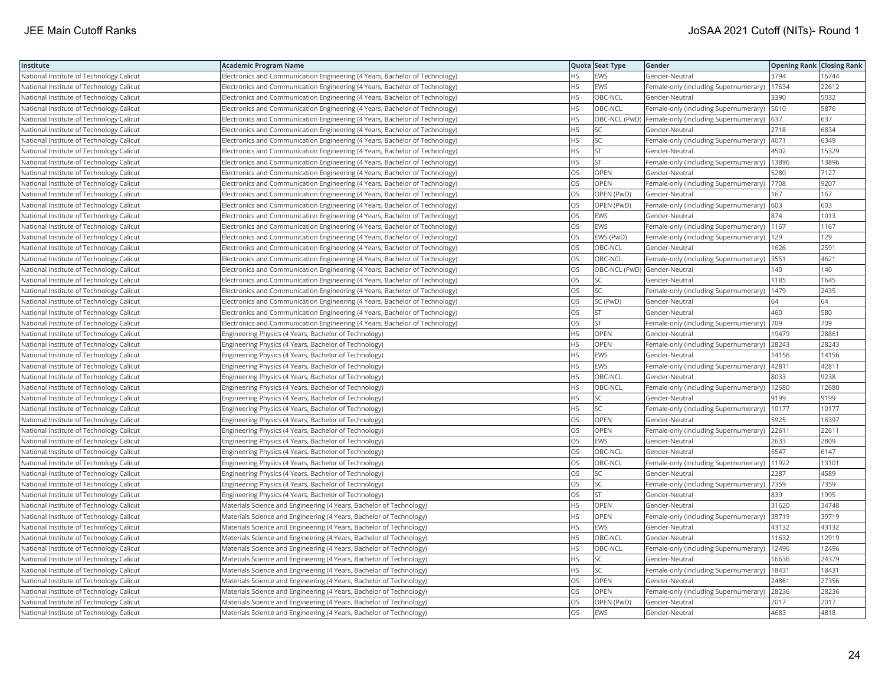| Institute                                | <b>Academic Program Name</b>                                                |           | Quota Seat Type              | Gender                                                  | <b>Opening Rank Closing Rank</b> |       |
|------------------------------------------|-----------------------------------------------------------------------------|-----------|------------------------------|---------------------------------------------------------|----------------------------------|-------|
| National Institute of Technology Calicut | Electronics and Communication Engineering (4 Years, Bachelor of Technology) | НS        | EWS                          | Gender-Neutral                                          | 3794                             | 16744 |
| National Institute of Technology Calicut | Electronics and Communication Engineering (4 Years, Bachelor of Technology) | <b>HS</b> | <b>EWS</b>                   | Female-only (including Supernumerary)                   | 17634                            | 22612 |
| National Institute of Technology Calicut | Electronics and Communication Engineering (4 Years, Bachelor of Technology) | HS        | OBC-NCL                      | Gender-Neutral                                          | 3390                             | 5032  |
| National Institute of Technology Calicut | Electronics and Communication Engineering (4 Years, Bachelor of Technology) | HS        | OBC-NCL                      | Female-only (including Supernumerary)   5010            |                                  | 5876  |
| National Institute of Technology Calicut | Electronics and Communication Engineering (4 Years, Bachelor of Technology) | НS        |                              | OBC-NCL (PwD) Female-only (including Supernumerary) 637 |                                  | 637   |
| National Institute of Technology Calicut | Electronics and Communication Engineering (4 Years, Bachelor of Technology) | НS        | SC                           | Gender-Neutral                                          | 2718                             | 6834  |
| National Institute of Technology Calicut | Electronics and Communication Engineering (4 Years, Bachelor of Technology) | ΗS        | <b>SC</b>                    | Female-only (including Supernumerary)  4071             |                                  | 6349  |
| National Institute of Technology Calicut | Electronics and Communication Engineering (4 Years, Bachelor of Technology) | HS        | <b>ST</b>                    | Gender-Neutral                                          | 4502                             | 15329 |
| National Institute of Technology Calicut | Electronics and Communication Engineering (4 Years, Bachelor of Technology) | HS        | <b>ST</b>                    | Female-only (including Supernumerary)                   | 13896                            | 13896 |
| National Institute of Technology Calicut | Electronics and Communication Engineering (4 Years, Bachelor of Technology) | OS        | OPEN                         | Gender-Neutral                                          | 5280                             | 7127  |
| National Institute of Technology Calicut | Electronics and Communication Engineering (4 Years, Bachelor of Technology) | OS        | OPEN                         | Female-only (including Supernumerary)                   | 7708                             | 9207  |
| National Institute of Technology Calicut | Electronics and Communication Engineering (4 Years, Bachelor of Technology) | OS        | OPEN (PwD)                   | Gender-Neutral                                          | 167                              | 167   |
| National Institute of Technology Calicut | Electronics and Communication Engineering (4 Years, Bachelor of Technology) | OS        | OPEN (PwD)                   | Female-only (including Supernumerary)                   | 603                              | 603   |
| National Institute of Technology Calicut | Electronics and Communication Engineering (4 Years, Bachelor of Technology) | OS        | <b>EWS</b>                   | Gender-Neutral                                          | 874                              | 1013  |
| National Institute of Technology Calicut | Electronics and Communication Engineering (4 Years, Bachelor of Technology) | OS        | EWS                          | Female-only (including Supernumerary)   1167            |                                  | 1167  |
| National Institute of Technology Calicut | Electronics and Communication Engineering (4 Years, Bachelor of Technology) | OS        | EWS (PwD)                    | Female-only (including Supernumerary)                   | 129                              | 129   |
| National Institute of Technology Calicut | Electronics and Communication Engineering (4 Years, Bachelor of Technology) | OS        | OBC-NCL                      | Gender-Neutral                                          | 1626                             | 2591  |
| National Institute of Technology Calicut | Electronics and Communication Engineering (4 Years, Bachelor of Technology) | OS        | OBC-NCL                      | Female-only (including Supernumerary)                   | 3551                             | 4621  |
| National Institute of Technology Calicut | Electronics and Communication Engineering (4 Years, Bachelor of Technology) | OS        | OBC-NCL (PwD) Gender-Neutral |                                                         | 140                              | 140   |
| National Institute of Technology Calicut | Electronics and Communication Engineering (4 Years, Bachelor of Technology) | OS        | SC                           | Gender-Neutral                                          | 1185                             | 1645  |
| National Institute of Technology Calicut | Electronics and Communication Engineering (4 Years, Bachelor of Technology) | OS        | <b>SC</b>                    | Female-only (including Supernumerary)                   | 1479                             | 2435  |
| National Institute of Technology Calicut | Electronics and Communication Engineering (4 Years, Bachelor of Technology) | OS        | SC (PwD)                     | Gender-Neutral                                          | 64                               | 64    |
| National Institute of Technology Calicut | Electronics and Communication Engineering (4 Years, Bachelor of Technology) | OS        | <b>ST</b>                    | Gender-Neutral                                          | 460                              | 580   |
| National Institute of Technology Calicut | Electronics and Communication Engineering (4 Years, Bachelor of Technology) | OS        | <b>ST</b>                    | Female-only (including Supernumerary)                   | 709                              | 709   |
| National Institute of Technology Calicut | Engineering Physics (4 Years, Bachelor of Technology)                       | HS        | OPEN                         | Gender-Neutral                                          | 19479                            | 2886  |
| National Institute of Technology Calicut | Engineering Physics (4 Years, Bachelor of Technology)                       | <b>HS</b> | OPEN                         | Female-only (including Supernumerary)                   | 28243                            | 28243 |
| National Institute of Technology Calicut | Engineering Physics (4 Years, Bachelor of Technology)                       | HS        | <b>EWS</b>                   | Gender-Neutral                                          | 14156                            | 14156 |
| National Institute of Technology Calicut | Engineering Physics (4 Years, Bachelor of Technology)                       | <b>HS</b> | <b>EWS</b>                   | Female-only (including Supernumerary)                   | 42811                            | 42811 |
| National Institute of Technology Calicut | Engineering Physics (4 Years, Bachelor of Technology)                       | HS        | OBC-NCL                      | Gender-Neutral                                          | 8033                             | 9238  |
| National Institute of Technology Calicut | Engineering Physics (4 Years, Bachelor of Technology)                       | HS        | OBC-NCL                      | Female-only (including Supernumerary)                   | 12680                            | 12680 |
| National Institute of Technology Calicut | Engineering Physics (4 Years, Bachelor of Technology)                       | HS        | SC                           | Gender-Neutral                                          | 9199                             | 9199  |
| National Institute of Technology Calicut | Engineering Physics (4 Years, Bachelor of Technology)                       | HS        | SC                           | Female-only (including Supernumerary)                   | 10177                            | 10177 |
| National Institute of Technology Calicut | Engineering Physics (4 Years, Bachelor of Technology)                       | OS        | OPEN                         | Gender-Neutral                                          | 5925                             | 16397 |
| National Institute of Technology Calicut | Engineering Physics (4 Years, Bachelor of Technology)                       | OS        | OPEN                         | Female-only (including Supernumerary)                   | 22611                            | 22611 |
| National Institute of Technology Calicut | Engineering Physics (4 Years, Bachelor of Technology)                       | OS        | <b>EWS</b>                   | Gender-Neutral                                          | 2633                             | 2809  |
| National Institute of Technology Calicut | Engineering Physics (4 Years, Bachelor of Technology)                       | OS        | OBC-NCL                      | Gender-Neutral                                          | 5547                             | 6147  |
| National Institute of Technology Calicut | Engineering Physics (4 Years, Bachelor of Technology)                       | OS        | OBC-NCL                      | Female-only (including Supernumerary)                   | 11922                            | 13101 |
| National Institute of Technology Calicut | Engineering Physics (4 Years, Bachelor of Technology)                       | OS        | SC                           | Gender-Neutral                                          | 2287                             | 4589  |
| National Institute of Technology Calicut | Engineering Physics (4 Years, Bachelor of Technology)                       | OS        | <b>SC</b>                    | Female-only (including Supernumerary)  7359             |                                  | 7359  |
| National Institute of Technology Calicut | Engineering Physics (4 Years, Bachelor of Technology)                       | OS        | <b>ST</b>                    | Gender-Neutral                                          | 839                              | 1995  |
| National Institute of Technology Calicut | Materials Science and Engineering (4 Years, Bachelor of Technology)         | ΗS        | OPEN                         | Gender-Neutral                                          | 31620                            | 34748 |
| National Institute of Technology Calicut | Materials Science and Engineering (4 Years, Bachelor of Technology)         | <b>HS</b> | OPEN                         | Female-only (including Supernumerary) 39719             |                                  | 39719 |
| National Institute of Technology Calicut | Materials Science and Engineering (4 Years, Bachelor of Technology)         | НS        | <b>EWS</b>                   | Gender-Neutral                                          | 43132                            | 43132 |
| National Institute of Technology Calicut | Materials Science and Engineering (4 Years, Bachelor of Technology)         | HS        | OBC-NCL                      | Gender-Neutral                                          | 11632                            | 12919 |
| National Institute of Technology Calicut | Materials Science and Engineering (4 Years, Bachelor of Technology)         | HS        | OBC-NCL                      | Female-only (including Supernumerary)                   | 12496                            | 12496 |
| National Institute of Technology Calicut | Materials Science and Engineering (4 Years, Bachelor of Technology)         | HS        | SC                           | Gender-Neutral                                          | 16636                            | 24379 |
| National Institute of Technology Calicut | Materials Science and Engineering (4 Years, Bachelor of Technology)         | <b>HS</b> | <b>SC</b>                    | Female-only (including Supernumerary)                   | 18431                            | 18431 |
| National Institute of Technology Calicut | Materials Science and Engineering (4 Years, Bachelor of Technology)         | OS        | <b>OPEN</b>                  | Gender-Neutral                                          | 24861                            | 27356 |
| National Institute of Technology Calicut | Materials Science and Engineering (4 Years, Bachelor of Technology)         | OS        | OPEN                         | Female-only (including Supernumerary)                   | 28236                            | 28236 |
| National Institute of Technology Calicut | Materials Science and Engineering (4 Years, Bachelor of Technology)         | OS        | OPEN (PwD)                   | Gender-Neutral                                          | 2017                             | 2017  |
| National Institute of Technology Calicut | Materials Science and Engineering (4 Years, Bachelor of Technology)         | OS        | <b>EWS</b>                   | Gender-Neutral                                          | 4683                             | 4818  |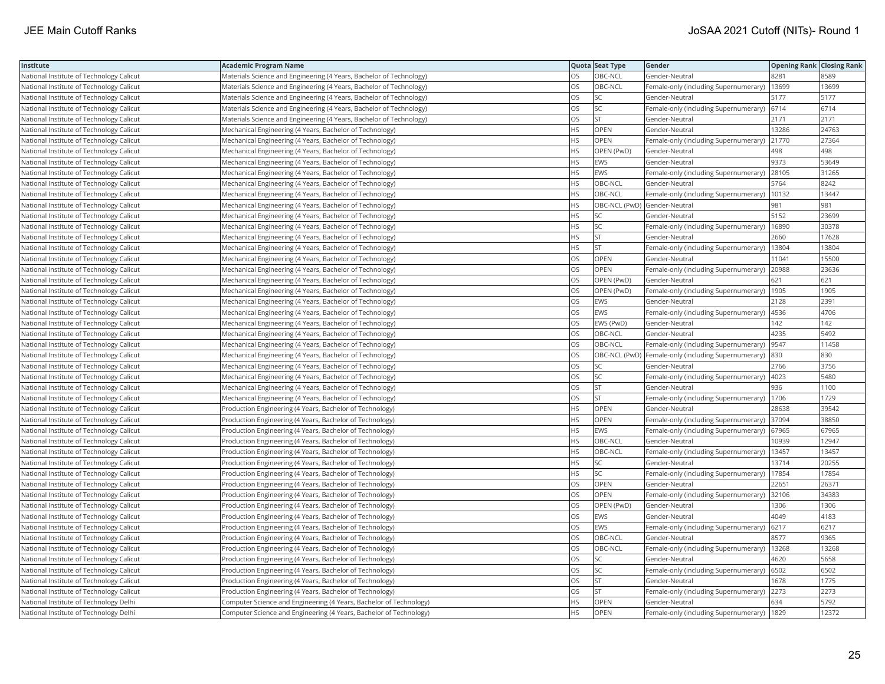| Institute                                | <b>Academic Program Name</b>                                        |           | Quota Seat Type | Gender                                               | <b>Opening Rank Closing Rank</b> |       |
|------------------------------------------|---------------------------------------------------------------------|-----------|-----------------|------------------------------------------------------|----------------------------------|-------|
| National Institute of Technology Calicut | Materials Science and Engineering (4 Years, Bachelor of Technology) | OS        | OBC-NCL         | Gender-Neutral                                       | 8281                             | 8589  |
| National Institute of Technology Calicut | Materials Science and Engineering (4 Years, Bachelor of Technology) | OS        | OBC-NCL         | Female-only (including Supernumerary)                | 13699                            | 13699 |
| National Institute of Technology Calicut | Materials Science and Engineering (4 Years, Bachelor of Technology) | OS        | SC              | Gender-Neutral                                       | 5177                             | 5177  |
| National Institute of Technology Calicut | Materials Science and Engineering (4 Years, Bachelor of Technology) | OS        | SC              | Female-only (including Supernumerary)                | 6714                             | 6714  |
| National Institute of Technology Calicut | Materials Science and Engineering (4 Years, Bachelor of Technology) | OS        | <b>ST</b>       | Gender-Neutral                                       | 2171                             | 2171  |
| National Institute of Technology Calicut | Mechanical Engineering (4 Years, Bachelor of Technology)            | НS        | <b>OPEN</b>     | Gender-Neutral                                       | 13286                            | 24763 |
| National Institute of Technology Calicut | Mechanical Engineering (4 Years, Bachelor of Technology)            | HS        | OPEN            | Female-only (including Supernumerary) 21770          |                                  | 27364 |
| National Institute of Technology Calicut | Mechanical Engineering (4 Years, Bachelor of Technology)            | HS        | OPEN (PwD)      | Gender-Neutral                                       | 498                              | 498   |
| National Institute of Technology Calicut | Mechanical Engineering (4 Years, Bachelor of Technology)            | HS        | <b>EWS</b>      | Gender-Neutral                                       | 9373                             | 53649 |
| National Institute of Technology Calicut | Mechanical Engineering (4 Years, Bachelor of Technology)            | <b>HS</b> | <b>EWS</b>      | Female-only (including Supernumerary)                | 28105                            | 31265 |
| National Institute of Technology Calicut | Mechanical Engineering (4 Years, Bachelor of Technology)            | HS        | OBC-NCL         | Gender-Neutral                                       | 5764                             | 8242  |
| National Institute of Technology Calicut | Mechanical Engineering (4 Years, Bachelor of Technology)            | HS        | OBC-NCL         | Female-only (including Supernumerary)                | 10132                            | 13447 |
| National Institute of Technology Calicut | Mechanical Engineering (4 Years, Bachelor of Technology)            | <b>HS</b> |                 | OBC-NCL (PwD) Gender-Neutral                         | 981                              | 981   |
| National Institute of Technology Calicut | Mechanical Engineering (4 Years, Bachelor of Technology)            | НS        | SC              | Gender-Neutral                                       | 5152                             | 23699 |
| National Institute of Technology Calicut | Mechanical Engineering (4 Years, Bachelor of Technology)            | HS        | SC              | Female-only (including Supernumerary)                | 16890                            | 30378 |
| National Institute of Technology Calicut | Mechanical Engineering (4 Years, Bachelor of Technology)            | HS        | <b>ST</b>       | Gender-Neutral                                       | 2660                             | 17628 |
| National Institute of Technology Calicut | Mechanical Engineering (4 Years, Bachelor of Technology)            | HS        | <b>ST</b>       | Female-only (including Supernumerary)   13804        |                                  | 13804 |
| National Institute of Technology Calicut | Mechanical Engineering (4 Years, Bachelor of Technology)            | OS        | OPEN            | Gender-Neutral                                       | 11041                            | 15500 |
| National Institute of Technology Calicut | Mechanical Engineering (4 Years, Bachelor of Technology)            | OS        | <b>OPEN</b>     | Female-only (including Supernumerary)                | 20988                            | 23636 |
| National Institute of Technology Calicut | Mechanical Engineering (4 Years, Bachelor of Technology)            | OS        | OPEN (PwD)      | Gender-Neutral                                       | 621                              | 621   |
| National Institute of Technology Calicut | Mechanical Engineering (4 Years, Bachelor of Technology)            | OS        | OPEN (PwD)      | Female-only (including Supernumerary)   1905         |                                  | 1905  |
| National Institute of Technology Calicut | Mechanical Engineering (4 Years, Bachelor of Technology)            | OS        | <b>EWS</b>      | Gender-Neutral                                       | 2128                             | 2391  |
| National Institute of Technology Calicut | Mechanical Engineering (4 Years, Bachelor of Technology)            | OS        | <b>EWS</b>      | Female-only (including Supernumerary)  4536          |                                  | 4706  |
| National Institute of Technology Calicut | Mechanical Engineering (4 Years, Bachelor of Technology)            | OS        | EWS (PwD)       | Gender-Neutral                                       | 142                              | 142   |
| National Institute of Technology Calicut | Mechanical Engineering (4 Years, Bachelor of Technology)            | OS        | OBC-NCL         | Gender-Neutral                                       | 4235                             | 5492  |
| National Institute of Technology Calicut | Mechanical Engineering (4 Years, Bachelor of Technology)            | OS        | OBC-NCL         | Female-only (including Supernumerary)                | 9547                             | 11458 |
| National Institute of Technology Calicut | Mechanical Engineering (4 Years, Bachelor of Technology)            | OS        |                 | OBC-NCL (PwD)  Female-only (including Supernumerary) | 830                              | 830   |
| National Institute of Technology Calicut | Mechanical Engineering (4 Years, Bachelor of Technology)            | OS        | SC              | Gender-Neutral                                       | 2766                             | 3756  |
| National Institute of Technology Calicut | Mechanical Engineering (4 Years, Bachelor of Technology)            | OS        | <b>SC</b>       | Female-only (including Supernumerary)                | 4023                             | 5480  |
| National Institute of Technology Calicut | Mechanical Engineering (4 Years, Bachelor of Technology)            | OS        | <b>ST</b>       | Gender-Neutral                                       | 936                              | 1100  |
| National Institute of Technology Calicut | Mechanical Engineering (4 Years, Bachelor of Technology)            | OS        | <b>ST</b>       | Female-only (including Supernumerary)   1706         |                                  | 1729  |
| National Institute of Technology Calicut | Production Engineering (4 Years, Bachelor of Technology)            | HS        | OPEN            | Gender-Neutral                                       | 28638                            | 39542 |
| National Institute of Technology Calicut | Production Engineering (4 Years, Bachelor of Technology)            | HS        | OPEN            | Female-only (including Supernumerary)                | 37094                            | 38850 |
| National Institute of Technology Calicut | Production Engineering (4 Years, Bachelor of Technology)            | HS        | EWS             | Female-only (including Supernumerary)                | 67965                            | 67965 |
| National Institute of Technology Calicut | Production Engineering (4 Years, Bachelor of Technology)            | <b>HS</b> | OBC-NCL         | Gender-Neutral                                       | 10939                            | 12947 |
| National Institute of Technology Calicut | Production Engineering (4 Years, Bachelor of Technology)            | HS        | OBC-NCL         | Female-only (including Supernumerary)                | 13457                            | 13457 |
| National Institute of Technology Calicut | Production Engineering (4 Years, Bachelor of Technology)            | <b>HS</b> | <b>SC</b>       | Gender-Neutral                                       | 13714                            | 20255 |
| National Institute of Technology Calicut | Production Engineering (4 Years, Bachelor of Technology)            | <b>HS</b> | <b>SC</b>       | Female-only (including Supernumerary)                | 17854                            | 17854 |
| National Institute of Technology Calicut | Production Engineering (4 Years, Bachelor of Technology)            | OS        | OPEN            | Gender-Neutral                                       | 22651                            | 26371 |
| National Institute of Technology Calicut | Production Engineering (4 Years, Bachelor of Technology)            | OS        | OPEN            | Female-only (including Supernumerary) 32106          |                                  | 34383 |
| National Institute of Technology Calicut | Production Engineering (4 Years, Bachelor of Technology)            | OS        | OPEN (PwD)      | Gender-Neutral                                       | 1306                             | 1306  |
| National Institute of Technology Calicut | Production Engineering (4 Years, Bachelor of Technology)            | OS        | <b>EWS</b>      | Gender-Neutral                                       | 4049                             | 4183  |
| National Institute of Technology Calicut | Production Engineering (4 Years, Bachelor of Technology)            | OS        | EWS             | Female-only (including Supernumerary)                | 6217                             | 6217  |
| National Institute of Technology Calicut | Production Engineering (4 Years, Bachelor of Technology)            | OS        | OBC-NCL         | Gender-Neutral                                       | 8577                             | 9365  |
| National Institute of Technology Calicut | Production Engineering (4 Years, Bachelor of Technology)            | OS        | OBC-NCL         | Female-only (including Supernumerary)                | 13268                            | 13268 |
| National Institute of Technology Calicut | Production Engineering (4 Years, Bachelor of Technology)            | OS        | <b>SC</b>       | Gender-Neutral                                       | 4620                             | 5658  |
| National Institute of Technology Calicut | Production Engineering (4 Years, Bachelor of Technology)            | OS        | SC              | Female-only (including Supernumerary) 6502           |                                  | 6502  |
| National Institute of Technology Calicut | Production Engineering (4 Years, Bachelor of Technology)            | OS        | <b>ST</b>       | Gender-Neutral                                       | 1678                             | 1775  |
| National Institute of Technology Calicut | Production Engineering (4 Years, Bachelor of Technology)            | OS        | <b>ST</b>       | Female-only (including Supernumerary)   2273         |                                  | 2273  |
| National Institute of Technology Delhi   | Computer Science and Engineering (4 Years, Bachelor of Technology)  | ΗS        | OPEN            | Gender-Neutral                                       | 634                              | 5792  |
| National Institute of Technology Delhi   | Computer Science and Engineering (4 Years, Bachelor of Technology)  | <b>HS</b> | OPEN            | Female-only (including Supernumerary)   1829         |                                  | 12372 |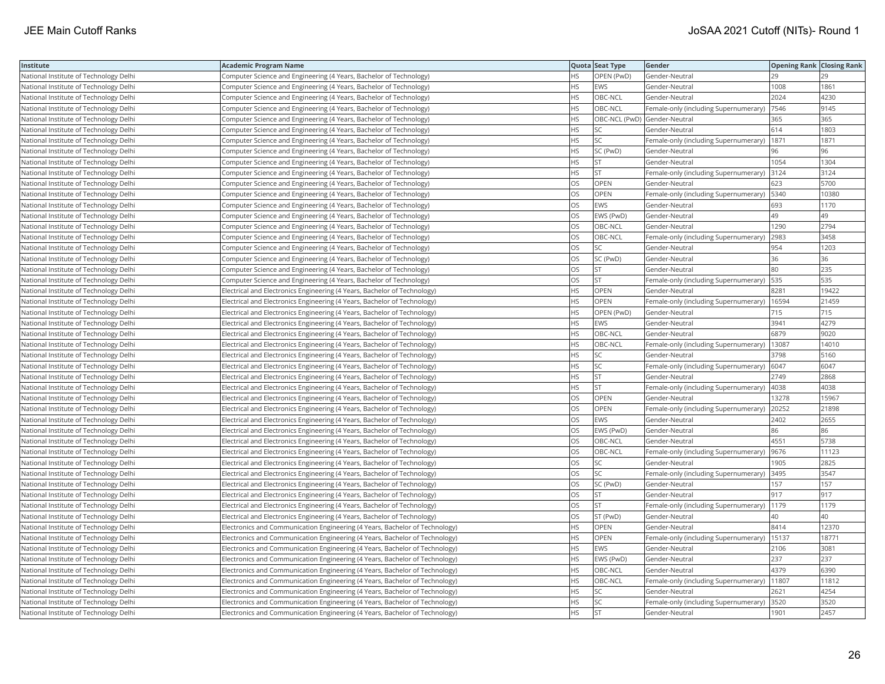| Institute                              | <b>Academic Program Name</b>                                                |           | Quota Seat Type              | Gender                                        | <b>Opening Rank Closing Rank</b> |       |
|----------------------------------------|-----------------------------------------------------------------------------|-----------|------------------------------|-----------------------------------------------|----------------------------------|-------|
| National Institute of Technology Delhi | Computer Science and Engineering (4 Years, Bachelor of Technology)          |           | OPEN (PwD)                   | Gender-Neutral                                | 29                               |       |
| National Institute of Technology Delhi | Computer Science and Engineering (4 Years, Bachelor of Technology)          | HS.       | <b>EWS</b>                   | Gender-Neutral                                | 1008                             | 1861  |
| National Institute of Technology Delhi | Computer Science and Engineering (4 Years, Bachelor of Technology)          | HS        | OBC-NCL                      | Gender-Neutral                                | 2024                             | 4230  |
| National Institute of Technology Delhi | Computer Science and Engineering (4 Years, Bachelor of Technology)          | HS.       | OBC-NCL                      | Female-only (including Supernumerary)         | 7546                             | 9145  |
| National Institute of Technology Delhi | Computer Science and Engineering (4 Years, Bachelor of Technology)          | <b>HS</b> | OBC-NCL (PwD) Gender-Neutral |                                               | 365                              | 365   |
| National Institute of Technology Delhi | Computer Science and Engineering (4 Years, Bachelor of Technology)          | HS        | SC                           | Gender-Neutral                                | 614                              | 1803  |
| National Institute of Technology Delhi | Computer Science and Engineering (4 Years, Bachelor of Technology)          | HS        | SC                           | Female-only (including Supernumerary)         | 1871                             | 1871  |
| National Institute of Technology Delhi | Computer Science and Engineering (4 Years, Bachelor of Technology)          | HS.       | SC (PwD)                     | Gender-Neutral                                | 96                               | 96    |
| National Institute of Technology Delhi | Computer Science and Engineering (4 Years, Bachelor of Technology)          | HS        | <b>ST</b>                    | Gender-Neutral                                | 1054                             | 1304  |
| National Institute of Technology Delhi | Computer Science and Engineering (4 Years, Bachelor of Technology)          | HS.       | <b>ST</b>                    | Female-only (including Supernumerary) 3124    |                                  | 3124  |
| National Institute of Technology Delhi | Computer Science and Engineering (4 Years, Bachelor of Technology)          | OS.       | <b>OPEN</b>                  | Gender-Neutral                                | 623                              | 5700  |
| National Institute of Technology Delhi | Computer Science and Engineering (4 Years, Bachelor of Technology)          | OS.       | OPEN                         | Female-only (including Supernumerary)   5340  |                                  | 10380 |
| National Institute of Technology Delhi | Computer Science and Engineering (4 Years, Bachelor of Technology)          | OS        | <b>EWS</b>                   | Gender-Neutral                                | 693                              | 1170  |
| National Institute of Technology Delhi | Computer Science and Engineering (4 Years, Bachelor of Technology)          | OS        | EWS (PwD)                    | Gender-Neutral                                | 49                               | 49    |
| National Institute of Technology Delhi | Computer Science and Engineering (4 Years, Bachelor of Technology)          | OS        | OBC-NCL                      | Gender-Neutral                                | 1290                             | 2794  |
| National Institute of Technology Delhi | Computer Science and Engineering (4 Years, Bachelor of Technology)          | OS        | OBC-NCL                      | Female-only (including Supernumerary)         | 2983                             | 3458  |
| National Institute of Technology Delhi | Computer Science and Engineering (4 Years, Bachelor of Technology)          | OS        | SC                           | Gender-Neutral                                | 954                              | 1203  |
| National Institute of Technology Delhi | Computer Science and Engineering (4 Years, Bachelor of Technology)          | OS        | SC (PwD)                     | Gender-Neutral                                | 36                               | 36    |
| National Institute of Technology Delhi | Computer Science and Engineering (4 Years, Bachelor of Technology)          | OS.       | <b>ST</b>                    | Gender-Neutral                                | 80                               | 235   |
| National Institute of Technology Delhi | Computer Science and Engineering (4 Years, Bachelor of Technology)          | <b>OS</b> | <b>ST</b>                    | Female-only (including Supernumerary)         | 535                              | 535   |
| National Institute of Technology Delhi | Electrical and Electronics Engineering (4 Years, Bachelor of Technology)    | HS.       | OPEN                         | Gender-Neutral                                | 8281                             | 19422 |
| National Institute of Technology Delhi | Electrical and Electronics Engineering (4 Years, Bachelor of Technology)    | HS.       | <b>OPEN</b>                  | Female-only (including Supernumerary)   16594 |                                  | 21459 |
| National Institute of Technology Delhi | Electrical and Electronics Engineering (4 Years, Bachelor of Technology)    | HS.       | OPEN (PwD)                   | Gender-Neutral                                | 715                              | 715   |
| National Institute of Technology Delhi | Electrical and Electronics Engineering (4 Years, Bachelor of Technology)    | HS.       | <b>EWS</b>                   | Gender-Neutral                                | 3941                             | 4279  |
| National Institute of Technology Delhi | Electrical and Electronics Engineering (4 Years, Bachelor of Technology)    | HS        | OBC-NCL                      | Gender-Neutral                                | 6879                             | 9020  |
| National Institute of Technology Delhi | Electrical and Electronics Engineering (4 Years, Bachelor of Technology)    | HS        | OBC-NCL                      | Female-only (including Supernumerary)         | 13087                            | 14010 |
| National Institute of Technology Delhi | Electrical and Electronics Engineering (4 Years, Bachelor of Technology)    | HS.       | SC                           | Gender-Neutral                                | 3798                             | 5160  |
| National Institute of Technology Delhi | Electrical and Electronics Engineering (4 Years, Bachelor of Technology)    | HS.       | <b>SC</b>                    | Female-only (including Supernumerary) 6047    |                                  | 6047  |
| National Institute of Technology Delhi | Electrical and Electronics Engineering (4 Years, Bachelor of Technology)    | HS        | <b>ST</b>                    | Gender-Neutral                                | 2749                             | 2868  |
| National Institute of Technology Delhi | Electrical and Electronics Engineering (4 Years, Bachelor of Technology)    | HS.       | <b>ST</b>                    | Female-only (including Supernumerary)   4038  |                                  | 4038  |
| National Institute of Technology Delhi | Electrical and Electronics Engineering (4 Years, Bachelor of Technology)    | OS        | <b>OPEN</b>                  | Gender-Neutral                                | 13278                            | 15967 |
| National Institute of Technology Delhi | Electrical and Electronics Engineering (4 Years, Bachelor of Technology)    | OS        | OPEN                         | Female-only (including Supernumerary)         | 20252                            | 21898 |
| National Institute of Technology Delhi | Electrical and Electronics Engineering (4 Years, Bachelor of Technology)    | OS.       | <b>EWS</b>                   | Gender-Neutral                                | 2402                             | 2655  |
| National Institute of Technology Delhi | Electrical and Electronics Engineering (4 Years, Bachelor of Technology)    | OS        | EWS (PwD)                    | Gender-Neutral                                | 86                               | 86    |
| National Institute of Technology Delhi | Electrical and Electronics Engineering (4 Years, Bachelor of Technology)    | OS        | OBC-NCL                      | Gender-Neutral                                | 4551                             | 5738  |
| National Institute of Technology Delhi | Electrical and Electronics Engineering (4 Years, Bachelor of Technology)    | OS.       | OBC-NCL                      | Female-only (including Supernumerary)         | 9676                             | 11123 |
| National Institute of Technology Delhi | Electrical and Electronics Engineering (4 Years, Bachelor of Technology)    | OS        | SC                           | Gender-Neutral                                | 1905                             | 2825  |
| National Institute of Technology Delhi | Electrical and Electronics Engineering (4 Years, Bachelor of Technology)    | OS        | SC                           | Female-only (including Supernumerary)         | 3495                             | 3547  |
| National Institute of Technology Delhi | Electrical and Electronics Engineering (4 Years, Bachelor of Technology)    | OS        | SC (PwD)                     | Gender-Neutral                                | 157                              | 157   |
| National Institute of Technology Delhi | Electrical and Electronics Engineering (4 Years, Bachelor of Technology)    | OS        | <b>ST</b>                    | Gender-Neutral                                | 917                              | 917   |
| National Institute of Technology Delhi | Electrical and Electronics Engineering (4 Years, Bachelor of Technology)    | OS.       | <b>ST</b>                    | Female-only (including Supernumerary)         | 1179                             | 1179  |
| National Institute of Technology Delhi | Electrical and Electronics Engineering (4 Years, Bachelor of Technology)    | OS        | ST (PwD)                     | Gender-Neutral                                | 40                               | 40    |
| National Institute of Technology Delhi | Electronics and Communication Engineering (4 Years, Bachelor of Technology) | HS.       | OPEN                         | Gender-Neutral                                | 8414                             | 12370 |
| National Institute of Technology Delhi | Electronics and Communication Engineering (4 Years, Bachelor of Technology) | HS.       | <b>OPEN</b>                  | Female-only (including Supernumerary)   15137 |                                  | 18771 |
| National Institute of Technology Delhi | Electronics and Communication Engineering (4 Years, Bachelor of Technology) | <b>HS</b> | <b>EWS</b>                   | Gender-Neutral                                | 2106                             | 3081  |
| National Institute of Technology Delhi | Electronics and Communication Engineering (4 Years, Bachelor of Technology) | HS.       | EWS (PwD)                    | Gender-Neutral                                | 237                              | 237   |
| National Institute of Technology Delhi | Electronics and Communication Engineering (4 Years, Bachelor of Technology) | <b>HS</b> | OBC-NCL                      | Gender-Neutral                                | 4379                             | 6390  |
| National Institute of Technology Delhi | Electronics and Communication Engineering (4 Years, Bachelor of Technology) | НS        | OBC-NCL                      | Female-only (including Supernumerary)  11807  |                                  | 11812 |
| National Institute of Technology Delhi | Electronics and Communication Engineering (4 Years, Bachelor of Technology) | HS        |                              | Gender-Neutral                                | 2621                             | 4254  |
| National Institute of Technology Delhi | Electronics and Communication Engineering (4 Years, Bachelor of Technology) | <b>HS</b> | SC                           | Female-only (including Supernumerary)         | 3520                             | 3520  |
| National Institute of Technology Delhi | Electronics and Communication Engineering (4 Years, Bachelor of Technology) | <b>HS</b> | <b>ST</b>                    | Gender-Neutral                                | 1901                             | 2457  |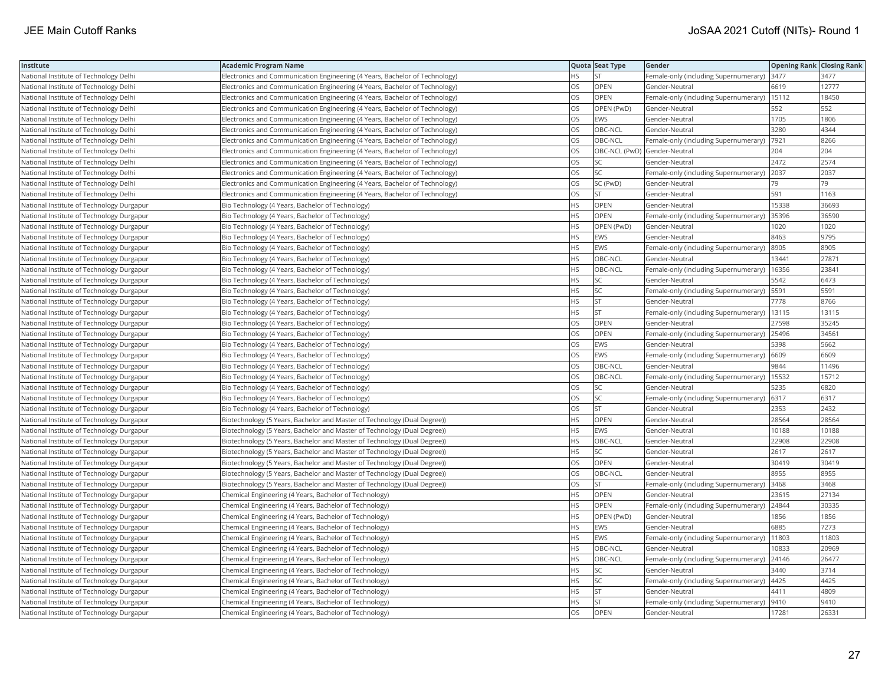| Institute                                 | Academic Program Name                                                       |           | Quota Seat Type              | Gender                                        | <b>Opening Rank   Closing Rank</b> |       |
|-------------------------------------------|-----------------------------------------------------------------------------|-----------|------------------------------|-----------------------------------------------|------------------------------------|-------|
| National Institute of Technology Delhi    | Electronics and Communication Engineering (4 Years, Bachelor of Technology) | HS.       | <b>ST</b>                    | Female-only (including Supernumerary)         | 3477                               | 3477  |
| National Institute of Technology Delhi    | Electronics and Communication Engineering (4 Years, Bachelor of Technology) | OS        | <b>OPEN</b>                  | Gender-Neutral                                | 6619                               | 12777 |
| National Institute of Technology Delhi    | Electronics and Communication Engineering (4 Years, Bachelor of Technology) | OS        | OPEN                         | Female-only (including Supernumerary)         | 15112                              | 18450 |
| National Institute of Technology Delhi    | Electronics and Communication Engineering (4 Years, Bachelor of Technology) | OS.       | OPEN (PwD)                   | Gender-Neutral                                | 552                                | 552   |
| National Institute of Technology Delhi    | Electronics and Communication Engineering (4 Years, Bachelor of Technology) | OS        | <b>EWS</b>                   | Gender-Neutral                                | 1705                               | 1806  |
| National Institute of Technology Delhi    | Electronics and Communication Engineering (4 Years, Bachelor of Technology) | OS        | OBC-NCL                      | Gender-Neutral                                | 3280                               | 4344  |
| National Institute of Technology Delhi    | Electronics and Communication Engineering (4 Years, Bachelor of Technology) | OS        | OBC-NCL                      | Female-only (including Supernumerary)         | 7921                               | 8266  |
| National Institute of Technology Delhi    | Electronics and Communication Engineering (4 Years, Bachelor of Technology) | OS        | OBC-NCL (PwD) Gender-Neutral |                                               | 204                                | 204   |
| National Institute of Technology Delhi    | Electronics and Communication Engineering (4 Years, Bachelor of Technology) | OS        | SC                           | Gender-Neutral                                | 2472                               | 2574  |
| National Institute of Technology Delhi    | Electronics and Communication Engineering (4 Years, Bachelor of Technology) | OS        | SC                           | Female-only (including Supernumerary)         | 2037                               | 2037  |
| National Institute of Technology Delhi    | Electronics and Communication Engineering (4 Years, Bachelor of Technology) | OS        | SC (PwD)                     | Gender-Neutral                                | 79                                 | 79    |
| National Institute of Technology Delhi    | Electronics and Communication Engineering (4 Years, Bachelor of Technology) | OS        | <b>ST</b>                    | Gender-Neutral                                | 591                                | 1163  |
| National Institute of Technology Durgapur | Bio Technology (4 Years, Bachelor of Technology)                            | HS        | OPEN                         | Gender-Neutral                                | 15338                              | 36693 |
| National Institute of Technology Durgapur | Bio Technology (4 Years, Bachelor of Technology)                            | HS        | OPEN                         | Female-only (including Supernumerary)         | 35396                              | 36590 |
| National Institute of Technology Durgapur | Bio Technology (4 Years, Bachelor of Technology)                            | HS.       | OPEN (PwD)                   | Gender-Neutral                                | 1020                               | 1020  |
| National Institute of Technology Durgapur | Bio Technology (4 Years, Bachelor of Technology)                            | HS        | <b>EWS</b>                   | Gender-Neutral                                | 8463                               | 9795  |
| National Institute of Technology Durgapur | Bio Technology (4 Years, Bachelor of Technology)                            | HS.       | <b>EWS</b>                   | Female-only (including Supernumerary)         | 8905                               | 8905  |
| National Institute of Technology Durgapur | Bio Technology (4 Years, Bachelor of Technology)                            | HS.       | OBC-NCL                      | Gender-Neutral                                | 13441                              | 27871 |
| National Institute of Technology Durgapur | Bio Technology (4 Years, Bachelor of Technology)                            | <b>HS</b> | OBC-NCL                      | Female-only (including Supernumerary)         | 16356                              | 23841 |
| National Institute of Technology Durgapur | Bio Technology (4 Years, Bachelor of Technology)                            | HS        | SC                           | Gender-Neutral                                | 5542                               | 6473  |
| National Institute of Technology Durgapur | Bio Technology (4 Years, Bachelor of Technology)                            | HS.       | SC                           | Female-only (including Supernumerary)         | 5591                               | 5591  |
| National Institute of Technology Durgapur | Bio Technology (4 Years, Bachelor of Technology)                            | HS        | <b>ST</b>                    | Gender-Neutral                                | 7778                               | 8766  |
| National Institute of Technology Durgapur | Bio Technology (4 Years, Bachelor of Technology)                            | HS        | <b>ST</b>                    | Female-only (including Supernumerary)   13115 |                                    | 13115 |
| National Institute of Technology Durgapur | Bio Technology (4 Years, Bachelor of Technology)                            | OS        | OPEN                         | Gender-Neutral                                | 27598                              | 35245 |
| National Institute of Technology Durgapur | Bio Technology (4 Years, Bachelor of Technology)                            | OS        | <b>OPEN</b>                  | Female-only (including Supernumerary)         | 25496                              | 34561 |
| National Institute of Technology Durgapur | Bio Technology (4 Years, Bachelor of Technology)                            | OS        | <b>EWS</b>                   | Gender-Neutral                                | 5398                               | 5662  |
| National Institute of Technology Durgapur | Bio Technology (4 Years, Bachelor of Technology)                            | OS.       | <b>EWS</b>                   | Female-only (including Supernumerary)         | 6609                               | 6609  |
| National Institute of Technology Durgapur | Bio Technology (4 Years, Bachelor of Technology)                            | OS        | OBC-NCL                      | Gender-Neutral                                | 9844                               | 11496 |
| National Institute of Technology Durgapur | Bio Technology (4 Years, Bachelor of Technology)                            | OS        | OBC-NCL                      | Female-only (including Supernumerary)   15532 |                                    | 15712 |
| National Institute of Technology Durgapur | Bio Technology (4 Years, Bachelor of Technology)                            | OS        | SC                           | Gender-Neutral                                | 5235                               | 6820  |
| National Institute of Technology Durgapur | Bio Technology (4 Years, Bachelor of Technology)                            | OS        | SC                           | Female-only (including Supernumerary) 6317    |                                    | 6317  |
| National Institute of Technology Durgapur | Bio Technology (4 Years, Bachelor of Technology)                            | OS.       | <b>ST</b>                    | Gender-Neutral                                | 2353                               | 2432  |
| National Institute of Technology Durgapur | Biotechnology (5 Years, Bachelor and Master of Technology (Dual Degree))    | HS        | OPEN                         | Gender-Neutral                                | 28564                              | 28564 |
| National Institute of Technology Durgapur | Biotechnology (5 Years, Bachelor and Master of Technology (Dual Degree))    | HS.       | <b>EWS</b>                   | Gender-Neutral                                | 10188                              | 10188 |
| National Institute of Technology Durgapur | Biotechnology (5 Years, Bachelor and Master of Technology (Dual Degree))    | HS.       | OBC-NCL                      | Gender-Neutral                                | 22908                              | 22908 |
| National Institute of Technology Durgapur | Biotechnology (5 Years, Bachelor and Master of Technology (Dual Degree))    | HS.       | SC                           | Gender-Neutral                                | 2617                               | 2617  |
| National Institute of Technology Durgapur | Biotechnology (5 Years, Bachelor and Master of Technology (Dual Degree))    | OS        | OPEN                         | Gender-Neutral                                | 30419                              | 30419 |
| National Institute of Technology Durgapur | Biotechnology (5 Years, Bachelor and Master of Technology (Dual Degree))    | OS        | OBC-NCL                      | Gender-Neutral                                | 8955                               | 8955  |
| National Institute of Technology Durgapur | Biotechnology (5 Years, Bachelor and Master of Technology (Dual Degree))    | OS        | <b>ST</b>                    | Female-only (including Supernumerary)         | 3468                               | 3468  |
| National Institute of Technology Durgapur | Chemical Engineering (4 Years, Bachelor of Technology)                      | HS.       | <b>OPEN</b>                  | Gender-Neutral                                | 23615                              | 27134 |
| National Institute of Technology Durgapur | Chemical Engineering (4 Years, Bachelor of Technology)                      | HS.       | OPEN                         | Female-only (including Supernumerary)         | 24844                              | 30335 |
| National Institute of Technology Durgapur | Chemical Engineering (4 Years, Bachelor of Technology)                      | <b>HS</b> | OPEN (PwD)                   | Gender-Neutral                                | 1856                               | 1856  |
| National Institute of Technology Durgapur | Chemical Engineering (4 Years, Bachelor of Technology)                      | HS.       | <b>EWS</b>                   | Gender-Neutral                                | 6885                               | 7273  |
| National Institute of Technology Durgapur | Chemical Engineering (4 Years, Bachelor of Technology)                      | HS.       | <b>EWS</b>                   | Female-only (including Supernumerary)         | 11803                              | 11803 |
| National Institute of Technology Durgapur | Chemical Engineering (4 Years, Bachelor of Technology)                      | <b>HS</b> | OBC-NCL                      | Gender-Neutral                                | 10833                              | 20969 |
| National Institute of Technology Durgapur | Chemical Engineering (4 Years, Bachelor of Technology)                      | HS        | OBC-NCL                      | Female-only (including Supernumerary)         | 24146                              | 26477 |
| National Institute of Technology Durgapur | Chemical Engineering (4 Years, Bachelor of Technology)                      | HS        | SC                           | Gender-Neutral                                | 3440                               | 3714  |
| National Institute of Technology Durgapur | Chemical Engineering (4 Years, Bachelor of Technology)                      | HS        | SC                           | Female-only (including Supernumerary)         | 4425                               | 4425  |
| National Institute of Technology Durgapur | Chemical Engineering (4 Years, Bachelor of Technology)                      | HS        | <b>ST</b>                    | Gender-Neutral                                | 4411                               | 4809  |
| National Institute of Technology Durgapur | Chemical Engineering (4 Years, Bachelor of Technology)                      | HS.       | <b>ST</b>                    | Female-only (including Supernumerary)         | 9410                               | 9410  |
| National Institute of Technology Durgapur | Chemical Engineering (4 Years, Bachelor of Technology)                      | OS        | OPEN                         | Gender-Neutral                                | 17281                              | 2633  |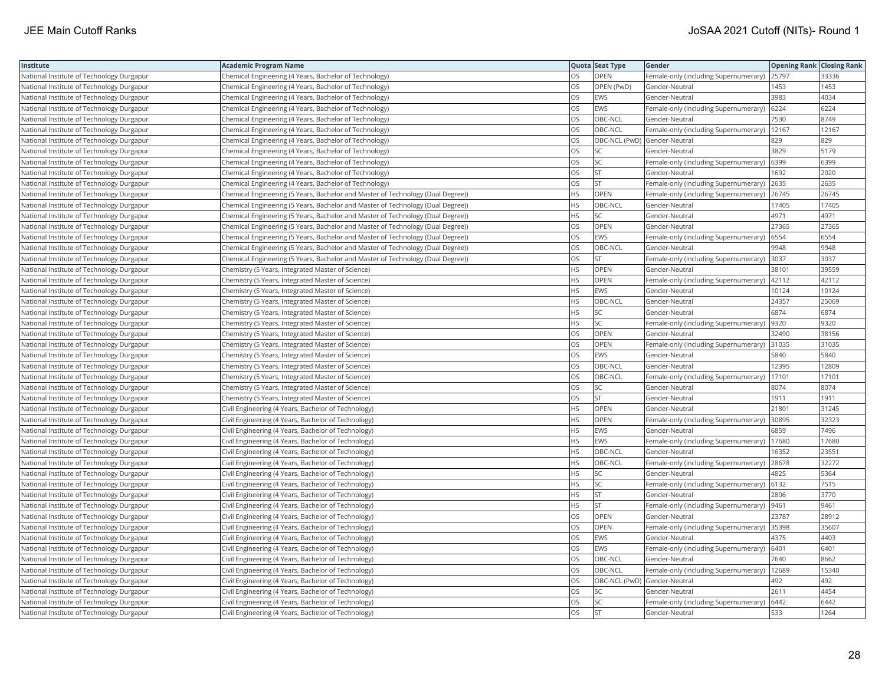| Institute                                 | <b>Academic Program Name</b>                                                    |           | Quota Seat Type              | Gender                                        | <b>Opening Rank Closing Rank</b> |       |
|-------------------------------------------|---------------------------------------------------------------------------------|-----------|------------------------------|-----------------------------------------------|----------------------------------|-------|
| National Institute of Technology Durgapur | Chemical Engineering (4 Years, Bachelor of Technology)                          | OS        | OPEN                         | Female-only (including Supernumerary) 25797   |                                  | 33336 |
| National Institute of Technology Durgapur | Chemical Engineering (4 Years, Bachelor of Technology)                          | OS        | OPEN (PwD)                   | Gender-Neutral                                | 1453                             | 1453  |
| National Institute of Technology Durgapur | Chemical Engineering (4 Years, Bachelor of Technology)                          | OS        | <b>EWS</b>                   | Gender-Neutral                                | 3983                             | 4034  |
| National Institute of Technology Durgapur | Chemical Engineering (4 Years, Bachelor of Technology)                          | OS        | EWS                          | Female-only (including Supernumerary)         | 6224                             | 6224  |
| National Institute of Technology Durgapur | Chemical Engineering (4 Years, Bachelor of Technology)                          | OS        | OBC-NCL                      | Gender-Neutral                                | 7530                             | 8749  |
| National Institute of Technology Durgapur | Chemical Engineering (4 Years, Bachelor of Technology)                          | OS        | OBC-NCL                      | Female-only (including Supernumerary)   12167 |                                  | 12167 |
| National Institute of Technology Durgapur | Chemical Engineering (4 Years, Bachelor of Technology)                          | OS        | OBC-NCL (PwD) Gender-Neutral |                                               | 829                              | 829   |
| National Institute of Technology Durgapur | Chemical Engineering (4 Years, Bachelor of Technology)                          | OS        | SC                           | Gender-Neutral                                | 3829                             | 5179  |
| National Institute of Technology Durgapur | Chemical Engineering (4 Years, Bachelor of Technology)                          | OS        | <b>SC</b>                    | Female-only (including Supernumerary)         | 6399                             | 6399  |
| National Institute of Technology Durgapur | Chemical Engineering (4 Years, Bachelor of Technology)                          | OS        | <b>ST</b>                    | Gender-Neutral                                | 1692                             | 2020  |
| National Institute of Technology Durgapur | Chemical Engineering (4 Years, Bachelor of Technology)                          | OS        | ST                           | Female-only (including Supernumerary)         | 2635                             | 2635  |
| National Institute of Technology Durgapur | Chemical Engineering (5 Years, Bachelor and Master of Technology (Dual Degree)) | <b>HS</b> | OPEN                         | Female-only (including Supernumerary)         | 26745                            | 26745 |
| National Institute of Technology Durgapur | Chemical Engineering (5 Years, Bachelor and Master of Technology (Dual Degree)) | <b>HS</b> | OBC-NCL                      | Gender-Neutral                                | 17405                            | 17405 |
| National Institute of Technology Durgapur | Chemical Engineering (5 Years, Bachelor and Master of Technology (Dual Degree)) | HS        | SC                           | Gender-Neutral                                | 4971                             | 4971  |
| National Institute of Technology Durgapur | Chemical Engineering (5 Years, Bachelor and Master of Technology (Dual Degree)) | OS        | OPEN                         | Gender-Neutral                                | 27365                            | 27365 |
| National Institute of Technology Durgapur | Chemical Engineering (5 Years, Bachelor and Master of Technology (Dual Degree)) | OS        | <b>EWS</b>                   | Female-only (including Supernumerary) 6554    |                                  | 6554  |
| National Institute of Technology Durgapur | Chemical Engineering (5 Years, Bachelor and Master of Technology (Dual Degree)) | OS        | OBC-NCL                      | Gender-Neutral                                | 9948                             | 9948  |
| National Institute of Technology Durgapur | Chemical Engineering (5 Years, Bachelor and Master of Technology (Dual Degree)) | OS        | <b>ST</b>                    | Female-only (including Supernumerary)         | 3037                             | 3037  |
| National Institute of Technology Durgapur | Chemistry (5 Years, Integrated Master of Science)                               | HS        | OPEN                         | Gender-Neutral                                | 38101                            | 39559 |
| National Institute of Technology Durgapur | Chemistry (5 Years, Integrated Master of Science)                               | <b>HS</b> | OPEN                         | Female-only (including Supernumerary)         | 42112                            | 42112 |
| National Institute of Technology Durgapur | Chemistry (5 Years, Integrated Master of Science)                               | HS        | <b>EWS</b>                   | Gender-Neutral                                | 10124                            | 10124 |
| National Institute of Technology Durgapur | Chemistry (5 Years, Integrated Master of Science)                               | HS        | OBC-NCL                      | Gender-Neutral                                | 24357                            | 25069 |
| National Institute of Technology Durgapur | Chemistry (5 Years, Integrated Master of Science)                               | ΗS        | SC                           | Gender-Neutral                                | 6874                             | 6874  |
| National Institute of Technology Durgapur | Chemistry (5 Years, Integrated Master of Science)                               | HS        | SC                           | Female-only (including Supernumerary)         | 9320                             | 9320  |
| National Institute of Technology Durgapur | Chemistry (5 Years, Integrated Master of Science)                               | OS        | OPEN                         | Gender-Neutral                                | 32490                            | 38156 |
| National Institute of Technology Durgapur | Chemistry (5 Years, Integrated Master of Science)                               | OS        | OPEN                         | Female-only (including Supernumerary)         | 31035                            | 31035 |
| National Institute of Technology Durgapur | Chemistry (5 Years, Integrated Master of Science)                               | OS        | EWS                          | Gender-Neutral                                | 5840                             | 5840  |
| National Institute of Technology Durgapur | Chemistry (5 Years, Integrated Master of Science)                               | OS        | OBC-NCL                      | Gender-Neutral                                | 12395                            | 12809 |
| National Institute of Technology Durgapur | Chemistry (5 Years, Integrated Master of Science)                               | OS        | OBC-NCL                      | Female-only (including Supernumerary)         | 17101                            | 17101 |
| National Institute of Technology Durgapur | Chemistry (5 Years, Integrated Master of Science)                               | OS        | SC                           | Gender-Neutral                                | 8074                             | 8074  |
| National Institute of Technology Durgapur | Chemistry (5 Years, Integrated Master of Science)                               | OS        | <b>ST</b>                    | Gender-Neutral                                | 1911                             | 1911  |
| National Institute of Technology Durgapur | Civil Engineering (4 Years, Bachelor of Technology)                             | <b>HS</b> | <b>OPEN</b>                  | Gender-Neutral                                | 21801                            | 31245 |
| National Institute of Technology Durgapur | Civil Engineering (4 Years, Bachelor of Technology)                             | HS        | OPEN                         | Female-only (including Supernumerary)         | 30895                            | 32323 |
| National Institute of Technology Durgapur | Civil Engineering (4 Years, Bachelor of Technology)                             | HS        | <b>EWS</b>                   | Gender-Neutral                                | 6859                             | 7496  |
| National Institute of Technology Durgapur | Civil Engineering (4 Years, Bachelor of Technology)                             | HS        | EWS                          | Female-only (including Supernumerary)         | 17680                            | 17680 |
| National Institute of Technology Durgapur | Civil Engineering (4 Years, Bachelor of Technology)                             | <b>HS</b> | OBC-NCL                      | Gender-Neutral                                | 16352                            | 23551 |
| National Institute of Technology Durgapur | Civil Engineering (4 Years, Bachelor of Technology)                             | HS        | OBC-NCL                      | Female-only (including Supernumerary)         | 28678                            | 32272 |
| National Institute of Technology Durgapur | Civil Engineering (4 Years, Bachelor of Technology)                             | HS        | SC                           | Gender-Neutral                                | 4825                             | 5364  |
| National Institute of Technology Durgapur | Civil Engineering (4 Years, Bachelor of Technology)                             | HS        | SC                           | Female-only (including Supernumerary) 6132    |                                  | 7515  |
| National Institute of Technology Durgapur | Civil Engineering (4 Years, Bachelor of Technology)                             | <b>HS</b> | <b>ST</b>                    | Gender-Neutral                                | 2806                             | 3770  |
| National Institute of Technology Durgapur | Civil Engineering (4 Years, Bachelor of Technology)                             | HS        | <b>ST</b>                    | Female-only (including Supernumerary)         | 9461                             | 9461  |
| National Institute of Technology Durgapur | Civil Engineering (4 Years, Bachelor of Technology)                             | OS        | OPEN                         | Gender-Neutral                                | 23787                            | 28912 |
| National Institute of Technology Durgapur | Civil Engineering (4 Years, Bachelor of Technology)                             | OS        | OPEN                         | Female-only (including Supernumerary)         | 35398                            | 35607 |
| National Institute of Technology Durgapur | Civil Engineering (4 Years, Bachelor of Technology)                             | OS        | <b>EWS</b>                   | Gender-Neutral                                | 4375                             | 4403  |
| National Institute of Technology Durgapur | Civil Engineering (4 Years, Bachelor of Technology)                             | OS        | EWS                          | Female-only (including Supernumerary) 6401    |                                  | 6401  |
| National Institute of Technology Durgapur | Civil Engineering (4 Years, Bachelor of Technology)                             | OS        | OBC-NCL                      | Gender-Neutral                                | 7640                             | 8662  |
| National Institute of Technology Durgapur | Civil Engineering (4 Years, Bachelor of Technology)                             | OS        | OBC-NCL                      | Female-only (including Supernumerary)   12689 |                                  | 15340 |
| National Institute of Technology Durgapur | Civil Engineering (4 Years, Bachelor of Technology)                             | OS        | OBC-NCL (PwD) Gender-Neutral |                                               | 492                              | 492   |
| National Institute of Technology Durgapur | Civil Engineering (4 Years, Bachelor of Technology)                             | OS        | SC                           | Gender-Neutral                                | 2611                             | 4454  |
| National Institute of Technology Durgapur | Civil Engineering (4 Years, Bachelor of Technology)                             | OS        | <b>SC</b>                    | Female-only (including Supernumerary)         | 6442                             | 6442  |
| National Institute of Technology Durgapur | Civil Engineering (4 Years, Bachelor of Technology)                             | <b>OS</b> | <b>ST</b>                    | Gender-Neutral                                | 533                              | 1264  |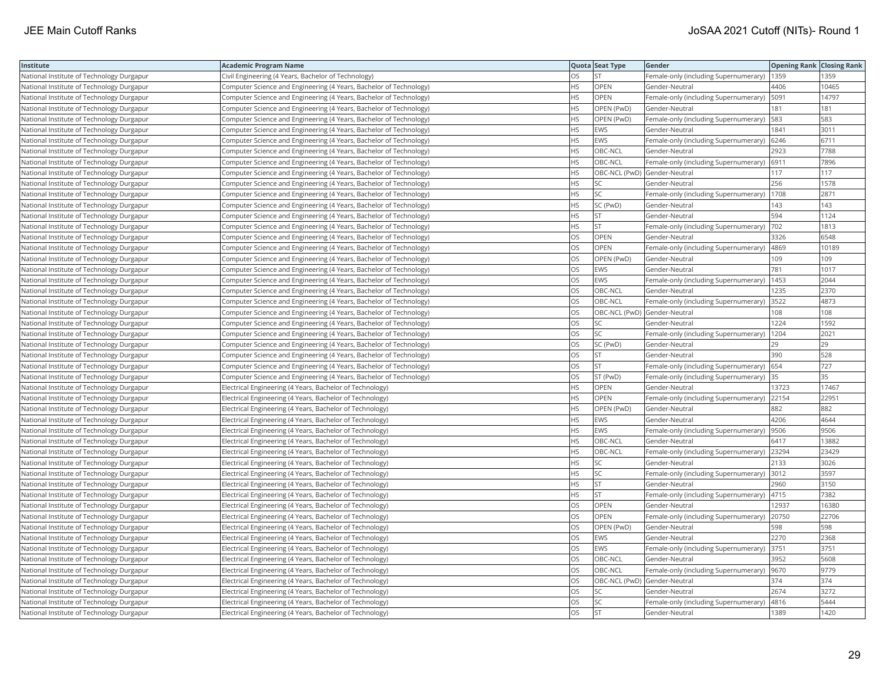| Institute                                 | <b>Academic Program Name</b>                                       |           | Quota Seat Type              | Gender                                       | <b>Opening Rank Closing Rank</b> |       |
|-------------------------------------------|--------------------------------------------------------------------|-----------|------------------------------|----------------------------------------------|----------------------------------|-------|
| National Institute of Technology Durgapur | Civil Engineering (4 Years, Bachelor of Technology)                | OS        | <b>ST</b>                    | Female-only (including Supernumerary)   1359 |                                  | 1359  |
| National Institute of Technology Durgapur | Computer Science and Engineering (4 Years, Bachelor of Technology) | HS        | OPEN                         | Gender-Neutral                               | 4406                             | 0465  |
| National Institute of Technology Durgapur | Computer Science and Engineering (4 Years, Bachelor of Technology) | <b>HS</b> | OPEN                         | Female-only (including Supernumerary)   5091 |                                  | 14797 |
| National Institute of Technology Durgapur | Computer Science and Engineering (4 Years, Bachelor of Technology) | HS        | OPEN (PwD)                   | Gender-Neutral                               | 181                              | 181   |
| National Institute of Technology Durgapur | Computer Science and Engineering (4 Years, Bachelor of Technology) | HS.       | OPEN (PwD)                   | Female-only (including Supernumerary)        | 583                              | 583   |
| National Institute of Technology Durgapur | Computer Science and Engineering (4 Years, Bachelor of Technology) | HS.       | <b>EWS</b>                   | Gender-Neutral                               | 1841                             | 3011  |
| National Institute of Technology Durgapur | Computer Science and Engineering (4 Years, Bachelor of Technology) | HS        | <b>EWS</b>                   | Female-only (including Supernumerary)   6246 |                                  | 6711  |
| National Institute of Technology Durgapur | Computer Science and Engineering (4 Years, Bachelor of Technology) | HS        | OBC-NCL                      | Gender-Neutral                               | 2923                             | 7788  |
| National Institute of Technology Durgapur | Computer Science and Engineering (4 Years, Bachelor of Technology) | HS.       | OBC-NCL                      | Female-only (including Supernumerary)        | 6911                             | 7896  |
| National Institute of Technology Durgapur | Computer Science and Engineering (4 Years, Bachelor of Technology) | HS.       | OBC-NCL (PwD) Gender-Neutral |                                              | 117                              | 117   |
| National Institute of Technology Durgapur | Computer Science and Engineering (4 Years, Bachelor of Technology) | HS.       | SC                           | Gender-Neutral                               | 256                              | 1578  |
| National Institute of Technology Durgapur | Computer Science and Engineering (4 Years, Bachelor of Technology) | HS.       | <b>SC</b>                    | Female-only (including Supernumerary)        | 1708                             | 2871  |
| National Institute of Technology Durgapur | Computer Science and Engineering (4 Years, Bachelor of Technology) | HS.       | SC (PwD)                     | Gender-Neutral                               | 143                              | 143   |
| National Institute of Technology Durgapur | Computer Science and Engineering (4 Years, Bachelor of Technology) | HS        | <b>ST</b>                    | Gender-Neutral                               | 594                              | 1124  |
| National Institute of Technology Durgapur | Computer Science and Engineering (4 Years, Bachelor of Technology) | ΗS        | <b>ST</b>                    | Female-only (including Supernumerary)  702   |                                  | 1813  |
| National Institute of Technology Durgapur | Computer Science and Engineering (4 Years, Bachelor of Technology) | OS        | <b>OPEN</b>                  | Gender-Neutral                               | 3326                             | 6548  |
| National Institute of Technology Durgapur | Computer Science and Engineering (4 Years, Bachelor of Technology) | OS        | OPEN                         | Female-only (including Supernumerary)   4869 |                                  | 10189 |
| National Institute of Technology Durgapur | Computer Science and Engineering (4 Years, Bachelor of Technology) | OS.       | OPEN (PwD)                   | Gender-Neutral                               | 109                              | 109   |
| National Institute of Technology Durgapur | Computer Science and Engineering (4 Years, Bachelor of Technology) | OS        | <b>EWS</b>                   | Gender-Neutral                               | 781                              | 1017  |
| National Institute of Technology Durgapur | Computer Science and Engineering (4 Years, Bachelor of Technology) | <b>OS</b> | <b>EWS</b>                   | Female-only (including Supernumerary)        | 1453                             | 2044  |
| National Institute of Technology Durgapur | Computer Science and Engineering (4 Years, Bachelor of Technology) | OS        | OBC-NCL                      | Gender-Neutral                               | 1235                             | 2370  |
| National Institute of Technology Durgapur | Computer Science and Engineering (4 Years, Bachelor of Technology) | OS        | OBC-NCL                      | Female-only (including Supernumerary) 3522   |                                  | 4873  |
| National Institute of Technology Durgapur | Computer Science and Engineering (4 Years, Bachelor of Technology) | OS        | OBC-NCL (PwD) Gender-Neutral |                                              | 108                              | 108   |
| National Institute of Technology Durgapur | Computer Science and Engineering (4 Years, Bachelor of Technology) | OS        | SC                           | Gender-Neutral                               | 1224                             | 1592  |
| National Institute of Technology Durgapur | Computer Science and Engineering (4 Years, Bachelor of Technology) | OS        | SC                           | Female-only (including Supernumerary)        | 1204                             | 2021  |
| National Institute of Technology Durgapur | Computer Science and Engineering (4 Years, Bachelor of Technology) | OS        | SC (PwD)                     | Gender-Neutral                               | 29                               | 29    |
| National Institute of Technology Durgapur | Computer Science and Engineering (4 Years, Bachelor of Technology) | OS        | ST                           | Gender-Neutral                               | 390                              | 528   |
| National Institute of Technology Durgapur | Computer Science and Engineering (4 Years, Bachelor of Technology) | OS.       | <b>ST</b>                    | Female-only (including Supernumerary) 654    |                                  | 727   |
| National Institute of Technology Durgapur | Computer Science and Engineering (4 Years, Bachelor of Technology) | OS        | ST (PwD)                     | Female-only (including Supernumerary)        | 35                               | 35    |
| National Institute of Technology Durgapur | Electrical Engineering (4 Years, Bachelor of Technology)           | ΗS        | OPEN                         | Gender-Neutral                               | 13723                            | 17467 |
| National Institute of Technology Durgapur | Electrical Engineering (4 Years, Bachelor of Technology)           | HS        | OPEN                         | Female-only (including Supernumerary) 22154  |                                  | 22951 |
| National Institute of Technology Durgapur | Electrical Engineering (4 Years, Bachelor of Technology)           | НS        | OPEN (PwD)                   | Gender-Neutral                               | 882                              | 882   |
| National Institute of Technology Durgapur | Electrical Engineering (4 Years, Bachelor of Technology)           | HS.       | <b>EWS</b>                   | Gender-Neutral                               | 4206                             | 4644  |
| National Institute of Technology Durgapur | Electrical Engineering (4 Years, Bachelor of Technology)           | <b>HS</b> | <b>EWS</b>                   | Female-only (including Supernumerary)        | 9506                             | 9506  |
| National Institute of Technology Durgapur | Electrical Engineering (4 Years, Bachelor of Technology)           | <b>HS</b> | OBC-NCL                      | Gender-Neutral                               | 6417                             | 13882 |
| National Institute of Technology Durgapur | Electrical Engineering (4 Years, Bachelor of Technology)           | HS.       | OBC-NCL                      | Female-only (including Supernumerary)        | 23294                            | 23429 |
| National Institute of Technology Durgapur | Electrical Engineering (4 Years, Bachelor of Technology)           | HS        | <b>SC</b>                    | Gender-Neutral                               | 2133                             | 3026  |
| National Institute of Technology Durgapur | Electrical Engineering (4 Years, Bachelor of Technology)           | HS        | SC                           | Female-only (including Supernumerary) 3012   |                                  | 3597  |
| National Institute of Technology Durgapur | Electrical Engineering (4 Years, Bachelor of Technology)           | HS        | <b>ST</b>                    | Gender-Neutral                               | 2960                             | 3150  |
| National Institute of Technology Durgapur | Electrical Engineering (4 Years, Bachelor of Technology)           | HS.       | <b>ST</b>                    | Female-only (including Supernumerary)        | 4715                             | 7382  |
| National Institute of Technology Durgapur | Electrical Engineering (4 Years, Bachelor of Technology)           | OS        | OPEN                         | Gender-Neutral                               | 12937                            | 16380 |
| National Institute of Technology Durgapur | Electrical Engineering (4 Years, Bachelor of Technology)           | OS        | OPEN                         | Female-only (including Supernumerary)        | 20750                            | 22706 |
| National Institute of Technology Durgapur | Electrical Engineering (4 Years, Bachelor of Technology)           | OS.       | OPEN (PwD)                   | Gender-Neutral                               | 598                              | 598   |
| National Institute of Technology Durgapur | Electrical Engineering (4 Years, Bachelor of Technology)           | OS        | EWS                          | Gender-Neutral                               | 2270                             | 2368  |
| National Institute of Technology Durgapur | Electrical Engineering (4 Years, Bachelor of Technology)           | OS        | <b>EWS</b>                   | Female-only (including Supernumerary) 3751   |                                  | 3751  |
| National Institute of Technology Durgapur | Electrical Engineering (4 Years, Bachelor of Technology)           | OS        | OBC-NCL                      | Gender-Neutral                               | 3952                             | 5608  |
| National Institute of Technology Durgapur | Electrical Engineering (4 Years, Bachelor of Technology)           | OS.       | OBC-NCL                      | Female-only (including Supernumerary)  9670  |                                  | 9779  |
| National Institute of Technology Durgapur | Electrical Engineering (4 Years, Bachelor of Technology)           | OS        |                              | OBC-NCL (PwD) Gender-Neutral                 | 374                              | 374   |
| National Institute of Technology Durgapur | Electrical Engineering (4 Years, Bachelor of Technology)           | OS        | SC                           | Gender-Neutral                               | 2674                             | 3272  |
| National Institute of Technology Durgapur | Electrical Engineering (4 Years, Bachelor of Technology)           | OS        | SC                           | Female-only (including Supernumerary)        | 4816                             | 5444  |
| National Institute of Technology Durgapur | Electrical Engineering (4 Years, Bachelor of Technology)           | <b>OS</b> | <b>ST</b>                    | Gender-Neutral                               | 1389                             | 1420  |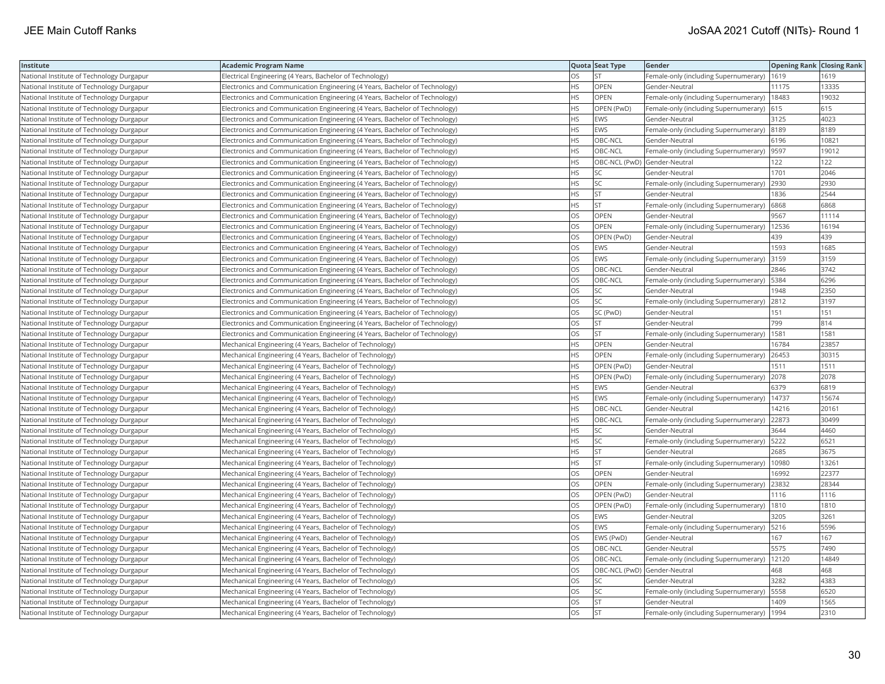| Institute                                 | Academic Program Name                                                        |           | Quota Seat Type | Gender                                        | <b>Opening Rank Closing Rank</b> |       |
|-------------------------------------------|------------------------------------------------------------------------------|-----------|-----------------|-----------------------------------------------|----------------------------------|-------|
| National Institute of Technology Durgapur | Electrical Engineering (4 Years, Bachelor of Technology)                     | OS        | <b>ST</b>       | Female-only (including Supernumerary)         | 1619                             | 1619  |
| National Institute of Technology Durgapur | Electronics and Communication Engineering (4 Years, Bachelor of Technology)  | HS.       | OPEN            | Gender-Neutral                                | 11175                            | 13335 |
| National Institute of Technology Durgapur | Electronics and Communication Engineering (4 Years, Bachelor of Technology)  | HS        | <b>OPEN</b>     | Female-only (including Supernumerary)         | 18483                            | 19032 |
| National Institute of Technology Durgapur | Electronics and Communication Engineering (4 Years, Bachelor of Technology)  | HS        | OPEN (PwD)      | Female-only (including Supernumerary)         | 615                              | 615   |
| National Institute of Technology Durgapur | Electronics and Communication Engineering (4 Years, Bachelor of Technology)  | <b>HS</b> | <b>EWS</b>      | Gender-Neutral                                | 3125                             | 4023  |
| National Institute of Technology Durgapur | [Electronics and Communication Engineering (4 Years, Bachelor of Technology) | HS        | EWS             | Female-only (including Supernumerary)  8189   |                                  | 8189  |
| National Institute of Technology Durgapur | Electronics and Communication Engineering (4 Years, Bachelor of Technology)  | HS        | OBC-NCL         | Gender-Neutral                                | 6196                             | 10821 |
| National Institute of Technology Durgapur | Electronics and Communication Engineering (4 Years, Bachelor of Technology)  | HS.       | OBC-NCL         | Female-only (including Supernumerary)  9597   |                                  | 19012 |
| National Institute of Technology Durgapur | Electronics and Communication Engineering (4 Years, Bachelor of Technology)  | HS        |                 | OBC-NCL (PwD) Gender-Neutral                  | 122                              | 122   |
| National Institute of Technology Durgapur | Electronics and Communication Engineering (4 Years, Bachelor of Technology)  | HS        | SC              | Gender-Neutral                                | 1701                             | 2046  |
| National Institute of Technology Durgapur | Electronics and Communication Engineering (4 Years, Bachelor of Technology)  | HS.       | SC              | Female-only (including Supernumerary)         | 2930                             | 2930  |
| National Institute of Technology Durgapur | Electronics and Communication Engineering (4 Years, Bachelor of Technology)  | <b>HS</b> | <b>ST</b>       | Gender-Neutral                                | 1836                             | 2544  |
| National Institute of Technology Durgapur | Electronics and Communication Engineering (4 Years, Bachelor of Technology)  | HS        | <b>ST</b>       | Female-only (including Supernumerary)         | 6868                             | 6868  |
| National Institute of Technology Durgapur | [Electronics and Communication Engineering (4 Years, Bachelor of Technology) | OS        | OPEN            | Gender-Neutral                                | 9567                             | 11114 |
| National Institute of Technology Durgapur | [Electronics and Communication Engineering (4 Years, Bachelor of Technology) | OS        | OPEN            | Female-only (including Supernumerary)   12536 |                                  | 16194 |
| National Institute of Technology Durgapur | Electronics and Communication Engineering (4 Years, Bachelor of Technology)  | OS        | OPEN (PwD)      | Gender-Neutral                                | 439                              | 439   |
| National Institute of Technology Durgapur | Electronics and Communication Engineering (4 Years, Bachelor of Technology)  | OS        | <b>EWS</b>      | Gender-Neutral                                | 1593                             | 1685  |
| National Institute of Technology Durgapur | Electronics and Communication Engineering (4 Years, Bachelor of Technology)  | OS        | <b>EWS</b>      | Female-only (including Supernumerary)         | 3159                             | 3159  |
| National Institute of Technology Durgapur | Electronics and Communication Engineering (4 Years, Bachelor of Technology)  | OS.       | OBC-NCL         | Gender-Neutral                                | 2846                             | 3742  |
| National Institute of Technology Durgapur | Electronics and Communication Engineering (4 Years, Bachelor of Technology)  | <b>OS</b> | OBC-NCL         | Female-only (including Supernumerary)         | 5384                             | 6296  |
| National Institute of Technology Durgapur | Electronics and Communication Engineering (4 Years, Bachelor of Technology)  | OS        | SC              | Gender-Neutral                                | 1948                             | 2350  |
| National Institute of Technology Durgapur | Electronics and Communication Engineering (4 Years, Bachelor of Technology)  | OS        | SC              | Female-only (including Supernumerary) 2812    |                                  | 3197  |
| National Institute of Technology Durgapur | [Electronics and Communication Engineering (4 Years, Bachelor of Technology) | OS        | SC (PwD)        | Gender-Neutral                                | 151                              | 151   |
| National Institute of Technology Durgapur | Electronics and Communication Engineering (4 Years, Bachelor of Technology)  | OS        | <b>ST</b>       | Gender-Neutral                                | 799                              | 814   |
| National Institute of Technology Durgapur | Electronics and Communication Engineering (4 Years, Bachelor of Technology)  | OS        | <b>ST</b>       | Female-only (including Supernumerary)         | 1581                             | 1581  |
| National Institute of Technology Durgapur | Mechanical Engineering (4 Years, Bachelor of Technology)                     | HS.       | OPEN            | Gender-Neutral                                | 16784                            | 23857 |
| National Institute of Technology Durgapur | Mechanical Engineering (4 Years, Bachelor of Technology)                     | HS.       | OPEN            | Female-only (including Supernumerary)         | 26453                            | 30315 |
| National Institute of Technology Durgapur | Mechanical Engineering (4 Years, Bachelor of Technology)                     | <b>HS</b> | OPEN (PwD)      | Gender-Neutral                                | 1511                             | 1511  |
| National Institute of Technology Durgapur | Mechanical Engineering (4 Years, Bachelor of Technology)                     | HS.       | OPEN (PwD)      | Female-only (including Supernumerary)         | 2078                             | 2078  |
| National Institute of Technology Durgapur | Mechanical Engineering (4 Years, Bachelor of Technology)                     | HS.       | EWS             | Gender-Neutral                                | 6379                             | 6819  |
| National Institute of Technology Durgapur | Mechanical Engineering (4 Years, Bachelor of Technology)                     | HS.       | EWS             | Female-only (including Supernumerary)   14737 |                                  | 15674 |
| National Institute of Technology Durgapur | Mechanical Engineering (4 Years, Bachelor of Technology)                     | HS        | OBC-NCL         | Gender-Neutral                                | 14216                            | 20161 |
| National Institute of Technology Durgapur | Mechanical Engineering (4 Years, Bachelor of Technology)                     | HS.       | OBC-NCL         | Female-only (including Supernumerary)         | 22873                            | 30499 |
| National Institute of Technology Durgapur | Mechanical Engineering (4 Years, Bachelor of Technology)                     | HS        | SC              | Gender-Neutral                                | 3644                             | 4460  |
| National Institute of Technology Durgapur | Mechanical Engineering (4 Years, Bachelor of Technology)                     | ΗS        | SC              | Female-only (including Supernumerary)         | 5222                             | 6521  |
| National Institute of Technology Durgapur | Mechanical Engineering (4 Years, Bachelor of Technology)                     | <b>HS</b> | <b>ST</b>       | Gender-Neutral                                | 2685                             | 3675  |
| National Institute of Technology Durgapur | Mechanical Engineering (4 Years, Bachelor of Technology)                     | HS        | <b>ST</b>       | Female-only (including Supernumerary)         | 10980                            | 13261 |
| National Institute of Technology Durgapur | Mechanical Engineering (4 Years, Bachelor of Technology)                     | OS        | OPEN            | Gender-Neutral                                | 16992                            | 22377 |
| National Institute of Technology Durgapur | Mechanical Engineering (4 Years, Bachelor of Technology)                     | OS        | OPEN            | Female-only (including Supernumerary)         | 23832                            | 28344 |
| National Institute of Technology Durgapur | Mechanical Engineering (4 Years, Bachelor of Technology)                     | OS.       | OPEN (PwD)      | Gender-Neutral                                | 1116                             | 1116  |
| National Institute of Technology Durgapur | Mechanical Engineering (4 Years, Bachelor of Technology)                     | OS.       | OPEN (PwD)      | Female-only (including Supernumerary)         | 1810                             | 1810  |
| National Institute of Technology Durgapur | Mechanical Engineering (4 Years, Bachelor of Technology)                     | OS        | EWS             | Gender-Neutral                                | 3205                             | 3261  |
| National Institute of Technology Durgapur | Mechanical Engineering (4 Years, Bachelor of Technology)                     | OS        | EWS             | Female-only (including Supernumerary)         | 5216                             | 5596  |
| National Institute of Technology Durgapur | Mechanical Engineering (4 Years, Bachelor of Technology)                     | OS.       | EWS (PwD)       | Gender-Neutral                                | 167                              | 167   |
| National Institute of Technology Durgapur | Mechanical Engineering (4 Years, Bachelor of Technology)                     | OS        | OBC-NCL         | Gender-Neutral                                | 5575                             | 7490  |
| National Institute of Technology Durgapur | Mechanical Engineering (4 Years, Bachelor of Technology)                     | OS        | OBC-NCL         | Female-only (including Supernumerary)         | 12120                            | 14849 |
| National Institute of Technology Durgapur | Mechanical Engineering (4 Years, Bachelor of Technology)                     | OS.       |                 | OBC-NCL (PwD) Gender-Neutral                  | 468                              | 468   |
| National Institute of Technology Durgapur | Mechanical Engineering (4 Years, Bachelor of Technology)                     | OS        | SC              | Gender-Neutral                                | 3282                             | 4383  |
| National Institute of Technology Durgapur | Mechanical Engineering (4 Years, Bachelor of Technology)                     | OS        | SC              | Female-only (including Supernumerary)         | 5558                             | 6520  |
| National Institute of Technology Durgapur | Mechanical Engineering (4 Years, Bachelor of Technology)                     | OS        | <b>ST</b>       | Gender-Neutral                                | 1409                             | 1565  |
| National Institute of Technology Durgapur | Mechanical Engineering (4 Years, Bachelor of Technology)                     | OS        | İst             | Female-only (including Supernumerary)         | 1994                             | 2310  |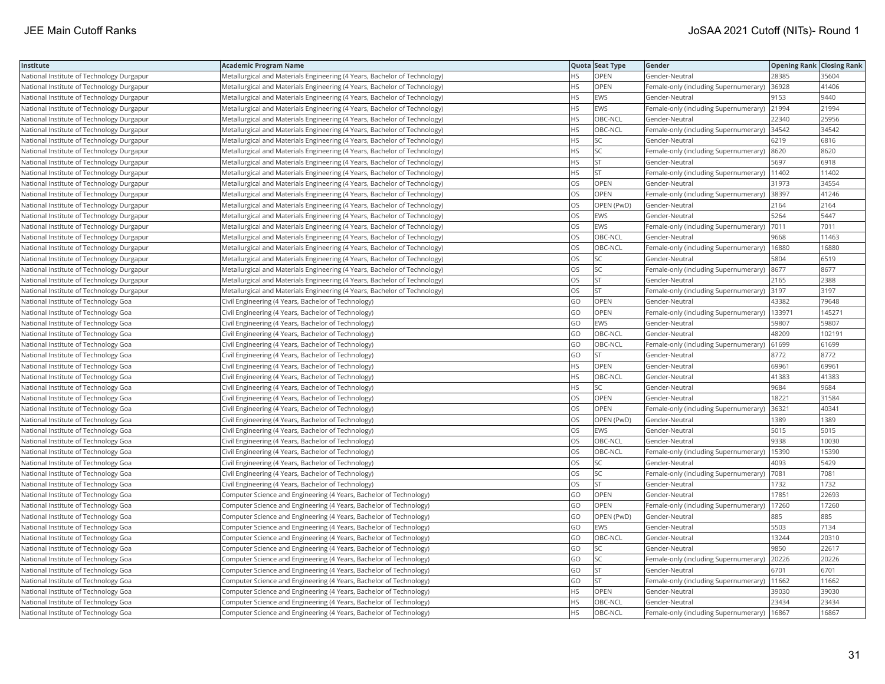| Institute                                 | Academic Program Name                                                     |           | Quota Seat Type | Gender                                        | <b>Opening Rank Closing Rank</b> |        |
|-------------------------------------------|---------------------------------------------------------------------------|-----------|-----------------|-----------------------------------------------|----------------------------------|--------|
| National Institute of Technology Durgapur | Metallurgical and Materials Engineering (4 Years, Bachelor of Technology) | HS        | OPEN            | Gender-Neutral                                | 28385                            | 35604  |
| National Institute of Technology Durgapur | Metallurgical and Materials Engineering (4 Years, Bachelor of Technology) | HS.       | OPEN            | Female-only (including Supernumerary)         | 36928                            | 41406  |
| National Institute of Technology Durgapur | Metallurgical and Materials Engineering (4 Years, Bachelor of Technology) | HS        | EWS             | Gender-Neutral                                | 9153                             | 9440   |
| National Institute of Technology Durgapur | Metallurgical and Materials Engineering (4 Years, Bachelor of Technology) | HS        | EWS             | Female-only (including Supernumerary)         | 21994                            | 21994  |
| National Institute of Technology Durgapur | Metallurgical and Materials Engineering (4 Years, Bachelor of Technology) | HS.       | OBC-NCL         | Gender-Neutral                                | 22340                            | 25956  |
| National Institute of Technology Durgapur | Metallurgical and Materials Engineering (4 Years, Bachelor of Technology) | HS        | OBC-NCL         | Female-only (including Supernumerary) 34542   |                                  | 34542  |
| National Institute of Technology Durgapur | Metallurgical and Materials Engineering (4 Years, Bachelor of Technology) | HS        | SC              | Gender-Neutral                                | 6219                             | 6816   |
| National Institute of Technology Durgapur | Metallurgical and Materials Engineering (4 Years, Bachelor of Technology) | HS        | SC              | Female-only (including Supernumerary)         | 8620                             | 8620   |
| National Institute of Technology Durgapur | Metallurgical and Materials Engineering (4 Years, Bachelor of Technology) | ΗS        | <b>ST</b>       | Gender-Neutral                                | 5697                             | 6918   |
| National Institute of Technology Durgapur | Metallurgical and Materials Engineering (4 Years, Bachelor of Technology) | HS.       | <b>ST</b>       | Female-only (including Supernumerary)         | 11402                            | 11402  |
| National Institute of Technology Durgapur | Metallurgical and Materials Engineering (4 Years, Bachelor of Technology) | OS        | OPEN            | Gender-Neutral                                | 31973                            | 34554  |
| National Institute of Technology Durgapur | Metallurgical and Materials Engineering (4 Years, Bachelor of Technology) | OS        | OPEN            | Female-only (including Supernumerary)         | 38397                            | 41246  |
| National Institute of Technology Durgapur | Metallurgical and Materials Engineering (4 Years, Bachelor of Technology) | OS.       | OPEN (PwD)      | Gender-Neutral                                | 2164                             | 2164   |
| National Institute of Technology Durgapur | Metallurgical and Materials Engineering (4 Years, Bachelor of Technology) | OS        | EWS             | Gender-Neutral                                | 5264                             | 5447   |
| National Institute of Technology Durgapur | Metallurgical and Materials Engineering (4 Years, Bachelor of Technology) | OS        | EWS             | Female-only (including Supernumerary)  7011   |                                  | 7011   |
| National Institute of Technology Durgapur | Metallurgical and Materials Engineering (4 Years, Bachelor of Technology) | OS        | OBC-NCL         | Gender-Neutral                                | 9668                             | 11463  |
| National Institute of Technology Durgapur | Metallurgical and Materials Engineering (4 Years, Bachelor of Technology) | OS        | OBC-NCL         | Female-only (including Supernumerary)         | 16880                            | 16880  |
| National Institute of Technology Durgapur | Metallurgical and Materials Engineering (4 Years, Bachelor of Technology) | OS        | <b>SC</b>       | Gender-Neutral                                | 5804                             | 6519   |
| National Institute of Technology Durgapur | Metallurgical and Materials Engineering (4 Years, Bachelor of Technology) | OS        | SC              | Female-only (including Supernumerary)         | 8677                             | 8677   |
| National Institute of Technology Durgapur | Metallurgical and Materials Engineering (4 Years, Bachelor of Technology) | OS        | <b>ST</b>       | Gender-Neutral                                | 2165                             | 2388   |
| National Institute of Technology Durgapur | Metallurgical and Materials Engineering (4 Years, Bachelor of Technology) | OS.       | <b>ST</b>       | Female-only (including Supernumerary)         | 3197                             | 3197   |
| National Institute of Technology Goa      | Civil Engineering (4 Years, Bachelor of Technology)                       | GO        | OPEN            | Gender-Neutral                                | 43382                            | 79648  |
| National Institute of Technology Goa      | Civil Engineering (4 Years, Bachelor of Technology)                       | GO        | OPEN            | Female-only (including Supernumerary)         | 133971                           | 145271 |
| National Institute of Technology Goa      | Civil Engineering (4 Years, Bachelor of Technology)                       | GO        | EWS             | Gender-Neutral                                | 59807                            | 59807  |
| National Institute of Technology Goa      | Civil Engineering (4 Years, Bachelor of Technology)                       | GO        | OBC-NCL         | Gender-Neutral                                | 48209                            | 102191 |
| National Institute of Technology Goa      | Civil Engineering (4 Years, Bachelor of Technology)                       | GO        | OBC-NCL         | Female-only (including Supernumerary)         | 61699                            | 61699  |
| National Institute of Technology Goa      | Civil Engineering (4 Years, Bachelor of Technology)                       | GO        | <b>ST</b>       | Gender-Neutral                                | 8772                             | 8772   |
| National Institute of Technology Goa      | Civil Engineering (4 Years, Bachelor of Technology)                       | HS        | OPEN            | Gender-Neutral                                | 69961                            | 69961  |
| National Institute of Technology Goa      | Civil Engineering (4 Years, Bachelor of Technology)                       | <b>HS</b> | OBC-NCL         | Gender-Neutral                                | 41383                            | 41383  |
| National Institute of Technology Goa      | Civil Engineering (4 Years, Bachelor of Technology)                       | HS        | SC              | Gender-Neutral                                | 9684                             | 9684   |
| National Institute of Technology Goa      | Civil Engineering (4 Years, Bachelor of Technology)                       | OS        | OPEN            | Gender-Neutral                                | 18221                            | 31584  |
| National Institute of Technology Goa      | Civil Engineering (4 Years, Bachelor of Technology)                       | OS        | OPEN            | Female-only (including Supernumerary)         | 36321                            | 40341  |
| National Institute of Technology Goa      | Civil Engineering (4 Years, Bachelor of Technology)                       | OS        | OPEN (PwD)      | Gender-Neutral                                | 1389                             | 1389   |
| National Institute of Technology Goa      | Civil Engineering (4 Years, Bachelor of Technology)                       | OS        | EWS             | Gender-Neutral                                | 5015                             | 5015   |
| National Institute of Technology Goa      | Civil Engineering (4 Years, Bachelor of Technology)                       | OS        | OBC-NCL         | Gender-Neutral                                | 9338                             | 10030  |
| National Institute of Technology Goa      | Civil Engineering (4 Years, Bachelor of Technology)                       | OS        | OBC-NCL         | Female-only (including Supernumerary)         | 15390                            | 15390  |
| National Institute of Technology Goa      | Civil Engineering (4 Years, Bachelor of Technology)                       | OS.       | <b>SC</b>       | Gender-Neutral                                | 4093                             | 5429   |
| National Institute of Technology Goa      | Civil Engineering (4 Years, Bachelor of Technology)                       | OS        | SC              | Female-only (including Supernumerary)         | 7081                             | 7081   |
| National Institute of Technology Goa      | Civil Engineering (4 Years, Bachelor of Technology)                       | OS        | ST              | Gender-Neutral                                | 1732                             | 1732   |
| National Institute of Technology Goa      | Computer Science and Engineering (4 Years, Bachelor of Technology)        | GO        | OPEN            | Gender-Neutral                                | 17851                            | 22693  |
| National Institute of Technology Goa      | Computer Science and Engineering (4 Years, Bachelor of Technology)        | GO        | OPEN            | Female-only (including Supernumerary)         | 17260                            | 17260  |
| National Institute of Technology Goa      | Computer Science and Engineering (4 Years, Bachelor of Technology)        | GO        | OPEN (PwD)      | Gender-Neutral                                | 885                              | 885    |
| National Institute of Technology Goa      | Computer Science and Engineering (4 Years, Bachelor of Technology)        | GO        | EWS             | Gender-Neutral                                | 5503                             | 7134   |
| National Institute of Technology Goa      | Computer Science and Engineering (4 Years, Bachelor of Technology)        | GO        | OBC-NCL         | Gender-Neutral                                | 13244                            | 20310  |
| National Institute of Technology Goa      | Computer Science and Engineering (4 Years, Bachelor of Technology)        | GO        | <b>SC</b>       | Gender-Neutral                                | 9850                             | 22617  |
| National Institute of Technology Goa      | Computer Science and Engineering (4 Years, Bachelor of Technology)        | GO        | SC              | Female-only (including Supernumerary)         | 20226                            | 20226  |
| National Institute of Technology Goa      | Computer Science and Engineering (4 Years, Bachelor of Technology)        | GO        | <b>ST</b>       | Gender-Neutral                                | 6701                             | 6701   |
| National Institute of Technology Goa      | Computer Science and Engineering (4 Years, Bachelor of Technology)        | GO        | <b>ST</b>       | Female-only (including Supernumerary)   11662 |                                  | 11662  |
| National Institute of Technology Goa      | Computer Science and Engineering (4 Years, Bachelor of Technology)        | HS.       | OPEN            | Gender-Neutral                                | 39030                            | 39030  |
| National Institute of Technology Goa      | Computer Science and Engineering (4 Years, Bachelor of Technology)        | HS.       | OBC-NCL         | Gender-Neutral                                | 23434                            | 23434  |
| National Institute of Technology Goa      | Computer Science and Engineering (4 Years, Bachelor of Technology)        | <b>HS</b> | OBC-NCL         | Female-only (including Supernumerary)   16867 |                                  | 16867  |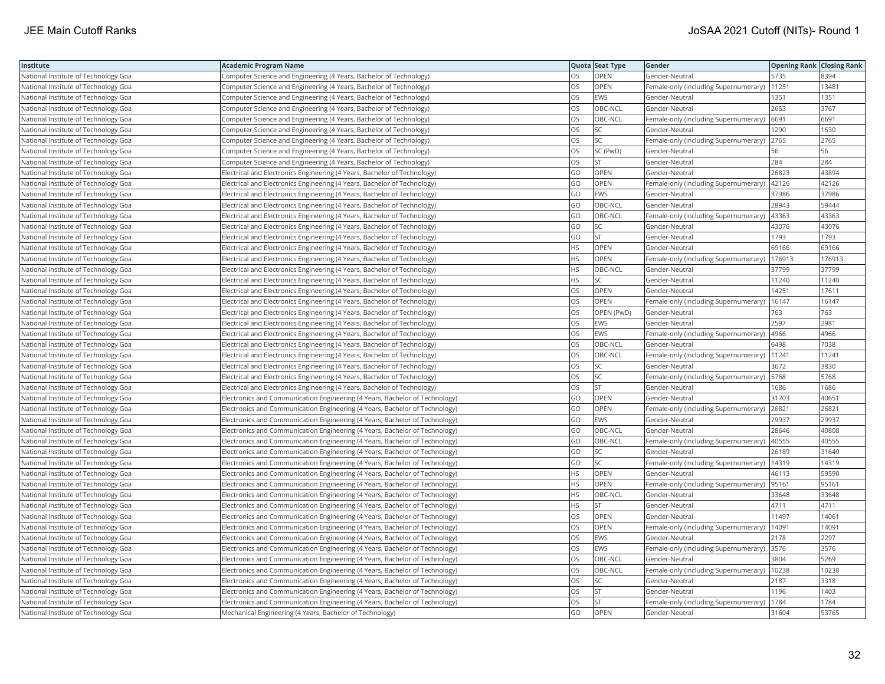| Institute                            | Academic Program Name                                                        |           | Quota Seat Type | Gender                                        | <b>Opening Rank   Closing Rank</b> |        |
|--------------------------------------|------------------------------------------------------------------------------|-----------|-----------------|-----------------------------------------------|------------------------------------|--------|
| National Institute of Technology Goa | Computer Science and Engineering (4 Years, Bachelor of Technology)           | OS        | OPEN            | Gender-Neutral                                | 5735                               | 8394   |
| National Institute of Technology Goa | Computer Science and Engineering (4 Years, Bachelor of Technology)           | OS.       | <b>OPEN</b>     | Female-only (including Supernumerary)         | 11251                              | 13481  |
| National Institute of Technology Goa | Computer Science and Engineering (4 Years, Bachelor of Technology)           | OS.       | <b>EWS</b>      | Gender-Neutral                                | 1351                               | 1351   |
| National Institute of Technology Goa | Computer Science and Engineering (4 Years, Bachelor of Technology)           | OS        | OBC-NCL         | Gender-Neutral                                | 2653                               | 3767   |
| National Institute of Technology Goa | Computer Science and Engineering (4 Years, Bachelor of Technology)           | OS        | OBC-NCL         | Female-only (including Supernumerary)         | 6691                               | 6691   |
| National Institute of Technology Goa | (Computer Science and Engineering (4 Years, Bachelor of Technology)          | OS        | SC              | Gender-Neutral                                | 1290                               | 1630   |
| National Institute of Technology Goa | Computer Science and Engineering (4 Years, Bachelor of Technology)           | OS        | SC              | Female-only (including Supernumerary)         | 2765                               | 2765   |
| National Institute of Technology Goa | Computer Science and Engineering (4 Years, Bachelor of Technology)           | OS.       | SC (PwD)        | Gender-Neutral                                | 56                                 | 56     |
| National Institute of Technology Goa | Computer Science and Engineering (4 Years, Bachelor of Technology)           | OS        | <b>ST</b>       | Gender-Neutral                                | 284                                | 284    |
| National Institute of Technology Goa | Electrical and Electronics Engineering (4 Years, Bachelor of Technology)     | GO        | OPEN            | Gender-Neutral                                | 26823                              | 43894  |
| National Institute of Technology Goa | Electrical and Electronics Engineering (4 Years, Bachelor of Technology)     | GO        | <b>OPEN</b>     | Female-only (including Supernumerary)         | 42126                              | 42126  |
| National Institute of Technology Goa | Electrical and Electronics Engineering (4 Years, Bachelor of Technology)     | GO        | EWS             | Gender-Neutral                                | 37986                              | 37986  |
| National Institute of Technology Goa | Electrical and Electronics Engineering (4 Years, Bachelor of Technology)     | GO        | OBC-NCL         | Gender-Neutral                                | 28943                              | 59444  |
| National Institute of Technology Goa | Electrical and Electronics Engineering (4 Years, Bachelor of Technology)     | GO        | OBC-NCL         | Female-only (including Supernumerary)         | 43363                              | 43363  |
| National Institute of Technology Goa | Electrical and Electronics Engineering (4 Years, Bachelor of Technology)     | GO        | SC              | Gender-Neutral                                | 43076                              | 43076  |
| National Institute of Technology Goa | Electrical and Electronics Engineering (4 Years, Bachelor of Technology)     | GO        | <b>ST</b>       | Gender-Neutral                                | 1793                               | 1793   |
| National Institute of Technology Goa | Electrical and Electronics Engineering (4 Years, Bachelor of Technology)     | HS        | <b>OPEN</b>     | Gender-Neutral                                | 69166                              | 69166  |
| National Institute of Technology Goa | Electrical and Electronics Engineering (4 Years, Bachelor of Technology)     | HS.       | OPEN            | Female-only (including Supernumerary)         | 176913                             | 176913 |
| National Institute of Technology Goa | Electrical and Electronics Engineering (4 Years, Bachelor of Technology)     | HS.       | OBC-NCL         | Gender-Neutral                                | 37799                              | 37799  |
| National Institute of Technology Goa | Electrical and Electronics Engineering (4 Years, Bachelor of Technology)     | HS.       | SC              | Gender-Neutral                                | 11240                              | 11240  |
| National Institute of Technology Goa | Electrical and Electronics Engineering (4 Years, Bachelor of Technology)     | OS        | OPEN            | Gender-Neutral                                | 14251                              | 17611  |
| National Institute of Technology Goa | Electrical and Electronics Engineering (4 Years, Bachelor of Technology)     | OS        | <b>OPEN</b>     | Female-only (including Supernumerary)         | 16147                              | 16147  |
| National Institute of Technology Goa | Electrical and Electronics Engineering (4 Years, Bachelor of Technology)     | OS        | OPEN (PwD)      | Gender-Neutral                                | 763                                | 763    |
| National Institute of Technology Goa | Electrical and Electronics Engineering (4 Years, Bachelor of Technology)     | OS        | <b>EWS</b>      | Gender-Neutral                                | 2597                               | 2981   |
| National Institute of Technology Goa | Electrical and Electronics Engineering (4 Years, Bachelor of Technology)     | OS        | EWS             | Female-only (including Supernumerary)         | 4966                               | 4966   |
| National Institute of Technology Goa | Electrical and Electronics Engineering (4 Years, Bachelor of Technology)     | OS        | OBC-NCL         | Gender-Neutral                                | 6498                               | 7038   |
| National Institute of Technology Goa | Electrical and Electronics Engineering (4 Years, Bachelor of Technology)     | OS.       | OBC-NCL         | Female-only (including Supernumerary)         | 11241                              | 11241  |
| National Institute of Technology Goa | Electrical and Electronics Engineering (4 Years, Bachelor of Technology)     | OS        | SC              | Gender-Neutral                                | 3672                               | 3830   |
| National Institute of Technology Goa | Electrical and Electronics Engineering (4 Years, Bachelor of Technology)     | OS        | SC              | Female-only (including Supernumerary)   5768  |                                    | 5768   |
| National Institute of Technology Goa | Electrical and Electronics Engineering (4 Years, Bachelor of Technology)     | OS        | <b>ST</b>       | Gender-Neutral                                | 1686                               | 1686   |
| National Institute of Technology Goa | Electronics and Communication Engineering (4 Years, Bachelor of Technology)  | GO        | <b>OPEN</b>     | Gender-Neutral                                | 31703                              | 40651  |
| National Institute of Technology Goa | Electronics and Communication Engineering (4 Years, Bachelor of Technology)  | GO        | OPEN            | Female-only (including Supernumerary)         | 26821                              | 26821  |
| National Institute of Technology Goa | Electronics and Communication Engineering (4 Years, Bachelor of Technology)  | GO        | EWS             | Gender-Neutral                                | 29937                              | 29937  |
| National Institute of Technology Goa | Electronics and Communication Engineering (4 Years, Bachelor of Technology)  | GO        | OBC-NCL         | Gender-Neutral                                | 28646                              | 40808  |
| National Institute of Technology Goa | Electronics and Communication Engineering (4 Years, Bachelor of Technology)  | GO        | OBC-NCL         | Female-only (including Supernumerary)         | 40555                              | 40555  |
| National Institute of Technology Goa | Electronics and Communication Engineering (4 Years, Bachelor of Technology)  | GO        | SC              | Gender-Neutral                                | 26189                              | 31640  |
| National Institute of Technology Goa | [Electronics and Communication Engineering (4 Years, Bachelor of Technology) | GO        | SC              | Female-only (including Supernumerary)         | 14319                              | 14319  |
| National Institute of Technology Goa | Electronics and Communication Engineering (4 Years, Bachelor of Technology)  | ΗS        | OPEN            | Gender-Neutral                                | 46113                              | 59590  |
| National Institute of Technology Goa | Electronics and Communication Engineering (4 Years, Bachelor of Technology)  | HS.       | <b>OPEN</b>     | Female-only (including Supernumerary)         | 95161                              | 95161  |
| National Institute of Technology Goa | Electronics and Communication Engineering (4 Years, Bachelor of Technology)  | HS        | OBC-NCL         | Gender-Neutral                                | 33648                              | 33648  |
| National Institute of Technology Goa | Electronics and Communication Engineering (4 Years, Bachelor of Technology)  | <b>HS</b> | <b>ST</b>       | Gender-Neutral                                | 4711                               | 4711   |
| National Institute of Technology Goa | Electronics and Communication Engineering (4 Years, Bachelor of Technology)  | OS        | OPEN            | Gender-Neutral                                | 11497                              | 14061  |
| National Institute of Technology Goa | Electronics and Communication Engineering (4 Years, Bachelor of Technology)  | OS        | OPEN            | Female-only (including Supernumerary)         | 14091                              | 14091  |
| National Institute of Technology Goa | Electronics and Communication Engineering (4 Years, Bachelor of Technology)  | OS        | <b>EWS</b>      | Gender-Neutral                                | 2178                               | 2297   |
| National Institute of Technology Goa | Electronics and Communication Engineering (4 Years, Bachelor of Technology)  | OS        | EWS             | Female-only (including Supernumerary) 3576    |                                    | 3576   |
| National Institute of Technology Goa | Electronics and Communication Engineering (4 Years, Bachelor of Technology)  | OS        | OBC-NCL         | Gender-Neutral                                | 3804                               | 5269   |
| National Institute of Technology Goa | Electronics and Communication Engineering (4 Years, Bachelor of Technology)  | OS.       | OBC-NCL         | Female-only (including Supernumerary)   10238 |                                    | 10238  |
| National Institute of Technology Goa | Electronics and Communication Engineering (4 Years, Bachelor of Technology)  | OS        | <b>SC</b>       | Gender-Neutral                                | 2187                               | 3318   |
| National Institute of Technology Goa | Electronics and Communication Engineering (4 Years, Bachelor of Technology)  | OS        | <b>ST</b>       | Gender-Neutral                                | 1196                               | 1403   |
| National Institute of Technology Goa | Electronics and Communication Engineering (4 Years, Bachelor of Technology)  | OS.       | <b>ST</b>       | Female-only (including Supernumerary)         | 1784                               | 1784   |
| National Institute of Technology Goa | Mechanical Engineering (4 Years, Bachelor of Technology)                     | GO        | OPEN            | Gender-Neutral                                | 31604                              | 53765  |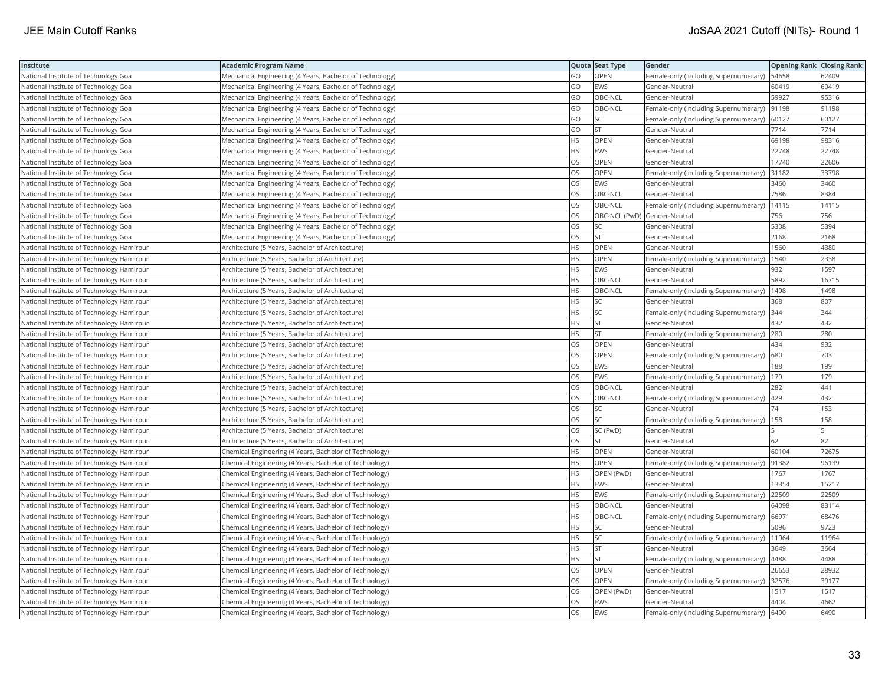| Institute                                 | <b>Academic Program Name</b>                             |           | Quota Seat Type              | Gender                                        | <b>Opening Rank Closing Rank</b> |       |
|-------------------------------------------|----------------------------------------------------------|-----------|------------------------------|-----------------------------------------------|----------------------------------|-------|
| National Institute of Technology Goa      | Mechanical Engineering (4 Years, Bachelor of Technology) | GO        | <b>OPEN</b>                  | Female-only (including Supernumerary)   54658 |                                  | 62409 |
| National Institute of Technology Goa      | Mechanical Engineering (4 Years, Bachelor of Technology) | GO        | EWS                          | Gender-Neutral                                | 60419                            | 60419 |
| National Institute of Technology Goa      | Mechanical Engineering (4 Years, Bachelor of Technology) | GO        | OBC-NCL                      | Gender-Neutral                                | 59927                            | 95316 |
| National Institute of Technology Goa      | Mechanical Engineering (4 Years, Bachelor of Technology) | GO        | OBC-NCL                      | Female-only (including Supernumerary)         | 91198                            | 91198 |
| National Institute of Technology Goa      | Mechanical Engineering (4 Years, Bachelor of Technology) | GO        | SC                           | Female-only (including Supernumerary)         | 60127                            | 60127 |
| National Institute of Technology Goa      | Mechanical Engineering (4 Years, Bachelor of Technology) | GO        | <b>ST</b>                    | Gender-Neutral                                | 7714                             | 7714  |
| National Institute of Technology Goa      | Mechanical Engineering (4 Years, Bachelor of Technology) | HS        | OPEN                         | Gender-Neutral                                | 69198                            | 98316 |
| National Institute of Technology Goa      | Mechanical Engineering (4 Years, Bachelor of Technology) | ΗS        | EWS                          | Gender-Neutral                                | 22748                            | 22748 |
| National Institute of Technology Goa      | Mechanical Engineering (4 Years, Bachelor of Technology) | OS        | OPEN                         | Gender-Neutral                                | 17740                            | 22606 |
| National Institute of Technology Goa      | Mechanical Engineering (4 Years, Bachelor of Technology) | OS        | <b>OPEN</b>                  | Female-only (including Supernumerary)         | 31182                            | 33798 |
| National Institute of Technology Goa      | Mechanical Engineering (4 Years, Bachelor of Technology) | OS        | EWS                          | Gender-Neutral                                | 3460                             | 3460  |
| National Institute of Technology Goa      | Mechanical Engineering (4 Years, Bachelor of Technology) | OS        | OBC-NCL                      | Gender-Neutral                                | 7586                             | 8384  |
| National Institute of Technology Goa      | Mechanical Engineering (4 Years, Bachelor of Technology) | OS        | OBC-NCL                      | Female-only (including Supernumerary)         | 14115                            | 14115 |
| National Institute of Technology Goa      | Mechanical Engineering (4 Years, Bachelor of Technology) | OS        | OBC-NCL (PwD) Gender-Neutral |                                               | 756                              | 756   |
| National Institute of Technology Goa      | Mechanical Engineering (4 Years, Bachelor of Technology) | OS        | SC                           | Gender-Neutral                                | 5308                             | 5394  |
| National Institute of Technology Goa      | Mechanical Engineering (4 Years, Bachelor of Technology) | OS        | <b>ST</b>                    | Gender-Neutral                                | 2168                             | 2168  |
| National Institute of Technology Hamirpur | Architecture (5 Years, Bachelor of Architecture)         | HS        | OPEN                         | Gender-Neutral                                | 1560                             | 4380  |
| National Institute of Technology Hamirpur | Architecture (5 Years, Bachelor of Architecture)         | ΗS        | OPEN                         | Female-only (including Supernumerary)         | 1540                             | 2338  |
| National Institute of Technology Hamirpur | Architecture (5 Years, Bachelor of Architecture)         | <b>HS</b> | EWS                          | Gender-Neutral                                | 932                              | 1597  |
| National Institute of Technology Hamirpur | Architecture (5 Years, Bachelor of Architecture)         | HS.       | OBC-NCL                      | Gender-Neutral                                | 5892                             | 16715 |
| National Institute of Technology Hamirpur | Architecture (5 Years, Bachelor of Architecture)         | HS.       | OBC-NCL                      | Female-only (including Supernumerary)         | 1498                             | 1498  |
| National Institute of Technology Hamirpur | Architecture (5 Years, Bachelor of Architecture)         | HS.       | SC                           | Gender-Neutral                                | 368                              | 807   |
| National Institute of Technology Hamirpur | Architecture (5 Years, Bachelor of Architecture)         | HS        | <b>SC</b>                    | Female-only (including Supernumerary) 344     |                                  | 344   |
| National Institute of Technology Hamirpur | Architecture (5 Years, Bachelor of Architecture)         | HS        | <b>ST</b>                    | Gender-Neutral                                | 432                              | 432   |
| National Institute of Technology Hamirpur | Architecture (5 Years, Bachelor of Architecture)         | HS.       | <b>ST</b>                    | Female-only (including Supernumerary)         | 280                              | 280   |
| National Institute of Technology Hamirpur | Architecture (5 Years, Bachelor of Architecture)         | OS        | <b>OPEN</b>                  | Gender-Neutral                                | 434                              | 932   |
| National Institute of Technology Hamirpur | Architecture (5 Years, Bachelor of Architecture)         | OS        | OPEN                         | Female-only (including Supernumerary) 680     |                                  | 703   |
| National Institute of Technology Hamirpur | Architecture (5 Years, Bachelor of Architecture)         | OS.       | EWS                          | Gender-Neutral                                | 188                              | 199   |
| National Institute of Technology Hamirpur | Architecture (5 Years, Bachelor of Architecture)         | <b>OS</b> | <b>EWS</b>                   | Female-only (including Supernumerary)         | 179                              | 179   |
| National Institute of Technology Hamirpur | Architecture (5 Years, Bachelor of Architecture)         | OS        | OBC-NCL                      | Gender-Neutral                                | 282                              | 441   |
| National Institute of Technology Hamirpur | Architecture (5 Years, Bachelor of Architecture)         | OS        | OBC-NCL                      | Female-only (including Supernumerary)   429   |                                  | 432   |
| National Institute of Technology Hamirpur | Architecture (5 Years, Bachelor of Architecture)         | OS        | SC                           | Gender-Neutral                                | 74                               | 153   |
| National Institute of Technology Hamirpur | Architecture (5 Years, Bachelor of Architecture)         | OS        | SC                           | Female-only (including Supernumerary)         | 158                              | 158   |
| National Institute of Technology Hamirpur | Architecture (5 Years, Bachelor of Architecture)         | OS        | SC (PwD)                     | Gender-Neutral                                |                                  |       |
| National Institute of Technology Hamirpur | Architecture (5 Years, Bachelor of Architecture)         | OS        | <b>ST</b>                    | Gender-Neutral                                | 62                               | 82    |
| National Institute of Technology Hamirpur | Chemical Engineering (4 Years, Bachelor of Technology)   | HS        | OPEN                         | Gender-Neutral                                | 60104                            | 72675 |
| National Institute of Technology Hamirpur | Chemical Engineering (4 Years, Bachelor of Technology)   | <b>HS</b> | <b>OPEN</b>                  | Female-only (including Supernumerary)         | 91382                            | 96139 |
| National Institute of Technology Hamirpur | Chemical Engineering (4 Years, Bachelor of Technology)   | HS        | OPEN (PwD)                   | Gender-Neutral                                | 1767                             | 1767  |
| National Institute of Technology Hamirpur | Chemical Engineering (4 Years, Bachelor of Technology)   | ΗS        | EWS                          | Gender-Neutral                                | 13354                            | 15217 |
| National Institute of Technology Hamirpur | Chemical Engineering (4 Years, Bachelor of Technology)   | HS        | EWS                          | Female-only (including Supernumerary)         | 22509                            | 22509 |
| National Institute of Technology Hamirpur | Chemical Engineering (4 Years, Bachelor of Technology)   | НS        | OBC-NCL                      | Gender-Neutral                                | 64098                            | 83114 |
| National Institute of Technology Hamirpur | Chemical Engineering (4 Years, Bachelor of Technology)   | HS        | OBC-NCL                      | Female-only (including Supernumerary) 66971   |                                  | 68476 |
| National Institute of Technology Hamirpur | Chemical Engineering (4 Years, Bachelor of Technology)   | HS.       | SC                           | Gender-Neutral                                | 5096                             | 9723  |
| National Institute of Technology Hamirpur | Chemical Engineering (4 Years, Bachelor of Technology)   | <b>HS</b> | <b>SC</b>                    | Female-only (including Supernumerary)         | 11964                            | 11964 |
| National Institute of Technology Hamirpur | Chemical Engineering (4 Years, Bachelor of Technology)   | HS        | <b>ST</b>                    | Gender-Neutral                                | 3649                             | 3664  |
| National Institute of Technology Hamirpur | Chemical Engineering (4 Years, Bachelor of Technology)   | HS.       | <b>ST</b>                    | Female-only (including Supernumerary)         | 4488                             | 4488  |
| National Institute of Technology Hamirpur | Chemical Engineering (4 Years, Bachelor of Technology)   | OS        | OPEN                         | Gender-Neutral                                | 26653                            | 28932 |
| National Institute of Technology Hamirpur | Chemical Engineering (4 Years, Bachelor of Technology)   | OS        | OPEN                         | Female-only (including Supernumerary)         | 32576                            | 39177 |
| National Institute of Technology Hamirpur | Chemical Engineering (4 Years, Bachelor of Technology)   | OS        | OPEN (PwD)                   | Gender-Neutral                                | 1517                             | 1517  |
| National Institute of Technology Hamirpur | Chemical Engineering (4 Years, Bachelor of Technology)   | OS        | EWS                          | Gender-Neutral                                | 4404                             | 4662  |
| National Institute of Technology Hamirpur | Chemical Engineering (4 Years, Bachelor of Technology)   | OS        | <b>EWS</b>                   | Female-only (including Supernumerary) 6490    |                                  | 6490  |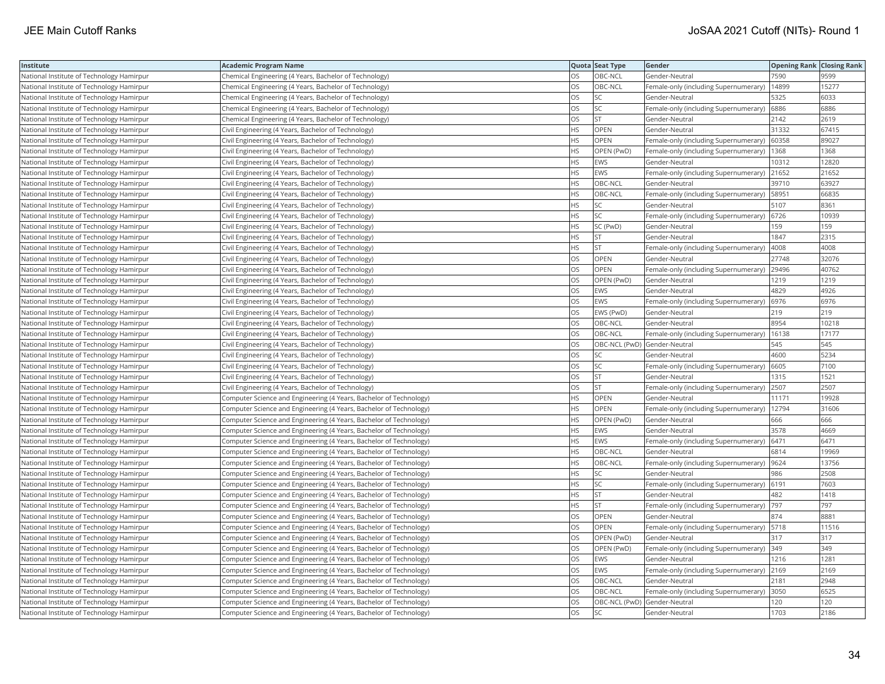| Institute                                 | <b>Academic Program Name</b>                                       |           | Quota Seat Type              | Gender                                       | <b>Opening Rank Closing Rank</b> |       |
|-------------------------------------------|--------------------------------------------------------------------|-----------|------------------------------|----------------------------------------------|----------------------------------|-------|
| National Institute of Technology Hamirpur | Chemical Engineering (4 Years, Bachelor of Technology)             | OS        | OBC-NCL                      | Gender-Neutral                               | 7590                             | 9599  |
| National Institute of Technology Hamirpur | Chemical Engineering (4 Years, Bachelor of Technology)             | OS        | OBC-NCL                      | Female-only (including Supernumerary)        | 14899                            | 15277 |
| National Institute of Technology Hamirpur | Chemical Engineering (4 Years, Bachelor of Technology)             | OS        | SC                           | Gender-Neutral                               | 5325                             | 6033  |
| National Institute of Technology Hamirpur | Chemical Engineering (4 Years, Bachelor of Technology)             | OS        | SC                           | Female-only (including Supernumerary)        | 6886                             | 6886  |
| National Institute of Technology Hamirpur | Chemical Engineering (4 Years, Bachelor of Technology)             | OS        | <b>ST</b>                    | Gender-Neutral                               | 2142                             | 2619  |
| National Institute of Technology Hamirpur | Civil Engineering (4 Years, Bachelor of Technology)                | HS        | OPEN                         | Gender-Neutral                               | 31332                            | 67415 |
| National Institute of Technology Hamirpur | Civil Engineering (4 Years, Bachelor of Technology)                | HS        | OPEN                         | Female-only (including Supernumerary)        | 60358                            | 89027 |
| National Institute of Technology Hamirpur | Civil Engineering (4 Years, Bachelor of Technology)                | <b>HS</b> | OPEN (PwD)                   | Female-only (including Supernumerary)        | 1368                             | 1368  |
| National Institute of Technology Hamirpur | Civil Engineering (4 Years, Bachelor of Technology)                | HS        | <b>EWS</b>                   | Gender-Neutral                               | 10312                            | 12820 |
| National Institute of Technology Hamirpur | Civil Engineering (4 Years, Bachelor of Technology)                | HS        | EWS                          | Female-only (including Supernumerary)        | 21652                            | 21652 |
| National Institute of Technology Hamirpur | Civil Engineering (4 Years, Bachelor of Technology)                | <b>HS</b> | OBC-NCL                      | Gender-Neutral                               | 39710                            | 63927 |
| National Institute of Technology Hamirpur | Civil Engineering (4 Years, Bachelor of Technology)                | HS        | OBC-NCL                      | Female-only (including Supernumerary)        | 58951                            | 66835 |
| National Institute of Technology Hamirpur | Civil Engineering (4 Years, Bachelor of Technology)                | HS        | <b>SC</b>                    | Gender-Neutral                               | 5107                             | 8361  |
| National Institute of Technology Hamirpur | Civil Engineering (4 Years, Bachelor of Technology)                | НS        | <b>SC</b>                    | Female-only (including Supernumerary) 6726   |                                  | 10939 |
| National Institute of Technology Hamirpur | Civil Engineering (4 Years, Bachelor of Technology)                | HS        | SC (PwD)                     | Gender-Neutral                               | 159                              | 159   |
| National Institute of Technology Hamirpur | Civil Engineering (4 Years, Bachelor of Technology)                | ٦S        | <b>ST</b>                    | Gender-Neutral                               | 1847                             | 2315  |
| National Institute of Technology Hamirpur | Civil Engineering (4 Years, Bachelor of Technology)                | <b>HS</b> | <b>ST</b>                    | Female-only (including Supernumerary)        | 4008                             | 4008  |
| National Institute of Technology Hamirpur | Civil Engineering (4 Years, Bachelor of Technology)                | OS        | OPEN                         | Gender-Neutral                               | 27748                            | 32076 |
| National Institute of Technology Hamirpur | Civil Engineering (4 Years, Bachelor of Technology)                | OS        | OPEN                         | Female-only (including Supernumerary)        | 29496                            | 40762 |
| National Institute of Technology Hamirpur | Civil Engineering (4 Years, Bachelor of Technology)                | <b>OS</b> | OPEN (PwD)                   | Gender-Neutral                               | 1219                             | 1219  |
| National Institute of Technology Hamirpur | Civil Engineering (4 Years, Bachelor of Technology)                | OS        | <b>EWS</b>                   | Gender-Neutral                               | 4829                             | 4926  |
| National Institute of Technology Hamirpur | Civil Engineering (4 Years, Bachelor of Technology)                | OS        | <b>EWS</b>                   | Female-only (including Supernumerary) 6976   |                                  | 6976  |
| National Institute of Technology Hamirpur | Civil Engineering (4 Years, Bachelor of Technology)                | OS        | EWS (PwD)                    | Gender-Neutral                               | 219                              | 219   |
| National Institute of Technology Hamirpur | Civil Engineering (4 Years, Bachelor of Technology)                | OS        | OBC-NCL                      | Gender-Neutral                               | 8954                             | 10218 |
| National Institute of Technology Hamirpur | Civil Engineering (4 Years, Bachelor of Technology)                | OS        | OBC-NCL                      | Female-only (including Supernumerary)        | 16138                            | 17177 |
| National Institute of Technology Hamirpur | Civil Engineering (4 Years, Bachelor of Technology)                | OS        | OBC-NCL (PwD) Gender-Neutral |                                              | 545                              | 545   |
| National Institute of Technology Hamirpur | Civil Engineering (4 Years, Bachelor of Technology)                | OS        | SC                           | Gender-Neutral                               | 4600                             | 5234  |
| National Institute of Technology Hamirpur | Civil Engineering (4 Years, Bachelor of Technology)                | OS        | SC                           | Female-only (including Supernumerary)        | 6605                             | 7100  |
| National Institute of Technology Hamirpur | Civil Engineering (4 Years, Bachelor of Technology)                | OS        | <b>ST</b>                    | Gender-Neutral                               | 1315                             | 1521  |
| National Institute of Technology Hamirpur | Civil Engineering (4 Years, Bachelor of Technology)                | OS        | <b>ST</b>                    | Female-only (including Supernumerary) 2507   |                                  | 2507  |
| National Institute of Technology Hamirpur | Computer Science and Engineering (4 Years, Bachelor of Technology) | HS        | OPEN                         | Gender-Neutral                               | 11171                            | 19928 |
| National Institute of Technology Hamirpur | Computer Science and Engineering (4 Years, Bachelor of Technology) | ΗS        | OPEN                         | Female-only (including Supernumerary)        | 12794                            | 31606 |
| National Institute of Technology Hamirpur | Computer Science and Engineering (4 Years, Bachelor of Technology) | ΗS        | OPEN (PwD)                   | Gender-Neutral                               | 666                              | 666   |
| National Institute of Technology Hamirpur | Computer Science and Engineering (4 Years, Bachelor of Technology) | HS        | <b>EWS</b>                   | Gender-Neutral                               | 3578                             | 4669  |
| National Institute of Technology Hamirpur | Computer Science and Engineering (4 Years, Bachelor of Technology) | HS        | EWS                          | Female-only (including Supernumerary)        | 6471                             | 6471  |
| National Institute of Technology Hamirpur | Computer Science and Engineering (4 Years, Bachelor of Technology) | <b>HS</b> | OBC-NCL                      | Gender-Neutral                               | 6814                             | 19969 |
| National Institute of Technology Hamirpur | Computer Science and Engineering (4 Years, Bachelor of Technology) | HS        | OBC-NCL                      | Female-only (including Supernumerary) 9624   |                                  | 13756 |
| National Institute of Technology Hamirpur | Computer Science and Engineering (4 Years, Bachelor of Technology) | HS        | <b>SC</b>                    | Gender-Neutral                               | 986                              | 2508  |
| National Institute of Technology Hamirpur | Computer Science and Engineering (4 Years, Bachelor of Technology) | HS        | SC                           | Female-only (including Supernumerary) 6191   |                                  | 7603  |
| National Institute of Technology Hamirpur | Computer Science and Engineering (4 Years, Bachelor of Technology) | HS        | <b>ST</b>                    | Gender-Neutral                               | 482                              | 1418  |
| National Institute of Technology Hamirpur | Computer Science and Engineering (4 Years, Bachelor of Technology) | HS        | <b>ST</b>                    | Female-only (including Supernumerary)        | 797                              | 797   |
| National Institute of Technology Hamirpur | Computer Science and Engineering (4 Years, Bachelor of Technology) | OS        | OPEN                         | Gender-Neutral                               | 874                              | 8881  |
| National Institute of Technology Hamirpur | Computer Science and Engineering (4 Years, Bachelor of Technology) | OS        | OPEN                         | Female-only (including Supernumerary)   5718 |                                  | 11516 |
| National Institute of Technology Hamirpur | Computer Science and Engineering (4 Years, Bachelor of Technology) | OS        | OPEN (PwD)                   | Gender-Neutral                               | 317                              | 317   |
| National Institute of Technology Hamirpur | Computer Science and Engineering (4 Years, Bachelor of Technology) | OS        | OPEN (PwD)                   | Female-only (including Supernumerary) 349    |                                  | 349   |
| National Institute of Technology Hamirpur | Computer Science and Engineering (4 Years, Bachelor of Technology) | OS        | EWS                          | Gender-Neutral                               | 1216                             | 1281  |
| National Institute of Technology Hamirpur | Computer Science and Engineering (4 Years, Bachelor of Technology) | OS        | <b>EWS</b>                   | Female-only (including Supernumerary) 2169   |                                  | 2169  |
| National Institute of Technology Hamirpur | Computer Science and Engineering (4 Years, Bachelor of Technology) | OS        | OBC-NCL                      | Gender-Neutral                               | 2181                             | 2948  |
| National Institute of Technology Hamirpur | Computer Science and Engineering (4 Years, Bachelor of Technology) | OS        | OBC-NCL                      | Female-only (including Supernumerary)        | 3050                             | 6525  |
| National Institute of Technology Hamirpur | Computer Science and Engineering (4 Years, Bachelor of Technology) | OS        | OBC-NCL (PwD) Gender-Neutral |                                              | 120                              | 120   |
| National Institute of Technology Hamirpur | Computer Science and Engineering (4 Years, Bachelor of Technology) | <b>OS</b> | <b>SC</b>                    | Gender-Neutral                               | 1703                             | 2186  |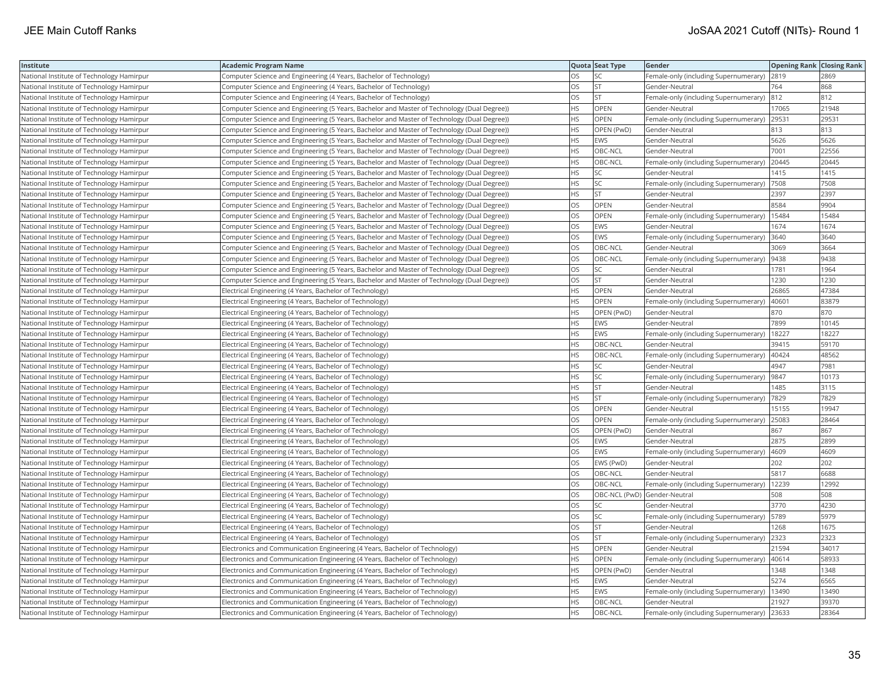| Institute                                 | <b>Academic Program Name</b>                                                                |           | Quota Seat Type              | Gender                                        | <b>Opening Rank Closing Rank</b> |       |
|-------------------------------------------|---------------------------------------------------------------------------------------------|-----------|------------------------------|-----------------------------------------------|----------------------------------|-------|
| National Institute of Technology Hamirpur | Computer Science and Engineering (4 Years, Bachelor of Technology)                          | OS        | SC                           | Female-only (including Supernumerary) 2819    |                                  | 2869  |
| National Institute of Technology Hamirpur | Computer Science and Engineering (4 Years, Bachelor of Technology)                          | OS        | <b>ST</b>                    | Gender-Neutral                                | 764                              | 868   |
| National Institute of Technology Hamirpur | Computer Science and Engineering (4 Years, Bachelor of Technology)                          | OS        | <b>ST</b>                    | Female-only (including Supernumerary) 812     |                                  | 812   |
| National Institute of Technology Hamirpur | Computer Science and Engineering (5 Years, Bachelor and Master of Technology (Dual Degree)) | HS        | OPEN                         | Gender-Neutral                                | 17065                            | 21948 |
| National Institute of Technology Hamirpur | Computer Science and Engineering (5 Years, Bachelor and Master of Technology (Dual Degree)) | HS        | OPEN                         | Female-only (including Supernumerary) 29531   |                                  | 29531 |
| National Institute of Technology Hamirpur | Computer Science and Engineering (5 Years, Bachelor and Master of Technology (Dual Degree)) | HS        | OPEN (PwD)                   | Gender-Neutral                                | 813                              | 813   |
| National Institute of Technology Hamirpur | Computer Science and Engineering (5 Years, Bachelor and Master of Technology (Dual Degree)) | HS        | <b>EWS</b>                   | Gender-Neutral                                | 5626                             | 5626  |
| National Institute of Technology Hamirpur | Computer Science and Engineering (5 Years, Bachelor and Master of Technology (Dual Degree)) | <b>HS</b> | OBC-NCL                      | Gender-Neutral                                | 7001                             | 22556 |
| National Institute of Technology Hamirpur | Computer Science and Engineering (5 Years, Bachelor and Master of Technology (Dual Degree)) | НS        | OBC-NCL                      | Female-only (including Supernumerary)         | 20445                            | 20445 |
| National Institute of Technology Hamirpur | Computer Science and Engineering (5 Years, Bachelor and Master of Technology (Dual Degree)) | HS        | SC                           | Gender-Neutral                                | 1415                             | 1415  |
| National Institute of Technology Hamirpur | Computer Science and Engineering (5 Years, Bachelor and Master of Technology (Dual Degree)) | <b>HS</b> | <b>SC</b>                    | Female-only (including Supernumerary)         | 7508                             | 7508  |
| National Institute of Technology Hamirpur | Computer Science and Engineering (5 Years, Bachelor and Master of Technology (Dual Degree)) | HS        | <b>ST</b>                    | Gender-Neutral                                | 2397                             | 2397  |
| National Institute of Technology Hamirpur | Computer Science and Engineering (5 Years, Bachelor and Master of Technology (Dual Degree)) | OS        | OPEN                         | Gender-Neutral                                | 8584                             | 9904  |
| National Institute of Technology Hamirpur | Computer Science and Engineering (5 Years, Bachelor and Master of Technology (Dual Degree)) | OS        | OPEN                         | Female-only (including Supernumerary)   15484 |                                  | 15484 |
| National Institute of Technology Hamirpur | Computer Science and Engineering (5 Years, Bachelor and Master of Technology (Dual Degree)) | OS        | <b>EWS</b>                   | Gender-Neutral                                | 1674                             | 1674  |
| National Institute of Technology Hamirpur | Computer Science and Engineering (5 Years, Bachelor and Master of Technology (Dual Degree)) | OS        | <b>EWS</b>                   | Female-only (including Supernumerary)         | 3640                             | 3640  |
| National Institute of Technology Hamirpur | Computer Science and Engineering (5 Years, Bachelor and Master of Technology (Dual Degree)) | OS        | OBC-NCL                      | Gender-Neutral                                | 3069                             | 3664  |
| National Institute of Technology Hamirpur | Computer Science and Engineering (5 Years, Bachelor and Master of Technology (Dual Degree)) | OS        | OBC-NCL                      | Female-only (including Supernumerary)         | 9438                             | 9438  |
| National Institute of Technology Hamirpur | Computer Science and Engineering (5 Years, Bachelor and Master of Technology (Dual Degree)) | OS        | <b>SC</b>                    | Gender-Neutral                                | 1781                             | 1964  |
| National Institute of Technology Hamirpur | Computer Science and Engineering (5 Years, Bachelor and Master of Technology (Dual Degree)) | <b>OS</b> | <b>ST</b>                    | Gender-Neutral                                | 1230                             | 1230  |
| National Institute of Technology Hamirpur | Electrical Engineering (4 Years, Bachelor of Technology)                                    | HS        | <b>OPEN</b>                  | Gender-Neutral                                | 26865                            | 47384 |
| National Institute of Technology Hamirpur | Electrical Engineering (4 Years, Bachelor of Technology)                                    | HS        | OPEN                         | Female-only (including Supernumerary)         | 40601                            | 83879 |
| National Institute of Technology Hamirpur | Electrical Engineering (4 Years, Bachelor of Technology)                                    | ΗS        | OPEN (PwD)                   | Gender-Neutral                                | 870                              | 870   |
| National Institute of Technology Hamirpur | Electrical Engineering (4 Years, Bachelor of Technology)                                    | HS        | <b>EWS</b>                   | Gender-Neutral                                | 7899                             | 10145 |
| National Institute of Technology Hamirpur | Electrical Engineering (4 Years, Bachelor of Technology)                                    | HS        | EWS                          | Female-only (including Supernumerary)         | 18227                            | 18227 |
| National Institute of Technology Hamirpur | Electrical Engineering (4 Years, Bachelor of Technology)                                    | HS        | OBC-NCL                      | Gender-Neutral                                | 39415                            | 59170 |
| National Institute of Technology Hamirpur | Electrical Engineering (4 Years, Bachelor of Technology)                                    | <b>HS</b> | OBC-NCL                      | Female-only (including Supernumerary)         | 40424                            | 48562 |
| National Institute of Technology Hamirpur | Electrical Engineering (4 Years, Bachelor of Technology)                                    | HS        | SC                           | Gender-Neutral                                | 4947                             | 7981  |
| National Institute of Technology Hamirpur | Electrical Engineering (4 Years, Bachelor of Technology)                                    | HS        | SC                           | Female-only (including Supernumerary)         | 9847                             | 10173 |
| National Institute of Technology Hamirpur | Electrical Engineering (4 Years, Bachelor of Technology)                                    | HS        | <b>ST</b>                    | Gender-Neutral                                | 1485                             | 3115  |
| National Institute of Technology Hamirpur | Electrical Engineering (4 Years, Bachelor of Technology)                                    | HS        | <b>ST</b>                    | Female-only (including Supernumerary)  7829   |                                  | 7829  |
| National Institute of Technology Hamirpur | Electrical Engineering (4 Years, Bachelor of Technology)                                    | OS        | OPEN                         | Gender-Neutral                                | 15155                            | 19947 |
| National Institute of Technology Hamirpur | Electrical Engineering (4 Years, Bachelor of Technology)                                    | OS        | OPEN                         | Female-only (including Supernumerary)         | 25083                            | 28464 |
| National Institute of Technology Hamirpur | Electrical Engineering (4 Years, Bachelor of Technology)                                    | OS        | OPEN (PwD)                   | Gender-Neutral                                | 867                              | 867   |
| National Institute of Technology Hamirpur | Electrical Engineering (4 Years, Bachelor of Technology)                                    | OS        | <b>EWS</b>                   | Gender-Neutral                                | 2875                             | 2899  |
| National Institute of Technology Hamirpur | Electrical Engineering (4 Years, Bachelor of Technology)                                    | OS        | <b>EWS</b>                   | Female-only (including Supernumerary)         | 4609                             | 4609  |
| National Institute of Technology Hamirpur | Electrical Engineering (4 Years, Bachelor of Technology)                                    | OS        | EWS (PwD)                    | Gender-Neutral                                | 202                              | 202   |
| National Institute of Technology Hamirpur | Electrical Engineering (4 Years, Bachelor of Technology)                                    | OS        | OBC-NCL                      | Gender-Neutral                                | 5817                             | 6688  |
| National Institute of Technology Hamirpur | Electrical Engineering (4 Years, Bachelor of Technology)                                    | OS        | OBC-NCL                      | Female-only (including Supernumerary)   12239 |                                  | 12992 |
| National Institute of Technology Hamirpur | Electrical Engineering (4 Years, Bachelor of Technology)                                    | OS        | OBC-NCL (PwD) Gender-Neutral |                                               | 508                              | 508   |
| National Institute of Technology Hamirpur | Electrical Engineering (4 Years, Bachelor of Technology)                                    | OS        | <b>SC</b>                    | Gender-Neutral                                | 3770                             | 4230  |
| National Institute of Technology Hamirpur | Electrical Engineering (4 Years, Bachelor of Technology)                                    | OS        | SC                           | Female-only (including Supernumerary)         | 5789                             | 5979  |
| National Institute of Technology Hamirpur | Electrical Engineering (4 Years, Bachelor of Technology)                                    | OS        | <b>ST</b>                    | Gender-Neutral                                | 1268                             | 1675  |
| National Institute of Technology Hamirpur | Electrical Engineering (4 Years, Bachelor of Technology)                                    | OS        | <b>ST</b>                    | Female-only (including Supernumerary)         | 2323                             | 2323  |
| National Institute of Technology Hamirpur | Electronics and Communication Engineering (4 Years, Bachelor of Technology)                 | HS        | OPEN                         | Gender-Neutral                                | 21594                            | 34017 |
| National Institute of Technology Hamirpur | Electronics and Communication Engineering (4 Years, Bachelor of Technology)                 | <b>HS</b> | <b>OPEN</b>                  | Female-only (including Supernumerary)         | 40614                            | 58933 |
| National Institute of Technology Hamirpur | Electronics and Communication Engineering (4 Years, Bachelor of Technology)                 | HS        | OPEN (PwD)                   | Gender-Neutral                                | 1348                             | 1348  |
| National Institute of Technology Hamirpur | Electronics and Communication Engineering (4 Years, Bachelor of Technology)                 | HS        | EWS                          | Gender-Neutral                                | 5274                             | 6565  |
| National Institute of Technology Hamirpur | Electronics and Communication Engineering (4 Years, Bachelor of Technology)                 | HS        | <b>EWS</b>                   | Female-only (including Supernumerary)   13490 |                                  | 13490 |
| National Institute of Technology Hamirpur | Electronics and Communication Engineering (4 Years, Bachelor of Technology)                 | HS        | OBC-NCL                      | Gender-Neutral                                | 21927                            | 39370 |
| National Institute of Technology Hamirpur | Electronics and Communication Engineering (4 Years, Bachelor of Technology)                 | <b>HS</b> | OBC-NCL                      | Female-only (including Supernumerary)         | 23633                            | 28364 |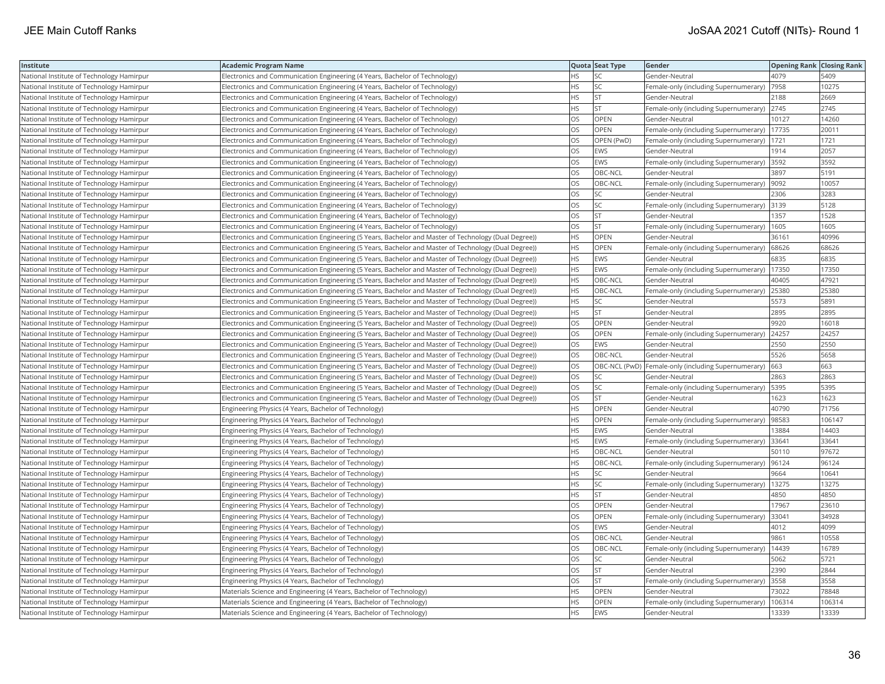| Institute                                 | Academic Program Name                                                                                 |           | Quota Seat Type | Gender                                                | <b>Opening Rank Closing Rank</b> |        |
|-------------------------------------------|-------------------------------------------------------------------------------------------------------|-----------|-----------------|-------------------------------------------------------|----------------------------------|--------|
| National Institute of Technology Hamirpur | Electronics and Communication Engineering (4 Years, Bachelor of Technology)                           | HS        | SC              | Gender-Neutral                                        | 4079                             | 5409   |
| National Institute of Technology Hamirpur | Electronics and Communication Engineering (4 Years, Bachelor of Technology)                           | HS.       | SC              | Female-only (including Supernumerary)                 | 7958                             | 10275  |
| National Institute of Technology Hamirpur | Electronics and Communication Engineering (4 Years, Bachelor of Technology)                           | HS        | <b>ST</b>       | Gender-Neutral                                        | 2188                             | 2669   |
| National Institute of Technology Hamirpur | Electronics and Communication Engineering (4 Years, Bachelor of Technology)                           | HS        | <b>ST</b>       | Female-only (including Supernumerary)                 | 2745                             | 2745   |
| National Institute of Technology Hamirpur | Electronics and Communication Engineering (4 Years, Bachelor of Technology)                           | OS        | <b>OPEN</b>     | Gender-Neutral                                        | 10127                            | 14260  |
| National Institute of Technology Hamirpur | Electronics and Communication Engineering (4 Years, Bachelor of Technology)                           | OS        | OPEN            | Female-only (including Supernumerary)                 | 17735                            | 20011  |
| National Institute of Technology Hamirpur | Electronics and Communication Engineering (4 Years, Bachelor of Technology)                           | OS        | OPEN (PwD)      | Female-only (including Supernumerary)                 | 1721                             | 1721   |
| National Institute of Technology Hamirpur | Electronics and Communication Engineering (4 Years, Bachelor of Technology)                           | OS        | EWS             | Gender-Neutral                                        | 1914                             | 2057   |
| National Institute of Technology Hamirpur | Electronics and Communication Engineering (4 Years, Bachelor of Technology)                           | OS        | EWS             | Female-only (including Supernumerary)                 | 3592                             | 3592   |
| National Institute of Technology Hamirpur | Electronics and Communication Engineering (4 Years, Bachelor of Technology)                           | OS        | OBC-NCL         | Gender-Neutral                                        | 3897                             | 5191   |
| National Institute of Technology Hamirpur | Electronics and Communication Engineering (4 Years, Bachelor of Technology)                           | <b>OS</b> | OBC-NCL         | Female-only (including Supernumerary)                 | 9092                             | 10057  |
| National Institute of Technology Hamirpur | Electronics and Communication Engineering (4 Years, Bachelor of Technology)                           | OS        | SC              | Gender-Neutral                                        | 2306                             | 3283   |
| National Institute of Technology Hamirpur | Electronics and Communication Engineering (4 Years, Bachelor of Technology)                           | OS        | SC              | Female-only (including Supernumerary) 3139            |                                  | 5128   |
| National Institute of Technology Hamirpur | Electronics and Communication Engineering (4 Years, Bachelor of Technology)                           | OS        | <b>ST</b>       | Gender-Neutral                                        | 1357                             | 1528   |
| National Institute of Technology Hamirpur | Electronics and Communication Engineering (4 Years, Bachelor of Technology)                           | OS.       | <b>ST</b>       | Female-only (including Supernumerary)                 | 1605                             | 1605   |
| National Institute of Technology Hamirpur | (Electronics and Communication Engineering (5 Years, Bachelor and Master of Technology (Dual Degree)) | HS.       | <b>OPEN</b>     | Gender-Neutral                                        | 36161                            | 40996  |
| National Institute of Technology Hamirpur | (Electronics and Communication Engineering (5 Years, Bachelor and Master of Technology (Dual Degree)) | HS        | OPEN            | Female-only (including Supernumerary)                 | 68626                            | 68626  |
| National Institute of Technology Hamirpur | (Electronics and Communication Engineering (5 Years, Bachelor and Master of Technology (Dual Degree)) | <b>HS</b> | EWS             | Gender-Neutral                                        | 6835                             | 6835   |
| National Institute of Technology Hamirpur | Electronics and Communication Engineering (5 Years, Bachelor and Master of Technology (Dual Degree))  | HS        | EWS             | Female-only (including Supernumerary)                 | 17350                            | 17350  |
| National Institute of Technology Hamirpur | (Electronics and Communication Engineering (5 Years, Bachelor and Master of Technology (Dual Degree)) | HS        | OBC-NCL         | Gender-Neutral                                        | 40405                            | 47921  |
| National Institute of Technology Hamirpur | (Electronics and Communication Engineering (5 Years, Bachelor and Master of Technology (Dual Degree)) | HS        | OBC-NCL         | Female-only (including Supernumerary)                 | 25380                            | 25380  |
| National Institute of Technology Hamirpur | (Electronics and Communication Engineering (5 Years, Bachelor and Master of Technology (Dual Degree)) | HS        | SC              | Gender-Neutral                                        | 5573                             | 5891   |
| National Institute of Technology Hamirpur | (Electronics and Communication Engineering (5 Years, Bachelor and Master of Technology (Dual Degree)) | HS        | <b>ST</b>       | Gender-Neutral                                        | 2895                             | 2895   |
| National Institute of Technology Hamirpur | (Electronics and Communication Engineering (5 Years, Bachelor and Master of Technology (Dual Degree)) | OS.       | <b>OPEN</b>     | Gender-Neutral                                        | 9920                             | 16018  |
| National Institute of Technology Hamirpur | (Electronics and Communication Engineering (5 Years, Bachelor and Master of Technology (Dual Degree)) | OS        | OPEN            | Female-only (including Supernumerary)                 | 24257                            | 24257  |
| National Institute of Technology Hamirpur | (Electronics and Communication Engineering (5 Years, Bachelor and Master of Technology (Dual Degree)) | OS        | <b>EWS</b>      | Gender-Neutral                                        | 2550                             | 2550   |
| National Institute of Technology Hamirpur | (Electronics and Communication Engineering (5 Years, Bachelor and Master of Technology (Dual Degree)) | OS        | OBC-NCL         | Gender-Neutral                                        | 5526                             | 5658   |
| National Institute of Technology Hamirpur | (Electronics and Communication Engineering (5 Years, Bachelor and Master of Technology (Dual Degree)) | OS        |                 | OBC-NCL (PwD)   Female-only (including Supernumerary) | 663                              | 663    |
| National Institute of Technology Hamirpur | (Electronics and Communication Engineering (5 Years, Bachelor and Master of Technology (Dual Degree)) | OS        | SC              | Gender-Neutral                                        | 2863                             | 2863   |
| National Institute of Technology Hamirpur | (Electronics and Communication Engineering (5 Years, Bachelor and Master of Technology (Dual Degree)) | OS        | SC              | Female-only (including Supernumerary)   5395          |                                  | 5395   |
| National Institute of Technology Hamirpur | (Electronics and Communication Engineering (5 Years, Bachelor and Master of Technology (Dual Degree)) | OS        | <b>ST</b>       | Gender-Neutral                                        | 1623                             | 1623   |
| National Institute of Technology Hamirpur | Engineering Physics (4 Years, Bachelor of Technology)                                                 | HS        | <b>OPEN</b>     | Gender-Neutral                                        | 40790                            | 71756  |
| National Institute of Technology Hamirpur | Engineering Physics (4 Years, Bachelor of Technology)                                                 | HS        | OPEN            | Female-only (including Supernumerary)                 | 98583                            | 106147 |
| National Institute of Technology Hamirpur | Engineering Physics (4 Years, Bachelor of Technology)                                                 | HS        | <b>EWS</b>      | Gender-Neutral                                        | 13884                            | 14403  |
| National Institute of Technology Hamirpur | Engineering Physics (4 Years, Bachelor of Technology)                                                 | HS        | EWS             | Female-only (including Supernumerary)                 | 33641                            | 33641  |
| National Institute of Technology Hamirpur | Engineering Physics (4 Years, Bachelor of Technology)                                                 | HS        | OBC-NCL         | Gender-Neutral                                        | 50110                            | 97672  |
| National Institute of Technology Hamirpur | Engineering Physics (4 Years, Bachelor of Technology)                                                 | HS        | OBC-NCL         | Female-only (including Supernumerary)                 | 96124                            | 96124  |
| National Institute of Technology Hamirpur | Engineering Physics (4 Years, Bachelor of Technology)                                                 | HS        | SC              | Gender-Neutral                                        | 9664                             | 10641  |
| National Institute of Technology Hamirpur | Engineering Physics (4 Years, Bachelor of Technology)                                                 | ΗS        | SC              | Female-only (including Supernumerary)                 | 13275                            | 13275  |
| National Institute of Technology Hamirpur | Engineering Physics (4 Years, Bachelor of Technology)                                                 | HS.       | <b>ST</b>       | Gender-Neutral                                        | 4850                             | 4850   |
| National Institute of Technology Hamirpur | Engineering Physics (4 Years, Bachelor of Technology)                                                 | OS        | OPEN            | Gender-Neutral                                        | 17967                            | 23610  |
| National Institute of Technology Hamirpur | Engineering Physics (4 Years, Bachelor of Technology)                                                 | OS        | OPEN            | Female-only (including Supernumerary)                 | 33041                            | 34928  |
| National Institute of Technology Hamirpur | Engineering Physics (4 Years, Bachelor of Technology)                                                 | OS        | EWS             | Gender-Neutral                                        | 4012                             | 4099   |
| National Institute of Technology Hamirpur | Engineering Physics (4 Years, Bachelor of Technology)                                                 | OS        | OBC-NCL         | Gender-Neutral                                        | 9861                             | 10558  |
| National Institute of Technology Hamirpur | Engineering Physics (4 Years, Bachelor of Technology)                                                 | OS        | OBC-NCL         | Female-only (including Supernumerary)                 | 14439                            | 16789  |
| National Institute of Technology Hamirpur | Engineering Physics (4 Years, Bachelor of Technology)                                                 | OS        | SC              | Gender-Neutral                                        | 5062                             | 5721   |
| National Institute of Technology Hamirpur | Engineering Physics (4 Years, Bachelor of Technology)                                                 | <b>OS</b> | <b>ST</b>       | Gender-Neutral                                        | 2390                             | 2844   |
| National Institute of Technology Hamirpur | Engineering Physics (4 Years, Bachelor of Technology)                                                 | OS        | <b>ST</b>       | Female-only (including Supernumerary)                 | 3558                             | 3558   |
| National Institute of Technology Hamirpur | Materials Science and Engineering (4 Years, Bachelor of Technology)                                   | HS        | OPEN            | Gender-Neutral                                        | 73022                            | 78848  |
| National Institute of Technology Hamirpur | Materials Science and Engineering (4 Years, Bachelor of Technology)                                   | <b>HS</b> | OPEN            | Female-only (including Supernumerary)                 | 106314                           | 106314 |
| National Institute of Technology Hamirpur | Materials Science and Engineering (4 Years, Bachelor of Technology)                                   | <b>HS</b> | <b>EWS</b>      | Gender-Neutral                                        | 13339                            | 13339  |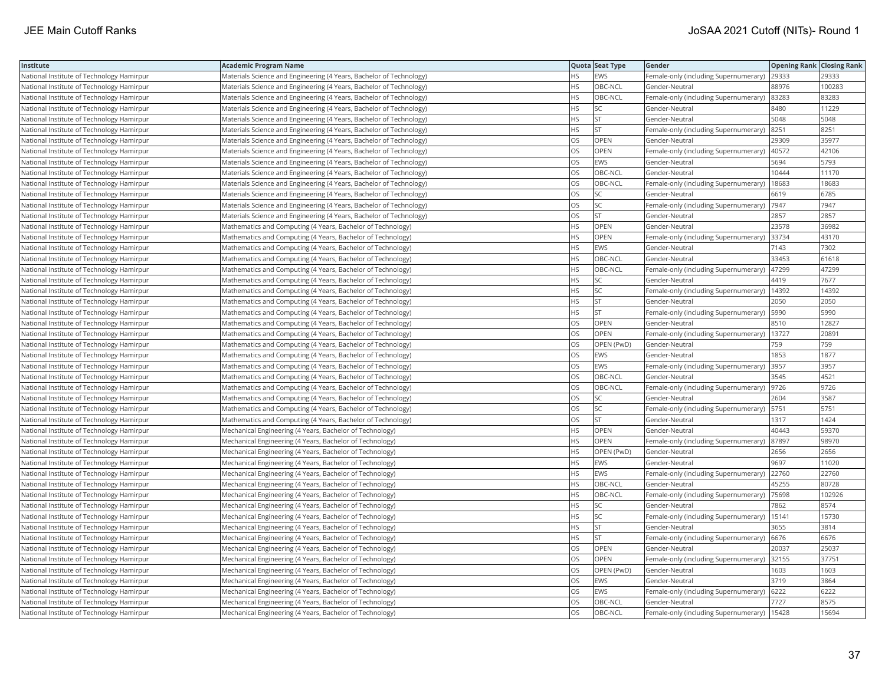| Institute                                 | <b>Academic Program Name</b>                                        |           | Quota Seat Type | Gender                                        | <b>Opening Rank Closing Rank</b> |        |
|-------------------------------------------|---------------------------------------------------------------------|-----------|-----------------|-----------------------------------------------|----------------------------------|--------|
| National Institute of Technology Hamirpur | Materials Science and Engineering (4 Years, Bachelor of Technology) | ΗS        | EWS             | Female-only (including Supernumerary)         | 29333                            | 29333  |
| National Institute of Technology Hamirpur | Materials Science and Engineering (4 Years, Bachelor of Technology) | HS        | OBC-NCL         | Gender-Neutral                                | 88976                            | 100283 |
| National Institute of Technology Hamirpur | Materials Science and Engineering (4 Years, Bachelor of Technology) | HS        | OBC-NCL         | Female-only (including Supernumerary)         | 83283                            | 83283  |
| National Institute of Technology Hamirpur | Materials Science and Engineering (4 Years, Bachelor of Technology) | HS        | SC              | Gender-Neutral                                | 8480                             | 11229  |
| National Institute of Technology Hamirpur | Materials Science and Engineering (4 Years, Bachelor of Technology) | <b>HS</b> | <b>ST</b>       | Gender-Neutral                                | 5048                             | 5048   |
| National Institute of Technology Hamirpur | Materials Science and Engineering (4 Years, Bachelor of Technology) | HS        | <b>ST</b>       | Female-only (including Supernumerary) 8251    |                                  | 8251   |
| National Institute of Technology Hamirpur | Materials Science and Engineering (4 Years, Bachelor of Technology) | OS        | OPEN            | Gender-Neutral                                | 29309                            | 35977  |
| National Institute of Technology Hamirpur | Materials Science and Engineering (4 Years, Bachelor of Technology) | OS        | OPEN            | Female-only (including Supernumerary)   40572 |                                  | 42106  |
| National Institute of Technology Hamirpur | Materials Science and Engineering (4 Years, Bachelor of Technology) | OS        | EWS             | Gender-Neutral                                | 5694                             | 5793   |
| National Institute of Technology Hamirpur | Materials Science and Engineering (4 Years, Bachelor of Technology) | OS        | OBC-NCL         | Gender-Neutral                                | 10444                            | 11170  |
| National Institute of Technology Hamirpur | Materials Science and Engineering (4 Years, Bachelor of Technology) | OS        | OBC-NCL         | Female-only (including Supernumerary)         | 18683                            | 18683  |
| National Institute of Technology Hamirpur | Materials Science and Engineering (4 Years, Bachelor of Technology) | OS        | <b>SC</b>       | Gender-Neutral                                | 6619                             | 6785   |
| National Institute of Technology Hamirpur | Materials Science and Engineering (4 Years, Bachelor of Technology) | OS        | <b>SC</b>       | Female-only (including Supernumerary)         | 7947                             | 7947   |
| National Institute of Technology Hamirpur | Materials Science and Engineering (4 Years, Bachelor of Technology) | OS        | <b>ST</b>       | Gender-Neutral                                | 2857                             | 2857   |
| National Institute of Technology Hamirpur | Mathematics and Computing (4 Years, Bachelor of Technology)         | HS        | OPEN            | Gender-Neutral                                | 23578                            | 36982  |
| National Institute of Technology Hamirpur | Mathematics and Computing (4 Years, Bachelor of Technology)         | ΗS        | OPEN            | Female-only (including Supernumerary) 33734   |                                  | 43170  |
| National Institute of Technology Hamirpur | Mathematics and Computing (4 Years, Bachelor of Technology)         | <b>HS</b> | <b>EWS</b>      | Gender-Neutral                                | 7143                             | 7302   |
| National Institute of Technology Hamirpur | Mathematics and Computing (4 Years, Bachelor of Technology)         | ΗS        | OBC-NCL         | Gender-Neutral                                | 33453                            | 61618  |
| National Institute of Technology Hamirpur | Mathematics and Computing (4 Years, Bachelor of Technology)         | HS        | OBC-NCL         | Female-only (including Supernumerary)   47299 |                                  | 47299  |
| National Institute of Technology Hamirpur | Mathematics and Computing (4 Years, Bachelor of Technology)         | <b>HS</b> | <b>SC</b>       | Gender-Neutral                                | 4419                             | 7677   |
| National Institute of Technology Hamirpur | Mathematics and Computing (4 Years, Bachelor of Technology)         | HS        | SC              | Female-only (including Supernumerary)         | 14392                            | 14392  |
| National Institute of Technology Hamirpur | Mathematics and Computing (4 Years, Bachelor of Technology)         | HS        | <b>ST</b>       | Gender-Neutral                                | 2050                             | 2050   |
| National Institute of Technology Hamirpur | Mathematics and Computing (4 Years, Bachelor of Technology)         | HS        | <b>ST</b>       | Female-only (including Supernumerary)   5990  |                                  | 5990   |
| National Institute of Technology Hamirpur | Mathematics and Computing (4 Years, Bachelor of Technology)         | OS        | OPEN            | Gender-Neutral                                | 8510                             | 12827  |
| National Institute of Technology Hamirpur | Mathematics and Computing (4 Years, Bachelor of Technology)         | OS        | <b>OPEN</b>     | Female-only (including Supernumerary)         | 13727                            | 2089   |
| National Institute of Technology Hamirpur | Mathematics and Computing (4 Years, Bachelor of Technology)         | OS        | OPEN (PwD)      | Gender-Neutral                                | 759                              | 759    |
| National Institute of Technology Hamirpur | Mathematics and Computing (4 Years, Bachelor of Technology)         | OS        | <b>EWS</b>      | Gender-Neutral                                | 1853                             | 1877   |
| National Institute of Technology Hamirpur | Mathematics and Computing (4 Years, Bachelor of Technology)         | OS        | <b>EWS</b>      | Female-only (including Supernumerary)         | 3957                             | 3957   |
| National Institute of Technology Hamirpur | Mathematics and Computing (4 Years, Bachelor of Technology)         | OS        | OBC-NCL         | Gender-Neutral                                | 3545                             | 4521   |
| National Institute of Technology Hamirpur | Mathematics and Computing (4 Years, Bachelor of Technology)         | OS        | OBC-NCL         | Female-only (including Supernumerary)  9726   |                                  | 9726   |
| National Institute of Technology Hamirpur | Mathematics and Computing (4 Years, Bachelor of Technology)         | OS        | SC              | Gender-Neutral                                | 2604                             | 3587   |
| National Institute of Technology Hamirpur | Mathematics and Computing (4 Years, Bachelor of Technology)         | OS        | SC              | Female-only (including Supernumerary)   5751  |                                  | 5751   |
| National Institute of Technology Hamirpur | Mathematics and Computing (4 Years, Bachelor of Technology)         | OS        | <b>ST</b>       | Gender-Neutral                                | 1317                             | 1424   |
| National Institute of Technology Hamirpur | Mechanical Engineering (4 Years, Bachelor of Technology)            | ΗS        | OPEN            | Gender-Neutral                                | 40443                            | 59370  |
| National Institute of Technology Hamirpur | Mechanical Engineering (4 Years, Bachelor of Technology)            | <b>HS</b> | <b>OPEN</b>     | Female-only (including Supernumerary)         | 87897                            | 98970  |
| National Institute of Technology Hamirpur | Mechanical Engineering (4 Years, Bachelor of Technology)            | НS        | OPEN (PwD)      | Gender-Neutral                                | 2656                             | 2656   |
| National Institute of Technology Hamirpur | Mechanical Engineering (4 Years, Bachelor of Technology)            | HS        | <b>EWS</b>      | Gender-Neutral                                | 9697                             | 11020  |
| National Institute of Technology Hamirpur | Mechanical Engineering (4 Years, Bachelor of Technology)            | <b>HS</b> | <b>EWS</b>      | Female-only (including Supernumerary)         | 22760                            | 22760  |
| National Institute of Technology Hamirpur | Mechanical Engineering (4 Years, Bachelor of Technology)            | HS        | OBC-NCL         | Gender-Neutral                                | 45255                            | 80728  |
| National Institute of Technology Hamirpur | Mechanical Engineering (4 Years, Bachelor of Technology)            | ΗS        | OBC-NCL         | Female-only (including Supernumerary)  75698  |                                  | 102926 |
| National Institute of Technology Hamirpur | Mechanical Engineering (4 Years, Bachelor of Technology)            | HS        | SC              | Gender-Neutral                                | 7862                             | 8574   |
| National Institute of Technology Hamirpur | Mechanical Engineering (4 Years, Bachelor of Technology)            | HS        | SC              | Female-only (including Supernumerary)         | 15141                            | 15730  |
| National Institute of Technology Hamirpur | Mechanical Engineering (4 Years, Bachelor of Technology)            | ΗS        | <b>ST</b>       | Gender-Neutral                                | 3655                             | 3814   |
| National Institute of Technology Hamirpur | Mechanical Engineering (4 Years, Bachelor of Technology)            | HS        | <b>ST</b>       | Female-only (including Supernumerary)         | 6676                             | 6676   |
| National Institute of Technology Hamirpur | Mechanical Engineering (4 Years, Bachelor of Technology)            | OS        | OPEN            | Gender-Neutral                                | 20037                            | 25037  |
| National Institute of Technology Hamirpur | Mechanical Engineering (4 Years, Bachelor of Technology)            | OS        | <b>OPEN</b>     | Female-only (including Supernumerary) 32155   |                                  | 37751  |
| National Institute of Technology Hamirpur | Mechanical Engineering (4 Years, Bachelor of Technology)            | OS        | OPEN (PwD)      | Gender-Neutral                                | 1603                             | 1603   |
| National Institute of Technology Hamirpur | Mechanical Engineering (4 Years, Bachelor of Technology)            | OS        | <b>EWS</b>      | Gender-Neutral                                | 3719                             | 3864   |
| National Institute of Technology Hamirpur | Mechanical Engineering (4 Years, Bachelor of Technology)            | OS        | <b>EWS</b>      | Female-only (including Supernumerary)   6222  |                                  | 6222   |
| National Institute of Technology Hamirpur | Mechanical Engineering (4 Years, Bachelor of Technology)            | OS        | OBC-NCL         | Gender-Neutral                                | 7727                             | 8575   |
| National Institute of Technology Hamirpur | Mechanical Engineering (4 Years, Bachelor of Technology)            | OS        | OBC-NCL         | Female-only (including Supernumerary)         | 15428                            | 15694  |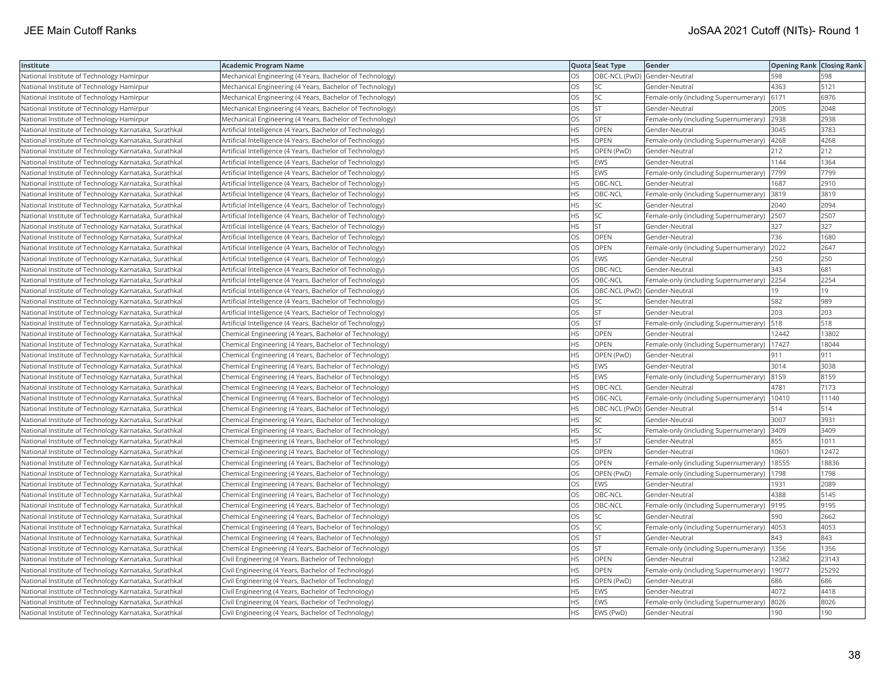| Institute                                             | Academic Program Name                                     |           | Quota Seat Type              | Gender                                        | <b>Opening Rank Closing Rank</b> |       |
|-------------------------------------------------------|-----------------------------------------------------------|-----------|------------------------------|-----------------------------------------------|----------------------------------|-------|
| National Institute of Technology Hamirpur             | Mechanical Engineering (4 Years, Bachelor of Technology)  | OS.       | OBC-NCL (PwD) Gender-Neutral |                                               | 598                              | 598   |
| National Institute of Technology Hamirpur             | Mechanical Engineering (4 Years, Bachelor of Technology)  | OS        | SC                           | Gender-Neutral                                | 4363                             | 5121  |
| National Institute of Technology Hamirpur             | Mechanical Engineering (4 Years, Bachelor of Technology)  | OS        | SC.                          | Female-only (including Supernumerary) 6171    |                                  | 6976  |
| National Institute of Technology Hamirpur             | Mechanical Engineering (4 Years, Bachelor of Technology)  | OS        | <b>ST</b>                    | Gender-Neutral                                | 2005                             | 2048  |
| National Institute of Technology Hamirpur             | Mechanical Engineering (4 Years, Bachelor of Technology)  | OS        | <b>ST</b>                    | Female-only (including Supernumerary)         | 2938                             | 2938  |
| National Institute of Technology Karnataka, Surathkal | Artificial Intelligence (4 Years, Bachelor of Technology) | HS        | OPEN                         | Gender-Neutral                                | 3045                             | 3783  |
| National Institute of Technology Karnataka, Surathkal | Artificial Intelligence (4 Years, Bachelor of Technology) | HS        | <b>OPEN</b>                  | Female-only (including Supernumerary)  4268   |                                  | 4268  |
| National Institute of Technology Karnataka, Surathkal | Artificial Intelligence (4 Years, Bachelor of Technology) | HS        | OPEN (PwD)                   | Gender-Neutral                                | 212                              | 212   |
| National Institute of Technology Karnataka, Surathkal | Artificial Intelligence (4 Years, Bachelor of Technology) | HS.       | <b>EWS</b>                   | Gender-Neutral                                | 1144                             | 1364  |
| National Institute of Technology Karnataka, Surathkal | Artificial Intelligence (4 Years, Bachelor of Technology) | HS.       | EWS                          | Female-only (including Supernumerary)         | 7799                             | 7799  |
| National Institute of Technology Karnataka, Surathkal | Artificial Intelligence (4 Years, Bachelor of Technology) | HS        | OBC-NCL                      | Gender-Neutral                                | 1687                             | 2910  |
| National Institute of Technology Karnataka, Surathkal | Artificial Intelligence (4 Years, Bachelor of Technology) | HS.       | OBC-NCL                      | Female-only (including Supernumerary)         | 3819                             | 3819  |
| National Institute of Technology Karnataka, Surathkal | Artificial Intelligence (4 Years, Bachelor of Technology) | HS.       | <b>SC</b>                    | Gender-Neutral                                | 2040                             | 2094  |
| National Institute of Technology Karnataka, Surathkal | Artificial Intelligence (4 Years, Bachelor of Technology) | HS        | SC                           | Female-only (including Supernumerary) 2507    |                                  | 2507  |
| National Institute of Technology Karnataka, Surathkal | Artificial Intelligence (4 Years, Bachelor of Technology) | ΗS        | <b>ST</b>                    | Gender-Neutral                                | 327                              | 327   |
| National Institute of Technology Karnataka, Surathkal | Artificial Intelligence (4 Years, Bachelor of Technology) | OS        | OPEN                         | Gender-Neutral                                | 736                              | 1680  |
| National Institute of Technology Karnataka, Surathkal | Artificial Intelligence (4 Years, Bachelor of Technology) | OS        | OPEN                         | Female-only (including Supernumerary)         | 2022                             | 2647  |
| National Institute of Technology Karnataka, Surathkal | Artificial Intelligence (4 Years, Bachelor of Technology) | <b>OS</b> | <b>EWS</b>                   | Gender-Neutral                                | 250                              | 250   |
| National Institute of Technology Karnataka, Surathkal | Artificial Intelligence (4 Years, Bachelor of Technology) | OS        | OBC-NCL                      | Gender-Neutral                                | 343                              | 681   |
| National Institute of Technology Karnataka, Surathkal | Artificial Intelligence (4 Years, Bachelor of Technology) | <b>OS</b> | OBC-NCL                      | Female-only (including Supernumerary)         | 2254                             | 2254  |
| National Institute of Technology Karnataka, Surathkal | Artificial Intelligence (4 Years, Bachelor of Technology) | OS        | OBC-NCL (PwD) Gender-Neutral |                                               | 19                               | 19    |
| National Institute of Technology Karnataka, Surathkal | Artificial Intelligence (4 Years, Bachelor of Technology) | OS        | SC.                          | Gender-Neutral                                | 582                              | 989   |
| National Institute of Technology Karnataka, Surathkal | Artificial Intelligence (4 Years, Bachelor of Technology) | OS        | <b>ST</b>                    | Gender-Neutral                                | 203                              | 203   |
| National Institute of Technology Karnataka, Surathkal | Artificial Intelligence (4 Years, Bachelor of Technology) | OS        | <b>ST</b>                    | Female-only (including Supernumerary)         | 518                              | 518   |
| National Institute of Technology Karnataka, Surathkal | Chemical Engineering (4 Years, Bachelor of Technology)    | HS        | OPEN                         | Gender-Neutral                                | 12442                            | 13802 |
| National Institute of Technology Karnataka, Surathkal | Chemical Engineering (4 Years, Bachelor of Technology)    | HS        | OPEN                         | Female-only (including Supernumerary)         | 17427                            | 18044 |
| National Institute of Technology Karnataka, Surathkal | Chemical Engineering (4 Years, Bachelor of Technology)    | ΗS        | OPEN (PwD)                   | Gender-Neutral                                | 911                              | 911   |
| National Institute of Technology Karnataka, Surathkal | Chemical Engineering (4 Years, Bachelor of Technology)    | <b>HS</b> | <b>EWS</b>                   | Gender-Neutral                                | 3014                             | 3038  |
| National Institute of Technology Karnataka, Surathkal | Chemical Engineering (4 Years, Bachelor of Technology)    | HS        | EWS                          | Female-only (including Supernumerary)         | 8159                             | 8159  |
| National Institute of Technology Karnataka, Surathkal | Chemical Engineering (4 Years, Bachelor of Technology)    | ΗS        | OBC-NCL                      | Gender-Neutral                                | 4781                             | 7173  |
| National Institute of Technology Karnataka, Surathkal | Chemical Engineering (4 Years, Bachelor of Technology)    | HS        | OBC-NCL                      | Female-only (including Supernumerary)   10410 |                                  | 11140 |
| National Institute of Technology Karnataka, Surathkal | Chemical Engineering (4 Years, Bachelor of Technology)    | НS        | OBC-NCL (PwD) Gender-Neutral |                                               | 514                              | 514   |
| National Institute of Technology Karnataka, Surathkal | Chemical Engineering (4 Years, Bachelor of Technology)    | HS        | SC                           | Gender-Neutral                                | 3007                             | 3931  |
| National Institute of Technology Karnataka, Surathkal | Chemical Engineering (4 Years, Bachelor of Technology)    | HS        | SC                           | Female-only (including Supernumerary)         | 3409                             | 3409  |
| National Institute of Technology Karnataka, Surathkal | Chemical Engineering (4 Years, Bachelor of Technology)    | HS        | <b>ST</b>                    | Gender-Neutral                                | 855                              | 1011  |
| National Institute of Technology Karnataka, Surathkal | Chemical Engineering (4 Years, Bachelor of Technology)    | OS        | OPEN                         | Gender-Neutral                                | 10601                            | 12472 |
| National Institute of Technology Karnataka, Surathkal | Chemical Engineering (4 Years, Bachelor of Technology)    | OS        | <b>OPEN</b>                  | Female-only (including Supernumerary)         | 18555                            | 18836 |
| National Institute of Technology Karnataka, Surathkal | Chemical Engineering (4 Years, Bachelor of Technology)    | OS        | OPEN (PwD)                   | Female-only (including Supernumerary)   1798  |                                  | 1798  |
| National Institute of Technology Karnataka, Surathkal | Chemical Engineering (4 Years, Bachelor of Technology)    | OS        | EWS                          | Gender-Neutral                                | 1931                             | 2089  |
| National Institute of Technology Karnataka, Surathkal | Chemical Engineering (4 Years, Bachelor of Technology)    | <b>OS</b> | OBC-NCL                      | Gender-Neutral                                | 4388                             | 5145  |
| National Institute of Technology Karnataka, Surathkal | Chemical Engineering (4 Years, Bachelor of Technology)    | OS        | OBC-NCL                      | Female-only (including Supernumerary)         | 9195                             | 9195  |
| National Institute of Technology Karnataka, Surathkal | Chemical Engineering (4 Years, Bachelor of Technology)    | OS        | SC                           | Gender-Neutral                                | 590                              | 2662  |
| National Institute of Technology Karnataka, Surathkal | Chemical Engineering (4 Years, Bachelor of Technology)    | <b>OS</b> | <b>SC</b>                    | Female-only (including Supernumerary)         | 4053                             | 4053  |
| National Institute of Technology Karnataka, Surathkal | Chemical Engineering (4 Years, Bachelor of Technology)    | OS        | lst                          | Gender-Neutral                                | 843                              | 843   |
| National Institute of Technology Karnataka, Surathkal | Chemical Engineering (4 Years, Bachelor of Technology)    | OS        | <b>ST</b>                    | Female-only (including Supernumerary)   1356  |                                  | 1356  |
| National Institute of Technology Karnataka, Surathkal | Civil Engineering (4 Years, Bachelor of Technology)       | HS        | OPEN                         | Gender-Neutral                                | 12382                            | 23143 |
| National Institute of Technology Karnataka, Surathkal | Civil Engineering (4 Years, Bachelor of Technology)       | HS.       | <b>OPEN</b>                  | Female-only (including Supernumerary)         | 19077                            | 25292 |
| National Institute of Technology Karnataka, Surathkal | Civil Engineering (4 Years, Bachelor of Technology)       | HS        | OPEN (PwD)                   | Gender-Neutral                                | 686                              | 686   |
| National Institute of Technology Karnataka, Surathkal | Civil Engineering (4 Years, Bachelor of Technology)       | HS.       | EWS                          | Gender-Neutral                                | 4072                             | 4418  |
| National Institute of Technology Karnataka, Surathkal | Civil Engineering (4 Years, Bachelor of Technology)       | HS        | EWS                          | Female-only (including Supernumerary)         | 8026                             | 8026  |
| National Institute of Technology Karnataka, Surathkal | Civil Engineering (4 Years, Bachelor of Technology)       | <b>HS</b> | EWS (PwD)                    | Gender-Neutral                                | 190                              | 190   |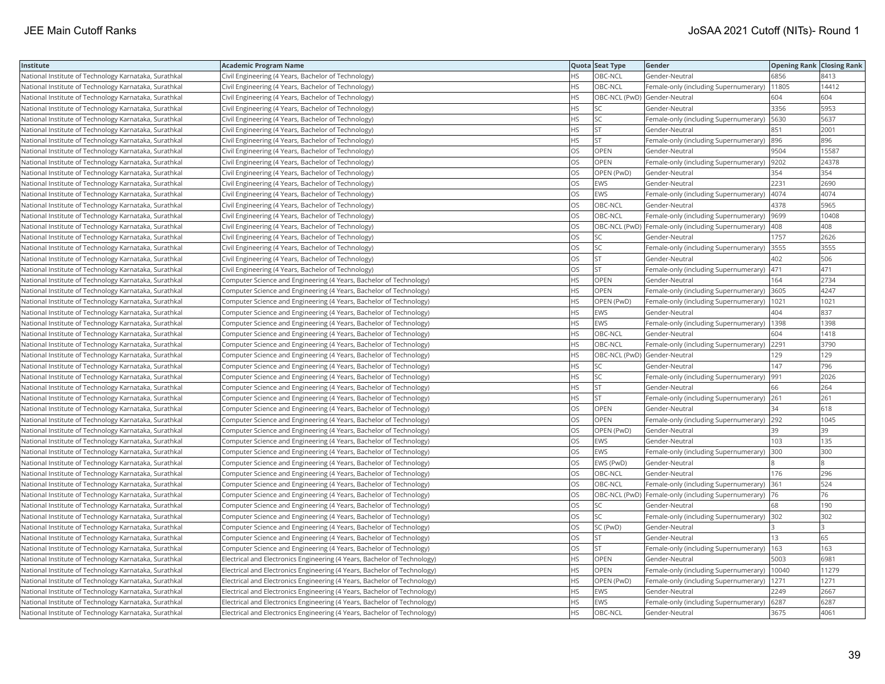| Institute                                             | <b>Academic Program Name</b>                                             |           | Quota Seat Type              | Gender                                                   | <b>Opening Rank Closing Rank</b> |       |
|-------------------------------------------------------|--------------------------------------------------------------------------|-----------|------------------------------|----------------------------------------------------------|----------------------------------|-------|
| National Institute of Technology Karnataka, Surathkal | Civil Engineering (4 Years, Bachelor of Technology)                      | <b>HS</b> | OBC-NCL                      | Gender-Neutral                                           | 6856                             | 8413  |
| National Institute of Technology Karnataka, Surathkal | Civil Engineering (4 Years, Bachelor of Technology)                      | HS        | OBC-NCL                      | Female-only (including Supernumerary)                    | 11805                            | 14412 |
| National Institute of Technology Karnataka, Surathkal | Civil Engineering (4 Years, Bachelor of Technology)                      | <b>HS</b> | OBC-NCL (PwD) Gender-Neutral |                                                          | 604                              | 604   |
| National Institute of Technology Karnataka, Surathkal | Civil Engineering (4 Years, Bachelor of Technology)                      | <b>HS</b> | <b>SC</b>                    | Gender-Neutral                                           | 3356                             | 5953  |
| National Institute of Technology Karnataka, Surathkal | Civil Engineering (4 Years, Bachelor of Technology)                      | <b>HS</b> | <b>SC</b>                    | Female-only (including Supernumerary)                    | 5630                             | 5637  |
| National Institute of Technology Karnataka, Surathkal | Civil Engineering (4 Years, Bachelor of Technology)                      | <b>HS</b> | <b>ST</b>                    | Gender-Neutral                                           | 851                              | 2001  |
| National Institute of Technology Karnataka, Surathkal | Civil Engineering (4 Years, Bachelor of Technology)                      | HS        | <b>ST</b>                    | Female-only (including Supernumerary)                    | 896                              | 896   |
| National Institute of Technology Karnataka, Surathkal | Civil Engineering (4 Years, Bachelor of Technology)                      | OS        | OPEN                         | Gender-Neutral                                           | 9504                             | 15587 |
| National Institute of Technology Karnataka, Surathkal | Civil Engineering (4 Years, Bachelor of Technology)                      | OS.       | OPEN                         | Female-only (including Supernumerary)                    | 9202                             | 24378 |
| National Institute of Technology Karnataka, Surathkal | Civil Engineering (4 Years, Bachelor of Technology)                      | OS        | OPEN (PwD)                   | Gender-Neutral                                           | 354                              | 354   |
| National Institute of Technology Karnataka, Surathkal | Civil Engineering (4 Years, Bachelor of Technology)                      | OS        | <b>EWS</b>                   | Gender-Neutral                                           | 2231                             | 2690  |
| National Institute of Technology Karnataka, Surathkal | Civil Engineering (4 Years, Bachelor of Technology)                      | <b>OS</b> | <b>EWS</b>                   | Female-only (including Supernumerary)                    | 4074                             | 4074  |
| National Institute of Technology Karnataka, Surathkal | Civil Engineering (4 Years, Bachelor of Technology)                      | <b>OS</b> | OBC-NCL                      | Gender-Neutral                                           | 4378                             | 5965  |
| National Institute of Technology Karnataka, Surathkal | Civil Engineering (4 Years, Bachelor of Technology)                      | OS        | OBC-NCL                      | Female-only (including Supernumerary)                    | 9699                             | 10408 |
| National Institute of Technology Karnataka, Surathkal | Civil Engineering (4 Years, Bachelor of Technology)                      | OS        |                              | OBC-NCL (PwD) Female-only (including Supernumerary)  408 |                                  | 408   |
| National Institute of Technology Karnataka, Surathkal | Civil Engineering (4 Years, Bachelor of Technology)                      | OS        | SC                           | Gender-Neutral                                           | 1757                             | 2626  |
| National Institute of Technology Karnataka, Surathkal | Civil Engineering (4 Years, Bachelor of Technology)                      | OS        | <b>SC</b>                    | Female-only (including Supernumerary)                    | 3555                             | 3555  |
| National Institute of Technology Karnataka, Surathkal | Civil Engineering (4 Years, Bachelor of Technology)                      | OS        | <b>ST</b>                    | Gender-Neutral                                           | 402                              | 506   |
| National Institute of Technology Karnataka, Surathkal | Civil Engineering (4 Years, Bachelor of Technology)                      | OS        | <b>ST</b>                    | Female-only (including Supernumerary)                    | 471                              | 471   |
| National Institute of Technology Karnataka, Surathkal | Computer Science and Engineering (4 Years, Bachelor of Technology)       | <b>HS</b> | OPEN                         | Gender-Neutral                                           | 164                              | 2734  |
| National Institute of Technology Karnataka, Surathkal | Computer Science and Engineering (4 Years, Bachelor of Technology)       | <b>HS</b> | <b>OPEN</b>                  | Female-only (including Supernumerary)                    | 3605                             | 4247  |
| National Institute of Technology Karnataka, Surathkal | Computer Science and Engineering (4 Years, Bachelor of Technology)       | <b>HS</b> | OPEN (PwD)                   | Female-only (including Supernumerary)   1021             |                                  | 1021  |
| National Institute of Technology Karnataka, Surathkal | Computer Science and Engineering (4 Years, Bachelor of Technology)       | <b>HS</b> | <b>EWS</b>                   | Gender-Neutral                                           | 404                              | 837   |
| National Institute of Technology Karnataka, Surathkal | Computer Science and Engineering (4 Years, Bachelor of Technology)       | <b>HS</b> | <b>EWS</b>                   | Female-only (including Supernumerary)   1398             |                                  | 1398  |
| National Institute of Technology Karnataka, Surathkal | Computer Science and Engineering (4 Years, Bachelor of Technology)       | HS        | OBC-NCL                      | Gender-Neutral                                           | 604                              | 1418  |
| National Institute of Technology Karnataka, Surathkal | Computer Science and Engineering (4 Years, Bachelor of Technology)       | <b>HS</b> | OBC-NCL                      | Female-only (including Supernumerary)                    | 2291                             | 3790  |
| National Institute of Technology Karnataka, Surathkal | Computer Science and Engineering (4 Years, Bachelor of Technology)       | <b>HS</b> | OBC-NCL (PwD) Gender-Neutral |                                                          | 129                              | 129   |
| National Institute of Technology Karnataka, Surathkal | Computer Science and Engineering (4 Years, Bachelor of Technology)       | <b>HS</b> | lsc                          | Gender-Neutral                                           | 147                              | 796   |
| National Institute of Technology Karnataka, Surathkal | Computer Science and Engineering (4 Years, Bachelor of Technology)       | HS        | <b>SC</b>                    | Female-only (including Supernumerary)                    | 991                              | 2026  |
| National Institute of Technology Karnataka, Surathkal | Computer Science and Engineering (4 Years, Bachelor of Technology)       | <b>HS</b> | <b>ST</b>                    | Gender-Neutral                                           | 66                               | 264   |
| National Institute of Technology Karnataka, Surathkal | Computer Science and Engineering (4 Years, Bachelor of Technology)       | <b>HS</b> | <b>ST</b>                    | Female-only (including Supernumerary) 261                |                                  | 261   |
| National Institute of Technology Karnataka, Surathkal | Computer Science and Engineering (4 Years, Bachelor of Technology)       | OS        | <b>OPEN</b>                  | Gender-Neutral                                           | 34                               | 618   |
| National Institute of Technology Karnataka, Surathkal | Computer Science and Engineering (4 Years, Bachelor of Technology)       | OS        | OPEN                         | Female-only (including Supernumerary)                    | 292                              | 1045  |
| National Institute of Technology Karnataka, Surathkal | Computer Science and Engineering (4 Years, Bachelor of Technology)       | OS        | OPEN (PwD)                   | Gender-Neutral                                           | 39                               | 39    |
| National Institute of Technology Karnataka, Surathkal | Computer Science and Engineering (4 Years, Bachelor of Technology)       | <b>OS</b> | <b>EWS</b>                   | Gender-Neutral                                           | 103                              | 135   |
| National Institute of Technology Karnataka, Surathkal | Computer Science and Engineering (4 Years, Bachelor of Technology)       | OS        | <b>EWS</b>                   | Female-only (including Supernumerary)                    | 300                              | 300   |
| National Institute of Technology Karnataka, Surathkal | Computer Science and Engineering (4 Years, Bachelor of Technology)       | <b>OS</b> | EWS (PwD)                    | Gender-Neutral                                           |                                  |       |
| National Institute of Technology Karnataka, Surathkal | Computer Science and Engineering (4 Years, Bachelor of Technology)       | OS        | OBC-NCL                      | Gender-Neutral                                           | 176                              | 296   |
| National Institute of Technology Karnataka, Surathkal | Computer Science and Engineering (4 Years, Bachelor of Technology)       | OS        | OBC-NCL                      | Female-only (including Supernumerary) 361                |                                  | 524   |
| National Institute of Technology Karnataka, Surathkal | Computer Science and Engineering (4 Years, Bachelor of Technology)       | <b>OS</b> |                              | OBC-NCL (PwD)   Female-only (including Supernumerary)    | 176                              | 76    |
| National Institute of Technology Karnataka, Surathkal | Computer Science and Engineering (4 Years, Bachelor of Technology)       | <b>OS</b> | <b>SC</b>                    | Gender-Neutral                                           | 68                               | 190   |
| National Institute of Technology Karnataka, Surathkal | Computer Science and Engineering (4 Years, Bachelor of Technology)       | OS        | <b>SC</b>                    | Female-only (including Supernumerary) 302                |                                  | 302   |
| National Institute of Technology Karnataka, Surathkal | Computer Science and Engineering (4 Years, Bachelor of Technology)       | OS        | SC (PwD)                     | Gender-Neutral                                           |                                  |       |
| National Institute of Technology Karnataka, Surathkal | Computer Science and Engineering (4 Years, Bachelor of Technology)       | OS        | <b>ST</b>                    | Gender-Neutral                                           | 13                               | 65    |
| National Institute of Technology Karnataka, Surathkal | Computer Science and Engineering (4 Years, Bachelor of Technology)       | OS        | <b>ST</b>                    | Female-only (including Supernumerary)                    | 163                              | 163   |
| National Institute of Technology Karnataka, Surathkal | Electrical and Electronics Engineering (4 Years, Bachelor of Technology) | <b>HS</b> | OPEN                         | Gender-Neutral                                           | 5003                             | 6981  |
| National Institute of Technology Karnataka, Surathkal | Electrical and Electronics Engineering (4 Years, Bachelor of Technology) | <b>HS</b> | <b>OPEN</b>                  | Female-only (including Supernumerary)                    | 10040                            | 11279 |
| National Institute of Technology Karnataka, Surathkal | Electrical and Electronics Engineering (4 Years, Bachelor of Technology) | HS        | OPEN (PwD)                   | Female-only (including Supernumerary)                    | 1271                             | 1271  |
| National Institute of Technology Karnataka, Surathkal | Electrical and Electronics Engineering (4 Years, Bachelor of Technology) | <b>HS</b> | <b>EWS</b>                   | Gender-Neutral                                           | 2249                             | 2667  |
| National Institute of Technology Karnataka, Surathkal | Electrical and Electronics Engineering (4 Years, Bachelor of Technology) | HS        | <b>EWS</b>                   | Female-only (including Supernumerary)                    | 6287                             | 6287  |
| National Institute of Technology Karnataka, Surathkal | Electrical and Electronics Engineering (4 Years, Bachelor of Technology) | <b>HS</b> | <b>OBC-NCL</b>               | Gender-Neutral                                           | 3675                             | 4061  |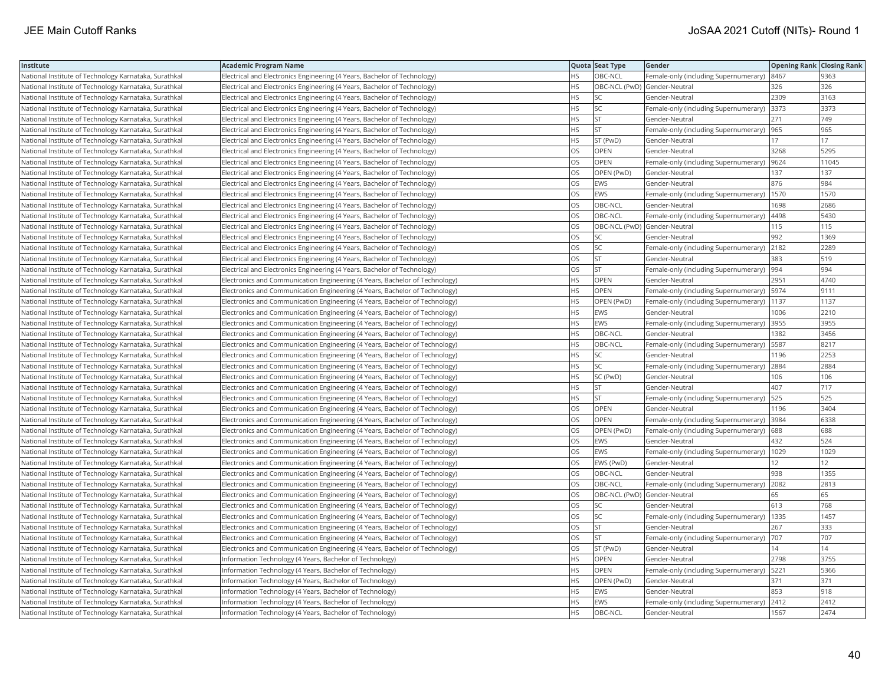| Institute                                             | <b>Academic Program Name</b>                                                |           | Quota Seat Type              | <b>Gender</b>                                | <b>Opening Rank Closing Rank</b> |       |
|-------------------------------------------------------|-----------------------------------------------------------------------------|-----------|------------------------------|----------------------------------------------|----------------------------------|-------|
| National Institute of Technology Karnataka, Surathkal | Electrical and Electronics Engineering (4 Years, Bachelor of Technology)    | <b>HS</b> | OBC-NCL                      | Female-only (including Supernumerary)        | 8467                             | 9363  |
| National Institute of Technology Karnataka, Surathkal | Electrical and Electronics Engineering (4 Years, Bachelor of Technology)    | <b>HS</b> | OBC-NCL (PwD) Gender-Neutral |                                              | 326                              | 326   |
| National Institute of Technology Karnataka, Surathkal | Electrical and Electronics Engineering (4 Years, Bachelor of Technology)    | HS        | <b>SC</b>                    | Gender-Neutral                               | 2309                             | 3163  |
| National Institute of Technology Karnataka, Surathkal | Electrical and Electronics Engineering (4 Years, Bachelor of Technology)    | <b>HS</b> | <b>SC</b>                    | Female-only (including Supernumerary)        | 3373                             | 3373  |
| National Institute of Technology Karnataka, Surathkal | Electrical and Electronics Engineering (4 Years, Bachelor of Technology)    | <b>HS</b> | İst                          | Gender-Neutral                               | 271                              | 749   |
| National Institute of Technology Karnataka, Surathkal | Electrical and Electronics Engineering (4 Years, Bachelor of Technology)    | HS        | <b>ST</b>                    | Female-only (including Supernumerary)        | 965                              | 965   |
| National Institute of Technology Karnataka, Surathkal | Electrical and Electronics Engineering (4 Years, Bachelor of Technology)    | <b>HS</b> | ST (PwD)                     | Gender-Neutral                               | 17                               | 17    |
| National Institute of Technology Karnataka, Surathkal | Electrical and Electronics Engineering (4 Years, Bachelor of Technology)    | OS.       | <b>OPEN</b>                  | Gender-Neutral                               | 3268                             | 5295  |
| National Institute of Technology Karnataka, Surathkal | Electrical and Electronics Engineering (4 Years, Bachelor of Technology)    | OS        | <b>OPEN</b>                  | Female-only (including Supernumerary)        | 9624                             | 11045 |
| National Institute of Technology Karnataka, Surathkal | Electrical and Electronics Engineering (4 Years, Bachelor of Technology)    | OS        | OPEN (PwD)                   | Gender-Neutral                               | 137                              | 137   |
| National Institute of Technology Karnataka, Surathkal | Electrical and Electronics Engineering (4 Years, Bachelor of Technology)    | <b>OS</b> | <b>EWS</b>                   | Gender-Neutral                               | 876                              | 984   |
| National Institute of Technology Karnataka, Surathkal | Electrical and Electronics Engineering (4 Years, Bachelor of Technology)    | <b>OS</b> | <b>EWS</b>                   | Female-only (including Supernumerary)        | 1570                             | 1570  |
| National Institute of Technology Karnataka, Surathkal | Electrical and Electronics Engineering (4 Years, Bachelor of Technology)    | OS        | OBC-NCL                      | Gender-Neutral                               | 1698                             | 2686  |
| National Institute of Technology Karnataka, Surathkal | Electrical and Electronics Engineering (4 Years, Bachelor of Technology)    | <b>OS</b> | OBC-NCL                      | Female-only (including Supernumerary)        | 4498                             | 5430  |
| National Institute of Technology Karnataka, Surathkal | Electrical and Electronics Engineering (4 Years, Bachelor of Technology)    | OS        | OBC-NCL (PwD) Gender-Neutral |                                              | 115                              | 115   |
| National Institute of Technology Karnataka, Surathkal | Electrical and Electronics Engineering (4 Years, Bachelor of Technology)    | OS        | lsc                          | Gender-Neutral                               | 992                              | 1369  |
| National Institute of Technology Karnataka, Surathkal | Electrical and Electronics Engineering (4 Years, Bachelor of Technology)    | <b>OS</b> | lsc                          | Female-only (including Supernumerary)        | 2182                             | 2289  |
| National Institute of Technology Karnataka, Surathkal | Electrical and Electronics Engineering (4 Years, Bachelor of Technology)    | OS        | <b>ST</b>                    | Gender-Neutral                               | 383                              | 519   |
| National Institute of Technology Karnataka, Surathkal | Electrical and Electronics Engineering (4 Years, Bachelor of Technology)    | OS        | <b>ST</b>                    | Female-only (including Supernumerary)        | 994                              | 994   |
| National Institute of Technology Karnataka, Surathkal | Electronics and Communication Engineering (4 Years, Bachelor of Technology) | <b>HS</b> | <b>OPEN</b>                  | lGender-Neutral                              | 2951                             | 4740  |
| National Institute of Technology Karnataka, Surathkal | Electronics and Communication Engineering (4 Years, Bachelor of Technology) | <b>HS</b> | <b>OPEN</b>                  | Female-only (including Supernumerary)   5974 |                                  | 9111  |
| National Institute of Technology Karnataka, Surathkal | Electronics and Communication Engineering (4 Years, Bachelor of Technology) | <b>HS</b> | OPEN (PwD)                   | Female-only (including Supernumerary)   1137 |                                  | 1137  |
| National Institute of Technology Karnataka, Surathkal | Electronics and Communication Engineering (4 Years, Bachelor of Technology) | HS        | <b>EWS</b>                   | Gender-Neutral                               | 1006                             | 2210  |
| National Institute of Technology Karnataka, Surathkal | Electronics and Communication Engineering (4 Years, Bachelor of Technology) | HS.       | <b>EWS</b>                   | Female-only (including Supernumerary)        | 3955                             | 3955  |
| National Institute of Technology Karnataka, Surathkal | Electronics and Communication Engineering (4 Years, Bachelor of Technology) | <b>HS</b> | OBC-NCL                      | Gender-Neutral                               | 1382                             | 3456  |
| National Institute of Technology Karnataka, Surathkal | Electronics and Communication Engineering (4 Years, Bachelor of Technology) | <b>HS</b> | OBC-NCL                      | Female-only (including Supernumerary)        | 5587                             | 8217  |
| National Institute of Technology Karnataka, Surathkal | Electronics and Communication Engineering (4 Years, Bachelor of Technology) | <b>HS</b> | <b>SC</b>                    | Gender-Neutral                               | 1196                             | 2253  |
| National Institute of Technology Karnataka, Surathkal | Electronics and Communication Engineering (4 Years, Bachelor of Technology) | <b>HS</b> | <b>SC</b>                    | Female-only (including Supernumerary)        | 2884                             | 2884  |
| National Institute of Technology Karnataka, Surathkal | Electronics and Communication Engineering (4 Years, Bachelor of Technology) | <b>HS</b> | SC (PwD)                     | Gender-Neutral                               | 106                              | 106   |
| National Institute of Technology Karnataka, Surathkal | Electronics and Communication Engineering (4 Years, Bachelor of Technology) | <b>HS</b> | <b>ST</b>                    | Gender-Neutral                               | 407                              | 717   |
| National Institute of Technology Karnataka, Surathkal | Electronics and Communication Engineering (4 Years, Bachelor of Technology) | <b>HS</b> | <b>ST</b>                    | Female-only (including Supernumerary)        | 525                              | 525   |
| National Institute of Technology Karnataka, Surathkal | Electronics and Communication Engineering (4 Years, Bachelor of Technology) | OS.       | OPEN                         | Gender-Neutral                               | 1196                             | 3404  |
| National Institute of Technology Karnataka, Surathkal | Electronics and Communication Engineering (4 Years, Bachelor of Technology) | OS        | OPEN                         | Female-only (including Supernumerary)        | 3984                             | 6338  |
| National Institute of Technology Karnataka, Surathkal | Electronics and Communication Engineering (4 Years, Bachelor of Technology) | OS        | <b>OPEN (PwD)</b>            | Female-only (including Supernumerary)        | 688                              | 688   |
| National Institute of Technology Karnataka, Surathkal | Electronics and Communication Engineering (4 Years, Bachelor of Technology) | <b>OS</b> | <b>EWS</b>                   | Gender-Neutral                               | 432                              | 524   |
| National Institute of Technology Karnataka, Surathkal | Electronics and Communication Engineering (4 Years, Bachelor of Technology) | OS        | <b>EWS</b>                   | Female-only (including Supernumerary)        | 1029                             | 1029  |
| National Institute of Technology Karnataka, Surathkal | Electronics and Communication Engineering (4 Years, Bachelor of Technology) | OS        | EWS (PwD)                    | Gender-Neutral                               | 12                               | 12    |
| National Institute of Technology Karnataka, Surathkal | Electronics and Communication Engineering (4 Years, Bachelor of Technology) | OS        | OBC-NCL                      | Gender-Neutral                               | 938                              | 1355  |
| National Institute of Technology Karnataka, Surathkal | Electronics and Communication Engineering (4 Years, Bachelor of Technology) | OS        | OBC-NCL                      | Female-only (including Supernumerary)        | 2082                             | 2813  |
| National Institute of Technology Karnataka, Surathkal | Electronics and Communication Engineering (4 Years, Bachelor of Technology) | OS        | OBC-NCL (PwD) Gender-Neutral |                                              | 65                               | 65    |
| National Institute of Technology Karnataka, Surathkal | Electronics and Communication Engineering (4 Years, Bachelor of Technology) | OS        | <b>SC</b>                    | Gender-Neutral                               | 613                              | 768   |
| National Institute of Technology Karnataka, Surathkal | Electronics and Communication Engineering (4 Years, Bachelor of Technology) | OS        | <b>SC</b>                    | Female-only (including Supernumerary)        | 1335                             | 1457  |
| National Institute of Technology Karnataka, Surathkal | Electronics and Communication Engineering (4 Years, Bachelor of Technology) | OS        | <b>ST</b>                    | Gender-Neutral                               | 267                              | 333   |
| National Institute of Technology Karnataka, Surathkal | Electronics and Communication Engineering (4 Years, Bachelor of Technology) | OS        | <b>ST</b>                    | Female-only (including Supernumerary)        | 707                              | 707   |
| National Institute of Technology Karnataka, Surathkal | Electronics and Communication Engineering (4 Years, Bachelor of Technology) | OS        | ST (PwD)                     | Gender-Neutral                               | 14                               | 14    |
| National Institute of Technology Karnataka, Surathkal | Information Technology (4 Years, Bachelor of Technology)                    | <b>HS</b> | OPEN                         | Gender-Neutral                               | 2798                             | 3755  |
| National Institute of Technology Karnataka, Surathkal | Information Technology (4 Years, Bachelor of Technology)                    | <b>HS</b> | <b>OPEN</b>                  | Female-only (including Supernumerary)        | 5221                             | 5366  |
| National Institute of Technology Karnataka, Surathkal | Information Technology (4 Years, Bachelor of Technology)                    | НS        | OPEN (PwD)                   | Gender-Neutral                               | 371                              | 371   |
| National Institute of Technology Karnataka, Surathkal | Information Technology (4 Years, Bachelor of Technology)                    | <b>HS</b> | <b>EWS</b>                   | Gender-Neutral                               | 853                              | 918   |
| National Institute of Technology Karnataka, Surathkal | Information Technology (4 Years, Bachelor of Technology)                    | <b>HS</b> | <b>EWS</b>                   | Female-only (including Supernumerary)        | 2412                             | 2412  |
| National Institute of Technology Karnataka, Surathkal | Information Technology (4 Years, Bachelor of Technology)                    | <b>HS</b> | <b>OBC-NCL</b>               | Gender-Neutral                               | 1567                             | 2474  |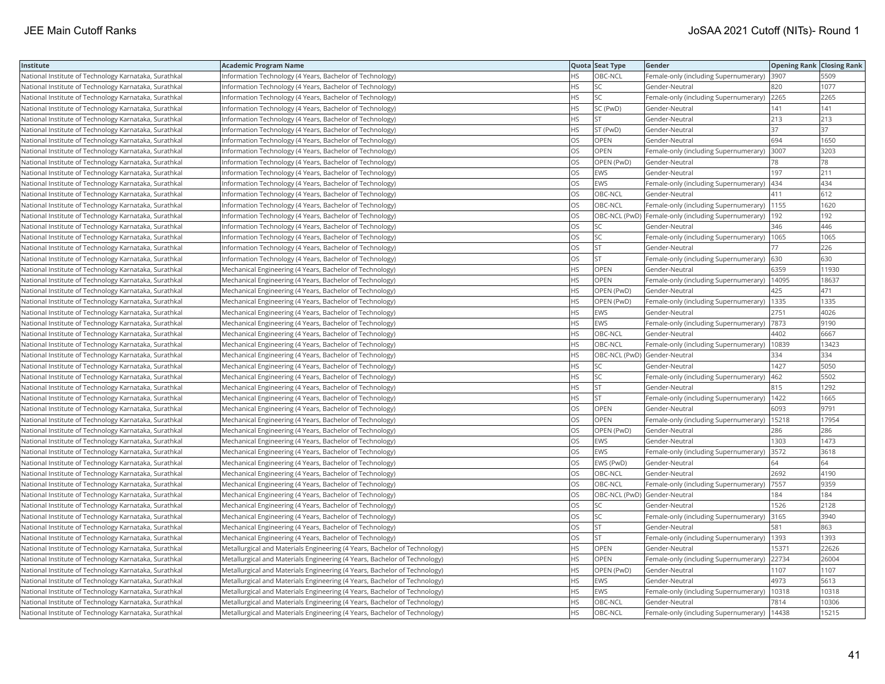| Institute                                             | <b>Academic Program Name</b>                                              |           | Quota Seat Type              | Gender                                              | <b>Opening Rank Closing Rank</b> |       |
|-------------------------------------------------------|---------------------------------------------------------------------------|-----------|------------------------------|-----------------------------------------------------|----------------------------------|-------|
| National Institute of Technology Karnataka, Surathkal | Information Technology (4 Years, Bachelor of Technology)                  | <b>HS</b> | OBC-NCL                      | Female-only (including Supernumerary)               | 3907                             | 5509  |
| National Institute of Technology Karnataka, Surathkal | Information Technology (4 Years, Bachelor of Technology)                  | HS        | SC.                          | Gender-Neutral                                      | 820                              | 1077  |
| National Institute of Technology Karnataka, Surathkal | Information Technology (4 Years, Bachelor of Technology)                  | <b>HS</b> | <b>SC</b>                    | Female-only (including Supernumerary) 2265          |                                  | 2265  |
| National Institute of Technology Karnataka, Surathkal | Information Technology (4 Years, Bachelor of Technology)                  | <b>HS</b> | SC (PwD)                     | Gender-Neutral                                      | 141                              | 141   |
| National Institute of Technology Karnataka, Surathkal | Information Technology (4 Years, Bachelor of Technology)                  | <b>HS</b> | <b>ST</b>                    | Gender-Neutral                                      | 213                              | 213   |
| National Institute of Technology Karnataka, Surathkal | Information Technology (4 Years, Bachelor of Technology)                  | HS.       | ST (PwD)                     | Gender-Neutral                                      | 37                               | 37    |
| National Institute of Technology Karnataka, Surathkal | Information Technology (4 Years, Bachelor of Technology)                  | OS        | OPEN                         | Gender-Neutral                                      | 694                              | 1650  |
| National Institute of Technology Karnataka, Surathkal | Information Technology (4 Years, Bachelor of Technology)                  | <b>OS</b> | <b>OPEN</b>                  | Female-only (including Supernumerary)               | 3007                             | 3203  |
| National Institute of Technology Karnataka, Surathkal | Information Technology (4 Years, Bachelor of Technology)                  | OS        | OPEN (PwD)                   | Gender-Neutral                                      | 78                               | 78    |
| National Institute of Technology Karnataka, Surathkal | Information Technology (4 Years, Bachelor of Technology)                  | OS        | EWS                          | Gender-Neutral                                      | 197                              | 211   |
| National Institute of Technology Karnataka, Surathkal | Information Technology (4 Years, Bachelor of Technology)                  | OS        | <b>EWS</b>                   | Female-only (including Supernumerary)               | 434                              | 434   |
| National Institute of Technology Karnataka, Surathkal | Information Technology (4 Years, Bachelor of Technology)                  | <b>OS</b> | OBC-NCL                      | Gender-Neutral                                      | 411                              | 612   |
| National Institute of Technology Karnataka, Surathkal | Information Technology (4 Years, Bachelor of Technology)                  | <b>OS</b> | <b>OBC-NCL</b>               | Female-only (including Supernumerary)               | 1155                             | 1620  |
| National Institute of Technology Karnataka, Surathkal | Information Technology (4 Years, Bachelor of Technology)                  | <b>OS</b> |                              | OBC-NCL (PwD) Female-only (including Supernumerary) | 192                              | 192   |
| National Institute of Technology Karnataka, Surathkal | Information Technology (4 Years, Bachelor of Technology)                  | OS        | <b>SC</b>                    | Gender-Neutral                                      | 346                              | 446   |
| National Institute of Technology Karnataka, Surathkal | Information Technology (4 Years, Bachelor of Technology)                  | OS        | SC                           | Female-only (including Supernumerary)   1065        |                                  | 1065  |
| National Institute of Technology Karnataka, Surathkal | Information Technology (4 Years, Bachelor of Technology)                  | <b>OS</b> | İst                          | Gender-Neutral                                      | 77                               | 226   |
| National Institute of Technology Karnataka, Surathkal | Information Technology (4 Years, Bachelor of Technology)                  | OS        | <b>ST</b>                    | Female-only (including Supernumerary)               | 630                              | 630   |
| National Institute of Technology Karnataka, Surathkal | Mechanical Engineering (4 Years, Bachelor of Technology)                  | <b>HS</b> | OPEN                         | Gender-Neutral                                      | 6359                             | 11930 |
| National Institute of Technology Karnataka, Surathkal | Mechanical Engineering (4 Years, Bachelor of Technology)                  | <b>HS</b> | <b>OPEN</b>                  | Female-only (including Supernumerary)               | 14095                            | 18637 |
| National Institute of Technology Karnataka, Surathkal | Mechanical Engineering (4 Years, Bachelor of Technology)                  | <b>HS</b> | OPEN (PwD)                   | Gender-Neutral                                      | 425                              | 471   |
| National Institute of Technology Karnataka, Surathkal | Mechanical Engineering (4 Years, Bachelor of Technology)                  | <b>HS</b> | OPEN (PwD)                   | Female-only (including Supernumerary)   1335        |                                  | 1335  |
| National Institute of Technology Karnataka, Surathkal | Mechanical Engineering (4 Years, Bachelor of Technology)                  | HS        | <b>EWS</b>                   | Gender-Neutral                                      | 2751                             | 4026  |
| National Institute of Technology Karnataka, Surathkal | Mechanical Engineering (4 Years, Bachelor of Technology)                  | HS        | <b>EWS</b>                   | Female-only (including Supernumerary)   7873        |                                  | 9190  |
| National Institute of Technology Karnataka, Surathkal | Mechanical Engineering (4 Years, Bachelor of Technology)                  | HS        | OBC-NCL                      | Gender-Neutral                                      | 4402                             | 6667  |
| National Institute of Technology Karnataka, Surathkal | Mechanical Engineering (4 Years, Bachelor of Technology)                  | <b>HS</b> | OBC-NCL                      | Female-only (including Supernumerary)               | 10839                            | 13423 |
| National Institute of Technology Karnataka, Surathkal | Mechanical Engineering (4 Years, Bachelor of Technology)                  | HS        | OBC-NCL (PwD) Gender-Neutral |                                                     | 334                              | 334   |
| National Institute of Technology Karnataka, Surathkal | Mechanical Engineering (4 Years, Bachelor of Technology)                  | <b>HS</b> | <b>SC</b>                    | Gender-Neutral                                      | 1427                             | 5050  |
| National Institute of Technology Karnataka, Surathkal | Mechanical Engineering (4 Years, Bachelor of Technology)                  | <b>HS</b> | lsc                          | Female-only (including Supernumerary)               | 462                              | 5502  |
| National Institute of Technology Karnataka, Surathkal | Mechanical Engineering (4 Years, Bachelor of Technology)                  | HS        | <b>ST</b>                    | Gender-Neutral                                      | 815                              | 1292  |
| National Institute of Technology Karnataka, Surathkal | Mechanical Engineering (4 Years, Bachelor of Technology)                  | <b>HS</b> | <b>ST</b>                    | Female-only (including Supernumerary)   1422        |                                  | 1665  |
| National Institute of Technology Karnataka, Surathkal | Mechanical Engineering (4 Years, Bachelor of Technology)                  | OS        | <b>OPEN</b>                  | Gender-Neutral                                      | 6093                             | 9791  |
| National Institute of Technology Karnataka, Surathkal | Mechanical Engineering (4 Years, Bachelor of Technology)                  | OS        | <b>OPEN</b>                  | Female-only (including Supernumerary)               | 15218                            | 17954 |
| National Institute of Technology Karnataka, Surathkal | Mechanical Engineering (4 Years, Bachelor of Technology)                  | OS        | OPEN (PwD)                   | Gender-Neutral                                      | 286                              | 286   |
| National Institute of Technology Karnataka, Surathkal | Mechanical Engineering (4 Years, Bachelor of Technology)                  | OS        | <b>EWS</b>                   | Gender-Neutral                                      | 1303                             | 1473  |
| National Institute of Technology Karnataka, Surathkal | Mechanical Engineering (4 Years, Bachelor of Technology)                  | <b>OS</b> | <b>EWS</b>                   | Female-only (including Supernumerary)               | 3572                             | 3618  |
| National Institute of Technology Karnataka, Surathkal | Mechanical Engineering (4 Years, Bachelor of Technology)                  | OS        | EWS (PwD)                    | Gender-Neutral                                      | 64                               | 64    |
| National Institute of Technology Karnataka, Surathkal | Mechanical Engineering (4 Years, Bachelor of Technology)                  | <b>OS</b> | OBC-NCL                      | Gender-Neutral                                      | 2692                             | 4190  |
| National Institute of Technology Karnataka, Surathkal | Mechanical Engineering (4 Years, Bachelor of Technology)                  | OS        | OBC-NCL                      | Female-only (including Supernumerary)               | 7557                             | 9359  |
| National Institute of Technology Karnataka, Surathkal | Mechanical Engineering (4 Years, Bachelor of Technology)                  | OS        | OBC-NCL (PwD) Gender-Neutral |                                                     | 184                              | 184   |
| National Institute of Technology Karnataka, Surathkal | Mechanical Engineering (4 Years, Bachelor of Technology)                  | OS        | SC.                          | Gender-Neutral                                      | 1526                             | 2128  |
| National Institute of Technology Karnataka, Surathkal | Mechanical Engineering (4 Years, Bachelor of Technology)                  | OS        | <b>SC</b>                    | Female-only (including Supernumerary)               | 3165                             | 3940  |
| National Institute of Technology Karnataka, Surathkal | Mechanical Engineering (4 Years, Bachelor of Technology)                  | OS        | <b>ST</b>                    | Gender-Neutral                                      | 581                              | 863   |
| National Institute of Technology Karnataka, Surathkal | Mechanical Engineering (4 Years, Bachelor of Technology)                  | OS.       | <b>IST</b>                   | Female-only (including Supernumerary)               | 1393                             | 1393  |
| National Institute of Technology Karnataka, Surathkal | Metallurgical and Materials Engineering (4 Years, Bachelor of Technology) | HS        | <b>OPEN</b>                  | Gender-Neutral                                      | 15371                            | 22626 |
| National Institute of Technology Karnataka, Surathkal | Metallurgical and Materials Engineering (4 Years, Bachelor of Technology) | <b>HS</b> | <b>OPEN</b>                  | Female-only (including Supernumerary)               | 22734                            | 26004 |
| National Institute of Technology Karnataka, Surathkal | Metallurgical and Materials Engineering (4 Years, Bachelor of Technology) | HS        | OPEN (PwD)                   | Gender-Neutral                                      | 1107                             | 1107  |
| National Institute of Technology Karnataka, Surathkal | Metallurgical and Materials Engineering (4 Years, Bachelor of Technology) | HS        | <b>EWS</b>                   | Gender-Neutral                                      | 4973                             | 5613  |
| National Institute of Technology Karnataka, Surathkal | Metallurgical and Materials Engineering (4 Years, Bachelor of Technology) | HS        | EWS                          | Female-only (including Supernumerary)               | 10318                            | 10318 |
| National Institute of Technology Karnataka, Surathkal | Metallurgical and Materials Engineering (4 Years, Bachelor of Technology) | <b>HS</b> | OBC-NCL                      | Gender-Neutral                                      | 7814                             | 10306 |
| National Institute of Technology Karnataka, Surathkal | Metallurgical and Materials Engineering (4 Years, Bachelor of Technology) | <b>HS</b> | OBC-NCL                      | Female-only (including Supernumerary)               | 14438                            | 15215 |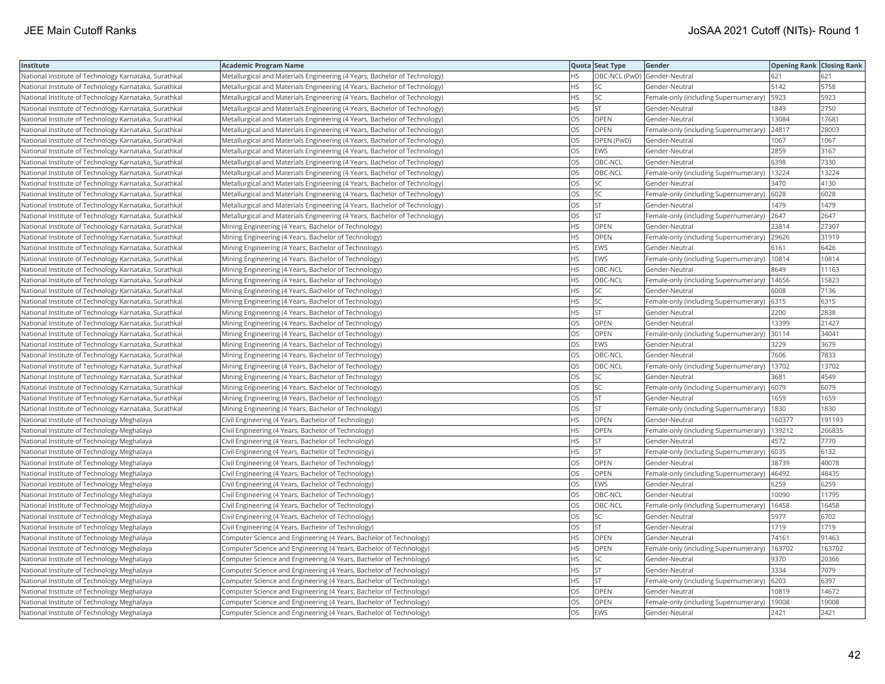| Institute                                             | <b>Academic Program Name</b>                                              |           | Quota Seat Type              | Gender                                      | <b>Opening Rank Closing Rank</b> |        |
|-------------------------------------------------------|---------------------------------------------------------------------------|-----------|------------------------------|---------------------------------------------|----------------------------------|--------|
| National Institute of Technology Karnataka, Surathkal | Metallurgical and Materials Engineering (4 Years, Bachelor of Technology) | <b>HS</b> | OBC-NCL (PwD) Gender-Neutral |                                             | 621                              | 621    |
| National Institute of Technology Karnataka, Surathkal | Metallurgical and Materials Engineering (4 Years, Bachelor of Technology) | <b>HS</b> | lsc                          | Gender-Neutral                              | 5142                             | 5758   |
| National Institute of Technology Karnataka, Surathkal | Metallurgical and Materials Engineering (4 Years, Bachelor of Technology) | HS        | <b>SC</b>                    | Female-only (including Supernumerary)       | 5923                             | 5923   |
| National Institute of Technology Karnataka, Surathkal | Metallurgical and Materials Engineering (4 Years, Bachelor of Technology) | <b>HS</b> | <b>ST</b>                    | Gender-Neutral                              | 1849                             | 2750   |
| National Institute of Technology Karnataka, Surathkal | Metallurgical and Materials Engineering (4 Years, Bachelor of Technology) | <b>OS</b> | <b>OPEN</b>                  | Gender-Neutral                              | 13084                            | 17681  |
| National Institute of Technology Karnataka, Surathkal | Metallurgical and Materials Engineering (4 Years, Bachelor of Technology) | OS        | <b>OPEN</b>                  | Female-only (including Supernumerary)       | 24817                            | 28003  |
| National Institute of Technology Karnataka, Surathkal | Metallurgical and Materials Engineering (4 Years, Bachelor of Technology) | OS        | OPEN (PwD)                   | Gender-Neutral                              | 1067                             | 1067   |
| National Institute of Technology Karnataka, Surathkal | Metallurgical and Materials Engineering (4 Years, Bachelor of Technology) | <b>OS</b> | <b>EWS</b>                   | Gender-Neutral                              | 2859                             | 3167   |
| National Institute of Technology Karnataka, Surathkal | Metallurgical and Materials Engineering (4 Years, Bachelor of Technology) | OS        | OBC-NCL                      | Gender-Neutral                              | 6398                             | 7330   |
| National Institute of Technology Karnataka, Surathkal | Metallurgical and Materials Engineering (4 Years, Bachelor of Technology) | <b>OS</b> | OBC-NCL                      | Female-only (including Supernumerary)       | 13224                            | 13224  |
| National Institute of Technology Karnataka, Surathkal | Metallurgical and Materials Engineering (4 Years, Bachelor of Technology) | <b>OS</b> | <b>SC</b>                    | Gender-Neutral                              | 3470                             | 4130   |
| National Institute of Technology Karnataka, Surathkal | Metallurgical and Materials Engineering (4 Years, Bachelor of Technology) | <b>OS</b> | lsc                          | Female-only (including Supernumerary)       | 6028                             | 6028   |
| National Institute of Technology Karnataka, Surathkal | Metallurgical and Materials Engineering (4 Years, Bachelor of Technology) | OS        | <b>ST</b>                    | Gender-Neutral                              | 1479                             | 1479   |
| National Institute of Technology Karnataka, Surathkal | Metallurgical and Materials Engineering (4 Years, Bachelor of Technology) | OS        | <b>ST</b>                    | Female-only (including Supernumerary)       | 2647                             | 2647   |
| National Institute of Technology Karnataka, Surathkal | Mining Engineering (4 Years, Bachelor of Technology)                      | HS        | <b>OPEN</b>                  | Gender-Neutral                              | 23814                            | 27307  |
| National Institute of Technology Karnataka, Surathkal | Mining Engineering (4 Years, Bachelor of Technology)                      | HS        | <b>OPEN</b>                  | Female-only (including Supernumerary)       | 29626                            | 31919  |
| National Institute of Technology Karnataka, Surathkal | Mining Engineering (4 Years, Bachelor of Technology)                      | <b>HS</b> | <b>EWS</b>                   | Gender-Neutral                              | 6161                             | 6426   |
| National Institute of Technology Karnataka, Surathkal | Mining Engineering (4 Years, Bachelor of Technology)                      | <b>HS</b> | <b>EWS</b>                   | Female-only (including Supernumerary)       | 10814                            | 10814  |
| National Institute of Technology Karnataka, Surathkal | Mining Engineering (4 Years, Bachelor of Technology)                      | <b>HS</b> | OBC-NCL                      | Gender-Neutral                              | 8649                             | 11163  |
| National Institute of Technology Karnataka, Surathkal | Mining Engineering (4 Years, Bachelor of Technology)                      | <b>HS</b> | OBC-NCL                      | Female-only (including Supernumerary)       | 14656                            | 15823  |
| National Institute of Technology Karnataka, Surathkal | Mining Engineering (4 Years, Bachelor of Technology)                      | <b>HS</b> | <b>SC</b>                    | Gender-Neutral                              | 6008                             | 7136   |
| National Institute of Technology Karnataka, Surathkal | Mining Engineering (4 Years, Bachelor of Technology)                      | <b>HS</b> | <b>SC</b>                    | Female-only (including Supernumerary) 6315  |                                  | 6315   |
| National Institute of Technology Karnataka, Surathkal | Mining Engineering (4 Years, Bachelor of Technology)                      | HS        | <b>ST</b>                    | Gender-Neutral                              | 2200                             | 2838   |
| National Institute of Technology Karnataka, Surathkal | Mining Engineering (4 Years, Bachelor of Technology)                      | OS.       | <b>OPEN</b>                  | Gender-Neutral                              | 13399                            | 21427  |
| National Institute of Technology Karnataka, Surathkal | Mining Engineering (4 Years, Bachelor of Technology)                      | OS        | OPEN                         | Female-only (including Supernumerary)       | 30114                            | 34041  |
| National Institute of Technology Karnataka, Surathkal | Mining Engineering (4 Years, Bachelor of Technology)                      | OS        | <b>EWS</b>                   | Gender-Neutral                              | 3229                             | 3679   |
| National Institute of Technology Karnataka, Surathkal | Mining Engineering (4 Years, Bachelor of Technology)                      | <b>OS</b> | OBC-NCL                      | Gender-Neutral                              | 7606                             | 7833   |
| National Institute of Technology Karnataka, Surathkal | Mining Engineering (4 Years, Bachelor of Technology)                      | OS        | OBC-NCL                      | Female-only (including Supernumerary)       | 13702                            | 13702  |
| National Institute of Technology Karnataka, Surathkal | Mining Engineering (4 Years, Bachelor of Technology)                      | OS        | <b>SC</b>                    | Gender-Neutral                              | 3681                             | 4549   |
| National Institute of Technology Karnataka, Surathkal | Mining Engineering (4 Years, Bachelor of Technology)                      | OS        | <b>SC</b>                    | Female-only (including Supernumerary)       | 6079                             | 6079   |
| National Institute of Technology Karnataka, Surathkal | Mining Engineering (4 Years, Bachelor of Technology)                      | OS        | <b>ST</b>                    | Gender-Neutral                              | 1659                             | 1659   |
| National Institute of Technology Karnataka, Surathkal | Mining Engineering (4 Years, Bachelor of Technology)                      | OS.       | lst                          | Female-only (including Supernumerary)       | 1830                             | 1830   |
| National Institute of Technology Meghalaya            | Civil Engineering (4 Years, Bachelor of Technology)                       | <b>HS</b> | OPEN                         | Gender-Neutral                              | 160377                           | 191193 |
| National Institute of Technology Meghalaya            | Civil Engineering (4 Years, Bachelor of Technology)                       | <b>HS</b> | OPEN                         | Female-only (including Supernumerary)       | 139212                           | 266835 |
| National Institute of Technology Meghalaya            | Civil Engineering (4 Years, Bachelor of Technology)                       | <b>HS</b> | lst.                         | Gender-Neutral                              | 4572                             | 7770   |
| National Institute of Technology Meghalaya            | Civil Engineering (4 Years, Bachelor of Technology)                       | <b>HS</b> | <b>ST</b>                    | Female-only (including Supernumerary)       | 6035                             | 6132   |
| National Institute of Technology Meghalaya            | Civil Engineering (4 Years, Bachelor of Technology)                       | OS        | OPEN                         | Gender-Neutral                              | 38739                            | 40078  |
| National Institute of Technology Meghalaya            | Civil Engineering (4 Years, Bachelor of Technology)                       | OS        | <b>OPEN</b>                  | Female-only (including Supernumerary) 46492 |                                  | 48435  |
| National Institute of Technology Meghalaya            | Civil Engineering (4 Years, Bachelor of Technology)                       | OS        | <b>EWS</b>                   | Gender-Neutral                              | 6259                             | 6259   |
| National Institute of Technology Meghalaya            | Civil Engineering (4 Years, Bachelor of Technology)                       | OS        | OBC-NCL                      | Gender-Neutral                              | 10090                            | 11795  |
| National Institute of Technology Meghalaya            | Civil Engineering (4 Years, Bachelor of Technology)                       | OS        | OBC-NCL                      | Female-only (including Supernumerary)       | 16458                            | 16458  |
| National Institute of Technology Meghalaya            | Civil Engineering (4 Years, Bachelor of Technology)                       | <b>OS</b> | SC                           | Gender-Neutral                              | 5977                             | 6702   |
| National Institute of Technology Meghalaya            | Civil Engineering (4 Years, Bachelor of Technology)                       | OS        | <b>ST</b>                    | Gender-Neutral                              | 1719                             | 1719   |
| National Institute of Technology Meghalaya            | Computer Science and Engineering (4 Years, Bachelor of Technology)        | HS        | <b>OPEN</b>                  | Gender-Neutral                              | 74161                            | 91463  |
| National Institute of Technology Meghalaya            | Computer Science and Engineering (4 Years, Bachelor of Technology)        | <b>HS</b> | OPEN                         | Female-only (including Supernumerary)       | 163702                           | 163702 |
| National Institute of Technology Meghalaya            | Computer Science and Engineering (4 Years, Bachelor of Technology)        | <b>HS</b> | SC                           | Gender-Neutral                              | 9370                             | 20366  |
| National Institute of Technology Meghalaya            | Computer Science and Engineering (4 Years, Bachelor of Technology)        | <b>HS</b> | İst                          | Gender-Neutral                              | 3334                             | 7079   |
| National Institute of Technology Meghalaya            | Computer Science and Engineering (4 Years, Bachelor of Technology)        | HS.       | <b>ST</b>                    | Female-only (including Supernumerary)       | 6203                             | 6397   |
| National Institute of Technology Meghalaya            | Computer Science and Engineering (4 Years, Bachelor of Technology)        | OS        | OPEN                         | Gender-Neutral                              | 10819                            | 14672  |
| National Institute of Technology Meghalaya            | Computer Science and Engineering (4 Years, Bachelor of Technology)        | OS        | <b>OPEN</b>                  | Female-only (including Supernumerary)       | 19008                            | 19008  |
| National Institute of Technology Meghalaya            | Computer Science and Engineering (4 Years, Bachelor of Technology)        | <b>OS</b> | <b>EWS</b>                   | Gender-Neutral                              | 2421                             | 2421   |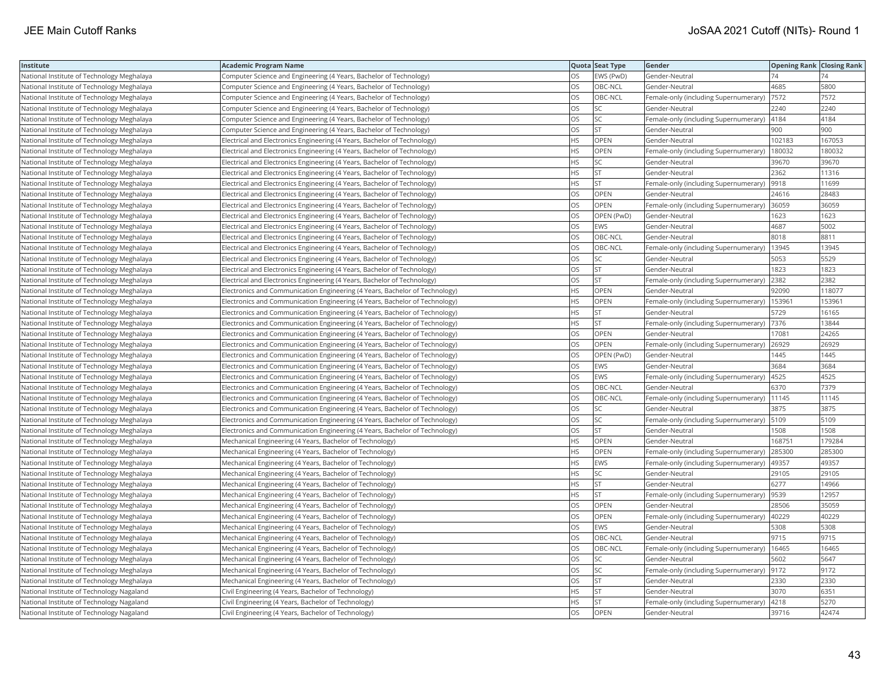| Institute                                  | <b>Academic Program Name</b>                                                |           | Quota Seat Type | Gender                                         | <b>Opening Rank Closing Rank</b> |        |
|--------------------------------------------|-----------------------------------------------------------------------------|-----------|-----------------|------------------------------------------------|----------------------------------|--------|
| National Institute of Technology Meghalaya | Computer Science and Engineering (4 Years, Bachelor of Technology)          | OS        | EWS (PwD)       | Gender-Neutral                                 | 74                               |        |
| National Institute of Technology Meghalaya | Computer Science and Engineering (4 Years, Bachelor of Technology)          | OS        | OBC-NCL         | Gender-Neutral                                 | 4685                             | 5800   |
| National Institute of Technology Meghalaya | Computer Science and Engineering (4 Years, Bachelor of Technology)          | OS        | OBC-NCL         | Female-only (including Supernumerary)  7572    |                                  | 7572   |
| National Institute of Technology Meghalaya | Computer Science and Engineering (4 Years, Bachelor of Technology)          | OS        | SC              | Gender-Neutral                                 | 2240                             | 2240   |
| National Institute of Technology Meghalaya | Computer Science and Engineering (4 Years, Bachelor of Technology)          | OS        | SC              | Female-only (including Supernumerary)   4184   |                                  | 4184   |
| National Institute of Technology Meghalaya | Computer Science and Engineering (4 Years, Bachelor of Technology)          | OS        | <b>ST</b>       | Gender-Neutral                                 | 900                              | 900    |
| National Institute of Technology Meghalaya | Electrical and Electronics Engineering (4 Years, Bachelor of Technology)    | ΗS        | OPEN            | Gender-Neutral                                 | 102183                           | 167053 |
| National Institute of Technology Meghalaya | Electrical and Electronics Engineering (4 Years, Bachelor of Technology)    | HS        | OPEN            | Female-only (including Supernumerary)          | 180032                           | 180032 |
| National Institute of Technology Meghalaya | Electrical and Electronics Engineering (4 Years, Bachelor of Technology)    | HS        | SC              | Gender-Neutral                                 | 39670                            | 39670  |
| National Institute of Technology Meghalaya | Electrical and Electronics Engineering (4 Years, Bachelor of Technology)    | ΗS        | ST              | Gender-Neutral                                 | 2362                             | 11316  |
| National Institute of Technology Meghalaya | Electrical and Electronics Engineering (4 Years, Bachelor of Technology)    | <b>HS</b> | <b>ST</b>       | Female-only (including Supernumerary)          | 9918                             | 11699  |
| National Institute of Technology Meghalaya | Electrical and Electronics Engineering (4 Years, Bachelor of Technology)    | OS        | OPEN            | Gender-Neutral                                 | 24616                            | 28483  |
| National Institute of Technology Meghalaya | Electrical and Electronics Engineering (4 Years, Bachelor of Technology)    | OS        | <b>OPEN</b>     | Female-only (including Supernumerary) 36059    |                                  | 36059  |
| National Institute of Technology Meghalaya | Electrical and Electronics Engineering (4 Years, Bachelor of Technology)    | OS        | OPEN (PwD)      | Gender-Neutral                                 | 1623                             | 1623   |
| National Institute of Technology Meghalaya | Electrical and Electronics Engineering (4 Years, Bachelor of Technology)    | OS        | <b>EWS</b>      | Gender-Neutral                                 | 4687                             | 5002   |
| National Institute of Technology Meghalaya | Electrical and Electronics Engineering (4 Years, Bachelor of Technology)    | OS        | OBC-NCL         | Gender-Neutral                                 | 8018                             | 8811   |
| National Institute of Technology Meghalaya | Electrical and Electronics Engineering (4 Years, Bachelor of Technology)    | OS        | OBC-NCL         | Female-only (including Supernumerary)          | 13945                            | 13945  |
| National Institute of Technology Meghalaya | Electrical and Electronics Engineering (4 Years, Bachelor of Technology)    | OS        | SC              | Gender-Neutral                                 | 5053                             | 5529   |
| National Institute of Technology Meghalaya | Electrical and Electronics Engineering (4 Years, Bachelor of Technology)    | OS        | <b>ST</b>       | Gender-Neutral                                 | 1823                             | 1823   |
| National Institute of Technology Meghalaya | Electrical and Electronics Engineering (4 Years, Bachelor of Technology)    | OS        | <b>ST</b>       | Female-only (including Supernumerary)          | 2382                             | 2382   |
| National Institute of Technology Meghalaya | Electronics and Communication Engineering (4 Years, Bachelor of Technology) | HS        | OPEN            | Gender-Neutral                                 | 92090                            | 118077 |
| National Institute of Technology Meghalaya | Electronics and Communication Engineering (4 Years, Bachelor of Technology) | HS        | <b>OPEN</b>     | Female-only (including Supernumerary)   153961 |                                  | 153961 |
| National Institute of Technology Meghalaya | Electronics and Communication Engineering (4 Years, Bachelor of Technology) | HS        | <b>ST</b>       | Gender-Neutral                                 | 5729                             | 16165  |
| National Institute of Technology Meghalaya | Electronics and Communication Engineering (4 Years, Bachelor of Technology) | HS        | <b>ST</b>       | Female-only (including Supernumerary)          | 7376                             | 13844  |
| National Institute of Technology Meghalaya | Electronics and Communication Engineering (4 Years, Bachelor of Technology) | OS        | OPEN            | Gender-Neutral                                 | 17081                            | 24265  |
| National Institute of Technology Meghalaya | Electronics and Communication Engineering (4 Years, Bachelor of Technology) | OS        | OPEN            | Female-only (including Supernumerary)          | 26929                            | 26929  |
| National Institute of Technology Meghalaya | Electronics and Communication Engineering (4 Years, Bachelor of Technology) | OS        | OPEN (PwD)      | Gender-Neutral                                 | 1445                             | 1445   |
| National Institute of Technology Meghalaya | Electronics and Communication Engineering (4 Years, Bachelor of Technology) | OS        | <b>EWS</b>      | Gender-Neutral                                 | 3684                             | 3684   |
| National Institute of Technology Meghalaya | Electronics and Communication Engineering (4 Years, Bachelor of Technology) | OS        | <b>EWS</b>      | Female-only (including Supernumerary)          | 4525                             | 4525   |
| National Institute of Technology Meghalaya | Electronics and Communication Engineering (4 Years, Bachelor of Technology) | OS        | OBC-NCL         | Gender-Neutral                                 | 6370                             | 7379   |
| National Institute of Technology Meghalaya | Electronics and Communication Engineering (4 Years, Bachelor of Technology) | OS        | OBC-NCL         | Female-only (including Supernumerary)   11145  |                                  | 11145  |
| National Institute of Technology Meghalaya | Electronics and Communication Engineering (4 Years, Bachelor of Technology) | OS        | SC              | Gender-Neutral                                 | 3875                             | 3875   |
| National Institute of Technology Meghalaya | Electronics and Communication Engineering (4 Years, Bachelor of Technology) | OS        | SC              | Female-only (including Supernumerary)          | 5109                             | 5109   |
| National Institute of Technology Meghalaya | Electronics and Communication Engineering (4 Years, Bachelor of Technology) | OS        | <b>ST</b>       | Gender-Neutral                                 | 1508                             | 1508   |
| National Institute of Technology Meghalaya | Mechanical Engineering (4 Years, Bachelor of Technology)                    | HS        | OPEN            | Gender-Neutral                                 | 168751                           | 179284 |
| National Institute of Technology Meghalaya | Mechanical Engineering (4 Years, Bachelor of Technology)                    | HS        | <b>OPEN</b>     | Female-only (including Supernumerary)          | 285300                           | 285300 |
| National Institute of Technology Meghalaya | Mechanical Engineering (4 Years, Bachelor of Technology)                    | HS        | <b>EWS</b>      | Female-only (including Supernumerary)   49357  |                                  | 49357  |
| National Institute of Technology Meghalaya | Mechanical Engineering (4 Years, Bachelor of Technology)                    | ΗS        | SC              | Gender-Neutral                                 | 29105                            | 29105  |
| National Institute of Technology Meghalaya | Mechanical Engineering (4 Years, Bachelor of Technology)                    | <b>HS</b> | <b>ST</b>       | Gender-Neutral                                 | 6277                             | 14966  |
| National Institute of Technology Meghalaya | Mechanical Engineering (4 Years, Bachelor of Technology)                    | ΗS        | <b>ST</b>       | Female-only (including Supernumerary)          | 9539                             | 12957  |
| National Institute of Technology Meghalaya | Mechanical Engineering (4 Years, Bachelor of Technology)                    | OS        | OPEN            | Gender-Neutral                                 | 28506                            | 35059  |
| National Institute of Technology Meghalaya | Mechanical Engineering (4 Years, Bachelor of Technology)                    | OS        | OPEN            | Female-only (including Supernumerary)          | 40229                            | 40229  |
| National Institute of Technology Meghalaya | Mechanical Engineering (4 Years, Bachelor of Technology)                    | OS        | <b>EWS</b>      | Gender-Neutral                                 | 5308                             | 5308   |
| National Institute of Technology Meghalaya | Mechanical Engineering (4 Years, Bachelor of Technology)                    | OS        | OBC-NCL         | Gender-Neutral                                 | 9715                             | 9715   |
| National Institute of Technology Meghalaya | Mechanical Engineering (4 Years, Bachelor of Technology)                    | OS        | OBC-NCL         | Female-only (including Supernumerary)          | 16465                            | 16465  |
| National Institute of Technology Meghalaya | Mechanical Engineering (4 Years, Bachelor of Technology)                    | OS        | SC              | Gender-Neutral                                 | 5602                             | 5647   |
| National Institute of Technology Meghalaya | Mechanical Engineering (4 Years, Bachelor of Technology)                    | OS        | <b>SC</b>       | Female-only (including Supernumerary) 9172     |                                  | 9172   |
| National Institute of Technology Meghalaya | Mechanical Engineering (4 Years, Bachelor of Technology)                    | ЭS        | <b>ST</b>       | Gender-Neutral                                 | 2330                             | 2330   |
| National Institute of Technology Nagaland  | Civil Engineering (4 Years, Bachelor of Technology)                         | HS        | <b>ST</b>       | Gender-Neutral                                 | 3070                             | 6351   |
| National Institute of Technology Nagaland  | Civil Engineering (4 Years, Bachelor of Technology)                         | HS        | <b>ST</b>       | Female-only (including Supernumerary)          | 4218                             | 5270   |
| National Institute of Technology Nagaland  | Civil Engineering (4 Years, Bachelor of Technology)                         | <b>OS</b> | OPEN            | Gender-Neutral                                 | 39716                            | 42474  |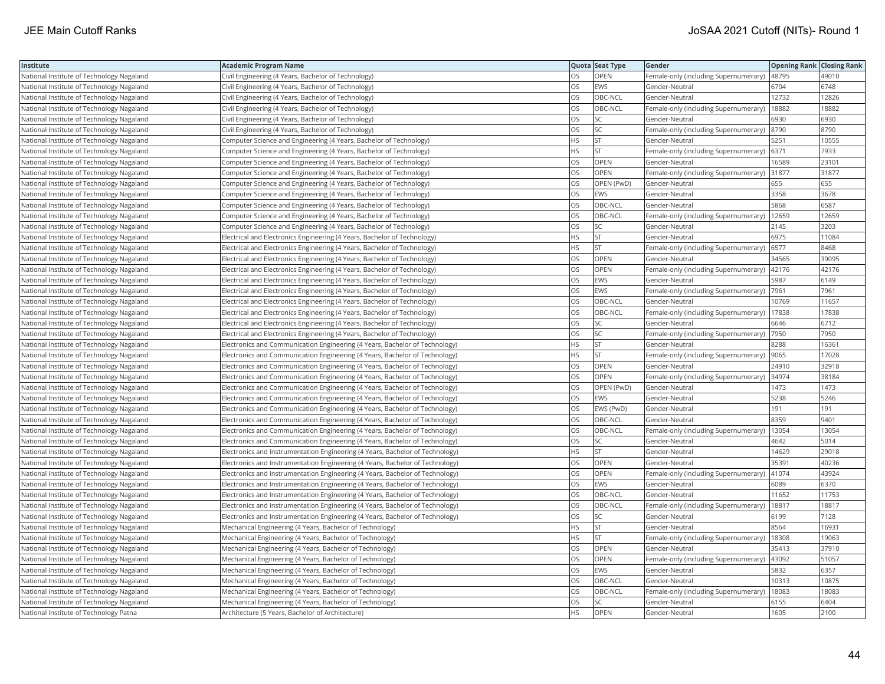| Institute                                 | <b>Academic Program Name</b>                                                  |           | Quota Seat Type | Gender                                        | <b>Opening Rank Closing Rank</b> |       |
|-------------------------------------------|-------------------------------------------------------------------------------|-----------|-----------------|-----------------------------------------------|----------------------------------|-------|
| National Institute of Technology Nagaland | Civil Engineering (4 Years, Bachelor of Technology)                           | OS        | OPEN            | Female-only (including Supernumerary)         | 48795                            | 49010 |
| National Institute of Technology Nagaland | Civil Engineering (4 Years, Bachelor of Technology)                           | OS        | <b>EWS</b>      | Gender-Neutral                                | 6704                             | 6748  |
| National Institute of Technology Nagaland | Civil Engineering (4 Years, Bachelor of Technology)                           | OS        | OBC-NCL         | Gender-Neutral                                | 12732                            | 12826 |
| National Institute of Technology Nagaland | Civil Engineering (4 Years, Bachelor of Technology)                           | OS        | OBC-NCL         | Female-only (including Supernumerary)         | 18882                            | 18882 |
| National Institute of Technology Nagaland | Civil Engineering (4 Years, Bachelor of Technology)                           | OS        | <b>SC</b>       | Gender-Neutral                                | 6930                             | 6930  |
| National Institute of Technology Nagaland | Civil Engineering (4 Years, Bachelor of Technology)                           | OS        | SC              | Female-only (including Supernumerary)  8790   |                                  | 8790  |
| National Institute of Technology Nagaland | Computer Science and Engineering (4 Years, Bachelor of Technology)            | ΗS        | <b>ST</b>       | Gender-Neutral                                | 5251                             | 10555 |
| National Institute of Technology Nagaland | Computer Science and Engineering (4 Years, Bachelor of Technology)            | <b>HS</b> | <b>ST</b>       | Female-only (including Supernumerary)         | 6371                             | 7933  |
| National Institute of Technology Nagaland | Computer Science and Engineering (4 Years, Bachelor of Technology)            | OS        | OPEN            | Gender-Neutral                                | 16589                            | 23101 |
| National Institute of Technology Nagaland | Computer Science and Engineering (4 Years, Bachelor of Technology)            | OS        | OPEN            | Female-only (including Supernumerary)         | 31877                            | 31877 |
| National Institute of Technology Nagaland | Computer Science and Engineering (4 Years, Bachelor of Technology)            | OS        | OPEN (PwD)      | Gender-Neutral                                | 655                              | 655   |
| National Institute of Technology Nagaland | Computer Science and Engineering (4 Years, Bachelor of Technology)            | OS        | <b>EWS</b>      | Gender-Neutral                                | 3358                             | 3678  |
| National Institute of Technology Nagaland | Computer Science and Engineering (4 Years, Bachelor of Technology)            | OS        | OBC-NCL         | Gender-Neutral                                | 5868                             | 6587  |
| National Institute of Technology Nagaland | Computer Science and Engineering (4 Years, Bachelor of Technology)            | OS        | OBC-NCL         | Female-only (including Supernumerary)   12659 |                                  | 12659 |
| National Institute of Technology Nagaland | Computer Science and Engineering (4 Years, Bachelor of Technology)            | OS        | SC              | Gender-Neutral                                | 2145                             | 3203  |
| National Institute of Technology Nagaland | Electrical and Electronics Engineering (4 Years, Bachelor of Technology)      | HS        | <b>ST</b>       | Gender-Neutral                                | 6975                             | 11084 |
| National Institute of Technology Nagaland | Electrical and Electronics Engineering (4 Years, Bachelor of Technology)      | <b>HS</b> | <b>ST</b>       | Female-only (including Supernumerary)         | 6577                             | 8468  |
| National Institute of Technology Nagaland | Electrical and Electronics Engineering (4 Years, Bachelor of Technology)      | OS        | OPEN            | Gender-Neutral                                | 34565                            | 39095 |
| National Institute of Technology Nagaland | Electrical and Electronics Engineering (4 Years, Bachelor of Technology)      | OS        | OPEN            | Female-only (including Supernumerary)         | 42176                            | 42176 |
| National Institute of Technology Nagaland | Electrical and Electronics Engineering (4 Years, Bachelor of Technology)      | OS        | <b>EWS</b>      | Gender-Neutral                                | 5987                             | 6149  |
| National Institute of Technology Nagaland | Electrical and Electronics Engineering (4 Years, Bachelor of Technology)      | OS        | <b>EWS</b>      | Female-only (including Supernumerary)         | 7961                             | 7961  |
| National Institute of Technology Nagaland | Electrical and Electronics Engineering (4 Years, Bachelor of Technology)      | OS        | OBC-NCL         | Gender-Neutral                                | 10769                            | 11657 |
| National Institute of Technology Nagaland | Electrical and Electronics Engineering (4 Years, Bachelor of Technology)      | OS        | OBC-NCL         | Female-only (including Supernumerary)         | 17838                            | 17838 |
| National Institute of Technology Nagaland | Electrical and Electronics Engineering (4 Years, Bachelor of Technology)      | OS        | SC              | Gender-Neutral                                | 6646                             | 6712  |
| National Institute of Technology Nagaland | Electrical and Electronics Engineering (4 Years, Bachelor of Technology)      | OS        | SC              | Female-only (including Supernumerary)         | 7950                             | 7950  |
| National Institute of Technology Nagaland | Electronics and Communication Engineering (4 Years, Bachelor of Technology)   | HS        | <b>ST</b>       | Gender-Neutral                                | 8288                             | 16361 |
| National Institute of Technology Nagaland | Electronics and Communication Engineering (4 Years, Bachelor of Technology)   | HS        | <b>ST</b>       | Female-only (including Supernumerary)         | 9065                             | 17028 |
| National Institute of Technology Nagaland | Electronics and Communication Engineering (4 Years, Bachelor of Technology)   | OS        | OPEN            | Gender-Neutral                                | 24910                            | 32918 |
| National Institute of Technology Nagaland | Electronics and Communication Engineering (4 Years, Bachelor of Technology)   | OS        | <b>OPEN</b>     | Female-only (including Supernumerary) 34974   |                                  | 38184 |
| National Institute of Technology Nagaland | Electronics and Communication Engineering (4 Years, Bachelor of Technology)   | OS        | OPEN (PwD)      | Gender-Neutral                                | 1473                             | 1473  |
| National Institute of Technology Nagaland | Electronics and Communication Engineering (4 Years, Bachelor of Technology)   | OS        | <b>EWS</b>      | Gender-Neutral                                | 5238                             | 5246  |
| National Institute of Technology Nagaland | Electronics and Communication Engineering (4 Years, Bachelor of Technology)   | OS        | EWS (PwD)       | Gender-Neutral                                | 191                              | 191   |
| National Institute of Technology Nagaland | Electronics and Communication Engineering (4 Years, Bachelor of Technology)   | OS        | OBC-NCL         | Gender-Neutral                                | 8359                             | 9401  |
| National Institute of Technology Nagaland | Electronics and Communication Engineering (4 Years, Bachelor of Technology)   | OS        | OBC-NCL         | Female-only (including Supernumerary)         | 13054                            | 13054 |
| National Institute of Technology Nagaland | Electronics and Communication Engineering (4 Years, Bachelor of Technology)   | OS        | <b>SC</b>       | Gender-Neutral                                | 4642                             | 5014  |
| National Institute of Technology Nagaland | Electronics and Instrumentation Engineering (4 Years, Bachelor of Technology) | HS        | <b>ST</b>       | Gender-Neutral                                | 14629                            | 29018 |
| National Institute of Technology Nagaland | Electronics and Instrumentation Engineering (4 Years, Bachelor of Technology) | OS        | OPEN            | Gender-Neutral                                | 35391                            | 40236 |
| National Institute of Technology Nagaland | Electronics and Instrumentation Engineering (4 Years, Bachelor of Technology) | OS        | OPEN            | Female-only (including Supernumerary)   41074 |                                  | 43924 |
| National Institute of Technology Nagaland | Electronics and Instrumentation Engineering (4 Years, Bachelor of Technology) | OS        | EWS             | Gender-Neutral                                | 6089                             | 6370  |
| National Institute of Technology Nagaland | Electronics and Instrumentation Engineering (4 Years, Bachelor of Technology) | OS        | OBC-NCL         | Gender-Neutral                                | 11652                            | 11753 |
| National Institute of Technology Nagaland | Electronics and Instrumentation Engineering (4 Years, Bachelor of Technology) | OS        | OBC-NCL         | Female-only (including Supernumerary)         | 18817                            | 18817 |
| National Institute of Technology Nagaland | Electronics and Instrumentation Engineering (4 Years, Bachelor of Technology) | OS        | SC              | Gender-Neutral                                | 6199                             | 7128  |
| National Institute of Technology Nagaland | Mechanical Engineering (4 Years, Bachelor of Technology)                      | HS        | <b>ST</b>       | Gender-Neutral                                | 8564                             | 16931 |
| National Institute of Technology Nagaland | Mechanical Engineering (4 Years, Bachelor of Technology)                      | HS        | <b>ST</b>       | Female-only (including Supernumerary)         | 18308                            | 19063 |
| National Institute of Technology Nagaland | Mechanical Engineering (4 Years, Bachelor of Technology)                      | OS        | OPEN            | Gender-Neutral                                | 35413                            | 37910 |
| National Institute of Technology Nagaland | Mechanical Engineering (4 Years, Bachelor of Technology)                      | OS        | OPEN            | Female-only (including Supernumerary)         | 43092                            | 51057 |
| National Institute of Technology Nagaland | Mechanical Engineering (4 Years, Bachelor of Technology)                      | OS        | <b>EWS</b>      | Gender-Neutral                                | 5832                             | 6357  |
| National Institute of Technology Nagaland | Mechanical Engineering (4 Years, Bachelor of Technology)                      | OS        | OBC-NCL         | Gender-Neutral                                | 10313                            | 10875 |
| National Institute of Technology Nagaland | Mechanical Engineering (4 Years, Bachelor of Technology)                      | OS        | OBC-NCL         | Female-only (including Supernumerary)         | 18083                            | 18083 |
| National Institute of Technology Nagaland | Mechanical Engineering (4 Years, Bachelor of Technology)                      | OS        | <b>SC</b>       | Gender-Neutral                                | 6155                             | 6404  |
| National Institute of Technology Patna    | Architecture (5 Years, Bachelor of Architecture)                              | <b>HS</b> | OPEN            | Gender-Neutral                                | 1605                             | 2100  |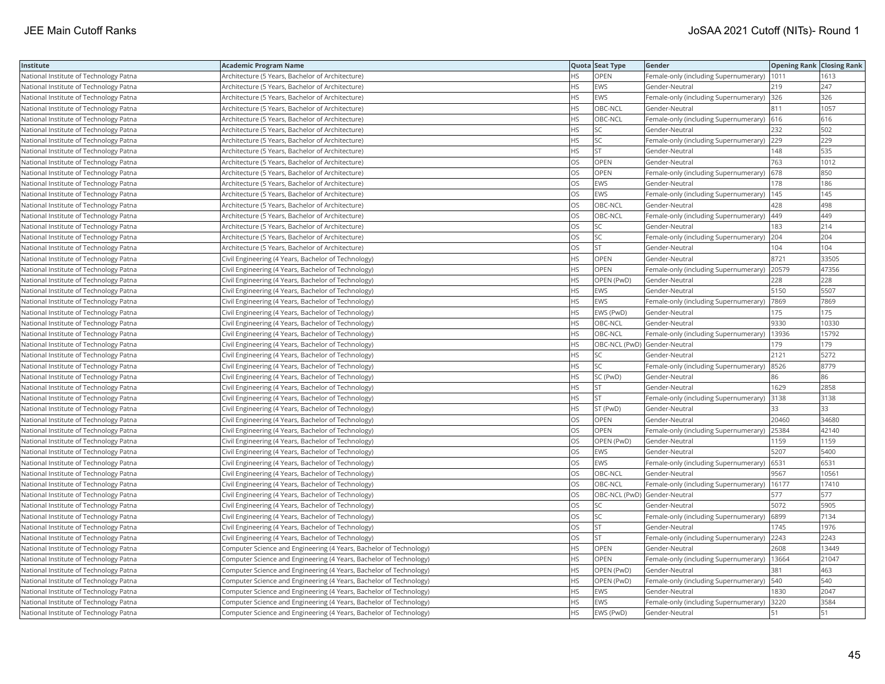| <b>Institute</b>                       | Academic Program Name                                              |           | Quota Seat Type              | Gender                                        | <b>Opening Rank Closing Rank</b> |       |
|----------------------------------------|--------------------------------------------------------------------|-----------|------------------------------|-----------------------------------------------|----------------------------------|-------|
| National Institute of Technology Patna | Architecture (5 Years, Bachelor of Architecture)                   | HS        | OPEN                         | Female-only (including Supernumerary)         | 1011                             | 1613  |
| National Institute of Technology Patna | Architecture (5 Years, Bachelor of Architecture)                   | HS.       | <b>EWS</b>                   | Gender-Neutral                                | 219                              | 247   |
| National Institute of Technology Patna | Architecture (5 Years, Bachelor of Architecture)                   | HS        | EWS                          | Female-only (including Supernumerary)         | 326                              | 326   |
| National Institute of Technology Patna | Architecture (5 Years, Bachelor of Architecture)                   | HS        | OBC-NCL                      | Gender-Neutral                                | 811                              | 1057  |
| National Institute of Technology Patna | Architecture (5 Years, Bachelor of Architecture)                   | <b>HS</b> | OBC-NCL                      | Female-only (including Supernumerary) 616     |                                  | 616   |
| National Institute of Technology Patna | Architecture (5 Years, Bachelor of Architecture)                   | HS        | SC.                          | Gender-Neutral                                | 232                              | 502   |
| National Institute of Technology Patna | Architecture (5 Years, Bachelor of Architecture)                   | HS        | SC                           | Female-only (including Supernumerary) 229     |                                  | 229   |
| National Institute of Technology Patna | Architecture (5 Years, Bachelor of Architecture)                   | HS.       | <b>ST</b>                    | Gender-Neutral                                | 148                              | 535   |
| National Institute of Technology Patna | Architecture (5 Years, Bachelor of Architecture)                   | OS        | OPEN                         | Gender-Neutral                                | 763                              | 1012  |
| National Institute of Technology Patna | Architecture (5 Years, Bachelor of Architecture)                   | OS        | OPEN                         | Female-only (including Supernumerary) 678     |                                  | 850   |
| National Institute of Technology Patna | Architecture (5 Years, Bachelor of Architecture)                   | OS        | EWS                          | Gender-Neutral                                | 178                              | 186   |
| National Institute of Technology Patna | Architecture (5 Years, Bachelor of Architecture)                   | <b>OS</b> | <b>EWS</b>                   | Female-only (including Supernumerary)   145   |                                  | 145   |
| National Institute of Technology Patna | Architecture (5 Years, Bachelor of Architecture)                   | OS        | OBC-NCL                      | Gender-Neutral                                | 428                              | 498   |
| National Institute of Technology Patna | Architecture (5 Years, Bachelor of Architecture)                   | OS        | OBC-NCL                      | Female-only (including Supernumerary)  449    |                                  | 449   |
| National Institute of Technology Patna | Architecture (5 Years, Bachelor of Architecture)                   | OS        | SC                           | Gender-Neutral                                | 183                              | 214   |
| National Institute of Technology Patna | Architecture (5 Years, Bachelor of Architecture)                   | OS        | SC                           | Female-only (including Supernumerary) 204     |                                  | 204   |
| National Institute of Technology Patna | Architecture (5 Years, Bachelor of Architecture)                   | OS        | <b>ST</b>                    | Gender-Neutral                                | 104                              | 104   |
| National Institute of Technology Patna | Civil Engineering (4 Years, Bachelor of Technology)                | HS        | OPEN                         | Gender-Neutral                                | 8721                             | 33505 |
| National Institute of Technology Patna | Civil Engineering (4 Years, Bachelor of Technology)                | HS        | OPEN                         | Female-only (including Supernumerary)         | 20579                            | 47356 |
| National Institute of Technology Patna | Civil Engineering (4 Years, Bachelor of Technology)                | HS        | OPEN (PwD)                   | Gender-Neutral                                | 228                              | 228   |
| National Institute of Technology Patna | Civil Engineering (4 Years, Bachelor of Technology)                | HS        | EWS                          | Gender-Neutral                                | 5150                             | 5507  |
| National Institute of Technology Patna | Civil Engineering (4 Years, Bachelor of Technology)                | HS        | <b>EWS</b>                   | Female-only (including Supernumerary)  7869   |                                  | 7869  |
| National Institute of Technology Patna | Civil Engineering (4 Years, Bachelor of Technology)                | HS        | EWS (PwD)                    | Gender-Neutral                                | 175                              | 175   |
| National Institute of Technology Patna | Civil Engineering (4 Years, Bachelor of Technology)                | HS        | OBC-NCL                      | Gender-Neutral                                | 9330                             | 10330 |
| National Institute of Technology Patna | Civil Engineering (4 Years, Bachelor of Technology)                | HS        | OBC-NCL                      | Female-only (including Supernumerary)         | 13936                            | 15792 |
| National Institute of Technology Patna | Civil Engineering (4 Years, Bachelor of Technology)                | HS        | OBC-NCL (PwD) Gender-Neutral |                                               | 179                              | 179   |
| National Institute of Technology Patna | Civil Engineering (4 Years, Bachelor of Technology)                | HS        | SC                           | Gender-Neutral                                | 2121                             | 5272  |
| National Institute of Technology Patna | Civil Engineering (4 Years, Bachelor of Technology)                | <b>HS</b> | <b>SC</b>                    | Female-only (including Supernumerary)         | 8526                             | 8779  |
| National Institute of Technology Patna | Civil Engineering (4 Years, Bachelor of Technology)                | HS        | SC (PwD)                     | Gender-Neutral                                | 86                               | 86    |
| National Institute of Technology Patna | Civil Engineering (4 Years, Bachelor of Technology)                | HS.       | <b>ST</b>                    | Gender-Neutral                                | 1629                             | 2858  |
| National Institute of Technology Patna | Civil Engineering (4 Years, Bachelor of Technology)                | HS        | <b>ST</b>                    | Female-only (including Supernumerary)         | 3138                             | 3138  |
| National Institute of Technology Patna | Civil Engineering (4 Years, Bachelor of Technology)                | HS        | ST (PwD)                     | Gender-Neutral                                | 33                               | 33    |
| National Institute of Technology Patna | Civil Engineering (4 Years, Bachelor of Technology)                | OS        | OPEN                         | Gender-Neutral                                | 20460                            | 34680 |
| National Institute of Technology Patna | Civil Engineering (4 Years, Bachelor of Technology)                | OS        | OPEN                         | Female-only (including Supernumerary)         | 25384                            | 42140 |
| National Institute of Technology Patna | Civil Engineering (4 Years, Bachelor of Technology)                | OS        | OPEN (PwD)                   | Gender-Neutral                                | 1159                             | 1159  |
| National Institute of Technology Patna | Civil Engineering (4 Years, Bachelor of Technology)                | OS.       | <b>EWS</b>                   | Gender-Neutral                                | 5207                             | 5400  |
| National Institute of Technology Patna | Civil Engineering (4 Years, Bachelor of Technology)                | OS        | EWS                          | Female-only (including Supernumerary)         | 6531                             | 6531  |
| National Institute of Technology Patna | Civil Engineering (4 Years, Bachelor of Technology)                | OS        | OBC-NCL                      | Gender-Neutral                                | 9567                             | 10561 |
| National Institute of Technology Patna | Civil Engineering (4 Years, Bachelor of Technology)                | OS        | OBC-NCL                      | Female-only (including Supernumerary)         | 16177                            | 17410 |
| National Institute of Technology Patna | Civil Engineering (4 Years, Bachelor of Technology)                | OS        |                              | OBC-NCL (PwD) Gender-Neutral                  | 577                              | 577   |
| National Institute of Technology Patna | Civil Engineering (4 Years, Bachelor of Technology)                | OS        | <b>SC</b>                    | Gender-Neutral                                | 5072                             | 5905  |
| National Institute of Technology Patna | Civil Engineering (4 Years, Bachelor of Technology)                | OS        | SC                           | Female-only (including Supernumerary) (6899   |                                  | 7134  |
| National Institute of Technology Patna | Civil Engineering (4 Years, Bachelor of Technology)                | OS        | <b>ST</b>                    | Gender-Neutral                                | 1745                             | 1976  |
| National Institute of Technology Patna | Civil Engineering (4 Years, Bachelor of Technology)                | OS.       | <b>ST</b>                    | Female-only (including Supernumerary)         | 2243                             | 2243  |
| National Institute of Technology Patna | Computer Science and Engineering (4 Years, Bachelor of Technology) | HS.       | OPEN                         | Gender-Neutral                                | 2608                             | 13449 |
| National Institute of Technology Patna | Computer Science and Engineering (4 Years, Bachelor of Technology) | HS.       | OPEN                         | Female-only (including Supernumerary)   13664 |                                  | 21047 |
| National Institute of Technology Patna | Computer Science and Engineering (4 Years, Bachelor of Technology) | HS        | OPEN (PwD)                   | Gender-Neutral                                | 381                              | 463   |
| National Institute of Technology Patna | Computer Science and Engineering (4 Years, Bachelor of Technology) | НS        | OPEN (PwD)                   | Female-only (including Supernumerary)  540    |                                  | 540   |
| National Institute of Technology Patna | Computer Science and Engineering (4 Years, Bachelor of Technology) | HS        | EWS                          | Gender-Neutral                                | 830                              | 2047  |
| National Institute of Technology Patna | Computer Science and Engineering (4 Years, Bachelor of Technology) | <b>HS</b> | <b>EWS</b>                   | Female-only (including Supernumerary)         | 3220                             | 3584  |
| National Institute of Technology Patna | Computer Science and Engineering (4 Years, Bachelor of Technology) | <b>HS</b> | EWS (PwD)                    | Gender-Neutral                                | 51                               | 51    |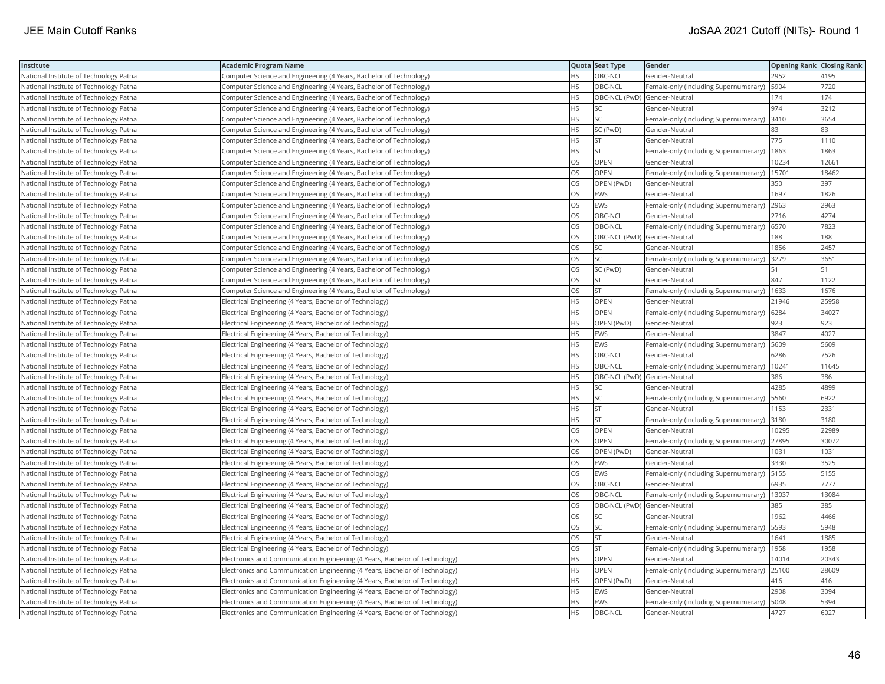| Institute                              | <b>Academic Program Name</b>                                                |           | Quota Seat Type              | Gender                                       | <b>Opening Rank   Closing Rank</b> |       |
|----------------------------------------|-----------------------------------------------------------------------------|-----------|------------------------------|----------------------------------------------|------------------------------------|-------|
| National Institute of Technology Patna | Computer Science and Engineering (4 Years, Bachelor of Technology)          | HS        | OBC-NCL                      | Gender-Neutral                               | 2952                               | 4195  |
| National Institute of Technology Patna | Computer Science and Engineering (4 Years, Bachelor of Technology)          | <b>HS</b> | OBC-NCL                      | Female-only (including Supernumerary)        | 5904                               | 7720  |
| National Institute of Technology Patna | Computer Science and Engineering (4 Years, Bachelor of Technology)          | <b>HS</b> | OBC-NCL (PwD) Gender-Neutral |                                              | 174                                | 174   |
| National Institute of Technology Patna | Computer Science and Engineering (4 Years, Bachelor of Technology)          | HS.       | SC                           | Gender-Neutral                               | 974                                | 3212  |
| National Institute of Technology Patna | Computer Science and Engineering (4 Years, Bachelor of Technology)          | HS.       | SC                           | Female-only (including Supernumerary) 3410   |                                    | 3654  |
| National Institute of Technology Patna | Computer Science and Engineering (4 Years, Bachelor of Technology)          | HS.       | SC (PwD)                     | Gender-Neutral                               | 83                                 | 83    |
| National Institute of Technology Patna | Computer Science and Engineering (4 Years, Bachelor of Technology)          | HS        | <b>ST</b>                    | Gender-Neutral                               | 775                                | 1110  |
| National Institute of Technology Patna | Computer Science and Engineering (4 Years, Bachelor of Technology)          | НS        | <b>ST</b>                    | Female-only (including Supernumerary)        | 1863                               | 1863  |
| National Institute of Technology Patna | Computer Science and Engineering (4 Years, Bachelor of Technology)          | OS        | OPEN                         | Gender-Neutral                               | 10234                              | 12661 |
| National Institute of Technology Patna | Computer Science and Engineering (4 Years, Bachelor of Technology)          | OS        | OPEN                         | Female-only (including Supernumerary)        | 15701                              | 18462 |
| National Institute of Technology Patna | Computer Science and Engineering (4 Years, Bachelor of Technology)          | <b>OS</b> | OPEN (PwD)                   | Gender-Neutral                               | 350                                | 397   |
| National Institute of Technology Patna | Computer Science and Engineering (4 Years, Bachelor of Technology)          | OS        | EWS                          | Gender-Neutral                               | 1697                               | 1826  |
| National Institute of Technology Patna | Computer Science and Engineering (4 Years, Bachelor of Technology)          | OS        | <b>EWS</b>                   | Female-only (including Supernumerary)        | 2963                               | 2963  |
| National Institute of Technology Patna | Computer Science and Engineering (4 Years, Bachelor of Technology)          | OS        | OBC-NCL                      | Gender-Neutral                               | 2716                               | 4274  |
| National Institute of Technology Patna | Computer Science and Engineering (4 Years, Bachelor of Technology)          | OS.       | OBC-NCL                      | Female-only (including Supernumerary)   6570 |                                    | 7823  |
| National Institute of Technology Patna | Computer Science and Engineering (4 Years, Bachelor of Technology)          | OS.       | OBC-NCL (PwD) Gender-Neutral |                                              | 188                                | 188   |
| National Institute of Technology Patna | Computer Science and Engineering (4 Years, Bachelor of Technology)          | OS        | SC                           | Gender-Neutral                               | 1856                               | 2457  |
| National Institute of Technology Patna | Computer Science and Engineering (4 Years, Bachelor of Technology)          | OS        | SC                           | Female-only (including Supernumerary)        | 3279                               | 3651  |
| National Institute of Technology Patna | Computer Science and Engineering (4 Years, Bachelor of Technology)          | OS.       | SC (PwD)                     | Gender-Neutral                               | 51                                 | 51    |
| National Institute of Technology Patna | Computer Science and Engineering (4 Years, Bachelor of Technology)          | OS        | <b>ST</b>                    | Gender-Neutral                               | 847                                | 1122  |
| National Institute of Technology Patna | Computer Science and Engineering (4 Years, Bachelor of Technology)          | OS        | <b>ST</b>                    | Female-only (including Supernumerary)   1633 |                                    | 1676  |
| National Institute of Technology Patna | Electrical Engineering (4 Years, Bachelor of Technology)                    | HS.       | OPEN                         | Gender-Neutral                               | 21946                              | 25958 |
| National Institute of Technology Patna | Electrical Engineering (4 Years, Bachelor of Technology)                    | HS        | OPEN                         | Female-only (including Supernumerary)   6284 |                                    | 34027 |
| National Institute of Technology Patna | Electrical Engineering (4 Years, Bachelor of Technology)                    | HS.       | OPEN (PwD)                   | Gender-Neutral                               | 923                                | 923   |
| National Institute of Technology Patna | Electrical Engineering (4 Years, Bachelor of Technology)                    | HS        | EWS                          | Gender-Neutral                               | 3847                               | 4027  |
| National Institute of Technology Patna | Electrical Engineering (4 Years, Bachelor of Technology)                    | HS        | EWS                          | Female-only (including Supernumerary)        | 5609                               | 5609  |
| National Institute of Technology Patna | Electrical Engineering (4 Years, Bachelor of Technology)                    | HS        | OBC-NCL                      | Gender-Neutral                               | 6286                               | 7526  |
| National Institute of Technology Patna | Electrical Engineering (4 Years, Bachelor of Technology)                    | HS        | OBC-NCL                      | Female-only (including Supernumerary)        | 10241                              | 11645 |
| National Institute of Technology Patna | Electrical Engineering (4 Years, Bachelor of Technology)                    | HS        | OBC-NCL (PwD) Gender-Neutral |                                              | 386                                | 386   |
| National Institute of Technology Patna | Electrical Engineering (4 Years, Bachelor of Technology)                    | ΗS        | SC                           | Gender-Neutral                               | 4285                               | 4899  |
| National Institute of Technology Patna | Electrical Engineering (4 Years, Bachelor of Technology)                    | HS        | SC                           | Female-only (including Supernumerary)   5560 |                                    | 6922  |
| National Institute of Technology Patna | Electrical Engineering (4 Years, Bachelor of Technology)                    | HS        | <b>ST</b>                    | Gender-Neutral                               | 1153                               | 2331  |
| National Institute of Technology Patna | Electrical Engineering (4 Years, Bachelor of Technology)                    | HS.       | <b>ST</b>                    | Female-only (including Supernumerary)        | 3180                               | 3180  |
| National Institute of Technology Patna | Electrical Engineering (4 Years, Bachelor of Technology)                    | OS        | OPEN                         | Gender-Neutral                               | 0295                               | 22989 |
| National Institute of Technology Patna | Electrical Engineering (4 Years, Bachelor of Technology)                    | OS        | <b>OPEN</b>                  | Female-only (including Supernumerary)        | 27895                              | 30072 |
| National Institute of Technology Patna | Electrical Engineering (4 Years, Bachelor of Technology)                    | OS        | OPEN (PwD)                   | Gender-Neutral                               | 1031                               | 1031  |
| National Institute of Technology Patna | Electrical Engineering (4 Years, Bachelor of Technology)                    | OS        | EWS                          | Gender-Neutral                               | 3330                               | 3525  |
| National Institute of Technology Patna | Electrical Engineering (4 Years, Bachelor of Technology)                    | OS        | <b>EWS</b>                   | Female-only (including Supernumerary)   5155 |                                    | 5155  |
| National Institute of Technology Patna | Electrical Engineering (4 Years, Bachelor of Technology)                    | OS        | OBC-NCL                      | Gender-Neutral                               | 6935                               | 7777  |
| National Institute of Technology Patna | Electrical Engineering (4 Years, Bachelor of Technology)                    | OS.       | OBC-NCL                      | Female-only (including Supernumerary)        | 13037                              | 13084 |
| National Institute of Technology Patna | Electrical Engineering (4 Years, Bachelor of Technology)                    | OS        | OBC-NCL (PwD) Gender-Neutral |                                              | 385                                | 385   |
| National Institute of Technology Patna | Electrical Engineering (4 Years, Bachelor of Technology)                    | OS        | <b>SC</b>                    | Gender-Neutral                               | 1962                               | 4466  |
| National Institute of Technology Patna | Electrical Engineering (4 Years, Bachelor of Technology)                    | OS        | SC                           | Female-only (including Supernumerary)        | 5593                               | 5948  |
| National Institute of Technology Patna | Electrical Engineering (4 Years, Bachelor of Technology)                    | OS        | <b>ST</b>                    | Gender-Neutral                               | 1641                               | 1885  |
| National Institute of Technology Patna | Electrical Engineering (4 Years, Bachelor of Technology)                    | OS        | <b>ST</b>                    | Female-only (including Supernumerary)        | 1958                               | 1958  |
| National Institute of Technology Patna | Electronics and Communication Engineering (4 Years, Bachelor of Technology) | HS.       | OPEN                         | Gender-Neutral                               | 14014                              | 20343 |
| National Institute of Technology Patna | Electronics and Communication Engineering (4 Years, Bachelor of Technology) | <b>HS</b> | OPEN                         | Female-only (including Supernumerary) 25100  |                                    | 28609 |
| National Institute of Technology Patna | Electronics and Communication Engineering (4 Years, Bachelor of Technology) | НS        | OPEN (PwD)                   | Gender-Neutral                               | 416                                | 416   |
| National Institute of Technology Patna | Electronics and Communication Engineering (4 Years, Bachelor of Technology) | HS        | <b>EWS</b>                   | Gender-Neutral                               | 2908                               | 3094  |
| National Institute of Technology Patna | Electronics and Communication Engineering (4 Years, Bachelor of Technology) | <b>HS</b> | <b>EWS</b>                   | Female-only (including Supernumerary)        | 5048                               | 5394  |
| National Institute of Technology Patna | Electronics and Communication Engineering (4 Years, Bachelor of Technology) | <b>HS</b> | OBC-NCL                      | Gender-Neutral                               | 4727                               | 6027  |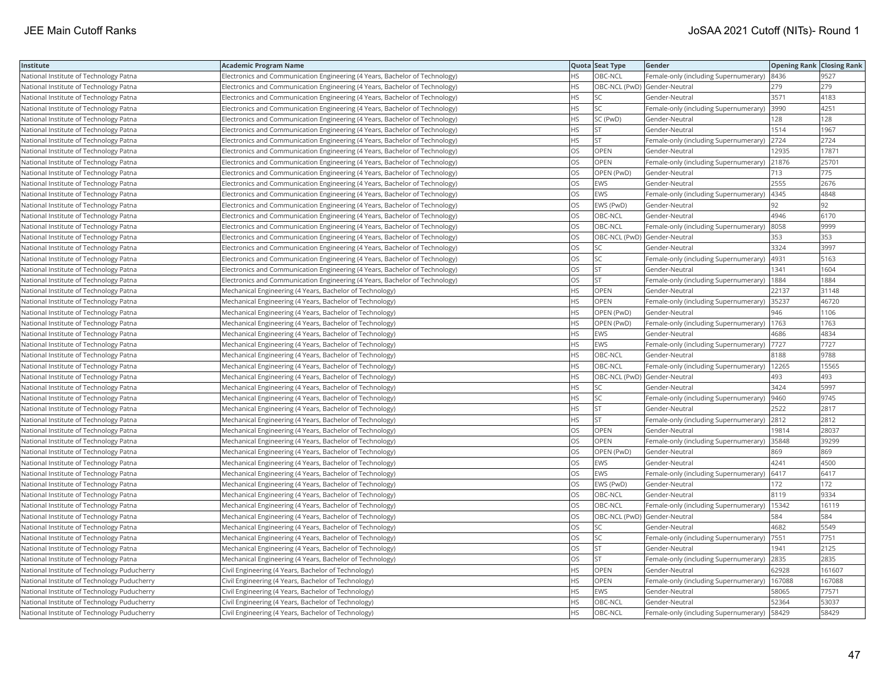| <b>Institute</b>                            | Academic Program Name                                                       |           | Quota Seat Type              | <b>Gender</b>                                | <b>Opening Rank Closing Rank</b> |        |
|---------------------------------------------|-----------------------------------------------------------------------------|-----------|------------------------------|----------------------------------------------|----------------------------------|--------|
| National Institute of Technology Patna      | Electronics and Communication Engineering (4 Years, Bachelor of Technology) | HS        | OBC-NCL                      | Female-only (including Supernumerary)        | 8436                             | 9527   |
| National Institute of Technology Patna      | Electronics and Communication Engineering (4 Years, Bachelor of Technology) | HS.       | OBC-NCL (PwD) Gender-Neutral |                                              | 279                              | 279    |
| National Institute of Technology Patna      | Electronics and Communication Engineering (4 Years, Bachelor of Technology) | HS        | <b>SC</b>                    | Gender-Neutral                               | 3571                             | 4183   |
| National Institute of Technology Patna      | Electronics and Communication Engineering (4 Years, Bachelor of Technology) | HS        | <b>SC</b>                    | Female-only (including Supernumerary)        | 3990                             | 4251   |
| National Institute of Technology Patna      | Electronics and Communication Engineering (4 Years, Bachelor of Technology) | HS.       | SC (PwD)                     | Gender-Neutral                               | 128                              | 128    |
| National Institute of Technology Patna      | Electronics and Communication Engineering (4 Years, Bachelor of Technology) | HS        | <b>ST</b>                    | Gender-Neutral                               | 1514                             | 1967   |
| National Institute of Technology Patna      | Electronics and Communication Engineering (4 Years, Bachelor of Technology) | HS        | <b>ST</b>                    | Female-only (including Supernumerary)        | 2724                             | 2724   |
| National Institute of Technology Patna      | Electronics and Communication Engineering (4 Years, Bachelor of Technology) | OS.       | <b>OPEN</b>                  | Gender-Neutral                               | 12935                            | 17871  |
| National Institute of Technology Patna      | Electronics and Communication Engineering (4 Years, Bachelor of Technology) | OS        | OPEN                         | Female-only (including Supernumerary)        | 21876                            | 25701  |
| National Institute of Technology Patna      | Electronics and Communication Engineering (4 Years, Bachelor of Technology) | OS        | OPEN (PwD)                   | Gender-Neutral                               | 713                              | 775    |
| National Institute of Technology Patna      | Electronics and Communication Engineering (4 Years, Bachelor of Technology) | OS.       | <b>EWS</b>                   | Gender-Neutral                               | 2555                             | 2676   |
| National Institute of Technology Patna      | Electronics and Communication Engineering (4 Years, Bachelor of Technology) | OS.       | <b>EWS</b>                   | Female-only (including Supernumerary)        | 4345                             | 4848   |
| National Institute of Technology Patna      | Electronics and Communication Engineering (4 Years, Bachelor of Technology) | OS        | EWS (PwD)                    | Gender-Neutral                               | 92                               | 92     |
| National Institute of Technology Patna      | Electronics and Communication Engineering (4 Years, Bachelor of Technology) | OS        | OBC-NCL                      | Gender-Neutral                               | 4946                             | 6170   |
| National Institute of Technology Patna      | Electronics and Communication Engineering (4 Years, Bachelor of Technology) | OS        | OBC-NCL                      | Female-only (including Supernumerary) 8058   |                                  | 9999   |
| National Institute of Technology Patna      | Electronics and Communication Engineering (4 Years, Bachelor of Technology) | OS        | OBC-NCL (PwD) Gender-Neutral |                                              | 353                              | 353    |
| National Institute of Technology Patna      | Electronics and Communication Engineering (4 Years, Bachelor of Technology) | OS.       | SC                           | Gender-Neutral                               | 3324                             | 3997   |
| National Institute of Technology Patna      | Electronics and Communication Engineering (4 Years, Bachelor of Technology) | OS        | SC                           | Female-only (including Supernumerary)        | 4931                             | 5163   |
| National Institute of Technology Patna      | Electronics and Communication Engineering (4 Years, Bachelor of Technology) | OS        | <b>ST</b>                    | Gender-Neutral                               | 1341                             | 1604   |
| National Institute of Technology Patna      | Electronics and Communication Engineering (4 Years, Bachelor of Technology) | OS.       | <b>ST</b>                    | Female-only (including Supernumerary)        | 1884                             | 1884   |
| National Institute of Technology Patna      | Mechanical Engineering (4 Years, Bachelor of Technology)                    | HS        | <b>OPEN</b>                  | Gender-Neutral                               | 22137                            | 31148  |
| National Institute of Technology Patna      | Mechanical Engineering (4 Years, Bachelor of Technology)                    | HS        | OPEN                         | Female-only (including Supernumerary)        | 35237                            | 46720  |
| National Institute of Technology Patna      | Mechanical Engineering (4 Years, Bachelor of Technology)                    | HS        | OPEN (PwD)                   | Gender-Neutral                               | 946                              | 1106   |
| National Institute of Technology Patna      | Mechanical Engineering (4 Years, Bachelor of Technology)                    | HS.       | OPEN (PwD)                   | Female-only (including Supernumerary)        | 1763                             | 1763   |
| National Institute of Technology Patna      | Mechanical Engineering (4 Years, Bachelor of Technology)                    | HS        | EWS                          | Gender-Neutral                               | 4686                             | 4834   |
| National Institute of Technology Patna      | Mechanical Engineering (4 Years, Bachelor of Technology)                    | <b>HS</b> | <b>EWS</b>                   | Female-only (including Supernumerary)        | 7727                             | 7727   |
| National Institute of Technology Patna      | Mechanical Engineering (4 Years, Bachelor of Technology)                    | HS        | OBC-NCL                      | Gender-Neutral                               | 8188                             | 9788   |
| National Institute of Technology Patna      | Mechanical Engineering (4 Years, Bachelor of Technology)                    | HS        | OBC-NCL                      | Female-only (including Supernumerary)        | 12265                            | 15565  |
| National Institute of Technology Patna      | Mechanical Engineering (4 Years, Bachelor of Technology)                    | HS.       | OBC-NCL (PwD) Gender-Neutral |                                              | 493                              | 493    |
| National Institute of Technology Patna      | Mechanical Engineering (4 Years, Bachelor of Technology)                    | HS        | SC                           | Gender-Neutral                               | 3424                             | 5997   |
| National Institute of Technology Patna      | Mechanical Engineering (4 Years, Bachelor of Technology)                    | HS        | SC                           | Female-only (including Supernumerary)        | 9460                             | 9745   |
| National Institute of Technology Patna      | Mechanical Engineering (4 Years, Bachelor of Technology)                    | HS.       | <b>ST</b>                    | Gender-Neutral                               | 2522                             | 2817   |
| National Institute of Technology Patna      | Mechanical Engineering (4 Years, Bachelor of Technology)                    | HS        | <b>ST</b>                    | Female-only (including Supernumerary)        | 2812                             | 2812   |
| National Institute of Technology Patna      | Mechanical Engineering (4 Years, Bachelor of Technology)                    | OS        | OPEN                         | Gender-Neutral                               | 19814                            | 28037  |
| National Institute of Technology Patna      | Mechanical Engineering (4 Years, Bachelor of Technology)                    | OS.       | <b>OPEN</b>                  | Female-only (including Supernumerary)        | 35848                            | 39299  |
| National Institute of Technology Patna      | Mechanical Engineering (4 Years, Bachelor of Technology)                    | OS        | OPEN (PwD)                   | Gender-Neutral                               | 869                              | 869    |
| National Institute of Technology Patna      | Mechanical Engineering (4 Years, Bachelor of Technology)                    | OS        | <b>EWS</b>                   | Gender-Neutral                               | 4241                             | 4500   |
| National Institute of Technology Patna      | Mechanical Engineering (4 Years, Bachelor of Technology)                    | OS        | <b>EWS</b>                   | Female-only (including Supernumerary)   6417 |                                  | 6417   |
| National Institute of Technology Patna      | Mechanical Engineering (4 Years, Bachelor of Technology)                    | OS        | EWS (PwD)                    | Gender-Neutral                               | 172                              | 172    |
| National Institute of Technology Patna      | Mechanical Engineering (4 Years, Bachelor of Technology)                    | OS        | OBC-NCL                      | Gender-Neutral                               | 8119                             | 9334   |
| National Institute of Technology Patna      | Mechanical Engineering (4 Years, Bachelor of Technology)                    | OS        | OBC-NCL                      | Female-only (including Supernumerary)        | 15342                            | 16119  |
| National Institute of Technology Patna      | Mechanical Engineering (4 Years, Bachelor of Technology)                    | OS        | OBC-NCL (PwD) Gender-Neutral |                                              | 584                              | 584    |
| National Institute of Technology Patna      | Mechanical Engineering (4 Years, Bachelor of Technology)                    | OS        | SC                           | Gender-Neutral                               | 4682                             | 5549   |
| National Institute of Technology Patna      | Mechanical Engineering (4 Years, Bachelor of Technology)                    | OS        | SC                           | Female-only (including Supernumerary)        | 7551                             | 7751   |
| National Institute of Technology Patna      | Mechanical Engineering (4 Years, Bachelor of Technology)                    | OS        | <b>ST</b>                    | Gender-Neutral                               | 1941                             | 2125   |
| National Institute of Technology Patna      | Mechanical Engineering (4 Years, Bachelor of Technology)                    | OS        | <b>ST</b>                    | Female-only (including Supernumerary)        | 2835                             | 2835   |
| National Institute of Technology Puducherry | Civil Engineering (4 Years, Bachelor of Technology)                         | HS.       | <b>OPEN</b>                  | Gender-Neutral                               | 62928                            | 161607 |
| National Institute of Technology Puducherry | Civil Engineering (4 Years, Bachelor of Technology)                         | HS        | OPEN                         | Female-only (including Supernumerary)        | 167088                           | 167088 |
| National Institute of Technology Puducherry | Civil Engineering (4 Years, Bachelor of Technology)                         | HS        | EWS                          | Gender-Neutral                               | 58065                            | 77571  |
| National Institute of Technology Puducherry | Civil Engineering (4 Years, Bachelor of Technology)                         | HS.       | OBC-NCL                      | Gender-Neutral                               | 52364                            | 53037  |
| National Institute of Technology Puducherry | Civil Engineering (4 Years, Bachelor of Technology)                         | <b>HS</b> | OBC-NCL                      | Female-only (including Supernumerary)        | 58429                            | 58429  |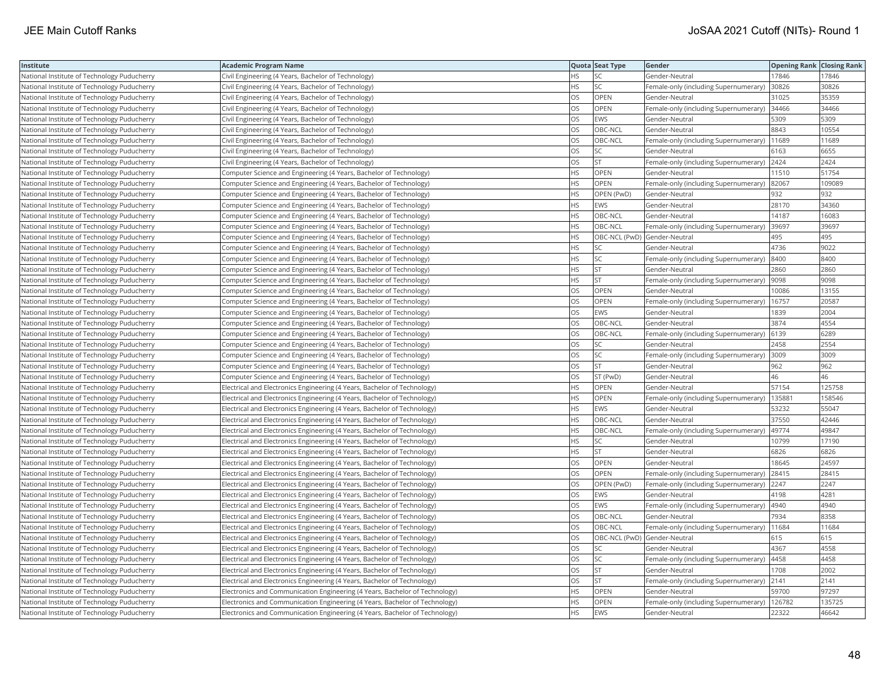| Institute                                   | <b>Academic Program Name</b>                                                |           | Quota Seat Type              | Gender                                        | <b>Opening Rank Closing Rank</b> |        |
|---------------------------------------------|-----------------------------------------------------------------------------|-----------|------------------------------|-----------------------------------------------|----------------------------------|--------|
| National Institute of Technology Puducherry | Civil Engineering (4 Years, Bachelor of Technology)                         | ΗS        | SC                           | Gender-Neutral                                | 17846                            | 17846  |
| National Institute of Technology Puducherry | Civil Engineering (4 Years, Bachelor of Technology)                         | HS        | <b>SC</b>                    | Female-only (including Supernumerary)         | 30826                            | 30826  |
| National Institute of Technology Puducherry | Civil Engineering (4 Years, Bachelor of Technology)                         | OS        | OPEN                         | Gender-Neutral                                | 31025                            | 35359  |
| National Institute of Technology Puducherry | Civil Engineering (4 Years, Bachelor of Technology)                         | OS        | OPEN                         | Female-only (including Supernumerary)         | 34466                            | 34466  |
| National Institute of Technology Puducherry | Civil Engineering (4 Years, Bachelor of Technology)                         | OS        | <b>EWS</b>                   | Gender-Neutral                                | 5309                             | 5309   |
| National Institute of Technology Puducherry | Civil Engineering (4 Years, Bachelor of Technology)                         | OS        | OBC-NCL                      | Gender-Neutral                                | 8843                             | 10554  |
| National Institute of Technology Puducherry | Civil Engineering (4 Years, Bachelor of Technology)                         | OS        | OBC-NCL                      | Female-only (including Supernumerary)   11689 |                                  | 11689  |
| National Institute of Technology Puducherry | Civil Engineering (4 Years, Bachelor of Technology)                         | OS        | SC                           | Gender-Neutral                                | 6163                             | 6655   |
| National Institute of Technology Puducherry | Civil Engineering (4 Years, Bachelor of Technology)                         | OS        | <b>ST</b>                    | Female-only (including Supernumerary)         | 2424                             | 2424   |
| National Institute of Technology Puducherry | Computer Science and Engineering (4 Years, Bachelor of Technology)          | HS        | OPEN                         | Gender-Neutral                                | 11510                            | 51754  |
| National Institute of Technology Puducherry | Computer Science and Engineering (4 Years, Bachelor of Technology)          | <b>HS</b> | <b>OPEN</b>                  | Female-only (including Supernumerary)         | 82067                            | 109089 |
| National Institute of Technology Puducherry | Computer Science and Engineering (4 Years, Bachelor of Technology)          | <b>HS</b> | OPEN (PwD)                   | Gender-Neutral                                | 932                              | 932    |
| National Institute of Technology Puducherry | Computer Science and Engineering (4 Years, Bachelor of Technology)          | HS        | <b>EWS</b>                   | Gender-Neutral                                | 28170                            | 34360  |
| National Institute of Technology Puducherry | Computer Science and Engineering (4 Years, Bachelor of Technology)          | HS        | OBC-NCL                      | Gender-Neutral                                | 14187                            | 16083  |
| National Institute of Technology Puducherry | Computer Science and Engineering (4 Years, Bachelor of Technology)          | HS        | OBC-NCL                      | Female-only (including Supernumerary)         | 39697                            | 39697  |
| National Institute of Technology Puducherry | Computer Science and Engineering (4 Years, Bachelor of Technology)          | HS        | OBC-NCL (PwD) Gender-Neutral |                                               | 495                              | 495    |
| National Institute of Technology Puducherry | Computer Science and Engineering (4 Years, Bachelor of Technology)          | <b>HS</b> | SC                           | Gender-Neutral                                | 4736                             | 9022   |
| National Institute of Technology Puducherry | Computer Science and Engineering (4 Years, Bachelor of Technology)          | HS        | SC                           | Female-only (including Supernumerary)         | 8400                             | 8400   |
| National Institute of Technology Puducherry | Computer Science and Engineering (4 Years, Bachelor of Technology)          | HS        | <b>ST</b>                    | Gender-Neutral                                | 2860                             | 2860   |
| National Institute of Technology Puducherry | Computer Science and Engineering (4 Years, Bachelor of Technology)          | <b>HS</b> | <b>ST</b>                    | Female-only (including Supernumerary)         | 9098                             | 9098   |
| National Institute of Technology Puducherry | Computer Science and Engineering (4 Years, Bachelor of Technology)          | OS        | <b>OPEN</b>                  | Gender-Neutral                                | 10086                            | 13155  |
| National Institute of Technology Puducherry | Computer Science and Engineering (4 Years, Bachelor of Technology)          | OS        | OPEN                         | Female-only (including Supernumerary)         | 16757                            | 20587  |
| National Institute of Technology Puducherry | Computer Science and Engineering (4 Years, Bachelor of Technology)          | OS        | EWS                          | Gender-Neutral                                | 1839                             | 2004   |
| National Institute of Technology Puducherry | Computer Science and Engineering (4 Years, Bachelor of Technology)          | OS        | OBC-NCL                      | Gender-Neutral                                | 3874                             | 4554   |
| National Institute of Technology Puducherry | Computer Science and Engineering (4 Years, Bachelor of Technology)          | OS        | OBC-NCL                      | Female-only (including Supernumerary)         | 6139                             | 6289   |
| National Institute of Technology Puducherry | Computer Science and Engineering (4 Years, Bachelor of Technology)          | OS        | <b>SC</b>                    | Gender-Neutral                                | 2458                             | 2554   |
| National Institute of Technology Puducherry | Computer Science and Engineering (4 Years, Bachelor of Technology)          | OS        | SC                           | Female-only (including Supernumerary)         | 3009                             | 3009   |
| National Institute of Technology Puducherry | Computer Science and Engineering (4 Years, Bachelor of Technology)          | OS        | <b>ST</b>                    | Gender-Neutral                                | 962                              | 962    |
| National Institute of Technology Puducherry | Computer Science and Engineering (4 Years, Bachelor of Technology)          | OS.       | ST (PwD)                     | Gender-Neutral                                | 46                               | 46     |
| National Institute of Technology Puducherry | Electrical and Electronics Engineering (4 Years, Bachelor of Technology)    | HS        | OPEN                         | Gender-Neutral                                | 57154                            | 125758 |
| National Institute of Technology Puducherry | Electrical and Electronics Engineering (4 Years, Bachelor of Technology)    | HS        | OPEN                         | Female-only (including Supernumerary)         | 135881                           | 158546 |
| National Institute of Technology Puducherry | Electrical and Electronics Engineering (4 Years, Bachelor of Technology)    | <b>HS</b> | <b>EWS</b>                   | Gender-Neutral                                | 53232                            | 55047  |
| National Institute of Technology Puducherry | Electrical and Electronics Engineering (4 Years, Bachelor of Technology)    | HS        | OBC-NCL                      | Gender-Neutral                                | 37550                            | 42446  |
| National Institute of Technology Puducherry | Electrical and Electronics Engineering (4 Years, Bachelor of Technology)    | HS        | OBC-NCL                      | Female-only (including Supernumerary)         | 49774                            | 49847  |
| National Institute of Technology Puducherry | Electrical and Electronics Engineering (4 Years, Bachelor of Technology)    | <b>HS</b> | <b>SC</b>                    | Gender-Neutral                                | 10799                            | 17190  |
| National Institute of Technology Puducherry | Electrical and Electronics Engineering (4 Years, Bachelor of Technology)    | HS        | <b>ST</b>                    | Gender-Neutral                                | 6826                             | 6826   |
| National Institute of Technology Puducherry | Electrical and Electronics Engineering (4 Years, Bachelor of Technology)    | OS        | OPEN                         | Gender-Neutral                                | 18645                            | 24597  |
| National Institute of Technology Puducherry | Electrical and Electronics Engineering (4 Years, Bachelor of Technology)    | OS        | OPEN                         | Female-only (including Supernumerary)         | 28415                            | 28415  |
| National Institute of Technology Puducherry | Electrical and Electronics Engineering (4 Years, Bachelor of Technology)    | OS        | OPEN (PwD)                   | Female-only (including Supernumerary)         | 2247                             | 2247   |
| National Institute of Technology Puducherry | Electrical and Electronics Engineering (4 Years, Bachelor of Technology)    | OS        | <b>EWS</b>                   | Gender-Neutral                                | 4198                             | 4281   |
| National Institute of Technology Puducherry | Electrical and Electronics Engineering (4 Years, Bachelor of Technology)    | OS        | <b>EWS</b>                   | Female-only (including Supernumerary)         | 4940                             | 4940   |
| National Institute of Technology Puducherry | Electrical and Electronics Engineering (4 Years, Bachelor of Technology)    | OS        | OBC-NCL                      | Gender-Neutral                                | 7934                             | 8358   |
| National Institute of Technology Puducherry | Electrical and Electronics Engineering (4 Years, Bachelor of Technology)    | OS        | OBC-NCL                      | Female-only (including Supernumerary)         | 11684                            | 11684  |
| National Institute of Technology Puducherry | Electrical and Electronics Engineering (4 Years, Bachelor of Technology)    | OS        | OBC-NCL (PwD) Gender-Neutral |                                               | 615                              | 615    |
| National Institute of Technology Puducherry | Electrical and Electronics Engineering (4 Years, Bachelor of Technology)    | OS        | SC                           | Gender-Neutral                                | 4367                             | 4558   |
| National Institute of Technology Puducherry | Electrical and Electronics Engineering (4 Years, Bachelor of Technology)    | OS        | SC                           | Female-only (including Supernumerary)         | 4458                             | 4458   |
| National Institute of Technology Puducherry | Electrical and Electronics Engineering (4 Years, Bachelor of Technology)    | OS        | <b>ST</b>                    | Gender-Neutral                                | 1708                             | 2002   |
| National Institute of Technology Puducherry | Electrical and Electronics Engineering (4 Years, Bachelor of Technology)    | OS        | <b>ST</b>                    | Female-only (including Supernumerary)         | 2141                             | 2141   |
| National Institute of Technology Puducherry | Electronics and Communication Engineering (4 Years, Bachelor of Technology) | HS        | OPEN                         | Gender-Neutral                                | 59700                            | 97297  |
| National Institute of Technology Puducherry | Electronics and Communication Engineering (4 Years, Bachelor of Technology) | <b>HS</b> | OPEN                         | Female-only (including Supernumerary)         | 126782                           | 135725 |
| National Institute of Technology Puducherry | Electronics and Communication Engineering (4 Years, Bachelor of Technology) | <b>HS</b> | <b>EWS</b>                   | Gender-Neutral                                | 22322                            | 46642  |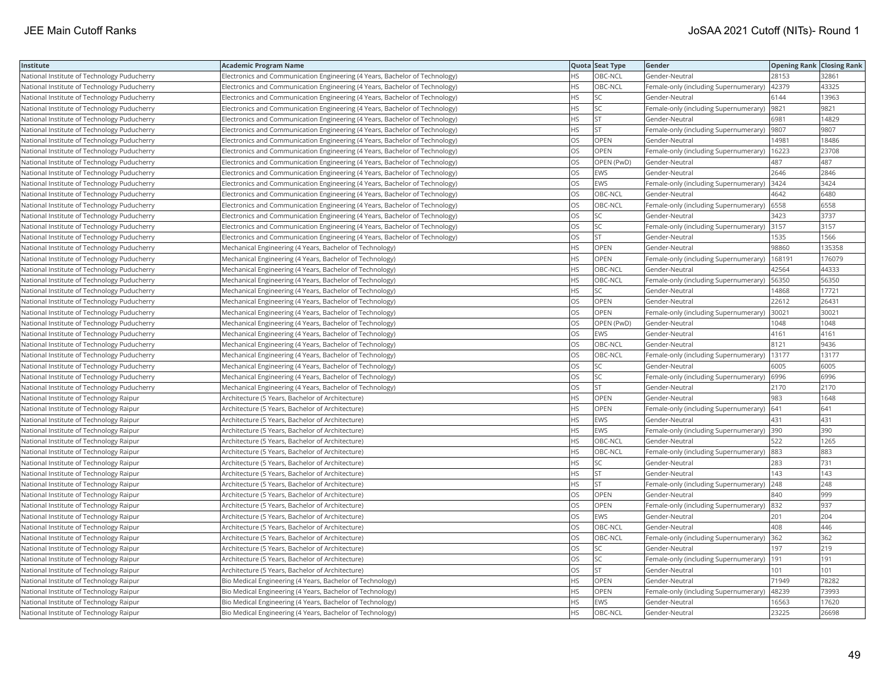| Institute                                   | <b>Academic Program Name</b>                                                |           | Quota Seat Type | Gender                                       | <b>Opening Rank   Closing Rank</b> |        |
|---------------------------------------------|-----------------------------------------------------------------------------|-----------|-----------------|----------------------------------------------|------------------------------------|--------|
| National Institute of Technology Puducherry | Electronics and Communication Engineering (4 Years, Bachelor of Technology) | НS        | OBC-NCL         | Gender-Neutral                               | 28153                              | 32861  |
| National Institute of Technology Puducherry | Electronics and Communication Engineering (4 Years, Bachelor of Technology) | <b>HS</b> | OBC-NCL         | Female-only (including Supernumerary)        | 42379                              | 43325  |
| National Institute of Technology Puducherry | Electronics and Communication Engineering (4 Years, Bachelor of Technology) | <b>HS</b> | <b>SC</b>       | Gender-Neutral                               | 6144                               | 13963  |
| National Institute of Technology Puducherry | Electronics and Communication Engineering (4 Years, Bachelor of Technology) | HS        | SC              | Female-only (including Supernumerary)        | 9821                               | 9821   |
| National Institute of Technology Puducherry | Electronics and Communication Engineering (4 Years, Bachelor of Technology) | HS        | <b>ST</b>       | Gender-Neutral                               | 6981                               | 14829  |
| National Institute of Technology Puducherry | Electronics and Communication Engineering (4 Years, Bachelor of Technology) | ΗS        | <b>ST</b>       | Female-only (including Supernumerary)  9807  |                                    | 9807   |
| National Institute of Technology Puducherry | Electronics and Communication Engineering (4 Years, Bachelor of Technology) | OS        | OPEN            | Gender-Neutral                               | 14981                              | 18486  |
| National Institute of Technology Puducherry | Electronics and Communication Engineering (4 Years, Bachelor of Technology) | OS        | OPEN            | Female-only (including Supernumerary)        | 16223                              | 23708  |
| National Institute of Technology Puducherry | Electronics and Communication Engineering (4 Years, Bachelor of Technology) | OS        | OPEN (PwD)      | Gender-Neutral                               | 487                                | 487    |
| National Institute of Technology Puducherry | Electronics and Communication Engineering (4 Years, Bachelor of Technology) | OS        | <b>EWS</b>      | Gender-Neutral                               | 2646                               | 2846   |
| National Institute of Technology Puducherry | Electronics and Communication Engineering (4 Years, Bachelor of Technology) | OS        | <b>EWS</b>      | Female-only (including Supernumerary)        | 3424                               | 3424   |
| National Institute of Technology Puducherry | Electronics and Communication Engineering (4 Years, Bachelor of Technology) | OS        | OBC-NCL         | Gender-Neutral                               | 4642                               | 6480   |
| National Institute of Technology Puducherry | Electronics and Communication Engineering (4 Years, Bachelor of Technology) | OS        | OBC-NCL         | Female-only (including Supernumerary) 6558   |                                    | 6558   |
| National Institute of Technology Puducherry | Electronics and Communication Engineering (4 Years, Bachelor of Technology) | OS        | SC              | Gender-Neutral                               | 3423                               | 3737   |
| National Institute of Technology Puducherry | Electronics and Communication Engineering (4 Years, Bachelor of Technology) | OS        | <b>SC</b>       | Female-only (including Supernumerary) 3157   |                                    | 3157   |
| National Institute of Technology Puducherry | Electronics and Communication Engineering (4 Years, Bachelor of Technology) | OS        | <b>ST</b>       | Gender-Neutral                               | 1535                               | 1566   |
| National Institute of Technology Puducherry | Mechanical Engineering (4 Years, Bachelor of Technology)                    | HS        | OPEN            | Gender-Neutral                               | 98860                              | 135358 |
| National Institute of Technology Puducherry | Mechanical Engineering (4 Years, Bachelor of Technology)                    | HS        | OPEN            | Female-only (including Supernumerary)        | 168191                             | 176079 |
| National Institute of Technology Puducherry | Mechanical Engineering (4 Years, Bachelor of Technology)                    | HS        | OBC-NCL         | Gender-Neutral                               | 42564                              | 44333  |
| National Institute of Technology Puducherry | Mechanical Engineering (4 Years, Bachelor of Technology)                    | HS        | OBC-NCL         | Female-only (including Supernumerary)        | 56350                              | 56350  |
| National Institute of Technology Puducherry | Mechanical Engineering (4 Years, Bachelor of Technology)                    | HS        | <b>SC</b>       | Gender-Neutral                               | 14868                              | 17721  |
| National Institute of Technology Puducherry | Mechanical Engineering (4 Years, Bachelor of Technology)                    | OS        | OPEN            | Gender-Neutral                               | 22612                              | 26431  |
| National Institute of Technology Puducherry | Mechanical Engineering (4 Years, Bachelor of Technology)                    | OS        | OPEN            | Female-only (including Supernumerary)        | 30021                              | 30021  |
| National Institute of Technology Puducherry | Mechanical Engineering (4 Years, Bachelor of Technology)                    | OS        | OPEN (PwD)      | Gender-Neutral                               | 1048                               | 1048   |
| National Institute of Technology Puducherry | Mechanical Engineering (4 Years, Bachelor of Technology)                    | OS        | <b>EWS</b>      | Gender-Neutral                               | 4161                               | 4161   |
| National Institute of Technology Puducherry | Mechanical Engineering (4 Years, Bachelor of Technology)                    | OS        | OBC-NCL         | Gender-Neutral                               | 8121                               | 9436   |
| National Institute of Technology Puducherry | Mechanical Engineering (4 Years, Bachelor of Technology)                    | OS        | OBC-NCL         | Female-only (including Supernumerary)        | 13177                              | 13177  |
| National Institute of Technology Puducherry | Mechanical Engineering (4 Years, Bachelor of Technology)                    | OS        | SC              | Gender-Neutral                               | 6005                               | 6005   |
| National Institute of Technology Puducherry | Mechanical Engineering (4 Years, Bachelor of Technology)                    | OS        | SC              | Female-only (including Supernumerary)   6996 |                                    | 6996   |
| National Institute of Technology Puducherry | Mechanical Engineering (4 Years, Bachelor of Technology)                    | OS        | <b>ST</b>       | Gender-Neutral                               | 2170                               | 2170   |
| National Institute of Technology Raipur     | Architecture (5 Years, Bachelor of Architecture)                            | HS        | OPEN            | Gender-Neutral                               | 983                                | 1648   |
| National Institute of Technology Raipur     | Architecture (5 Years, Bachelor of Architecture)                            | ΗS        | OPEN            | Female-only (including Supernumerary)        | 641                                | 641    |
| National Institute of Technology Raipur     | Architecture (5 Years, Bachelor of Architecture)                            | HS        | <b>EWS</b>      | Gender-Neutral                               | 431                                | 431    |
| National Institute of Technology Raipur     | Architecture (5 Years, Bachelor of Architecture)                            | HS        | <b>EWS</b>      | Female-only (including Supernumerary)        | 390                                | 390    |
| National Institute of Technology Raipur     | Architecture (5 Years, Bachelor of Architecture)                            | НS        | OBC-NCL         | Gender-Neutral                               | 522                                | 1265   |
| National Institute of Technology Raipur     | Architecture (5 Years, Bachelor of Architecture)                            | HS        | OBC-NCL         | Female-only (including Supernumerary)        | 883                                | 883    |
| National Institute of Technology Raipur     | Architecture (5 Years, Bachelor of Architecture)                            | HS        | <b>SC</b>       | Gender-Neutral                               | 283                                | 731    |
| National Institute of Technology Raipur     | Architecture (5 Years, Bachelor of Architecture)                            | HS        | <b>ST</b>       | Gender-Neutral                               | 143                                | 143    |
| National Institute of Technology Raipur     | Architecture (5 Years, Bachelor of Architecture)                            | ΗS        | <b>ST</b>       | Female-only (including Supernumerary) 248    |                                    | 248    |
| National Institute of Technology Raipur     | Architecture (5 Years, Bachelor of Architecture)                            | OS        | <b>OPEN</b>     | Gender-Neutral                               | 840                                | 999    |
| National Institute of Technology Raipur     | Architecture (5 Years, Bachelor of Architecture)                            | OS        | OPEN            | Female-only (including Supernumerary)        | 832                                | 937    |
| National Institute of Technology Raipur     | Architecture (5 Years, Bachelor of Architecture)                            | OS        | <b>EWS</b>      | Gender-Neutral                               | 201                                | 204    |
| National Institute of Technology Raipur     | Architecture (5 Years, Bachelor of Architecture)                            | OS        | OBC-NCL         | Gender-Neutral                               | 408                                | 446    |
| National Institute of Technology Raipur     | Architecture (5 Years, Bachelor of Architecture)                            | OS        | OBC-NCL         | Female-only (including Supernumerary)        | 362                                | 362    |
| National Institute of Technology Raipur     | Architecture (5 Years, Bachelor of Architecture)                            | OS        | <b>SC</b>       | Gender-Neutral                               | 197                                | 219    |
| National Institute of Technology Raipur     | Architecture (5 Years, Bachelor of Architecture)                            | OS        | SC              | Female-only (including Supernumerary)        | 191                                | 191    |
| National Institute of Technology Raipur     | Architecture (5 Years, Bachelor of Architecture)                            | OS        | <b>ST</b>       | Gender-Neutral                               | 101                                | 101    |
| National Institute of Technology Raipur     | Bio Medical Engineering (4 Years, Bachelor of Technology)                   | ΗS        | <b>OPEN</b>     | Gender-Neutral                               | 71949                              | 78282  |
| National Institute of Technology Raipur     | Bio Medical Engineering (4 Years, Bachelor of Technology)                   | HS        | OPEN            | Female-only (including Supernumerary)        | 48239                              | 73993  |
| National Institute of Technology Raipur     | Bio Medical Engineering (4 Years, Bachelor of Technology)                   | <b>HS</b> | <b>EWS</b>      | Gender-Neutral                               | 16563                              | 17620  |
| National Institute of Technology Raipur     | Bio Medical Engineering (4 Years, Bachelor of Technology)                   | <b>HS</b> | OBC-NCL         | Gender-Neutral                               | 23225                              | 26698  |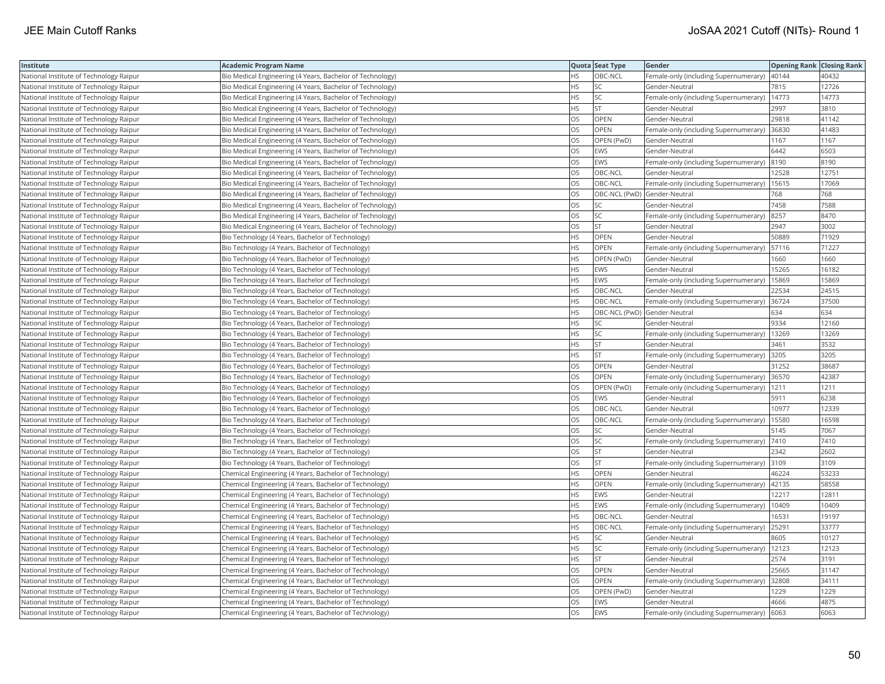| Institute                               | <b>Academic Program Name</b>                              |           | Quota Seat Type              | Gender                                        | <b>Opening Rank Closing Rank</b> |       |
|-----------------------------------------|-----------------------------------------------------------|-----------|------------------------------|-----------------------------------------------|----------------------------------|-------|
| National Institute of Technology Raipur | Bio Medical Engineering (4 Years, Bachelor of Technology) | <b>HS</b> | OBC-NCL                      | Female-only (including Supernumerary)   40144 |                                  | 40432 |
| National Institute of Technology Raipur | Bio Medical Engineering (4 Years, Bachelor of Technology) | ٦S        | SC                           | Gender-Neutral                                | 7815                             | 12726 |
| National Institute of Technology Raipur | Bio Medical Engineering (4 Years, Bachelor of Technology) | HS        | SC                           | Female-only (including Supernumerary)   14773 |                                  | 14773 |
| National Institute of Technology Raipur | Bio Medical Engineering (4 Years, Bachelor of Technology) | HS        | <b>ST</b>                    | Gender-Neutral                                | 2997                             | 3810  |
| National Institute of Technology Raipur | Bio Medical Engineering (4 Years, Bachelor of Technology) | OS        | OPEN                         | Gender-Neutral                                | 29818                            | 41142 |
| National Institute of Technology Raipur | Bio Medical Engineering (4 Years, Bachelor of Technology) | OS        | OPEN                         | Female-only (including Supernumerary)         | 36830                            | 41483 |
| National Institute of Technology Raipur | Bio Medical Engineering (4 Years, Bachelor of Technology) | OS        | OPEN (PwD)                   | Gender-Neutral                                | 1167                             | 1167  |
| National Institute of Technology Raipur | Bio Medical Engineering (4 Years, Bachelor of Technology) | OS        | <b>EWS</b>                   | Gender-Neutral                                | 6442                             | 6503  |
| National Institute of Technology Raipur | Bio Medical Engineering (4 Years, Bachelor of Technology) | OS        | <b>EWS</b>                   | Female-only (including Supernumerary)         | 8190                             | 8190  |
| National Institute of Technology Raipur | Bio Medical Engineering (4 Years, Bachelor of Technology) | OS        | OBC-NCL                      | Gender-Neutral                                | 12528                            | 12751 |
| National Institute of Technology Raipur | Bio Medical Engineering (4 Years, Bachelor of Technology) | OS        | OBC-NCL                      | Female-only (including Supernumerary)         | 15615                            | 17069 |
| National Institute of Technology Raipur | Bio Medical Engineering (4 Years, Bachelor of Technology) | OS        | OBC-NCL (PwD) Gender-Neutral |                                               | 768                              | 768   |
| National Institute of Technology Raipur | Bio Medical Engineering (4 Years, Bachelor of Technology) | OS        | SC                           | Gender-Neutral                                | 7458                             | 7588  |
| National Institute of Technology Raipur | Bio Medical Engineering (4 Years, Bachelor of Technology) | OS        | SC                           | Female-only (including Supernumerary)         | 8257                             | 8470  |
| National Institute of Technology Raipur | Bio Medical Engineering (4 Years, Bachelor of Technology) | OS        | <b>ST</b>                    | Gender-Neutral                                | 2947                             | 3002  |
| National Institute of Technology Raipur | Bio Technology (4 Years, Bachelor of Technology)          | ΗS        | OPEN                         | Gender-Neutral                                | 50889                            | 71929 |
| National Institute of Technology Raipur | Bio Technology (4 Years, Bachelor of Technology)          | HS.       | <b>OPEN</b>                  | Female-only (including Supernumerary)   57116 |                                  | 71227 |
| National Institute of Technology Raipur | Bio Technology (4 Years, Bachelor of Technology)          | HS        | OPEN (PwD)                   | Gender-Neutral                                | 1660                             | 1660  |
| National Institute of Technology Raipur | Bio Technology (4 Years, Bachelor of Technology)          | <b>HS</b> | EWS                          | Gender-Neutral                                | 15265                            | 16182 |
| National Institute of Technology Raipur | Bio Technology (4 Years, Bachelor of Technology)          | <b>HS</b> | <b>EWS</b>                   | Female-only (including Supernumerary)         | 15869                            | 15869 |
| National Institute of Technology Raipur | Bio Technology (4 Years, Bachelor of Technology)          | HS        | OBC-NCL                      | Gender-Neutral                                | 22534                            | 24515 |
| National Institute of Technology Raipur | Bio Technology (4 Years, Bachelor of Technology)          | HS.       | OBC-NCL                      | Female-only (including Supernumerary) 36724   |                                  | 37500 |
| National Institute of Technology Raipur | Bio Technology (4 Years, Bachelor of Technology)          | НS        | OBC-NCL (PwD) Gender-Neutral |                                               | 634                              | 634   |
| National Institute of Technology Raipur | Bio Technology (4 Years, Bachelor of Technology)          | ΗS        | SC                           | Gender-Neutral                                | 9334                             | 12160 |
| National Institute of Technology Raipur | Bio Technology (4 Years, Bachelor of Technology)          | HS        | <b>SC</b>                    | Female-only (including Supernumerary)         | 13269                            | 13269 |
| National Institute of Technology Raipur | Bio Technology (4 Years, Bachelor of Technology)          | ΗS        | <b>ST</b>                    | Gender-Neutral                                | 3461                             | 3532  |
| National Institute of Technology Raipur | Bio Technology (4 Years, Bachelor of Technology)          | HS        | <b>ST</b>                    | Female-only (including Supernumerary)         | 3205                             | 3205  |
| National Institute of Technology Raipur | Bio Technology (4 Years, Bachelor of Technology)          | OS        | OPEN                         | Gender-Neutral                                | 31252                            | 38687 |
| National Institute of Technology Raipur | Bio Technology (4 Years, Bachelor of Technology)          | OS        | OPEN                         | Female-only (including Supernumerary)         | 36570                            | 42387 |
| National Institute of Technology Raipur | Bio Technology (4 Years, Bachelor of Technology)          | OS        | OPEN (PwD)                   | Female-only (including Supernumerary)   1211  |                                  | 1211  |
| National Institute of Technology Raipur | Bio Technology (4 Years, Bachelor of Technology)          | OS        | <b>EWS</b>                   | Gender-Neutral                                | 5911                             | 6238  |
| National Institute of Technology Raipur | Bio Technology (4 Years, Bachelor of Technology)          | OS        | OBC-NCL                      | Gender-Neutral                                | 10977                            | 12339 |
| National Institute of Technology Raipur | Bio Technology (4 Years, Bachelor of Technology)          | OS        | OBC-NCL                      | Female-only (including Supernumerary)         | 15580                            | 16598 |
| National Institute of Technology Raipur | Bio Technology (4 Years, Bachelor of Technology)          | OS        | <b>SC</b>                    | Gender-Neutral                                | 5145                             | 7067  |
| National Institute of Technology Raipur | Bio Technology (4 Years, Bachelor of Technology)          | OS        | SC                           | Female-only (including Supernumerary) 7410    |                                  | 7410  |
| National Institute of Technology Raipur | Bio Technology (4 Years, Bachelor of Technology)          | OS        | <b>ST</b>                    | Gender-Neutral                                | 2342                             | 2602  |
| National Institute of Technology Raipur | Bio Technology (4 Years, Bachelor of Technology)          | OS        | <b>ST</b>                    | Female-only (including Supernumerary) 3109    |                                  | 3109  |
| National Institute of Technology Raipur | Chemical Engineering (4 Years, Bachelor of Technology)    | HS        | OPEN                         | Gender-Neutral                                | 46224                            | 53233 |
| National Institute of Technology Raipur | Chemical Engineering (4 Years, Bachelor of Technology)    | <b>HS</b> | OPEN                         | Female-only (including Supernumerary)         | 42135                            | 58558 |
| National Institute of Technology Raipur | Chemical Engineering (4 Years, Bachelor of Technology)    | НS        | <b>EWS</b>                   | Gender-Neutral                                | 12217                            | 12811 |
| National Institute of Technology Raipur | Chemical Engineering (4 Years, Bachelor of Technology)    | HS        | <b>EWS</b>                   | Female-only (including Supernumerary)         | 10409                            | 10409 |
| National Institute of Technology Raipur | Chemical Engineering (4 Years, Bachelor of Technology)    | HS        | OBC-NCL                      | Gender-Neutral                                | 16531                            | 19197 |
| National Institute of Technology Raipur | Chemical Engineering (4 Years, Bachelor of Technology)    | НS        | OBC-NCL                      | Female-only (including Supernumerary)         | 25291                            | 33777 |
| National Institute of Technology Raipur | Chemical Engineering (4 Years, Bachelor of Technology)    | HS        | SC.                          | Gender-Neutral                                | 8605                             | 10127 |
| National Institute of Technology Raipur | Chemical Engineering (4 Years, Bachelor of Technology)    | <b>HS</b> | <b>SC</b>                    | Female-only (including Supernumerary)         | 12123                            | 12123 |
| National Institute of Technology Raipur | Chemical Engineering (4 Years, Bachelor of Technology)    | HS        | <b>ST</b>                    | Gender-Neutral                                | 2574                             | 3191  |
| National Institute of Technology Raipur | Chemical Engineering (4 Years, Bachelor of Technology)    | OS        | OPEN                         | Gender-Neutral                                | 25665                            | 31147 |
| National Institute of Technology Raipur | Chemical Engineering (4 Years, Bachelor of Technology)    | OS        | OPEN                         | Female-only (including Supernumerary) 32808   |                                  | 34111 |
| National Institute of Technology Raipur | Chemical Engineering (4 Years, Bachelor of Technology)    | OS        | OPEN (PwD)                   | Gender-Neutral                                | 1229                             | 1229  |
| National Institute of Technology Raipur | Chemical Engineering (4 Years, Bachelor of Technology)    | OS        | <b>EWS</b>                   | Gender-Neutral                                | 4666                             | 4875  |
| National Institute of Technology Raipur | Chemical Engineering (4 Years, Bachelor of Technology)    | <b>OS</b> | <b>EWS</b>                   | Female-only (including Supernumerary) 6063    |                                  | 6063  |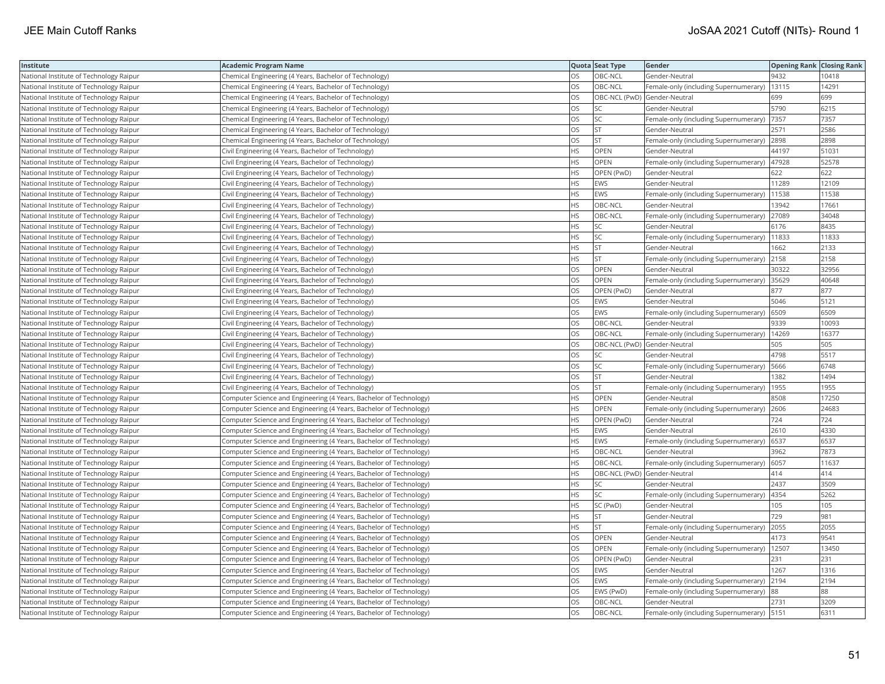| Institute                               | <b>Academic Program Name</b>                                       |           | Quota Seat Type              | Gender                                        | <b>Opening Rank Closing Rank</b> |       |
|-----------------------------------------|--------------------------------------------------------------------|-----------|------------------------------|-----------------------------------------------|----------------------------------|-------|
| National Institute of Technology Raipur | Chemical Engineering (4 Years, Bachelor of Technology)             | OS        | OBC-NCL                      | Gender-Neutral                                | 9432                             | 10418 |
| National Institute of Technology Raipur | Chemical Engineering (4 Years, Bachelor of Technology)             | OS        | OBC-NCL                      | Female-only (including Supernumerary)         | 13115                            | 14291 |
| National Institute of Technology Raipur | Chemical Engineering (4 Years, Bachelor of Technology)             | OS        | OBC-NCL (PwD) Gender-Neutral |                                               | 699                              | 699   |
| National Institute of Technology Raipur | Chemical Engineering (4 Years, Bachelor of Technology)             | OS        | SC                           | Gender-Neutral                                | 5790                             | 6215  |
| National Institute of Technology Raipur | Chemical Engineering (4 Years, Bachelor of Technology)             | OS        | <b>SC</b>                    | Female-only (including Supernumerary)         | 7357                             | 7357  |
| National Institute of Technology Raipur | Chemical Engineering (4 Years, Bachelor of Technology)             | OS        | <b>ST</b>                    | Gender-Neutral                                | 2571                             | 2586  |
| National Institute of Technology Raipur | Chemical Engineering (4 Years, Bachelor of Technology)             | OS        | <b>ST</b>                    | Female-only (including Supernumerary) 2898    |                                  | 2898  |
| National Institute of Technology Raipur | Civil Engineering (4 Years, Bachelor of Technology)                | HS        | OPEN                         | Gender-Neutral                                | 44197                            | 51031 |
| National Institute of Technology Raipur | Civil Engineering (4 Years, Bachelor of Technology)                | HS        | OPEN                         | Female-only (including Supernumerary)         | 47928                            | 52578 |
| National Institute of Technology Raipur | Civil Engineering (4 Years, Bachelor of Technology)                | <b>HS</b> | OPEN (PwD)                   | Gender-Neutral                                | 622                              | 622   |
| National Institute of Technology Raipur | Civil Engineering (4 Years, Bachelor of Technology)                | HS        | <b>EWS</b>                   | Gender-Neutral                                | 11289                            | 12109 |
| National Institute of Technology Raipur | Civil Engineering (4 Years, Bachelor of Technology)                | HS        | EWS                          | Female-only (including Supernumerary)         | 11538                            | 11538 |
| National Institute of Technology Raipur | Civil Engineering (4 Years, Bachelor of Technology)                | <b>HS</b> | OBC-NCL                      | Gender-Neutral                                | 13942                            | 17661 |
| National Institute of Technology Raipur | Civil Engineering (4 Years, Bachelor of Technology)                | HS        | OBC-NCL                      | Female-only (including Supernumerary)         | 27089                            | 34048 |
| National Institute of Technology Raipur | Civil Engineering (4 Years, Bachelor of Technology)                | HS        | SC                           | Gender-Neutral                                | 6176                             | 8435  |
| National Institute of Technology Raipur | Civil Engineering (4 Years, Bachelor of Technology)                | HS        | SC                           | Female-only (including Supernumerary)   11833 |                                  | 11833 |
| National Institute of Technology Raipur | Civil Engineering (4 Years, Bachelor of Technology)                | HS        | <b>ST</b>                    | Gender-Neutral                                | 1662                             | 2133  |
| National Institute of Technology Raipur | Civil Engineering (4 Years, Bachelor of Technology)                | HS        | <b>ST</b>                    | Female-only (including Supernumerary)         | 2158                             | 2158  |
| National Institute of Technology Raipur | Civil Engineering (4 Years, Bachelor of Technology)                | OS        | OPEN                         | Gender-Neutral                                | 30322                            | 32956 |
| National Institute of Technology Raipur | Civil Engineering (4 Years, Bachelor of Technology)                | OS        | OPEN                         | Female-only (including Supernumerary)         | 35629                            | 40648 |
| National Institute of Technology Raipur | Civil Engineering (4 Years, Bachelor of Technology)                | OS        | OPEN (PwD)                   | Gender-Neutral                                | 877                              | 877   |
| National Institute of Technology Raipur | Civil Engineering (4 Years, Bachelor of Technology)                | OS        | <b>EWS</b>                   | Gender-Neutral                                | 5046                             | 5121  |
| National Institute of Technology Raipur | Civil Engineering (4 Years, Bachelor of Technology)                | OS        | EWS                          | Female-only (including Supernumerary) 6509    |                                  | 6509  |
| National Institute of Technology Raipur | Civil Engineering (4 Years, Bachelor of Technology)                | OS        | OBC-NCL                      | Gender-Neutral                                | 9339                             | 10093 |
| National Institute of Technology Raipur | Civil Engineering (4 Years, Bachelor of Technology)                | OS        | OBC-NCL                      | Female-only (including Supernumerary)         | 14269                            | 16377 |
| National Institute of Technology Raipur | Civil Engineering (4 Years, Bachelor of Technology)                | OS        | OBC-NCL (PwD) Gender-Neutral |                                               | 505                              | 505   |
| National Institute of Technology Raipur | Civil Engineering (4 Years, Bachelor of Technology)                | OS        | SC                           | Gender-Neutral                                | 4798                             | 5517  |
| National Institute of Technology Raipur | Civil Engineering (4 Years, Bachelor of Technology)                | OS        | SC                           | Female-only (including Supernumerary)         | 5666                             | 6748  |
| National Institute of Technology Raipur | Civil Engineering (4 Years, Bachelor of Technology)                | OS        | ST                           | Gender-Neutral                                | 1382                             | 1494  |
| National Institute of Technology Raipur | Civil Engineering (4 Years, Bachelor of Technology)                | OS        | <b>ST</b>                    | Female-only (including Supernumerary)         | 1955                             | 1955  |
| National Institute of Technology Raipur | Computer Science and Engineering (4 Years, Bachelor of Technology) | HS        | OPEN                         | Gender-Neutral                                | 8508                             | 17250 |
| National Institute of Technology Raipur | Computer Science and Engineering (4 Years, Bachelor of Technology) | HS        | OPEN                         | Female-only (including Supernumerary) 2606    |                                  | 24683 |
| National Institute of Technology Raipur | Computer Science and Engineering (4 Years, Bachelor of Technology) | HS        | OPEN (PwD)                   | Gender-Neutral                                | 724                              | 724   |
| National Institute of Technology Raipur | Computer Science and Engineering (4 Years, Bachelor of Technology) | HS        | <b>EWS</b>                   | Gender-Neutral                                | 2610                             | 4330  |
| National Institute of Technology Raipur | Computer Science and Engineering (4 Years, Bachelor of Technology) | HS        | <b>EWS</b>                   | Female-only (including Supernumerary)         | 6537                             | 6537  |
| National Institute of Technology Raipur | Computer Science and Engineering (4 Years, Bachelor of Technology) | HS        | OBC-NCL                      | Gender-Neutral                                | 3962                             | 7873  |
| National Institute of Technology Raipur | Computer Science and Engineering (4 Years, Bachelor of Technology) | <b>HS</b> | OBC-NCL                      | Female-only (including Supernumerary) 6057    |                                  | 11637 |
| National Institute of Technology Raipur | Computer Science and Engineering (4 Years, Bachelor of Technology) | <b>HS</b> | OBC-NCL (PwD) Gender-Neutral |                                               | 414                              | 414   |
| National Institute of Technology Raipur | Computer Science and Engineering (4 Years, Bachelor of Technology) | HS        | SC                           | Gender-Neutral                                | 2437                             | 3509  |
| National Institute of Technology Raipur | Computer Science and Engineering (4 Years, Bachelor of Technology) | HS        | SC                           | Female-only (including Supernumerary)   4354  |                                  | 5262  |
| National Institute of Technology Raipur | Computer Science and Engineering (4 Years, Bachelor of Technology) | HS        | SC (PwD)                     | Gender-Neutral                                | 105                              | 105   |
| National Institute of Technology Raipur | Computer Science and Engineering (4 Years, Bachelor of Technology) | HS        | <b>ST</b>                    | Gender-Neutral                                | 729                              | 981   |
| National Institute of Technology Raipur | Computer Science and Engineering (4 Years, Bachelor of Technology) | HS        | <b>ST</b>                    | Female-only (including Supernumerary)         | 2055                             | 2055  |
| National Institute of Technology Raipur | Computer Science and Engineering (4 Years, Bachelor of Technology) | OS        | OPEN                         | Gender-Neutral                                | 4173                             | 9541  |
| National Institute of Technology Raipur | Computer Science and Engineering (4 Years, Bachelor of Technology) | <b>OS</b> | <b>OPEN</b>                  | Female-only (including Supernumerary)         | 12507                            | 13450 |
| National Institute of Technology Raipur | Computer Science and Engineering (4 Years, Bachelor of Technology) | OS        | OPEN (PwD)                   | Gender-Neutral                                | 231                              | 231   |
| National Institute of Technology Raipur | Computer Science and Engineering (4 Years, Bachelor of Technology) | OS        | <b>EWS</b>                   | Gender-Neutral                                | 1267                             | 1316  |
| National Institute of Technology Raipur | Computer Science and Engineering (4 Years, Bachelor of Technology) | OS        | <b>EWS</b>                   | Female-only (including Supernumerary) 2194    |                                  | 2194  |
| National Institute of Technology Raipur | Computer Science and Engineering (4 Years, Bachelor of Technology) | OS        | EWS (PwD)                    | Female-only (including Supernumerary) 88      |                                  | 88    |
| National Institute of Technology Raipur | Computer Science and Engineering (4 Years, Bachelor of Technology) | OS        | OBC-NCL                      | Gender-Neutral                                | 2731                             | 3209  |
| National Institute of Technology Raipur | Computer Science and Engineering (4 Years, Bachelor of Technology) | <b>OS</b> | OBC-NCL                      | Female-only (including Supernumerary) 5151    |                                  | 6311  |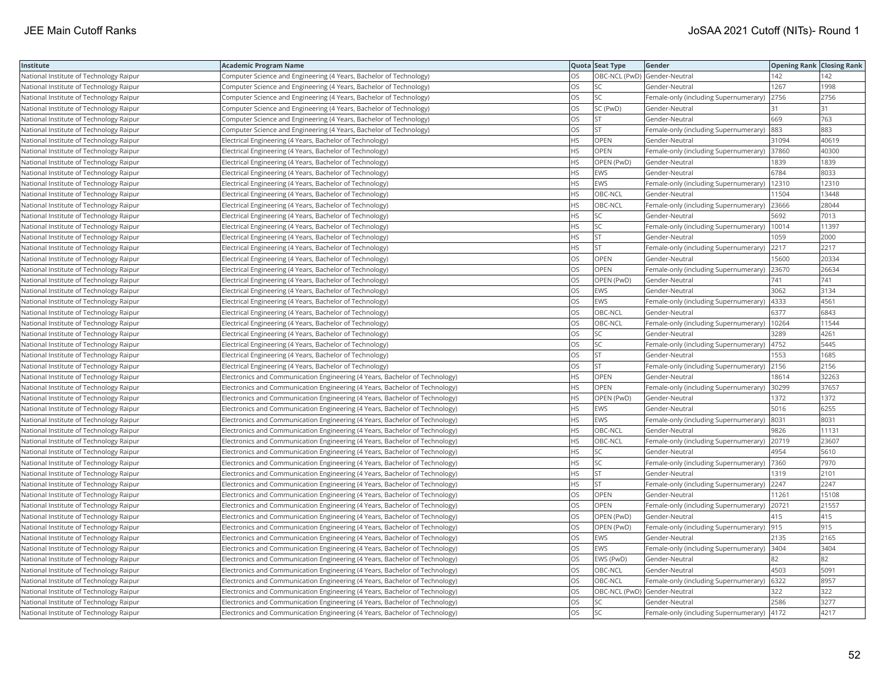| Institute                                      | <b>Academic Program Name</b>                                                |           | Quota Seat Type              | Gender                                        | <b>Opening Rank Closing Rank</b> |       |
|------------------------------------------------|-----------------------------------------------------------------------------|-----------|------------------------------|-----------------------------------------------|----------------------------------|-------|
| National Institute of Technology Raipur        | Computer Science and Engineering (4 Years, Bachelor of Technology)          | OS        |                              | OBC-NCL (PwD) Gender-Neutral                  | 142                              | 142   |
| <b>National Institute of Technology Raipur</b> | Computer Science and Engineering (4 Years, Bachelor of Technology)          | OS        | <b>SC</b>                    | Gender-Neutral                                | 1267                             | 1998  |
| National Institute of Technology Raipur        | Computer Science and Engineering (4 Years, Bachelor of Technology)          | OS        | SC                           | Female-only (including Supernumerary)         | 2756                             | 2756  |
| National Institute of Technology Raipur        | Computer Science and Engineering (4 Years, Bachelor of Technology)          | OS        | SC (PwD)                     | Gender-Neutral                                | 31                               | 31    |
| National Institute of Technology Raipur        | Computer Science and Engineering (4 Years, Bachelor of Technology)          | OS        | <b>ST</b>                    | Gender-Neutral                                | 669                              | 763   |
| National Institute of Technology Raipur        | Computer Science and Engineering (4 Years, Bachelor of Technology)          | OS        | <b>ST</b>                    | Female-only (including Supernumerary) 883     |                                  | 883   |
| National Institute of Technology Raipur        | Electrical Engineering (4 Years, Bachelor of Technology)                    | ΗS        | OPEN                         | Gender-Neutral                                | 31094                            | 40619 |
| National Institute of Technology Raipur        | Electrical Engineering (4 Years, Bachelor of Technology)                    | <b>HS</b> | <b>OPEN</b>                  | Female-only (including Supernumerary) 37860   |                                  | 40300 |
| National Institute of Technology Raipur        | Electrical Engineering (4 Years, Bachelor of Technology)                    | HS        | OPEN (PwD)                   | Gender-Neutral                                | 1839                             | 1839  |
| National Institute of Technology Raipur        | Electrical Engineering (4 Years, Bachelor of Technology)                    | HS        | <b>EWS</b>                   | Gender-Neutral                                | 6784                             | 8033  |
| National Institute of Technology Raipur        | Electrical Engineering (4 Years, Bachelor of Technology)                    | HS        | <b>EWS</b>                   | Female-only (including Supernumerary)         | 12310                            | 12310 |
| National Institute of Technology Raipur        | Electrical Engineering (4 Years, Bachelor of Technology)                    | <b>HS</b> | OBC-NCL                      | Gender-Neutral                                | 11504                            | 13448 |
| National Institute of Technology Raipur        | Electrical Engineering (4 Years, Bachelor of Technology)                    | HS        | OBC-NCL                      | Female-only (including Supernumerary)         | 23666                            | 28044 |
| National Institute of Technology Raipur        | Electrical Engineering (4 Years, Bachelor of Technology)                    | HS        | SC                           | Gender-Neutral                                | 5692                             | 7013  |
| National Institute of Technology Raipur        | Electrical Engineering (4 Years, Bachelor of Technology)                    | ΗS        | SC                           | Female-only (including Supernumerary)   10014 |                                  | 11397 |
| National Institute of Technology Raipur        | Electrical Engineering (4 Years, Bachelor of Technology)                    | ΗS        | ST                           | Gender-Neutral                                | 1059                             | 2000  |
| National Institute of Technology Raipur        | Electrical Engineering (4 Years, Bachelor of Technology)                    | ΗS        | <b>ST</b>                    | Female-only (including Supernumerary)         | 2217                             | 2217  |
| National Institute of Technology Raipur        | Electrical Engineering (4 Years, Bachelor of Technology)                    | OS        | OPEN                         | Gender-Neutral                                | 15600                            | 20334 |
| National Institute of Technology Raipur        | Electrical Engineering (4 Years, Bachelor of Technology)                    | OS        | OPEN                         | Female-only (including Supernumerary)         | 23670                            | 26634 |
| National Institute of Technology Raipur        | Electrical Engineering (4 Years, Bachelor of Technology)                    | OS        | OPEN (PwD)                   | Gender-Neutral                                | 741                              | 741   |
| National Institute of Technology Raipur        | Electrical Engineering (4 Years, Bachelor of Technology)                    | OS        | <b>EWS</b>                   | Gender-Neutral                                | 3062                             | 3134  |
| National Institute of Technology Raipur        | Electrical Engineering (4 Years, Bachelor of Technology)                    | OS        | <b>EWS</b>                   | Female-only (including Supernumerary)  4333   |                                  | 4561  |
| National Institute of Technology Raipur        | Electrical Engineering (4 Years, Bachelor of Technology)                    | OS        | OBC-NCL                      | Gender-Neutral                                | 6377                             | 6843  |
| National Institute of Technology Raipur        | Electrical Engineering (4 Years, Bachelor of Technology)                    | OS        | OBC-NCL                      | Female-only (including Supernumerary)   10264 |                                  | 11544 |
| National Institute of Technology Raipur        | Electrical Engineering (4 Years, Bachelor of Technology)                    | OS        | SC                           | Gender-Neutral                                | 3289                             | 4261  |
| National Institute of Technology Raipur        | Electrical Engineering (4 Years, Bachelor of Technology)                    | OS        | SC                           | Female-only (including Supernumerary)         | 4752                             | 5445  |
| National Institute of Technology Raipur        | Electrical Engineering (4 Years, Bachelor of Technology)                    | OS        | ST                           | Gender-Neutral                                | 1553                             | 1685  |
| National Institute of Technology Raipur        | Electrical Engineering (4 Years, Bachelor of Technology)                    | OS        | <b>ST</b>                    | Female-only (including Supernumerary) 2156    |                                  | 2156  |
| National Institute of Technology Raipur        | Electronics and Communication Engineering (4 Years, Bachelor of Technology) | HS        | OPEN                         | Gender-Neutral                                | 18614                            | 32263 |
| National Institute of Technology Raipur        | Electronics and Communication Engineering (4 Years, Bachelor of Technology) | HS        | <b>OPEN</b>                  | Female-only (including Supernumerary) 30299   |                                  | 37657 |
| National Institute of Technology Raipur        | Electronics and Communication Engineering (4 Years, Bachelor of Technology) | HS        | OPEN (PwD)                   | Gender-Neutral                                | 1372                             | 1372  |
| National Institute of Technology Raipur        | Electronics and Communication Engineering (4 Years, Bachelor of Technology) | ΗS        | <b>EWS</b>                   | Gender-Neutral                                | 5016                             | 6255  |
| National Institute of Technology Raipur        | Electronics and Communication Engineering (4 Years, Bachelor of Technology) | <b>HS</b> | EWS                          | Female-only (including Supernumerary)         | 8031                             | 8031  |
| National Institute of Technology Raipur        | Electronics and Communication Engineering (4 Years, Bachelor of Technology) | НS        | OBC-NCL                      | Gender-Neutral                                | 9826                             | 11131 |
| National Institute of Technology Raipur        | Electronics and Communication Engineering (4 Years, Bachelor of Technology) | HS        | OBC-NCL                      | Female-only (including Supernumerary) 20719   |                                  | 23607 |
| National Institute of Technology Raipur        | Electronics and Communication Engineering (4 Years, Bachelor of Technology) | <b>HS</b> | <b>SC</b>                    | Gender-Neutral                                | 4954                             | 5610  |
| National Institute of Technology Raipur        | Electronics and Communication Engineering (4 Years, Bachelor of Technology) | HS        | SC                           | Female-only (including Supernumerary)  7360   |                                  | 7970  |
| National Institute of Technology Raipur        | Electronics and Communication Engineering (4 Years, Bachelor of Technology) | HS        | <b>ST</b>                    | Gender-Neutral                                | 1319                             | 2101  |
| National Institute of Technology Raipur        | Electronics and Communication Engineering (4 Years, Bachelor of Technology) | ΗS        | <b>ST</b>                    | Female-only (including Supernumerary) 2247    |                                  | 2247  |
| National Institute of Technology Raipur        | Electronics and Communication Engineering (4 Years, Bachelor of Technology) | OS        | OPEN                         | Gender-Neutral                                | 11261                            | 15108 |
| National Institute of Technology Raipur        | Electronics and Communication Engineering (4 Years, Bachelor of Technology) | OS        | OPEN                         | Female-only (including Supernumerary)         | 20721                            | 21557 |
| National Institute of Technology Raipur        | Electronics and Communication Engineering (4 Years, Bachelor of Technology) | OS        | OPEN (PwD)                   | Gender-Neutral                                | 415                              | 415   |
| National Institute of Technology Raipur        | Electronics and Communication Engineering (4 Years, Bachelor of Technology) | OS        | OPEN (PwD)                   | Female-only (including Supernumerary)         | 915                              | 915   |
| National Institute of Technology Raipur        | Electronics and Communication Engineering (4 Years, Bachelor of Technology) | OS        | <b>EWS</b>                   | Gender-Neutral                                | 2135                             | 2165  |
| National Institute of Technology Raipur        | Electronics and Communication Engineering (4 Years, Bachelor of Technology) | OS        | <b>EWS</b>                   | Female-only (including Supernumerary) 3404    |                                  | 3404  |
| National Institute of Technology Raipur        | Electronics and Communication Engineering (4 Years, Bachelor of Technology) | OS        | EWS (PwD)                    | Gender-Neutral                                | 82                               | 82    |
| National Institute of Technology Raipur        | Electronics and Communication Engineering (4 Years, Bachelor of Technology) | OS.       | OBC-NCL                      | Gender-Neutral                                | 4503                             | 5091  |
| National Institute of Technology Raipur        | Electronics and Communication Engineering (4 Years, Bachelor of Technology) | OS        | OBC-NCL                      | Female-only (including Supernumerary) 6322    |                                  | 8957  |
| National Institute of Technology Raipur        | Electronics and Communication Engineering (4 Years, Bachelor of Technology) | OS        | OBC-NCL (PwD) Gender-Neutral |                                               | 322                              | 322   |
| National Institute of Technology Raipur        | Electronics and Communication Engineering (4 Years, Bachelor of Technology) | OS        | SC                           | Gender-Neutral                                | 2586                             | 3277  |
| National Institute of Technology Raipur        | Electronics and Communication Engineering (4 Years, Bachelor of Technology) | OS        | <b>SC</b>                    | Female-only (including Supernumerary)   4172  |                                  | 4217  |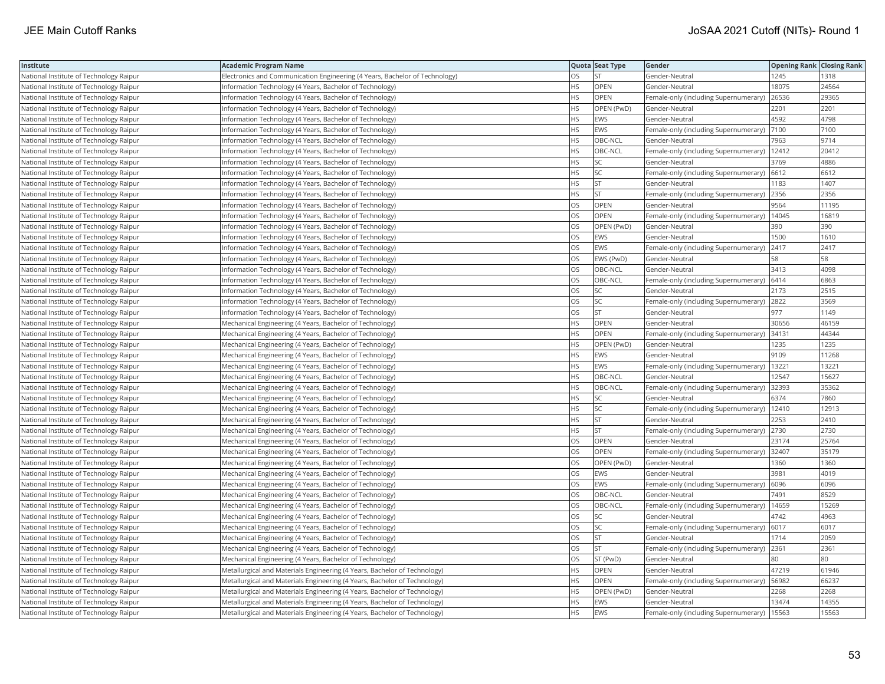| Institute                               | <b>Academic Program Name</b>                                                |           | Quota Seat Type | Gender                                        | <b>Opening Rank Closing Rank</b> |       |
|-----------------------------------------|-----------------------------------------------------------------------------|-----------|-----------------|-----------------------------------------------|----------------------------------|-------|
| National Institute of Technology Raipur | Electronics and Communication Engineering (4 Years, Bachelor of Technology) | OS        | <b>ST</b>       | Gender-Neutral                                | 1245                             | 1318  |
| National Institute of Technology Raipur | Information Technology (4 Years, Bachelor of Technology)                    | <b>HS</b> | OPEN            | Gender-Neutral                                | 18075                            | 24564 |
| National Institute of Technology Raipur | Information Technology (4 Years, Bachelor of Technology)                    | HS        | OPEN            | Female-only (including Supernumerary)         | 26536                            | 29365 |
| National Institute of Technology Raipur | Information Technology (4 Years, Bachelor of Technology)                    | <b>HS</b> | OPEN (PwD)      | Gender-Neutral                                | 2201                             | 2201  |
| National Institute of Technology Raipur | Information Technology (4 Years, Bachelor of Technology)                    | НS        | <b>EWS</b>      | Gender-Neutral                                | 4592                             | 4798  |
| National Institute of Technology Raipur | Information Technology (4 Years, Bachelor of Technology)                    | ΗS        | EWS             | Female-only (including Supernumerary)  7100   |                                  | 7100  |
| National Institute of Technology Raipur | Information Technology (4 Years, Bachelor of Technology)                    | ΗS        | OBC-NCL         | Gender-Neutral                                | 7963                             | 9714  |
| National Institute of Technology Raipur | Information Technology (4 Years, Bachelor of Technology)                    | HS        | OBC-NCL         | Female-only (including Supernumerary)         | 12412                            | 20412 |
| National Institute of Technology Raipur | nformation Technology (4 Years, Bachelor of Technology)                     | HS        | <b>SC</b>       | Gender-Neutral                                | 3769                             | 4886  |
| National Institute of Technology Raipur | Information Technology (4 Years, Bachelor of Technology)                    | HS        | SC              | Female-only (including Supernumerary) 6612    |                                  | 6612  |
| National Institute of Technology Raipur | Information Technology (4 Years, Bachelor of Technology)                    | HS        | <b>ST</b>       | Gender-Neutral                                | 1183                             | 1407  |
| National Institute of Technology Raipur | Information Technology (4 Years, Bachelor of Technology)                    | <b>HS</b> | <b>ST</b>       | Female-only (including Supernumerary)         | 2356                             | 2356  |
| National Institute of Technology Raipur | Information Technology (4 Years, Bachelor of Technology)                    | OS        | <b>OPEN</b>     | Gender-Neutral                                | 9564                             | 11195 |
| National Institute of Technology Raipur | Information Technology (4 Years, Bachelor of Technology)                    | OS        | OPEN            | Female-only (including Supernumerary)         | 14045                            | 16819 |
| National Institute of Technology Raipur | Information Technology (4 Years, Bachelor of Technology)                    | OS        | OPEN (PwD)      | Gender-Neutral                                | 390                              | 390   |
| National Institute of Technology Raipur | Information Technology (4 Years, Bachelor of Technology)                    | OS        | <b>EWS</b>      | Gender-Neutral                                | 1500                             | 1610  |
| National Institute of Technology Raipur | Information Technology (4 Years, Bachelor of Technology)                    | OS        | <b>EWS</b>      | Female-only (including Supernumerary)         | 2417                             | 2417  |
| National Institute of Technology Raipur | Information Technology (4 Years, Bachelor of Technology)                    | OS        | EWS (PwD)       | Gender-Neutral                                | 58                               | 58    |
| National Institute of Technology Raipur | Information Technology (4 Years, Bachelor of Technology)                    | OS        | OBC-NCL         | Gender-Neutral                                | 3413                             | 4098  |
| National Institute of Technology Raipur | Information Technology (4 Years, Bachelor of Technology)                    | OS        | OBC-NCL         | Female-only (including Supernumerary)         | 6414                             | 6863  |
| National Institute of Technology Raipur | Information Technology (4 Years, Bachelor of Technology)                    | OS        | SC              | Gender-Neutral                                | 2173                             | 2515  |
| National Institute of Technology Raipur | Information Technology (4 Years, Bachelor of Technology)                    | OS        | SC              | Female-only (including Supernumerary) 2822    |                                  | 3569  |
| National Institute of Technology Raipur | Information Technology (4 Years, Bachelor of Technology)                    | OS        | <b>ST</b>       | Gender-Neutral                                | 977                              | 1149  |
| National Institute of Technology Raipur | Mechanical Engineering (4 Years, Bachelor of Technology)                    | HS        | OPEN            | Gender-Neutral                                | 30656                            | 46159 |
| National Institute of Technology Raipur | Mechanical Engineering (4 Years, Bachelor of Technology)                    | ΗS        | OPEN            | Female-only (including Supernumerary)         | 34131                            | 44344 |
| National Institute of Technology Raipur | Mechanical Engineering (4 Years, Bachelor of Technology)                    | HS        | OPEN (PwD)      | Gender-Neutral                                | 1235                             | 1235  |
| National Institute of Technology Raipur | Mechanical Engineering (4 Years, Bachelor of Technology)                    | <b>HS</b> | <b>EWS</b>      | Gender-Neutral                                | 9109                             | 11268 |
| National Institute of Technology Raipur | Mechanical Engineering (4 Years, Bachelor of Technology)                    | <b>HS</b> | <b>EWS</b>      | Female-only (including Supernumerary)         | 13221                            | 13221 |
| National Institute of Technology Raipur | Mechanical Engineering (4 Years, Bachelor of Technology)                    | HS        | OBC-NCL         | Gender-Neutral                                | 12547                            | 15627 |
| National Institute of Technology Raipur | Mechanical Engineering (4 Years, Bachelor of Technology)                    | HS        | OBC-NCL         | Female-only (including Supernumerary) 32393   |                                  | 35362 |
| National Institute of Technology Raipur | Mechanical Engineering (4 Years, Bachelor of Technology)                    | ΗS        | SC              | Gender-Neutral                                | 6374                             | 7860  |
| National Institute of Technology Raipur | Mechanical Engineering (4 Years, Bachelor of Technology)                    | ΗS        | SC              | Female-only (including Supernumerary)   12410 |                                  | 12913 |
| National Institute of Technology Raipur | Mechanical Engineering (4 Years, Bachelor of Technology)                    | ΗS        | <b>ST</b>       | Gender-Neutral                                | 2253                             | 2410  |
| National Institute of Technology Raipur | Mechanical Engineering (4 Years, Bachelor of Technology)                    | HS        | <b>ST</b>       | Female-only (including Supernumerary)         | 2730                             | 2730  |
| National Institute of Technology Raipur | Mechanical Engineering (4 Years, Bachelor of Technology)                    | OS        | OPEN            | Gender-Neutral                                | 23174                            | 25764 |
| National Institute of Technology Raipur | Mechanical Engineering (4 Years, Bachelor of Technology)                    | OS        | OPEN            | Female-only (including Supernumerary)         | 32407                            | 35179 |
| National Institute of Technology Raipur | Mechanical Engineering (4 Years, Bachelor of Technology)                    | OS        | OPEN (PwD)      | Gender-Neutral                                | 1360                             | 1360  |
| National Institute of Technology Raipur | Mechanical Engineering (4 Years, Bachelor of Technology)                    | OS        | <b>EWS</b>      | Gender-Neutral                                | 3981                             | 4019  |
| National Institute of Technology Raipur | Mechanical Engineering (4 Years, Bachelor of Technology)                    | OS        | EWS             | Female-only (including Supernumerary)         | 6096                             | 6096  |
| National Institute of Technology Raipur | Mechanical Engineering (4 Years, Bachelor of Technology)                    | OS        | OBC-NCL         | Gender-Neutral                                | 7491                             | 8529  |
| National Institute of Technology Raipur | Mechanical Engineering (4 Years, Bachelor of Technology)                    | OS        | OBC-NCL         | Female-only (including Supernumerary)         | 14659                            | 15269 |
| National Institute of Technology Raipur | Mechanical Engineering (4 Years, Bachelor of Technology)                    | OS        | SC              | Gender-Neutral                                | 4742                             | 4963  |
| National Institute of Technology Raipur | Mechanical Engineering (4 Years, Bachelor of Technology)                    | OS        | SC              | Female-only (including Supernumerary)         | 6017                             | 6017  |
| National Institute of Technology Raipur | Mechanical Engineering (4 Years, Bachelor of Technology)                    | OS        | <b>ST</b>       | Gender-Neutral                                | 1714                             | 2059  |
| National Institute of Technology Raipur | Mechanical Engineering (4 Years, Bachelor of Technology)                    | OS        | <b>ST</b>       | Female-only (including Supernumerary)         | 2361                             | 2361  |
| National Institute of Technology Raipur | Mechanical Engineering (4 Years, Bachelor of Technology)                    | OS        | ST (PwD)        | Gender-Neutral                                | 80                               | 180   |
| National Institute of Technology Raipur | Metallurgical and Materials Engineering (4 Years, Bachelor of Technology)   | HS        | OPEN            | Gender-Neutral                                | 47219                            | 61946 |
| National Institute of Technology Raipur | Metallurgical and Materials Engineering (4 Years, Bachelor of Technology)   | ΗS        | OPEN            | Female-only (including Supernumerary)   56982 |                                  | 66237 |
| National Institute of Technology Raipur | Metallurgical and Materials Engineering (4 Years, Bachelor of Technology)   | <b>HS</b> | OPEN (PwD)      | Gender-Neutral                                | 2268                             | 2268  |
| National Institute of Technology Raipur | Metallurgical and Materials Engineering (4 Years, Bachelor of Technology)   | HS        | <b>EWS</b>      | Gender-Neutral                                | 13474                            | 14355 |
| National Institute of Technology Raipur | Metallurgical and Materials Engineering (4 Years, Bachelor of Technology)   | <b>HS</b> | <b>EWS</b>      | Female-only (including Supernumerary)   15563 |                                  | 15563 |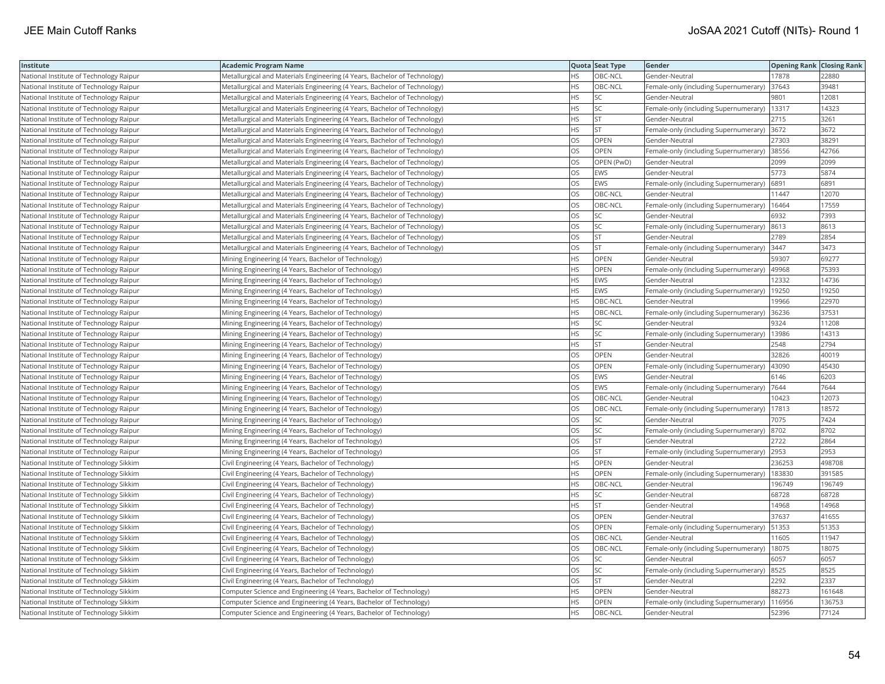| Institute                               | Academic Program Name                                                     |           | Quota Seat Type | Gender                                      | <b>Opening Rank Closing Rank</b> |        |
|-----------------------------------------|---------------------------------------------------------------------------|-----------|-----------------|---------------------------------------------|----------------------------------|--------|
| National Institute of Technology Raipur | Metallurgical and Materials Engineering (4 Years, Bachelor of Technology) | HS.       | OBC-NCL         | Gender-Neutral                              | 17878                            | 22880  |
| National Institute of Technology Raipur | Metallurgical and Materials Engineering (4 Years, Bachelor of Technology) | HS.       | OBC-NCL         | Female-only (including Supernumerary)       | 37643                            | 39481  |
| National Institute of Technology Raipur | Metallurgical and Materials Engineering (4 Years, Bachelor of Technology) | HS        | SC              | Gender-Neutral                              | 9801                             | 12081  |
| National Institute of Technology Raipur | Metallurgical and Materials Engineering (4 Years, Bachelor of Technology) | HS        | SC              | Female-only (including Supernumerary)       | 13317                            | 14323  |
| National Institute of Technology Raipur | Metallurgical and Materials Engineering (4 Years, Bachelor of Technology) | HS.       | <b>ST</b>       | Gender-Neutral                              | 2715                             | 3261   |
| National Institute of Technology Raipur | Metallurgical and Materials Engineering (4 Years, Bachelor of Technology) | HS        | <b>ST</b>       | Female-only (including Supernumerary) 3672  |                                  | 3672   |
| National Institute of Technology Raipur | Metallurgical and Materials Engineering (4 Years, Bachelor of Technology) | OS        | OPEN            | Gender-Neutral                              | 27303                            | 38291  |
| National Institute of Technology Raipur | Metallurgical and Materials Engineering (4 Years, Bachelor of Technology) | OS.       | <b>OPEN</b>     | Female-only (including Supernumerary) 38556 |                                  | 42766  |
| National Institute of Technology Raipur | Metallurgical and Materials Engineering (4 Years, Bachelor of Technology) | OS        | OPEN (PwD)      | Gender-Neutral                              | 2099                             | 2099   |
| National Institute of Technology Raipur | Metallurgical and Materials Engineering (4 Years, Bachelor of Technology) | OS        | EWS             | Gender-Neutral                              | 5773                             | 5874   |
| National Institute of Technology Raipur | Metallurgical and Materials Engineering (4 Years, Bachelor of Technology) | OS        | EWS             | Female-only (including Supernumerary)       | 6891                             | 6891   |
| National Institute of Technology Raipur | Metallurgical and Materials Engineering (4 Years, Bachelor of Technology) | <b>OS</b> | OBC-NCL         | Gender-Neutral                              | 11447                            | 12070  |
| National Institute of Technology Raipur | Metallurgical and Materials Engineering (4 Years, Bachelor of Technology) | OS        | OBC-NCL         | Female-only (including Supernumerary)       | 16464                            | 17559  |
| National Institute of Technology Raipur | Metallurgical and Materials Engineering (4 Years, Bachelor of Technology) | OS        | SC              | Gender-Neutral                              | 6932                             | 7393   |
| National Institute of Technology Raipur | Metallurgical and Materials Engineering (4 Years, Bachelor of Technology) | OS        | SC              | Female-only (including Supernumerary)  8613 |                                  | 8613   |
| National Institute of Technology Raipur | Metallurgical and Materials Engineering (4 Years, Bachelor of Technology) | OS        | <b>ST</b>       | Gender-Neutral                              | 2789                             | 2854   |
| National Institute of Technology Raipur | Metallurgical and Materials Engineering (4 Years, Bachelor of Technology) | OS        | <b>ST</b>       | Female-only (including Supernumerary)       | 3447                             | 3473   |
| National Institute of Technology Raipur | Mining Engineering (4 Years, Bachelor of Technology)                      | HS        | OPEN            | Gender-Neutral                              | 59307                            | 69277  |
| National Institute of Technology Raipur | Mining Engineering (4 Years, Bachelor of Technology)                      | HS.       | OPEN            | Female-only (including Supernumerary)       | 49968                            | 75393  |
| National Institute of Technology Raipur | Mining Engineering (4 Years, Bachelor of Technology)                      | HS        | EWS             | Gender-Neutral                              | 12332                            | 14736  |
| National Institute of Technology Raipur | Mining Engineering (4 Years, Bachelor of Technology)                      | HS        | EWS             | Female-only (including Supernumerary)       | 19250                            | 19250  |
| National Institute of Technology Raipur | Mining Engineering (4 Years, Bachelor of Technology)                      | HS.       | OBC-NCL         | Gender-Neutral                              | 19966                            | 22970  |
| National Institute of Technology Raipur | Mining Engineering (4 Years, Bachelor of Technology)                      | HS        | OBC-NCL         | Female-only (including Supernumerary)       | 36236                            | 37531  |
| National Institute of Technology Raipur | Mining Engineering (4 Years, Bachelor of Technology)                      | HS        | <b>SC</b>       | Gender-Neutral                              | 9324                             | 11208  |
| National Institute of Technology Raipur | Mining Engineering (4 Years, Bachelor of Technology)                      | HS        | SC              | Female-only (including Supernumerary)       | 13986                            | 14313  |
| National Institute of Technology Raipur | Mining Engineering (4 Years, Bachelor of Technology)                      | HS        | <b>ST</b>       | Gender-Neutral                              | 2548                             | 2794   |
| National Institute of Technology Raipur | Mining Engineering (4 Years, Bachelor of Technology)                      | OS        | OPEN            | Gender-Neutral                              | 32826                            | 40019  |
| National Institute of Technology Raipur | Mining Engineering (4 Years, Bachelor of Technology)                      | OS.       | <b>OPEN</b>     | Female-only (including Supernumerary)       | 43090                            | 45430  |
| National Institute of Technology Raipur | Mining Engineering (4 Years, Bachelor of Technology)                      | OS        | EWS             | Gender-Neutral                              | 6146                             | 6203   |
| National Institute of Technology Raipur | Mining Engineering (4 Years, Bachelor of Technology)                      | OS        | EWS             | Female-only (including Supernumerary)  7644 |                                  | 7644   |
| National Institute of Technology Raipur | Mining Engineering (4 Years, Bachelor of Technology)                      | OS        | OBC-NCL         | Gender-Neutral                              | 10423                            | 12073  |
| National Institute of Technology Raipur | Mining Engineering (4 Years, Bachelor of Technology)                      | OS        | OBC-NCL         | Female-only (including Supernumerary)       | 17813                            | 18572  |
| National Institute of Technology Raipur | Mining Engineering (4 Years, Bachelor of Technology)                      | OS        | SC              | Gender-Neutral                              | 7075                             | 7424   |
| National Institute of Technology Raipur | Mining Engineering (4 Years, Bachelor of Technology)                      | OS        | SC              | Female-only (including Supernumerary)       | 8702                             | 8702   |
| National Institute of Technology Raipur | Mining Engineering (4 Years, Bachelor of Technology)                      | OS        | ST              | Gender-Neutral                              | 2722                             | 2864   |
| National Institute of Technology Raipur | Mining Engineering (4 Years, Bachelor of Technology)                      | OS.       | <b>ST</b>       | Female-only (including Supernumerary)       | 2953                             | 2953   |
| National Institute of Technology Sikkim | Civil Engineering (4 Years, Bachelor of Technology)                       | HS        | <b>OPEN</b>     | Gender-Neutral                              | 236253                           | 498708 |
| National Institute of Technology Sikkim | Civil Engineering (4 Years, Bachelor of Technology)                       | HS        | OPEN            | Female-only (including Supernumerary)       | 183830                           | 391585 |
| National Institute of Technology Sikkim | Civil Engineering (4 Years, Bachelor of Technology)                       | HS        | OBC-NCL         | Gender-Neutral                              | 196749                           | 196749 |
| National Institute of Technology Sikkim | Civil Engineering (4 Years, Bachelor of Technology)                       | HS        | <b>SC</b>       | Gender-Neutral                              | 68728                            | 68728  |
| National Institute of Technology Sikkim | Civil Engineering (4 Years, Bachelor of Technology)                       | HS.       | <b>ST</b>       | Gender-Neutral                              | 14968                            | 14968  |
| National Institute of Technology Sikkim | Civil Engineering (4 Years, Bachelor of Technology)                       | OS        | OPEN            | Gender-Neutral                              | 37637                            | 41655  |
| National Institute of Technology Sikkim | Civil Engineering (4 Years, Bachelor of Technology)                       | OS        | OPEN            | Female-only (including Supernumerary)       | 51353                            | 51353  |
| National Institute of Technology Sikkim | Civil Engineering (4 Years, Bachelor of Technology)                       | OS.       | OBC-NCL         | Gender-Neutral                              | 11605                            | 11947  |
| National Institute of Technology Sikkim | Civil Engineering (4 Years, Bachelor of Technology)                       | OS        | OBC-NCL         | Female-only (including Supernumerary)       | 18075                            | 18075  |
| National Institute of Technology Sikkim | Civil Engineering (4 Years, Bachelor of Technology)                       | OS        | SC              | Gender-Neutral                              | 6057                             | 6057   |
| National Institute of Technology Sikkim | Civil Engineering (4 Years, Bachelor of Technology)                       | OS.       | SC              | Female-only (including Supernumerary) 8525  |                                  | 8525   |
| National Institute of Technology Sikkim | Civil Engineering (4 Years, Bachelor of Technology)                       | OS        | <b>ST</b>       | Gender-Neutral                              | 2292                             | 2337   |
| National Institute of Technology Sikkim | Computer Science and Engineering (4 Years, Bachelor of Technology)        | HS        | OPEN            | Gender-Neutral                              | 88273                            | 161648 |
| National Institute of Technology Sikkim | Computer Science and Engineering (4 Years, Bachelor of Technology)        | <b>HS</b> | OPEN            | Female-only (including Supernumerary)       | 116956                           | 136753 |
| National Institute of Technology Sikkim | Computer Science and Engineering (4 Years, Bachelor of Technology)        | <b>HS</b> | OBC-NCL         | Gender-Neutral                              | 52396                            | 77124  |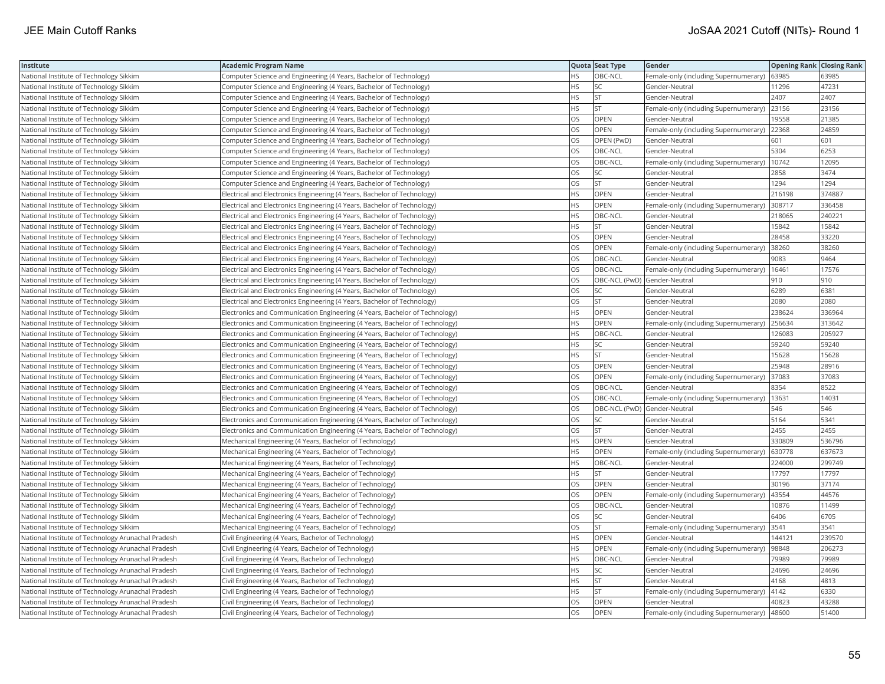| Institute                                          | Academic Program Name                                                        |           | Quota Seat Type              | <b>Gender</b>                                 | <b>Opening Rank Closing Rank</b> |        |
|----------------------------------------------------|------------------------------------------------------------------------------|-----------|------------------------------|-----------------------------------------------|----------------------------------|--------|
| National Institute of Technology Sikkim            | Computer Science and Engineering (4 Years, Bachelor of Technology)           | ΗS        | OBC-NCL                      | Female-only (including Supernumerary)         | 63985                            | 63985  |
| National Institute of Technology Sikkim            | Computer Science and Engineering (4 Years, Bachelor of Technology)           | HS.       | <b>SC</b>                    | Gender-Neutral                                | 11296                            | 47231  |
| National Institute of Technology Sikkim            | Computer Science and Engineering (4 Years, Bachelor of Technology)           | НS        | <b>ST</b>                    | Gender-Neutral                                | 2407                             | 2407   |
| National Institute of Technology Sikkim            | Computer Science and Engineering (4 Years, Bachelor of Technology)           | HS        | <b>ST</b>                    | Female-only (including Supernumerary)         | 23156                            | 23156  |
| National Institute of Technology Sikkim            | Computer Science and Engineering (4 Years, Bachelor of Technology)           | OS.       | <b>OPEN</b>                  | Gender-Neutral                                | 19558                            | 21385  |
| National Institute of Technology Sikkim            | Computer Science and Engineering (4 Years, Bachelor of Technology)           | OS        | OPEN                         | Female-only (including Supernumerary) 22368   |                                  | 24859  |
| National Institute of Technology Sikkim            | Computer Science and Engineering (4 Years, Bachelor of Technology)           | OS        | OPEN (PwD)                   | Gender-Neutral                                | 601                              | 601    |
| National Institute of Technology Sikkim            | Computer Science and Engineering (4 Years, Bachelor of Technology)           | OS.       | OBC-NCL                      | Gender-Neutral                                | 5304                             | 6253   |
| National Institute of Technology Sikkim            | Computer Science and Engineering (4 Years, Bachelor of Technology)           | OS        | OBC-NCL                      | Female-only (including Supernumerary)         | 10742                            | 12095  |
| National Institute of Technology Sikkim            | Computer Science and Engineering (4 Years, Bachelor of Technology)           | OS        | SC                           | Gender-Neutral                                | 2858                             | 3474   |
| National Institute of Technology Sikkim            | Computer Science and Engineering (4 Years, Bachelor of Technology)           | OS.       | <b>ST</b>                    | Gender-Neutral                                | 1294                             | 1294   |
| National Institute of Technology Sikkim            | Electrical and Electronics Engineering (4 Years, Bachelor of Technology)     | <b>HS</b> | OPEN                         | Gender-Neutral                                | 216198                           | 374887 |
| National Institute of Technology Sikkim            | Electrical and Electronics Engineering (4 Years, Bachelor of Technology)     | HS.       | OPEN                         | Female-only (including Supernumerary)         | 308717                           | 336458 |
| National Institute of Technology Sikkim            | Electrical and Electronics Engineering (4 Years, Bachelor of Technology)     | HS.       | OBC-NCL                      | Gender-Neutral                                | 218065                           | 240221 |
| National Institute of Technology Sikkim            | Electrical and Electronics Engineering (4 Years, Bachelor of Technology)     | ΗS        | <b>ST</b>                    | Gender-Neutral                                | 15842                            | 15842  |
| National Institute of Technology Sikkim            | Electrical and Electronics Engineering (4 Years, Bachelor of Technology)     | OS        | OPEN                         | Gender-Neutral                                | 28458                            | 33220  |
| National Institute of Technology Sikkim            | Electrical and Electronics Engineering (4 Years, Bachelor of Technology)     | OS        | OPEN                         | Female-only (including Supernumerary)         | 38260                            | 38260  |
| National Institute of Technology Sikkim            | Electrical and Electronics Engineering (4 Years, Bachelor of Technology)     | OS        | OBC-NCL                      | Gender-Neutral                                | 9083                             | 9464   |
| National Institute of Technology Sikkim            | Electrical and Electronics Engineering (4 Years, Bachelor of Technology)     | OS.       | OBC-NCL                      | Female-only (including Supernumerary)         | 16461                            | 17576  |
| National Institute of Technology Sikkim            | Electrical and Electronics Engineering (4 Years, Bachelor of Technology)     | <b>OS</b> | OBC-NCL (PwD) Gender-Neutral |                                               | 910                              | 910    |
| National Institute of Technology Sikkim            | Electrical and Electronics Engineering (4 Years, Bachelor of Technology)     | OS        | SC                           | Gender-Neutral                                | 6289                             | 6381   |
| National Institute of Technology Sikkim            | Electrical and Electronics Engineering (4 Years, Bachelor of Technology)     | OS        | <b>ST</b>                    | Gender-Neutral                                | 2080                             | 2080   |
| National Institute of Technology Sikkim            | [Electronics and Communication Engineering (4 Years, Bachelor of Technology) | HS        | OPEN                         | Gender-Neutral                                | 238624                           | 336964 |
| National Institute of Technology Sikkim            | Electronics and Communication Engineering (4 Years, Bachelor of Technology)  | HS        | OPEN                         | Female-only (including Supernumerary)         | 256634                           | 313642 |
| National Institute of Technology Sikkim            | Electronics and Communication Engineering (4 Years, Bachelor of Technology)  | НS        | OBC-NCL                      | Gender-Neutral                                | 126083                           | 205927 |
| National Institute of Technology Sikkim            | Electronics and Communication Engineering (4 Years, Bachelor of Technology)  | HS        | SC                           | Gender-Neutral                                | 59240                            | 59240  |
| National Institute of Technology Sikkim            | Electronics and Communication Engineering (4 Years, Bachelor of Technology)  | HS        | <b>ST</b>                    | Gender-Neutral                                | 15628                            | 15628  |
| National Institute of Technology Sikkim            | Electronics and Communication Engineering (4 Years, Bachelor of Technology)  | OS.       | <b>OPEN</b>                  | Gender-Neutral                                | 25948                            | 28916  |
| National Institute of Technology Sikkim            | Electronics and Communication Engineering (4 Years, Bachelor of Technology)  | OS        | OPEN                         | Female-only (including Supernumerary)         | 37083                            | 37083  |
| National Institute of Technology Sikkim            | Electronics and Communication Engineering (4 Years, Bachelor of Technology)  | OS        | OBC-NCL                      | Gender-Neutral                                | 8354                             | 8522   |
| National Institute of Technology Sikkim            | Electronics and Communication Engineering (4 Years, Bachelor of Technology)  | OS        | OBC-NCL                      | Female-only (including Supernumerary)   13631 |                                  | 14031  |
| National Institute of Technology Sikkim            | [Electronics and Communication Engineering (4 Years, Bachelor of Technology) | OS        | OBC-NCL (PwD) Gender-Neutral |                                               | 546                              | 546    |
| National Institute of Technology Sikkim            | Electronics and Communication Engineering (4 Years, Bachelor of Technology)  | OS.       | SC                           | Gender-Neutral                                | 5164                             | 5341   |
| National Institute of Technology Sikkim            | [Electronics and Communication Engineering (4 Years, Bachelor of Technology) | OS        | <b>ST</b>                    | Gender-Neutral                                | 2455                             | 2455   |
| National Institute of Technology Sikkim            | Mechanical Engineering (4 Years, Bachelor of Technology)                     | HS        | OPEN                         | Gender-Neutral                                | 330809                           | 536796 |
| National Institute of Technology Sikkim            | Mechanical Engineering (4 Years, Bachelor of Technology)                     | <b>HS</b> | <b>OPEN</b>                  | Female-only (including Supernumerary)         | 630778                           | 637673 |
| National Institute of Technology Sikkim            | Mechanical Engineering (4 Years, Bachelor of Technology)                     | HS        | OBC-NCL                      | Gender-Neutral                                | 224000                           | 299749 |
| National Institute of Technology Sikkim            | Mechanical Engineering (4 Years, Bachelor of Technology)                     | HS        | <b>ST</b>                    | Gender-Neutral                                | 17797                            | 17797  |
| National Institute of Technology Sikkim            | Mechanical Engineering (4 Years, Bachelor of Technology)                     | OS        | OPEN                         | Gender-Neutral                                | 30196                            | 37174  |
| National Institute of Technology Sikkim            | Mechanical Engineering (4 Years, Bachelor of Technology)                     | OS.       | OPEN                         | Female-only (including Supernumerary)         | 43554                            | 44576  |
| National Institute of Technology Sikkim            | Mechanical Engineering (4 Years, Bachelor of Technology)                     | OS.       | OBC-NCL                      | Gender-Neutral                                | 10876                            | 11499  |
| National Institute of Technology Sikkim            | Mechanical Engineering (4 Years, Bachelor of Technology)                     | OS        | SC                           | Gender-Neutral                                | 6406                             | 6705   |
| National Institute of Technology Sikkim            | Mechanical Engineering (4 Years, Bachelor of Technology)                     | OS        | <b>ST</b>                    | Female-only (including Supernumerary)         | 3541                             | 3541   |
| National Institute of Technology Arunachal Pradesh | Civil Engineering (4 Years, Bachelor of Technology)                          | <b>HS</b> | <b>OPEN</b>                  | Gender-Neutral                                | 144121                           | 239570 |
| National Institute of Technology Arunachal Pradesh | Civil Engineering (4 Years, Bachelor of Technology)                          | <b>HS</b> | OPEN                         | Female-only (including Supernumerary)         | 98848                            | 206273 |
| National Institute of Technology Arunachal Pradesh | Civil Engineering (4 Years, Bachelor of Technology)                          | HS        | OBC-NCL                      | Gender-Neutral                                | 79989                            | 79989  |
| National Institute of Technology Arunachal Pradesh | Civil Engineering (4 Years, Bachelor of Technology)                          | HS        | <b>SC</b>                    | Gender-Neutral                                | 24696                            | 24696  |
| National Institute of Technology Arunachal Pradesh | Civil Engineering (4 Years, Bachelor of Technology)                          | НS        | <b>ST</b>                    | Gender-Neutral                                | 4168                             | 4813   |
| National Institute of Technology Arunachal Pradesh | Civil Engineering (4 Years, Bachelor of Technology)                          | ΗS        | <b>ST</b>                    | Female-only (including Supernumerary)         | 4142                             | 6330   |
| National Institute of Technology Arunachal Pradesh | Civil Engineering (4 Years, Bachelor of Technology)                          | OS.       | OPEN                         | Gender-Neutral                                | 40823                            | 43288  |
| National Institute of Technology Arunachal Pradesh | Civil Engineering (4 Years, Bachelor of Technology)                          | OS        | OPEN                         | Female-only (including Supernumerary)         | 48600                            | 51400  |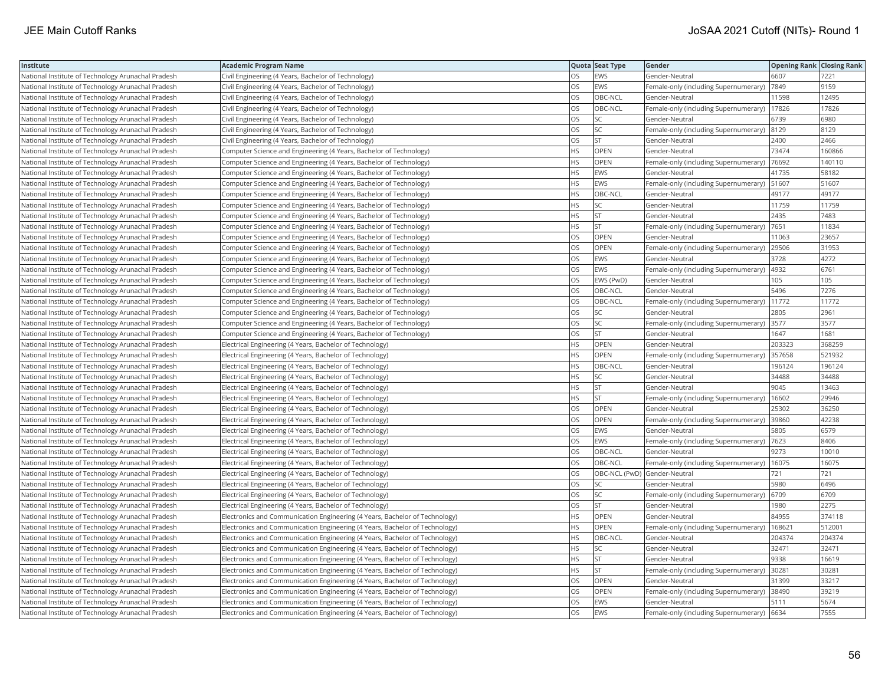| Institute                                          | <b>Academic Program Name</b>                                                |           | Quota Seat Type              | Gender                                     | <b>Opening Rank Closing Rank</b> |        |
|----------------------------------------------------|-----------------------------------------------------------------------------|-----------|------------------------------|--------------------------------------------|----------------------------------|--------|
| National Institute of Technology Arunachal Pradesh | Civil Engineering (4 Years, Bachelor of Technology)                         | OS        | EWS                          | Gender-Neutral                             | 6607                             | 7221   |
| National Institute of Technology Arunachal Pradesh | Civil Engineering (4 Years, Bachelor of Technology)                         | OS        | EWS                          | Female-only (including Supernumerary)      | 7849                             | 9159   |
| National Institute of Technology Arunachal Pradesh | Civil Engineering (4 Years, Bachelor of Technology)                         | <b>OS</b> | OBC-NCL                      | Gender-Neutral                             | 11598                            | 12495  |
| National Institute of Technology Arunachal Pradesh | Civil Engineering (4 Years, Bachelor of Technology)                         | OS        | OBC-NCL                      | Female-only (including Supernumerary)      | 17826                            | 17826  |
| National Institute of Technology Arunachal Pradesh | Civil Engineering (4 Years, Bachelor of Technology)                         | OS        | SC                           | Gender-Neutral                             | 6739                             | 6980   |
| National Institute of Technology Arunachal Pradesh | Civil Engineering (4 Years, Bachelor of Technology)                         | OS        | SC.                          | Female-only (including Supernumerary) 8129 |                                  | 8129   |
| National Institute of Technology Arunachal Pradesh | Civil Engineering (4 Years, Bachelor of Technology)                         | OS        | ST                           | Gender-Neutral                             | 2400                             | 2466   |
| National Institute of Technology Arunachal Pradesh | Computer Science and Engineering (4 Years, Bachelor of Technology)          | <b>HS</b> | OPEN                         | Gender-Neutral                             | 73474                            | 160866 |
| National Institute of Technology Arunachal Pradesh | Computer Science and Engineering (4 Years, Bachelor of Technology)          | <b>HS</b> | OPEN                         | Female-only (including Supernumerary)      | 76692                            | 140110 |
| National Institute of Technology Arunachal Pradesh | Computer Science and Engineering (4 Years, Bachelor of Technology)          | <b>HS</b> | EWS                          | Gender-Neutral                             | 41735                            | 58182  |
| National Institute of Technology Arunachal Pradesh | Computer Science and Engineering (4 Years, Bachelor of Technology)          | <b>HS</b> | EWS                          | Female-only (including Supernumerary)      | 51607                            | 51607  |
| National Institute of Technology Arunachal Pradesh | Computer Science and Engineering (4 Years, Bachelor of Technology)          | <b>HS</b> | OBC-NCL                      | Gender-Neutral                             | 49177                            | 49177  |
| National Institute of Technology Arunachal Pradesh | Computer Science and Engineering (4 Years, Bachelor of Technology)          | <b>HS</b> | SC.                          | Gender-Neutral                             | 11759                            | 11759  |
| National Institute of Technology Arunachal Pradesh | Computer Science and Engineering (4 Years, Bachelor of Technology)          | <b>HS</b> | <b>ST</b>                    | Gender-Neutral                             | 2435                             | 7483   |
| National Institute of Technology Arunachal Pradesh | Computer Science and Engineering (4 Years, Bachelor of Technology)          | <b>HS</b> | lst                          | Female-only (including Supernumerary)      | 7651                             | 11834  |
| National Institute of Technology Arunachal Pradesh | Computer Science and Engineering (4 Years, Bachelor of Technology)          | OS        | OPEN                         | Gender-Neutral                             | 11063                            | 23657  |
| National Institute of Technology Arunachal Pradesh | Computer Science and Engineering (4 Years, Bachelor of Technology)          | OS        | OPEN                         | Female-only (including Supernumerary)      | 29506                            | 31953  |
| National Institute of Technology Arunachal Pradesh | Computer Science and Engineering (4 Years, Bachelor of Technology)          | OS        | EWS                          | Gender-Neutral                             | 3728                             | 4272   |
| National Institute of Technology Arunachal Pradesh | Computer Science and Engineering (4 Years, Bachelor of Technology)          | <b>OS</b> | EWS                          | Female-only (including Supernumerary)      | 4932                             | 6761   |
| National Institute of Technology Arunachal Pradesh | Computer Science and Engineering (4 Years, Bachelor of Technology)          | OS        | EWS (PwD)                    | Gender-Neutral                             | 105                              | 105    |
| National Institute of Technology Arunachal Pradesh | Computer Science and Engineering (4 Years, Bachelor of Technology)          | OS        | OBC-NCL                      | Gender-Neutral                             | 5496                             | 7276   |
| National Institute of Technology Arunachal Pradesh | Computer Science and Engineering (4 Years, Bachelor of Technology)          | <b>OS</b> | OBC-NCL                      | Female-only (including Supernumerary)      | 11772                            | 11772  |
| National Institute of Technology Arunachal Pradesh | Computer Science and Engineering (4 Years, Bachelor of Technology)          | OS        | SC                           | Gender-Neutral                             | 2805                             | 2961   |
| National Institute of Technology Arunachal Pradesh | Computer Science and Engineering (4 Years, Bachelor of Technology)          | <b>OS</b> | lsc                          | Female-only (including Supernumerary)      | 3577                             | 3577   |
| National Institute of Technology Arunachal Pradesh | Computer Science and Engineering (4 Years, Bachelor of Technology)          | OS        | <b>ST</b>                    | Gender-Neutral                             | 1647                             | 1681   |
| National Institute of Technology Arunachal Pradesh | Electrical Engineering (4 Years, Bachelor of Technology)                    | <b>HS</b> | OPEN                         | Gender-Neutral                             | 203323                           | 368259 |
| National Institute of Technology Arunachal Pradesh | Electrical Engineering (4 Years, Bachelor of Technology)                    | <b>HS</b> | OPEN                         | Female-only (including Supernumerary)      | 357658                           | 521932 |
| National Institute of Technology Arunachal Pradesh | Electrical Engineering (4 Years, Bachelor of Technology)                    | <b>HS</b> | OBC-NCL                      | Gender-Neutral                             | 196124                           | 196124 |
| National Institute of Technology Arunachal Pradesh | Electrical Engineering (4 Years, Bachelor of Technology)                    | <b>HS</b> | SC.                          | Gender-Neutral                             | 34488                            | 34488  |
| National Institute of Technology Arunachal Pradesh | Electrical Engineering (4 Years, Bachelor of Technology)                    | <b>HS</b> | <b>ST</b>                    | Gender-Neutral                             | 9045                             | 13463  |
| National Institute of Technology Arunachal Pradesh | Electrical Engineering (4 Years, Bachelor of Technology)                    | <b>HS</b> | lst                          | Female-only (including Supernumerary)      | 16602                            | 29946  |
| National Institute of Technology Arunachal Pradesh | Electrical Engineering (4 Years, Bachelor of Technology)                    | OS        | OPEN                         | Gender-Neutral                             | 25302                            | 36250  |
| National Institute of Technology Arunachal Pradesh | Electrical Engineering (4 Years, Bachelor of Technology)                    | OS        | OPEN                         | Female-only (including Supernumerary)      | 39860                            | 42238  |
| National Institute of Technology Arunachal Pradesh | Electrical Engineering (4 Years, Bachelor of Technology)                    | OS        | EWS                          | Gender-Neutral                             | 5805                             | 6579   |
| National Institute of Technology Arunachal Pradesh | Electrical Engineering (4 Years, Bachelor of Technology)                    | OS        | EWS                          | Female-only (including Supernumerary)      | 7623                             | 8406   |
| National Institute of Technology Arunachal Pradesh | Electrical Engineering (4 Years, Bachelor of Technology)                    | OS        | OBC-NCL                      | Gender-Neutral                             | 9273                             | 10010  |
| National Institute of Technology Arunachal Pradesh | Electrical Engineering (4 Years, Bachelor of Technology)                    | OS        | OBC-NCL                      | Female-only (including Supernumerary)      | 16075                            | 16075  |
| National Institute of Technology Arunachal Pradesh | Electrical Engineering (4 Years, Bachelor of Technology)                    | OS        | OBC-NCL (PwD) Gender-Neutral |                                            | 721                              | 721    |
| National Institute of Technology Arunachal Pradesh | Electrical Engineering (4 Years, Bachelor of Technology)                    | OS        | SC                           | Gender-Neutral                             | 5980                             | 6496   |
| National Institute of Technology Arunachal Pradesh | Electrical Engineering (4 Years, Bachelor of Technology)                    | <b>OS</b> | lsc                          | Female-only (including Supernumerary)      | 6709                             | 6709   |
| National Institute of Technology Arunachal Pradesh | Electrical Engineering (4 Years, Bachelor of Technology)                    | OS        | <b>ST</b>                    | Gender-Neutral                             | 980                              | 2275   |
| National Institute of Technology Arunachal Pradesh | Electronics and Communication Engineering (4 Years, Bachelor of Technology) | <b>HS</b> | OPEN                         | Gender-Neutral                             | 84955                            | 374118 |
| National Institute of Technology Arunachal Pradesh | Electronics and Communication Engineering (4 Years, Bachelor of Technology) | <b>HS</b> | OPEN                         | Female-only (including Supernumerary)      | 168621                           | 512001 |
| National Institute of Technology Arunachal Pradesh | Electronics and Communication Engineering (4 Years, Bachelor of Technology) | <b>HS</b> | OBC-NCL                      | Gender-Neutral                             | 204374                           | 204374 |
| National Institute of Technology Arunachal Pradesh | Electronics and Communication Engineering (4 Years, Bachelor of Technology) | <b>HS</b> | SC.                          | Gender-Neutral                             | 32471                            | 32471  |
| National Institute of Technology Arunachal Pradesh | Electronics and Communication Engineering (4 Years, Bachelor of Technology) | <b>HS</b> | <b>ST</b>                    | Gender-Neutral                             | 9338                             | 16619  |
| National Institute of Technology Arunachal Pradesh | Electronics and Communication Engineering (4 Years, Bachelor of Technology) | <b>HS</b> | lst                          | Female-only (including Supernumerary)      | 30281                            | 30281  |
| National Institute of Technology Arunachal Pradesh | Electronics and Communication Engineering (4 Years, Bachelor of Technology) | OS        | OPEN                         | Gender-Neutral                             | 31399                            | 33217  |
| National Institute of Technology Arunachal Pradesh | Electronics and Communication Engineering (4 Years, Bachelor of Technology) | OS        | OPEN                         | Female-only (including Supernumerary)      | 38490                            | 39219  |
| National Institute of Technology Arunachal Pradesh | Electronics and Communication Engineering (4 Years, Bachelor of Technology) | OS        | <b>EWS</b>                   | Gender-Neutral                             | 5111                             | 5674   |
| National Institute of Technology Arunachal Pradesh | Electronics and Communication Engineering (4 Years, Bachelor of Technology) | <b>OS</b> | EWS                          | Female-only (including Supernumerary)      | 6634                             | 7555   |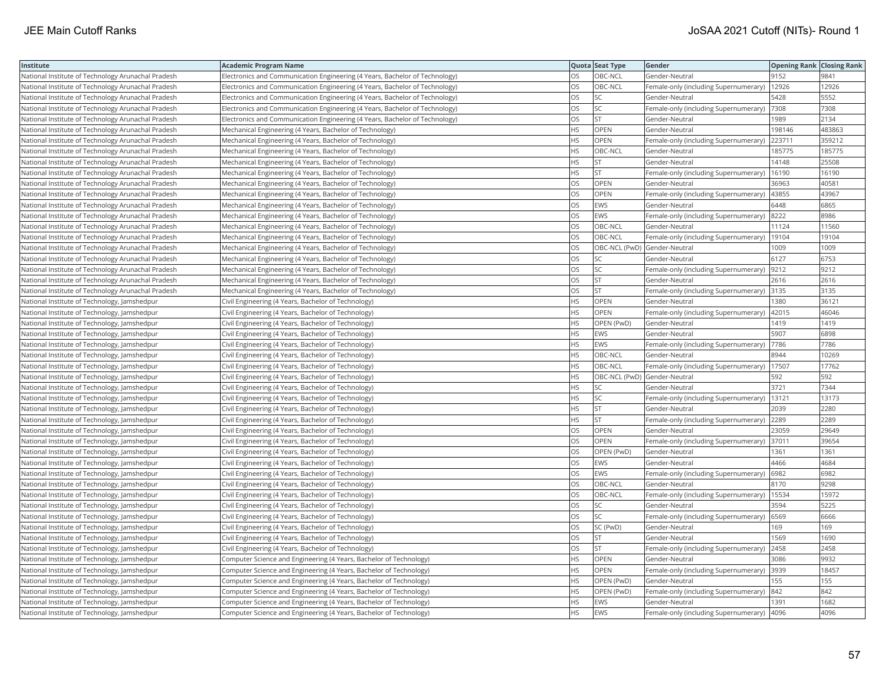| Institute                                          | <b>Academic Program Name</b>                                                |           | Quota Seat Type              | Gender                                        | <b>Opening Rank Closing Rank</b> |        |
|----------------------------------------------------|-----------------------------------------------------------------------------|-----------|------------------------------|-----------------------------------------------|----------------------------------|--------|
| National Institute of Technology Arunachal Pradesh | Electronics and Communication Engineering (4 Years, Bachelor of Technology) | OS        | OBC-NCL                      | Gender-Neutral                                | 9152                             | 9841   |
| National Institute of Technology Arunachal Pradesh | Electronics and Communication Engineering (4 Years, Bachelor of Technology) | OS        | OBC-NCL                      | Female-only (including Supernumerary)         | 12926                            | 12926  |
| National Institute of Technology Arunachal Pradesh | Electronics and Communication Engineering (4 Years, Bachelor of Technology) | <b>OS</b> | lsc                          | Gender-Neutral                                | 5428                             | 5552   |
| National Institute of Technology Arunachal Pradesh | Electronics and Communication Engineering (4 Years, Bachelor of Technology) | OS        | <b>SC</b>                    | Female-only (including Supernumerary)         | 7308                             | 7308   |
| National Institute of Technology Arunachal Pradesh | Electronics and Communication Engineering (4 Years, Bachelor of Technology) | OS        | lst                          | Gender-Neutral                                | 1989                             | 2134   |
| National Institute of Technology Arunachal Pradesh | Mechanical Engineering (4 Years, Bachelor of Technology)                    | <b>HS</b> | <b>OPEN</b>                  | Gender-Neutral                                | 198146                           | 483863 |
| National Institute of Technology Arunachal Pradesh | Mechanical Engineering (4 Years, Bachelor of Technology)                    | <b>HS</b> | OPEN                         | Female-only (including Supernumerary)         | 223711                           | 359212 |
| National Institute of Technology Arunachal Pradesh | Mechanical Engineering (4 Years, Bachelor of Technology)                    | <b>HS</b> | OBC-NCL                      | Gender-Neutral                                | 185775                           | 185775 |
| National Institute of Technology Arunachal Pradesh | Mechanical Engineering (4 Years, Bachelor of Technology)                    | <b>HS</b> | <b>ST</b>                    | Gender-Neutral                                | 14148                            | 25508  |
| National Institute of Technology Arunachal Pradesh | Mechanical Engineering (4 Years, Bachelor of Technology)                    | <b>HS</b> | <b>ST</b>                    | Female-only (including Supernumerary)         | 16190                            | 16190  |
| National Institute of Technology Arunachal Pradesh | Mechanical Engineering (4 Years, Bachelor of Technology)                    | OS        | OPEN                         | Gender-Neutral                                | 36963                            | 40581  |
| National Institute of Technology Arunachal Pradesh | Mechanical Engineering (4 Years, Bachelor of Technology)                    | OS        | OPEN                         | Female-only (including Supernumerary)         | 43855                            | 43967  |
| National Institute of Technology Arunachal Pradesh | Mechanical Engineering (4 Years, Bachelor of Technology)                    | OS        | <b>EWS</b>                   | Gender-Neutral                                | 6448                             | 6865   |
| National Institute of Technology Arunachal Pradesh | Mechanical Engineering (4 Years, Bachelor of Technology)                    | OS        | EWS                          | Female-only (including Supernumerary)         | 8222                             | 8986   |
| National Institute of Technology Arunachal Pradesh | Mechanical Engineering (4 Years, Bachelor of Technology)                    | <b>OS</b> | OBC-NCL                      | Gender-Neutral                                | 11124                            | 11560  |
| National Institute of Technology Arunachal Pradesh | Mechanical Engineering (4 Years, Bachelor of Technology)                    | OS        | OBC-NCL                      | Female-only (including Supernumerary)         | 19104                            | 19104  |
| National Institute of Technology Arunachal Pradesh | Mechanical Engineering (4 Years, Bachelor of Technology)                    | OS        | OBC-NCL (PwD) Gender-Neutral |                                               | 1009                             | 1009   |
| National Institute of Technology Arunachal Pradesh | Mechanical Engineering (4 Years, Bachelor of Technology)                    | OS        | SC                           | Gender-Neutral                                | 6127                             | 6753   |
| National Institute of Technology Arunachal Pradesh | Mechanical Engineering (4 Years, Bachelor of Technology)                    | OS        | SC.                          | Female-only (including Supernumerary)         | 9212                             | 9212   |
| National Institute of Technology Arunachal Pradesh | Mechanical Engineering (4 Years, Bachelor of Technology)                    | OS        | <b>ST</b>                    | Gender-Neutral                                | 2616                             | 2616   |
| National Institute of Technology Arunachal Pradesh | Mechanical Engineering (4 Years, Bachelor of Technology)                    | OS        | lst                          | Female-only (including Supernumerary)         | 3135                             | 3135   |
| National Institute of Technology, Jamshedpur       | Civil Engineering (4 Years, Bachelor of Technology)                         | <b>HS</b> | OPEN                         | Gender-Neutral                                | 1380                             | 36121  |
| National Institute of Technology, Jamshedpur       | Civil Engineering (4 Years, Bachelor of Technology)                         | <b>HS</b> | OPEN                         | Female-only (including Supernumerary)         | 42015                            | 46046  |
| National Institute of Technology, Jamshedpur       | Civil Engineering (4 Years, Bachelor of Technology)                         | <b>HS</b> | OPEN (PwD)                   | Gender-Neutral                                | 1419                             | 1419   |
| National Institute of Technology, Jamshedpur       | Civil Engineering (4 Years, Bachelor of Technology)                         | <b>HS</b> | EWS                          | Gender-Neutral                                | 5907                             | 6898   |
| National Institute of Technology, Jamshedpur       | Civil Engineering (4 Years, Bachelor of Technology)                         | <b>HS</b> | EWS                          | Female-only (including Supernumerary)         | 7786                             | 7786   |
| National Institute of Technology, Jamshedpur       | Civil Engineering (4 Years, Bachelor of Technology)                         | <b>HS</b> | OBC-NCL                      | Gender-Neutral                                | 8944                             | 10269  |
| National Institute of Technology, Jamshedpur       | Civil Engineering (4 Years, Bachelor of Technology)                         | <b>HS</b> | OBC-NCL                      | Female-only (including Supernumerary)         | 17507                            | 17762  |
| National Institute of Technology, Jamshedpur       | Civil Engineering (4 Years, Bachelor of Technology)                         | <b>HS</b> | OBC-NCL (PwD) Gender-Neutral |                                               | 592                              | 592    |
| National Institute of Technology, Jamshedpur       | Civil Engineering (4 Years, Bachelor of Technology)                         | <b>HS</b> | SC                           | Gender-Neutral                                | 3721                             | 7344   |
| National Institute of Technology, Jamshedpur       | Civil Engineering (4 Years, Bachelor of Technology)                         | <b>HS</b> | SC                           | Female-only (including Supernumerary)   13121 |                                  | 13173  |
| National Institute of Technology, Jamshedpur       | Civil Engineering (4 Years, Bachelor of Technology)                         | HS        | İst                          | Gender-Neutral                                | 2039                             | 2280   |
| National Institute of Technology, Jamshedpur       | Civil Engineering (4 Years, Bachelor of Technology)                         | <b>HS</b> | <b>ST</b>                    | Female-only (including Supernumerary)         | 2289                             | 2289   |
| National Institute of Technology, Jamshedpur       | Civil Engineering (4 Years, Bachelor of Technology)                         | OS        | OPEN                         | Gender-Neutral                                | 23059                            | 29649  |
| National Institute of Technology, Jamshedpur       | Civil Engineering (4 Years, Bachelor of Technology)                         | OS        | OPEN                         | Female-only (including Supernumerary)         | 37011                            | 39654  |
| National Institute of Technology, Jamshedpur       | Civil Engineering (4 Years, Bachelor of Technology)                         | OS        | OPEN (PwD)                   | Gender-Neutral                                | 1361                             | 1361   |
| National Institute of Technology, Jamshedpur       | Civil Engineering (4 Years, Bachelor of Technology)                         | OS        | EWS                          | Gender-Neutral                                | 4466                             | 4684   |
| National Institute of Technology, Jamshedpur       | Civil Engineering (4 Years, Bachelor of Technology)                         | <b>OS</b> | <b>EWS</b>                   | Female-only (including Supernumerary)   6982  |                                  | 6982   |
| National Institute of Technology, Jamshedpur       | Civil Engineering (4 Years, Bachelor of Technology)                         | OS        | OBC-NCL                      | Gender-Neutral                                | 8170                             | 9298   |
| National Institute of Technology, Jamshedpur       | Civil Engineering (4 Years, Bachelor of Technology)                         | <b>OS</b> | OBC-NCL                      | Female-only (including Supernumerary)         | 15534                            | 15972  |
| National Institute of Technology, Jamshedpur       | Civil Engineering (4 Years, Bachelor of Technology)                         | OS        | SC                           | Gender-Neutral                                | 3594                             | 5225   |
| National Institute of Technology, Jamshedpur       | Civil Engineering (4 Years, Bachelor of Technology)                         | OS        | SC.                          | Female-only (including Supernumerary)         | 6569                             | 6666   |
| National Institute of Technology, Jamshedpur       | Civil Engineering (4 Years, Bachelor of Technology)                         | OS        | SC (PwD)                     | Gender-Neutral                                | 169                              | 169    |
| National Institute of Technology, Jamshedpur       | Civil Engineering (4 Years, Bachelor of Technology)                         | OS        | <b>ST</b>                    | Gender-Neutral                                | 1569                             | 1690   |
| National Institute of Technology, Jamshedpur       | Civil Engineering (4 Years, Bachelor of Technology)                         | OS        | lst                          | Female-only (including Supernumerary)         | 2458                             | 2458   |
| National Institute of Technology, Jamshedpur       | Computer Science and Engineering (4 Years, Bachelor of Technology)          | <b>HS</b> | OPEN                         | Gender-Neutral                                | 3086                             | 9932   |
| National Institute of Technology, Jamshedpur       | Computer Science and Engineering (4 Years, Bachelor of Technology)          | <b>HS</b> | <b>OPEN</b>                  | Female-only (including Supernumerary)         | 3939                             | 18457  |
| National Institute of Technology, Jamshedpur       | Computer Science and Engineering (4 Years, Bachelor of Technology)          | <b>HS</b> | OPEN (PwD)                   | Gender-Neutral                                | 155                              | 155    |
| National Institute of Technology, Jamshedpur       | Computer Science and Engineering (4 Years, Bachelor of Technology)          | HS        | OPEN (PwD)                   | Female-only (including Supernumerary)         | 842                              | 842    |
| National Institute of Technology, Jamshedpur       | Computer Science and Engineering (4 Years, Bachelor of Technology)          | <b>HS</b> | EWS                          | Gender-Neutral                                | 1391                             | 1682   |
| National Institute of Technology, Jamshedpur       | Computer Science and Engineering (4 Years, Bachelor of Technology)          | <b>HS</b> | <b>EWS</b>                   | Female-only (including Supernumerary)  4096   |                                  | 4096   |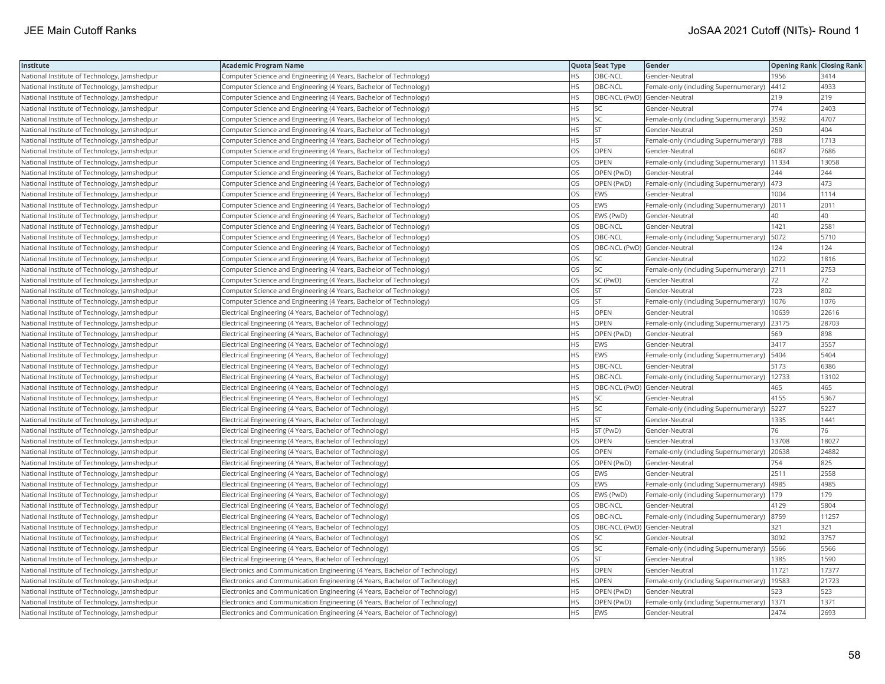| Institute                                    | <b>Academic Program Name</b>                                                |           | Quota Seat Type              | Gender                                       | <b>Opening Rank Closing Rank</b> |       |
|----------------------------------------------|-----------------------------------------------------------------------------|-----------|------------------------------|----------------------------------------------|----------------------------------|-------|
| National Institute of Technology, Jamshedpur | Computer Science and Engineering (4 Years, Bachelor of Technology)          | HS        | OBC-NCL                      | Gender-Neutral                               | 1956                             | 3414  |
| National Institute of Technology, Jamshedpur | Computer Science and Engineering (4 Years, Bachelor of Technology)          | <b>HS</b> | OBC-NCL                      | Female-only (including Supernumerary)        | 4412                             | 4933  |
| National Institute of Technology, Jamshedpur | Computer Science and Engineering (4 Years, Bachelor of Technology)          | <b>HS</b> | OBC-NCL (PwD) Gender-Neutral |                                              | 219                              | 219   |
| National Institute of Technology, Jamshedpur | Computer Science and Engineering (4 Years, Bachelor of Technology)          | <b>HS</b> | SC.                          | Gender-Neutral                               | 774                              | 2403  |
| National Institute of Technology, Jamshedpur | Computer Science and Engineering (4 Years, Bachelor of Technology)          | <b>HS</b> | lsc                          | Female-only (including Supernumerary)        | 3592                             | 4707  |
| National Institute of Technology, Jamshedpur | Computer Science and Engineering (4 Years, Bachelor of Technology)          | <b>HS</b> | <b>ST</b>                    | Gender-Neutral                               | 250                              | 404   |
| National Institute of Technology, Jamshedpur | Computer Science and Engineering (4 Years, Bachelor of Technology)          | <b>HS</b> | <b>ST</b>                    | Female-only (including Supernumerary)  788   |                                  | 1713  |
| National Institute of Technology, Jamshedpur | Computer Science and Engineering (4 Years, Bachelor of Technology)          | <b>OS</b> | <b>OPEN</b>                  | Gender-Neutral                               | 6087                             | 7686  |
| National Institute of Technology, Jamshedpur | Computer Science and Engineering (4 Years, Bachelor of Technology)          | OS        | OPEN                         | Female-only (including Supernumerary)        | 11334                            | 13058 |
| National Institute of Technology, Jamshedpur | Computer Science and Engineering (4 Years, Bachelor of Technology)          | OS        | OPEN (PwD)                   | Gender-Neutral                               | 244                              | 244   |
| National Institute of Technology, Jamshedpur | Computer Science and Engineering (4 Years, Bachelor of Technology)          | OS        | OPEN (PwD)                   | Female-only (including Supernumerary)        | 473                              | 473   |
| National Institute of Technology, Jamshedpur | Computer Science and Engineering (4 Years, Bachelor of Technology)          | <b>OS</b> | EWS                          | Gender-Neutral                               | 1004                             | 1114  |
| National Institute of Technology, Jamshedpur | Computer Science and Engineering (4 Years, Bachelor of Technology)          | <b>OS</b> | EWS                          | Female-only (including Supernumerary)        | 2011                             | 2011  |
| National Institute of Technology, Jamshedpur | Computer Science and Engineering (4 Years, Bachelor of Technology)          | OS        | EWS (PwD)                    | Gender-Neutral                               | 40                               | 40    |
| National Institute of Technology, Jamshedpur | Computer Science and Engineering (4 Years, Bachelor of Technology)          | OS        | OBC-NCL                      | Gender-Neutral                               | 1421                             | 2581  |
| National Institute of Technology, Jamshedpur | Computer Science and Engineering (4 Years, Bachelor of Technology)          | OS        | OBC-NCL                      | Female-only (including Supernumerary)        | 5072                             | 5710  |
| National Institute of Technology, Jamshedpur | Computer Science and Engineering (4 Years, Bachelor of Technology)          | OS        | OBC-NCL (PwD) Gender-Neutral |                                              | 124                              | 124   |
| National Institute of Technology, Jamshedpur | Computer Science and Engineering (4 Years, Bachelor of Technology)          | OS        | SC                           | Gender-Neutral                               | 1022                             | 1816  |
| National Institute of Technology, Jamshedpur | Computer Science and Engineering (4 Years, Bachelor of Technology)          | OS        | SC.                          | Female-only (including Supernumerary)        | 2711                             | 2753  |
| National Institute of Technology, Jamshedpur | Computer Science and Engineering (4 Years, Bachelor of Technology)          | <b>OS</b> | SC (PwD)                     | Gender-Neutral                               | 72                               | 72    |
| National Institute of Technology, Jamshedpur | Computer Science and Engineering (4 Years, Bachelor of Technology)          | OS        | <b>ST</b>                    | Gender-Neutral                               | 723                              | 802   |
| National Institute of Technology, Jamshedpur | Computer Science and Engineering (4 Years, Bachelor of Technology)          | OS        | <b>ST</b>                    | Female-only (including Supernumerary)   1076 |                                  | 1076  |
| National Institute of Technology, Jamshedpur | Electrical Engineering (4 Years, Bachelor of Technology)                    | <b>HS</b> | OPEN                         | Gender-Neutral                               | 10639                            | 22616 |
| National Institute of Technology, Jamshedpur | Electrical Engineering (4 Years, Bachelor of Technology)                    | <b>HS</b> | OPEN                         | Female-only (including Supernumerary)        | 23175                            | 28703 |
| National Institute of Technology, Jamshedpur | Electrical Engineering (4 Years, Bachelor of Technology)                    | HS.       | OPEN (PwD)                   | Gender-Neutral                               | 569                              | 898   |
| National Institute of Technology, Jamshedpur | Electrical Engineering (4 Years, Bachelor of Technology)                    | <b>HS</b> | EWS                          | Gender-Neutral                               | 3417                             | 3557  |
| National Institute of Technology, Jamshedpur | Electrical Engineering (4 Years, Bachelor of Technology)                    | <b>HS</b> | EWS                          | Female-only (including Supernumerary)        | 5404                             | 5404  |
| National Institute of Technology, Jamshedpur | Electrical Engineering (4 Years, Bachelor of Technology)                    | <b>HS</b> | OBC-NCL                      | Gender-Neutral                               | 5173                             | 6386  |
| National Institute of Technology, Jamshedpur | Electrical Engineering (4 Years, Bachelor of Technology)                    | <b>HS</b> | OBC-NCL                      | Female-only (including Supernumerary)        | 12733                            | 13102 |
| National Institute of Technology, Jamshedpur | Electrical Engineering (4 Years, Bachelor of Technology)                    | <b>HS</b> | OBC-NCL (PwD) Gender-Neutral |                                              | 465                              | 465   |
| National Institute of Technology, Jamshedpur | Electrical Engineering (4 Years, Bachelor of Technology)                    | <b>HS</b> | SC                           | Gender-Neutral                               | 4155                             | 5367  |
| National Institute of Technology, Jamshedpur | Electrical Engineering (4 Years, Bachelor of Technology)                    | HS.       | SC.                          | Female-only (including Supernumerary)        | 5227                             | 5227  |
| National Institute of Technology, Jamshedpur | Electrical Engineering (4 Years, Bachelor of Technology)                    | <b>HS</b> | lst                          | Gender-Neutral                               | 1335                             | 1441  |
| National Institute of Technology, Jamshedpur | Electrical Engineering (4 Years, Bachelor of Technology)                    | <b>HS</b> | ST (PwD)                     | Gender-Neutral                               | 76                               | 76    |
| National Institute of Technology, Jamshedpur | Electrical Engineering (4 Years, Bachelor of Technology)                    | OS        | OPEN                         | Gender-Neutral                               | 13708                            | 18027 |
| National Institute of Technology, Jamshedpur | Electrical Engineering (4 Years, Bachelor of Technology)                    | <b>OS</b> | <b>OPEN</b>                  | Female-only (including Supernumerary)        | 20638                            | 24882 |
| National Institute of Technology, Jamshedpur | Electrical Engineering (4 Years, Bachelor of Technology)                    | OS        | OPEN (PwD)                   | Gender-Neutral                               | 754                              | 825   |
| National Institute of Technology, Jamshedpur | Electrical Engineering (4 Years, Bachelor of Technology)                    | OS        | <b>EWS</b>                   | Gender-Neutral                               | 2511                             | 2558  |
| National Institute of Technology, Jamshedpur | Electrical Engineering (4 Years, Bachelor of Technology)                    | OS        | EWS                          | Female-only (including Supernumerary)        | 4985                             | 4985  |
| National Institute of Technology, Jamshedpur | Electrical Engineering (4 Years, Bachelor of Technology)                    | <b>OS</b> | EWS (PwD)                    | Female-only (including Supernumerary)   179  |                                  | 179   |
| National Institute of Technology, Jamshedpur | Electrical Engineering (4 Years, Bachelor of Technology)                    | OS        | OBC-NCL                      | Gender-Neutral                               | 4129                             | 5804  |
| National Institute of Technology, Jamshedpur | Electrical Engineering (4 Years, Bachelor of Technology)                    | OS        | OBC-NCL                      | Female-only (including Supernumerary) 8759   |                                  | 11257 |
| National Institute of Technology, Jamshedpur | Electrical Engineering (4 Years, Bachelor of Technology)                    | OS        | OBC-NCL (PwD) Gender-Neutral |                                              | 321                              | 321   |
| National Institute of Technology, Jamshedpur | Electrical Engineering (4 Years, Bachelor of Technology)                    | <b>OS</b> | lsc                          | lGender-Neutral                              | 3092                             | 3757  |
| National Institute of Technology, Jamshedpur | Electrical Engineering (4 Years, Bachelor of Technology)                    | OS        | SC.                          | Female-only (including Supernumerary)        | 5566                             | 5566  |
| National Institute of Technology, Jamshedpur | Electrical Engineering (4 Years, Bachelor of Technology)                    | OS        | <b>ST</b>                    | Gender-Neutral                               | 1385                             | 1590  |
| National Institute of Technology, Jamshedpur | Electronics and Communication Engineering (4 Years, Bachelor of Technology) | <b>HS</b> | OPEN                         | Gender-Neutral                               | 11721                            | 17377 |
| National Institute of Technology, Jamshedpur | Electronics and Communication Engineering (4 Years, Bachelor of Technology) | <b>HS</b> | OPEN                         | Female-only (including Supernumerary)        | 19583                            | 21723 |
| National Institute of Technology, Jamshedpur | Electronics and Communication Engineering (4 Years, Bachelor of Technology) | <b>HS</b> | OPEN (PwD)                   | Gender-Neutral                               | 523                              | 523   |
| National Institute of Technology, Jamshedpur | Electronics and Communication Engineering (4 Years, Bachelor of Technology) | <b>HS</b> | OPEN (PwD)                   | Female-only (including Supernumerary)        | 1371                             | 1371  |
| National Institute of Technology, Jamshedpur | Electronics and Communication Engineering (4 Years, Bachelor of Technology) | <b>HS</b> | EWS                          | Gender-Neutral                               | 2474                             | 2693  |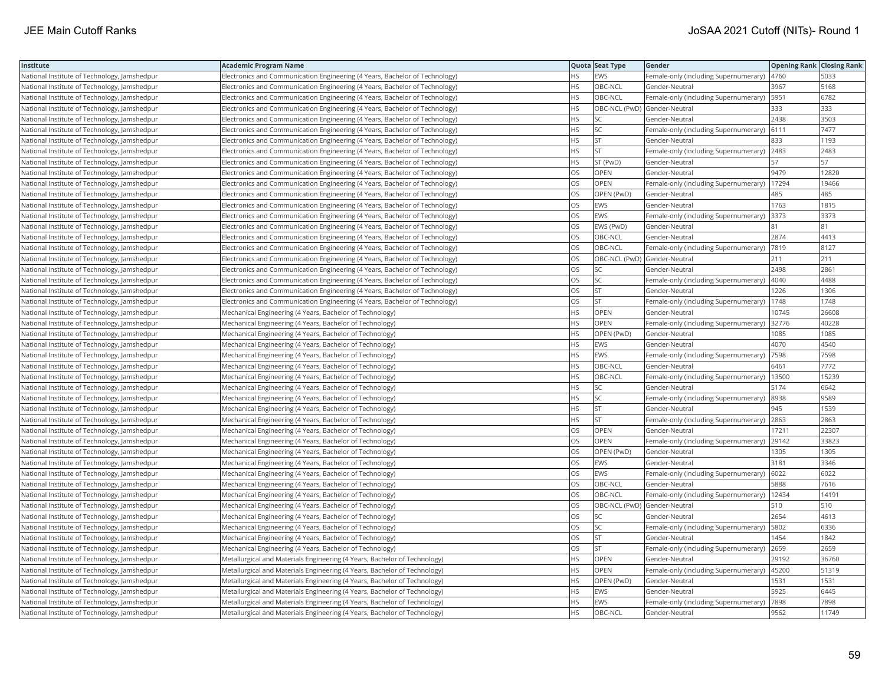| Institute                                    | Academic Program Name                                                       |           | Quota Seat Type              | Gender                                       | <b>Opening Rank Closing Rank</b> |       |
|----------------------------------------------|-----------------------------------------------------------------------------|-----------|------------------------------|----------------------------------------------|----------------------------------|-------|
| National Institute of Technology, Jamshedpur | Electronics and Communication Engineering (4 Years, Bachelor of Technology) | НS        | EWS                          | Female-only (including Supernumerary)        | 4760                             | 5033  |
| National Institute of Technology, Jamshedpur | Electronics and Communication Engineering (4 Years, Bachelor of Technology) | <b>HS</b> | OBC-NCL                      | Gender-Neutral                               | 3967                             | 5168  |
| National Institute of Technology, Jamshedpur | Electronics and Communication Engineering (4 Years, Bachelor of Technology) | <b>HS</b> | OBC-NCL                      | Female-only (including Supernumerary)   5951 |                                  | 6782  |
| National Institute of Technology, Jamshedpur | Electronics and Communication Engineering (4 Years, Bachelor of Technology) | HS.       | OBC-NCL (PwD) Gender-Neutral |                                              | 333                              | 333   |
| National Institute of Technology, Jamshedpur | Electronics and Communication Engineering (4 Years, Bachelor of Technology) | HS.       | <b>SC</b>                    | Gender-Neutral                               | 2438                             | 3503  |
| National Institute of Technology, Jamshedpur | Electronics and Communication Engineering (4 Years, Bachelor of Technology) | HS        | SC.                          | Female-only (including Supernumerary) 6111   |                                  | 7477  |
| National Institute of Technology, Jamshedpur | Electronics and Communication Engineering (4 Years, Bachelor of Technology) | HS        | <b>ST</b>                    | Gender-Neutral                               | 833                              | 1193  |
| National Institute of Technology, Jamshedpur | Electronics and Communication Engineering (4 Years, Bachelor of Technology) | HS        | <b>ST</b>                    | Female-only (including Supernumerary)        | 2483                             | 2483  |
| National Institute of Technology, Jamshedpur | Electronics and Communication Engineering (4 Years, Bachelor of Technology) | HS.       | ST (PwD)                     | Gender-Neutral                               | 57                               | 57    |
| National Institute of Technology, Jamshedpur | Electronics and Communication Engineering (4 Years, Bachelor of Technology) | OS        | OPEN                         | Gender-Neutral                               | 9479                             | 12820 |
| National Institute of Technology, Jamshedpur | Electronics and Communication Engineering (4 Years, Bachelor of Technology) | OS.       | <b>OPEN</b>                  | Female-only (including Supernumerary)        | 17294                            | 19466 |
| National Institute of Technology, Jamshedpur | Electronics and Communication Engineering (4 Years, Bachelor of Technology) | OS        | OPEN (PwD)                   | Gender-Neutral                               | 485                              | 485   |
| National Institute of Technology, Jamshedpur | Electronics and Communication Engineering (4 Years, Bachelor of Technology) | OS.       | EWS                          | Gender-Neutral                               | 1763                             | 1815  |
| National Institute of Technology, Jamshedpur | Electronics and Communication Engineering (4 Years, Bachelor of Technology) | OS        | EWS                          | Female-only (including Supernumerary)        | 3373                             | 3373  |
| National Institute of Technology, Jamshedpur | Electronics and Communication Engineering (4 Years, Bachelor of Technology) | OS        | EWS (PwD)                    | Gender-Neutral                               | R <sub>1</sub>                   | 81    |
| National Institute of Technology, Jamshedpur | Electronics and Communication Engineering (4 Years, Bachelor of Technology) | OS.       | OBC-NCL                      | Gender-Neutral                               | 2874                             | 4413  |
| National Institute of Technology, Jamshedpur | Electronics and Communication Engineering (4 Years, Bachelor of Technology) | OS        | OBC-NCL                      | Female-only (including Supernumerary)        | 7819                             | 8127  |
| National Institute of Technology, Jamshedpur | Electronics and Communication Engineering (4 Years, Bachelor of Technology) | OS        | OBC-NCL (PwD) Gender-Neutral |                                              | 211                              | 211   |
| National Institute of Technology, Jamshedpur | Electronics and Communication Engineering (4 Years, Bachelor of Technology) | <b>OS</b> | <b>SC</b>                    | Gender-Neutral                               | 2498                             | 2861  |
| National Institute of Technology, Jamshedpur | Electronics and Communication Engineering (4 Years, Bachelor of Technology) | OS        | SC                           | Female-only (including Supernumerary)        | 4040                             | 4488  |
| National Institute of Technology, Jamshedpur | Electronics and Communication Engineering (4 Years, Bachelor of Technology) | OS        | <b>ST</b>                    | Gender-Neutral                               | 1226                             | 1306  |
| National Institute of Technology, Jamshedpur | Electronics and Communication Engineering (4 Years, Bachelor of Technology) | OS        | <b>ST</b>                    | Female-only (including Supernumerary)        | 1748                             | 1748  |
| National Institute of Technology, Jamshedpur | Mechanical Engineering (4 Years, Bachelor of Technology)                    | HS        | OPEN                         | Gender-Neutral                               | 10745                            | 26608 |
| National Institute of Technology, Jamshedpur | Mechanical Engineering (4 Years, Bachelor of Technology)                    | HS        | OPEN                         | Female-only (including Supernumerary)        | 32776                            | 40228 |
| National Institute of Technology, Jamshedpur | Mechanical Engineering (4 Years, Bachelor of Technology)                    | HS        | OPEN (PwD)                   | Gender-Neutral                               | 1085                             | 1085  |
| National Institute of Technology, Jamshedpur | Mechanical Engineering (4 Years, Bachelor of Technology)                    | HS        | EWS                          | Gender-Neutral                               | 4070                             | 4540  |
| National Institute of Technology, Jamshedpur | Mechanical Engineering (4 Years, Bachelor of Technology)                    | HS.       | <b>EWS</b>                   | Female-only (including Supernumerary)        | 7598                             | 7598  |
| National Institute of Technology, Jamshedpur | Mechanical Engineering (4 Years, Bachelor of Technology)                    | HS        | OBC-NCL                      | Gender-Neutral                               | 6461                             | 7772  |
| National Institute of Technology, Jamshedpur | Mechanical Engineering (4 Years, Bachelor of Technology)                    | HS        | OBC-NCL                      | Female-only (including Supernumerary)        | 13500                            | 15239 |
| National Institute of Technology, Jamshedpur | Mechanical Engineering (4 Years, Bachelor of Technology)                    | HS        | <b>SC</b>                    | Gender-Neutral                               | 5174                             | 6642  |
| National Institute of Technology, Jamshedpur | Mechanical Engineering (4 Years, Bachelor of Technology)                    | HS        | SC                           | Female-only (including Supernumerary)        | 8938                             | 9589  |
| National Institute of Technology, Jamshedpur | Mechanical Engineering (4 Years, Bachelor of Technology)                    | ΗS        | <b>ST</b>                    | Gender-Neutral                               | 945                              | 1539  |
| National Institute of Technology, Jamshedpur | Mechanical Engineering (4 Years, Bachelor of Technology)                    | HS        | <b>ST</b>                    | Female-only (including Supernumerary)        | 2863                             | 2863  |
| National Institute of Technology, Jamshedpur | Mechanical Engineering (4 Years, Bachelor of Technology)                    | OS        | OPEN                         | Gender-Neutral                               | 17211                            | 22307 |
| National Institute of Technology, Jamshedpur | Mechanical Engineering (4 Years, Bachelor of Technology)                    | <b>OS</b> | OPEN                         | Female-only (including Supernumerary)        | 29142                            | 33823 |
| National Institute of Technology, Jamshedpur | Mechanical Engineering (4 Years, Bachelor of Technology)                    | OS        | OPEN (PwD)                   | Gender-Neutral                               | 1305                             | 1305  |
| National Institute of Technology, Jamshedpur | Mechanical Engineering (4 Years, Bachelor of Technology)                    | OS        | <b>EWS</b>                   | Gender-Neutral                               | 3181                             | 3346  |
| National Institute of Technology, Jamshedpur | Mechanical Engineering (4 Years, Bachelor of Technology)                    | OS        | EWS                          | Female-only (including Supernumerary)  6022  |                                  | 6022  |
| National Institute of Technology, Jamshedpur | Mechanical Engineering (4 Years, Bachelor of Technology)                    | OS.       | OBC-NCL                      | Gender-Neutral                               | 5888                             | 7616  |
| National Institute of Technology, Jamshedpur | Mechanical Engineering (4 Years, Bachelor of Technology)                    | OS        | OBC-NCL                      | Female-only (including Supernumerary)        | 12434                            | 14191 |
| National Institute of Technology, Jamshedpur | Mechanical Engineering (4 Years, Bachelor of Technology)                    | OS.       | OBC-NCL (PwD) Gender-Neutral |                                              | 510                              | 510   |
| National Institute of Technology, Jamshedpur | Mechanical Engineering (4 Years, Bachelor of Technology)                    | OS        | SC                           | Gender-Neutral                               | 2654                             | 4613  |
| National Institute of Technology, Jamshedpur | Mechanical Engineering (4 Years, Bachelor of Technology)                    | OS        | SC                           | Female-only (including Supernumerary)        | 5802                             | 6336  |
| National Institute of Technology, Jamshedpur | Mechanical Engineering (4 Years, Bachelor of Technology)                    | OS        | <b>ST</b>                    | Gender-Neutral                               | 1454                             | 1842  |
| National Institute of Technology, Jamshedpur | Mechanical Engineering (4 Years, Bachelor of Technology)                    | OS        | <b>ST</b>                    | Female-only (including Supernumerary) 2659   |                                  | 2659  |
| National Institute of Technology, Jamshedpur | Metallurgical and Materials Engineering (4 Years, Bachelor of Technology)   | HS        | OPEN                         | Gender-Neutral                               | 29192                            | 36760 |
| National Institute of Technology, Jamshedpur | Metallurgical and Materials Engineering (4 Years, Bachelor of Technology)   | <b>HS</b> | <b>OPEN</b>                  | Female-only (including Supernumerary)  45200 |                                  | 51319 |
| National Institute of Technology, Jamshedpur | Metallurgical and Materials Engineering (4 Years, Bachelor of Technology)   | HS        | OPEN (PwD)                   | Gender-Neutral                               | 1531                             | 1531  |
| National Institute of Technology, Jamshedpur | Metallurgical and Materials Engineering (4 Years, Bachelor of Technology)   | HS.       | <b>EWS</b>                   | Gender-Neutral                               | 5925                             | 6445  |
| National Institute of Technology, Jamshedpur | Metallurgical and Materials Engineering (4 Years, Bachelor of Technology)   | HS.       | <b>EWS</b>                   | Female-only (including Supernumerary)        | 7898                             | 7898  |
| National Institute of Technology, Jamshedpur | Metallurgical and Materials Engineering (4 Years, Bachelor of Technology)   | <b>HS</b> | OBC-NCL                      | Gender-Neutral                               | 9562                             | 11749 |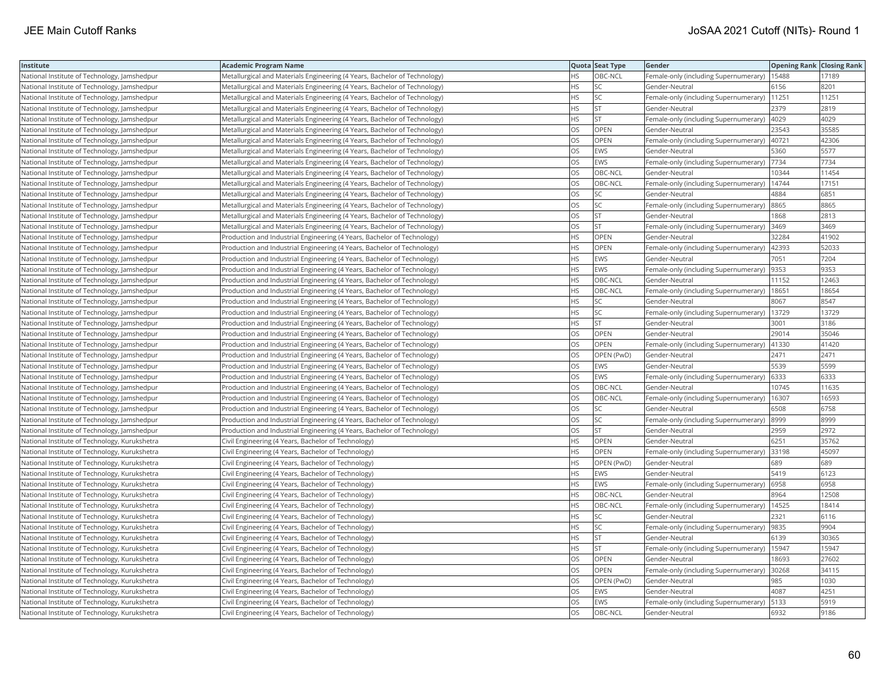| Institute                                     | <b>Academic Program Name</b>                                              |           | Quota Seat Type | Gender                                        | <b>Opening Rank Closing Rank</b> |       |
|-----------------------------------------------|---------------------------------------------------------------------------|-----------|-----------------|-----------------------------------------------|----------------------------------|-------|
| National Institute of Technology, Jamshedpur  | Metallurgical and Materials Engineering (4 Years, Bachelor of Technology) | <b>HS</b> | OBC-NCL         | Female-only (including Supernumerary)         | 15488                            | 17189 |
| National Institute of Technology, Jamshedpur  | Metallurgical and Materials Engineering (4 Years, Bachelor of Technology) | <b>HS</b> | lsc             | Gender-Neutral                                | 6156                             | 8201  |
| National Institute of Technology, Jamshedpur  | Metallurgical and Materials Engineering (4 Years, Bachelor of Technology) | <b>HS</b> | SC.             | Female-only (including Supernumerary)         | 11251                            | 11251 |
| National Institute of Technology, Jamshedpur  | Metallurgical and Materials Engineering (4 Years, Bachelor of Technology) | <b>HS</b> | <b>ST</b>       | Gender-Neutral                                | 2379                             | 2819  |
| National Institute of Technology, Jamshedpur  | Metallurgical and Materials Engineering (4 Years, Bachelor of Technology) | <b>HS</b> | lst             | Female-only (including Supernumerary)         | 4029                             | 4029  |
| National Institute of Technology, Jamshedpur  | Metallurgical and Materials Engineering (4 Years, Bachelor of Technology) | OS        | OPEN            | Gender-Neutral                                | 23543                            | 35585 |
| National Institute of Technology, Jamshedpur  | Metallurgical and Materials Engineering (4 Years, Bachelor of Technology) | OS        | OPEN            | Female-only (including Supernumerary)         | 40721                            | 42306 |
| National Institute of Technology, Jamshedpur  | Metallurgical and Materials Engineering (4 Years, Bachelor of Technology) | <b>OS</b> | <b>EWS</b>      | Gender-Neutral                                | 5360                             | 5577  |
| National Institute of Technology, Jamshedpur  | Metallurgical and Materials Engineering (4 Years, Bachelor of Technology) | OS        | EWS             | Female-only (including Supernumerary)         | 7734                             | 7734  |
| National Institute of Technology, Jamshedpur  | Metallurgical and Materials Engineering (4 Years, Bachelor of Technology) | OS        | OBC-NCL         | Gender-Neutral                                | 10344                            | 11454 |
| National Institute of Technology, Jamshedpur  | Metallurgical and Materials Engineering (4 Years, Bachelor of Technology) | <b>OS</b> | OBC-NCL         | Female-only (including Supernumerary)         | 14744                            | 17151 |
| National Institute of Technology, Jamshedpur  | Metallurgical and Materials Engineering (4 Years, Bachelor of Technology) | <b>OS</b> | <b>SC</b>       | Gender-Neutral                                | 4884                             | 6851  |
| National Institute of Technology, Jamshedpur  | Metallurgical and Materials Engineering (4 Years, Bachelor of Technology) | OS        | <b>SC</b>       | Female-only (including Supernumerary)         | 8865                             | 8865  |
| National Institute of Technology, Jamshedpur  | Metallurgical and Materials Engineering (4 Years, Bachelor of Technology) | OS        | <b>ST</b>       | Gender-Neutral                                | 1868                             | 2813  |
| National Institute of Technology, Jamshedpur  | Metallurgical and Materials Engineering (4 Years, Bachelor of Technology) | OS        | <b>ST</b>       | Female-only (including Supernumerary)         | 3469                             | 3469  |
| National Institute of Technology, Jamshedpur  | Production and Industrial Engineering (4 Years, Bachelor of Technology)   | HS.       | OPEN            | Gender-Neutral                                | 32284                            | 41902 |
| National Institute of Technology, Jamshedpur  | Production and Industrial Engineering (4 Years, Bachelor of Technology)   | <b>HS</b> | OPEN            | Female-only (including Supernumerary)         | 42393                            | 52033 |
| National Institute of Technology, Jamshedpur  | Production and Industrial Engineering (4 Years, Bachelor of Technology)   | <b>HS</b> | EWS             | Gender-Neutral                                | 7051                             | 7204  |
| National Institute of Technology, Jamshedpur  | Production and Industrial Engineering (4 Years, Bachelor of Technology)   | <b>HS</b> | EWS             | Female-only (including Supernumerary)         | 9353                             | 9353  |
| National Institute of Technology, Jamshedpur  | Production and Industrial Engineering (4 Years, Bachelor of Technology)   | <b>HS</b> | OBC-NCL         | Gender-Neutral                                | 11152                            | 12463 |
| National Institute of Technology, Jamshedpur  | Production and Industrial Engineering (4 Years, Bachelor of Technology)   | <b>HS</b> | OBC-NCL         | Female-only (including Supernumerary)         | 18651                            | 18654 |
| National Institute of Technology, Jamshedpur  | Production and Industrial Engineering (4 Years, Bachelor of Technology)   | <b>HS</b> | SC              | Gender-Neutral                                | 8067                             | 8547  |
| National Institute of Technology, Jamshedpur  | Production and Industrial Engineering (4 Years, Bachelor of Technology)   | <b>HS</b> | SC.             | Female-only (including Supernumerary)         | 13729                            | 13729 |
| National Institute of Technology, Jamshedpur  | Production and Industrial Engineering (4 Years, Bachelor of Technology)   | <b>HS</b> | <b>ST</b>       | Gender-Neutral                                | 3001                             | 3186  |
| National Institute of Technology, Jamshedpur  | Production and Industrial Engineering (4 Years, Bachelor of Technology)   | OS        | OPEN            | Gender-Neutral                                | 29014                            | 35046 |
| National Institute of Technology, Jamshedpur  | Production and Industrial Engineering (4 Years, Bachelor of Technology)   | OS        | OPEN            | Female-only (including Supernumerary)         | 41330                            | 41420 |
| National Institute of Technology, Jamshedpur  | Production and Industrial Engineering (4 Years, Bachelor of Technology)   | OS        | OPEN (PwD)      | Gender-Neutral                                | 2471                             | 2471  |
| National Institute of Technology, Jamshedpur  | Production and Industrial Engineering (4 Years, Bachelor of Technology)   | OS        | EWS             | Gender-Neutral                                | 5539                             | 5599  |
| National Institute of Technology, Jamshedpur  | Production and Industrial Engineering (4 Years, Bachelor of Technology)   | <b>OS</b> | EWS             | Female-only (including Supernumerary)         | 6333                             | 6333  |
| National Institute of Technology, Jamshedpur  | Production and Industrial Engineering (4 Years, Bachelor of Technology)   | OS        | OBC-NCL         | Gender-Neutral                                | 10745                            | 11635 |
| National Institute of Technology, Jamshedpur  | Production and Industrial Engineering (4 Years, Bachelor of Technology)   | OS        | OBC-NCL         | Female-only (including Supernumerary)         | 16307                            | 16593 |
| National Institute of Technology, Jamshedpur  | Production and Industrial Engineering (4 Years, Bachelor of Technology)   | OS.       | <b>SC</b>       | Gender-Neutral                                | 6508                             | 6758  |
| National Institute of Technology, Jamshedpur  | Production and Industrial Engineering (4 Years, Bachelor of Technology)   | OS        | <b>SC</b>       | Female-only (including Supernumerary)         | 8999                             | 8999  |
| National Institute of Technology, Jamshedpur  | Production and Industrial Engineering (4 Years, Bachelor of Technology)   | OS        | ST              | Gender-Neutral                                | 2959                             | 2972  |
| National Institute of Technology, Kurukshetra | Civil Engineering (4 Years, Bachelor of Technology)                       | <b>HS</b> | OPEN            | Gender-Neutral                                | 6251                             | 35762 |
| National Institute of Technology, Kurukshetra | Civil Engineering (4 Years, Bachelor of Technology)                       | <b>HS</b> | OPEN            | Female-only (including Supernumerary)         | 33198                            | 45097 |
| National Institute of Technology, Kurukshetra | Civil Engineering (4 Years, Bachelor of Technology)                       | <b>HS</b> | OPEN (PwD)      | Gender-Neutral                                | 689                              | 689   |
| National Institute of Technology, Kurukshetra | Civil Engineering (4 Years, Bachelor of Technology)                       | <b>HS</b> | EWS             | Gender-Neutral                                | 5419                             | 6123  |
| National Institute of Technology, Kurukshetra | Civil Engineering (4 Years, Bachelor of Technology)                       | <b>HS</b> | EWS             | Female-only (including Supernumerary)         | 6958                             | 6958  |
| National Institute of Technology, Kurukshetra | Civil Engineering (4 Years, Bachelor of Technology)                       | <b>HS</b> | OBC-NCL         | Gender-Neutral                                | 8964                             | 12508 |
| National Institute of Technology, Kurukshetra | Civil Engineering (4 Years, Bachelor of Technology)                       | <b>HS</b> | OBC-NCL         | Female-only (including Supernumerary)         | 14525                            | 18414 |
| National Institute of Technology, Kurukshetra | Civil Engineering (4 Years, Bachelor of Technology)                       | <b>HS</b> | SC              | Gender-Neutral                                | 2321                             | 6116  |
| National Institute of Technology, Kurukshetra | Civil Engineering (4 Years, Bachelor of Technology)                       | <b>HS</b> | <b>SC</b>       | Female-only (including Supernumerary)         | 9835                             | 9904  |
| National Institute of Technology, Kurukshetra | Civil Engineering (4 Years, Bachelor of Technology)                       | <b>HS</b> | <b>ST</b>       | Gender-Neutral                                | 6139                             | 30365 |
| National Institute of Technology, Kurukshetra | Civil Engineering (4 Years, Bachelor of Technology)                       | <b>HS</b> | <b>ST</b>       | Female-only (including Supernumerary)   15947 |                                  | 15947 |
| National Institute of Technology, Kurukshetra | Civil Engineering (4 Years, Bachelor of Technology)                       | OS        | OPEN            | Gender-Neutral                                | 18693                            | 27602 |
| National Institute of Technology, Kurukshetra | Civil Engineering (4 Years, Bachelor of Technology)                       | <b>OS</b> | <b>OPEN</b>     | Female-only (including Supernumerary)         | 30268                            | 34115 |
| National Institute of Technology, Kurukshetra | Civil Engineering (4 Years, Bachelor of Technology)                       | OS        | OPEN (PwD)      | Gender-Neutral                                | 985                              | 1030  |
| National Institute of Technology, Kurukshetra | Civil Engineering (4 Years, Bachelor of Technology)                       | OS        | EWS             | Gender-Neutral                                | 4087                             | 4251  |
| National Institute of Technology, Kurukshetra | Civil Engineering (4 Years, Bachelor of Technology)                       | OS        | EWS             | Female-only (including Supernumerary)         | 5133                             | 5919  |
| National Institute of Technology, Kurukshetra | Civil Engineering (4 Years, Bachelor of Technology)                       | <b>OS</b> | OBC-NCL         | Gender-Neutral                                | 6932                             | 9186  |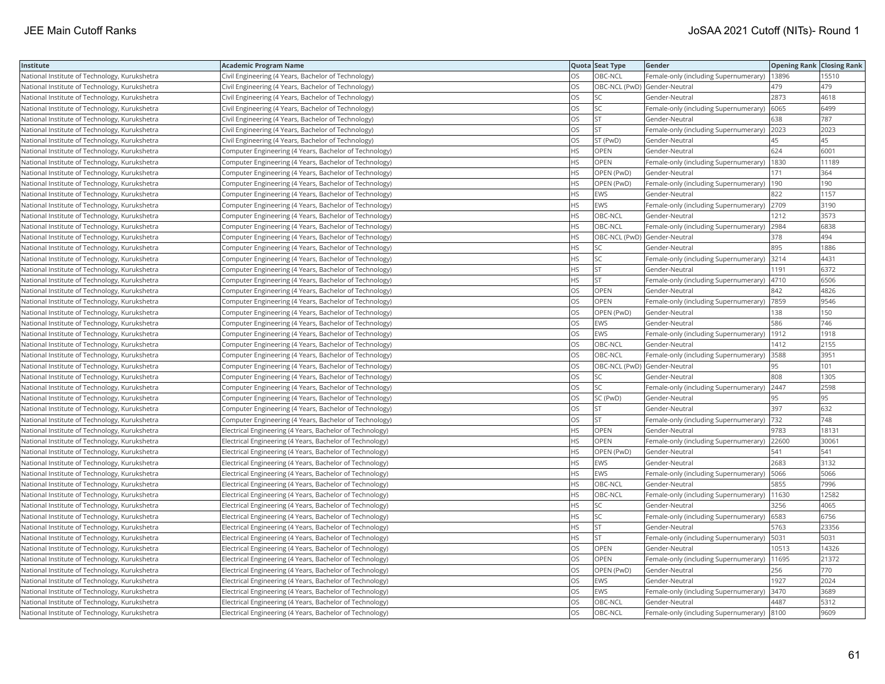| Institute                                     | Academic Program Name                                    |           | Quota Seat Type              | Gender                                        | <b>Opening Rank   Closing Rank</b> |       |
|-----------------------------------------------|----------------------------------------------------------|-----------|------------------------------|-----------------------------------------------|------------------------------------|-------|
| National Institute of Technology, Kurukshetra | Civil Engineering (4 Years, Bachelor of Technology)      | OS.       | OBC-NCL                      | Female-only (including Supernumerary)   13896 |                                    | 15510 |
| National Institute of Technology, Kurukshetra | Civil Engineering (4 Years, Bachelor of Technology)      | OS        | OBC-NCL (PwD) Gender-Neutral |                                               | 479                                | 479   |
| National Institute of Technology, Kurukshetra | Civil Engineering (4 Years, Bachelor of Technology)      | OS        | <b>SC</b>                    | Gender-Neutral                                | 2873                               | 4618  |
| National Institute of Technology, Kurukshetra | Civil Engineering (4 Years, Bachelor of Technology)      | OS        | SC                           | Female-only (including Supernumerary)         | 6065                               | 6499  |
| National Institute of Technology, Kurukshetra | Civil Engineering (4 Years, Bachelor of Technology)      | OS        | <b>ST</b>                    | Gender-Neutral                                | 638                                | 787   |
| National Institute of Technology, Kurukshetra | Civil Engineering (4 Years, Bachelor of Technology)      | OS        | <b>ST</b>                    | Female-only (including Supernumerary)         | 2023                               | 2023  |
| National Institute of Technology, Kurukshetra | Civil Engineering (4 Years, Bachelor of Technology)      | OS        | ST (PwD)                     | Gender-Neutral                                | 45                                 | 45    |
| National Institute of Technology, Kurukshetra | Computer Engineering (4 Years, Bachelor of Technology)   | <b>HS</b> | OPEN                         | Gender-Neutral                                | 624                                | 6001  |
| National Institute of Technology, Kurukshetra | Computer Engineering (4 Years, Bachelor of Technology)   | HS        | OPEN                         | Female-only (including Supernumerary)         | 1830                               | 11189 |
| National Institute of Technology, Kurukshetra | Computer Engineering (4 Years, Bachelor of Technology)   | HS        | OPEN (PwD)                   | Gender-Neutral                                | 171                                | 364   |
| National Institute of Technology, Kurukshetra | Computer Engineering (4 Years, Bachelor of Technology)   | <b>HS</b> | OPEN (PwD)                   | Female-only (including Supernumerary)         | 190                                | 190   |
| National Institute of Technology, Kurukshetra | Computer Engineering (4 Years, Bachelor of Technology)   | HS.       | <b>EWS</b>                   | Gender-Neutral                                | 822                                | 1157  |
| National Institute of Technology, Kurukshetra | Computer Engineering (4 Years, Bachelor of Technology)   | HS        | <b>EWS</b>                   | Female-only (including Supernumerary)         | 2709                               | 3190  |
| National Institute of Technology, Kurukshetra | Computer Engineering (4 Years, Bachelor of Technology)   | <b>HS</b> | OBC-NCL                      | Gender-Neutral                                | 1212                               | 3573  |
| National Institute of Technology, Kurukshetra | (Computer Engineering (4 Years, Bachelor of Technology)  | HS.       | OBC-NCL                      | Female-only (including Supernumerary)         | 2984                               | 6838  |
| National Institute of Technology, Kurukshetra | Computer Engineering (4 Years, Bachelor of Technology)   | HS        | OBC-NCL (PwD) Gender-Neutral |                                               | 378                                | 494   |
| National Institute of Technology, Kurukshetra | Computer Engineering (4 Years, Bachelor of Technology)   | HS.       | <b>SC</b>                    | Gender-Neutral                                | 895                                | 1886  |
| National Institute of Technology, Kurukshetra | Computer Engineering (4 Years, Bachelor of Technology)   | HS        | SC                           | Female-only (including Supernumerary)         | 3214                               | 4431  |
| National Institute of Technology, Kurukshetra | Computer Engineering (4 Years, Bachelor of Technology)   | HS.       | ST                           | Gender-Neutral                                | 1191                               | 6372  |
| National Institute of Technology, Kurukshetra | Computer Engineering (4 Years, Bachelor of Technology)   | HS.       | <b>ST</b>                    | Female-only (including Supernumerary)         | 4710                               | 6506  |
| National Institute of Technology, Kurukshetra | Computer Engineering (4 Years, Bachelor of Technology)   | OS.       | <b>OPEN</b>                  | Gender-Neutral                                | 842                                | 4826  |
| National Institute of Technology, Kurukshetra | Computer Engineering (4 Years, Bachelor of Technology)   | OS        | <b>OPEN</b>                  | Female-only (including Supernumerary)  7859   |                                    | 9546  |
| National Institute of Technology, Kurukshetra | Computer Engineering (4 Years, Bachelor of Technology)   | OS        | OPEN (PwD)                   | Gender-Neutral                                | 138                                | 150   |
| National Institute of Technology, Kurukshetra | Computer Engineering (4 Years, Bachelor of Technology)   | OS        | <b>EWS</b>                   | Gender-Neutral                                | 586                                | 746   |
| National Institute of Technology, Kurukshetra | Computer Engineering (4 Years, Bachelor of Technology)   | OS        | EWS                          | Female-only (including Supernumerary)         | 1912                               | 1918  |
| National Institute of Technology, Kurukshetra | Computer Engineering (4 Years, Bachelor of Technology)   | <b>OS</b> | OBC-NCL                      | Gender-Neutral                                | 1412                               | 2155  |
| National Institute of Technology, Kurukshetra | Computer Engineering (4 Years, Bachelor of Technology)   | OS        | OBC-NCL                      | Female-only (including Supernumerary)         | 3588                               | 3951  |
| National Institute of Technology, Kurukshetra | Computer Engineering (4 Years, Bachelor of Technology)   | OS        | OBC-NCL (PwD) Gender-Neutral |                                               | 95                                 | 101   |
| National Institute of Technology, Kurukshetra | Computer Engineering (4 Years, Bachelor of Technology)   | OS.       | <b>SC</b>                    | Gender-Neutral                                | 808                                | 1305  |
| National Institute of Technology, Kurukshetra | Computer Engineering (4 Years, Bachelor of Technology)   | OS        | SC                           | Female-only (including Supernumerary) 2447    |                                    | 2598  |
| National Institute of Technology, Kurukshetra | Computer Engineering (4 Years, Bachelor of Technology)   | OS        | SC (PwD)                     | Gender-Neutral                                | 95                                 | 95    |
| National Institute of Technology, Kurukshetra | Computer Engineering (4 Years, Bachelor of Technology)   | OS        | <b>ST</b>                    | Gender-Neutral                                | 397                                | 632   |
| National Institute of Technology, Kurukshetra | Computer Engineering (4 Years, Bachelor of Technology)   | OS        | <b>ST</b>                    | Female-only (including Supernumerary)         | 732                                | 748   |
| National Institute of Technology, Kurukshetra | Electrical Engineering (4 Years, Bachelor of Technology) | HS        | OPEN                         | Gender-Neutral                                | 9783                               | 18131 |
| National Institute of Technology, Kurukshetra | Electrical Engineering (4 Years, Bachelor of Technology) | <b>HS</b> | OPEN                         | Female-only (including Supernumerary)         | 22600                              | 3006  |
| National Institute of Technology, Kurukshetra | Electrical Engineering (4 Years, Bachelor of Technology) | HS        | OPEN (PwD)                   | Gender-Neutral                                | 541                                | 541   |
| National Institute of Technology, Kurukshetra | Electrical Engineering (4 Years, Bachelor of Technology) | HS        | <b>EWS</b>                   | Gender-Neutral                                | 2683                               | 3132  |
| National Institute of Technology, Kurukshetra | Electrical Engineering (4 Years, Bachelor of Technology) | <b>HS</b> | <b>EWS</b>                   | Female-only (including Supernumerary)   5066  |                                    | 5066  |
| National Institute of Technology, Kurukshetra | Electrical Engineering (4 Years, Bachelor of Technology) | НS        | OBC-NCL                      | Gender-Neutral                                | 5855                               | 7996  |
| National Institute of Technology, Kurukshetra | Electrical Engineering (4 Years, Bachelor of Technology) | HS        | OBC-NCL                      | Female-only (including Supernumerary)   11630 |                                    | 12582 |
| National Institute of Technology, Kurukshetra | Electrical Engineering (4 Years, Bachelor of Technology) | HS        | <b>SC</b>                    | Gender-Neutral                                | 3256                               | 4065  |
| National Institute of Technology, Kurukshetra | Electrical Engineering (4 Years, Bachelor of Technology) | HS        | SC                           | Female-only (including Supernumerary) (6583   |                                    | 6756  |
| National Institute of Technology, Kurukshetra | Electrical Engineering (4 Years, Bachelor of Technology) | HS.       | <b>ST</b>                    | Gender-Neutral                                | 5763                               | 23356 |
| National Institute of Technology, Kurukshetra | Electrical Engineering (4 Years, Bachelor of Technology) | <b>HS</b> | <b>ST</b>                    | Female-only (including Supernumerary)   5031  |                                    | 5031  |
| National Institute of Technology, Kurukshetra | Electrical Engineering (4 Years, Bachelor of Technology) | OS        | <b>OPEN</b>                  | Gender-Neutral                                | 10513                              | 14326 |
| National Institute of Technology, Kurukshetra | Electrical Engineering (4 Years, Bachelor of Technology) | OS        | OPEN                         | Female-only (including Supernumerary)         | 11695                              | 21372 |
| National Institute of Technology, Kurukshetra | Electrical Engineering (4 Years, Bachelor of Technology) | OS.       | OPEN (PwD)                   | Gender-Neutral                                | 256                                | 770   |
| National Institute of Technology, Kurukshetra | Electrical Engineering (4 Years, Bachelor of Technology) | OS        | EWS                          | Gender-Neutral                                | 1927                               | 2024  |
| National Institute of Technology, Kurukshetra | Electrical Engineering (4 Years, Bachelor of Technology) | OS        | EWS                          | Female-only (including Supernumerary)         | 3470                               | 3689  |
| National Institute of Technology, Kurukshetra | Electrical Engineering (4 Years, Bachelor of Technology) | OS.       | OBC-NCL                      | Gender-Neutral                                | 4487                               | 5312  |
| National Institute of Technology, Kurukshetra | Electrical Engineering (4 Years, Bachelor of Technology) | <b>OS</b> | OBC-NCL                      | Female-only (including Supernumerary) 8100    |                                    | 9609  |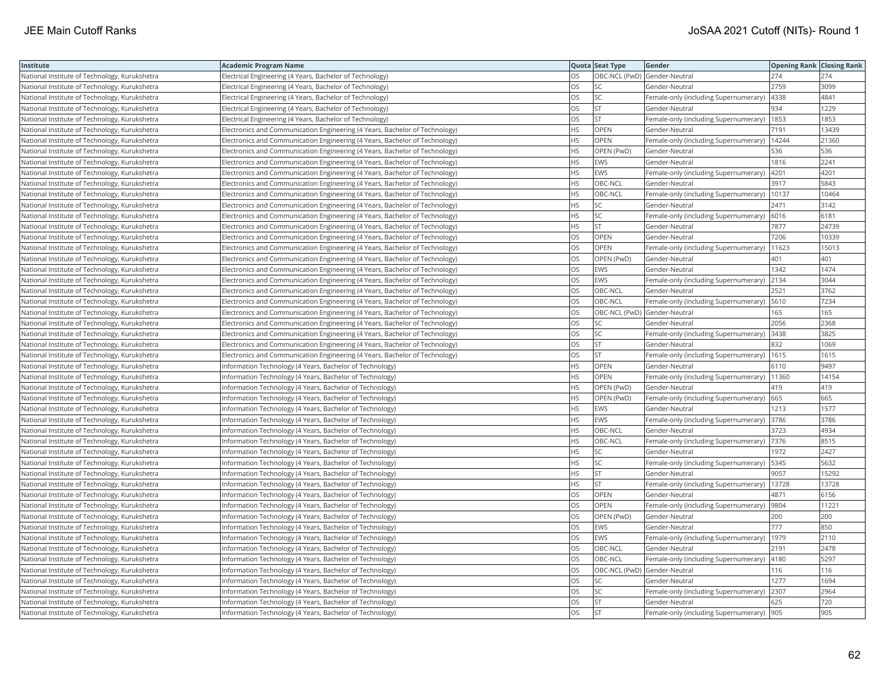| Institute                                     | Academic Program Name                                                       |           | Quota Seat Type              | Gender                                       | <b>Opening Rank Closing Rank</b> |       |
|-----------------------------------------------|-----------------------------------------------------------------------------|-----------|------------------------------|----------------------------------------------|----------------------------------|-------|
| National Institute of Technology, Kurukshetra | Electrical Engineering (4 Years, Bachelor of Technology)                    | OS        | OBC-NCL (PwD) Gender-Neutral |                                              | 274                              | 274   |
| National Institute of Technology, Kurukshetra | Electrical Engineering (4 Years, Bachelor of Technology)                    | OS        | <b>SC</b>                    | Gender-Neutral                               | 2759                             | 3099  |
| National Institute of Technology, Kurukshetra | Electrical Engineering (4 Years, Bachelor of Technology)                    | OS.       | SC                           | Female-only (including Supernumerary)        | 4338                             | 4841  |
| National Institute of Technology, Kurukshetra | Electrical Engineering (4 Years, Bachelor of Technology)                    | OS.       | lst                          | Gender-Neutral                               | 934                              | 1229  |
| National Institute of Technology, Kurukshetra | Electrical Engineering (4 Years, Bachelor of Technology)                    | OS        | <b>ST</b>                    | Female-only (including Supernumerary)        | 1853                             | 1853  |
| National Institute of Technology, Kurukshetra | Electronics and Communication Engineering (4 Years, Bachelor of Technology) | ΗS        | OPEN                         | Gender-Neutral                               | 7191                             | 13439 |
| National Institute of Technology, Kurukshetra | Electronics and Communication Engineering (4 Years, Bachelor of Technology) | HS        | <b>OPEN</b>                  | Female-only (including Supernumerary)        | 14244                            | 21360 |
| National Institute of Technology, Kurukshetra | Electronics and Communication Engineering (4 Years, Bachelor of Technology) | HS        | OPEN (PwD)                   | Gender-Neutral                               | 536                              | 536   |
| National Institute of Technology, Kurukshetra | Electronics and Communication Engineering (4 Years, Bachelor of Technology) | HS.       | <b>EWS</b>                   | Gender-Neutral                               | 1816                             | 2241  |
| National Institute of Technology, Kurukshetra | Electronics and Communication Engineering (4 Years, Bachelor of Technology) | HS.       | EWS                          | Female-only (including Supernumerary)        | 4201                             | 4201  |
| National Institute of Technology, Kurukshetra | Electronics and Communication Engineering (4 Years, Bachelor of Technology) | HS.       | OBC-NCL                      | Gender-Neutral                               | 3917                             | 5843  |
| National Institute of Technology, Kurukshetra | Electronics and Communication Engineering (4 Years, Bachelor of Technology) | <b>HS</b> | OBC-NCL                      | Female-only (including Supernumerary)        | 10137                            | 10464 |
| National Institute of Technology, Kurukshetra | Electronics and Communication Engineering (4 Years, Bachelor of Technology) | HS        | SC                           | Gender-Neutral                               | 2471                             | 3142  |
| National Institute of Technology, Kurukshetra | Electronics and Communication Engineering (4 Years, Bachelor of Technology) | ΗS        | SC                           | Female-only (including Supernumerary)   6016 |                                  | 6181  |
| National Institute of Technology, Kurukshetra | Electronics and Communication Engineering (4 Years, Bachelor of Technology) | HS        | <b>ST</b>                    | Gender-Neutral                               | 7877                             | 24739 |
| National Institute of Technology, Kurukshetra | Electronics and Communication Engineering (4 Years, Bachelor of Technology) | OS        | OPEN                         | Gender-Neutral                               | 7206                             | 10339 |
| National Institute of Technology, Kurukshetra | Electronics and Communication Engineering (4 Years, Bachelor of Technology) | OS        | OPEN                         | Female-only (including Supernumerary)        | 11623                            | 15013 |
| National Institute of Technology, Kurukshetra | Electronics and Communication Engineering (4 Years, Bachelor of Technology) | OS        | OPEN (PwD)                   | Gender-Neutral                               | 401                              | 401   |
| National Institute of Technology, Kurukshetra | Electronics and Communication Engineering (4 Years, Bachelor of Technology) | OS        | EWS                          | Gender-Neutral                               | 1342                             | 1474  |
| National Institute of Technology, Kurukshetra | Electronics and Communication Engineering (4 Years, Bachelor of Technology) | OS.       | <b>EWS</b>                   | Female-only (including Supernumerary)        | 2134                             | 3044  |
| National Institute of Technology, Kurukshetra | Electronics and Communication Engineering (4 Years, Bachelor of Technology) | OS        | OBC-NCL                      | Gender-Neutral                               | 2521                             | 3762  |
| National Institute of Technology, Kurukshetra | Electronics and Communication Engineering (4 Years, Bachelor of Technology) | OS        | OBC-NCL                      | Female-only (including Supernumerary)   5610 |                                  | 7234  |
| National Institute of Technology, Kurukshetra | Electronics and Communication Engineering (4 Years, Bachelor of Technology) | OS        | OBC-NCL (PwD) Gender-Neutral |                                              | 165                              | 165   |
| National Institute of Technology, Kurukshetra | Electronics and Communication Engineering (4 Years, Bachelor of Technology) | OS        | SC                           | Gender-Neutral                               | 2056                             | 2368  |
| National Institute of Technology, Kurukshetra | Electronics and Communication Engineering (4 Years, Bachelor of Technology) | OS        | <b>SC</b>                    | Female-only (including Supernumerary)        | 3438                             | 3825  |
| National Institute of Technology, Kurukshetra | Electronics and Communication Engineering (4 Years, Bachelor of Technology) | OS        | <b>ST</b>                    | Gender-Neutral                               | 832                              | 1069  |
| National Institute of Technology, Kurukshetra | Electronics and Communication Engineering (4 Years, Bachelor of Technology) | OS        | ST                           | Female-only (including Supernumerary)        | 1615                             | 1615  |
| National Institute of Technology, Kurukshetra | Information Technology (4 Years, Bachelor of Technology)                    | HS        | <b>OPEN</b>                  | Gender-Neutral                               | 6110                             | 9497  |
| National Institute of Technology, Kurukshetra | Information Technology (4 Years, Bachelor of Technology)                    | HS        | <b>OPEN</b>                  | Female-only (including Supernumerary)        | 11360                            | 14154 |
| National Institute of Technology, Kurukshetra | Information Technology (4 Years, Bachelor of Technology)                    | HS.       | OPEN (PwD)                   | Gender-Neutral                               | 419                              | 419   |
| National Institute of Technology, Kurukshetra | Information Technology (4 Years, Bachelor of Technology)                    | HS        | OPEN (PwD)                   | Female-only (including Supernumerary)   665  |                                  | 665   |
| National Institute of Technology, Kurukshetra | Information Technology (4 Years, Bachelor of Technology)                    | HS        | EWS                          | Gender-Neutral                               | 1213                             | 1577  |
| National Institute of Technology, Kurukshetra | Information Technology (4 Years, Bachelor of Technology)                    | HS        | EWS                          | Female-only (including Supernumerary)        | 3786                             | 3786  |
| National Institute of Technology, Kurukshetra | Information Technology (4 Years, Bachelor of Technology)                    | HS        | OBC-NCL                      | Gender-Neutral                               | 3723                             | 4934  |
| National Institute of Technology, Kurukshetra | Information Technology (4 Years, Bachelor of Technology)                    | HS.       | OBC-NCL                      | Female-only (including Supernumerary)  7376  |                                  | 8515  |
| National Institute of Technology, Kurukshetra | Information Technology (4 Years, Bachelor of Technology)                    | <b>HS</b> | <b>SC</b>                    | Gender-Neutral                               | 1972                             | 2427  |
| National Institute of Technology, Kurukshetra | Information Technology (4 Years, Bachelor of Technology)                    | HS        | SC                           | Female-only (including Supernumerary)        | 5345                             | 5632  |
| National Institute of Technology, Kurukshetra | Information Technology (4 Years, Bachelor of Technology)                    | HS        | lst                          | Gender-Neutral                               | 9057                             | 15292 |
| National Institute of Technology, Kurukshetra | Information Technology (4 Years, Bachelor of Technology)                    | ΗS        | <b>ST</b>                    | Female-only (including Supernumerary)        | 13728                            | 13728 |
| National Institute of Technology, Kurukshetra | Information Technology (4 Years, Bachelor of Technology)                    | OS        | OPEN                         | Gender-Neutral                               | 4871                             | 6156  |
| National Institute of Technology, Kurukshetra | Information Technology (4 Years, Bachelor of Technology)                    | OS        | OPEN                         | Female-only (including Supernumerary)        | 9804                             | 1122' |
| National Institute of Technology, Kurukshetra | Information Technology (4 Years, Bachelor of Technology)                    | OS        | OPEN (PwD)                   | Gender-Neutral                               | 200                              | 200   |
| National Institute of Technology, Kurukshetra | Information Technology (4 Years, Bachelor of Technology)                    | OS        | EWS                          | Gender-Neutral                               | 777                              | 850   |
| National Institute of Technology, Kurukshetra | Information Technology (4 Years, Bachelor of Technology)                    | OS        | <b>EWS</b>                   | Female-only (including Supernumerary)        | 1979                             | 2110  |
| National Institute of Technology, Kurukshetra | Information Technology (4 Years, Bachelor of Technology)                    | OS.       | OBC-NCL                      | Gender-Neutral                               | 2191                             | 2478  |
| National Institute of Technology, Kurukshetra | Information Technology (4 Years, Bachelor of Technology)                    | OS        | OBC-NCL                      | Female-only (including Supernumerary)        | 4180                             | 5297  |
| National Institute of Technology, Kurukshetra | Information Technology (4 Years, Bachelor of Technology)                    | OS        | OBC-NCL (PwD) Gender-Neutral |                                              | 116                              | 116   |
| National Institute of Technology, Kurukshetra | Information Technology (4 Years, Bachelor of Technology)                    | OS        | <b>SC</b>                    | Gender-Neutral                               | 1277                             | 1694  |
| National Institute of Technology, Kurukshetra | Information Technology (4 Years, Bachelor of Technology)                    | <b>OS</b> | <b>SC</b>                    | Female-only (including Supernumerary)        | 2307                             | 2964  |
| National Institute of Technology, Kurukshetra | Information Technology (4 Years, Bachelor of Technology)                    | OS.       | <b>ST</b>                    | Gender-Neutral                               | 625                              | 720   |
| National Institute of Technology, Kurukshetra | Information Technology (4 Years, Bachelor of Technology)                    | <b>OS</b> | İst                          | Female-only (including Supernumerary) 905    |                                  | 905   |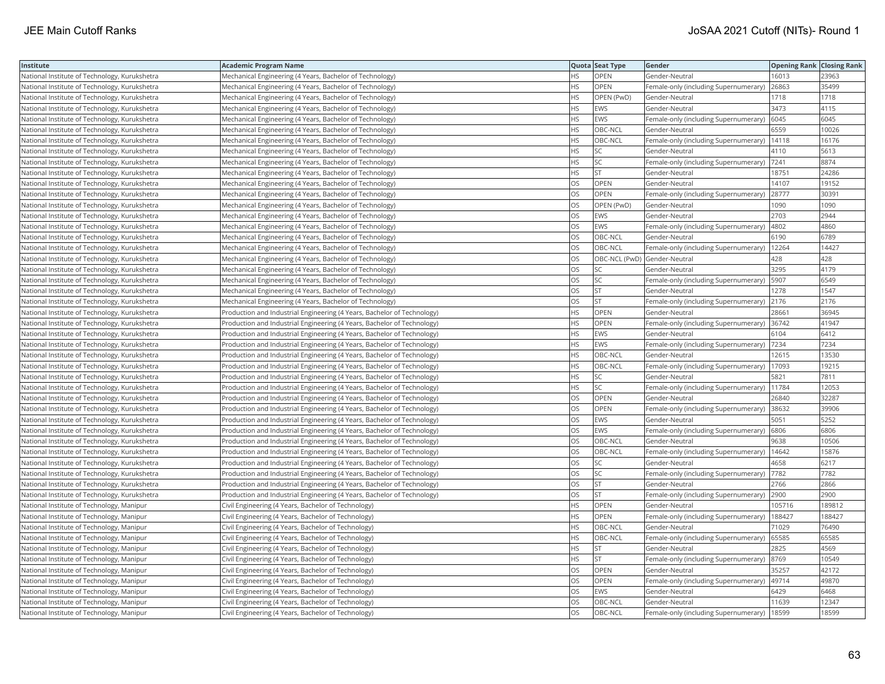| Institute                                     | Academic Program Name                                                   |           | Quota Seat Type              | Gender                                        | <b>Opening Rank Closing Rank</b> |        |
|-----------------------------------------------|-------------------------------------------------------------------------|-----------|------------------------------|-----------------------------------------------|----------------------------------|--------|
| National Institute of Technology, Kurukshetra | Mechanical Engineering (4 Years, Bachelor of Technology)                | HS.       | OPEN                         | Gender-Neutral                                | 16013                            | 23963  |
| National Institute of Technology, Kurukshetra | Mechanical Engineering (4 Years, Bachelor of Technology)                | HS        | OPEN                         | Female-only (including Supernumerary)         | 26863                            | 35499  |
| National Institute of Technology, Kurukshetra | Mechanical Engineering (4 Years, Bachelor of Technology)                | HS.       | OPEN (PwD)                   | Gender-Neutral                                | 1718                             | 1718   |
| National Institute of Technology, Kurukshetra | Mechanical Engineering (4 Years, Bachelor of Technology)                | HS        | <b>EWS</b>                   | Gender-Neutral                                | 3473                             | 4115   |
| National Institute of Technology, Kurukshetra | Mechanical Engineering (4 Years, Bachelor of Technology)                | HS        | EWS                          | Female-only (including Supernumerary)         | 6045                             | 6045   |
| National Institute of Technology, Kurukshetra | Mechanical Engineering (4 Years, Bachelor of Technology)                | HS        | OBC-NCL                      | Gender-Neutral                                | 6559                             | 10026  |
| National Institute of Technology, Kurukshetra | Mechanical Engineering (4 Years, Bachelor of Technology)                | HS        | OBC-NCL                      | Female-only (including Supernumerary)         | 14118                            | 16176  |
| National Institute of Technology, Kurukshetra | Mechanical Engineering (4 Years, Bachelor of Technology)                | HS.       | <b>SC</b>                    | Gender-Neutral                                | 4110                             | 5613   |
| National Institute of Technology, Kurukshetra | Mechanical Engineering (4 Years, Bachelor of Technology)                | HS        | <b>SC</b>                    | Female-only (including Supernumerary)         | 7241                             | 8874   |
| National Institute of Technology, Kurukshetra | Mechanical Engineering (4 Years, Bachelor of Technology)                | HS        | <b>ST</b>                    | Gender-Neutral                                | 18751                            | 24286  |
| National Institute of Technology, Kurukshetra | Mechanical Engineering (4 Years, Bachelor of Technology)                | OS        | OPEN                         | Gender-Neutral                                | 14107                            | 19152  |
| National Institute of Technology, Kurukshetra | Mechanical Engineering (4 Years, Bachelor of Technology)                | OS        | <b>OPEN</b>                  | Female-only (including Supernumerary)         | 28777                            | 30391  |
| National Institute of Technology, Kurukshetra | Mechanical Engineering (4 Years, Bachelor of Technology)                | <b>OS</b> | OPEN (PwD)                   | Gender-Neutral                                | 1090                             | 1090   |
| National Institute of Technology, Kurukshetra | Mechanical Engineering (4 Years, Bachelor of Technology)                | OS        | <b>EWS</b>                   | Gender-Neutral                                | 2703                             | 2944   |
| National Institute of Technology, Kurukshetra | Mechanical Engineering (4 Years, Bachelor of Technology)                | OS        | <b>EWS</b>                   | Female-only (including Supernumerary)         | 4802                             | 4860   |
| National Institute of Technology, Kurukshetra | Mechanical Engineering (4 Years, Bachelor of Technology)                | OS        | OBC-NCL                      | Gender-Neutral                                | 6190                             | 6789   |
| National Institute of Technology, Kurukshetra | Mechanical Engineering (4 Years, Bachelor of Technology)                | <b>OS</b> | OBC-NCL                      | Female-only (including Supernumerary)         | 12264                            | 14427  |
| National Institute of Technology, Kurukshetra | Mechanical Engineering (4 Years, Bachelor of Technology)                | OS        | OBC-NCL (PwD) Gender-Neutral |                                               | 428                              | 428    |
| National Institute of Technology, Kurukshetra | Mechanical Engineering (4 Years, Bachelor of Technology)                | OS        | SC                           | Gender-Neutral                                | 3295                             | 4179   |
| National Institute of Technology, Kurukshetra | Mechanical Engineering (4 Years, Bachelor of Technology)                | <b>OS</b> | <b>SC</b>                    | Female-only (including Supernumerary)         | 5907                             | 6549   |
| National Institute of Technology, Kurukshetra | Mechanical Engineering (4 Years, Bachelor of Technology)                | OS.       | <b>ST</b>                    | Gender-Neutral                                | 1278                             | 1547   |
| National Institute of Technology, Kurukshetra | Mechanical Engineering (4 Years, Bachelor of Technology)                | OS        | <b>ST</b>                    | Female-only (including Supernumerary) 2176    |                                  | 2176   |
| National Institute of Technology, Kurukshetra | Production and Industrial Engineering (4 Years, Bachelor of Technology) | ΗS        | OPEN                         | Gender-Neutral                                | 28661                            | 36945  |
| National Institute of Technology, Kurukshetra | Production and Industrial Engineering (4 Years, Bachelor of Technology) | HS        | OPEN                         | Female-only (including Supernumerary) 36742   |                                  | 41947  |
| National Institute of Technology, Kurukshetra | Production and Industrial Engineering (4 Years, Bachelor of Technology) | HS        | <b>EWS</b>                   | Gender-Neutral                                | 6104                             | 6412   |
| National Institute of Technology, Kurukshetra | Production and Industrial Engineering (4 Years, Bachelor of Technology) | <b>HS</b> | EWS                          | Female-only (including Supernumerary)         | 7234                             | 7234   |
| National Institute of Technology, Kurukshetra | Production and Industrial Engineering (4 Years, Bachelor of Technology) | HS        | OBC-NCL                      | Gender-Neutral                                | 12615                            | 13530  |
| National Institute of Technology, Kurukshetra | Production and Industrial Engineering (4 Years, Bachelor of Technology) | HS        | OBC-NCL                      | Female-only (including Supernumerary)         | 17093                            | 19215  |
| National Institute of Technology, Kurukshetra | Production and Industrial Engineering (4 Years, Bachelor of Technology) | <b>HS</b> | <b>SC</b>                    | Gender-Neutral                                | 5821                             | 7811   |
| National Institute of Technology, Kurukshetra | Production and Industrial Engineering (4 Years, Bachelor of Technology) | HS        | SC                           | Female-only (including Supernumerary)   11784 |                                  | 12053  |
| National Institute of Technology, Kurukshetra | Production and Industrial Engineering (4 Years, Bachelor of Technology) | OS        | OPEN                         | Gender-Neutral                                | 26840                            | 32287  |
| National Institute of Technology, Kurukshetra | Production and Industrial Engineering (4 Years, Bachelor of Technology) | OS        | OPEN                         | Female-only (including Supernumerary)         | 38632                            | 39906  |
| National Institute of Technology, Kurukshetra | Production and Industrial Engineering (4 Years, Bachelor of Technology) | OS        | EWS                          | Gender-Neutral                                | 5051                             | 5252   |
| National Institute of Technology, Kurukshetra | Production and Industrial Engineering (4 Years, Bachelor of Technology) | OS        | <b>EWS</b>                   | Female-only (including Supernumerary)         | 6806                             | 6806   |
| National Institute of Technology, Kurukshetra | Production and Industrial Engineering (4 Years, Bachelor of Technology) | OS        | OBC-NCL                      | Gender-Neutral                                | 9638                             | 10506  |
| National Institute of Technology, Kurukshetra | Production and Industrial Engineering (4 Years, Bachelor of Technology) | <b>OS</b> | OBC-NCL                      | Female-only (including Supernumerary)         | 14642                            | 15876  |
| National Institute of Technology, Kurukshetra | Production and Industrial Engineering (4 Years, Bachelor of Technology) | OS        | SC                           | Gender-Neutral                                | 4658                             | 6217   |
| National Institute of Technology, Kurukshetra | Production and Industrial Engineering (4 Years, Bachelor of Technology) | OS        | <b>SC</b>                    | Female-only (including Supernumerary)  7782   |                                  | 7782   |
| National Institute of Technology, Kurukshetra | Production and Industrial Engineering (4 Years, Bachelor of Technology) | OS        | <b>ST</b>                    | Gender-Neutral                                | 2766                             | 2866   |
| National Institute of Technology, Kurukshetra | Production and Industrial Engineering (4 Years, Bachelor of Technology) | OS        | <b>ST</b>                    | Female-only (including Supernumerary)         | 2900                             | 2900   |
| National Institute of Technology, Manipur     | Civil Engineering (4 Years, Bachelor of Technology)                     | HS.       | OPEN                         | Gender-Neutral                                | 105716                           | 189812 |
| National Institute of Technology, Manipur     | Civil Engineering (4 Years, Bachelor of Technology)                     | HS        | OPEN                         | Female-only (including Supernumerary)         | 188427                           | 188427 |
| National Institute of Technology, Manipur     | Civil Engineering (4 Years, Bachelor of Technology)                     | HS.       | OBC-NCL                      | Gender-Neutral                                | 71029                            | 76490  |
| National Institute of Technology, Manipur     | Civil Engineering (4 Years, Bachelor of Technology)                     | <b>HS</b> | OBC-NCL                      | Female-only (including Supernumerary)         | 65585                            | 65585  |
| National Institute of Technology, Manipur     | Civil Engineering (4 Years, Bachelor of Technology)                     | HS        | <b>ST</b>                    | Gender-Neutral                                | 2825                             | 4569   |
| National Institute of Technology, Manipur     | Civil Engineering (4 Years, Bachelor of Technology)                     | HS.       | <b>ST</b>                    | Female-only (including Supernumerary)         | 8769                             | 10549  |
| National Institute of Technology, Manipur     | Civil Engineering (4 Years, Bachelor of Technology)                     | OS.       | OPEN                         | Gender-Neutral                                | 35257                            | 42172  |
| National Institute of Technology, Manipur     | Civil Engineering (4 Years, Bachelor of Technology)                     | OS        | <b>OPEN</b>                  | Female-only (including Supernumerary)         | 49714                            | 49870  |
| National Institute of Technology, Manipur     | Civil Engineering (4 Years, Bachelor of Technology)                     | OS        | EWS                          | Gender-Neutral                                | 6429                             | 6468   |
| National Institute of Technology, Manipur     | Civil Engineering (4 Years, Bachelor of Technology)                     | OS        | OBC-NCL                      | Gender-Neutral                                | 11639                            | 12347  |
| National Institute of Technology, Manipur     | Civil Engineering (4 Years, Bachelor of Technology)                     | <b>OS</b> | OBC-NCL                      | Female-only (including Supernumerary)         | 18599                            | 18599  |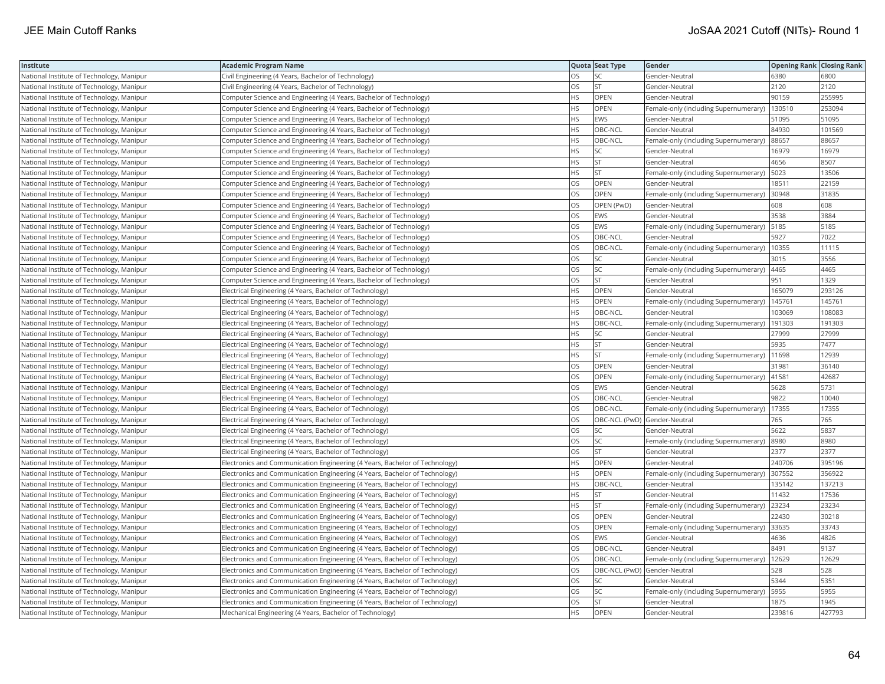| Institute                                 | Academic Program Name                                                       |           | Quota Seat Type              | Gender                                        | <b>Opening Rank Closing Rank</b> |        |
|-------------------------------------------|-----------------------------------------------------------------------------|-----------|------------------------------|-----------------------------------------------|----------------------------------|--------|
| National Institute of Technology, Manipur | Civil Engineering (4 Years, Bachelor of Technology)                         | OS        | SC                           | Gender-Neutral                                | 6380                             | 6800   |
| National Institute of Technology, Manipur | Civil Engineering (4 Years, Bachelor of Technology)                         | OS.       | <b>ST</b>                    | Gender-Neutral                                | 2120                             | 2120   |
| National Institute of Technology, Manipur | Computer Science and Engineering (4 Years, Bachelor of Technology)          | <b>HS</b> | OPEN                         | Gender-Neutral                                | 90159                            | 255995 |
| National Institute of Technology, Manipur | Computer Science and Engineering (4 Years, Bachelor of Technology)          | HS        | OPEN                         | Female-only (including Supernumerary)         | 130510                           | 253094 |
| National Institute of Technology, Manipur | Computer Science and Engineering (4 Years, Bachelor of Technology)          | HS        | EWS                          | Gender-Neutral                                | 51095                            | 51095  |
| National Institute of Technology, Manipur | Computer Science and Engineering (4 Years, Bachelor of Technology)          | HS        | OBC-NCL                      | Gender-Neutral                                | 84930                            | 101569 |
| National Institute of Technology, Manipur | Computer Science and Engineering (4 Years, Bachelor of Technology)          | HS        | OBC-NCL                      | Female-only (including Supernumerary)         | 88657                            | 88657  |
| National Institute of Technology, Manipur | Computer Science and Engineering (4 Years, Bachelor of Technology)          | HS        | <b>SC</b>                    | Gender-Neutral                                | 16979                            | 16979  |
| National Institute of Technology, Manipur | Computer Science and Engineering (4 Years, Bachelor of Technology)          | HS        | <b>ST</b>                    | Gender-Neutral                                | 4656                             | 8507   |
| National Institute of Technology, Manipur | Computer Science and Engineering (4 Years, Bachelor of Technology)          | <b>HS</b> | ST                           | Female-only (including Supernumerary)         | 5023                             | 13506  |
| National Institute of Technology, Manipur | Computer Science and Engineering (4 Years, Bachelor of Technology)          | OS.       | OPEN                         | Gender-Neutral                                | 18511                            | 22159  |
| National Institute of Technology, Manipur | Computer Science and Engineering (4 Years, Bachelor of Technology)          | OS        | <b>OPEN</b>                  | Female-only (including Supernumerary)         | 30948                            | 31835  |
| National Institute of Technology, Manipur | Computer Science and Engineering (4 Years, Bachelor of Technology)          | OS.       | OPEN (PwD)                   | Gender-Neutral                                | 608                              | 608    |
| National Institute of Technology, Manipur | Computer Science and Engineering (4 Years, Bachelor of Technology)          | OS        | EWS                          | Gender-Neutral                                | 3538                             | 3884   |
| National Institute of Technology, Manipur | Computer Science and Engineering (4 Years, Bachelor of Technology)          | OS        | <b>EWS</b>                   | Female-only (including Supernumerary)         | 5185                             | 5185   |
| National Institute of Technology, Manipur | Computer Science and Engineering (4 Years, Bachelor of Technology)          | OS.       | OBC-NCL                      | Gender-Neutral                                | 5927                             | 7022   |
| National Institute of Technology, Manipur | Computer Science and Engineering (4 Years, Bachelor of Technology)          | OS        | OBC-NCL                      | Female-only (including Supernumerary)         | 10355                            | 11115  |
| National Institute of Technology, Manipur | Computer Science and Engineering (4 Years, Bachelor of Technology)          | OS        | SC                           | Gender-Neutral                                | 3015                             | 3556   |
| National Institute of Technology, Manipur | Computer Science and Engineering (4 Years, Bachelor of Technology)          | OS.       | <b>SC</b>                    | Female-only (including Supernumerary)         | 4465                             | 4465   |
| National Institute of Technology, Manipur | Computer Science and Engineering (4 Years, Bachelor of Technology)          | OS        | <b>ST</b>                    | Gender-Neutral                                | 951                              | 1329   |
| National Institute of Technology, Manipur | Electrical Engineering (4 Years, Bachelor of Technology)                    | HS.       | OPEN                         | Gender-Neutral                                | 165079                           | 293126 |
| National Institute of Technology, Manipur | Electrical Engineering (4 Years, Bachelor of Technology)                    | HS.       | OPEN                         | Female-only (including Supernumerary)         | 145761                           | 145761 |
| National Institute of Technology, Manipur | Electrical Engineering (4 Years, Bachelor of Technology)                    | HS        | OBC-NCL                      | Gender-Neutral                                | 103069                           | 108083 |
| National Institute of Technology, Manipur | Electrical Engineering (4 Years, Bachelor of Technology)                    | HS        | OBC-NCL                      | Female-only (including Supernumerary)         | 191303                           | 191303 |
| National Institute of Technology, Manipur | Electrical Engineering (4 Years, Bachelor of Technology)                    | HS.       | SC                           | Gender-Neutral                                | 27999                            | 27999  |
| National Institute of Technology, Manipur | Electrical Engineering (4 Years, Bachelor of Technology)                    | HS        | ST                           | Gender-Neutral                                | 5935                             | 7477   |
| National Institute of Technology, Manipur | Electrical Engineering (4 Years, Bachelor of Technology)                    | HS.       | <b>ST</b>                    | Female-only (including Supernumerary)         | 11698                            | 12939  |
| National Institute of Technology, Manipur | Electrical Engineering (4 Years, Bachelor of Technology)                    | OS        | <b>OPEN</b>                  | Gender-Neutral                                | 31981                            | 36140  |
| National Institute of Technology, Manipur | Electrical Engineering (4 Years, Bachelor of Technology)                    | OS        | OPEN                         | Female-only (including Supernumerary)   41581 |                                  | 42687  |
| National Institute of Technology, Manipur | Electrical Engineering (4 Years, Bachelor of Technology)                    | OS        | <b>EWS</b>                   | Gender-Neutral                                | 5628                             | 5731   |
| National Institute of Technology, Manipur | Electrical Engineering (4 Years, Bachelor of Technology)                    | OS        | OBC-NCL                      | Gender-Neutral                                | 9822                             | 10040  |
| National Institute of Technology, Manipur | Electrical Engineering (4 Years, Bachelor of Technology)                    | OS        | OBC-NCL                      | Female-only (including Supernumerary)         | 17355                            | 17355  |
| National Institute of Technology, Manipur | Electrical Engineering (4 Years, Bachelor of Technology)                    | OS        | OBC-NCL (PwD) Gender-Neutral |                                               | 765                              | 765    |
| National Institute of Technology, Manipur | Electrical Engineering (4 Years, Bachelor of Technology)                    | OS        | SC                           | Gender-Neutral                                | 5622                             | 5837   |
| National Institute of Technology, Manipur | Electrical Engineering (4 Years, Bachelor of Technology)                    | <b>OS</b> | SC                           | Female-only (including Supernumerary)         | 8980                             | 8980   |
| National Institute of Technology, Manipur | Electrical Engineering (4 Years, Bachelor of Technology)                    | OS        | <b>ST</b>                    | Gender-Neutral                                | 2377                             | 2377   |
| National Institute of Technology, Manipur | Electronics and Communication Engineering (4 Years, Bachelor of Technology) | HS        | OPEN                         | Gender-Neutral                                | 240706                           | 395196 |
| National Institute of Technology, Manipur | Electronics and Communication Engineering (4 Years, Bachelor of Technology) | ΗS        | OPEN                         | Female-only (including Supernumerary)  307552 |                                  | 356922 |
| National Institute of Technology, Manipur | Electronics and Communication Engineering (4 Years, Bachelor of Technology) | <b>HS</b> | OBC-NCL                      | Gender-Neutral                                | 135142                           | 137213 |
| National Institute of Technology, Manipur | Electronics and Communication Engineering (4 Years, Bachelor of Technology) | HS        | <b>ST</b>                    | Gender-Neutral                                | 11432                            | 17536  |
| National Institute of Technology, Manipur | Electronics and Communication Engineering (4 Years, Bachelor of Technology) | <b>HS</b> | <b>ST</b>                    | Female-only (including Supernumerary)         | 23234                            | 23234  |
| National Institute of Technology, Manipur | Electronics and Communication Engineering (4 Years, Bachelor of Technology) | OS        | OPEN                         | Gender-Neutral                                | 22430                            | 30218  |
| National Institute of Technology, Manipur | Electronics and Communication Engineering (4 Years, Bachelor of Technology) | OS        | OPEN                         | Female-only (including Supernumerary)         | 33635                            | 33743  |
| National Institute of Technology, Manipur | Electronics and Communication Engineering (4 Years, Bachelor of Technology) | OS        | EWS                          | Gender-Neutral                                | 4636                             | 4826   |
| National Institute of Technology, Manipur | Electronics and Communication Engineering (4 Years, Bachelor of Technology) | OS        | OBC-NCL                      | Gender-Neutral                                | 8491                             | 9137   |
| National Institute of Technology, Manipur | Electronics and Communication Engineering (4 Years, Bachelor of Technology) | OS        | OBC-NCL                      | Female-only (including Supernumerary)         | 12629                            | 12629  |
| National Institute of Technology, Manipur | Electronics and Communication Engineering (4 Years, Bachelor of Technology) | OS.       | OBC-NCL (PwD) Gender-Neutral |                                               | 528                              | 528    |
| National Institute of Technology, Manipur | Electronics and Communication Engineering (4 Years, Bachelor of Technology) | OS        | SC                           | Gender-Neutral                                | 5344                             | 5351   |
| National Institute of Technology, Manipur | Electronics and Communication Engineering (4 Years, Bachelor of Technology) | OS        | SC                           | Female-only (including Supernumerary)         | 5955                             | 5955   |
| National Institute of Technology, Manipur | Electronics and Communication Engineering (4 Years, Bachelor of Technology) | OS.       | <b>ST</b>                    | Gender-Neutral                                | 1875                             | 1945   |
| National Institute of Technology, Manipur | Mechanical Engineering (4 Years, Bachelor of Technology)                    | <b>HS</b> | <b>OPEN</b>                  | Gender-Neutral                                | 239816                           | 427793 |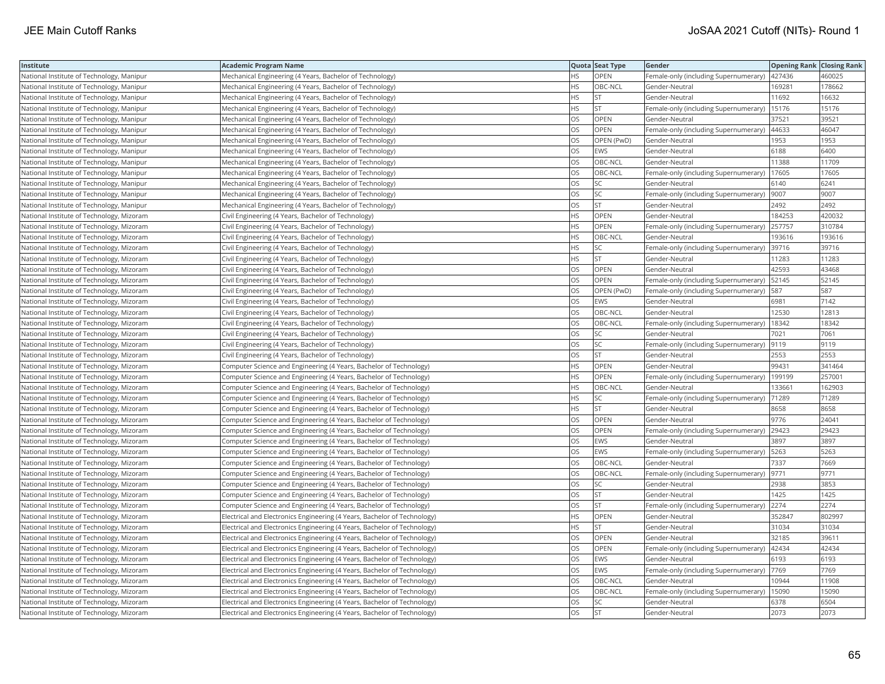| Institute                                 | <b>Academic Program Name</b>                                             |           | Quota Seat Type | Gender                                        | <b>Opening Rank Closing Rank</b> |        |
|-------------------------------------------|--------------------------------------------------------------------------|-----------|-----------------|-----------------------------------------------|----------------------------------|--------|
| National Institute of Technology, Manipur | Mechanical Engineering (4 Years, Bachelor of Technology)                 | <b>HS</b> | OPEN            | Female-only (including Supernumerary) 427436  |                                  | 460025 |
| National Institute of Technology, Manipur | Mechanical Engineering (4 Years, Bachelor of Technology)                 | ΗS        | OBC-NCL         | Gender-Neutral                                | 169281                           | 178662 |
| National Institute of Technology, Manipur | Mechanical Engineering (4 Years, Bachelor of Technology)                 | HS        | <b>ST</b>       | Gender-Neutral                                | 11692                            | 16632  |
| National Institute of Technology, Manipur | Mechanical Engineering (4 Years, Bachelor of Technology)                 | HS        | <b>ST</b>       | Female-only (including Supernumerary)         | 15176                            | 15176  |
| National Institute of Technology, Manipur | Mechanical Engineering (4 Years, Bachelor of Technology)                 | OS        | OPEN            | Gender-Neutral                                | 37521                            | 39521  |
| National Institute of Technology, Manipur | Mechanical Engineering (4 Years, Bachelor of Technology)                 | OS        | <b>OPEN</b>     | Female-only (including Supernumerary)         | 44633                            | 46047  |
| National Institute of Technology, Manipur | Mechanical Engineering (4 Years, Bachelor of Technology)                 | OS        | OPEN (PwD)      | Gender-Neutral                                | 1953                             | 1953   |
| National Institute of Technology, Manipur | Mechanical Engineering (4 Years, Bachelor of Technology)                 | OS        | EWS             | Gender-Neutral                                | 6188                             | 6400   |
| National Institute of Technology, Manipur | Mechanical Engineering (4 Years, Bachelor of Technology)                 | OS        | OBC-NCL         | Gender-Neutral                                | 11388                            | 11709  |
| National Institute of Technology, Manipur | Mechanical Engineering (4 Years, Bachelor of Technology)                 | OS        | OBC-NCL         | Female-only (including Supernumerary)         | 17605                            | 17605  |
| National Institute of Technology, Manipur | Mechanical Engineering (4 Years, Bachelor of Technology)                 | OS        | <b>SC</b>       | Gender-Neutral                                | 6140                             | 6241   |
| National Institute of Technology, Manipur | Mechanical Engineering (4 Years, Bachelor of Technology)                 | OS        | SC              | Female-only (including Supernumerary)         | 9007                             | 9007   |
| National Institute of Technology, Manipur | Mechanical Engineering (4 Years, Bachelor of Technology)                 | <b>OS</b> | <b>ST</b>       | Gender-Neutral                                | 2492                             | 2492   |
| National Institute of Technology, Mizoram | Civil Engineering (4 Years, Bachelor of Technology)                      | <b>HS</b> | OPEN            | Gender-Neutral                                | 184253                           | 420032 |
| National Institute of Technology, Mizoram | Civil Engineering (4 Years, Bachelor of Technology)                      | HS        | OPEN            | Female-only (including Supernumerary)         | 257757                           | 310784 |
| National Institute of Technology, Mizoram | Civil Engineering (4 Years, Bachelor of Technology)                      | ΗS        | OBC-NCL         | Gender-Neutral                                | 193616                           | 193616 |
| National Institute of Technology, Mizoram | Civil Engineering (4 Years, Bachelor of Technology)                      | <b>HS</b> | <b>SC</b>       | Female-only (including Supernumerary) 39716   |                                  | 39716  |
| National Institute of Technology, Mizoram | Civil Engineering (4 Years, Bachelor of Technology)                      | ΗS        | <b>ST</b>       | Gender-Neutral                                | 11283                            | 11283  |
| National Institute of Technology, Mizoram | Civil Engineering (4 Years, Bachelor of Technology)                      | OS        | OPEN            | Gender-Neutral                                | 42593                            | 43468  |
| National Institute of Technology, Mizoram | Civil Engineering (4 Years, Bachelor of Technology)                      | OS        | OPEN            | Female-only (including Supernumerary)         | 52145                            | 52145  |
| National Institute of Technology, Mizoram | Civil Engineering (4 Years, Bachelor of Technology)                      | OS        | OPEN (PwD)      | Female-only (including Supernumerary)         | 587                              | 587    |
| National Institute of Technology, Mizoram | Civil Engineering (4 Years, Bachelor of Technology)                      | OS        | <b>EWS</b>      | Gender-Neutral                                | 6981                             | 7142   |
| National Institute of Technology, Mizoram | Civil Engineering (4 Years, Bachelor of Technology)                      | OS        | OBC-NCL         | Gender-Neutral                                | 12530                            | 12813  |
| National Institute of Technology, Mizoram | Civil Engineering (4 Years, Bachelor of Technology)                      | OS        | OBC-NCL         | Female-only (including Supernumerary)   18342 |                                  | 18342  |
| National Institute of Technology, Mizoram | Civil Engineering (4 Years, Bachelor of Technology)                      | OS        | SC              | Gender-Neutral                                | 7021                             | 7061   |
| National Institute of Technology, Mizoram | Civil Engineering (4 Years, Bachelor of Technology)                      | <b>OS</b> | <b>SC</b>       | Female-only (including Supernumerary)         | 9119                             | 9119   |
| National Institute of Technology, Mizoram | Civil Engineering (4 Years, Bachelor of Technology)                      | OS        | <b>ST</b>       | Gender-Neutral                                | 2553                             | 2553   |
| National Institute of Technology, Mizoram | Computer Science and Engineering (4 Years, Bachelor of Technology)       | HS        | OPEN            | Gender-Neutral                                | 99431                            | 341464 |
| National Institute of Technology, Mizoram | Computer Science and Engineering (4 Years, Bachelor of Technology)       | <b>HS</b> | <b>OPEN</b>     | Female-only (including Supernumerary)         | 199199                           | 257001 |
| National Institute of Technology, Mizoram | Computer Science and Engineering (4 Years, Bachelor of Technology)       | HS        | OBC-NCL         | Gender-Neutral                                | 133661                           | 162903 |
| National Institute of Technology, Mizoram | Computer Science and Engineering (4 Years, Bachelor of Technology)       | НS        | SC              | Female-only (including Supernumerary) 71289   |                                  | 71289  |
| National Institute of Technology, Mizoram | Computer Science and Engineering (4 Years, Bachelor of Technology)       | ΗS        | ST              | Gender-Neutral                                | 8658                             | 8658   |
| National Institute of Technology, Mizoram | Computer Science and Engineering (4 Years, Bachelor of Technology)       | OS        | <b>OPEN</b>     | Gender-Neutral                                | 9776                             | 24041  |
| National Institute of Technology, Mizoram | Computer Science and Engineering (4 Years, Bachelor of Technology)       | OS        | OPEN            | Female-only (including Supernumerary)         | 29423                            | 29423  |
| National Institute of Technology, Mizoram | Computer Science and Engineering (4 Years, Bachelor of Technology)       | OS        | EWS             | Gender-Neutral                                | 3897                             | 3897   |
| National Institute of Technology, Mizoram | Computer Science and Engineering (4 Years, Bachelor of Technology)       | <b>OS</b> | <b>EWS</b>      | Female-only (including Supernumerary)         | 5263                             | 5263   |
| National Institute of Technology, Mizoram | Computer Science and Engineering (4 Years, Bachelor of Technology)       | OS        | OBC-NCL         | Gender-Neutral                                | 7337                             | 7669   |
| National Institute of Technology, Mizoram | Computer Science and Engineering (4 Years, Bachelor of Technology)       | OS        | OBC-NCL         | Female-only (including Supernumerary)  9771   |                                  | 9771   |
| National Institute of Technology, Mizoram | Computer Science and Engineering (4 Years, Bachelor of Technology)       | OS        | SC              | Gender-Neutral                                | 2938                             | 3853   |
| National Institute of Technology, Mizoram | Computer Science and Engineering (4 Years, Bachelor of Technology)       | OS        | <b>ST</b>       | Gender-Neutral                                | 1425                             | 1425   |
| National Institute of Technology, Mizoram | Computer Science and Engineering (4 Years, Bachelor of Technology)       | OS        | <b>ST</b>       | Female-only (including Supernumerary)         | 2274                             | 2274   |
| National Institute of Technology, Mizoram | Electrical and Electronics Engineering (4 Years, Bachelor of Technology) | HS        | OPEN            | Gender-Neutral                                | 352847                           | 802997 |
| National Institute of Technology, Mizoram | Electrical and Electronics Engineering (4 Years, Bachelor of Technology) | HS        | <b>ST</b>       | Gender-Neutral                                | 31034                            | 31034  |
| National Institute of Technology, Mizoram | Electrical and Electronics Engineering (4 Years, Bachelor of Technology) | OS        | <b>OPEN</b>     | Gender-Neutral                                | 32185                            | 39611  |
| National Institute of Technology, Mizoram | Electrical and Electronics Engineering (4 Years, Bachelor of Technology) | OS        | <b>OPEN</b>     | Female-only (including Supernumerary)         | 42434                            | 42434  |
| National Institute of Technology, Mizoram | Electrical and Electronics Engineering (4 Years, Bachelor of Technology) | OS        | EWS             | Gender-Neutral                                | 6193                             | 6193   |
| National Institute of Technology, Mizoram | Electrical and Electronics Engineering (4 Years, Bachelor of Technology) | OS        | <b>EWS</b>      | Female-only (including Supernumerary)   7769  |                                  | 7769   |
| National Institute of Technology, Mizoram | Electrical and Electronics Engineering (4 Years, Bachelor of Technology) | OS        | OBC-NCL         | Gender-Neutral                                | 10944                            | 11908  |
| National Institute of Technology, Mizoram | Electrical and Electronics Engineering (4 Years, Bachelor of Technology) | OS        | OBC-NCL         | Female-only (including Supernumerary)         | 15090                            | 15090  |
| National Institute of Technology, Mizoram | Electrical and Electronics Engineering (4 Years, Bachelor of Technology) | OS        | SC              | Gender-Neutral                                | 6378                             | 6504   |
| National Institute of Technology, Mizoram | Electrical and Electronics Engineering (4 Years, Bachelor of Technology) | OS        | <b>ST</b>       | Gender-Neutral                                | 2073                             | 2073   |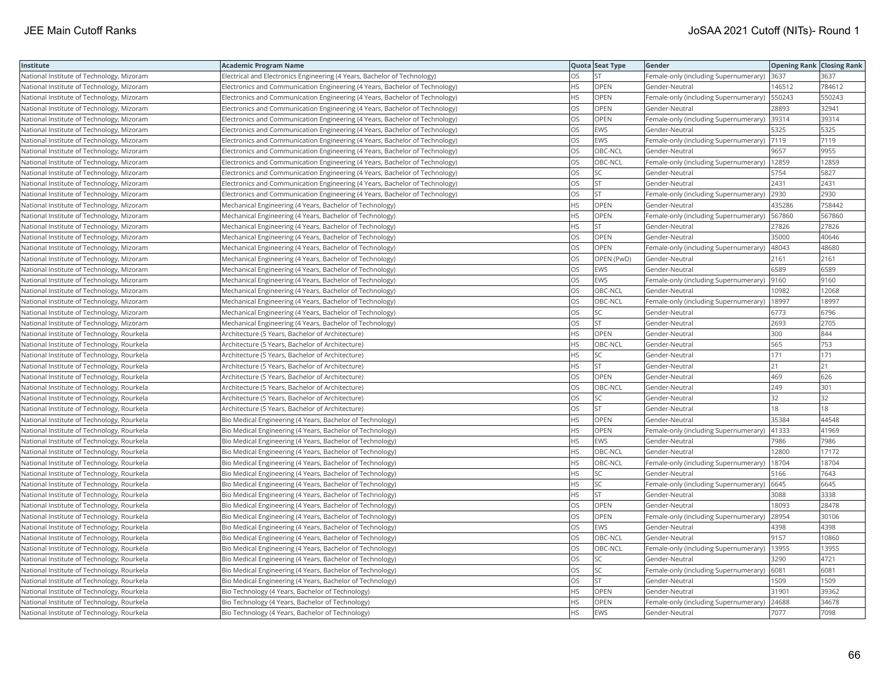| Institute                                  | <b>Academic Program Name</b>                                                |           | Quota Seat Type | Gender                                        | <b>Opening Rank Closing Rank</b> |        |
|--------------------------------------------|-----------------------------------------------------------------------------|-----------|-----------------|-----------------------------------------------|----------------------------------|--------|
| National Institute of Technology, Mizoram  | Electrical and Electronics Engineering (4 Years, Bachelor of Technology)    | OS        | <b>ST</b>       | Female-only (including Supernumerary)         | 3637                             | 3637   |
| National Institute of Technology, Mizoram  | Electronics and Communication Engineering (4 Years, Bachelor of Technology) | <b>HS</b> | OPEN            | Gender-Neutral                                | 146512                           | 784612 |
| National Institute of Technology, Mizoram  | Electronics and Communication Engineering (4 Years, Bachelor of Technology) | <b>HS</b> | OPEN            | Female-only (including Supernumerary)         | 550243                           | 550243 |
| National Institute of Technology, Mizoram  | Electronics and Communication Engineering (4 Years, Bachelor of Technology) | OS        | OPEN            | Gender-Neutral                                | 28893                            | 32941  |
| National Institute of Technology, Mizoram  | Electronics and Communication Engineering (4 Years, Bachelor of Technology) | OS        | <b>OPEN</b>     | Female-only (including Supernumerary)         | 39314                            | 39314  |
| National Institute of Technology, Mizoram  | Electronics and Communication Engineering (4 Years, Bachelor of Technology) | OS        | <b>EWS</b>      | Gender-Neutral                                | 5325                             | 5325   |
| National Institute of Technology, Mizoram  | Electronics and Communication Engineering (4 Years, Bachelor of Technology) | OS        | EWS             | Female-only (including Supernumerary)  7119   |                                  | 7119   |
| National Institute of Technology, Mizoram  | Electronics and Communication Engineering (4 Years, Bachelor of Technology) | OS        | OBC-NCL         | Gender-Neutral                                | 9657                             | 9955   |
| National Institute of Technology, Mizoram  | Electronics and Communication Engineering (4 Years, Bachelor of Technology) | OS        | OBC-NCL         | Female-only (including Supernumerary)         | 12859                            | 12859  |
| National Institute of Technology, Mizoram  | Electronics and Communication Engineering (4 Years, Bachelor of Technology) | OS        | <b>SC</b>       | Gender-Neutral                                | 5754                             | 5827   |
| National Institute of Technology, Mizoram  | Electronics and Communication Engineering (4 Years, Bachelor of Technology) | OS        | <b>ST</b>       | Gender-Neutral                                | 2431                             | 2431   |
| National Institute of Technology, Mizoram  | Electronics and Communication Engineering (4 Years, Bachelor of Technology) | OS        | <b>ST</b>       | Female-only (including Supernumerary)         | 2930                             | 2930   |
| National Institute of Technology, Mizoram  | Mechanical Engineering (4 Years, Bachelor of Technology)                    | HS.       | OPEN            | Gender-Neutral                                | 435286                           | 758442 |
| National Institute of Technology, Mizoram  | Mechanical Engineering (4 Years, Bachelor of Technology)                    | ΗS        | OPEN            | Female-only (including Supernumerary)         | 567860                           | 567860 |
| National Institute of Technology, Mizoram  | Mechanical Engineering (4 Years, Bachelor of Technology)                    | HS        | <b>ST</b>       | Gender-Neutral                                | 27826                            | 27826  |
| National Institute of Technology, Mizoram  | Mechanical Engineering (4 Years, Bachelor of Technology)                    | OS        | OPEN            | Gender-Neutral                                | 35000                            | 40646  |
| National Institute of Technology, Mizoram  | Mechanical Engineering (4 Years, Bachelor of Technology)                    | OS        | <b>OPEN</b>     | Female-only (including Supernumerary)         | 48043                            | 48680  |
| National Institute of Technology, Mizoram  | Mechanical Engineering (4 Years, Bachelor of Technology)                    | OS        | OPEN (PwD)      | Gender-Neutral                                | 2161                             | 2161   |
| National Institute of Technology, Mizoram  | Mechanical Engineering (4 Years, Bachelor of Technology)                    | OS        | <b>EWS</b>      | Gender-Neutral                                | 6589                             | 6589   |
| National Institute of Technology, Mizoram  | Mechanical Engineering (4 Years, Bachelor of Technology)                    | OS        | <b>EWS</b>      | Female-only (including Supernumerary)         | 9160                             | 9160   |
| National Institute of Technology, Mizoram  | Mechanical Engineering (4 Years, Bachelor of Technology)                    | OS        | OBC-NCL         | Gender-Neutral                                | 10982                            | 12068  |
| National Institute of Technology, Mizoram  | Mechanical Engineering (4 Years, Bachelor of Technology)                    | OS        | OBC-NCL         | Female-only (including Supernumerary)   18997 |                                  | 18997  |
| National Institute of Technology, Mizoram  | Mechanical Engineering (4 Years, Bachelor of Technology)                    | OS        | SC              | Gender-Neutral                                | 6773                             | 6796   |
| National Institute of Technology, Mizoram  | Mechanical Engineering (4 Years, Bachelor of Technology)                    | OS        | <b>ST</b>       | Gender-Neutral                                | 2693                             | 2705   |
| National Institute of Technology, Rourkela | Architecture (5 Years, Bachelor of Architecture)                            | HS        | OPEN            | Gender-Neutral                                | 300                              | 844    |
| National Institute of Technology, Rourkela | Architecture (5 Years, Bachelor of Architecture)                            | HS        | OBC-NCL         | Gender-Neutral                                | 565                              | 753    |
| National Institute of Technology, Rourkela | Architecture (5 Years, Bachelor of Architecture)                            | <b>HS</b> | <b>SC</b>       | Gender-Neutral                                | 171                              | 171    |
| National Institute of Technology, Rourkela | Architecture (5 Years, Bachelor of Architecture)                            | HS        | <b>ST</b>       | Gender-Neutral                                | 21                               | 21     |
| National Institute of Technology, Rourkela | Architecture (5 Years, Bachelor of Architecture)                            | OS        | OPEN            | Gender-Neutral                                | 469                              | 626    |
| National Institute of Technology, Rourkela | Architecture (5 Years, Bachelor of Architecture)                            | OS        | OBC-NCL         | Gender-Neutral                                | 249                              | 301    |
| National Institute of Technology, Rourkela | Architecture (5 Years, Bachelor of Architecture)                            | OS        | SC              | Gender-Neutral                                | 32                               | 32     |
| National Institute of Technology, Rourkela | Architecture (5 Years, Bachelor of Architecture)                            | ЭS        | <b>ST</b>       | Gender-Neutral                                | 18                               | 18     |
| National Institute of Technology, Rourkela | Bio Medical Engineering (4 Years, Bachelor of Technology)                   | HS        | OPEN            | Gender-Neutral                                | 35384                            | 44548  |
| National Institute of Technology, Rourkela | Bio Medical Engineering (4 Years, Bachelor of Technology)                   | HS        | OPEN            | Female-only (including Supernumerary)         | 41333                            | 41969  |
| National Institute of Technology, Rourkela | Bio Medical Engineering (4 Years, Bachelor of Technology)                   | HS        | <b>EWS</b>      | Gender-Neutral                                | 7986                             | 7986   |
| National Institute of Technology, Rourkela | Bio Medical Engineering (4 Years, Bachelor of Technology)                   | HS        | OBC-NCL         | Gender-Neutral                                | 12800                            | 17172  |
| National Institute of Technology, Rourkela | Bio Medical Engineering (4 Years, Bachelor of Technology)                   | HS        | OBC-NCL         | Female-only (including Supernumerary)         | 18704                            | 18704  |
| National Institute of Technology, Rourkela | Bio Medical Engineering (4 Years, Bachelor of Technology)                   | ΗS        | SC              | Gender-Neutral                                | 5166                             | 7643   |
| National Institute of Technology, Rourkela | Bio Medical Engineering (4 Years, Bachelor of Technology)                   | <b>HS</b> | <b>SC</b>       | Female-only (including Supernumerary)         | 6645                             | 6645   |
| National Institute of Technology, Rourkela | Bio Medical Engineering (4 Years, Bachelor of Technology)                   | ΗS        | <b>ST</b>       | Gender-Neutral                                | 3088                             | 3338   |
| National Institute of Technology, Rourkela | Bio Medical Engineering (4 Years, Bachelor of Technology)                   | OS        | OPEN            | Gender-Neutral                                | 18093                            | 28478  |
| National Institute of Technology, Rourkela | Bio Medical Engineering (4 Years, Bachelor of Technology)                   | OS        | OPEN            | Female-only (including Supernumerary)         | 28954                            | 30106  |
| National Institute of Technology, Rourkela | Bio Medical Engineering (4 Years, Bachelor of Technology)                   | OS        | <b>EWS</b>      | Gender-Neutral                                | 4398                             | 4398   |
| National Institute of Technology, Rourkela | Bio Medical Engineering (4 Years, Bachelor of Technology)                   | OS        | OBC-NCL         | Gender-Neutral                                | 9157                             | 10860  |
| National Institute of Technology, Rourkela | Bio Medical Engineering (4 Years, Bachelor of Technology)                   | OS        | OBC-NCL         | Female-only (including Supernumerary)   13955 |                                  | 13955  |
| National Institute of Technology, Rourkela | Bio Medical Engineering (4 Years, Bachelor of Technology)                   | OS        | SC              | Gender-Neutral                                | 3290                             | 4721   |
| National Institute of Technology, Rourkela | Bio Medical Engineering (4 Years, Bachelor of Technology)                   | OS        | <b>SC</b>       | Female-only (including Supernumerary)         | 6081                             | 6081   |
| National Institute of Technology, Rourkela | Bio Medical Engineering (4 Years, Bachelor of Technology)                   | OS        | <b>ST</b>       | Gender-Neutral                                | 1509                             | 1509   |
| National Institute of Technology, Rourkela | Bio Technology (4 Years, Bachelor of Technology)                            | HS        | OPEN            | Gender-Neutral                                | 31901                            | 39362  |
| National Institute of Technology, Rourkela | Bio Technology (4 Years, Bachelor of Technology)                            | HS        | OPEN            | Female-only (including Supernumerary)         | 24688                            | 34678  |
| National Institute of Technology, Rourkela | Bio Technology (4 Years, Bachelor of Technology)                            | <b>HS</b> | <b>EWS</b>      | Gender-Neutral                                | 7077                             | 7098   |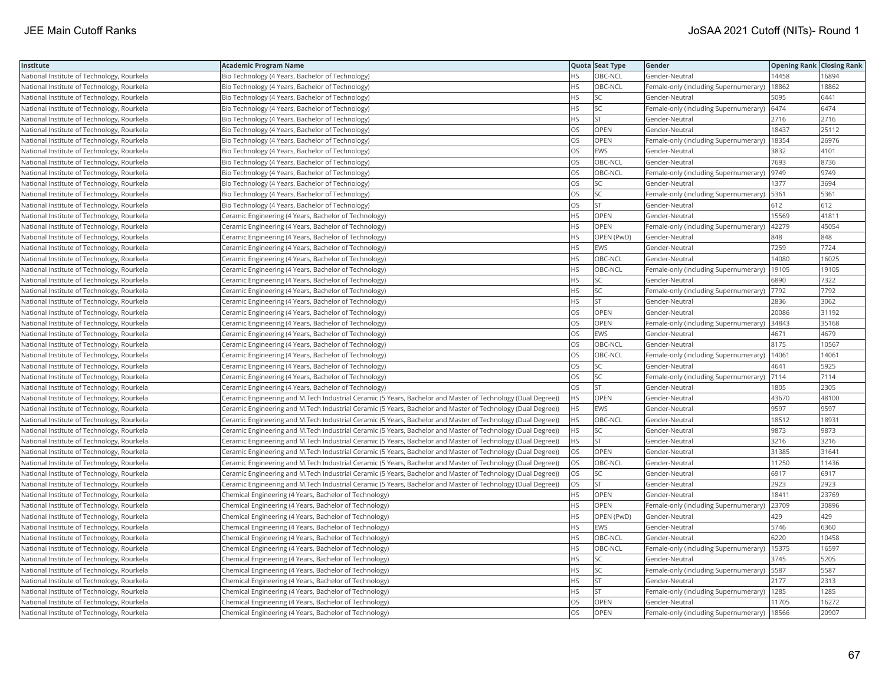| Institute                                  | Academic Program Name                                                                                         |           | Quota Seat Type | Gender                                       | <b>Opening Rank Closing Rank</b> |       |
|--------------------------------------------|---------------------------------------------------------------------------------------------------------------|-----------|-----------------|----------------------------------------------|----------------------------------|-------|
| National Institute of Technology, Rourkela | Bio Technology (4 Years, Bachelor of Technology)                                                              | HS.       | OBC-NCL         | Gender-Neutral                               | 14458                            | 16894 |
| National Institute of Technology, Rourkela | Bio Technology (4 Years, Bachelor of Technology)                                                              | HS        | OBC-NCL         | Female-only (including Supernumerary)        | 18862                            | 18862 |
| National Institute of Technology, Rourkela | Bio Technology (4 Years, Bachelor of Technology)                                                              | HS.       | SC              | Gender-Neutral                               | 5095                             | 6441  |
| National Institute of Technology, Rourkela | Bio Technology (4 Years, Bachelor of Technology)                                                              | HS        | SC              | Female-only (including Supernumerary)        | 6474                             | 6474  |
| National Institute of Technology, Rourkela | Bio Technology (4 Years, Bachelor of Technology)                                                              | HS        | <b>ST</b>       | Gender-Neutral                               | 2716                             | 2716  |
| National Institute of Technology, Rourkela | Bio Technology (4 Years, Bachelor of Technology)                                                              | OS        | OPEN            | Gender-Neutral                               | 18437                            | 25112 |
| National Institute of Technology, Rourkela | Bio Technology (4 Years, Bachelor of Technology)                                                              | OS        | OPEN            | Female-only (including Supernumerary)        | 18354                            | 26976 |
| National Institute of Technology, Rourkela | Bio Technology (4 Years, Bachelor of Technology)                                                              | <b>OS</b> | EWS             | Gender-Neutral                               | 3832                             | 4101  |
| National Institute of Technology, Rourkela | Bio Technology (4 Years, Bachelor of Technology)                                                              | OS        | OBC-NCL         | Gender-Neutral                               | 7693                             | 8736  |
| National Institute of Technology, Rourkela | Bio Technology (4 Years, Bachelor of Technology)                                                              | OS        | OBC-NCL         | Female-only (including Supernumerary)        | 9749                             | 9749  |
| National Institute of Technology, Rourkela | Bio Technology (4 Years, Bachelor of Technology)                                                              | OS        | SC              | Gender-Neutral                               | 1377                             | 3694  |
| National Institute of Technology, Rourkela | Bio Technology (4 Years, Bachelor of Technology)                                                              | OS        | SC              | Female-only (including Supernumerary)        | 5361                             | 5361  |
| National Institute of Technology, Rourkela | Bio Technology (4 Years, Bachelor of Technology)                                                              | <b>OS</b> | <b>ST</b>       | Gender-Neutral                               | 612                              | 612   |
| National Institute of Technology, Rourkela | Ceramic Engineering (4 Years, Bachelor of Technology)                                                         | ΗS        | OPEN            | Gender-Neutral                               | 15569                            | 41811 |
| National Institute of Technology, Rourkela | Ceramic Engineering (4 Years, Bachelor of Technology)                                                         | HS.       | <b>OPEN</b>     | Female-only (including Supernumerary)        | 42279                            | 45054 |
| National Institute of Technology, Rourkela | Ceramic Engineering (4 Years, Bachelor of Technology)                                                         | HS        | OPEN (PwD)      | Gender-Neutral                               | 848                              | 848   |
| National Institute of Technology, Rourkela | Ceramic Engineering (4 Years, Bachelor of Technology)                                                         | HS.       | <b>EWS</b>      | Gender-Neutral                               | 7259                             | 7724  |
| National Institute of Technology, Rourkela | Ceramic Engineering (4 Years, Bachelor of Technology)                                                         | HS        | OBC-NCL         | Gender-Neutral                               | 14080                            | 16025 |
| National Institute of Technology, Rourkela | Ceramic Engineering (4 Years, Bachelor of Technology)                                                         | HS.       | OBC-NCL         | Female-only (including Supernumerary)        | 19105                            | 19105 |
| National Institute of Technology, Rourkela | Ceramic Engineering (4 Years, Bachelor of Technology)                                                         | HS.       | <b>SC</b>       | Gender-Neutral                               | 6890                             | 7322  |
| National Institute of Technology, Rourkela | Ceramic Engineering (4 Years, Bachelor of Technology)                                                         | <b>HS</b> | <b>SC</b>       | Female-only (including Supernumerary)        | 7792                             | 7792  |
| National Institute of Technology, Rourkela | Ceramic Engineering (4 Years, Bachelor of Technology)                                                         | HS        | <b>ST</b>       | Gender-Neutral                               | 2836                             | 3062  |
| National Institute of Technology, Rourkela | Ceramic Engineering (4 Years, Bachelor of Technology)                                                         | OS        | OPEN            | Gender-Neutral                               | 20086                            | 31192 |
| National Institute of Technology, Rourkela | Ceramic Engineering (4 Years, Bachelor of Technology)                                                         | OS        | OPEN            | Female-only (including Supernumerary) 34843  |                                  | 35168 |
| National Institute of Technology, Rourkela | Ceramic Engineering (4 Years, Bachelor of Technology)                                                         | OS        | EWS             | Gender-Neutral                               | 4671                             | 4679  |
| National Institute of Technology, Rourkela | Ceramic Engineering (4 Years, Bachelor of Technology)                                                         | <b>OS</b> | OBC-NCL         | Gender-Neutral                               | 8175                             | 10567 |
| National Institute of Technology, Rourkela | Ceramic Engineering (4 Years, Bachelor of Technology)                                                         | OS        | OBC-NCL         | Female-only (including Supernumerary)        | 14061                            | 1406  |
| National Institute of Technology, Rourkela | Ceramic Engineering (4 Years, Bachelor of Technology)                                                         | OS        | <b>SC</b>       | Gender-Neutral                               | 4641                             | 5925  |
| National Institute of Technology, Rourkela | Ceramic Engineering (4 Years, Bachelor of Technology)                                                         | OS.       | <b>SC</b>       | Female-only (including Supernumerary)        | 7114                             | 7114  |
| National Institute of Technology, Rourkela | Ceramic Engineering (4 Years, Bachelor of Technology)                                                         | OS        | <b>ST</b>       | Gender-Neutral                               | 1805                             | 2305  |
| National Institute of Technology, Rourkela | (Ceramic Engineering and M.Tech Industrial Ceramic (5 Years, Bachelor and Master of Technology (Dual Degree)) | HS.       | OPEN            | Gender-Neutral                               | 43670                            | 48100 |
| National Institute of Technology, Rourkela | (Ceramic Engineering and M.Tech Industrial Ceramic (5 Years, Bachelor and Master of Technology (Dual Degree)) | НS        | EWS             | Gender-Neutral                               | 9597                             | 9597  |
| National Institute of Technology, Rourkela | (Ceramic Engineering and M.Tech Industrial Ceramic (5 Years, Bachelor and Master of Technology (Dual Degree)) | НS        | OBC-NCL         | Gender-Neutral                               | 18512                            | 1893  |
| National Institute of Technology, Rourkela | (Ceramic Engineering and M.Tech Industrial Ceramic (5 Years, Bachelor and Master of Technology (Dual Degree)) | HS        | SC              | Gender-Neutral                               | 9873                             | 9873  |
| National Institute of Technology, Rourkela | (Ceramic Engineering and M.Tech Industrial Ceramic (5 Years, Bachelor and Master of Technology (Dual Degree)) | НS        | ST              | Gender-Neutral                               | 3216                             | 3216  |
| National Institute of Technology, Rourkela | (Ceramic Engineering and M.Tech Industrial Ceramic (5 Years, Bachelor and Master of Technology (Dual Degree)) | OS        | <b>OPEN</b>     | Gender-Neutral                               | 31385                            | 31641 |
| National Institute of Technology, Rourkela | (Ceramic Engineering and M.Tech Industrial Ceramic (5 Years, Bachelor and Master of Technology (Dual Degree)) | OS        | OBC-NCL         | Gender-Neutral                               | 11250                            | 11436 |
| National Institute of Technology, Rourkela | (Ceramic Engineering and M.Tech Industrial Ceramic (5 Years, Bachelor and Master of Technology (Dual Degree)) | OS        | <b>SC</b>       | Gender-Neutral                               | 6917                             | 6917  |
| National Institute of Technology, Rourkela | (Ceramic Engineering and M.Tech Industrial Ceramic (5 Years, Bachelor and Master of Technology (Dual Degree)) | OS        | <b>ST</b>       | Gender-Neutral                               | 2923                             | 2923  |
| National Institute of Technology, Rourkela | Chemical Engineering (4 Years, Bachelor of Technology)                                                        | HS.       | OPEN            | Gender-Neutral                               | 18411                            | 23769 |
| National Institute of Technology, Rourkela | Chemical Engineering (4 Years, Bachelor of Technology)                                                        | HS        | OPEN            | Female-only (including Supernumerary)        | 23709                            | 30896 |
| National Institute of Technology, Rourkela | Chemical Engineering (4 Years, Bachelor of Technology)                                                        | HS        | OPEN (PwD)      | Gender-Neutral                               | 429                              | 429   |
| National Institute of Technology, Rourkela | Chemical Engineering (4 Years, Bachelor of Technology)                                                        | HS.       | EWS             | Gender-Neutral                               | 5746                             | 6360  |
| National Institute of Technology, Rourkela | Chemical Engineering (4 Years, Bachelor of Technology)                                                        | <b>HS</b> | OBC-NCL         | Gender-Neutral                               | 6220                             | 10458 |
| National Institute of Technology, Rourkela | Chemical Engineering (4 Years, Bachelor of Technology)                                                        | HS        | OBC-NCL         | Female-only (including Supernumerary)        | 15375                            | 16597 |
| National Institute of Technology, Rourkela | Chemical Engineering (4 Years, Bachelor of Technology)                                                        | HS        | SC              | Gender-Neutral                               | 3745                             | 5205  |
| National Institute of Technology, Rourkela | Chemical Engineering (4 Years, Bachelor of Technology)                                                        | HS        | SC              | Female-only (including Supernumerary)   5587 |                                  | 5587  |
| National Institute of Technology, Rourkela | Chemical Engineering (4 Years, Bachelor of Technology)                                                        | НS        | <b>ST</b>       | Gender-Neutral                               | 2177                             | 2313  |
| National Institute of Technology, Rourkela | Chemical Engineering (4 Years, Bachelor of Technology)                                                        | HS        | <b>ST</b>       | Female-only (including Supernumerary)        | 1285                             | 1285  |
| National Institute of Technology, Rourkela | Chemical Engineering (4 Years, Bachelor of Technology)                                                        | OS        | OPEN            | Gender-Neutral                               | 11705                            | 16272 |
| National Institute of Technology, Rourkela | Chemical Engineering (4 Years, Bachelor of Technology)                                                        | OS        | OPEN            | Female-only (including Supernumerary)        | 18566                            | 20907 |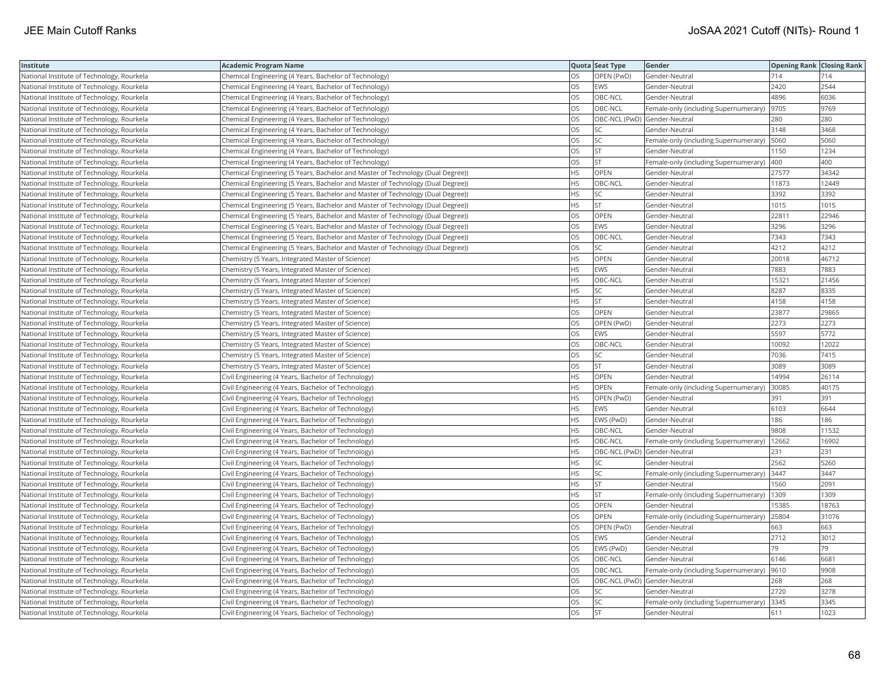| Institute                                  | <b>Academic Program Name</b>                                                    |           | Quota Seat Type              | Gender                                       | <b>Opening Rank Closing Rank</b> |       |
|--------------------------------------------|---------------------------------------------------------------------------------|-----------|------------------------------|----------------------------------------------|----------------------------------|-------|
| National Institute of Technology, Rourkela | Chemical Engineering (4 Years, Bachelor of Technology)                          | OS        | OPEN (PwD)                   | Gender-Neutral                               | 714                              | 714   |
| National Institute of Technology, Rourkela | Chemical Engineering (4 Years, Bachelor of Technology)                          | OS        | EWS                          | Gender-Neutral                               | 2420                             | 2544  |
| National Institute of Technology, Rourkela | Chemical Engineering (4 Years, Bachelor of Technology)                          | OS        | OBC-NCL                      | Gender-Neutral                               | 4896                             | 6036  |
| National Institute of Technology, Rourkela | Chemical Engineering (4 Years, Bachelor of Technology)                          | OS        | OBC-NCL                      | Female-only (including Supernumerary)        | 9705                             | 9769  |
| National Institute of Technology, Rourkela | Chemical Engineering (4 Years, Bachelor of Technology)                          | OS        | OBC-NCL (PwD) Gender-Neutral |                                              | 280                              | 280   |
| National Institute of Technology, Rourkela | Chemical Engineering (4 Years, Bachelor of Technology)                          | OS        | SC                           | Gender-Neutral                               | 3148                             | 3468  |
| National Institute of Technology, Rourkela | Chemical Engineering (4 Years, Bachelor of Technology)                          | OS        | SC                           | Female-only (including Supernumerary)   5060 |                                  | 5060  |
| National Institute of Technology, Rourkela | Chemical Engineering (4 Years, Bachelor of Technology)                          | OS        | <b>ST</b>                    | Gender-Neutral                               | 1150                             | 1234  |
| National Institute of Technology, Rourkela | Chemical Engineering (4 Years, Bachelor of Technology)                          | OS        | <b>ST</b>                    | Female-only (including Supernumerary)        | 400                              | 400   |
| National Institute of Technology, Rourkela | Chemical Engineering (5 Years, Bachelor and Master of Technology (Dual Degree)) | HS        | OPEN                         | Gender-Neutral                               | 27577                            | 34342 |
| National Institute of Technology, Rourkela | Chemical Engineering (5 Years, Bachelor and Master of Technology (Dual Degree)) | HS        | OBC-NCL                      | Gender-Neutral                               | 11873                            | 12449 |
| National Institute of Technology, Rourkela | Chemical Engineering (5 Years, Bachelor and Master of Technology (Dual Degree)) | <b>HS</b> | <b>SC</b>                    | Gender-Neutral                               | 3392                             | 3392  |
| National Institute of Technology, Rourkela | Chemical Engineering (5 Years, Bachelor and Master of Technology (Dual Degree)) | <b>HS</b> | <b>ST</b>                    | Gender-Neutral                               | 1015                             | 1015  |
| National Institute of Technology, Rourkela | Chemical Engineering (5 Years, Bachelor and Master of Technology (Dual Degree)) | OS        | OPEN                         | Gender-Neutral                               | 22811                            | 22946 |
| National Institute of Technology, Rourkela | Chemical Engineering (5 Years, Bachelor and Master of Technology (Dual Degree)) | OS        | EWS                          | Gender-Neutral                               | 3296                             | 3296  |
| National Institute of Technology, Rourkela | Chemical Engineering (5 Years, Bachelor and Master of Technology (Dual Degree)) | OS        | OBC-NCL                      | Gender-Neutral                               | 7343                             | 7343  |
| National Institute of Technology, Rourkela | Chemical Engineering (5 Years, Bachelor and Master of Technology (Dual Degree)) | OS        | SC                           | Gender-Neutral                               | 4212                             | 4212  |
| National Institute of Technology, Rourkela | Chemistry (5 Years, Integrated Master of Science)                               | <b>HS</b> | OPEN                         | Gender-Neutral                               | 20018                            | 46712 |
| National Institute of Technology, Rourkela | Chemistry (5 Years, Integrated Master of Science)                               | HS        | <b>EWS</b>                   | Gender-Neutral                               | 7883                             | 7883  |
| National Institute of Technology, Rourkela | Chemistry (5 Years, Integrated Master of Science)                               | <b>HS</b> | OBC-NCL                      | Gender-Neutral                               | 15321                            | 21456 |
| National Institute of Technology, Rourkela | Chemistry (5 Years, Integrated Master of Science)                               | HS        | SC                           | Gender-Neutral                               | 8287                             | 8335  |
| National Institute of Technology, Rourkela | Chemistry (5 Years, Integrated Master of Science)                               | HS        | <b>ST</b>                    | Gender-Neutral                               | 4158                             | 4158  |
| National Institute of Technology, Rourkela | Chemistry (5 Years, Integrated Master of Science)                               | OS        | OPEN                         | Gender-Neutral                               | 23877                            | 29865 |
| National Institute of Technology, Rourkela | Chemistry (5 Years, Integrated Master of Science)                               | OS        | OPEN (PwD)                   | Gender-Neutral                               | 2273                             | 2273  |
| National Institute of Technology, Rourkela | Chemistry (5 Years, Integrated Master of Science)                               | OS        | EWS                          | Gender-Neutral                               | 5597                             | 5772  |
| National Institute of Technology, Rourkela | Chemistry (5 Years, Integrated Master of Science)                               | OS        | OBC-NCL                      | Gender-Neutral                               | 10092                            | 12022 |
| National Institute of Technology, Rourkela | Chemistry (5 Years, Integrated Master of Science)                               | OS        | SC                           | Gender-Neutral                               | 7036                             | 7415  |
| National Institute of Technology, Rourkela | Chemistry (5 Years, Integrated Master of Science)                               | OS        | <b>ST</b>                    | Gender-Neutral                               | 3089                             | 3089  |
| National Institute of Technology, Rourkela | Civil Engineering (4 Years, Bachelor of Technology)                             | HS        | OPEN                         | Gender-Neutral                               | 14994                            | 26114 |
| National Institute of Technology, Rourkela | Civil Engineering (4 Years, Bachelor of Technology)                             | ΗS        | OPEN                         | Female-only (including Supernumerary)        | 30085                            | 40175 |
| National Institute of Technology, Rourkela | Civil Engineering (4 Years, Bachelor of Technology)                             | HS.       | OPEN (PwD)                   | Gender-Neutral                               | 391                              | 391   |
| National Institute of Technology, Rourkela | Civil Engineering (4 Years, Bachelor of Technology)                             | HS        | <b>EWS</b>                   | Gender-Neutral                               | 6103                             | 6644  |
| National Institute of Technology, Rourkela | Civil Engineering (4 Years, Bachelor of Technology)                             | HS        | EWS (PwD)                    | Gender-Neutral                               | 186                              | 186   |
| National Institute of Technology, Rourkela | Civil Engineering (4 Years, Bachelor of Technology)                             | HS        | OBC-NCL                      | Gender-Neutral                               | 9808                             | 11532 |
| National Institute of Technology, Rourkela | Civil Engineering (4 Years, Bachelor of Technology)                             | HS        | OBC-NCL                      | Female-only (including Supernumerary)        | 12662                            | 16902 |
| National Institute of Technology, Rourkela | Civil Engineering (4 Years, Bachelor of Technology)                             | HS        | OBC-NCL (PwD) Gender-Neutral |                                              | 231                              | 231   |
| National Institute of Technology, Rourkela | Civil Engineering (4 Years, Bachelor of Technology)                             | HS        | <b>SC</b>                    | Gender-Neutral                               | 2562                             | 5260  |
| National Institute of Technology, Rourkela | Civil Engineering (4 Years, Bachelor of Technology)                             | HS        | SC                           | Female-only (including Supernumerary) 3447   |                                  | 3447  |
| National Institute of Technology, Rourkela | Civil Engineering (4 Years, Bachelor of Technology)                             | HS        | <b>ST</b>                    | Gender-Neutral                               | 1560                             | 2091  |
| National Institute of Technology, Rourkela | Civil Engineering (4 Years, Bachelor of Technology)                             | <b>HS</b> | <b>ST</b>                    | Female-only (including Supernumerary)        | 1309                             | 1309  |
| National Institute of Technology, Rourkela | Civil Engineering (4 Years, Bachelor of Technology)                             | OS        | OPEN                         | Gender-Neutral                               | 15385                            | 18763 |
| National Institute of Technology, Rourkela | Civil Engineering (4 Years, Bachelor of Technology)                             | OS        | OPEN                         | Female-only (including Supernumerary)        | 25804                            | 31076 |
| National Institute of Technology, Rourkela | Civil Engineering (4 Years, Bachelor of Technology)                             | OS        | OPEN (PwD)                   | Gender-Neutral                               | 663                              | 663   |
| National Institute of Technology, Rourkela | Civil Engineering (4 Years, Bachelor of Technology)                             | OS        | <b>EWS</b>                   | Gender-Neutral                               | 2712                             | 3012  |
| National Institute of Technology, Rourkela | Civil Engineering (4 Years, Bachelor of Technology)                             | OS        | EWS (PwD)                    | Gender-Neutral                               | 79                               | 79    |
| National Institute of Technology, Rourkela | Civil Engineering (4 Years, Bachelor of Technology)                             | OS        | OBC-NCL                      | Gender-Neutral                               | 6146                             | 6681  |
| National Institute of Technology, Rourkela | Civil Engineering (4 Years, Bachelor of Technology)                             | OS        | OBC-NCL                      | Female-only (including Supernumerary)        | 9610                             | 9908  |
| National Institute of Technology, Rourkela | Civil Engineering (4 Years, Bachelor of Technology)                             | OS        | OBC-NCL (PwD) Gender-Neutral |                                              | 268                              | 268   |
| National Institute of Technology, Rourkela | Civil Engineering (4 Years, Bachelor of Technology)                             | OS        | SC                           | Gender-Neutral                               | 2720                             | 3278  |
| National Institute of Technology, Rourkela | Civil Engineering (4 Years, Bachelor of Technology)                             | OS        | <b>SC</b>                    | Female-only (including Supernumerary)        | 3345                             | 3345  |
| National Institute of Technology, Rourkela | Civil Engineering (4 Years, Bachelor of Technology)                             | <b>OS</b> | <b>ST</b>                    | Gender-Neutral                               | 611                              | 1023  |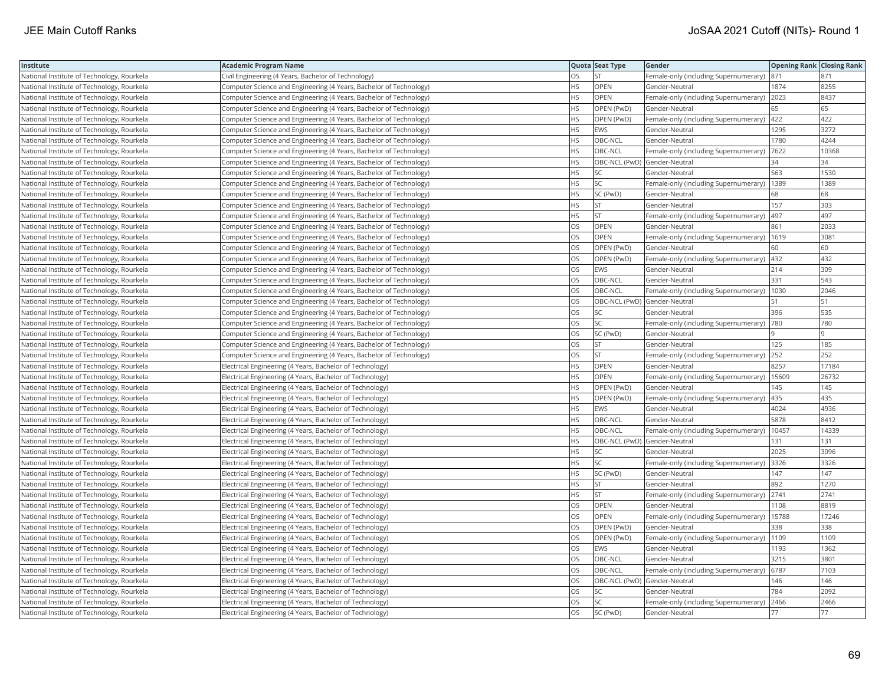| Institute                                  | <b>Academic Program Name</b>                                       |           | Quota Seat Type              | Gender                                        | <b>Opening Rank Closing Rank</b> |       |
|--------------------------------------------|--------------------------------------------------------------------|-----------|------------------------------|-----------------------------------------------|----------------------------------|-------|
| National Institute of Technology, Rourkela | Civil Engineering (4 Years, Bachelor of Technology)                | OS        | <b>ST</b>                    | Female-only (including Supernumerary)         | 871                              | 871   |
| National Institute of Technology, Rourkela | Computer Science and Engineering (4 Years, Bachelor of Technology) | <b>HS</b> | OPEN                         | Gender-Neutral                                | 1874                             | 8255  |
| National Institute of Technology, Rourkela | Computer Science and Engineering (4 Years, Bachelor of Technology) | <b>HS</b> | OPEN                         | Female-only (including Supernumerary)         | 2023                             | 8437  |
| National Institute of Technology, Rourkela | Computer Science and Engineering (4 Years, Bachelor of Technology) | HS        | OPEN (PwD)                   | Gender-Neutral                                | 65                               | 65    |
| National Institute of Technology, Rourkela | Computer Science and Engineering (4 Years, Bachelor of Technology) | HS        | OPEN (PwD)                   | Female-only (including Supernumerary)   422   |                                  | 422   |
| National Institute of Technology, Rourkela | Computer Science and Engineering (4 Years, Bachelor of Technology) | HS        | <b>EWS</b>                   | Gender-Neutral                                | 1295                             | 3272  |
| National Institute of Technology, Rourkela | Computer Science and Engineering (4 Years, Bachelor of Technology) | ΗS        | OBC-NCL                      | Gender-Neutral                                | 1780                             | 4244  |
| National Institute of Technology, Rourkela | Computer Science and Engineering (4 Years, Bachelor of Technology) | HS        | OBC-NCL                      | Female-only (including Supernumerary)         | 7622                             | 10368 |
| National Institute of Technology, Rourkela | Computer Science and Engineering (4 Years, Bachelor of Technology) | HS        | OBC-NCL (PwD) Gender-Neutral |                                               | 34                               | 34    |
| National Institute of Technology, Rourkela | Computer Science and Engineering (4 Years, Bachelor of Technology) | <b>HS</b> | <b>SC</b>                    | Gender-Neutral                                | 563                              | 1530  |
| National Institute of Technology, Rourkela | Computer Science and Engineering (4 Years, Bachelor of Technology) | <b>HS</b> | <b>SC</b>                    | Female-only (including Supernumerary)         | 1389                             | 1389  |
| National Institute of Technology, Rourkela | Computer Science and Engineering (4 Years, Bachelor of Technology) | HS        | SC (PwD)                     | Gender-Neutral                                | 68                               | 68    |
| National Institute of Technology, Rourkela | Computer Science and Engineering (4 Years, Bachelor of Technology) | ΗS        | <b>ST</b>                    | Gender-Neutral                                | 157                              | 303   |
| National Institute of Technology, Rourkela | Computer Science and Engineering (4 Years, Bachelor of Technology) | ΗS        | <b>ST</b>                    | Female-only (including Supernumerary)         | 497                              | 497   |
| National Institute of Technology, Rourkela | Computer Science and Engineering (4 Years, Bachelor of Technology) | OS        | OPEN                         | Gender-Neutral                                | 861                              | 2033  |
| National Institute of Technology, Rourkela | Computer Science and Engineering (4 Years, Bachelor of Technology) | OS        | OPEN                         | Female-only (including Supernumerary)         | 1619                             | 3081  |
| National Institute of Technology, Rourkela | Computer Science and Engineering (4 Years, Bachelor of Technology) | OS        | OPEN (PwD)                   | Gender-Neutral                                | 60                               | 60    |
| National Institute of Technology, Rourkela | Computer Science and Engineering (4 Years, Bachelor of Technology) | OS        | OPEN (PwD)                   | Female-only (including Supernumerary)         | 432                              | 432   |
| National Institute of Technology, Rourkela | Computer Science and Engineering (4 Years, Bachelor of Technology) | OS        | <b>EWS</b>                   | Gender-Neutral                                | 214                              | 309   |
| National Institute of Technology, Rourkela | Computer Science and Engineering (4 Years, Bachelor of Technology) | OS        | OBC-NCL                      | Gender-Neutral                                | 331                              | 543   |
| National Institute of Technology, Rourkela | Computer Science and Engineering (4 Years, Bachelor of Technology) | OS        | OBC-NCL                      | Female-only (including Supernumerary)   1030  |                                  | 2046  |
| National Institute of Technology, Rourkela | Computer Science and Engineering (4 Years, Bachelor of Technology) | OS        | OBC-NCL (PwD) Gender-Neutral |                                               | 51                               | 51    |
| National Institute of Technology, Rourkela | Computer Science and Engineering (4 Years, Bachelor of Technology) | OS        | SC                           | Gender-Neutral                                | 396                              | 535   |
| National Institute of Technology, Rourkela | Computer Science and Engineering (4 Years, Bachelor of Technology) | OS        | SC                           | Female-only (including Supernumerary)         | 780                              | 780   |
| National Institute of Technology, Rourkela | Computer Science and Engineering (4 Years, Bachelor of Technology) | OS        | SC (PwD)                     | Gender-Neutral                                |                                  |       |
| National Institute of Technology, Rourkela | Computer Science and Engineering (4 Years, Bachelor of Technology) | OS        | ST                           | Gender-Neutral                                | 125                              | 185   |
| National Institute of Technology, Rourkela | Computer Science and Engineering (4 Years, Bachelor of Technology) | OS        | <b>ST</b>                    | Female-only (including Supernumerary)         | 252                              | 252   |
| National Institute of Technology, Rourkela | Electrical Engineering (4 Years, Bachelor of Technology)           | HS        | <b>OPEN</b>                  | Gender-Neutral                                | 8257                             | 17184 |
| National Institute of Technology, Rourkela | Electrical Engineering (4 Years, Bachelor of Technology)           | HS        | OPEN                         | Female-only (including Supernumerary)   15609 |                                  | 26732 |
| National Institute of Technology, Rourkela | Electrical Engineering (4 Years, Bachelor of Technology)           | ΗS        | OPEN (PwD)                   | Gender-Neutral                                | 145                              | 145   |
| National Institute of Technology, Rourkela | Electrical Engineering (4 Years, Bachelor of Technology)           | HS        | OPEN (PwD)                   | Female-only (including Supernumerary)  435    |                                  | 435   |
| National Institute of Technology, Rourkela | Electrical Engineering (4 Years, Bachelor of Technology)           | ΗS        | EWS                          | Gender-Neutral                                | 4024                             | 4936  |
| National Institute of Technology, Rourkela | Electrical Engineering (4 Years, Bachelor of Technology)           | HS        | OBC-NCL                      | Gender-Neutral                                | 5878                             | 8412  |
| National Institute of Technology, Rourkela | Electrical Engineering (4 Years, Bachelor of Technology)           | HS        | OBC-NCL                      | Female-only (including Supernumerary)         | 10457                            | 14339 |
| National Institute of Technology, Rourkela | Electrical Engineering (4 Years, Bachelor of Technology)           | HS        | OBC-NCL (PwD) Gender-Neutral |                                               | 131                              | 131   |
| National Institute of Technology, Rourkela | Electrical Engineering (4 Years, Bachelor of Technology)           | HS        | SC                           | Gender-Neutral                                | 2025                             | 3096  |
| National Institute of Technology, Rourkela | Electrical Engineering (4 Years, Bachelor of Technology)           | HS        | SC                           | Female-only (including Supernumerary) 3326    |                                  | 3326  |
| National Institute of Technology, Rourkela | Electrical Engineering (4 Years, Bachelor of Technology)           | ΗS        | SC (PwD)                     | Gender-Neutral                                | 147                              | 147   |
| National Institute of Technology, Rourkela | Electrical Engineering (4 Years, Bachelor of Technology)           | <b>HS</b> | <b>ST</b>                    | Gender-Neutral                                | 892                              | 1270  |
| National Institute of Technology, Rourkela | Electrical Engineering (4 Years, Bachelor of Technology)           | ΗS        | <b>ST</b>                    | Female-only (including Supernumerary)         | 2741                             | 2741  |
| National Institute of Technology, Rourkela | Electrical Engineering (4 Years, Bachelor of Technology)           | OS        | OPEN                         | Gender-Neutral                                | 1108                             | 8819  |
| National Institute of Technology, Rourkela | Electrical Engineering (4 Years, Bachelor of Technology)           | OS        | OPEN                         | Female-only (including Supernumerary)         | 15788                            | 17246 |
| National Institute of Technology, Rourkela | Electrical Engineering (4 Years, Bachelor of Technology)           | OS        | OPEN (PwD)                   | Gender-Neutral                                | 338                              | 338   |
| National Institute of Technology, Rourkela | Electrical Engineering (4 Years, Bachelor of Technology)           | OS        | OPEN (PwD)                   | Female-only (including Supernumerary)         | 1109                             | 1109  |
| National Institute of Technology, Rourkela | Electrical Engineering (4 Years, Bachelor of Technology)           | OS        | <b>EWS</b>                   | Gender-Neutral                                | 1193                             | 1362  |
| National Institute of Technology, Rourkela | Electrical Engineering (4 Years, Bachelor of Technology)           | OS        | OBC-NCL                      | Gender-Neutral                                | 3215                             | 3801  |
| National Institute of Technology, Rourkela | Electrical Engineering (4 Years, Bachelor of Technology)           | OS        | OBC-NCL                      | Female-only (including Supernumerary)         | 6787                             | 7103  |
| National Institute of Technology, Rourkela | Electrical Engineering (4 Years, Bachelor of Technology)           | OS        | OBC-NCL (PwD) Gender-Neutral |                                               | 146                              | 146   |
| National Institute of Technology, Rourkela | Electrical Engineering (4 Years, Bachelor of Technology)           | OS        | SC                           | Gender-Neutral                                | 784                              | 2092  |
| National Institute of Technology, Rourkela | Electrical Engineering (4 Years, Bachelor of Technology)           | OS        | <b>SC</b>                    | Female-only (including Supernumerary)         | 2466                             | 2466  |
| National Institute of Technology, Rourkela | Electrical Engineering (4 Years, Bachelor of Technology)           | <b>OS</b> | SC (PwD)                     | Gender-Neutral                                | 177                              | 77    |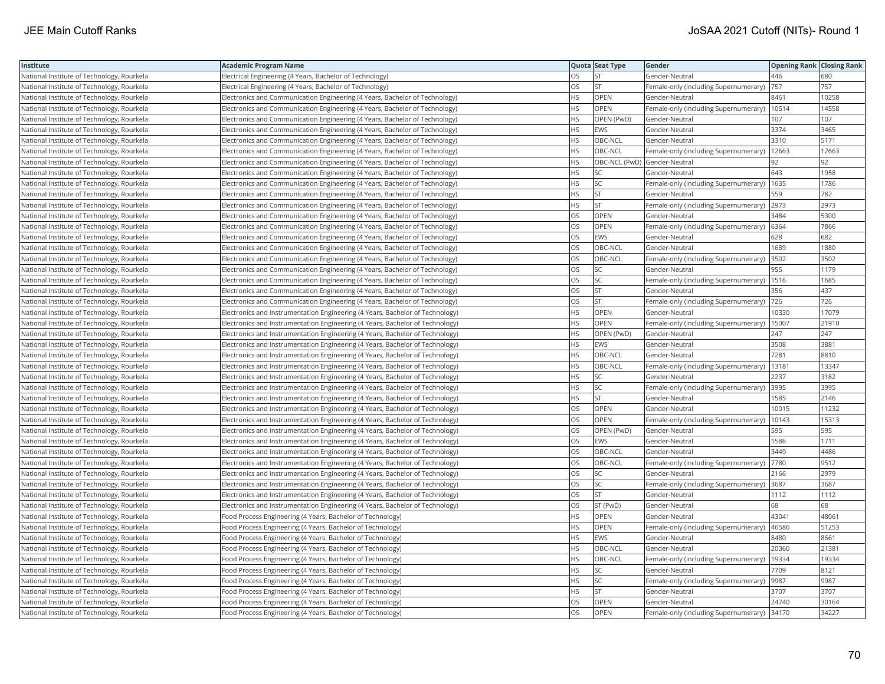| Institute                                  | <b>Academic Program Name</b>                                                  |           | Quota Seat Type              | Gender                                      | <b>Opening Rank Closing Rank</b> |       |
|--------------------------------------------|-------------------------------------------------------------------------------|-----------|------------------------------|---------------------------------------------|----------------------------------|-------|
| National Institute of Technology, Rourkela | Electrical Engineering (4 Years, Bachelor of Technology)                      | OS        | <b>ST</b>                    | Gender-Neutral                              | 446                              | 680   |
| National Institute of Technology, Rourkela | Electrical Engineering (4 Years, Bachelor of Technology)                      | OS        | <b>ST</b>                    | Female-only (including Supernumerary)       | 757                              | 757   |
| National Institute of Technology, Rourkela | Electronics and Communication Engineering (4 Years, Bachelor of Technology)   | HS        | <b>OPEN</b>                  | Gender-Neutral                              | 8461                             | 10258 |
| National Institute of Technology, Rourkela | Electronics and Communication Engineering (4 Years, Bachelor of Technology)   | HS        | OPEN                         | Female-only (including Supernumerary)       | 10514                            | 14558 |
| National Institute of Technology, Rourkela | Electronics and Communication Engineering (4 Years, Bachelor of Technology)   | HS        | OPEN (PwD)                   | Gender-Neutral                              | 107                              | 107   |
| National Institute of Technology, Rourkela | Electronics and Communication Engineering (4 Years, Bachelor of Technology)   | <b>HS</b> | <b>EWS</b>                   | Gender-Neutral                              | 3374                             | 3465  |
| National Institute of Technology, Rourkela | Electronics and Communication Engineering (4 Years, Bachelor of Technology)   | ΗS        | OBC-NCL                      | Gender-Neutral                              | 3310                             | 5171  |
| National Institute of Technology, Rourkela | Electronics and Communication Engineering (4 Years, Bachelor of Technology)   | <b>HS</b> | OBC-NCL                      | Female-only (including Supernumerary)       | 12663                            | 12663 |
| National Institute of Technology, Rourkela | Electronics and Communication Engineering (4 Years, Bachelor of Technology)   | НS        | OBC-NCL (PwD) Gender-Neutral |                                             | 92                               | 92    |
| National Institute of Technology, Rourkela | Electronics and Communication Engineering (4 Years, Bachelor of Technology)   | HS        | SC                           | Gender-Neutral                              | 643                              | 1958  |
| National Institute of Technology, Rourkela | Electronics and Communication Engineering (4 Years, Bachelor of Technology)   | <b>HS</b> | <b>SC</b>                    | Female-only (including Supernumerary)       | 1635                             | 1786  |
| National Institute of Technology, Rourkela | Electronics and Communication Engineering (4 Years, Bachelor of Technology)   | HS        | <b>ST</b>                    | Gender-Neutral                              | 559                              | 782   |
| National Institute of Technology, Rourkela | Electronics and Communication Engineering (4 Years, Bachelor of Technology)   | HS.       | <b>ST</b>                    | Female-only (including Supernumerary) 2973  |                                  | 2973  |
| National Institute of Technology, Rourkela | Electronics and Communication Engineering (4 Years, Bachelor of Technology)   | OS        | OPEN                         | Gender-Neutral                              | 3484                             | 5300  |
| National Institute of Technology, Rourkela | Electronics and Communication Engineering (4 Years, Bachelor of Technology)   | OS        | OPEN                         | Female-only (including Supernumerary) 6364  |                                  | 7866  |
| National Institute of Technology, Rourkela | Electronics and Communication Engineering (4 Years, Bachelor of Technology)   | OS        | <b>EWS</b>                   | Gender-Neutral                              | 628                              | 682   |
| National Institute of Technology, Rourkela | Electronics and Communication Engineering (4 Years, Bachelor of Technology)   | OS        | OBC-NCL                      | Gender-Neutral                              | 1689                             | 1880  |
| National Institute of Technology, Rourkela | Electronics and Communication Engineering (4 Years, Bachelor of Technology)   | OS        | OBC-NCL                      | Female-only (including Supernumerary)       | 3502                             | 3502  |
| National Institute of Technology, Rourkela | Electronics and Communication Engineering (4 Years, Bachelor of Technology)   | OS        | <b>SC</b>                    | Gender-Neutral                              | 955                              | 1179  |
| National Institute of Technology, Rourkela | Electronics and Communication Engineering (4 Years, Bachelor of Technology)   | OS        | <b>SC</b>                    | Female-only (including Supernumerary)       | 1516                             | 1685  |
| National Institute of Technology, Rourkela | Electronics and Communication Engineering (4 Years, Bachelor of Technology)   | OS        | <b>ST</b>                    | Gender-Neutral                              | 356                              | 437   |
| National Institute of Technology, Rourkela | Electronics and Communication Engineering (4 Years, Bachelor of Technology)   | OS        | ST                           | Female-only (including Supernumerary)  726  |                                  | 726   |
| National Institute of Technology, Rourkela | Electronics and Instrumentation Engineering (4 Years, Bachelor of Technology) | ΗS        | OPEN                         | Gender-Neutral                              | 10330                            | 17079 |
| National Institute of Technology, Rourkela | Electronics and Instrumentation Engineering (4 Years, Bachelor of Technology) | HS        | OPEN                         | Female-only (including Supernumerary)       | 15007                            | 21910 |
| National Institute of Technology, Rourkela | Electronics and Instrumentation Engineering (4 Years, Bachelor of Technology) | ΗS        | OPEN (PwD)                   | Gender-Neutral                              | 247                              | 247   |
| National Institute of Technology, Rourkela | Electronics and Instrumentation Engineering (4 Years, Bachelor of Technology) | HS        | <b>EWS</b>                   | Gender-Neutral                              | 3508                             | 3881  |
| National Institute of Technology, Rourkela | Electronics and Instrumentation Engineering (4 Years, Bachelor of Technology) | <b>HS</b> | OBC-NCL                      | Gender-Neutral                              | 7281                             | 8810  |
| National Institute of Technology, Rourkela | Electronics and Instrumentation Engineering (4 Years, Bachelor of Technology) | HS        | OBC-NCL                      | Female-only (including Supernumerary)       | 13181                            | 13347 |
| National Institute of Technology, Rourkela | Electronics and Instrumentation Engineering (4 Years, Bachelor of Technology) | HS        | SC                           | Gender-Neutral                              | 2237                             | 3182  |
| National Institute of Technology, Rourkela | Electronics and Instrumentation Engineering (4 Years, Bachelor of Technology) | HS        | SC                           | Female-only (including Supernumerary) 3995  |                                  | 3995  |
| National Institute of Technology, Rourkela | Electronics and Instrumentation Engineering (4 Years, Bachelor of Technology) | HS        | <b>ST</b>                    | Gender-Neutral                              | 1585                             | 2146  |
| National Institute of Technology, Rourkela | Electronics and Instrumentation Engineering (4 Years, Bachelor of Technology) | OS        | <b>OPEN</b>                  | Gender-Neutral                              | 10015                            | 11232 |
| National Institute of Technology, Rourkela | Electronics and Instrumentation Engineering (4 Years, Bachelor of Technology) | OS        | OPEN                         | Female-only (including Supernumerary)       | 10143                            | 15313 |
| National Institute of Technology, Rourkela | Electronics and Instrumentation Engineering (4 Years, Bachelor of Technology) | OS        | OPEN (PwD)                   | Gender-Neutral                              | 595                              | 595   |
| National Institute of Technology, Rourkela | Electronics and Instrumentation Engineering (4 Years, Bachelor of Technology) | OS        | <b>EWS</b>                   | Gender-Neutral                              | 1586                             | 1711  |
| National Institute of Technology, Rourkela | Electronics and Instrumentation Engineering (4 Years, Bachelor of Technology) | OS        | OBC-NCL                      | Gender-Neutral                              | 3449                             | 4486  |
| National Institute of Technology, Rourkela | Electronics and Instrumentation Engineering (4 Years, Bachelor of Technology) | OS        | OBC-NCL                      | Female-only (including Supernumerary)       | 7780                             | 9512  |
| National Institute of Technology, Rourkela | Electronics and Instrumentation Engineering (4 Years, Bachelor of Technology) | OS        | SC                           | Gender-Neutral                              | 2166                             | 2979  |
| National Institute of Technology, Rourkela | Electronics and Instrumentation Engineering (4 Years, Bachelor of Technology) | OS        | SC                           | Female-only (including Supernumerary) 3687  |                                  | 3687  |
| National Institute of Technology, Rourkela | Electronics and Instrumentation Engineering (4 Years, Bachelor of Technology) | OS        | <b>ST</b>                    | Gender-Neutral                              | 1112                             | 1112  |
| National Institute of Technology, Rourkela | Electronics and Instrumentation Engineering (4 Years, Bachelor of Technology) | OS        | ST (PwD)                     | Gender-Neutral                              | 68                               | 68    |
| National Institute of Technology, Rourkela | Food Process Engineering (4 Years, Bachelor of Technology)                    | НS        | <b>OPEN</b>                  | Gender-Neutral                              | 43041                            | 4806  |
| National Institute of Technology, Rourkela | Food Process Engineering (4 Years, Bachelor of Technology)                    | ΗS        | OPEN                         | Female-only (including Supernumerary)       | 46586                            | 51253 |
| National Institute of Technology, Rourkela | Food Process Engineering (4 Years, Bachelor of Technology)                    | <b>HS</b> | <b>EWS</b>                   | Gender-Neutral                              | 8480                             | 8661  |
| National Institute of Technology, Rourkela | Food Process Engineering (4 Years, Bachelor of Technology)                    | <b>HS</b> | OBC-NCL                      | Gender-Neutral                              | 20360                            | 21381 |
| National Institute of Technology, Rourkela | Food Process Engineering (4 Years, Bachelor of Technology)                    | <b>HS</b> | OBC-NCL                      | Female-only (including Supernumerary)       | 19334                            | 19334 |
| National Institute of Technology, Rourkela | Food Process Engineering (4 Years, Bachelor of Technology)                    | HS        | SC                           | Gender-Neutral                              | 7709                             | 8121  |
| National Institute of Technology, Rourkela | Food Process Engineering (4 Years, Bachelor of Technology)                    | ΗS        | SC                           | Female-only (including Supernumerary)  9987 |                                  | 9987  |
| National Institute of Technology, Rourkela | Food Process Engineering (4 Years, Bachelor of Technology)                    | HS        | <b>ST</b>                    | Gender-Neutral                              | 3707                             | 3707  |
| National Institute of Technology, Rourkela | Food Process Engineering (4 Years, Bachelor of Technology)                    | ЭS        | OPEN                         | Gender-Neutral                              | 24740                            | 30164 |
| National Institute of Technology, Rourkela | Food Process Engineering (4 Years, Bachelor of Technology)                    | OS        | OPEN                         | Female-only (including Supernumerary) 34170 |                                  | 34227 |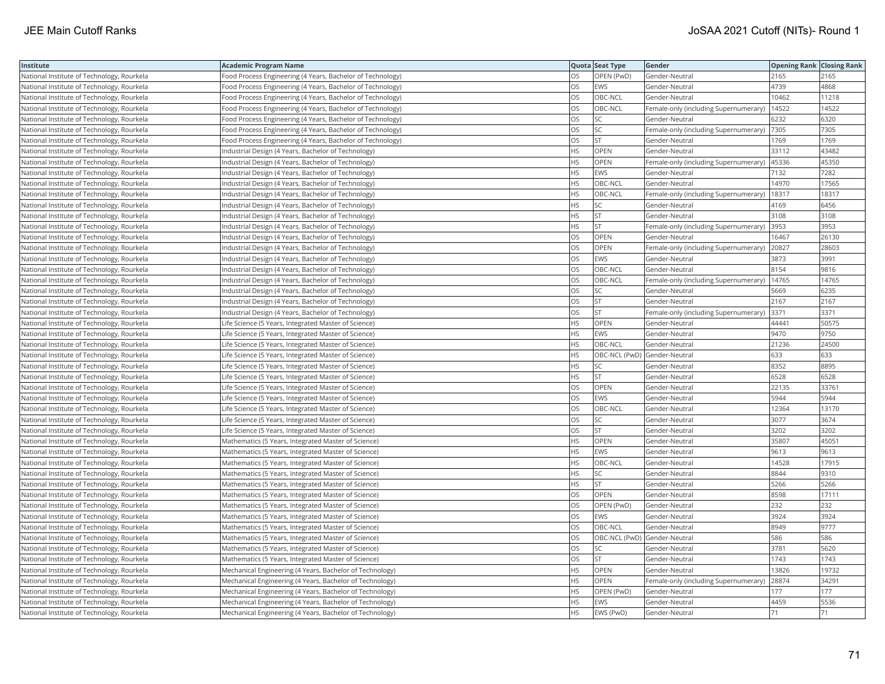| Institute                                  | Academic Program Name                                      |           | Quota Seat Type              | Gender                                      | <b>Opening Rank Closing Rank</b> |       |
|--------------------------------------------|------------------------------------------------------------|-----------|------------------------------|---------------------------------------------|----------------------------------|-------|
| National Institute of Technology, Rourkela | Food Process Engineering (4 Years, Bachelor of Technology) | OS        | OPEN (PwD)                   | Gender-Neutral                              | 2165                             | 2165  |
| National Institute of Technology, Rourkela | Food Process Engineering (4 Years, Bachelor of Technology) | OS.       | EWS                          | Gender-Neutral                              | 4739                             | 4868  |
| National Institute of Technology, Rourkela | Food Process Engineering (4 Years, Bachelor of Technology) | OS        | OBC-NCL                      | Gender-Neutral                              | 10462                            | 11218 |
| National Institute of Technology, Rourkela | Food Process Engineering (4 Years, Bachelor of Technology) | OS        | OBC-NCL                      | Female-only (including Supernumerary)       | 14522                            | 14522 |
| National Institute of Technology, Rourkela | Food Process Engineering (4 Years, Bachelor of Technology) | OS.       | <b>SC</b>                    | Gender-Neutral                              | 6232                             | 6320  |
| National Institute of Technology, Rourkela | Food Process Engineering (4 Years, Bachelor of Technology) | OS        | SC                           | Female-only (including Supernumerary)  7305 |                                  | 7305  |
| National Institute of Technology, Rourkela | Food Process Engineering (4 Years, Bachelor of Technology) | OS        | <b>ST</b>                    | Gender-Neutral                              | 1769                             | 1769  |
| National Institute of Technology, Rourkela | Industrial Design (4 Years, Bachelor of Technology)        | HS.       | <b>OPEN</b>                  | Gender-Neutral                              | 33112                            | 43482 |
| National Institute of Technology, Rourkela | Industrial Design (4 Years, Bachelor of Technology)        | ΗS        | OPEN                         | Female-only (including Supernumerary)       | 45336                            | 45350 |
| National Institute of Technology, Rourkela | Industrial Design (4 Years, Bachelor of Technology)        | <b>HS</b> | <b>EWS</b>                   | Gender-Neutral                              | 7132                             | 7282  |
| National Institute of Technology, Rourkela | Industrial Design (4 Years, Bachelor of Technology)        | HS        | OBC-NCL                      | Gender-Neutral                              | 14970                            | 17565 |
| National Institute of Technology, Rourkela | Industrial Design (4 Years, Bachelor of Technology)        | HS.       | OBC-NCL                      | Female-only (including Supernumerary)       | 18317                            | 18317 |
| National Institute of Technology, Rourkela | Industrial Design (4 Years, Bachelor of Technology)        | HS.       | <b>SC</b>                    | Gender-Neutral                              | 4169                             | 6456  |
| National Institute of Technology, Rourkela | Industrial Design (4 Years, Bachelor of Technology)        | HS        | <b>ST</b>                    | Gender-Neutral                              | 3108                             | 3108  |
| National Institute of Technology, Rourkela | Industrial Design (4 Years, Bachelor of Technology)        | ΗS        | <b>ST</b>                    | Female-only (including Supernumerary)       | 3953                             | 3953  |
| National Institute of Technology, Rourkela | Industrial Design (4 Years, Bachelor of Technology)        | OS        | OPEN                         | Gender-Neutral                              | 16467                            | 26130 |
| National Institute of Technology, Rourkela | Industrial Design (4 Years, Bachelor of Technology)        | OS        | OPEN                         | Female-only (including Supernumerary)       | 20827                            | 28603 |
| National Institute of Technology, Rourkela | Industrial Design (4 Years, Bachelor of Technology)        | OS        | EWS                          | Gender-Neutral                              | 3873                             | 3991  |
| National Institute of Technology, Rourkela | Industrial Design (4 Years, Bachelor of Technology)        | OS        | OBC-NCL                      | Gender-Neutral                              | 8154                             | 9816  |
| National Institute of Technology, Rourkela | Industrial Design (4 Years, Bachelor of Technology)        | OS        | OBC-NCL                      | Female-only (including Supernumerary)       | 14765                            | 14765 |
| National Institute of Technology, Rourkela | Industrial Design (4 Years, Bachelor of Technology)        | OS.       | <b>SC</b>                    | Gender-Neutral                              | 5669                             | 6235  |
| National Institute of Technology, Rourkela | Industrial Design (4 Years, Bachelor of Technology)        | OS        | <b>ST</b>                    | Gender-Neutral                              | 2167                             | 2167  |
| National Institute of Technology, Rourkela | Industrial Design (4 Years, Bachelor of Technology)        | OS        | <b>ST</b>                    | Female-only (including Supernumerary)  3371 |                                  | 3371  |
| National Institute of Technology, Rourkela | Life Science (5 Years, Integrated Master of Science)       | HS        | <b>OPEN</b>                  | Gender-Neutral                              | 44441                            | 50575 |
| National Institute of Technology, Rourkela | Life Science (5 Years, Integrated Master of Science)       | HS        | <b>EWS</b>                   | Gender-Neutral                              | 9470                             | 9750  |
| National Institute of Technology, Rourkela | Life Science (5 Years, Integrated Master of Science)       | HS.       | OBC-NCL                      | Gender-Neutral                              | 21236                            | 24500 |
| National Institute of Technology, Rourkela | Life Science (5 Years, Integrated Master of Science)       | HS        | OBC-NCL (PwD) Gender-Neutral |                                             | 633                              | 633   |
| National Institute of Technology, Rourkela | Life Science (5 Years, Integrated Master of Science)       | HS.       | <b>SC</b>                    | Gender-Neutral                              | 8352                             | 8895  |
| National Institute of Technology, Rourkela | Life Science (5 Years, Integrated Master of Science)       | <b>HS</b> | <b>ST</b>                    | Gender-Neutral                              | 6528                             | 6528  |
| National Institute of Technology, Rourkela | Life Science (5 Years, Integrated Master of Science)       | OS        | OPEN                         | Gender-Neutral                              | 22135                            | 33761 |
| National Institute of Technology, Rourkela | Life Science (5 Years, Integrated Master of Science)       | OS        | <b>EWS</b>                   | Gender-Neutral                              | 5944                             | 5944  |
| National Institute of Technology, Rourkela | Life Science (5 Years, Integrated Master of Science)       | OS        | OBC-NCL                      | Gender-Neutral                              | 12364                            | 13170 |
| National Institute of Technology, Rourkela | Life Science (5 Years, Integrated Master of Science)       | OS        | SC                           | Gender-Neutral                              | 3077                             | 3674  |
| National Institute of Technology, Rourkela | Life Science (5 Years, Integrated Master of Science)       | OS.       | <b>ST</b>                    | Gender-Neutral                              | 3202                             | 3202  |
| National Institute of Technology, Rourkela | Mathematics (5 Years, Integrated Master of Science)        | HS.       | OPEN                         | Gender-Neutral                              | 35807                            | 4505  |
| National Institute of Technology, Rourkela | Mathematics (5 Years, Integrated Master of Science)        | HS.       | <b>EWS</b>                   | Gender-Neutral                              | 9613                             | 9613  |
| National Institute of Technology, Rourkela | Mathematics (5 Years, Integrated Master of Science)        | <b>HS</b> | OBC-NCL                      | Gender-Neutral                              | 14528                            | 17915 |
| National Institute of Technology, Rourkela | Mathematics (5 Years, Integrated Master of Science)        | HS        | SC                           | Gender-Neutral                              | 8844                             | 9310  |
| National Institute of Technology, Rourkela | Mathematics (5 Years, Integrated Master of Science)        | ΗS        | <b>ST</b>                    | Gender-Neutral                              | 5266                             | 5266  |
| National Institute of Technology, Rourkela | Mathematics (5 Years, Integrated Master of Science)        | OS        | <b>OPEN</b>                  | Gender-Neutral                              | 8598                             | 17111 |
| National Institute of Technology, Rourkela | Mathematics (5 Years, Integrated Master of Science)        | OS        | OPEN (PwD)                   | Gender-Neutral                              | 232                              | 232   |
| National Institute of Technology, Rourkela | Mathematics (5 Years, Integrated Master of Science)        | OS        | EWS                          | Gender-Neutral                              | 3924                             | 3924  |
| National Institute of Technology, Rourkela | Mathematics (5 Years, Integrated Master of Science)        | OS        | OBC-NCL                      | Gender-Neutral                              | 8949                             | 9777  |
| National Institute of Technology, Rourkela | Mathematics (5 Years, Integrated Master of Science)        | OS        | OBC-NCL (PwD) Gender-Neutral |                                             | 586                              | 586   |
| National Institute of Technology, Rourkela | Mathematics (5 Years, Integrated Master of Science)        | OS.       | <b>SC</b>                    | Gender-Neutral                              | 3781                             | 5620  |
| National Institute of Technology, Rourkela | Mathematics (5 Years, Integrated Master of Science)        | OS        | <b>ST</b>                    | Gender-Neutral                              | 1743                             | 1743  |
| National Institute of Technology, Rourkela | Mechanical Engineering (4 Years, Bachelor of Technology)   | HS.       | OPEN                         | Gender-Neutral                              | 13826                            | 19732 |
| National Institute of Technology, Rourkela | Mechanical Engineering (4 Years, Bachelor of Technology)   | HS        | OPEN                         | Female-only (including Supernumerary)       | 28874                            | 34291 |
| National Institute of Technology, Rourkela | Mechanical Engineering (4 Years, Bachelor of Technology)   | HS.       | OPEN (PwD)                   | Gender-Neutral                              | 177                              | 177   |
| National Institute of Technology, Rourkela | Mechanical Engineering (4 Years, Bachelor of Technology)   | HS.       | <b>EWS</b>                   | Gender-Neutral                              | 4459                             | 5536  |
| National Institute of Technology, Rourkela | Mechanical Engineering (4 Years, Bachelor of Technology)   | <b>HS</b> | EWS (PwD)                    | Gender-Neutral                              | 71                               | 71    |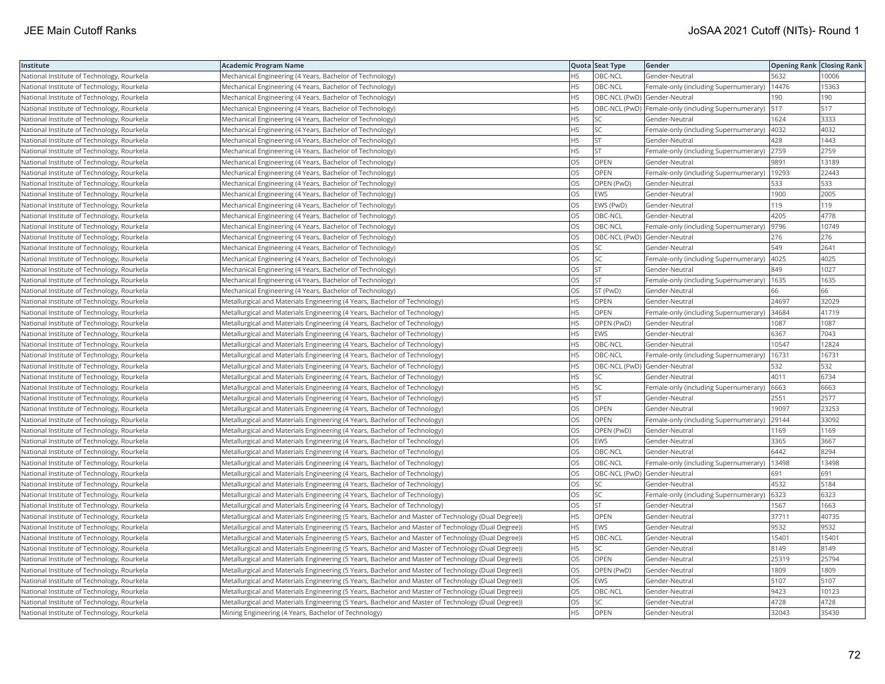| Institute                                  | <b>Academic Program Name</b>                                                                       |           | Quota Seat Type              | Gender                                               | Opening Rank Closing Rank |       |
|--------------------------------------------|----------------------------------------------------------------------------------------------------|-----------|------------------------------|------------------------------------------------------|---------------------------|-------|
| National Institute of Technology, Rourkela | Mechanical Engineering (4 Years, Bachelor of Technology)                                           | <b>HS</b> | OBC-NCL                      | Gender-Neutral                                       | 5632                      | 10006 |
| National Institute of Technology, Rourkela | Mechanical Engineering (4 Years, Bachelor of Technology)                                           | HS        | OBC-NCL                      | Female-only (including Supernumerary)                | 14476                     | 15363 |
| National Institute of Technology, Rourkela | Mechanical Engineering (4 Years, Bachelor of Technology)                                           | HS        | OBC-NCL (PwD) Gender-Neutral |                                                      | 190                       | 190   |
| National Institute of Technology, Rourkela | Mechanical Engineering (4 Years, Bachelor of Technology)                                           | HS        |                              | OBC-NCL (PwD)  Female-only (including Supernumerary) | 517                       | 517   |
| National Institute of Technology, Rourkela | Mechanical Engineering (4 Years, Bachelor of Technology)                                           | HS        | SC                           | Gender-Neutral                                       | 1624                      | 3333  |
| National Institute of Technology, Rourkela | Mechanical Engineering (4 Years, Bachelor of Technology)                                           | HS.       | SC                           | Female-only (including Supernumerary)                | 4032                      | 4032  |
| National Institute of Technology, Rourkela | Mechanical Engineering (4 Years, Bachelor of Technology)                                           | HS        | <b>ST</b>                    | Gender-Neutral                                       | 428                       | 1443  |
| National Institute of Technology, Rourkela | Mechanical Engineering (4 Years, Bachelor of Technology)                                           | <b>HS</b> | <b>ST</b>                    | Female-only (including Supernumerary)                | 2759                      | 2759  |
| National Institute of Technology, Rourkela | Mechanical Engineering (4 Years, Bachelor of Technology)                                           | OS        | <b>OPEN</b>                  | Gender-Neutral                                       | 9891                      | 13189 |
| National Institute of Technology, Rourkela | Mechanical Engineering (4 Years, Bachelor of Technology)                                           | OS        | OPEN                         | Female-only (including Supernumerary)                | 19293                     | 22443 |
| National Institute of Technology, Rourkela | Mechanical Engineering (4 Years, Bachelor of Technology)                                           | OS        | OPEN (PwD)                   | Gender-Neutral                                       | 533                       | 533   |
| National Institute of Technology, Rourkela | Mechanical Engineering (4 Years, Bachelor of Technology)                                           | OS        | <b>EWS</b>                   | Gender-Neutral                                       | 1900                      | 2005  |
| National Institute of Technology, Rourkela | Mechanical Engineering (4 Years, Bachelor of Technology)                                           | <b>OS</b> | EWS (PwD)                    | Gender-Neutral                                       | 119                       | 119   |
| National Institute of Technology, Rourkela | Mechanical Engineering (4 Years, Bachelor of Technology)                                           | OS        | OBC-NCL                      | Gender-Neutral                                       | 4205                      | 4778  |
| National Institute of Technology, Rourkela | Mechanical Engineering (4 Years, Bachelor of Technology)                                           | OS        | OBC-NCL                      | Female-only (including Supernumerary)                | 9796                      | 10749 |
| National Institute of Technology, Rourkela | Mechanical Engineering (4 Years, Bachelor of Technology)                                           | OS        | OBC-NCL (PwD) Gender-Neutral |                                                      | 276                       | 276   |
| National Institute of Technology, Rourkela | Mechanical Engineering (4 Years, Bachelor of Technology)                                           | OS        | <b>SC</b>                    | Gender-Neutral                                       | 549                       | 2641  |
| National Institute of Technology, Rourkela | Mechanical Engineering (4 Years, Bachelor of Technology)                                           | OS        | <b>SC</b>                    | Female-only (including Supernumerary)                | 4025                      | 4025  |
| National Institute of Technology, Rourkela | Mechanical Engineering (4 Years, Bachelor of Technology)                                           | OS        | ST                           | Gender-Neutral                                       | 849                       | 1027  |
| National Institute of Technology, Rourkela | Mechanical Engineering (4 Years, Bachelor of Technology)                                           | OS        | <b>ST</b>                    | Female-only (including Supernumerary)                | 1635                      | 1635  |
| National Institute of Technology, Rourkela | Mechanical Engineering (4 Years, Bachelor of Technology)                                           | OS        | ST (PwD)                     | Gender-Neutral                                       | 66                        | 66    |
| National Institute of Technology, Rourkela | Metallurgical and Materials Engineering (4 Years, Bachelor of Technology)                          | HS        | OPEN                         | Gender-Neutral                                       | 24697                     | 32029 |
| National Institute of Technology, Rourkela | Metallurgical and Materials Engineering (4 Years, Bachelor of Technology)                          | ΗS        | OPEN                         | Female-only (including Supernumerary) 34684          |                           | 41719 |
| National Institute of Technology, Rourkela | Metallurgical and Materials Engineering (4 Years, Bachelor of Technology)                          | HS        | OPEN (PwD)                   | Gender-Neutral                                       | 1087                      | 1087  |
| National Institute of Technology, Rourkela | Metallurgical and Materials Engineering (4 Years, Bachelor of Technology)                          | HS        | EWS                          | Gender-Neutral                                       | 6367                      | 7043  |
| National Institute of Technology, Rourkela | Metallurgical and Materials Engineering (4 Years, Bachelor of Technology)                          | <b>HS</b> | OBC-NCL                      | Gender-Neutral                                       | 10547                     | 12824 |
| National Institute of Technology, Rourkela | Metallurgical and Materials Engineering (4 Years, Bachelor of Technology)                          | HS        | OBC-NCL                      | Female-only (including Supernumerary)                | 16731                     | 16731 |
| National Institute of Technology, Rourkela | Metallurgical and Materials Engineering (4 Years, Bachelor of Technology)                          | HS        | OBC-NCL (PwD) Gender-Neutral |                                                      | 532                       | 532   |
| National Institute of Technology, Rourkela | Metallurgical and Materials Engineering (4 Years, Bachelor of Technology)                          | <b>HS</b> | <b>SC</b>                    | Gender-Neutral                                       | 4011                      | 6734  |
| National Institute of Technology, Rourkela | Metallurgical and Materials Engineering (4 Years, Bachelor of Technology)                          | HS        | SC                           | Female-only (including Supernumerary) 6663           |                           | 6663  |
| National Institute of Technology, Rourkela | Metallurgical and Materials Engineering (4 Years, Bachelor of Technology)                          | ΗS        | <b>ST</b>                    | Gender-Neutral                                       | 2551                      | 2577  |
| National Institute of Technology, Rourkela | Metallurgical and Materials Engineering (4 Years, Bachelor of Technology)                          | OS        | OPEN                         | Gender-Neutral                                       | 19097                     | 23253 |
| National Institute of Technology, Rourkela | Metallurgical and Materials Engineering (4 Years, Bachelor of Technology)                          | OS        | OPEN                         | Female-only (including Supernumerary)                | 29144                     | 33092 |
| National Institute of Technology, Rourkela | Metallurgical and Materials Engineering (4 Years, Bachelor of Technology)                          | OS        | OPEN (PwD)                   | Gender-Neutral                                       | 1169                      | 1169  |
| National Institute of Technology, Rourkela | Metallurgical and Materials Engineering (4 Years, Bachelor of Technology)                          | OS        | EWS                          | Gender-Neutral                                       | 3365                      | 3667  |
| National Institute of Technology, Rourkela | Metallurgical and Materials Engineering (4 Years, Bachelor of Technology)                          | OS        | OBC-NCL                      | Gender-Neutral                                       | 6442                      | 8294  |
| National Institute of Technology, Rourkela | Metallurgical and Materials Engineering (4 Years, Bachelor of Technology)                          | OS        | OBC-NCL                      | Female-only (including Supernumerary)                | 13498                     | 13498 |
| National Institute of Technology, Rourkela | Metallurgical and Materials Engineering (4 Years, Bachelor of Technology)                          | OS        | OBC-NCL (PwD) Gender-Neutral |                                                      | 691                       | 691   |
| National Institute of Technology, Rourkela | Metallurgical and Materials Engineering (4 Years, Bachelor of Technology)                          | OS        | SC                           | Gender-Neutral                                       | 4532                      | 5184  |
| National Institute of Technology, Rourkela | Metallurgical and Materials Engineering (4 Years, Bachelor of Technology)                          | OS        | SC                           | Female-only (including Supernumerary)                | 6323                      | 6323  |
| National Institute of Technology, Rourkela | Metallurgical and Materials Engineering (4 Years, Bachelor of Technology)                          | OS        | <b>ST</b>                    | Gender-Neutral                                       | 1567                      | 1663  |
| National Institute of Technology, Rourkela | Metallurgical and Materials Engineering (5 Years, Bachelor and Master of Technology (Dual Degree)) | HS        | OPEN                         | Gender-Neutral                                       | 37711                     | 40735 |
| National Institute of Technology, Rourkela | Metallurgical and Materials Engineering (5 Years, Bachelor and Master of Technology (Dual Degree)) | HS        | <b>EWS</b>                   | Gender-Neutral                                       | 9532                      | 9532  |
| National Institute of Technology, Rourkela | Metallurgical and Materials Engineering (5 Years, Bachelor and Master of Technology (Dual Degree)) | <b>HS</b> | OBC-NCL                      | Gender-Neutral                                       | 15401                     | 15401 |
| National Institute of Technology, Rourkela | Metallurgical and Materials Engineering (5 Years, Bachelor and Master of Technology (Dual Degree)) | HS        | <b>SC</b>                    | Gender-Neutral                                       | 8149                      | 8149  |
| National Institute of Technology, Rourkela | Metallurgical and Materials Engineering (5 Years, Bachelor and Master of Technology (Dual Degree)) | OS        | OPEN                         | Gender-Neutral                                       | 25319                     | 25794 |
| National Institute of Technology, Rourkela | Metallurgical and Materials Engineering (5 Years, Bachelor and Master of Technology (Dual Degree)) | OS        | OPEN (PwD)                   | Gender-Neutral                                       | 1809                      | 1809  |
| National Institute of Technology, Rourkela | Metallurgical and Materials Engineering (5 Years, Bachelor and Master of Technology (Dual Degree)) | OS        | <b>EWS</b>                   | Gender-Neutral                                       | 5107                      | 5107  |
| National Institute of Technology, Rourkela | Metallurgical and Materials Engineering (5 Years, Bachelor and Master of Technology (Dual Degree)) | OS        | OBC-NCL                      | Gender-Neutral                                       | 9423                      | 10123 |
| National Institute of Technology, Rourkela | Metallurgical and Materials Engineering (5 Years, Bachelor and Master of Technology (Dual Degree)) | OS        | <b>SC</b>                    | Gender-Neutral                                       | 4728                      | 4728  |
| National Institute of Technology, Rourkela | Mining Engineering (4 Years, Bachelor of Technology)                                               | <b>HS</b> | OPEN                         | Gender-Neutral                                       | 32043                     | 35430 |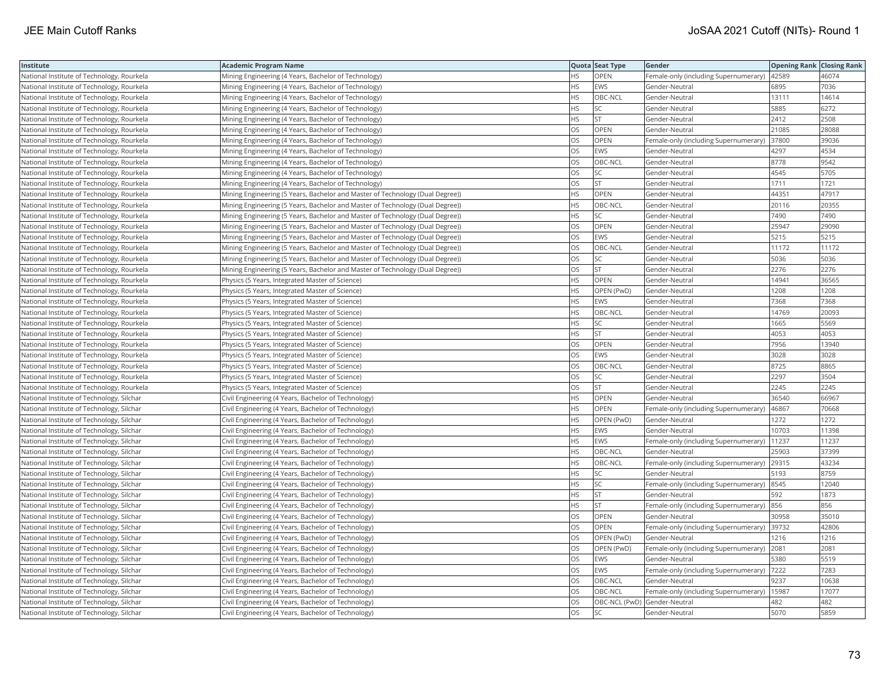| Institute                                  | <b>Academic Program Name</b>                                                  |           | Quota Seat Type | Gender                                        | <b>Opening Rank Closing Rank</b> |       |
|--------------------------------------------|-------------------------------------------------------------------------------|-----------|-----------------|-----------------------------------------------|----------------------------------|-------|
| National Institute of Technology, Rourkela | Mining Engineering (4 Years, Bachelor of Technology)                          | <b>HS</b> | OPEN            | Female-only (including Supernumerary)   42589 |                                  | 46074 |
| National Institute of Technology, Rourkela | Mining Engineering (4 Years, Bachelor of Technology)                          | ΗS        | EWS             | Gender-Neutral                                | 6895                             | 7036  |
| National Institute of Technology, Rourkela | Mining Engineering (4 Years, Bachelor of Technology)                          | <b>HS</b> | OBC-NCL         | Gender-Neutral                                | 13111                            | 14614 |
| National Institute of Technology, Rourkela | Mining Engineering (4 Years, Bachelor of Technology)                          | HS        | SC              | Gender-Neutral                                | 5885                             | 6272  |
| National Institute of Technology, Rourkela | Mining Engineering (4 Years, Bachelor of Technology)                          | HS        | <b>ST</b>       | Gender-Neutral                                | 2412                             | 2508  |
| National Institute of Technology, Rourkela | Mining Engineering (4 Years, Bachelor of Technology)                          | OS        | OPEN            | Gender-Neutral                                | 21085                            | 28088 |
| National Institute of Technology, Rourkela | Mining Engineering (4 Years, Bachelor of Technology)                          | OS        | OPEN            | Female-only (including Supernumerary)         | 37800                            | 39036 |
| National Institute of Technology, Rourkela | Mining Engineering (4 Years, Bachelor of Technology)                          | OS        | <b>EWS</b>      | Gender-Neutral                                | 4297                             | 4534  |
| National Institute of Technology, Rourkela | Mining Engineering (4 Years, Bachelor of Technology)                          | OS        | OBC-NCL         | Gender-Neutral                                | 8778                             | 9542  |
| National Institute of Technology, Rourkela | Mining Engineering (4 Years, Bachelor of Technology)                          | OS        | SC              | Gender-Neutral                                | 4545                             | 5705  |
| National Institute of Technology, Rourkela | Mining Engineering (4 Years, Bachelor of Technology)                          | OS        | ST              | Gender-Neutral                                | 1711                             | 1721  |
| National Institute of Technology, Rourkela | Mining Engineering (5 Years, Bachelor and Master of Technology (Dual Degree)) | <b>HS</b> | OPEN            | Gender-Neutral                                | 44351                            | 47917 |
| National Institute of Technology, Rourkela | Mining Engineering (5 Years, Bachelor and Master of Technology (Dual Degree)) | <b>HS</b> | OBC-NCL         | Gender-Neutral                                | 20116                            | 20355 |
| National Institute of Technology, Rourkela | Mining Engineering (5 Years, Bachelor and Master of Technology (Dual Degree)) | HS        | SC              | Gender-Neutral                                | 7490                             | 7490  |
| National Institute of Technology, Rourkela | Mining Engineering (5 Years, Bachelor and Master of Technology (Dual Degree)) | OS        | OPEN            | Gender-Neutral                                | 25947                            | 29090 |
| National Institute of Technology, Rourkela | Mining Engineering (5 Years, Bachelor and Master of Technology (Dual Degree)) | OS        | <b>EWS</b>      | Gender-Neutral                                | 5215                             | 5215  |
| National Institute of Technology, Rourkela | Mining Engineering (5 Years, Bachelor and Master of Technology (Dual Degree)) | OS        | OBC-NCL         | Gender-Neutral                                | 11172                            | 11172 |
| National Institute of Technology, Rourkela | Mining Engineering (5 Years, Bachelor and Master of Technology (Dual Degree)) | OS        | <b>SC</b>       | Gender-Neutral                                | 5036                             | 5036  |
| National Institute of Technology, Rourkela | Mining Engineering (5 Years, Bachelor and Master of Technology (Dual Degree)) | OS        | <b>ST</b>       | Gender-Neutral                                | 2276                             | 2276  |
| National Institute of Technology, Rourkela | Physics (5 Years, Integrated Master of Science)                               | <b>HS</b> | <b>OPEN</b>     | Gender-Neutral                                | 14941                            | 36565 |
| National Institute of Technology, Rourkela | Physics (5 Years, Integrated Master of Science)                               | HS        | OPEN (PwD)      | Gender-Neutral                                | 1208                             | 1208  |
| National Institute of Technology, Rourkela | Physics (5 Years, Integrated Master of Science)                               | HS        | <b>EWS</b>      | Gender-Neutral                                | 7368                             | 7368  |
| National Institute of Technology, Rourkela | Physics (5 Years, Integrated Master of Science)                               | ΗS        | OBC-NCL         | Gender-Neutral                                | 14769                            | 20093 |
| National Institute of Technology, Rourkela | Physics (5 Years, Integrated Master of Science)                               | HS        | SC              | Gender-Neutral                                | 1665                             | 5569  |
| National Institute of Technology, Rourkela | Physics (5 Years, Integrated Master of Science)                               | ΗS        | <b>ST</b>       | Gender-Neutral                                | 4053                             | 4053  |
| National Institute of Technology, Rourkela | Physics (5 Years, Integrated Master of Science)                               | OS        | OPEN            | Gender-Neutral                                | 7956                             | 13940 |
| National Institute of Technology, Rourkela | Physics (5 Years, Integrated Master of Science)                               | OS        | EWS             | Gender-Neutral                                | 3028                             | 3028  |
| National Institute of Technology, Rourkela | Physics (5 Years, Integrated Master of Science)                               | OS        | OBC-NCL         | Gender-Neutral                                | 8725                             | 8865  |
| National Institute of Technology, Rourkela | Physics (5 Years, Integrated Master of Science)                               | OS        | SC              | Gender-Neutral                                | 2297                             | 3504  |
| National Institute of Technology, Rourkela | Physics (5 Years, Integrated Master of Science)                               | OS        | ST              | Gender-Neutral                                | 2245                             | 2245  |
| National Institute of Technology, Silchar  | Civil Engineering (4 Years, Bachelor of Technology)                           | HS        | OPEN            | Gender-Neutral                                | 36540                            | 66967 |
| National Institute of Technology, Silchar  | Civil Engineering (4 Years, Bachelor of Technology)                           | HS        | OPEN            | Female-only (including Supernumerary)         | 46867                            | 70668 |
| National Institute of Technology, Silchar  | Civil Engineering (4 Years, Bachelor of Technology)                           | HS        | OPEN (PwD)      | Gender-Neutral                                | 1272                             | 1272  |
| National Institute of Technology, Silchar  | Civil Engineering (4 Years, Bachelor of Technology)                           | HS        | <b>EWS</b>      | Gender-Neutral                                | 10703                            | 11398 |
| National Institute of Technology, Silchar  | Civil Engineering (4 Years, Bachelor of Technology)                           | HS        | EWS             | Female-only (including Supernumerary)         | 11237                            | 11237 |
| National Institute of Technology, Silchar  | Civil Engineering (4 Years, Bachelor of Technology)                           | <b>HS</b> | OBC-NCL         | Gender-Neutral                                | 25903                            | 37399 |
| National Institute of Technology, Silchar  | Civil Engineering (4 Years, Bachelor of Technology)                           | HS        | OBC-NCL         | Female-only (including Supernumerary) 29315   |                                  | 43234 |
| National Institute of Technology, Silchar  | Civil Engineering (4 Years, Bachelor of Technology)                           | HS        | SC              | Gender-Neutral                                | 5193                             | 8759  |
| National Institute of Technology, Silchar  | Civil Engineering (4 Years, Bachelor of Technology)                           | HS        | SC              | Female-only (including Supernumerary)  8545   |                                  | 12040 |
| National Institute of Technology, Silchar  | Civil Engineering (4 Years, Bachelor of Technology)                           | <b>HS</b> | <b>ST</b>       | Gender-Neutral                                | 592                              | 1873  |
| National Institute of Technology, Silchar  | Civil Engineering (4 Years, Bachelor of Technology)                           | HS        | <b>ST</b>       | Female-only (including Supernumerary) 856     |                                  | 856   |
| National Institute of Technology, Silchar  | Civil Engineering (4 Years, Bachelor of Technology)                           | OS        | OPEN            | Gender-Neutral                                | 30958                            | 35010 |
| National Institute of Technology, Silchar  | Civil Engineering (4 Years, Bachelor of Technology)                           | OS        | OPEN            | Female-only (including Supernumerary)         | 39732                            | 42806 |
| National Institute of Technology, Silchar  | Civil Engineering (4 Years, Bachelor of Technology)                           | OS        | OPEN (PwD)      | Gender-Neutral                                | 1216                             | 1216  |
| National Institute of Technology, Silchar  | Civil Engineering (4 Years, Bachelor of Technology)                           | OS        | OPEN (PwD)      | Female-only (including Supernumerary) 2081    |                                  | 2081  |
| National Institute of Technology, Silchar  | Civil Engineering (4 Years, Bachelor of Technology)                           | OS        | EWS             | Gender-Neutral                                | 5380                             | 5519  |
| National Institute of Technology, Silchar  | Civil Engineering (4 Years, Bachelor of Technology)                           | OS        | <b>EWS</b>      | Female-only (including Supernumerary) 7222    |                                  | 7283  |
| National Institute of Technology, Silchar  | Civil Engineering (4 Years, Bachelor of Technology)                           | OS        | OBC-NCL         | Gender-Neutral                                | 9237                             | 10638 |
| National Institute of Technology, Silchar  | Civil Engineering (4 Years, Bachelor of Technology)                           | OS        | OBC-NCL         | Female-only (including Supernumerary)         | 15987                            | 17077 |
| National Institute of Technology, Silchar  | Civil Engineering (4 Years, Bachelor of Technology)                           | OS        |                 | OBC-NCL (PwD) Gender-Neutral                  | 482                              | 482   |
| National Institute of Technology, Silchar  | Civil Engineering (4 Years, Bachelor of Technology)                           | <b>OS</b> | <b>SC</b>       | Gender-Neutral                                | 5070                             | 5859  |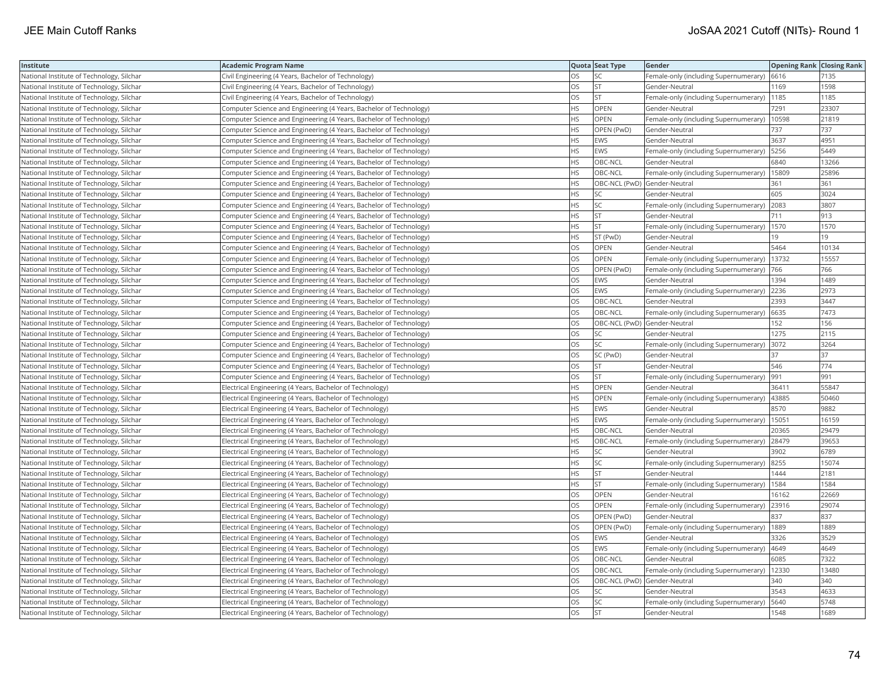| Institute                                 | Academic Program Name                                               |           | Quota Seat Type              | <b>Gender</b>                                 | <b>Opening Rank Closing Rank</b> |       |
|-------------------------------------------|---------------------------------------------------------------------|-----------|------------------------------|-----------------------------------------------|----------------------------------|-------|
| National Institute of Technology, Silchar | Civil Engineering (4 Years, Bachelor of Technology)                 | OS        | SC                           | Female-only (including Supernumerary)         | 6616                             | 7135  |
| National Institute of Technology, Silchar | Civil Engineering (4 Years, Bachelor of Technology)                 | OS.       | <b>ST</b>                    | Gender-Neutral                                | 1169                             | 1598  |
| National Institute of Technology, Silchar | Civil Engineering (4 Years, Bachelor of Technology)                 | OS        | <b>ST</b>                    | Female-only (including Supernumerary)         | 1185                             | 1185  |
| National Institute of Technology, Silchar | Computer Science and Engineering (4 Years, Bachelor of Technology)  | HS        | OPEN                         | Gender-Neutral                                | 7291                             | 23307 |
| National Institute of Technology, Silchar | Computer Science and Engineering (4 Years, Bachelor of Technology)  | <b>HS</b> | <b>OPEN</b>                  | Female-only (including Supernumerary)         | 10598                            | 21819 |
| National Institute of Technology, Silchar | Computer Science and Engineering (4 Years, Bachelor of Technology)  | HS        | OPEN (PwD)                   | Gender-Neutral                                | 737                              | 737   |
| National Institute of Technology, Silchar | Computer Science and Engineering (4 Years, Bachelor of Technology)  | HS        | <b>EWS</b>                   | Gender-Neutral                                | 3637                             | 4951  |
| National Institute of Technology, Silchar | Computer Science and Engineering (4 Years, Bachelor of Technology)  | <b>HS</b> | EWS                          | Female-only (including Supernumerary)   5256  |                                  | 5449  |
| National Institute of Technology, Silchar | Computer Science and Engineering (4 Years, Bachelor of Technology)  | HS        | OBC-NCL                      | Gender-Neutral                                | 6840                             | 13266 |
| National Institute of Technology, Silchar | Computer Science and Engineering (4 Years, Bachelor of Technology)  | HS.       | OBC-NCL                      | Female-only (including Supernumerary)   15809 |                                  | 25896 |
| National Institute of Technology, Silchar | Computer Science and Engineering (4 Years, Bachelor of Technology)  | HS        | OBC-NCL (PwD) Gender-Neutral |                                               | 361                              | 361   |
| National Institute of Technology, Silchar | Computer Science and Engineering (4 Years, Bachelor of Technology)  | <b>HS</b> | <b>SC</b>                    | Gender-Neutral                                | 605                              | 3024  |
| National Institute of Technology, Silchar | Computer Science and Engineering (4 Years, Bachelor of Technology)  | HS        | SC                           | Female-only (including Supernumerary)         | 2083                             | 3807  |
| National Institute of Technology, Silchar | Computer Science and Engineering (4 Years, Bachelor of Technology)  | HS.       | <b>ST</b>                    | Gender-Neutral                                | 711                              | 913   |
| National Institute of Technology, Silchar | Computer Science and Engineering (4 Years, Bachelor of Technology)  | ΗS        | <b>ST</b>                    | Female-only (including Supernumerary)         | 1570                             | 1570  |
| National Institute of Technology, Silchar | Computer Science and Engineering (4 Years, Bachelor of Technology)  | HS        | ST (PwD)                     | Gender-Neutral                                | 19                               | 19    |
| National Institute of Technology, Silchar | Computer Science and Engineering (4 Years, Bachelor of Technology)  | OS        | <b>OPEN</b>                  | Gender-Neutral                                | 5464                             | 10134 |
| National Institute of Technology, Silchar | Computer Science and Engineering (4 Years, Bachelor of Technology)  | OS        | OPEN                         | Female-only (including Supernumerary)         | 13732                            | 15557 |
| National Institute of Technology, Silchar | Computer Science and Engineering (4 Years, Bachelor of Technology)  | OS.       | OPEN (PwD)                   | Female-only (including Supernumerary)         | 766                              | 766   |
| National Institute of Technology, Silchar | Computer Science and Engineering (4 Years, Bachelor of Technology)  | <b>OS</b> | EWS                          | Gender-Neutral                                | 1394                             | 1489  |
| National Institute of Technology, Silchar | Computer Science and Engineering (4 Years, Bachelor of Technology)  | OS        | <b>EWS</b>                   | Female-only (including Supernumerary)         | 2236                             | 2973  |
| National Institute of Technology, Silchar | Computer Science and Engineering (4 Years, Bachelor of Technology)  | OS        | OBC-NCL                      | Gender-Neutral                                | 2393                             | 3447  |
| National Institute of Technology, Silchar | (Computer Science and Engineering (4 Years, Bachelor of Technology) | OS        | OBC-NCL                      | Female-only (including Supernumerary)   6635  |                                  | 7473  |
| National Institute of Technology, Silchar | Computer Science and Engineering (4 Years, Bachelor of Technology)  | OS        | OBC-NCL (PwD) Gender-Neutral |                                               | 152                              | 156   |
| National Institute of Technology, Silchar | Computer Science and Engineering (4 Years, Bachelor of Technology)  | OS        | SC                           | Gender-Neutral                                | 1275                             | 2115  |
| National Institute of Technology, Silchar | Computer Science and Engineering (4 Years, Bachelor of Technology)  | OS        | SC                           | Female-only (including Supernumerary)         | 3072                             | 3264  |
| National Institute of Technology, Silchar | Computer Science and Engineering (4 Years, Bachelor of Technology)  | OS        | SC (PwD)                     | Gender-Neutral                                | 37                               | 37    |
| National Institute of Technology, Silchar | Computer Science and Engineering (4 Years, Bachelor of Technology)  | OS.       | <b>ST</b>                    | Gender-Neutral                                | 546                              | 774   |
| National Institute of Technology, Silchar | Computer Science and Engineering (4 Years, Bachelor of Technology)  | OS        | <b>ST</b>                    | Female-only (including Supernumerary)         | 991                              | 991   |
| National Institute of Technology, Silchar | Electrical Engineering (4 Years, Bachelor of Technology)            | HS.       | OPEN                         | Gender-Neutral                                | 36411                            | 55847 |
| National Institute of Technology, Silchar | Electrical Engineering (4 Years, Bachelor of Technology)            | HS        | <b>OPEN</b>                  | Female-only (including Supernumerary)  43885  |                                  | 50460 |
| National Institute of Technology, Silchar | Electrical Engineering (4 Years, Bachelor of Technology)            | HS        | EWS                          | Gender-Neutral                                | 8570                             | 9882  |
| National Institute of Technology, Silchar | Electrical Engineering (4 Years, Bachelor of Technology)            | HS.       | EWS                          | Female-only (including Supernumerary)         | 15051                            | 16159 |
| National Institute of Technology, Silchar | Electrical Engineering (4 Years, Bachelor of Technology)            | HS        | OBC-NCL                      | Gender-Neutral                                | 20365                            | 29479 |
| National Institute of Technology, Silchar | Electrical Engineering (4 Years, Bachelor of Technology)            | HS.       | OBC-NCL                      | Female-only (including Supernumerary)         | 28479                            | 39653 |
| National Institute of Technology, Silchar | Electrical Engineering (4 Years, Bachelor of Technology)            | <b>HS</b> | <b>SC</b>                    | Gender-Neutral                                | 3902                             | 6789  |
| National Institute of Technology, Silchar | Electrical Engineering (4 Years, Bachelor of Technology)            | HS        | SC                           | Female-only (including Supernumerary) 8255    |                                  | 15074 |
| National Institute of Technology, Silchar | Electrical Engineering (4 Years, Bachelor of Technology)            | HS        | <b>ST</b>                    | Gender-Neutral                                | 1444                             | 2181  |
| National Institute of Technology, Silchar | Electrical Engineering (4 Years, Bachelor of Technology)            | HS        | <b>ST</b>                    | Female-only (including Supernumerary)         | 1584                             | 1584  |
| National Institute of Technology, Silchar | Electrical Engineering (4 Years, Bachelor of Technology)            | OS.       | OPEN                         | Gender-Neutral                                | 16162                            | 22669 |
| National Institute of Technology, Silchar | Electrical Engineering (4 Years, Bachelor of Technology)            | OS        | OPEN                         | Female-only (including Supernumerary)         | 23916                            | 29074 |
| National Institute of Technology, Silchar | Electrical Engineering (4 Years, Bachelor of Technology)            | OS        | OPEN (PwD)                   | Gender-Neutral                                | 837                              | 837   |
| National Institute of Technology, Silchar | Electrical Engineering (4 Years, Bachelor of Technology)            | OS        | OPEN (PwD)                   | Female-only (including Supernumerary)         | 1889                             | 1889  |
| National Institute of Technology, Silchar | Electrical Engineering (4 Years, Bachelor of Technology)            | OS.       | <b>EWS</b>                   | Gender-Neutral                                | 3326                             | 3529  |
| National Institute of Technology, Silchar | Electrical Engineering (4 Years, Bachelor of Technology)            | OS        | EWS                          | Female-only (including Supernumerary)         | 4649                             | 4649  |
| National Institute of Technology, Silchar | Electrical Engineering (4 Years, Bachelor of Technology)            | OS        | OBC-NCL                      | Gender-Neutral                                | 6085                             | 7322  |
| National Institute of Technology, Silchar | Electrical Engineering (4 Years, Bachelor of Technology)            | OS.       | OBC-NCL                      | Female-only (including Supernumerary)   12330 |                                  | 13480 |
| National Institute of Technology, Silchar | Electrical Engineering (4 Years, Bachelor of Technology)            | OS        | OBC-NCL (PwD) Gender-Neutral |                                               | 340                              | 340   |
| National Institute of Technology, Silchar | Electrical Engineering (4 Years, Bachelor of Technology)            | OS        | SC                           | Gender-Neutral                                | 3543                             | 4633  |
| National Institute of Technology, Silchar | Electrical Engineering (4 Years, Bachelor of Technology)            | OS        | SC                           | Female-only (including Supernumerary)         | 5640                             | 5748  |
| National Institute of Technology, Silchar | Electrical Engineering (4 Years, Bachelor of Technology)            | OS        | <b>ST</b>                    | Gender-Neutral                                | 1548                             | 1689  |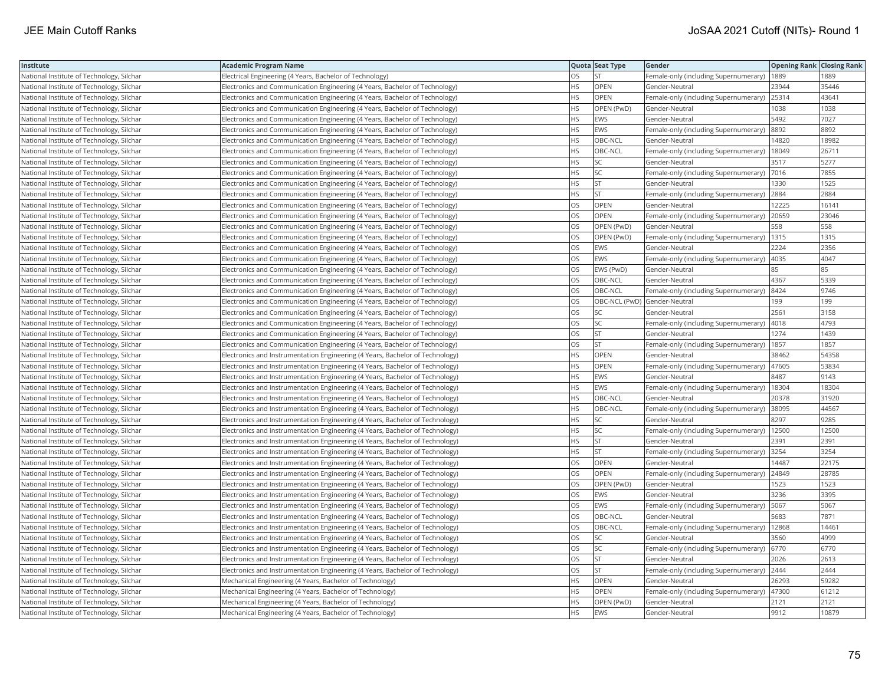| Institute                                 | <b>Academic Program Name</b>                                                   |           | Quota Seat Type | Gender                                       | <b>Opening Rank   Closing Rank</b> |       |
|-------------------------------------------|--------------------------------------------------------------------------------|-----------|-----------------|----------------------------------------------|------------------------------------|-------|
| National Institute of Technology, Silchar | Electrical Engineering (4 Years, Bachelor of Technology)                       | OS        | <b>ST</b>       | Female-only (including Supernumerary)        | 1889                               | 1889  |
| National Institute of Technology, Silchar | Electronics and Communication Engineering (4 Years, Bachelor of Technology)    | HS.       | OPEN            | Gender-Neutral                               | 23944                              | 35446 |
| National Institute of Technology, Silchar | Electronics and Communication Engineering (4 Years, Bachelor of Technology)    | <b>HS</b> | OPEN            | Female-only (including Supernumerary) 25314  |                                    | 43641 |
| National Institute of Technology, Silchar | Electronics and Communication Engineering (4 Years, Bachelor of Technology)    | НS        | OPEN (PwD)      | Gender-Neutral                               | 1038                               | 1038  |
| National Institute of Technology, Silchar | Electronics and Communication Engineering (4 Years, Bachelor of Technology)    | НS        | <b>EWS</b>      | Gender-Neutral                               | 5492                               | 7027  |
| National Institute of Technology, Silchar | Electronics and Communication Engineering (4 Years, Bachelor of Technology)    | HS        | EWS             | Female-only (including Supernumerary)  8892  |                                    | 8892  |
| National Institute of Technology, Silchar | Electronics and Communication Engineering (4 Years, Bachelor of Technology)    | ΗS        | OBC-NCL         | Gender-Neutral                               | 14820                              | 18982 |
| National Institute of Technology, Silchar | Electronics and Communication Engineering (4 Years, Bachelor of Technology)    | НS        | OBC-NCL         | Female-only (including Supernumerary)        | 18049                              | 26711 |
| National Institute of Technology, Silchar | Electronics and Communication Engineering (4 Years, Bachelor of Technology)    | HS        | SC              | Gender-Neutral                               | 3517                               | 5277  |
| National Institute of Technology, Silchar | Electronics and Communication Engineering (4 Years, Bachelor of Technology)    | HS        | SC              | Female-only (including Supernumerary)        | 7016                               | 7855  |
| National Institute of Technology, Silchar | Electronics and Communication Engineering (4 Years, Bachelor of Technology)    | <b>HS</b> | <b>ST</b>       | Gender-Neutral                               | 1330                               | 1525  |
| National Institute of Technology, Silchar | Electronics and Communication Engineering (4 Years, Bachelor of Technology)    | HS        | <b>ST</b>       | Female-only (including Supernumerary)        | 2884                               | 2884  |
| National Institute of Technology, Silchar | Electronics and Communication Engineering (4 Years, Bachelor of Technology)    | OS        | <b>OPEN</b>     | Gender-Neutral                               | 12225                              | 16141 |
| National Institute of Technology, Silchar | Electronics and Communication Engineering (4 Years, Bachelor of Technology)    | OS        | OPEN            | Female-only (including Supernumerary)        | 20659                              | 23046 |
| National Institute of Technology, Silchar | Electronics and Communication Engineering (4 Years, Bachelor of Technology)    | OS        | OPEN (PwD)      | Gender-Neutral                               | 558                                | 558   |
| National Institute of Technology, Silchar | Electronics and Communication Engineering (4 Years, Bachelor of Technology)    | OS        | OPEN (PwD)      | Female-only (including Supernumerary)        | 1315                               | 1315  |
| National Institute of Technology, Silchar | Electronics and Communication Engineering (4 Years, Bachelor of Technology)    | OS        | <b>EWS</b>      | Gender-Neutral                               | 2224                               | 2356  |
| National Institute of Technology, Silchar | Electronics and Communication Engineering (4 Years, Bachelor of Technology)    | OS        | <b>EWS</b>      | Female-only (including Supernumerary)        | 4035                               | 4047  |
| National Institute of Technology, Silchar | Electronics and Communication Engineering (4 Years, Bachelor of Technology)    | OS        | EWS (PwD)       | Gender-Neutral                               | 85                                 | 85    |
| National Institute of Technology, Silchar | Electronics and Communication Engineering (4 Years, Bachelor of Technology)    | OS        | OBC-NCL         | Gender-Neutral                               | 4367                               | 5339  |
| National Institute of Technology, Silchar | Electronics and Communication Engineering (4 Years, Bachelor of Technology)    | OS        | OBC-NCL         | Female-only (including Supernumerary)  8424  |                                    | 9746  |
| National Institute of Technology, Silchar | Electronics and Communication Engineering (4 Years, Bachelor of Technology)    | OS        |                 | OBC-NCL (PwD) Gender-Neutral                 | 199                                | 199   |
| National Institute of Technology, Silchar | Electronics and Communication Engineering (4 Years, Bachelor of Technology)    | OS        | <b>SC</b>       | Gender-Neutral                               | 2561                               | 3158  |
| National Institute of Technology, Silchar | Electronics and Communication Engineering (4 Years, Bachelor of Technology)    | OS        | <b>SC</b>       | Female-only (including Supernumerary)        | 4018                               | 4793  |
| National Institute of Technology, Silchar | Electronics and Communication Engineering (4 Years, Bachelor of Technology)    | OS        | <b>ST</b>       | Gender-Neutral                               | 1274                               | 1439  |
| National Institute of Technology, Silchar | Electronics and Communication Engineering (4 Years, Bachelor of Technology)    | OS        | <b>ST</b>       | Female-only (including Supernumerary)        | 1857                               | 1857  |
| National Institute of Technology, Silchar | Electronics and Instrumentation Engineering (4 Years, Bachelor of Technology)  | ΗS        | <b>OPEN</b>     | Gender-Neutral                               | 38462                              | 54358 |
| National Institute of Technology, Silchar | Electronics and Instrumentation Engineering (4 Years, Bachelor of Technology)  | HS        | <b>OPEN</b>     | Female-only (including Supernumerary)        | 47605                              | 53834 |
| National Institute of Technology, Silchar | Electronics and Instrumentation Engineering (4 Years, Bachelor of Technology)  | HS        | <b>EWS</b>      | Gender-Neutral                               | 8487                               | 9143  |
| National Institute of Technology, Silchar | Electronics and Instrumentation Engineering (4 Years, Bachelor of Technology)  | ΗS        | EWS             | Female-only (including Supernumerary)        | 18304                              | 18304 |
| National Institute of Technology, Silchar | Electronics and Instrumentation Engineering (4 Years, Bachelor of Technology)  | <b>HS</b> | OBC-NCL         | Gender-Neutral                               | 20378                              | 31920 |
| National Institute of Technology, Silchar | Electronics and Instrumentation Engineering (4 Years, Bachelor of Technology)  | ΗS        | OBC-NCL         | Female-only (including Supernumerary)        | 38095                              | 44567 |
| National Institute of Technology, Silchar | Electronics and Instrumentation Engineering (4 Years, Bachelor of Technology)  | HS        | SC              | Gender-Neutral                               | 8297                               | 9285  |
| National Institute of Technology, Silchar | Electronics and Instrumentation Engineering (4 Years, Bachelor of Technology)  | ΗS        | SC              | Female-only (including Supernumerary)        | 12500                              | 12500 |
| National Institute of Technology, Silchar | Electronics and Instrumentation Engineering (4 Years, Bachelor of Technology)  | НS        | <b>ST</b>       | Gender-Neutral                               | 2391                               | 2391  |
| National Institute of Technology, Silchar | Electronics and Instrumentation Engineering (4 Years, Bachelor of Technology)  | HS        | <b>ST</b>       | Female-only (including Supernumerary)        | 3254                               | 3254  |
| National Institute of Technology, Silchar | Electronics and Instrumentation Engineering (4 Years, Bachelor of Technology)  | OS        | <b>OPEN</b>     | Gender-Neutral                               | 14487                              | 22175 |
| National Institute of Technology, Silchar | [Electronics and Instrumentation Engineering (4 Years, Bachelor of Technology) | OS        | OPEN            | Female-only (including Supernumerary) 24849  |                                    | 28785 |
| National Institute of Technology, Silchar | Electronics and Instrumentation Engineering (4 Years, Bachelor of Technology)  | OS        | OPEN (PwD)      | Gender-Neutral                               | 1523                               | 1523  |
| National Institute of Technology, Silchar | Electronics and Instrumentation Engineering (4 Years, Bachelor of Technology)  | OS        | <b>EWS</b>      | Gender-Neutral                               | 3236                               | 3395  |
| National Institute of Technology, Silchar | Electronics and Instrumentation Engineering (4 Years, Bachelor of Technology)  | OS        | EWS             | Female-only (including Supernumerary)        | 5067                               | 5067  |
| National Institute of Technology, Silchar | Electronics and Instrumentation Engineering (4 Years, Bachelor of Technology)  | OS        | OBC-NCL         | Gender-Neutral                               | 5683                               | 7871  |
| National Institute of Technology, Silchar | Electronics and Instrumentation Engineering (4 Years, Bachelor of Technology)  | OS        | OBC-NCL         | Female-only (including Supernumerary)        | 12868                              | 14461 |
| National Institute of Technology, Silchar | Electronics and Instrumentation Engineering (4 Years, Bachelor of Technology)  | OS        | SC              | Gender-Neutral                               | 3560                               | 4999  |
| National Institute of Technology, Silchar | Electronics and Instrumentation Engineering (4 Years, Bachelor of Technology)  | OS        | SC              | Female-only (including Supernumerary)   6770 |                                    | 6770  |
| National Institute of Technology, Silchar | Electronics and Instrumentation Engineering (4 Years, Bachelor of Technology)  | OS        | <b>ST</b>       | Gender-Neutral                               | 2026                               | 2613  |
| National Institute of Technology, Silchar | Electronics and Instrumentation Engineering (4 Years, Bachelor of Technology)  | OS        | <b>ST</b>       | Female-only (including Supernumerary) 2444   |                                    | 2444  |
| National Institute of Technology, Silchar | Mechanical Engineering (4 Years, Bachelor of Technology)                       | ΗS        | <b>OPEN</b>     | Gender-Neutral                               | 26293                              | 59282 |
| National Institute of Technology, Silchar | Mechanical Engineering (4 Years, Bachelor of Technology)                       | ΗS        | OPEN            | Female-only (including Supernumerary)        | 47300                              | 61212 |
| National Institute of Technology, Silchar | Mechanical Engineering (4 Years, Bachelor of Technology)                       | <b>HS</b> | OPEN (PwD)      | Gender-Neutral                               | 2121                               | 2121  |
| National Institute of Technology, Silchar | Mechanical Engineering (4 Years, Bachelor of Technology)                       | <b>HS</b> | <b>EWS</b>      | Gender-Neutral                               | 9912                               | 10879 |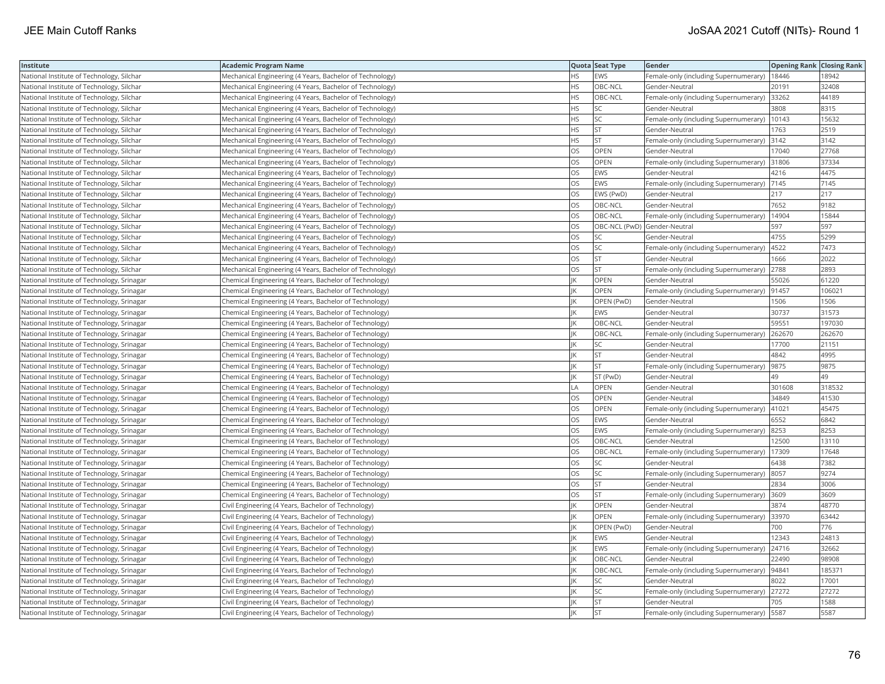| Institute                                  | <b>Academic Program Name</b>                             |           | Quota Seat Type              | Gender                                        | <b>Opening Rank Closing Rank</b> |        |
|--------------------------------------------|----------------------------------------------------------|-----------|------------------------------|-----------------------------------------------|----------------------------------|--------|
| National Institute of Technology, Silchar  | Mechanical Engineering (4 Years, Bachelor of Technology) | <b>HS</b> | <b>EWS</b>                   | Female-only (including Supernumerary)   18446 |                                  | 18942  |
| National Institute of Technology, Silchar  | Mechanical Engineering (4 Years, Bachelor of Technology) | ΗS        | OBC-NCL                      | Gender-Neutral                                | 20191                            | 32408  |
| National Institute of Technology, Silchar  | Mechanical Engineering (4 Years, Bachelor of Technology) | <b>HS</b> | OBC-NCL                      | Female-only (including Supernumerary) 33262   |                                  | 44189  |
| National Institute of Technology, Silchar  | Mechanical Engineering (4 Years, Bachelor of Technology) | HS        | SC                           | Gender-Neutral                                | 3808                             | 8315   |
| National Institute of Technology, Silchar  | Mechanical Engineering (4 Years, Bachelor of Technology) | HS        | SC                           | Female-only (including Supernumerary)         | 10143                            | 15632  |
| National Institute of Technology, Silchar  | Mechanical Engineering (4 Years, Bachelor of Technology) | HS        | <b>ST</b>                    | Gender-Neutral                                | 1763                             | 2519   |
| National Institute of Technology, Silchar  | Mechanical Engineering (4 Years, Bachelor of Technology) | HS        | <b>ST</b>                    | Female-only (including Supernumerary) 3142    |                                  | 3142   |
| National Institute of Technology, Silchar  | Mechanical Engineering (4 Years, Bachelor of Technology) | OS        | OPEN                         | Gender-Neutral                                | 17040                            | 27768  |
| National Institute of Technology, Silchar  | Mechanical Engineering (4 Years, Bachelor of Technology) | OS        | <b>OPEN</b>                  | Female-only (including Supernumerary)         | 31806                            | 37334  |
| National Institute of Technology, Silchar  | Mechanical Engineering (4 Years, Bachelor of Technology) | OS        | EWS                          | Gender-Neutral                                | 4216                             | 4475   |
| National Institute of Technology, Silchar  | Mechanical Engineering (4 Years, Bachelor of Technology) | OS        | EWS                          | Female-only (including Supernumerary)         | 7145                             | 7145   |
| National Institute of Technology, Silchar  | Mechanical Engineering (4 Years, Bachelor of Technology) | OS        | EWS (PwD)                    | Gender-Neutral                                | 217                              | 217    |
| National Institute of Technology, Silchar  | Mechanical Engineering (4 Years, Bachelor of Technology) | OS        | OBC-NCL                      | Gender-Neutral                                | 7652                             | 9182   |
| National Institute of Technology, Silchar  | Mechanical Engineering (4 Years, Bachelor of Technology) | OS        | OBC-NCL                      | Female-only (including Supernumerary)         | 14904                            | 15844  |
| National Institute of Technology, Silchar  | Mechanical Engineering (4 Years, Bachelor of Technology) | OS        | OBC-NCL (PwD) Gender-Neutral |                                               | 597                              | 597    |
| National Institute of Technology, Silchar  | Mechanical Engineering (4 Years, Bachelor of Technology) | OS        | SC                           | Gender-Neutral                                | 4755                             | 5299   |
| National Institute of Technology, Silchar  | Mechanical Engineering (4 Years, Bachelor of Technology) | <b>OS</b> | <b>SC</b>                    | Female-only (including Supernumerary)         | 4522                             | 7473   |
| National Institute of Technology, Silchar  | Mechanical Engineering (4 Years, Bachelor of Technology) | OS        | <b>ST</b>                    | Gender-Neutral                                | 1666                             | 2022   |
| National Institute of Technology, Silchar  | Mechanical Engineering (4 Years, Bachelor of Technology) | OS        | ST                           | Female-only (including Supernumerary)         | 2788                             | 2893   |
| National Institute of Technology, Srinagar | Chemical Engineering (4 Years, Bachelor of Technology)   |           | <b>OPEN</b>                  | Gender-Neutral                                | 55026                            | 61220  |
| National Institute of Technology, Srinagar | Chemical Engineering (4 Years, Bachelor of Technology)   |           | <b>OPEN</b>                  | Female-only (including Supernumerary)  91457  |                                  | 106021 |
| National Institute of Technology, Srinagar | Chemical Engineering (4 Years, Bachelor of Technology)   |           | OPEN (PwD)                   | Gender-Neutral                                | 1506                             | 1506   |
| National Institute of Technology, Srinagar | Chemical Engineering (4 Years, Bachelor of Technology)   |           | EWS                          | Gender-Neutral                                | 30737                            | 31573  |
| National Institute of Technology, Srinagar | Chemical Engineering (4 Years, Bachelor of Technology)   |           | OBC-NCL                      | Gender-Neutral                                | 59551                            | 197030 |
| National Institute of Technology, Srinagar | Chemical Engineering (4 Years, Bachelor of Technology)   |           | OBC-NCL                      | Female-only (including Supernumerary)         | 262670                           | 262670 |
| National Institute of Technology, Srinagar | Chemical Engineering (4 Years, Bachelor of Technology)   |           | <b>SC</b>                    | Gender-Neutral                                | 17700                            | 21151  |
| National Institute of Technology, Srinagar | Chemical Engineering (4 Years, Bachelor of Technology)   |           | <b>ST</b>                    | Gender-Neutral                                | 4842                             | 4995   |
| National Institute of Technology, Srinagar | Chemical Engineering (4 Years, Bachelor of Technology)   |           | <b>ST</b>                    | Female-only (including Supernumerary)         | 9875                             | 9875   |
| National Institute of Technology, Srinagar | Chemical Engineering (4 Years, Bachelor of Technology)   |           | ST (PwD)                     | Gender-Neutral                                | 49                               | 49     |
| National Institute of Technology, Srinagar | Chemical Engineering (4 Years, Bachelor of Technology)   | LA        | OPEN                         | Gender-Neutral                                | 301608                           | 318532 |
| National Institute of Technology, Srinagar | Chemical Engineering (4 Years, Bachelor of Technology)   | OS        | OPEN                         | Gender-Neutral                                | 34849                            | 41530  |
| National Institute of Technology, Srinagar | Chemical Engineering (4 Years, Bachelor of Technology)   | OS        | OPEN                         | Female-only (including Supernumerary)   41021 |                                  | 45475  |
| National Institute of Technology, Srinagar | Chemical Engineering (4 Years, Bachelor of Technology)   | OS        | <b>EWS</b>                   | Gender-Neutral                                | 6552                             | 6842   |
| National Institute of Technology, Srinagar | Chemical Engineering (4 Years, Bachelor of Technology)   | OS        | <b>EWS</b>                   | Female-only (including Supernumerary)         | 8253                             | 8253   |
| National Institute of Technology, Srinagar | Chemical Engineering (4 Years, Bachelor of Technology)   | OS        | OBC-NCL                      | Gender-Neutral                                | 12500                            | 13110  |
| National Institute of Technology, Srinagar | Chemical Engineering (4 Years, Bachelor of Technology)   | OS        | OBC-NCL                      | Female-only (including Supernumerary)         | 17309                            | 17648  |
| National Institute of Technology, Srinagar | Chemical Engineering (4 Years, Bachelor of Technology)   | OS        | SC                           | Gender-Neutral                                | 6438                             | 7382   |
| National Institute of Technology, Srinagar | Chemical Engineering (4 Years, Bachelor of Technology)   | OS.       | SC                           | Female-only (including Supernumerary) 8057    |                                  | 9274   |
| National Institute of Technology, Srinagar | Chemical Engineering (4 Years, Bachelor of Technology)   | OS        | <b>ST</b>                    | Gender-Neutral                                | 2834                             | 3006   |
| National Institute of Technology, Srinagar | Chemical Engineering (4 Years, Bachelor of Technology)   | OS        | <b>ST</b>                    | Female-only (including Supernumerary) 3609    |                                  | 3609   |
| National Institute of Technology, Srinagar | Civil Engineering (4 Years, Bachelor of Technology)      |           | OPEN                         | Gender-Neutral                                | 3874                             | 48770  |
| National Institute of Technology, Srinagar | Civil Engineering (4 Years, Bachelor of Technology)      |           | <b>OPEN</b>                  | Female-only (including Supernumerary) 33970   |                                  | 63442  |
| National Institute of Technology, Srinagar | Civil Engineering (4 Years, Bachelor of Technology)      |           | OPEN (PwD)                   | Gender-Neutral                                | 700                              | 776    |
| National Institute of Technology, Srinagar | Civil Engineering (4 Years, Bachelor of Technology)      |           | <b>EWS</b>                   | Gender-Neutral                                | 12343                            | 24813  |
| National Institute of Technology, Srinagar | Civil Engineering (4 Years, Bachelor of Technology)      |           | <b>EWS</b>                   | Female-only (including Supernumerary)         | 24716                            | 32662  |
| National Institute of Technology, Srinagar | Civil Engineering (4 Years, Bachelor of Technology)      |           | OBC-NCL                      | Gender-Neutral                                | 22490                            | 98908  |
| National Institute of Technology, Srinagar | Civil Engineering (4 Years, Bachelor of Technology)      |           | OBC-NCL                      | Female-only (including Supernumerary)  94841  |                                  | 185371 |
| National Institute of Technology, Srinagar | Civil Engineering (4 Years, Bachelor of Technology)      |           | SC                           | Gender-Neutral                                | 8022                             | 17001  |
| National Institute of Technology, Srinagar | Civil Engineering (4 Years, Bachelor of Technology)      |           | SC                           | Female-only (including Supernumerary) 27272   |                                  | 27272  |
| National Institute of Technology, Srinagar | Civil Engineering (4 Years, Bachelor of Technology)      |           | <b>ST</b>                    | Gender-Neutral                                | 705                              | 1588   |
| National Institute of Technology, Srinagar | Civil Engineering (4 Years, Bachelor of Technology)      |           | <b>ST</b>                    | Female-only (including Supernumerary)   5587  |                                  | 5587   |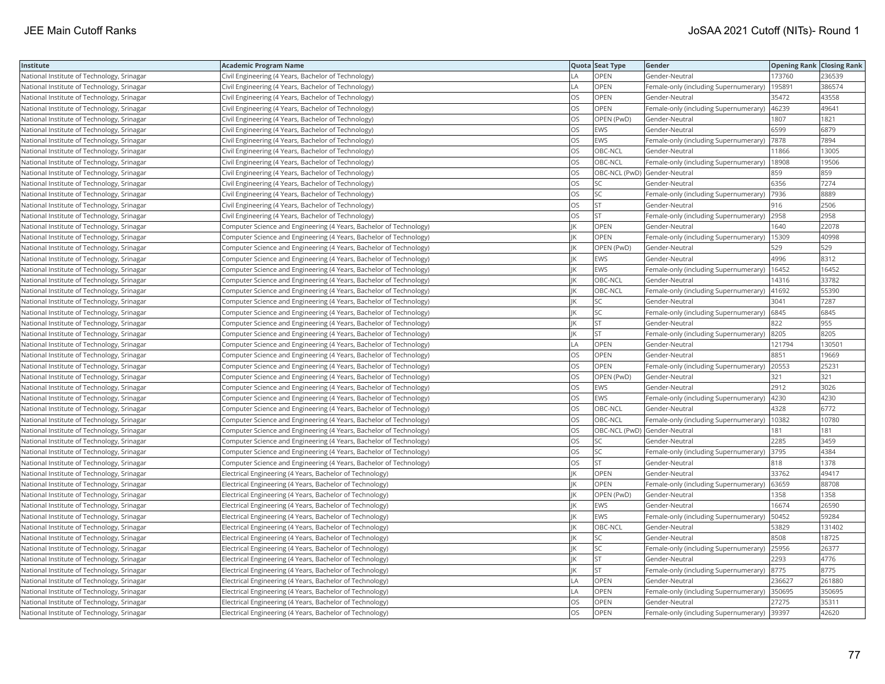| Institute                                  | Academic Program Name                                              |                | Quota Seat Type              | Gender                                        | <b>Opening Rank Closing Rank</b> |        |
|--------------------------------------------|--------------------------------------------------------------------|----------------|------------------------------|-----------------------------------------------|----------------------------------|--------|
| National Institute of Technology, Srinagar | Civil Engineering (4 Years, Bachelor of Technology)                | LA             | OPEN                         | Gender-Neutral                                | 173760                           | 236539 |
| National Institute of Technology, Srinagar | Civil Engineering (4 Years, Bachelor of Technology)                | $\overline{A}$ | OPEN                         | Female-only (including Supernumerary)         | 195891                           | 386574 |
| National Institute of Technology, Srinagar | Civil Engineering (4 Years, Bachelor of Technology)                | OS             | OPEN                         | Gender-Neutral                                | 35472                            | 43558  |
| National Institute of Technology, Srinagar | Civil Engineering (4 Years, Bachelor of Technology)                | OS             | OPEN                         | Female-only (including Supernumerary)         | 46239                            | 49641  |
| National Institute of Technology, Srinagar | Civil Engineering (4 Years, Bachelor of Technology)                | OS             | OPEN (PwD)                   | Gender-Neutral                                | 1807                             | 1821   |
| National Institute of Technology, Srinagar | Civil Engineering (4 Years, Bachelor of Technology)                | OS             | EWS                          | Gender-Neutral                                | 6599                             | 6879   |
| National Institute of Technology, Srinagar | Civil Engineering (4 Years, Bachelor of Technology)                | OS             | EWS                          | Female-only (including Supernumerary)  7878   |                                  | 7894   |
| National Institute of Technology, Srinagar | Civil Engineering (4 Years, Bachelor of Technology)                | <b>OS</b>      | OBC-NCL                      | Gender-Neutral                                | 11866                            | 13005  |
| National Institute of Technology, Srinagar | Civil Engineering (4 Years, Bachelor of Technology)                | OS             | OBC-NCL                      | Female-only (including Supernumerary)         | 18908                            | 19506  |
| National Institute of Technology, Srinagar | Civil Engineering (4 Years, Bachelor of Technology)                | OS             | OBC-NCL (PwD) Gender-Neutral |                                               | 859                              | 859    |
| National Institute of Technology, Srinagar | Civil Engineering (4 Years, Bachelor of Technology)                | OS             | <b>SC</b>                    | Gender-Neutral                                | 6356                             | 7274   |
| National Institute of Technology, Srinagar | Civil Engineering (4 Years, Bachelor of Technology)                | OS             | SC                           | Female-only (including Supernumerary)         | 7936                             | 8889   |
| National Institute of Technology, Srinagar | Civil Engineering (4 Years, Bachelor of Technology)                | <b>OS</b>      | <b>ST</b>                    | Gender-Neutral                                | 916                              | 2506   |
| National Institute of Technology, Srinagar | Civil Engineering (4 Years, Bachelor of Technology)                | OS             | <b>ST</b>                    | Female-only (including Supernumerary) 2958    |                                  | 2958   |
| National Institute of Technology, Srinagar | Computer Science and Engineering (4 Years, Bachelor of Technology) | IK             | OPEN                         | Gender-Neutral                                | 1640                             | 22078  |
| National Institute of Technology, Srinagar | Computer Science and Engineering (4 Years, Bachelor of Technology) |                | OPEN                         | Female-only (including Supernumerary)   15309 |                                  | 40998  |
| National Institute of Technology, Srinagar | Computer Science and Engineering (4 Years, Bachelor of Technology) |                | OPEN (PwD)                   | Gender-Neutral                                | 529                              | 529    |
| National Institute of Technology, Srinagar | Computer Science and Engineering (4 Years, Bachelor of Technology) |                | EWS                          | Gender-Neutral                                | 4996                             | 8312   |
| National Institute of Technology, Srinagar | Computer Science and Engineering (4 Years, Bachelor of Technology) | IK             | EWS                          | Female-only (including Supernumerary)         | 16452                            | 16452  |
| National Institute of Technology, Srinagar | Computer Science and Engineering (4 Years, Bachelor of Technology) |                | OBC-NCL                      | Gender-Neutral                                | 14316                            | 33782  |
| National Institute of Technology, Srinagar | Computer Science and Engineering (4 Years, Bachelor of Technology) |                | OBC-NCL                      | Female-only (including Supernumerary)         | 41692                            | 55390  |
| National Institute of Technology, Srinagar | Computer Science and Engineering (4 Years, Bachelor of Technology) |                | SC.                          | Gender-Neutral                                | 3041                             | 7287   |
| National Institute of Technology, Srinagar | Computer Science and Engineering (4 Years, Bachelor of Technology) |                | SC.                          | Female-only (including Supernumerary)   6845  |                                  | 6845   |
| National Institute of Technology, Srinagar | Computer Science and Engineering (4 Years, Bachelor of Technology) |                | <b>ST</b>                    | Gender-Neutral                                | 822                              | 955    |
| National Institute of Technology, Srinagar | Computer Science and Engineering (4 Years, Bachelor of Technology) |                | <b>ST</b>                    | Female-only (including Supernumerary)         | 8205                             | 8205   |
| National Institute of Technology, Srinagar | Computer Science and Engineering (4 Years, Bachelor of Technology) | LA             | OPEN                         | Gender-Neutral                                | 121794                           | 130501 |
| National Institute of Technology, Srinagar | Computer Science and Engineering (4 Years, Bachelor of Technology) | OS             | OPEN                         | Gender-Neutral                                | 8851                             | 19669  |
| National Institute of Technology, Srinagar | Computer Science and Engineering (4 Years, Bachelor of Technology) | OS             | OPEN                         | Female-only (including Supernumerary)         | 20553                            | 25231  |
| National Institute of Technology, Srinagar | Computer Science and Engineering (4 Years, Bachelor of Technology) | OS.            | OPEN (PwD)                   | Gender-Neutral                                | 321                              | 321    |
| National Institute of Technology, Srinagar | Computer Science and Engineering (4 Years, Bachelor of Technology) | OS             | EWS                          | Gender-Neutral                                | 2912                             | 3026   |
| National Institute of Technology, Srinagar | Computer Science and Engineering (4 Years, Bachelor of Technology) | OS             | EWS                          | Female-only (including Supernumerary)  4230   |                                  | 4230   |
| National Institute of Technology, Srinagar | Computer Science and Engineering (4 Years, Bachelor of Technology) | OS             | OBC-NCL                      | Gender-Neutral                                | 4328                             | 6772   |
| National Institute of Technology, Srinagar | Computer Science and Engineering (4 Years, Bachelor of Technology) | OS             | OBC-NCL                      | Female-only (including Supernumerary)         | 10382                            | 10780  |
| National Institute of Technology, Srinagar | Computer Science and Engineering (4 Years, Bachelor of Technology) | OS             | OBC-NCL (PwD) Gender-Neutral |                                               | 181                              | 181    |
| National Institute of Technology, Srinagar | Computer Science and Engineering (4 Years, Bachelor of Technology) | OS             | <b>SC</b>                    | Gender-Neutral                                | 2285                             | 3459   |
| National Institute of Technology, Srinagar | Computer Science and Engineering (4 Years, Bachelor of Technology) | <b>OS</b>      | SC                           | Female-only (including Supernumerary)         | 3795                             | 4384   |
| National Institute of Technology, Srinagar | Computer Science and Engineering (4 Years, Bachelor of Technology) | OS             | <b>ST</b>                    | Gender-Neutral                                | 818                              | 1378   |
| National Institute of Technology, Srinagar | Electrical Engineering (4 Years, Bachelor of Technology)           | IK             | <b>OPEN</b>                  | Gender-Neutral                                | 33762                            | 49417  |
| National Institute of Technology, Srinagar | Electrical Engineering (4 Years, Bachelor of Technology)           |                | OPEN                         | Female-only (including Supernumerary)         | 63659                            | 88708  |
| National Institute of Technology, Srinagar | Electrical Engineering (4 Years, Bachelor of Technology)           |                | OPEN (PwD)                   | Gender-Neutral                                | 1358                             | 1358   |
| National Institute of Technology, Srinagar | Electrical Engineering (4 Years, Bachelor of Technology)           |                | EWS                          | Gender-Neutral                                | 16674                            | 26590  |
| National Institute of Technology, Srinagar | Electrical Engineering (4 Years, Bachelor of Technology)           |                | EWS                          | Female-only (including Supernumerary)         | 50452                            | 59284  |
| National Institute of Technology, Srinagar | Electrical Engineering (4 Years, Bachelor of Technology)           |                | OBC-NCL                      | Gender-Neutral                                | 53829                            | 131402 |
| National Institute of Technology, Srinagar | Electrical Engineering (4 Years, Bachelor of Technology)           | IK             | <b>SC</b>                    | Gender-Neutral                                | 8508                             | 18725  |
| National Institute of Technology, Srinagar | Electrical Engineering (4 Years, Bachelor of Technology)           |                | SC                           | Female-only (including Supernumerary)         | 25956                            | 26377  |
| National Institute of Technology, Srinagar | Electrical Engineering (4 Years, Bachelor of Technology)           |                | <b>ST</b>                    | Gender-Neutral                                | 2293                             | 4776   |
| National Institute of Technology, Srinagar | Electrical Engineering (4 Years, Bachelor of Technology)           |                | <b>ST</b>                    | Female-only (including Supernumerary) 8775    |                                  | 8775   |
| National Institute of Technology, Srinagar | Electrical Engineering (4 Years, Bachelor of Technology)           | LA             | OPEN                         | Gender-Neutral                                | 236627                           | 261880 |
| National Institute of Technology, Srinagar | Electrical Engineering (4 Years, Bachelor of Technology)           | LA.            | OPEN                         | Female-only (including Supernumerary)         | 350695                           | 350695 |
| National Institute of Technology, Srinagar | Electrical Engineering (4 Years, Bachelor of Technology)           | OS             | OPEN                         | Gender-Neutral                                | 27275                            | 35311  |
| National Institute of Technology, Srinagar | Electrical Engineering (4 Years, Bachelor of Technology)           | <b>OS</b>      | OPEN                         | Female-only (including Supernumerary) 39397   |                                  | 42620  |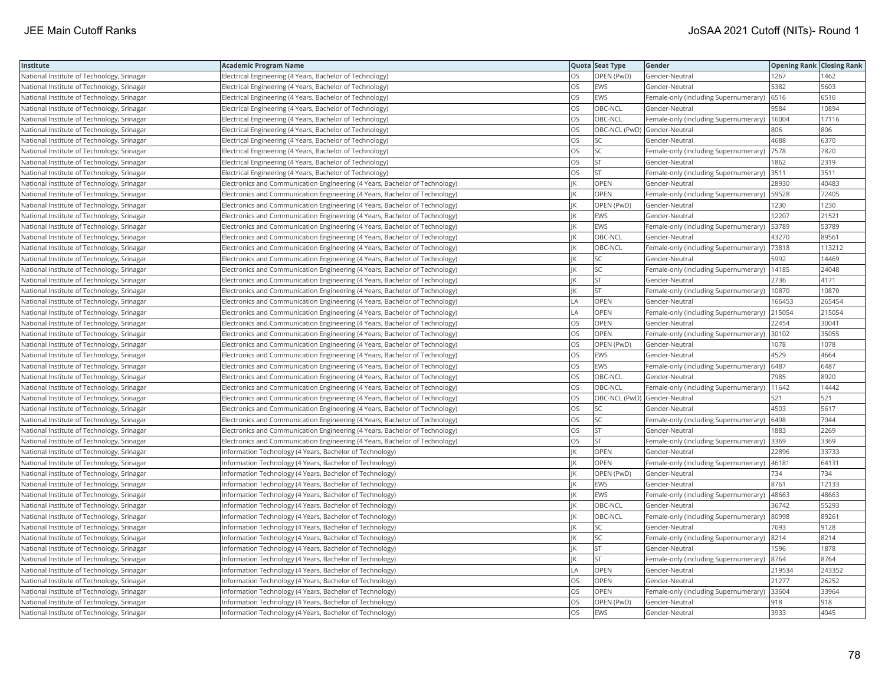| Institute                                  | <b>Academic Program Name</b>                                                |           | Quota Seat Type              | Gender                                        | <b>Opening Rank Closing Rank</b> |        |
|--------------------------------------------|-----------------------------------------------------------------------------|-----------|------------------------------|-----------------------------------------------|----------------------------------|--------|
| National Institute of Technology, Srinagar | Electrical Engineering (4 Years, Bachelor of Technology)                    | OS        | OPEN (PwD)                   | Gender-Neutral                                | 1267                             | 1462   |
| National Institute of Technology, Srinagar | Electrical Engineering (4 Years, Bachelor of Technology)                    | OS        | <b>EWS</b>                   | Gender-Neutral                                | 5382                             | 5603   |
| National Institute of Technology, Srinagar | Electrical Engineering (4 Years, Bachelor of Technology)                    | OS        | <b>EWS</b>                   | Female-only (including Supernumerary) 6516    |                                  | 6516   |
| National Institute of Technology, Srinagar | Electrical Engineering (4 Years, Bachelor of Technology)                    | OS        | OBC-NCL                      | Gender-Neutral                                | 9584                             | 10894  |
| National Institute of Technology, Srinagar | Electrical Engineering (4 Years, Bachelor of Technology)                    | OS        | OBC-NCL                      | Female-only (including Supernumerary)         | 16004                            | 17116  |
| National Institute of Technology, Srinagar | Electrical Engineering (4 Years, Bachelor of Technology)                    | OS        | OBC-NCL (PwD) Gender-Neutral |                                               | 806                              | 806    |
| National Institute of Technology, Srinagar | Electrical Engineering (4 Years, Bachelor of Technology)                    | OS        | SC                           | Gender-Neutral                                | 4688                             | 6370   |
| National Institute of Technology, Srinagar | Electrical Engineering (4 Years, Bachelor of Technology)                    | <b>OS</b> | <b>SC</b>                    | Female-only (including Supernumerary)  7578   |                                  | 7820   |
| National Institute of Technology, Srinagar | Electrical Engineering (4 Years, Bachelor of Technology)                    | OS        | <b>ST</b>                    | Gender-Neutral                                | 1862                             | 2319   |
| National Institute of Technology, Srinagar | Electrical Engineering (4 Years, Bachelor of Technology)                    | OS        | <b>ST</b>                    | Female-only (including Supernumerary)         | 3511                             | 3511   |
| National Institute of Technology, Srinagar | Electronics and Communication Engineering (4 Years, Bachelor of Technology) |           | OPEN                         | Gender-Neutral                                | 28930                            | 40483  |
| National Institute of Technology, Srinagar | Electronics and Communication Engineering (4 Years, Bachelor of Technology) |           | <b>OPEN</b>                  | Female-only (including Supernumerary)         | 59528                            | 72405  |
| National Institute of Technology, Srinagar | Electronics and Communication Engineering (4 Years, Bachelor of Technology) |           | OPEN (PwD)                   | Gender-Neutral                                | 1230                             | 1230   |
| National Institute of Technology, Srinagar | Electronics and Communication Engineering (4 Years, Bachelor of Technology) |           | <b>EWS</b>                   | Gender-Neutral                                | 12207                            | 21521  |
| National Institute of Technology, Srinagar | Electronics and Communication Engineering (4 Years, Bachelor of Technology) | ΙK        | <b>EWS</b>                   | Female-only (including Supernumerary)         | 53789                            | 53789  |
| National Institute of Technology, Srinagar | Electronics and Communication Engineering (4 Years, Bachelor of Technology) |           | OBC-NCL                      | Gender-Neutral                                | 43270                            | 89561  |
| National Institute of Technology, Srinagar | Electronics and Communication Engineering (4 Years, Bachelor of Technology) |           | OBC-NCL                      | Female-only (including Supernumerary)   73818 |                                  | 113212 |
| National Institute of Technology, Srinagar | Electronics and Communication Engineering (4 Years, Bachelor of Technology) |           | <b>SC</b>                    | Gender-Neutral                                | 5992                             | 14469  |
| National Institute of Technology, Srinagar | Electronics and Communication Engineering (4 Years, Bachelor of Technology) | IK        | SC                           | Female-only (including Supernumerary)         | 14185                            | 24048  |
| National Institute of Technology, Srinagar | Electronics and Communication Engineering (4 Years, Bachelor of Technology) |           | <b>ST</b>                    | Gender-Neutral                                | 2736                             | 4171   |
| National Institute of Technology, Srinagar | Electronics and Communication Engineering (4 Years, Bachelor of Technology) |           | <b>ST</b>                    | Female-only (including Supernumerary)         | 10870                            | 10870  |
| National Institute of Technology, Srinagar | Electronics and Communication Engineering (4 Years, Bachelor of Technology) | LA        | OPEN                         | Gender-Neutral                                | 166453                           | 265454 |
| National Institute of Technology, Srinagar | Electronics and Communication Engineering (4 Years, Bachelor of Technology) | LA        | OPEN                         | Female-only (including Supernumerary) 215054  |                                  | 215054 |
| National Institute of Technology, Srinagar | Electronics and Communication Engineering (4 Years, Bachelor of Technology) | OS        | OPEN                         | Gender-Neutral                                | 22454                            | 30041  |
| National Institute of Technology, Srinagar | Electronics and Communication Engineering (4 Years, Bachelor of Technology) | OS        | OPEN                         | Female-only (including Supernumerary)         | 30102                            | 35055  |
| National Institute of Technology, Srinagar | Electronics and Communication Engineering (4 Years, Bachelor of Technology) | OS        | OPEN (PwD)                   | Gender-Neutral                                | 1078                             | 1078   |
| National Institute of Technology, Srinagar | Electronics and Communication Engineering (4 Years, Bachelor of Technology) | OS        | <b>EWS</b>                   | Gender-Neutral                                | 4529                             | 4664   |
| National Institute of Technology, Srinagar | Electronics and Communication Engineering (4 Years, Bachelor of Technology) | OS        | <b>EWS</b>                   | Female-only (including Supernumerary)         | 6487                             | 6487   |
| National Institute of Technology, Srinagar | Electronics and Communication Engineering (4 Years, Bachelor of Technology) | OS        | OBC-NCL                      | Gender-Neutral                                | 7985                             | 8920   |
| National Institute of Technology, Srinagar | Electronics and Communication Engineering (4 Years, Bachelor of Technology) | OS        | OBC-NCL                      | Female-only (including Supernumerary)   11642 |                                  | 14442  |
| National Institute of Technology, Srinagar | Electronics and Communication Engineering (4 Years, Bachelor of Technology) | OS        | OBC-NCL (PwD) Gender-Neutral |                                               | 521                              | 521    |
| National Institute of Technology, Srinagar | Electronics and Communication Engineering (4 Years, Bachelor of Technology) | OS        | SC                           | Gender-Neutral                                | 4503                             | 5617   |
| National Institute of Technology, Srinagar | Electronics and Communication Engineering (4 Years, Bachelor of Technology) | OS        | SC                           | Female-only (including Supernumerary)         | 6498                             | 7044   |
| National Institute of Technology, Srinagar | Electronics and Communication Engineering (4 Years, Bachelor of Technology) | OS        | <b>ST</b>                    | Gender-Neutral                                | 1883                             | 2269   |
| National Institute of Technology, Srinagar | Electronics and Communication Engineering (4 Years, Bachelor of Technology) | OS        | ST                           | Female-only (including Supernumerary)         | 3369                             | 3369   |
| National Institute of Technology, Srinagar | Information Technology (4 Years, Bachelor of Technology)                    |           | <b>OPEN</b>                  | Gender-Neutral                                | 22896                            | 33733  |
| National Institute of Technology, Srinagar | Information Technology (4 Years, Bachelor of Technology)                    |           | <b>OPEN</b>                  | Female-only (including Supernumerary)  46181  |                                  | 64131  |
| National Institute of Technology, Srinagar | Information Technology (4 Years, Bachelor of Technology)                    |           | OPEN (PwD)                   | Gender-Neutral                                | 734                              | 734    |
| National Institute of Technology, Srinagar | Information Technology (4 Years, Bachelor of Technology)                    |           | <b>EWS</b>                   | Gender-Neutral                                | 8761                             | 12133  |
| National Institute of Technology, Srinagar | Information Technology (4 Years, Bachelor of Technology)                    |           | <b>EWS</b>                   | Female-only (including Supernumerary)         | 48663                            | 48663  |
| National Institute of Technology, Srinagar | nformation Technology (4 Years, Bachelor of Technology)                     |           | OBC-NCL                      | Gender-Neutral                                | 36742                            | 55293  |
| National Institute of Technology, Srinagar | Information Technology (4 Years, Bachelor of Technology)                    |           | OBC-NCL                      | Female-only (including Supernumerary) 80998   |                                  | 89261  |
| National Institute of Technology, Srinagar | nformation Technology (4 Years, Bachelor of Technology)                     |           | SC                           | Gender-Neutral                                | 7693                             | 9128   |
| National Institute of Technology, Srinagar | Information Technology (4 Years, Bachelor of Technology)                    |           | <b>SC</b>                    | Female-only (including Supernumerary)  8214   |                                  | 8214   |
| National Institute of Technology, Srinagar | nformation Technology (4 Years, Bachelor of Technology)                     |           | <b>ST</b>                    | Gender-Neutral                                | 1596                             | 1878   |
| National Institute of Technology, Srinagar | Information Technology (4 Years, Bachelor of Technology)                    |           | <b>ST</b>                    | Female-only (including Supernumerary) 8764    |                                  | 8764   |
| National Institute of Technology, Srinagar | Information Technology (4 Years, Bachelor of Technology)                    | LA        | <b>OPEN</b>                  | Gender-Neutral                                | 219534                           | 243352 |
| National Institute of Technology, Srinagar | Information Technology (4 Years, Bachelor of Technology)                    | OS        | <b>OPEN</b>                  | Gender-Neutral                                | 21277                            | 26252  |
| National Institute of Technology, Srinagar | nformation Technology (4 Years, Bachelor of Technology)                     | OS        | OPEN                         | Female-only (including Supernumerary)         | 33604                            | 33964  |
| National Institute of Technology, Srinagar | Information Technology (4 Years, Bachelor of Technology)                    | OS        | OPEN (PwD)                   | Gender-Neutral                                | 918                              | 918    |
| National Institute of Technology, Srinagar | Information Technology (4 Years, Bachelor of Technology)                    | <b>OS</b> | <b>EWS</b>                   | Gender-Neutral                                | 3933                             | 4045   |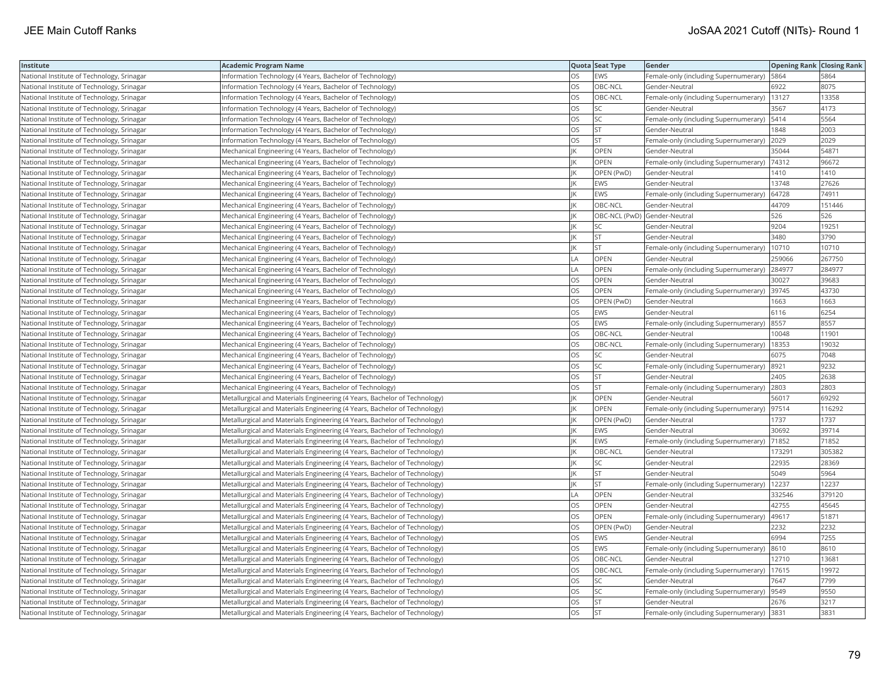| Institute                                  | <b>Academic Program Name</b>                                              |    | Quota Seat Type              | Gender                                        | <b>Opening Rank Closing Rank</b> |        |
|--------------------------------------------|---------------------------------------------------------------------------|----|------------------------------|-----------------------------------------------|----------------------------------|--------|
| National Institute of Technology, Srinagar | Information Technology (4 Years, Bachelor of Technology)                  | OS | <b>EWS</b>                   | Female-only (including Supernumerary)   5864  |                                  | 5864   |
| National Institute of Technology, Srinagar | nformation Technology (4 Years, Bachelor of Technology)                   | OS | OBC-NCL                      | Gender-Neutral                                | 6922                             | 8075   |
| National Institute of Technology, Srinagar | Information Technology (4 Years, Bachelor of Technology)                  | OS | OBC-NCL                      | Female-only (including Supernumerary)   13127 |                                  | 13358  |
| National Institute of Technology, Srinagar | nformation Technology (4 Years, Bachelor of Technology)                   | OS | SC                           | Gender-Neutral                                | 3567                             | 4173   |
| National Institute of Technology, Srinagar | Information Technology (4 Years, Bachelor of Technology)                  | OS | SC                           | Female-only (including Supernumerary)   5414  |                                  | 5564   |
| National Institute of Technology, Srinagar | nformation Technology (4 Years, Bachelor of Technology)                   | OS | <b>ST</b>                    | Gender-Neutral                                | 1848                             | 2003   |
| National Institute of Technology, Srinagar | Information Technology (4 Years, Bachelor of Technology)                  | OS | <b>ST</b>                    | Female-only (including Supernumerary) 2029    |                                  | 2029   |
| National Institute of Technology, Srinagar | Mechanical Engineering (4 Years, Bachelor of Technology)                  |    | OPEN                         | Gender-Neutral                                | 35044                            | 54871  |
| National Institute of Technology, Srinagar | Mechanical Engineering (4 Years, Bachelor of Technology)                  |    | <b>OPEN</b>                  | Female-only (including Supernumerary)         | 74312                            | 96672  |
| National Institute of Technology, Srinagar | Mechanical Engineering (4 Years, Bachelor of Technology)                  |    | OPEN (PwD)                   | Gender-Neutral                                | 1410                             | 1410   |
| National Institute of Technology, Srinagar | Mechanical Engineering (4 Years, Bachelor of Technology)                  |    | EWS                          | Gender-Neutral                                | 13748                            | 27626  |
| National Institute of Technology, Srinagar | Mechanical Engineering (4 Years, Bachelor of Technology)                  |    | <b>EWS</b>                   | Female-only (including Supernumerary)         | 64728                            | 74911  |
| National Institute of Technology, Srinagar | Mechanical Engineering (4 Years, Bachelor of Technology)                  |    | OBC-NCL                      | Gender-Neutral                                | 44709                            | 151446 |
| National Institute of Technology, Srinagar | Mechanical Engineering (4 Years, Bachelor of Technology)                  |    | OBC-NCL (PwD) Gender-Neutral |                                               | 526                              | 526    |
| National Institute of Technology, Srinagar | Mechanical Engineering (4 Years, Bachelor of Technology)                  | К  | SC                           | Gender-Neutral                                | 9204                             | 19251  |
| National Institute of Technology, Srinagar | Mechanical Engineering (4 Years, Bachelor of Technology)                  |    | <b>ST</b>                    | Gender-Neutral                                | 3480                             | 3790   |
| National Institute of Technology, Srinagar | Mechanical Engineering (4 Years, Bachelor of Technology)                  |    | <b>ST</b>                    | Female-only (including Supernumerary)         | 10710                            | 10710  |
| National Institute of Technology, Srinagar | Mechanical Engineering (4 Years, Bachelor of Technology)                  | LA | OPEN                         | Gender-Neutral                                | 259066                           | 267750 |
| National Institute of Technology, Srinagar | Mechanical Engineering (4 Years, Bachelor of Technology)                  | LA | OPEN                         | Female-only (including Supernumerary)         | 284977                           | 284977 |
| National Institute of Technology, Srinagar | Mechanical Engineering (4 Years, Bachelor of Technology)                  | OS | OPEN                         | Gender-Neutral                                | 30027                            | 39683  |
| National Institute of Technology, Srinagar | Mechanical Engineering (4 Years, Bachelor of Technology)                  | OS | <b>OPEN</b>                  | Female-only (including Supernumerary)         | 39745                            | 43730  |
| National Institute of Technology, Srinagar | Mechanical Engineering (4 Years, Bachelor of Technology)                  | OS | OPEN (PwD)                   | Gender-Neutral                                | 1663                             | 1663   |
| National Institute of Technology, Srinagar | Mechanical Engineering (4 Years, Bachelor of Technology)                  | OS | EWS                          | Gender-Neutral                                | 6116                             | 6254   |
| National Institute of Technology, Srinagar | Mechanical Engineering (4 Years, Bachelor of Technology)                  | OS | <b>EWS</b>                   | Female-only (including Supernumerary) 8557    |                                  | 8557   |
| National Institute of Technology, Srinagar | Mechanical Engineering (4 Years, Bachelor of Technology)                  | OS | OBC-NCL                      | Gender-Neutral                                | 10048                            | 11901  |
| National Institute of Technology, Srinagar | Mechanical Engineering (4 Years, Bachelor of Technology)                  | OS | OBC-NCL                      | Female-only (including Supernumerary)         | 18353                            | 19032  |
| National Institute of Technology, Srinagar | Mechanical Engineering (4 Years, Bachelor of Technology)                  | OS | SC                           | Gender-Neutral                                | 6075                             | 7048   |
| National Institute of Technology, Srinagar | Mechanical Engineering (4 Years, Bachelor of Technology)                  | OS | SC                           | Female-only (including Supernumerary)         | 8921                             | 9232   |
| National Institute of Technology, Srinagar | Mechanical Engineering (4 Years, Bachelor of Technology)                  | OS | <b>ST</b>                    | Gender-Neutral                                | 2405                             | 2638   |
| National Institute of Technology, Srinagar | Mechanical Engineering (4 Years, Bachelor of Technology)                  | OS | <b>ST</b>                    | Female-only (including Supernumerary) 2803    |                                  | 2803   |
| National Institute of Technology, Srinagar | Metallurgical and Materials Engineering (4 Years, Bachelor of Technology) | К  | OPEN                         | Gender-Neutral                                | 56017                            | 69292  |
| National Institute of Technology, Srinagar | Metallurgical and Materials Engineering (4 Years, Bachelor of Technology) |    | OPEN                         | Female-only (including Supernumerary)         | 97514                            | 116292 |
| National Institute of Technology, Srinagar | Metallurgical and Materials Engineering (4 Years, Bachelor of Technology) |    | OPEN (PwD)                   | Gender-Neutral                                | 1737                             | 1737   |
| National Institute of Technology, Srinagar | Metallurgical and Materials Engineering (4 Years, Bachelor of Technology) |    | <b>EWS</b>                   | Gender-Neutral                                | 30692                            | 39714  |
| National Institute of Technology, Srinagar | Metallurgical and Materials Engineering (4 Years, Bachelor of Technology) | IK | EWS                          | Female-only (including Supernumerary)         | 71852                            | 71852  |
| National Institute of Technology, Srinagar | Metallurgical and Materials Engineering (4 Years, Bachelor of Technology) |    | OBC-NCL                      | Gender-Neutral                                | 173291                           | 305382 |
| National Institute of Technology, Srinagar | Metallurgical and Materials Engineering (4 Years, Bachelor of Technology) |    | SC                           | Gender-Neutral                                | 22935                            | 28369  |
| National Institute of Technology, Srinagar | Metallurgical and Materials Engineering (4 Years, Bachelor of Technology) | К  | <b>ST</b>                    | Gender-Neutral                                | 5049                             | 5964   |
| National Institute of Technology, Srinagar | Metallurgical and Materials Engineering (4 Years, Bachelor of Technology) |    | <b>ST</b>                    | Female-only (including Supernumerary)         | 12237                            | 12237  |
| National Institute of Technology, Srinagar | Metallurgical and Materials Engineering (4 Years, Bachelor of Technology) | LA | OPEN                         | Gender-Neutral                                | 332546                           | 379120 |
| National Institute of Technology, Srinagar | Metallurgical and Materials Engineering (4 Years, Bachelor of Technology) | OS | OPEN                         | Gender-Neutral                                | 42755                            | 45645  |
| National Institute of Technology, Srinagar | Metallurgical and Materials Engineering (4 Years, Bachelor of Technology) | OS | OPEN                         | Female-only (including Supernumerary)         | 49617                            | 51871  |
| National Institute of Technology, Srinagar | Metallurgical and Materials Engineering (4 Years, Bachelor of Technology) | OS | OPEN (PwD)                   | Gender-Neutral                                | 2232                             | 2232   |
| National Institute of Technology, Srinagar | Metallurgical and Materials Engineering (4 Years, Bachelor of Technology) | OS | <b>EWS</b>                   | Gender-Neutral                                | 6994                             | 7255   |
| National Institute of Technology, Srinagar | Metallurgical and Materials Engineering (4 Years, Bachelor of Technology) | OS | <b>EWS</b>                   | Female-only (including Supernumerary)         | 8610                             | 8610   |
| National Institute of Technology, Srinagar | Metallurgical and Materials Engineering (4 Years, Bachelor of Technology) | OS | OBC-NCL                      | Gender-Neutral                                | 12710                            | 13681  |
| National Institute of Technology, Srinagar | Metallurgical and Materials Engineering (4 Years, Bachelor of Technology) | OS | OBC-NCL                      | Female-only (including Supernumerary)   17615 |                                  | 19972  |
| National Institute of Technology, Srinagar | Metallurgical and Materials Engineering (4 Years, Bachelor of Technology) | OS | SC                           | Gender-Neutral                                | 7647                             | 7799   |
| National Institute of Technology, Srinagar | Metallurgical and Materials Engineering (4 Years, Bachelor of Technology) | OS | SC                           | Female-only (including Supernumerary)         | 9549                             | 9550   |
| National Institute of Technology, Srinagar | Metallurgical and Materials Engineering (4 Years, Bachelor of Technology) | OS | <b>ST</b>                    | Gender-Neutral                                | 2676                             | 3217   |
| National Institute of Technology, Srinagar | Metallurgical and Materials Engineering (4 Years, Bachelor of Technology) | OS | <b>ST</b>                    | Female-only (including Supernumerary) 3831    |                                  | 3831   |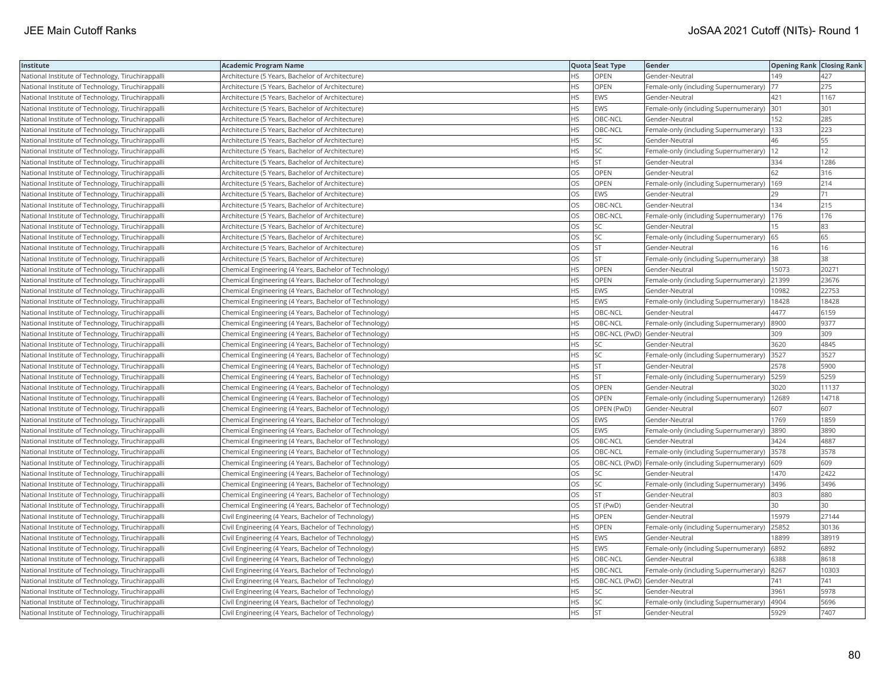| <b>Institute</b>                                  | Academic Program Name                                  |           | Quota Seat Type              | Gender                                                | <b>Opening Rank Closing Rank</b> |       |
|---------------------------------------------------|--------------------------------------------------------|-----------|------------------------------|-------------------------------------------------------|----------------------------------|-------|
| National Institute of Technology, Tiruchirappalli | Architecture (5 Years, Bachelor of Architecture)       | HS        | OPEN                         | Gender-Neutral                                        | 149                              | 427   |
| National Institute of Technology, Tiruchirappalli | Architecture (5 Years, Bachelor of Architecture)       | HS.       | <b>OPEN</b>                  | Female-only (including Supernumerary)                 | 177                              | 275   |
| National Institute of Technology, Tiruchirappalli | Architecture (5 Years, Bachelor of Architecture)       | HS        | EWS                          | Gender-Neutral                                        | 421                              | 1167  |
| National Institute of Technology, Tiruchirappalli | Architecture (5 Years, Bachelor of Architecture)       | HS        | <b>EWS</b>                   | Female-only (including Supernumerary)                 | 301                              | 301   |
| National Institute of Technology, Tiruchirappalli | Architecture (5 Years, Bachelor of Architecture)       | <b>HS</b> | OBC-NCL                      | Gender-Neutral                                        | 152                              | 285   |
| National Institute of Technology, Tiruchirappalli | Architecture (5 Years, Bachelor of Architecture)       | HS        | OBC-NCL                      | Female-only (including Supernumerary)  133            |                                  | 223   |
| National Institute of Technology, Tiruchirappalli | Architecture (5 Years, Bachelor of Architecture)       | HS        | SC                           | Gender-Neutral                                        | 46                               | 55    |
| National Institute of Technology, Tiruchirappalli | Architecture (5 Years, Bachelor of Architecture)       | HS.       | <b>SC</b>                    | Female-only (including Supernumerary)  12             |                                  | 12    |
| National Institute of Technology, Tiruchirappalli | Architecture (5 Years, Bachelor of Architecture)       | ΗS        | <b>ST</b>                    | Gender-Neutral                                        | 334                              | 1286  |
| National Institute of Technology, Tiruchirappalli | Architecture (5 Years, Bachelor of Architecture)       | OS        | OPEN                         | Gender-Neutral                                        | 62                               | 316   |
| National Institute of Technology, Tiruchirappalli | Architecture (5 Years, Bachelor of Architecture)       | OS.       | <b>OPEN</b>                  | Female-only (including Supernumerary)                 | 169                              | 214   |
| National Institute of Technology, Tiruchirappalli | Architecture (5 Years, Bachelor of Architecture)       | <b>OS</b> | <b>EWS</b>                   | Gender-Neutral                                        | 29                               | 71    |
| National Institute of Technology, Tiruchirappalli | Architecture (5 Years, Bachelor of Architecture)       | OS        | OBC-NCL                      | Gender-Neutral                                        | 134                              | 215   |
| National Institute of Technology, Tiruchirappalli | Architecture (5 Years, Bachelor of Architecture)       | OS        | OBC-NCL                      | Female-only (including Supernumerary)   176           |                                  | 176   |
| National Institute of Technology, Tiruchirappalli | Architecture (5 Years, Bachelor of Architecture)       | OS        | SC                           | Gender-Neutral                                        | 15                               | 83    |
| National Institute of Technology, Tiruchirappalli | Architecture (5 Years, Bachelor of Architecture)       | OS        | <b>SC</b>                    | Female-only (including Supernumerary)                 | 65                               | 65    |
| National Institute of Technology, Tiruchirappalli | Architecture (5 Years, Bachelor of Architecture)       | OS        | <b>ST</b>                    | Gender-Neutral                                        | 16                               | 16    |
| National Institute of Technology, Tiruchirappalli | Architecture (5 Years, Bachelor of Architecture)       | OS        | <b>ST</b>                    | Female-only (including Supernumerary)                 | 38                               | 38    |
| National Institute of Technology, Tiruchirappalli | Chemical Engineering (4 Years, Bachelor of Technology) | <b>HS</b> | OPEN                         | Gender-Neutral                                        | 15073                            | 20271 |
| National Institute of Technology, Tiruchirappalli | Chemical Engineering (4 Years, Bachelor of Technology) | HS.       | <b>OPEN</b>                  | Female-only (including Supernumerary)                 | 21399                            | 23676 |
| National Institute of Technology, Tiruchirappalli | Chemical Engineering (4 Years, Bachelor of Technology) | HS        | EWS                          | Gender-Neutral                                        | 10982                            | 22753 |
| National Institute of Technology, Tiruchirappalli | Chemical Engineering (4 Years, Bachelor of Technology) | HS        | <b>EWS</b>                   | Female-only (including Supernumerary)                 | 18428                            | 18428 |
| National Institute of Technology, Tiruchirappalli | Chemical Engineering (4 Years, Bachelor of Technology) | HS        | OBC-NCL                      | Gender-Neutral                                        | 4477                             | 6159  |
| National Institute of Technology, Tiruchirappalli | Chemical Engineering (4 Years, Bachelor of Technology) | HS        | OBC-NCL                      | Female-only (including Supernumerary)  8900           |                                  | 9377  |
| National Institute of Technology, Tiruchirappalli | Chemical Engineering (4 Years, Bachelor of Technology) | НS        | OBC-NCL (PwD) Gender-Neutral |                                                       | 309                              | 309   |
| National Institute of Technology, Tiruchirappalli | Chemical Engineering (4 Years, Bachelor of Technology) | HS        | SC                           | Gender-Neutral                                        | 3620                             | 4845  |
| National Institute of Technology, Tiruchirappalli | Chemical Engineering (4 Years, Bachelor of Technology) | HS        | SC                           | Female-only (including Supernumerary)                 | 3527                             | 3527  |
| National Institute of Technology, Tiruchirappalli | Chemical Engineering (4 Years, Bachelor of Technology) | HS.       | <b>ST</b>                    | Gender-Neutral                                        | 2578                             | 5900  |
| National Institute of Technology, Tiruchirappalli | Chemical Engineering (4 Years, Bachelor of Technology) | HS        | <b>ST</b>                    | Female-only (including Supernumerary)                 | 5259                             | 5259  |
| National Institute of Technology, Tiruchirappalli | Chemical Engineering (4 Years, Bachelor of Technology) | OS        | OPEN                         | Gender-Neutral                                        | 3020                             | 11137 |
| National Institute of Technology, Tiruchirappalli | Chemical Engineering (4 Years, Bachelor of Technology) | OS        | OPEN                         | Female-only (including Supernumerary)   12689         |                                  | 14718 |
| National Institute of Technology, Tiruchirappalli | Chemical Engineering (4 Years, Bachelor of Technology) | OS        | OPEN (PwD)                   | Gender-Neutral                                        | 607                              | 607   |
| National Institute of Technology, Tiruchirappalli | Chemical Engineering (4 Years, Bachelor of Technology) | OS.       | <b>EWS</b>                   | Gender-Neutral                                        | 1769                             | 1859  |
| National Institute of Technology, Tiruchirappalli | Chemical Engineering (4 Years, Bachelor of Technology) | OS        | EWS                          | Female-only (including Supernumerary)                 | 3890                             | 3890  |
| National Institute of Technology, Tiruchirappalli | Chemical Engineering (4 Years, Bachelor of Technology) | OS        | OBC-NCL                      | Gender-Neutral                                        | 3424                             | 4887  |
| National Institute of Technology, Tiruchirappalli | Chemical Engineering (4 Years, Bachelor of Technology) | OS.       | OBC-NCL                      | Female-only (including Supernumerary) 3578            |                                  | 3578  |
| National Institute of Technology, Tiruchirappalli | Chemical Engineering (4 Years, Bachelor of Technology) | OS        |                              | OBC-NCL (PwD)   Female-only (including Supernumerary) | 609                              | 609   |
| National Institute of Technology, Tiruchirappalli | Chemical Engineering (4 Years, Bachelor of Technology) | OS        | SC                           | Gender-Neutral                                        | 1470                             | 2422  |
| National Institute of Technology, Tiruchirappalli | Chemical Engineering (4 Years, Bachelor of Technology) | OS        | SC                           | Female-only (including Supernumerary) 3496            |                                  | 3496  |
| National Institute of Technology, Tiruchirappalli | Chemical Engineering (4 Years, Bachelor of Technology) | OS.       | <b>ST</b>                    | Gender-Neutral                                        | 803                              | 880   |
| National Institute of Technology, Tiruchirappalli | Chemical Engineering (4 Years, Bachelor of Technology) | OS        | ST (PwD)                     | Gender-Neutral                                        | 30                               | 30    |
| National Institute of Technology, Tiruchirappalli | Civil Engineering (4 Years, Bachelor of Technology)    | <b>HS</b> | OPEN                         | Gender-Neutral                                        | 15979                            | 27144 |
| National Institute of Technology, Tiruchirappalli | Civil Engineering (4 Years, Bachelor of Technology)    | HS        | OPEN                         | Female-only (including Supernumerary)                 | 25852                            | 30136 |
| National Institute of Technology, Tiruchirappalli | Civil Engineering (4 Years, Bachelor of Technology)    | <b>HS</b> | <b>EWS</b>                   | Gender-Neutral                                        | 18899                            | 38919 |
| National Institute of Technology, Tiruchirappalli | Civil Engineering (4 Years, Bachelor of Technology)    | HS        | <b>EWS</b>                   | Female-only (including Supernumerary)                 | 6892                             | 6892  |
| National Institute of Technology, Tiruchirappalli | Civil Engineering (4 Years, Bachelor of Technology)    | HS        | OBC-NCL                      | Gender-Neutral                                        | 6388                             | 8618  |
| National Institute of Technology, Tiruchirappalli | Civil Engineering (4 Years, Bachelor of Technology)    | HS.       | OBC-NCL                      | Female-only (including Supernumerary)  8267           |                                  | 10303 |
| National Institute of Technology, Tiruchirappalli | Civil Engineering (4 Years, Bachelor of Technology)    | НS        | OBC-NCL (PwD) Gender-Neutral |                                                       | 741                              | 741   |
| National Institute of Technology, Tiruchirappalli | Civil Engineering (4 Years, Bachelor of Technology)    | HS        | SC                           | Gender-Neutral                                        | 3961                             | 5978  |
| National Institute of Technology, Tiruchirappalli | Civil Engineering (4 Years, Bachelor of Technology)    | HS.       | SC                           | Female-only (including Supernumerary)                 | 4904                             | 5696  |
| National Institute of Technology, Tiruchirappalli | Civil Engineering (4 Years, Bachelor of Technology)    | <b>HS</b> | İst                          | Gender-Neutral                                        | 5929                             | 7407  |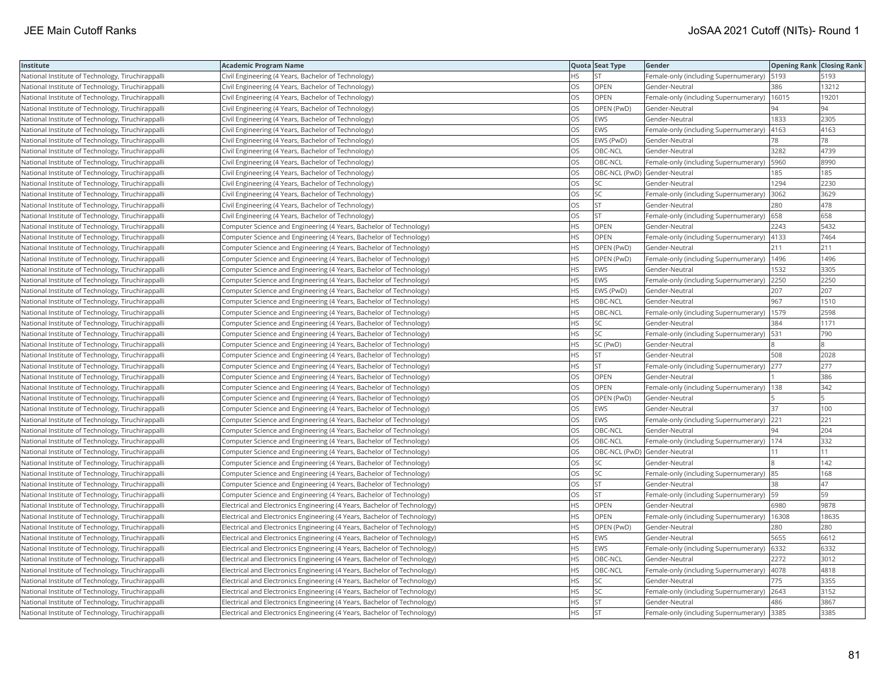| <b>Institute</b>                                  | Academic Program Name                                                    |           | Quota Seat Type              | <b>Gender</b>                                 | <b>Opening Rank Closing Rank</b> |       |
|---------------------------------------------------|--------------------------------------------------------------------------|-----------|------------------------------|-----------------------------------------------|----------------------------------|-------|
| National Institute of Technology, Tiruchirappalli | Civil Engineering (4 Years, Bachelor of Technology)                      | HS        | <b>ST</b>                    | Female-only (including Supernumerary)         | 5193                             | 5193  |
| National Institute of Technology, Tiruchirappalli | Civil Engineering (4 Years, Bachelor of Technology)                      | OS.       | OPEN                         | Gender-Neutral                                | 386                              | 13212 |
| National Institute of Technology, Tiruchirappalli | Civil Engineering (4 Years, Bachelor of Technology)                      | OS        | OPEN                         | Female-only (including Supernumerary)         | 16015                            | 19201 |
| National Institute of Technology, Tiruchirappalli | Civil Engineering (4 Years, Bachelor of Technology)                      | OS        | OPEN (PwD)                   | Gender-Neutral                                | 94                               | 94    |
| National Institute of Technology, Tiruchirappalli | Civil Engineering (4 Years, Bachelor of Technology)                      | OS.       | <b>EWS</b>                   | Gender-Neutral                                | 1833                             | 2305  |
| National Institute of Technology, Tiruchirappalli | Civil Engineering (4 Years, Bachelor of Technology)                      | OS        | EWS                          | Female-only (including Supernumerary)         | 4163                             | 4163  |
| National Institute of Technology, Tiruchirappalli | Civil Engineering (4 Years, Bachelor of Technology)                      | OS        | EWS (PwD)                    | Gender-Neutral                                | 78                               | 78    |
| National Institute of Technology, Tiruchirappalli | Civil Engineering (4 Years, Bachelor of Technology)                      | OS        | OBC-NCL                      | Gender-Neutral                                | 3282                             | 4739  |
| National Institute of Technology, Tiruchirappalli | Civil Engineering (4 Years, Bachelor of Technology)                      | OS        | OBC-NCL                      | Female-only (including Supernumerary)         | 5960                             | 8990  |
| National Institute of Technology, Tiruchirappalli | Civil Engineering (4 Years, Bachelor of Technology)                      | OS.       | OBC-NCL (PwD) Gender-Neutral |                                               | 185                              | 185   |
| National Institute of Technology, Tiruchirappalli | Civil Engineering (4 Years, Bachelor of Technology)                      | OS        | SC                           | Gender-Neutral                                | 1294                             | 2230  |
| National Institute of Technology, Tiruchirappalli | Civil Engineering (4 Years, Bachelor of Technology)                      | OS.       | <b>SC</b>                    | Female-only (including Supernumerary)         | 3062                             | 3629  |
| National Institute of Technology, Tiruchirappalli | Civil Engineering (4 Years, Bachelor of Technology)                      | OS.       | lst                          | Gender-Neutral                                | 280                              | 478   |
| National Institute of Technology, Tiruchirappalli | Civil Engineering (4 Years, Bachelor of Technology)                      | OS        | <b>ST</b>                    | Female-only (including Supernumerary)   658   |                                  | 658   |
| National Institute of Technology, Tiruchirappalli | Computer Science and Engineering (4 Years, Bachelor of Technology)       | HS        | OPEN                         | Gender-Neutral                                | 2243                             | 5432  |
| National Institute of Technology, Tiruchirappalli | Computer Science and Engineering (4 Years, Bachelor of Technology)       | HS        | OPEN                         | Female-only (including Supernumerary) 4133    |                                  | 7464  |
| National Institute of Technology, Tiruchirappalli | Computer Science and Engineering (4 Years, Bachelor of Technology)       | <b>HS</b> | OPEN (PwD)                   | Gender-Neutral                                | 211                              | 211   |
| National Institute of Technology, Tiruchirappalli | Computer Science and Engineering (4 Years, Bachelor of Technology)       | НS        | OPEN (PwD)                   | Female-only (including Supernumerary)         | 1496                             | 1496  |
| National Institute of Technology, Tiruchirappalli | Computer Science and Engineering (4 Years, Bachelor of Technology)       | HS        | EWS                          | Gender-Neutral                                | 1532                             | 3305  |
| National Institute of Technology, Tiruchirappalli | Computer Science and Engineering (4 Years, Bachelor of Technology)       | HS.       | <b>EWS</b>                   | Female-only (including Supernumerary)         | 2250                             | 2250  |
| National Institute of Technology, Tiruchirappalli | Computer Science and Engineering (4 Years, Bachelor of Technology)       | <b>HS</b> | EWS (PwD)                    | Gender-Neutral                                | 207                              | 207   |
| National Institute of Technology, Tiruchirappalli | Computer Science and Engineering (4 Years, Bachelor of Technology)       | <b>HS</b> | OBC-NCL                      | Gender-Neutral                                | 967                              | 1510  |
| National Institute of Technology, Tiruchirappalli | Computer Science and Engineering (4 Years, Bachelor of Technology)       | HS        | OBC-NCL                      | Female-only (including Supernumerary)   1579  |                                  | 2598  |
| National Institute of Technology, Tiruchirappalli | Computer Science and Engineering (4 Years, Bachelor of Technology)       | ΗS        | SC                           | Gender-Neutral                                | 384                              | 1171  |
| National Institute of Technology, Tiruchirappalli | Computer Science and Engineering (4 Years, Bachelor of Technology)       | HS.       | <b>SC</b>                    | Female-only (including Supernumerary)   531   |                                  | 790   |
| National Institute of Technology, Tiruchirappalli | Computer Science and Engineering (4 Years, Bachelor of Technology)       | НS        | SC (PwD)                     | Gender-Neutral                                |                                  |       |
| National Institute of Technology, Tiruchirappalli | Computer Science and Engineering (4 Years, Bachelor of Technology)       | HS        | <b>ST</b>                    | Gender-Neutral                                | 508                              | 2028  |
| National Institute of Technology, Tiruchirappalli | Computer Science and Engineering (4 Years, Bachelor of Technology)       | HS        | <b>ST</b>                    | Female-only (including Supernumerary)         | 277                              | 277   |
| National Institute of Technology, Tiruchirappalli | Computer Science and Engineering (4 Years, Bachelor of Technology)       | OS.       | OPEN                         | Gender-Neutral                                |                                  | 386   |
| National Institute of Technology, Tiruchirappalli | Computer Science and Engineering (4 Years, Bachelor of Technology)       | OS        | <b>OPEN</b>                  | Female-only (including Supernumerary)   138   |                                  | 342   |
| National Institute of Technology, Tiruchirappalli | Computer Science and Engineering (4 Years, Bachelor of Technology)       | OS        | OPEN (PwD)                   | Gender-Neutral                                |                                  |       |
| National Institute of Technology, Tiruchirappalli | Computer Science and Engineering (4 Years, Bachelor of Technology)       | OS        | EWS                          | Gender-Neutral                                | 37                               | 100   |
| National Institute of Technology, Tiruchirappalli | Computer Science and Engineering (4 Years, Bachelor of Technology)       | OS.       | <b>EWS</b>                   | Female-only (including Supernumerary)         | 221                              | 221   |
| National Institute of Technology, Tiruchirappalli | Computer Science and Engineering (4 Years, Bachelor of Technology)       | OS        | OBC-NCL                      | Gender-Neutral                                | 94                               | 204   |
| National Institute of Technology, Tiruchirappalli | Computer Science and Engineering (4 Years, Bachelor of Technology)       | OS.       | OBC-NCL                      | Female-only (including Supernumerary)   174   |                                  | 332   |
| National Institute of Technology, Tiruchirappalli | Computer Science and Engineering (4 Years, Bachelor of Technology)       | OS        | OBC-NCL (PwD) Gender-Neutral |                                               | 11                               | 11    |
| National Institute of Technology, Tiruchirappalli | Computer Science and Engineering (4 Years, Bachelor of Technology)       | <b>OS</b> | <b>SC</b>                    | Gender-Neutral                                |                                  | 142   |
| National Institute of Technology, Tiruchirappalli | Computer Science and Engineering (4 Years, Bachelor of Technology)       | <b>OS</b> | <b>SC</b>                    | Female-only (including Supernumerary) 85      |                                  | 168   |
| National Institute of Technology, Tiruchirappalli | Computer Science and Engineering (4 Years, Bachelor of Technology)       | OS        | <b>ST</b>                    | Gender-Neutral                                | 38                               | 47    |
| National Institute of Technology, Tiruchirappalli | Computer Science and Engineering (4 Years, Bachelor of Technology)       | OS        | <b>ST</b>                    | Female-only (including Supernumerary)  59     |                                  | 59    |
| National Institute of Technology, Tiruchirappalli | Electrical and Electronics Engineering (4 Years, Bachelor of Technology) | НS        | <b>OPEN</b>                  | Gender-Neutral                                | 6980                             | 9878  |
| National Institute of Technology, Tiruchirappalli | Electrical and Electronics Engineering (4 Years, Bachelor of Technology) | HS        | OPEN                         | Female-only (including Supernumerary)   16308 |                                  | 18635 |
| National Institute of Technology, Tiruchirappalli | Electrical and Electronics Engineering (4 Years, Bachelor of Technology) | HS.       | OPEN (PwD)                   | Gender-Neutral                                | 280                              | 280   |
| National Institute of Technology, Tiruchirappalli | Electrical and Electronics Engineering (4 Years, Bachelor of Technology) | HS.       | <b>EWS</b>                   | Gender-Neutral                                | 5655                             | 6612  |
| National Institute of Technology, Tiruchirappalli | Electrical and Electronics Engineering (4 Years, Bachelor of Technology) | HS.       | <b>EWS</b>                   | Female-only (including Supernumerary)         | 6332                             | 6332  |
| National Institute of Technology, Tiruchirappalli | Electrical and Electronics Engineering (4 Years, Bachelor of Technology) | HS.       | OBC-NCL                      | Gender-Neutral                                | 2272                             | 3012  |
| National Institute of Technology, Tiruchirappalli | Electrical and Electronics Engineering (4 Years, Bachelor of Technology) | HS        | OBC-NCL                      | Female-only (including Supernumerary)  4078   |                                  | 4818  |
| National Institute of Technology, Tiruchirappalli | Electrical and Electronics Engineering (4 Years, Bachelor of Technology) | HS.       | SC                           | Gender-Neutral                                | 775                              | 3355  |
| National Institute of Technology, Tiruchirappalli | Electrical and Electronics Engineering (4 Years, Bachelor of Technology) | НS        | SC                           | Female-only (including Supernumerary) 2643    |                                  | 3152  |
| National Institute of Technology, Tiruchirappalli | Electrical and Electronics Engineering (4 Years, Bachelor of Technology) | HS        | <b>ST</b>                    | Gender-Neutral                                | 486                              | 3867  |
| National Institute of Technology, Tiruchirappalli | Electrical and Electronics Engineering (4 Years, Bachelor of Technology) | <b>HS</b> | İst                          | Female-only (including Supernumerary) 3385    |                                  | 3385  |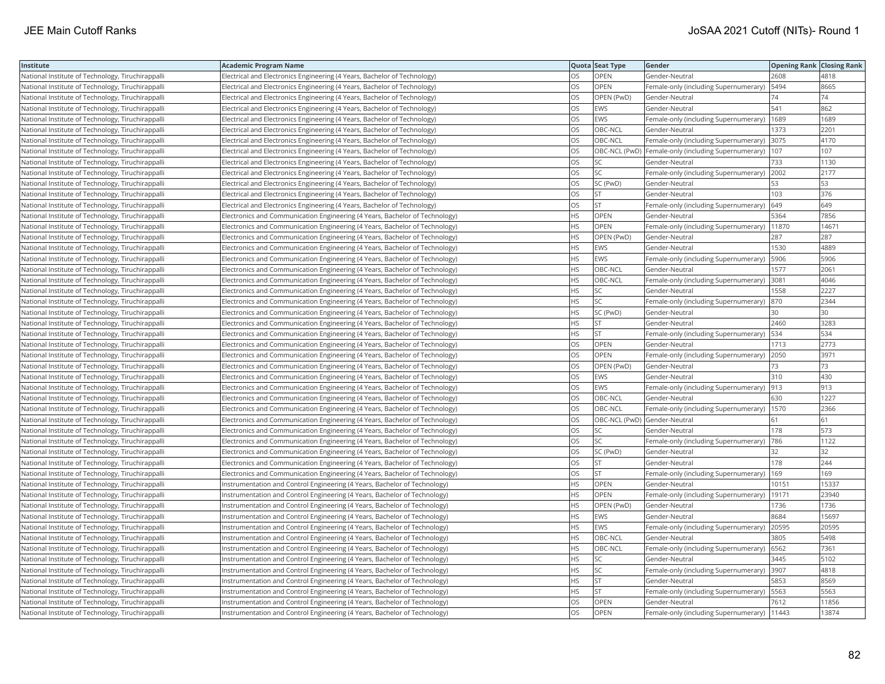| Institute                                         | <b>Academic Program Name</b>                                                 |           | Quota Seat Type              | <b>Gender</b>                                             | <b>Opening Rank   Closing Rank</b> |       |
|---------------------------------------------------|------------------------------------------------------------------------------|-----------|------------------------------|-----------------------------------------------------------|------------------------------------|-------|
| National Institute of Technology, Tiruchirappalli | Electrical and Electronics Engineering (4 Years, Bachelor of Technology)     | OS        | OPEN                         | Gender-Neutral                                            | 2608                               | 4818  |
| National Institute of Technology, Tiruchirappalli | Electrical and Electronics Engineering (4 Years, Bachelor of Technology)     | OS.       | <b>OPEN</b>                  | Female-only (including Supernumerary)                     | 5494                               | 8665  |
| National Institute of Technology, Tiruchirappalli | Electrical and Electronics Engineering (4 Years, Bachelor of Technology)     | OS        | OPEN (PwD)                   | Gender-Neutral                                            | 74                                 | 74    |
| National Institute of Technology, Tiruchirappalli | Electrical and Electronics Engineering (4 Years, Bachelor of Technology)     | OS        | EWS                          | Gender-Neutral                                            | 541                                | 862   |
| National Institute of Technology, Tiruchirappalli | Electrical and Electronics Engineering (4 Years, Bachelor of Technology)     | OS.       | <b>EWS</b>                   | Female-only (including Supernumerary)                     | 1689                               | 1689  |
| National Institute of Technology, Tiruchirappalli | Electrical and Electronics Engineering (4 Years, Bachelor of Technology)     | OS        | OBC-NCL                      | Gender-Neutral                                            | 1373                               | 2201  |
| National Institute of Technology, Tiruchirappalli | Electrical and Electronics Engineering (4 Years, Bachelor of Technology)     | OS        | OBC-NCL                      | Female-only (including Supernumerary)  3075               |                                    | 4170  |
| National Institute of Technology, Tiruchirappalli | Electrical and Electronics Engineering (4 Years, Bachelor of Technology)     | OS.       |                              | OBC-NCL (PwD)  Female-only (including Supernumerary)  107 |                                    | 107   |
| National Institute of Technology, Tiruchirappalli | Electrical and Electronics Engineering (4 Years, Bachelor of Technology)     | OS        | SC                           | Gender-Neutral                                            | 733                                | 1130  |
| National Institute of Technology, Tiruchirappalli | Electrical and Electronics Engineering (4 Years, Bachelor of Technology)     | OS        | SC                           | Female-only (including Supernumerary) 2002                |                                    | 2177  |
| National Institute of Technology, Tiruchirappalli | Electrical and Electronics Engineering (4 Years, Bachelor of Technology)     | OS.       | SC (PwD)                     | Gender-Neutral                                            | 53                                 | 53    |
| National Institute of Technology, Tiruchirappalli | Electrical and Electronics Engineering (4 Years, Bachelor of Technology)     | OS.       | <b>ST</b>                    | Gender-Neutral                                            | 103                                | 376   |
| National Institute of Technology, Tiruchirappalli | Electrical and Electronics Engineering (4 Years, Bachelor of Technology)     | OS        | <b>ST</b>                    | Female-only (including Supernumerary)                     | 649                                | 649   |
| National Institute of Technology, Tiruchirappalli | [Electronics and Communication Engineering (4 Years, Bachelor of Technology) | HS.       | <b>OPEN</b>                  | Gender-Neutral                                            | 5364                               | 7856  |
| National Institute of Technology, Tiruchirappalli | [Electronics and Communication Engineering (4 Years, Bachelor of Technology) | HS.       | OPEN                         | Female-only (including Supernumerary)   11870             |                                    | 14671 |
| National Institute of Technology, Tiruchirappalli | Electronics and Communication Engineering (4 Years, Bachelor of Technology)  | HS        | OPEN (PwD)                   | Gender-Neutral                                            | 287                                | 287   |
| National Institute of Technology, Tiruchirappalli | Electronics and Communication Engineering (4 Years, Bachelor of Technology)  | HS        | <b>EWS</b>                   | Gender-Neutral                                            | 1530                               | 4889  |
| National Institute of Technology, Tiruchirappalli | Electronics and Communication Engineering (4 Years, Bachelor of Technology)  | HS        | EWS                          | Female-only (including Supernumerary)                     | 5906                               | 5906  |
| National Institute of Technology, Tiruchirappalli | Electronics and Communication Engineering (4 Years, Bachelor of Technology)  | <b>HS</b> | OBC-NCL                      | Gender-Neutral                                            | 1577                               | 2061  |
| National Institute of Technology, Tiruchirappalli | Electronics and Communication Engineering (4 Years, Bachelor of Technology)  | HS.       | OBC-NCL                      | Female-only (including Supernumerary)                     | 3081                               | 4046  |
| National Institute of Technology, Tiruchirappalli | Electronics and Communication Engineering (4 Years, Bachelor of Technology)  | HS        | SC                           | Gender-Neutral                                            | 1558                               | 2227  |
| National Institute of Technology, Tiruchirappalli | Electronics and Communication Engineering (4 Years, Bachelor of Technology)  | HS.       | SC                           | Female-only (including Supernumerary)                     | 870                                | 2344  |
| National Institute of Technology, Tiruchirappalli | [Electronics and Communication Engineering (4 Years, Bachelor of Technology) | HS        | SC (PwD)                     | Gender-Neutral                                            | 30                                 | 30    |
| National Institute of Technology, Tiruchirappalli | Electronics and Communication Engineering (4 Years, Bachelor of Technology)  | HS        | <b>ST</b>                    | Gender-Neutral                                            | 2460                               | 3283  |
| National Institute of Technology, Tiruchirappalli | Electronics and Communication Engineering (4 Years, Bachelor of Technology)  | HS        | <b>ST</b>                    | Female-only (including Supernumerary)                     | 534                                | 534   |
| National Institute of Technology, Tiruchirappalli | Electronics and Communication Engineering (4 Years, Bachelor of Technology)  | OS        | OPEN                         | Gender-Neutral                                            | 1713                               | 2773  |
| National Institute of Technology, Tiruchirappalli | Electronics and Communication Engineering (4 Years, Bachelor of Technology)  | OS        | OPEN                         | Female-only (including Supernumerary)                     | 2050                               | 3971  |
| National Institute of Technology, Tiruchirappalli | Electronics and Communication Engineering (4 Years, Bachelor of Technology)  | OS.       | OPEN (PwD)                   | Gender-Neutral                                            | 73                                 | 73    |
| National Institute of Technology, Tiruchirappalli | Electronics and Communication Engineering (4 Years, Bachelor of Technology)  | OS        | EWS                          | Gender-Neutral                                            | 310                                | 430   |
| National Institute of Technology, Tiruchirappalli | Electronics and Communication Engineering (4 Years, Bachelor of Technology)  | OS        | EWS                          | Female-only (including Supernumerary)  913                |                                    | 913   |
| National Institute of Technology, Tiruchirappalli | [Electronics and Communication Engineering (4 Years, Bachelor of Technology) | OS        | OBC-NCL                      | Gender-Neutral                                            | 630                                | 1227  |
| National Institute of Technology, Tiruchirappalli | Electronics and Communication Engineering (4 Years, Bachelor of Technology)  | OS        | OBC-NCL                      | Female-only (including Supernumerary)                     | 1570                               | 2366  |
| National Institute of Technology, Tiruchirappalli | Electronics and Communication Engineering (4 Years, Bachelor of Technology)  | OS.       | OBC-NCL (PwD) Gender-Neutral |                                                           | 61                                 | 61    |
| National Institute of Technology, Tiruchirappalli | Electronics and Communication Engineering (4 Years, Bachelor of Technology)  | OS        | SC                           | Gender-Neutral                                            | 178                                | 573   |
| National Institute of Technology, Tiruchirappalli | Electronics and Communication Engineering (4 Years, Bachelor of Technology)  | OS        | SC                           | Female-only (including Supernumerary)                     | 786                                | 1122  |
| National Institute of Technology, Tiruchirappalli | Electronics and Communication Engineering (4 Years, Bachelor of Technology)  | OS.       | SC (PwD)                     | Gender-Neutral                                            | 32                                 | 32    |
| National Institute of Technology, Tiruchirappalli | Electronics and Communication Engineering (4 Years, Bachelor of Technology)  | OS        | <b>ST</b>                    | Gender-Neutral                                            | 178                                | 244   |
| National Institute of Technology, Tiruchirappalli | Electronics and Communication Engineering (4 Years, Bachelor of Technology)  | OS        | <b>ST</b>                    | Female-only (including Supernumerary)                     | 169                                | 169   |
| National Institute of Technology, Tiruchirappalli | Instrumentation and Control Engineering (4 Years, Bachelor of Technology)    | НS        | OPEN                         | Gender-Neutral                                            | 10151                              | 15337 |
| National Institute of Technology, Tiruchirappalli | Instrumentation and Control Engineering (4 Years, Bachelor of Technology)    | HS.       | OPEN                         | Female-only (including Supernumerary)                     | 19171                              | 23940 |
| National Institute of Technology, Tiruchirappalli | Instrumentation and Control Engineering (4 Years, Bachelor of Technology)    | HS.       | OPEN (PwD)                   | Gender-Neutral                                            | 1736                               | 1736  |
| National Institute of Technology, Tiruchirappalli | Instrumentation and Control Engineering (4 Years, Bachelor of Technology)    | <b>HS</b> | <b>EWS</b>                   | Gender-Neutral                                            | 8684                               | 15697 |
| National Institute of Technology, Tiruchirappalli | Instrumentation and Control Engineering (4 Years, Bachelor of Technology)    | HS        | EWS                          | Female-only (including Supernumerary)                     | 20595                              | 20595 |
| National Institute of Technology, Tiruchirappalli | Instrumentation and Control Engineering (4 Years, Bachelor of Technology)    | HS.       | OBC-NCL                      | Gender-Neutral                                            | 3805                               | 5498  |
| National Institute of Technology, Tiruchirappalli | Instrumentation and Control Engineering (4 Years, Bachelor of Technology)    | <b>HS</b> | OBC-NCL                      | Female-only (including Supernumerary) 6562                |                                    | 7361  |
| National Institute of Technology, Tiruchirappalli | Instrumentation and Control Engineering (4 Years, Bachelor of Technology)    | HS        | SC                           | Gender-Neutral                                            | 3445                               | 5102  |
| National Institute of Technology, Tiruchirappalli | Instrumentation and Control Engineering (4 Years, Bachelor of Technology)    | HS        | SC                           | Female-only (including Supernumerary)  3907               |                                    | 4818  |
| National Institute of Technology, Tiruchirappalli | Instrumentation and Control Engineering (4 Years, Bachelor of Technology)    | НS        | <b>ST</b>                    | Gender-Neutral                                            | 5853                               | 8569  |
| National Institute of Technology, Tiruchirappalli | Instrumentation and Control Engineering (4 Years, Bachelor of Technology)    | ΗS        | <b>ST</b>                    | Female-only (including Supernumerary)                     | 5563                               | 5563  |
| National Institute of Technology, Tiruchirappalli | Instrumentation and Control Engineering (4 Years, Bachelor of Technology)    | OS.       | OPEN                         | Gender-Neutral                                            | 7612                               | 11856 |
| National Institute of Technology, Tiruchirappalli | Instrumentation and Control Engineering (4 Years, Bachelor of Technology)    | <b>OS</b> | OPEN                         | Female-only (including Supernumerary)   11443             |                                    | 13874 |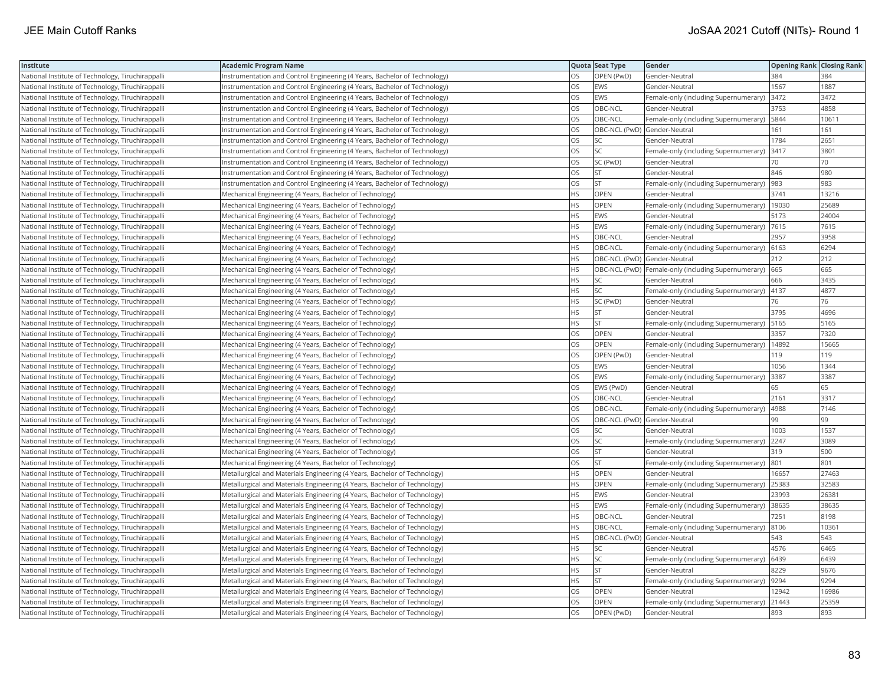| Institute                                         | <b>Academic Program Name</b>                                              |           | Quota Seat Type              | Gender                                                | <b>Opening Rank Closing Rank</b> |       |
|---------------------------------------------------|---------------------------------------------------------------------------|-----------|------------------------------|-------------------------------------------------------|----------------------------------|-------|
| National Institute of Technology, Tiruchirappalli | Instrumentation and Control Engineering (4 Years, Bachelor of Technology) | OS        | OPEN (PwD)                   | Gender-Neutral                                        | 384                              | 384   |
| National Institute of Technology, Tiruchirappalli | nstrumentation and Control Engineering (4 Years, Bachelor of Technology)  | OS        | <b>EWS</b>                   | Gender-Neutral                                        | 1567                             | 1887  |
| National Institute of Technology, Tiruchirappalli | Instrumentation and Control Engineering (4 Years, Bachelor of Technology) | OS        | EWS                          | Female-only (including Supernumerary)                 | 3472                             | 3472  |
| National Institute of Technology, Tiruchirappalli | Instrumentation and Control Engineering (4 Years, Bachelor of Technology) | <b>OS</b> | OBC-NCL                      | Gender-Neutral                                        | 3753                             | 4858  |
| National Institute of Technology, Tiruchirappalli | Instrumentation and Control Engineering (4 Years, Bachelor of Technology) | <b>OS</b> | OBC-NCL                      | Female-only (including Supernumerary)                 | 5844                             | 10611 |
| National Institute of Technology, Tiruchirappalli | Instrumentation and Control Engineering (4 Years, Bachelor of Technology) | OS        | OBC-NCL (PwD) Gender-Neutral |                                                       | 161                              | 161   |
| National Institute of Technology, Tiruchirappalli | Instrumentation and Control Engineering (4 Years, Bachelor of Technology) | OS        | SC                           | Gender-Neutral                                        | 1784                             | 2651  |
| National Institute of Technology, Tiruchirappalli | Instrumentation and Control Engineering (4 Years, Bachelor of Technology) | <b>OS</b> | lsc                          | Female-only (including Supernumerary)                 | 3417                             | 3801  |
| National Institute of Technology, Tiruchirappalli | nstrumentation and Control Engineering (4 Years, Bachelor of Technology)  | OS        | SC (PwD)                     | Gender-Neutral                                        | 70                               | 70    |
| National Institute of Technology, Tiruchirappalli | Instrumentation and Control Engineering (4 Years, Bachelor of Technology) | OS        | <b>ST</b>                    | Gender-Neutral                                        | 846                              | 980   |
| National Institute of Technology, Tiruchirappalli | nstrumentation and Control Engineering (4 Years, Bachelor of Technology)  | OS        | <b>ST</b>                    | Female-only (including Supernumerary)                 | 983                              | 983   |
| National Institute of Technology, Tiruchirappalli | Mechanical Engineering (4 Years, Bachelor of Technology)                  | <b>HS</b> | <b>OPEN</b>                  | Gender-Neutral                                        | 3741                             | 13216 |
| National Institute of Technology, Tiruchirappalli | Mechanical Engineering (4 Years, Bachelor of Technology)                  | <b>HS</b> | OPEN                         | Female-only (including Supernumerary)                 | 19030                            | 25689 |
| National Institute of Technology, Tiruchirappalli | Mechanical Engineering (4 Years, Bachelor of Technology)                  | <b>HS</b> | <b>EWS</b>                   | Gender-Neutral                                        | 5173                             | 24004 |
| National Institute of Technology, Tiruchirappalli | Mechanical Engineering (4 Years, Bachelor of Technology)                  | <b>HS</b> | EWS                          | Female-only (including Supernumerary)   7615          |                                  | 7615  |
| National Institute of Technology, Tiruchirappalli | Mechanical Engineering (4 Years, Bachelor of Technology)                  | <b>HS</b> | OBC-NCL                      | Gender-Neutral                                        | 2957                             | 3958  |
| National Institute of Technology, Tiruchirappalli | Mechanical Engineering (4 Years, Bachelor of Technology)                  | <b>HS</b> | OBC-NCL                      | Female-only (including Supernumerary)                 | 6163                             | 6294  |
| National Institute of Technology, Tiruchirappalli | Mechanical Engineering (4 Years, Bachelor of Technology)                  | <b>HS</b> | OBC-NCL (PwD) Gender-Neutral |                                                       | 212                              | 212   |
| National Institute of Technology, Tiruchirappalli | Mechanical Engineering (4 Years, Bachelor of Technology)                  | <b>HS</b> |                              | OBC-NCL (PwD)   Female-only (including Supernumerary) | 665                              | 665   |
| National Institute of Technology, Tiruchirappalli | Mechanical Engineering (4 Years, Bachelor of Technology)                  | <b>HS</b> | SC.                          | Gender-Neutral                                        | 666                              | 3435  |
| National Institute of Technology, Tiruchirappalli | Mechanical Engineering (4 Years, Bachelor of Technology)                  | <b>HS</b> | <b>SC</b>                    | Female-only (including Supernumerary)                 | 4137                             | 4877  |
| National Institute of Technology, Tiruchirappalli | Mechanical Engineering (4 Years, Bachelor of Technology)                  | <b>HS</b> | SC (PwD)                     | Gender-Neutral                                        | 76                               | 76    |
| National Institute of Technology, Tiruchirappalli | Mechanical Engineering (4 Years, Bachelor of Technology)                  | <b>HS</b> | <b>ST</b>                    | Gender-Neutral                                        | 3795                             | 4696  |
| National Institute of Technology, Tiruchirappalli | Mechanical Engineering (4 Years, Bachelor of Technology)                  | <b>HS</b> | İst                          | Female-only (including Supernumerary)                 | 5165                             | 5165  |
| National Institute of Technology, Tiruchirappalli | Mechanical Engineering (4 Years, Bachelor of Technology)                  | OS        | OPEN                         | Gender-Neutral                                        | 3357                             | 7320  |
| National Institute of Technology, Tiruchirappalli | Mechanical Engineering (4 Years, Bachelor of Technology)                  | OS        | OPEN                         | Female-only (including Supernumerary)                 | 14892                            | 15665 |
| National Institute of Technology, Tiruchirappalli | Mechanical Engineering (4 Years, Bachelor of Technology)                  | OS        | OPEN (PwD)                   | Gender-Neutral                                        | 119                              | 119   |
| National Institute of Technology, Tiruchirappalli | Mechanical Engineering (4 Years, Bachelor of Technology)                  | <b>OS</b> | EWS                          | Gender-Neutral                                        | 1056                             | 1344  |
| National Institute of Technology, Tiruchirappalli | Mechanical Engineering (4 Years, Bachelor of Technology)                  | OS        | EWS                          | Female-only (including Supernumerary)                 | 3387                             | 3387  |
| National Institute of Technology, Tiruchirappalli | Mechanical Engineering (4 Years, Bachelor of Technology)                  | OS        | EWS (PwD)                    | Gender-Neutral                                        | 65                               | 65    |
| National Institute of Technology, Tiruchirappalli | Mechanical Engineering (4 Years, Bachelor of Technology)                  | OS        | OBC-NCL                      | Gender-Neutral                                        | 2161                             | 3317  |
| National Institute of Technology, Tiruchirappalli | Mechanical Engineering (4 Years, Bachelor of Technology)                  | OS        | OBC-NCL                      | Female-only (including Supernumerary)                 | 4988                             | 7146  |
| National Institute of Technology, Tiruchirappalli | Mechanical Engineering (4 Years, Bachelor of Technology)                  | <b>OS</b> | OBC-NCL (PwD) Gender-Neutral |                                                       | 99                               | 99    |
| National Institute of Technology, Tiruchirappalli | Mechanical Engineering (4 Years, Bachelor of Technology)                  | OS        | SC                           | Gender-Neutral                                        | 1003                             | 1537  |
| National Institute of Technology, Tiruchirappalli | Mechanical Engineering (4 Years, Bachelor of Technology)                  | OS        | SC                           | Female-only (including Supernumerary)                 | 2247                             | 3089  |
| National Institute of Technology, Tiruchirappalli | Mechanical Engineering (4 Years, Bachelor of Technology)                  | <b>OS</b> | lst.                         | Gender-Neutral                                        | 319                              | 500   |
| National Institute of Technology, Tiruchirappalli | Mechanical Engineering (4 Years, Bachelor of Technology)                  | OS        | <b>ST</b>                    | Female-only (including Supernumerary)                 | 801                              | 801   |
| National Institute of Technology, Tiruchirappalli | Metallurgical and Materials Engineering (4 Years, Bachelor of Technology) | <b>HS</b> | OPEN                         | Gender-Neutral                                        | 16657                            | 27463 |
| National Institute of Technology, Tiruchirappalli | Metallurgical and Materials Engineering (4 Years, Bachelor of Technology) | <b>HS</b> | OPEN                         | Female-only (including Supernumerary)                 | 25383                            | 32583 |
| National Institute of Technology, Tiruchirappalli | Metallurgical and Materials Engineering (4 Years, Bachelor of Technology) | <b>HS</b> | <b>EWS</b>                   | Gender-Neutral                                        | 23993                            | 26381 |
| National Institute of Technology, Tiruchirappalli | Metallurgical and Materials Engineering (4 Years, Bachelor of Technology) | <b>HS</b> | EWS                          | Female-only (including Supernumerary)                 | 38635                            | 38635 |
| National Institute of Technology, Tiruchirappalli | Metallurgical and Materials Engineering (4 Years, Bachelor of Technology) | <b>HS</b> | OBC-NCL                      | Gender-Neutral                                        | 7251                             | 8198  |
| National Institute of Technology, Tiruchirappalli | Metallurgical and Materials Engineering (4 Years, Bachelor of Technology) | <b>HS</b> | OBC-NCL                      | Female-only (including Supernumerary)                 | 8106                             | 10361 |
| National Institute of Technology, Tiruchirappalli | Metallurgical and Materials Engineering (4 Years, Bachelor of Technology) | <b>HS</b> | OBC-NCL (PwD) Gender-Neutral |                                                       | 543                              | 543   |
| National Institute of Technology, Tiruchirappalli | Metallurgical and Materials Engineering (4 Years, Bachelor of Technology) | <b>HS</b> | SC.                          | Gender-Neutral                                        | 4576                             | 6465  |
| National Institute of Technology, Tiruchirappalli | Metallurgical and Materials Engineering (4 Years, Bachelor of Technology) | <b>HS</b> | <b>SC</b>                    | Female-only (including Supernumerary)                 | 6439                             | 6439  |
| National Institute of Technology, Tiruchirappalli | Metallurgical and Materials Engineering (4 Years, Bachelor of Technology) | <b>HS</b> | <b>ST</b>                    | Gender-Neutral                                        | 8229                             | 9676  |
| National Institute of Technology, Tiruchirappalli | Metallurgical and Materials Engineering (4 Years, Bachelor of Technology) | HS        | <b>ST</b>                    | Female-only (including Supernumerary)                 | 9294                             | 9294  |
| National Institute of Technology, Tiruchirappalli | Metallurgical and Materials Engineering (4 Years, Bachelor of Technology) | OS        | OPEN                         | Gender-Neutral                                        | 12942                            | 16986 |
| National Institute of Technology, Tiruchirappalli | Metallurgical and Materials Engineering (4 Years, Bachelor of Technology) | OS        | OPEN                         | Female-only (including Supernumerary)                 | 21443                            | 25359 |
| National Institute of Technology, Tiruchirappall  | Metallurgical and Materials Engineering (4 Years, Bachelor of Technology) | <b>OS</b> | OPEN (PwD)                   | Gender-Neutral                                        | 893                              | 893   |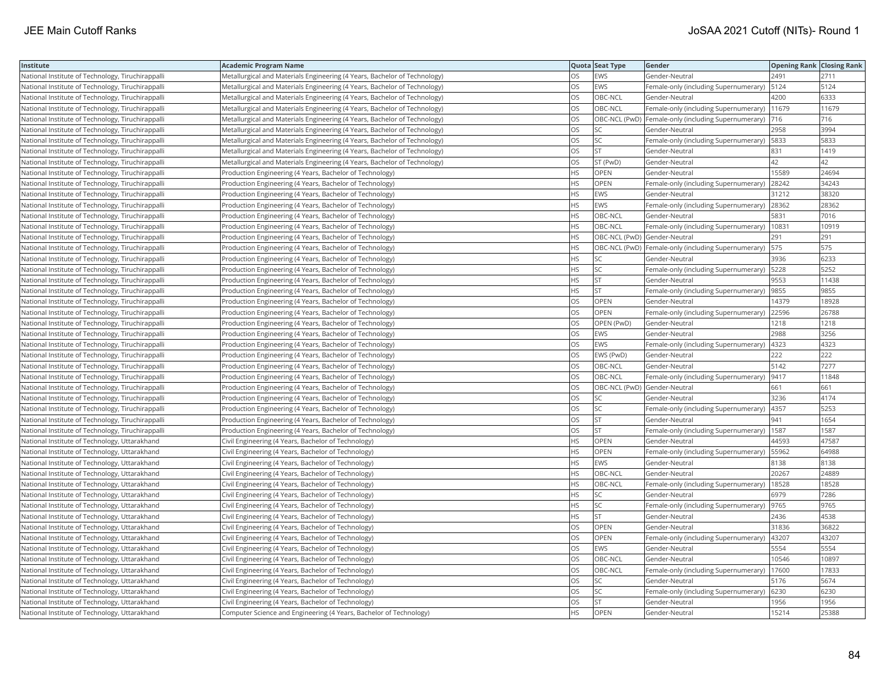| Institute                                         | Academic Program Name                                                     |           | Quota Seat Type              | Gender                                                | <b>Opening Rank Closing Rank</b> |       |
|---------------------------------------------------|---------------------------------------------------------------------------|-----------|------------------------------|-------------------------------------------------------|----------------------------------|-------|
| National Institute of Technology, Tiruchirappalli | Metallurgical and Materials Engineering (4 Years, Bachelor of Technology) | OS.       | EWS                          | Gender-Neutral                                        | 2491                             | 2711  |
| National Institute of Technology, Tiruchirappalli | Metallurgical and Materials Engineering (4 Years, Bachelor of Technology) | OS        | EWS                          | Female-only (including Supernumerary)                 | 5124                             | 5124  |
| National Institute of Technology, Tiruchirappalli | Metallurgical and Materials Engineering (4 Years, Bachelor of Technology) | OS        | OBC-NCL                      | Gender-Neutral                                        | 4200                             | 6333  |
| National Institute of Technology, Tiruchirappalli | Metallurgical and Materials Engineering (4 Years, Bachelor of Technology) | OS        | OBC-NCL                      | Female-only (including Supernumerary)                 | 11679                            | 11679 |
| National Institute of Technology, Tiruchirappalli | Metallurgical and Materials Engineering (4 Years, Bachelor of Technology) | OS        |                              | OBC-NCL (PwD)   Female-only (including Supernumerary) | 716                              | 716   |
| National Institute of Technology, Tiruchirappalli | Metallurgical and Materials Engineering (4 Years, Bachelor of Technology) | OS        | SC                           | Gender-Neutral                                        | 2958                             | 3994  |
| National Institute of Technology, Tiruchirappalli | Metallurgical and Materials Engineering (4 Years, Bachelor of Technology) | OS        | SC                           | Female-only (including Supernumerary) [5833           |                                  | 5833  |
| National Institute of Technology, Tiruchirappalli | Metallurgical and Materials Engineering (4 Years, Bachelor of Technology) | <b>OS</b> | <b>ST</b>                    | Gender-Neutral                                        | 831                              | 1419  |
| National Institute of Technology, Tiruchirappalli | Metallurgical and Materials Engineering (4 Years, Bachelor of Technology) | OS        | ST (PwD)                     | Gender-Neutral                                        | 42                               | 42    |
| National Institute of Technology, Tiruchirappalli | Production Engineering (4 Years, Bachelor of Technology)                  | HS        | OPEN                         | Gender-Neutral                                        | 15589                            | 24694 |
| National Institute of Technology, Tiruchirappalli | Production Engineering (4 Years, Bachelor of Technology)                  | <b>HS</b> | OPEN                         | Female-only (including Supernumerary)                 | 28242                            | 34243 |
| National Institute of Technology, Tiruchirappalli | Production Engineering (4 Years, Bachelor of Technology)                  | HS        | EWS                          | Gender-Neutral                                        | 31212                            | 38320 |
| National Institute of Technology, Tiruchirappalli | Production Engineering (4 Years, Bachelor of Technology)                  | HS.       | EWS                          | Female-only (including Supernumerary)                 | 28362                            | 28362 |
| National Institute of Technology, Tiruchirappalli | Production Engineering (4 Years, Bachelor of Technology)                  | <b>HS</b> | OBC-NCL                      | Gender-Neutral                                        | 5831                             | 7016  |
| National Institute of Technology, Tiruchirappalli | Production Engineering (4 Years, Bachelor of Technology)                  | HS.       | OBC-NCL                      | Female-only (including Supernumerary)                 | 10831                            | 10919 |
| National Institute of Technology, Tiruchirappalli | Production Engineering (4 Years, Bachelor of Technology)                  | HS        | OBC-NCL (PwD) Gender-Neutral |                                                       | 291                              | 291   |
| National Institute of Technology, Tiruchirappalli | Production Engineering (4 Years, Bachelor of Technology)                  | HS.       |                              | OBC-NCL (PwD)  Female-only (including Supernumerary)  | 575                              | 575   |
| National Institute of Technology, Tiruchirappalli | Production Engineering (4 Years, Bachelor of Technology)                  | HS        | <b>SC</b>                    | Gender-Neutral                                        | 3936                             | 6233  |
| National Institute of Technology, Tiruchirappalli | Production Engineering (4 Years, Bachelor of Technology)                  | HS.       | SC                           | Female-only (including Supernumerary)   5228          |                                  | 5252  |
| National Institute of Technology, Tiruchirappalli | Production Engineering (4 Years, Bachelor of Technology)                  | HS.       | <b>ST</b>                    | Gender-Neutral                                        | 9553                             | 11438 |
| National Institute of Technology, Tiruchirappalli | Production Engineering (4 Years, Bachelor of Technology)                  | <b>HS</b> | <b>ST</b>                    | Female-only (including Supernumerary)                 | 9855                             | 9855  |
| National Institute of Technology, Tiruchirappalli | (Production Engineering (4 Years, Bachelor of Technology)                 | OS        | OPEN                         | Gender-Neutral                                        | 14379                            | 18928 |
| National Institute of Technology, Tiruchirappalli | Production Engineering (4 Years, Bachelor of Technology)                  | OS        | OPEN                         | Female-only (including Supernumerary)                 | 22596                            | 26788 |
| National Institute of Technology, Tiruchirappalli | Production Engineering (4 Years, Bachelor of Technology)                  | OS        | OPEN (PwD)                   | Gender-Neutral                                        | 1218                             | 1218  |
| National Institute of Technology, Tiruchirappalli | Production Engineering (4 Years, Bachelor of Technology)                  | OS        | EWS                          | Gender-Neutral                                        | 2988                             | 3256  |
| National Institute of Technology, Tiruchirappalli | Production Engineering (4 Years, Bachelor of Technology)                  | <b>OS</b> | EWS                          | Female-only (including Supernumerary)                 | 4323                             | 4323  |
| National Institute of Technology, Tiruchirappalli | Production Engineering (4 Years, Bachelor of Technology)                  | OS        | EWS (PwD)                    | Gender-Neutral                                        | 222                              | 222   |
| National Institute of Technology, Tiruchirappalli | Production Engineering (4 Years, Bachelor of Technology)                  | OS        | OBC-NCL                      | Gender-Neutral                                        | 5142                             | 7277  |
| National Institute of Technology, Tiruchirappalli | Production Engineering (4 Years, Bachelor of Technology)                  | OS.       | OBC-NCL                      | Female-only (including Supernumerary)                 | 9417                             | 11848 |
| National Institute of Technology, Tiruchirappalli | Production Engineering (4 Years, Bachelor of Technology)                  | OS        | OBC-NCL (PwD) Gender-Neutral |                                                       | 661                              | 661   |
| National Institute of Technology, Tiruchirappalli | Production Engineering (4 Years, Bachelor of Technology)                  | OS        | SC                           | Gender-Neutral                                        | 3236                             | 4174  |
| National Institute of Technology, Tiruchirappalli | Production Engineering (4 Years, Bachelor of Technology)                  | OS        | SC                           | Female-only (including Supernumerary)                 | 4357                             | 5253  |
| National Institute of Technology, Tiruchirappalli | Production Engineering (4 Years, Bachelor of Technology)                  | OS        | <b>ST</b>                    | Gender-Neutral                                        | 941                              | 1654  |
| National Institute of Technology, Tiruchirappalli | Production Engineering (4 Years, Bachelor of Technology)                  | OS        | <b>ST</b>                    | Female-only (including Supernumerary)                 | 1587                             | 1587  |
| National Institute of Technology, Uttarakhand     | Civil Engineering (4 Years, Bachelor of Technology)                       | ΗS        | OPEN                         | Gender-Neutral                                        | 44593                            | 47587 |
| National Institute of Technology, Uttarakhand     | Civil Engineering (4 Years, Bachelor of Technology)                       | HS.       | <b>OPEN</b>                  | Female-only (including Supernumerary)                 | 55962                            | 64988 |
| National Institute of Technology, Uttarakhand     | Civil Engineering (4 Years, Bachelor of Technology)                       | HS        | EWS                          | Gender-Neutral                                        | 8138                             | 8138  |
| National Institute of Technology, Uttarakhand     | Civil Engineering (4 Years, Bachelor of Technology)                       | HS        | OBC-NCL                      | Gender-Neutral                                        | 20267                            | 24889 |
| National Institute of Technology, Uttarakhand     | Civil Engineering (4 Years, Bachelor of Technology)                       | НS        | OBC-NCL                      | Female-only (including Supernumerary)                 | 18528                            | 18528 |
| National Institute of Technology, Uttarakhand     | Civil Engineering (4 Years, Bachelor of Technology)                       | HS        | <b>SC</b>                    | Gender-Neutral                                        | 6979                             | 7286  |
| National Institute of Technology, Uttarakhand     | Civil Engineering (4 Years, Bachelor of Technology)                       | HS        | SC                           | Female-only (including Supernumerary)                 | 9765                             | 9765  |
| National Institute of Technology, Uttarakhand     | Civil Engineering (4 Years, Bachelor of Technology)                       | HS        | <b>ST</b>                    | Gender-Neutral                                        | 2436                             | 4538  |
| National Institute of Technology, Uttarakhand     | Civil Engineering (4 Years, Bachelor of Technology)                       | OS        | OPEN                         | Gender-Neutral                                        | 31836                            | 36822 |
| National Institute of Technology, Uttarakhand     | Civil Engineering (4 Years, Bachelor of Technology)                       | OS.       | <b>OPEN</b>                  | Female-only (including Supernumerary)                 | 43207                            | 43207 |
| National Institute of Technology, Uttarakhand     | Civil Engineering (4 Years, Bachelor of Technology)                       | OS        | EWS                          | Gender-Neutral                                        | 5554                             | 5554  |
| National Institute of Technology, Uttarakhand     | Civil Engineering (4 Years, Bachelor of Technology)                       | OS        | OBC-NCL                      | Gender-Neutral                                        | 10546                            | 10897 |
| National Institute of Technology, Uttarakhand     | Civil Engineering (4 Years, Bachelor of Technology)                       | OS.       | OBC-NCL                      | Female-only (including Supernumerary)                 | 17600                            | 17833 |
| National Institute of Technology, Uttarakhand     | Civil Engineering (4 Years, Bachelor of Technology)                       | OS        | <b>SC</b>                    | Gender-Neutral                                        | 5176                             | 5674  |
| National Institute of Technology, Uttarakhand     | Civil Engineering (4 Years, Bachelor of Technology)                       | OS        | SC                           | Female-only (including Supernumerary)                 | 6230                             | 6230  |
| National Institute of Technology, Uttarakhand     | Civil Engineering (4 Years, Bachelor of Technology)                       | OS        | <b>ST</b>                    | Gender-Neutral                                        | 1956                             | 1956  |
| National Institute of Technology, Uttarakhand     | Computer Science and Engineering (4 Years, Bachelor of Technology)        | <b>HS</b> | OPEN                         | Gender-Neutral                                        | 15214                            | 25388 |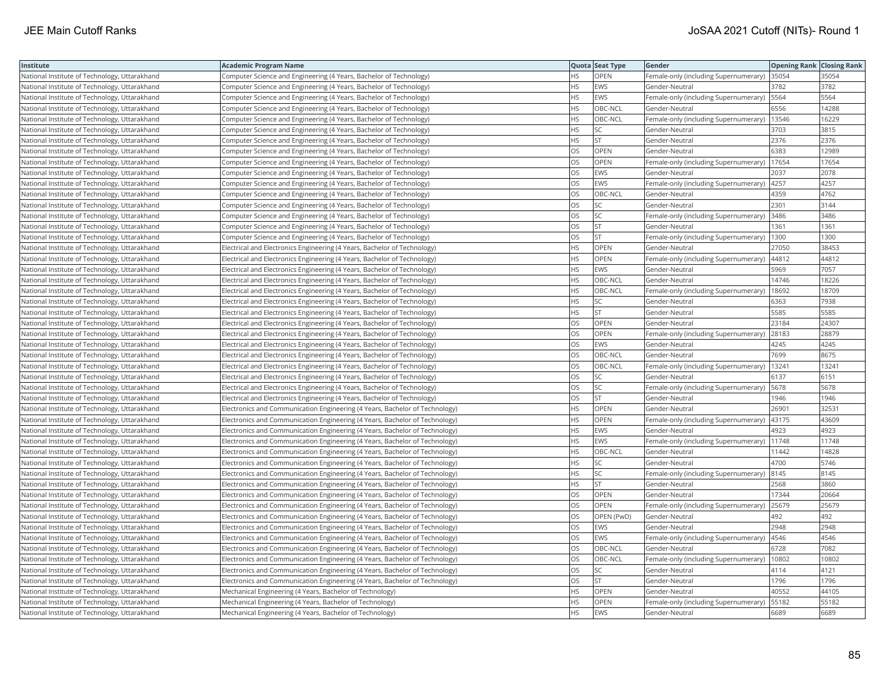| Institute                                     | <b>Academic Program Name</b>                                                |           | Quota Seat Type | Gender                                       | <b>Opening Rank Closing Rank</b> |       |
|-----------------------------------------------|-----------------------------------------------------------------------------|-----------|-----------------|----------------------------------------------|----------------------------------|-------|
| National Institute of Technology, Uttarakhand | Computer Science and Engineering (4 Years, Bachelor of Technology)          | НS        | OPEN            | Female-only (including Supernumerary)        | 35054                            | 35054 |
| National Institute of Technology, Uttarakhand | Computer Science and Engineering (4 Years, Bachelor of Technology)          | <b>HS</b> | EWS             | Gender-Neutral                               | 3782                             | 3782  |
| National Institute of Technology, Uttarakhand | Computer Science and Engineering (4 Years, Bachelor of Technology)          | <b>HS</b> | EWS             | Female-only (including Supernumerary)   5564 |                                  | 5564  |
| National Institute of Technology, Uttarakhand | Computer Science and Engineering (4 Years, Bachelor of Technology)          | HS.       | OBC-NCL         | Gender-Neutral                               | 6556                             | 14288 |
| National Institute of Technology, Uttarakhand | Computer Science and Engineering (4 Years, Bachelor of Technology)          | HS.       | OBC-NCL         | Female-only (including Supernumerary)        | 13546                            | 16229 |
| National Institute of Technology, Uttarakhand | Computer Science and Engineering (4 Years, Bachelor of Technology)          | HS.       | SC              | Gender-Neutral                               | 3703                             | 3815  |
| National Institute of Technology, Uttarakhand | Computer Science and Engineering (4 Years, Bachelor of Technology)          | HS        | <b>ST</b>       | Gender-Neutral                               | 2376                             | 2376  |
| National Institute of Technology, Uttarakhand | Computer Science and Engineering (4 Years, Bachelor of Technology)          | OS        | <b>OPEN</b>     | Gender-Neutral                               | 6383                             | 12989 |
| National Institute of Technology, Uttarakhand | Computer Science and Engineering (4 Years, Bachelor of Technology)          | OS        | OPEN            | Female-only (including Supernumerary)        | 17654                            | 17654 |
| National Institute of Technology, Uttarakhand | Computer Science and Engineering (4 Years, Bachelor of Technology)          | OS        | EWS             | Gender-Neutral                               | 2037                             | 2078  |
| National Institute of Technology, Uttarakhand | Computer Science and Engineering (4 Years, Bachelor of Technology)          | OS.       | <b>EWS</b>      | Female-only (including Supernumerary)        | 4257                             | 4257  |
| National Institute of Technology, Uttarakhand | Computer Science and Engineering (4 Years, Bachelor of Technology)          | OS        | OBC-NCL         | Gender-Neutral                               | 4359                             | 4762  |
| National Institute of Technology, Uttarakhand | Computer Science and Engineering (4 Years, Bachelor of Technology)          | OS.       | <b>SC</b>       | Gender-Neutral                               | 2301                             | 3144  |
| National Institute of Technology, Uttarakhand | Computer Science and Engineering (4 Years, Bachelor of Technology)          | OS        | SC              | Female-only (including Supernumerary)        | 3486                             | 3486  |
| National Institute of Technology, Uttarakhand | Computer Science and Engineering (4 Years, Bachelor of Technology)          | OS        | <b>ST</b>       | Gender-Neutral                               | 1361                             | 1361  |
| National Institute of Technology, Uttarakhand | Computer Science and Engineering (4 Years, Bachelor of Technology)          | OS.       | <b>ST</b>       | Female-only (including Supernumerary)        | 1300                             | 1300  |
| National Institute of Technology, Uttarakhand | Electrical and Electronics Engineering (4 Years, Bachelor of Technology)    | HS        | <b>OPEN</b>     | Gender-Neutral                               | 27050                            | 38453 |
| National Institute of Technology, Uttarakhand | Electrical and Electronics Engineering (4 Years, Bachelor of Technology)    | HS.       | OPEN            | Female-only (including Supernumerary)        | 44812                            | 44812 |
| National Institute of Technology, Uttarakhand | Electrical and Electronics Engineering (4 Years, Bachelor of Technology)    | <b>HS</b> | <b>EWS</b>      | Gender-Neutral                               | 5969                             | 7057  |
| National Institute of Technology, Uttarakhand | Electrical and Electronics Engineering (4 Years, Bachelor of Technology)    | HS        | OBC-NCL         | Gender-Neutral                               | 14746                            | 18226 |
| National Institute of Technology, Uttarakhand | Electrical and Electronics Engineering (4 Years, Bachelor of Technology)    | HS.       | OBC-NCL         | Female-only (including Supernumerary)        | 18692                            | 18709 |
| National Institute of Technology, Uttarakhand | Electrical and Electronics Engineering (4 Years, Bachelor of Technology)    | HS.       | SC              | Gender-Neutral                               | 6363                             | 7938  |
| National Institute of Technology, Uttarakhand | Electrical and Electronics Engineering (4 Years, Bachelor of Technology)    | HS        | <b>ST</b>       | Gender-Neutral                               | 5585                             | 5585  |
| National Institute of Technology, Uttarakhand | Electrical and Electronics Engineering (4 Years, Bachelor of Technology)    | OS        | <b>OPEN</b>     | Gender-Neutral                               | 23184                            | 24307 |
| National Institute of Technology, Uttarakhand | Electrical and Electronics Engineering (4 Years, Bachelor of Technology)    | OS        | OPEN            | Female-only (including Supernumerary)        | 28183                            | 28879 |
| National Institute of Technology, Uttarakhand | Electrical and Electronics Engineering (4 Years, Bachelor of Technology)    | OS        | EWS             | Gender-Neutral                               | 4245                             | 4245  |
| National Institute of Technology, Uttarakhand | Electrical and Electronics Engineering (4 Years, Bachelor of Technology)    | OS.       | OBC-NCL         | Gender-Neutral                               | 7699                             | 8675  |
| National Institute of Technology, Uttarakhand | Electrical and Electronics Engineering (4 Years, Bachelor of Technology)    | OS        | OBC-NCL         | Female-only (including Supernumerary)        | 13241                            | 13241 |
| National Institute of Technology, Uttarakhand | Electrical and Electronics Engineering (4 Years, Bachelor of Technology)    | OS        | SC              | Gender-Neutral                               | 6137                             | 6151  |
| National Institute of Technology, Uttarakhand | Electrical and Electronics Engineering (4 Years, Bachelor of Technology)    | OS        | SC              | Female-only (including Supernumerary)        | 5678                             | 5678  |
| National Institute of Technology, Uttarakhand | Electrical and Electronics Engineering (4 Years, Bachelor of Technology)    | <b>OS</b> | <b>ST</b>       | Gender-Neutral                               | 1946                             | 1946  |
| National Institute of Technology, Uttarakhand | Electronics and Communication Engineering (4 Years, Bachelor of Technology) | ΗS        | OPEN            | Gender-Neutral                               | 26901                            | 32531 |
| National Institute of Technology, Uttarakhand | Electronics and Communication Engineering (4 Years, Bachelor of Technology) | <b>HS</b> | OPEN            | Female-only (including Supernumerary)        | 43175                            | 43609 |
| National Institute of Technology, Uttarakhand | Electronics and Communication Engineering (4 Years, Bachelor of Technology) | HS        | <b>EWS</b>      | Gender-Neutral                               | 4923                             | 4923  |
| National Institute of Technology, Uttarakhand | Electronics and Communication Engineering (4 Years, Bachelor of Technology) | HS.       | <b>EWS</b>      | Female-only (including Supernumerary)        | 11748                            | 11748 |
| National Institute of Technology, Uttarakhand | Electronics and Communication Engineering (4 Years, Bachelor of Technology) | <b>HS</b> | OBC-NCL         | Gender-Neutral                               | 11442                            | 14828 |
| National Institute of Technology, Uttarakhand | Electronics and Communication Engineering (4 Years, Bachelor of Technology) | HS        | SC              | Gender-Neutral                               | 4700                             | 5746  |
| National Institute of Technology, Uttarakhand | Electronics and Communication Engineering (4 Years, Bachelor of Technology) | HS        | SC              | Female-only (including Supernumerary)  8145  |                                  | 8145  |
| National Institute of Technology, Uttarakhand | Electronics and Communication Engineering (4 Years, Bachelor of Technology) | HS.       | <b>ST</b>       | Gender-Neutral                               | 2568                             | 3860  |
| National Institute of Technology, Uttarakhand | Electronics and Communication Engineering (4 Years, Bachelor of Technology) | OS        | OPEN            | Gender-Neutral                               | 17344                            | 20664 |
| National Institute of Technology, Uttarakhand | Electronics and Communication Engineering (4 Years, Bachelor of Technology) | OS        | OPEN            | Female-only (including Supernumerary)        | 25679                            | 25679 |
| National Institute of Technology, Uttarakhand | Electronics and Communication Engineering (4 Years, Bachelor of Technology) | OS        | OPEN (PwD)      | Gender-Neutral                               | 492                              | 492   |
| National Institute of Technology, Uttarakhand | Electronics and Communication Engineering (4 Years, Bachelor of Technology) | OS        | <b>EWS</b>      | Gender-Neutral                               | 2948                             | 2948  |
| National Institute of Technology, Uttarakhand | Electronics and Communication Engineering (4 Years, Bachelor of Technology) | OS        | EWS             | Female-only (including Supernumerary)        | 4546                             | 4546  |
| National Institute of Technology, Uttarakhand | Electronics and Communication Engineering (4 Years, Bachelor of Technology) | OS        | OBC-NCL         | Gender-Neutral                               | 6728                             | 7082  |
| National Institute of Technology, Uttarakhand | Electronics and Communication Engineering (4 Years, Bachelor of Technology) | OS        | OBC-NCL         | Female-only (including Supernumerary)        | 10802                            | 10802 |
| National Institute of Technology, Uttarakhand | Electronics and Communication Engineering (4 Years, Bachelor of Technology) | OS.       | <b>SC</b>       | Gender-Neutral                               | 4114                             | 4121  |
| National Institute of Technology, Uttarakhand | Electronics and Communication Engineering (4 Years, Bachelor of Technology) | OS        | <b>ST</b>       | Gender-Neutral                               | 1796                             | 1796  |
| National Institute of Technology, Uttarakhand | Mechanical Engineering (4 Years, Bachelor of Technology)                    | HS        | OPEN            | Gender-Neutral                               | 40552                            | 44105 |
| National Institute of Technology, Uttarakhand | Mechanical Engineering (4 Years, Bachelor of Technology)                    | HS.       | <b>OPEN</b>     | Female-only (including Supernumerary)        | 55182                            | 55182 |
| National Institute of Technology, Uttarakhand | Mechanical Engineering (4 Years, Bachelor of Technology)                    | <b>HS</b> | <b>EWS</b>      | Gender-Neutral                               | 6689                             | 6689  |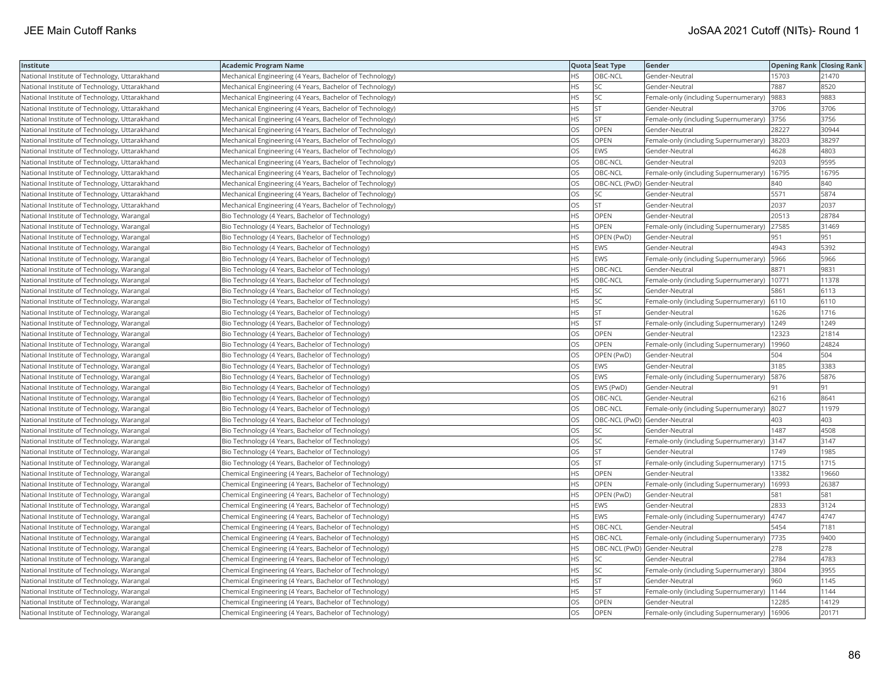| Institute                                     | Academic Program Name                                    |           | Quota Seat Type              | Gender                                       | Opening Rank Closing Rank |       |
|-----------------------------------------------|----------------------------------------------------------|-----------|------------------------------|----------------------------------------------|---------------------------|-------|
| National Institute of Technology, Uttarakhand | Mechanical Engineering (4 Years, Bachelor of Technology) | HS.       | OBC-NCL                      | Gender-Neutral                               | 15703                     | 21470 |
| National Institute of Technology, Uttarakhand | Mechanical Engineering (4 Years, Bachelor of Technology) | ΗS        | <b>SC</b>                    | Gender-Neutral                               | 7887                      | 8520  |
| National Institute of Technology, Uttarakhand | Mechanical Engineering (4 Years, Bachelor of Technology) | HS        | SC                           | Female-only (including Supernumerary)        | 9883                      | 9883  |
| National Institute of Technology, Uttarakhand | Mechanical Engineering (4 Years, Bachelor of Technology) | HS        | <b>ST</b>                    | Gender-Neutral                               | 3706                      | 3706  |
| National Institute of Technology, Uttarakhand | Mechanical Engineering (4 Years, Bachelor of Technology) | HS        | <b>ST</b>                    | Female-only (including Supernumerary)        | 3756                      | 3756  |
| National Institute of Technology, Uttarakhand | Mechanical Engineering (4 Years, Bachelor of Technology) | OS        | OPEN                         | Gender-Neutral                               | 28227                     | 30944 |
| National Institute of Technology, Uttarakhand | Mechanical Engineering (4 Years, Bachelor of Technology) | OS        | OPEN                         | Female-only (including Supernumerary)        | 38203                     | 38297 |
| National Institute of Technology, Uttarakhand | Mechanical Engineering (4 Years, Bachelor of Technology) | <b>OS</b> | EWS                          | Gender-Neutral                               | 4628                      | 4803  |
| National Institute of Technology, Uttarakhand | Mechanical Engineering (4 Years, Bachelor of Technology) | OS        | OBC-NCL                      | Gender-Neutral                               | 9203                      | 9595  |
| National Institute of Technology, Uttarakhand | Mechanical Engineering (4 Years, Bachelor of Technology) | OS        | OBC-NCL                      | Female-only (including Supernumerary)        | 16795                     | 16795 |
| National Institute of Technology, Uttarakhand | Mechanical Engineering (4 Years, Bachelor of Technology) | OS        | OBC-NCL (PwD) Gender-Neutral |                                              | 840                       | 840   |
| National Institute of Technology, Uttarakhand | Mechanical Engineering (4 Years, Bachelor of Technology) | OS        | SC                           | Gender-Neutral                               | 5571                      | 5874  |
| National Institute of Technology, Uttarakhand | Mechanical Engineering (4 Years, Bachelor of Technology) | <b>OS</b> | <b>ST</b>                    | Gender-Neutral                               | 2037                      | 2037  |
| National Institute of Technology, Warangal    | Bio Technology (4 Years, Bachelor of Technology)         | ΗS        | OPEN                         | Gender-Neutral                               | 20513                     | 28784 |
| National Institute of Technology, Warangal    | Bio Technology (4 Years, Bachelor of Technology)         | HS.       | <b>OPEN</b>                  | Female-only (including Supernumerary)        | 27585                     | 31469 |
| National Institute of Technology, Warangal    | Bio Technology (4 Years, Bachelor of Technology)         | HS        | OPEN (PwD)                   | Gender-Neutral                               | 951                       | 951   |
| National Institute of Technology, Warangal    | Bio Technology (4 Years, Bachelor of Technology)         | HS.       | <b>EWS</b>                   | Gender-Neutral                               | 4943                      | 5392  |
| National Institute of Technology, Warangal    | Bio Technology (4 Years, Bachelor of Technology)         | HS        | EWS                          | Female-only (including Supernumerary)        | 5966                      | 5966  |
| National Institute of Technology, Warangal    | Bio Technology (4 Years, Bachelor of Technology)         | HS.       | OBC-NCL                      | Gender-Neutral                               | 8871                      | 9831  |
| National Institute of Technology, Warangal    | Bio Technology (4 Years, Bachelor of Technology)         | HS.       | OBC-NCL                      | Female-only (including Supernumerary)        | 10771                     | 11378 |
| National Institute of Technology, Warangal    | Bio Technology (4 Years, Bachelor of Technology)         | <b>HS</b> | <b>SC</b>                    | Gender-Neutral                               | 5861                      | 6113  |
| National Institute of Technology, Warangal    | Bio Technology (4 Years, Bachelor of Technology)         | HS        | <b>SC</b>                    | Female-only (including Supernumerary) 6110   |                           | 6110  |
| National Institute of Technology, Warangal    | Bio Technology (4 Years, Bachelor of Technology)         | HS        | <b>ST</b>                    | Gender-Neutral                               | 1626                      | 1716  |
| National Institute of Technology, Warangal    | Bio Technology (4 Years, Bachelor of Technology)         | HS        | <b>ST</b>                    | Female-only (including Supernumerary)   1249 |                           | 1249  |
| National Institute of Technology, Warangal    | Bio Technology (4 Years, Bachelor of Technology)         | OS        | OPEN                         | Gender-Neutral                               | 12323                     | 21814 |
| National Institute of Technology, Warangal    | Bio Technology (4 Years, Bachelor of Technology)         | OS.       | OPEN                         | Female-only (including Supernumerary)        | 19960                     | 24824 |
| National Institute of Technology, Warangal    | Bio Technology (4 Years, Bachelor of Technology)         | OS        | OPEN (PwD)                   | Gender-Neutral                               | 504                       | 504   |
| National Institute of Technology, Warangal    | Bio Technology (4 Years, Bachelor of Technology)         | OS        | EWS                          | Gender-Neutral                               | 3185                      | 3383  |
| National Institute of Technology, Warangal    | Bio Technology (4 Years, Bachelor of Technology)         | OS.       | <b>EWS</b>                   | Female-only (including Supernumerary)        | 5876                      | 5876  |
| National Institute of Technology, Warangal    | Bio Technology (4 Years, Bachelor of Technology)         | OS        | EWS (PwD)                    | Gender-Neutral                               | 191                       | 91    |
| National Institute of Technology, Warangal    | Bio Technology (4 Years, Bachelor of Technology)         | OS        | OBC-NCL                      | Gender-Neutral                               | 6216                      | 8641  |
| National Institute of Technology, Warangal    | Bio Technology (4 Years, Bachelor of Technology)         | OS        | OBC-NCL                      | Female-only (including Supernumerary)        | 8027                      | 11979 |
| National Institute of Technology, Warangal    | Bio Technology (4 Years, Bachelor of Technology)         | OS        | OBC-NCL (PwD) Gender-Neutral |                                              | 403                       | 403   |
| National Institute of Technology, Warangal    | Bio Technology (4 Years, Bachelor of Technology)         | OS        | SC                           | Gender-Neutral                               | 1487                      | 4508  |
| National Institute of Technology, Warangal    | Bio Technology (4 Years, Bachelor of Technology)         | OS        | SC                           | Female-only (including Supernumerary)        | 3147                      | 3147  |
| National Institute of Technology, Warangal    | Bio Technology (4 Years, Bachelor of Technology)         | <b>OS</b> | <b>ST</b>                    | Gender-Neutral                               | 1749                      | 1985  |
| National Institute of Technology, Warangal    | Bio Technology (4 Years, Bachelor of Technology)         | OS        | <b>ST</b>                    | Female-only (including Supernumerary)        | 1715                      | 1715  |
| National Institute of Technology, Warangal    | Chemical Engineering (4 Years, Bachelor of Technology)   | HS        | <b>OPEN</b>                  | Gender-Neutral                               | 13382                     | 19660 |
| National Institute of Technology, Warangal    | Chemical Engineering (4 Years, Bachelor of Technology)   | НS        | OPEN                         | Female-only (including Supernumerary)        | 16993                     | 26387 |
| National Institute of Technology, Warangal    | Chemical Engineering (4 Years, Bachelor of Technology)   | HS        | OPEN (PwD)                   | Gender-Neutral                               | 581                       | 581   |
| National Institute of Technology, Warangal    | Chemical Engineering (4 Years, Bachelor of Technology)   | НS        | EWS                          | Gender-Neutral                               | 2833                      | 3124  |
| National Institute of Technology, Warangal    | Chemical Engineering (4 Years, Bachelor of Technology)   | HS        | EWS                          | Female-only (including Supernumerary)        | 4747                      | 4747  |
| National Institute of Technology, Warangal    | Chemical Engineering (4 Years, Bachelor of Technology)   | HS        | OBC-NCL                      | Gender-Neutral                               | 5454                      | 7181  |
| National Institute of Technology, Warangal    | Chemical Engineering (4 Years, Bachelor of Technology)   | <b>HS</b> | OBC-NCL                      | Female-only (including Supernumerary)  7735  |                           | 9400  |
| National Institute of Technology, Warangal    | Chemical Engineering (4 Years, Bachelor of Technology)   | HS        | OBC-NCL (PwD) Gender-Neutral |                                              | 278                       | 278   |
| National Institute of Technology, Warangal    | Chemical Engineering (4 Years, Bachelor of Technology)   | HS        | SC                           | Gender-Neutral                               | 2784                      | 4783  |
| National Institute of Technology, Warangal    | Chemical Engineering (4 Years, Bachelor of Technology)   | HS        | SC                           | Female-only (including Supernumerary) 3804   |                           | 3955  |
| National Institute of Technology, Warangal    | Chemical Engineering (4 Years, Bachelor of Technology)   | НS        | <b>ST</b>                    | Gender-Neutral                               | 960                       | 1145  |
| National Institute of Technology, Warangal    | Chemical Engineering (4 Years, Bachelor of Technology)   | HS        | <b>ST</b>                    | Female-only (including Supernumerary)        | 1144                      | 1144  |
| National Institute of Technology, Warangal    | Chemical Engineering (4 Years, Bachelor of Technology)   | OS        | OPEN                         | Gender-Neutral                               | 12285                     | 14129 |
| National Institute of Technology, Warangal    | Chemical Engineering (4 Years, Bachelor of Technology)   | OS        | OPEN                         | Female-only (including Supernumerary)        | 16906                     | 20171 |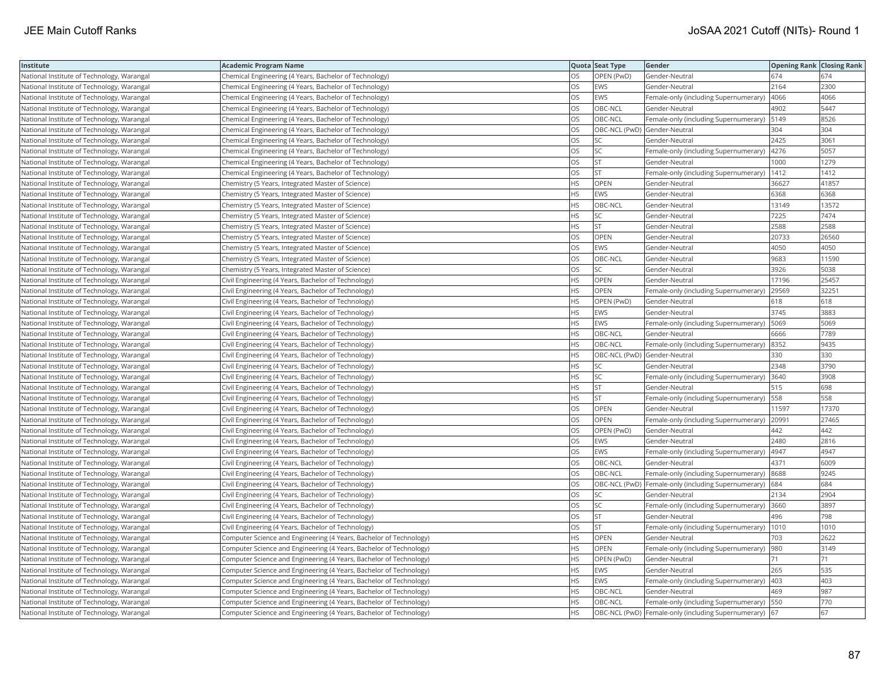| Institute                                  | <b>Academic Program Name</b>                                       |           | Quota Seat Type              | Gender                                                  | <b>Opening Rank Closing Rank</b> |       |
|--------------------------------------------|--------------------------------------------------------------------|-----------|------------------------------|---------------------------------------------------------|----------------------------------|-------|
| National Institute of Technology, Warangal | Chemical Engineering (4 Years, Bachelor of Technology)             | OS        | OPEN (PwD)                   | Gender-Neutral                                          | 674                              | 674   |
| National Institute of Technology, Warangal | Chemical Engineering (4 Years, Bachelor of Technology)             | OS        | EWS                          | Gender-Neutral                                          | 2164                             | 2300  |
| National Institute of Technology, Warangal | Chemical Engineering (4 Years, Bachelor of Technology)             | OS        | <b>EWS</b>                   | Female-only (including Supernumerary)  4066             |                                  | 4066  |
| National Institute of Technology, Warangal | Chemical Engineering (4 Years, Bachelor of Technology)             | OS        | OBC-NCL                      | Gender-Neutral                                          | 4902                             | 5447  |
| National Institute of Technology, Warangal | Chemical Engineering (4 Years, Bachelor of Technology)             | OS        | OBC-NCL                      | Female-only (including Supernumerary)   5149            |                                  | 8526  |
| National Institute of Technology, Warangal | Chemical Engineering (4 Years, Bachelor of Technology)             | OS        | OBC-NCL (PwD) Gender-Neutral |                                                         | 304                              | 304   |
| National Institute of Technology, Warangal | Chemical Engineering (4 Years, Bachelor of Technology)             | OS        | SC                           | Gender-Neutral                                          | 2425                             | 3061  |
| National Institute of Technology, Warangal | Chemical Engineering (4 Years, Bachelor of Technology)             | <b>OS</b> | <b>SC</b>                    | Female-only (including Supernumerary)   4276            |                                  | 5057  |
| National Institute of Technology, Warangal | Chemical Engineering (4 Years, Bachelor of Technology)             | OS        | <b>ST</b>                    | Gender-Neutral                                          | 1000                             | 1279  |
| National Institute of Technology, Warangal | Chemical Engineering (4 Years, Bachelor of Technology)             | OS        | <b>ST</b>                    | Female-only (including Supernumerary)                   | 1412                             | 1412  |
| National Institute of Technology, Warangal | Chemistry (5 Years, Integrated Master of Science)                  | HS        | OPEN                         | Gender-Neutral                                          | 36627                            | 41857 |
| National Institute of Technology, Warangal | Chemistry (5 Years, Integrated Master of Science)                  | HS        | <b>EWS</b>                   | Gender-Neutral                                          | 6368                             | 6368  |
| National Institute of Technology, Warangal | Chemistry (5 Years, Integrated Master of Science)                  | HS        | OBC-NCL                      | Gender-Neutral                                          | 13149                            | 13572 |
| National Institute of Technology, Warangal | Chemistry (5 Years, Integrated Master of Science)                  | ΗS        | <b>SC</b>                    | Gender-Neutral                                          | 7225                             | 7474  |
| National Institute of Technology, Warangal | Chemistry (5 Years, Integrated Master of Science)                  | HS        | <b>ST</b>                    | Gender-Neutral                                          | 2588                             | 2588  |
| National Institute of Technology, Warangal | Chemistry (5 Years, Integrated Master of Science)                  | OS        | OPEN                         | Gender-Neutral                                          | 20733                            | 26560 |
| National Institute of Technology, Warangal | Chemistry (5 Years, Integrated Master of Science)                  | OS        | <b>EWS</b>                   | Gender-Neutral                                          | 4050                             | 4050  |
| National Institute of Technology, Warangal | Chemistry (5 Years, Integrated Master of Science)                  | OS        | OBC-NCL                      | Gender-Neutral                                          | 9683                             | 11590 |
| National Institute of Technology, Warangal | Chemistry (5 Years, Integrated Master of Science)                  | OS        | SC                           | Gender-Neutral                                          | 3926                             | 5038  |
| National Institute of Technology, Warangal | Civil Engineering (4 Years, Bachelor of Technology)                | <b>HS</b> | <b>OPEN</b>                  | Gender-Neutral                                          | 17196                            | 25457 |
| National Institute of Technology, Warangal | Civil Engineering (4 Years, Bachelor of Technology)                | <b>HS</b> | <b>OPEN</b>                  | Female-only (including Supernumerary)                   | 29569                            | 32251 |
| National Institute of Technology, Warangal | Civil Engineering (4 Years, Bachelor of Technology)                | HS        | OPEN (PwD)                   | Gender-Neutral                                          | 618                              | 618   |
| National Institute of Technology, Warangal | Civil Engineering (4 Years, Bachelor of Technology)                | ΗS        | EWS                          | Gender-Neutral                                          | 3745                             | 3883  |
| National Institute of Technology, Warangal | Civil Engineering (4 Years, Bachelor of Technology)                | HS        | <b>EWS</b>                   | Female-only (including Supernumerary)   5069            |                                  | 5069  |
| National Institute of Technology, Warangal | Civil Engineering (4 Years, Bachelor of Technology)                | HS        | OBC-NCL                      | Gender-Neutral                                          | 6666                             | 7789  |
| National Institute of Technology, Warangal | Civil Engineering (4 Years, Bachelor of Technology)                | <b>HS</b> | OBC-NCL                      | Female-only (including Supernumerary) 8352              |                                  | 9435  |
| National Institute of Technology, Warangal | Civil Engineering (4 Years, Bachelor of Technology)                | НS        | OBC-NCL (PwD) Gender-Neutral |                                                         | 330                              | 330   |
| National Institute of Technology, Warangal | Civil Engineering (4 Years, Bachelor of Technology)                | HS        | SC                           | Gender-Neutral                                          | 2348                             | 3790  |
| National Institute of Technology, Warangal | Civil Engineering (4 Years, Bachelor of Technology)                | <b>HS</b> | <b>SC</b>                    | Female-only (including Supernumerary)                   | 3640                             | 3908  |
| National Institute of Technology, Warangal | Civil Engineering (4 Years, Bachelor of Technology)                | HS        | <b>ST</b>                    | Gender-Neutral                                          | 515                              | 698   |
| National Institute of Technology, Warangal | Civil Engineering (4 Years, Bachelor of Technology)                | ΗS        | <b>ST</b>                    | Female-only (including Supernumerary) 558               |                                  | 558   |
| National Institute of Technology, Warangal | Civil Engineering (4 Years, Bachelor of Technology)                | OS        | OPEN                         | Gender-Neutral                                          | 11597                            | 17370 |
| National Institute of Technology, Warangal | Civil Engineering (4 Years, Bachelor of Technology)                | OS        | OPEN                         | Female-only (including Supernumerary)                   | 20991                            | 27465 |
| National Institute of Technology, Warangal | Civil Engineering (4 Years, Bachelor of Technology)                | OS        | OPEN (PwD)                   | Gender-Neutral                                          | 442                              | 442   |
| National Institute of Technology, Warangal | Civil Engineering (4 Years, Bachelor of Technology)                | OS        | EWS                          | Gender-Neutral                                          | 2480                             | 2816  |
| National Institute of Technology, Warangal | Civil Engineering (4 Years, Bachelor of Technology)                | <b>OS</b> | EWS                          | Female-only (including Supernumerary)                   | 4947                             | 4947  |
| National Institute of Technology, Warangal | Civil Engineering (4 Years, Bachelor of Technology)                | OS        | OBC-NCL                      | Gender-Neutral                                          | 4371                             | 6009  |
| National Institute of Technology, Warangal | Civil Engineering (4 Years, Bachelor of Technology)                | OS.       | OBC-NCL                      | Female-only (including Supernumerary) 8688              |                                  | 9245  |
| National Institute of Technology, Warangal | Civil Engineering (4 Years, Bachelor of Technology)                | OS        |                              | OBC-NCL (PwD) Female-only (including Supernumerary) 684 |                                  | 684   |
| National Institute of Technology, Warangal | Civil Engineering (4 Years, Bachelor of Technology)                | OS        | SC                           | Gender-Neutral                                          | 2134                             | 2904  |
| National Institute of Technology, Warangal | Civil Engineering (4 Years, Bachelor of Technology)                | OS        | SC                           | Female-only (including Supernumerary)                   | 3660                             | 3897  |
| National Institute of Technology, Warangal | Civil Engineering (4 Years, Bachelor of Technology)                | OS        | <b>ST</b>                    | Gender-Neutral                                          | 496                              | 798   |
| National Institute of Technology, Warangal | Civil Engineering (4 Years, Bachelor of Technology)                | OS        | <b>ST</b>                    | Female-only (including Supernumerary)                   | 1010                             | 1010  |
| National Institute of Technology, Warangal | Computer Science and Engineering (4 Years, Bachelor of Technology) | <b>HS</b> | <b>OPEN</b>                  | Gender-Neutral                                          | 703                              | 2622  |
| National Institute of Technology, Warangal | Computer Science and Engineering (4 Years, Bachelor of Technology) | HS        | OPEN                         | Female-only (including Supernumerary)                   | 980                              | 3149  |
| National Institute of Technology, Warangal | Computer Science and Engineering (4 Years, Bachelor of Technology) | ΗS        | OPEN (PwD)                   | Gender-Neutral                                          | 71                               | 71    |
| National Institute of Technology, Warangal | Computer Science and Engineering (4 Years, Bachelor of Technology) | HS        | <b>EWS</b>                   | Gender-Neutral                                          | 265                              | 535   |
| National Institute of Technology, Warangal | Computer Science and Engineering (4 Years, Bachelor of Technology) | HS        | <b>EWS</b>                   | Female-only (including Supernumerary) 403               |                                  | 403   |
| National Institute of Technology, Warangal | Computer Science and Engineering (4 Years, Bachelor of Technology) | HS        | OBC-NCL                      | Gender-Neutral                                          | 469                              | 987   |
| National Institute of Technology, Warangal | Computer Science and Engineering (4 Years, Bachelor of Technology) | <b>HS</b> | OBC-NCL                      | Female-only (including Supernumerary)   550             |                                  | 770   |
| National Institute of Technology, Warangal | Computer Science and Engineering (4 Years, Bachelor of Technology) | <b>HS</b> |                              | OBC-NCL (PwD) Female-only (including Supernumerary) 67  |                                  | 67    |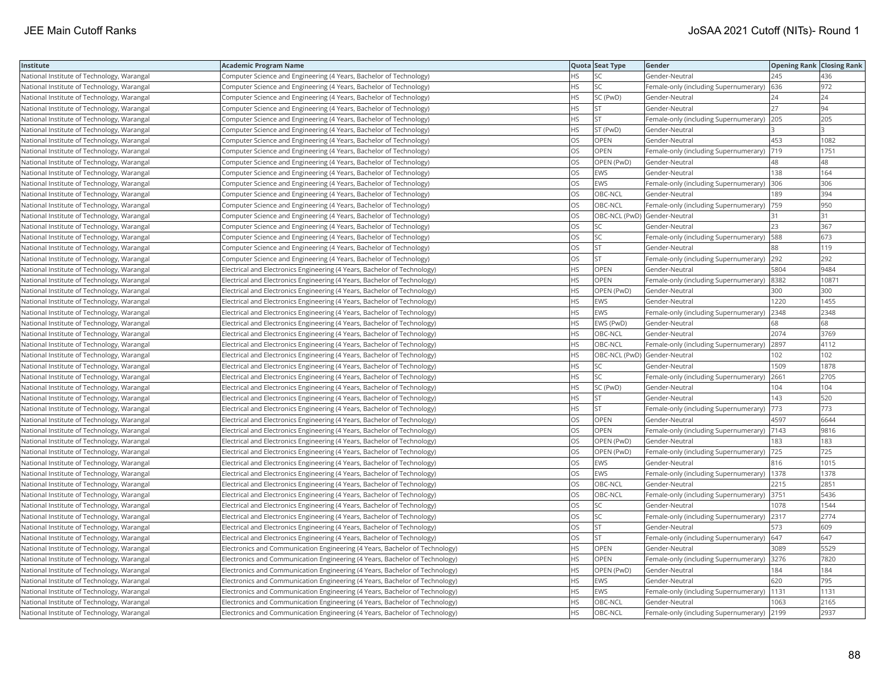| Institute                                  | <b>Academic Program Name</b>                                                |           | Quota Seat Type              | Gender                                       | <b>Opening Rank Closing Rank</b> |       |
|--------------------------------------------|-----------------------------------------------------------------------------|-----------|------------------------------|----------------------------------------------|----------------------------------|-------|
| National Institute of Technology, Warangal | Computer Science and Engineering (4 Years, Bachelor of Technology)          | ΗS        | SC                           | Gender-Neutral                               | 245                              | 436   |
| National Institute of Technology, Warangal | Computer Science and Engineering (4 Years, Bachelor of Technology)          | HS        | <b>SC</b>                    | Female-only (including Supernumerary)        | 636                              | 972   |
| National Institute of Technology, Warangal | Computer Science and Engineering (4 Years, Bachelor of Technology)          | НS        | SC (PwD)                     | Gender-Neutral                               | 24                               | 24    |
| National Institute of Technology, Warangal | Computer Science and Engineering (4 Years, Bachelor of Technology)          | HS        | <b>ST</b>                    | Gender-Neutral                               | 127                              | 94    |
| National Institute of Technology, Warangal | Computer Science and Engineering (4 Years, Bachelor of Technology)          | <b>HS</b> | <b>ST</b>                    | Female-only (including Supernumerary)        | 205                              | 205   |
| National Institute of Technology, Warangal | Computer Science and Engineering (4 Years, Bachelor of Technology)          | HS        | ST (PwD)                     | Gender-Neutral                               |                                  |       |
| National Institute of Technology, Warangal | Computer Science and Engineering (4 Years, Bachelor of Technology)          | OS        | OPEN                         | Gender-Neutral                               | 453                              | 1082  |
| National Institute of Technology, Warangal | Computer Science and Engineering (4 Years, Bachelor of Technology)          | OS        | <b>OPEN</b>                  | Female-only (including Supernumerary)        | 719                              | 1751  |
| National Institute of Technology, Warangal | Computer Science and Engineering (4 Years, Bachelor of Technology)          | OS        | OPEN (PwD)                   | Gender-Neutral                               | 48                               | 48    |
| National Institute of Technology, Warangal | Computer Science and Engineering (4 Years, Bachelor of Technology)          | OS        | <b>EWS</b>                   | Gender-Neutral                               | 138                              | 164   |
| National Institute of Technology, Warangal | Computer Science and Engineering (4 Years, Bachelor of Technology)          | OS        | <b>EWS</b>                   | Female-only (including Supernumerary) 306    |                                  | 306   |
| National Institute of Technology, Warangal | Computer Science and Engineering (4 Years, Bachelor of Technology)          | <b>OS</b> | OBC-NCL                      | Gender-Neutral                               | 189                              | 394   |
| National Institute of Technology, Warangal | Computer Science and Engineering (4 Years, Bachelor of Technology)          | OS        | OBC-NCL                      | Female-only (including Supernumerary)        | 759                              | 950   |
| National Institute of Technology, Warangal | Computer Science and Engineering (4 Years, Bachelor of Technology)          | OS        |                              | OBC-NCL (PwD) Gender-Neutral                 | 31                               | 31    |
| National Institute of Technology, Warangal | Computer Science and Engineering (4 Years, Bachelor of Technology)          | OS        | SC                           | Gender-Neutral                               | 23                               | 367   |
| National Institute of Technology, Warangal | Computer Science and Engineering (4 Years, Bachelor of Technology)          | OS        | <b>SC</b>                    | Female-only (including Supernumerary)   588  |                                  | 673   |
| National Institute of Technology, Warangal | Computer Science and Engineering (4 Years, Bachelor of Technology)          | OS        | <b>ST</b>                    | Gender-Neutral                               | 88                               | 119   |
| National Institute of Technology, Warangal | Computer Science and Engineering (4 Years, Bachelor of Technology)          | OS        | <b>ST</b>                    | Female-only (including Supernumerary)        | 292                              | 292   |
| National Institute of Technology, Warangal | Electrical and Electronics Engineering (4 Years, Bachelor of Technology)    | <b>HS</b> | OPEN                         | Gender-Neutral                               | 5804                             | 9484  |
| National Institute of Technology, Warangal | Electrical and Electronics Engineering (4 Years, Bachelor of Technology)    | HS        | <b>OPEN</b>                  | Female-only (including Supernumerary) 8382   |                                  | 10871 |
| National Institute of Technology, Warangal | Electrical and Electronics Engineering (4 Years, Bachelor of Technology)    | HS        | OPEN (PwD)                   | Gender-Neutral                               | 300                              | 300   |
| National Institute of Technology, Warangal | Electrical and Electronics Engineering (4 Years, Bachelor of Technology)    | <b>HS</b> | <b>EWS</b>                   | Gender-Neutral                               | 1220                             | 1455  |
| National Institute of Technology, Warangal | Electrical and Electronics Engineering (4 Years, Bachelor of Technology)    | HS        | <b>EWS</b>                   | Female-only (including Supernumerary) 2348   |                                  | 2348  |
| National Institute of Technology, Warangal | Electrical and Electronics Engineering (4 Years, Bachelor of Technology)    | HS        | EWS (PwD)                    | Gender-Neutral                               | 68                               | 68    |
| National Institute of Technology, Warangal | Electrical and Electronics Engineering (4 Years, Bachelor of Technology)    | НS        | OBC-NCL                      | Gender-Neutral                               | 2074                             | 3769  |
| National Institute of Technology, Warangal | Electrical and Electronics Engineering (4 Years, Bachelor of Technology)    | HS        | OBC-NCL                      | Female-only (including Supernumerary) 2897   |                                  | 4112  |
| National Institute of Technology, Warangal | Electrical and Electronics Engineering (4 Years, Bachelor of Technology)    | HS        | OBC-NCL (PwD) Gender-Neutral |                                              | 102                              | 102   |
| National Institute of Technology, Warangal | Electrical and Electronics Engineering (4 Years, Bachelor of Technology)    | <b>HS</b> | <b>SC</b>                    | Gender-Neutral                               | 1509                             | 1878  |
| National Institute of Technology, Warangal | Electrical and Electronics Engineering (4 Years, Bachelor of Technology)    | HS        | SC                           | Female-only (including Supernumerary)        | 2661                             | 2705  |
| National Institute of Technology, Warangal | Electrical and Electronics Engineering (4 Years, Bachelor of Technology)    | HS        | SC (PwD)                     | Gender-Neutral                               | 104                              | 104   |
| National Institute of Technology, Warangal | Electrical and Electronics Engineering (4 Years, Bachelor of Technology)    | HS        | <b>ST</b>                    | Gender-Neutral                               | 143                              | 520   |
| National Institute of Technology, Warangal | Electrical and Electronics Engineering (4 Years, Bachelor of Technology)    | HS        | <b>ST</b>                    | Female-only (including Supernumerary)  773   |                                  | 773   |
| National Institute of Technology, Warangal | Electrical and Electronics Engineering (4 Years, Bachelor of Technology)    | OS        | OPEN                         | Gender-Neutral                               | 4597                             | 6644  |
| National Institute of Technology, Warangal | Electrical and Electronics Engineering (4 Years, Bachelor of Technology)    | OS        | OPEN                         | Female-only (including Supernumerary)   7143 |                                  | 9816  |
| National Institute of Technology, Warangal | Electrical and Electronics Engineering (4 Years, Bachelor of Technology)    | OS        | OPEN (PwD)                   | Gender-Neutral                               | 183                              | 183   |
| National Institute of Technology, Warangal | Electrical and Electronics Engineering (4 Years, Bachelor of Technology)    | OS        | OPEN (PwD)                   | Female-only (including Supernumerary)        | 725                              | 725   |
| National Institute of Technology, Warangal | Electrical and Electronics Engineering (4 Years, Bachelor of Technology)    | OS        | <b>EWS</b>                   | Gender-Neutral                               | 816                              | 1015  |
| National Institute of Technology, Warangal | Electrical and Electronics Engineering (4 Years, Bachelor of Technology)    | OS        | <b>EWS</b>                   | Female-only (including Supernumerary)   1378 |                                  | 1378  |
| National Institute of Technology, Warangal | Electrical and Electronics Engineering (4 Years, Bachelor of Technology)    | OS        | OBC-NCL                      | Gender-Neutral                               | 2215                             | 2851  |
| National Institute of Technology, Warangal | Electrical and Electronics Engineering (4 Years, Bachelor of Technology)    | <b>OS</b> | OBC-NCL                      | Female-only (including Supernumerary) 3751   |                                  | 5436  |
| National Institute of Technology, Warangal | Electrical and Electronics Engineering (4 Years, Bachelor of Technology)    | OS        | <b>SC</b>                    | Gender-Neutral                               | 1078                             | 1544  |
| National Institute of Technology, Warangal | Electrical and Electronics Engineering (4 Years, Bachelor of Technology)    | OS        | SC                           | Female-only (including Supernumerary) 2317   |                                  | 2774  |
| National Institute of Technology, Warangal | Electrical and Electronics Engineering (4 Years, Bachelor of Technology)    | OS        | <b>ST</b>                    | Gender-Neutral                               | 573                              | 609   |
| National Institute of Technology, Warangal | Electrical and Electronics Engineering (4 Years, Bachelor of Technology)    | OS        | <b>ST</b>                    | Female-only (including Supernumerary) 647    |                                  | 647   |
| National Institute of Technology, Warangal | Electronics and Communication Engineering (4 Years, Bachelor of Technology) | HS        | OPEN                         | Gender-Neutral                               | 3089                             | 5529  |
| National Institute of Technology, Warangal | Electronics and Communication Engineering (4 Years, Bachelor of Technology) | HS        | OPEN                         | Female-only (including Supernumerary) 3276   |                                  | 7820  |
| National Institute of Technology, Warangal | Electronics and Communication Engineering (4 Years, Bachelor of Technology) | HS.       | OPEN (PwD)                   | Gender-Neutral                               | 184                              | 184   |
| National Institute of Technology, Warangal | Electronics and Communication Engineering (4 Years, Bachelor of Technology) | HS        | <b>EWS</b>                   | Gender-Neutral                               | 620                              | 795   |
| National Institute of Technology, Warangal | Electronics and Communication Engineering (4 Years, Bachelor of Technology) | HS        | EWS                          | Female-only (including Supernumerary)   1131 |                                  | 1131  |
| National Institute of Technology, Warangal | Electronics and Communication Engineering (4 Years, Bachelor of Technology) | <b>HS</b> | OBC-NCL                      | Gender-Neutral                               | 1063                             | 2165  |
| National Institute of Technology, Warangal | Electronics and Communication Engineering (4 Years, Bachelor of Technology) | <b>HS</b> | OBC-NCL                      | Female-only (including Supernumerary) 2199   |                                  | 2937  |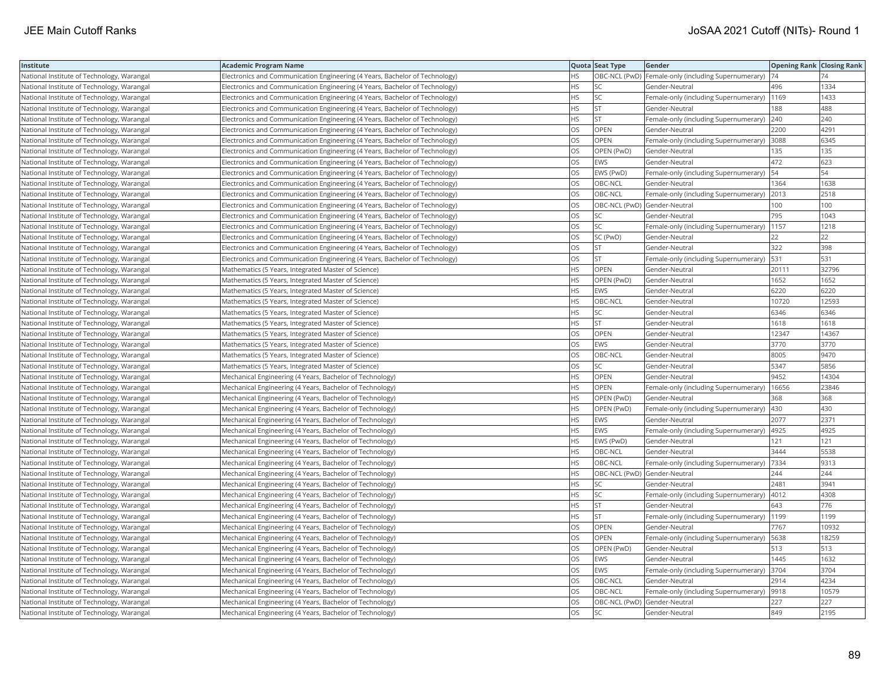| Institute                                  | Academic Program Name                                                       |           | Quota Seat Type              | Gender                                                | <b>Opening Rank Closing Rank</b> |       |
|--------------------------------------------|-----------------------------------------------------------------------------|-----------|------------------------------|-------------------------------------------------------|----------------------------------|-------|
| National Institute of Technology, Warangal | Electronics and Communication Engineering (4 Years, Bachelor of Technology) | HS        |                              | OBC-NCL (PwD)   Female-only (including Supernumerary) | 74                               |       |
| National Institute of Technology, Warangal | Electronics and Communication Engineering (4 Years, Bachelor of Technology) | HS.       | <b>SC</b>                    | Gender-Neutral                                        | 496                              | 1334  |
| National Institute of Technology, Warangal | Electronics and Communication Engineering (4 Years, Bachelor of Technology) | HS        | SC                           | Female-only (including Supernumerary)                 | 1169                             | 1433  |
| National Institute of Technology, Warangal | Electronics and Communication Engineering (4 Years, Bachelor of Technology) | HS        | <b>ST</b>                    | Gender-Neutral                                        | 188                              | 488   |
| National Institute of Technology, Warangal | Electronics and Communication Engineering (4 Years, Bachelor of Technology) | HS.       | <b>ST</b>                    | Female-only (including Supernumerary)                 | 240                              | 240   |
| National Institute of Technology, Warangal | Electronics and Communication Engineering (4 Years, Bachelor of Technology) | OS        | <b>OPEN</b>                  | Gender-Neutral                                        | 2200                             | 4291  |
| National Institute of Technology, Warangal | Electronics and Communication Engineering (4 Years, Bachelor of Technology) | OS        | OPEN                         | Female-only (including Supernumerary)  3088           |                                  | 6345  |
| National Institute of Technology, Warangal | Electronics and Communication Engineering (4 Years, Bachelor of Technology) | OS.       | OPEN (PwD)                   | Gender-Neutral                                        | 135                              | 135   |
| National Institute of Technology, Warangal | Electronics and Communication Engineering (4 Years, Bachelor of Technology) | OS        | EWS                          | Gender-Neutral                                        | 472                              | 623   |
| National Institute of Technology, Warangal | Electronics and Communication Engineering (4 Years, Bachelor of Technology) | OS        | EWS (PwD)                    | Female-only (including Supernumerary)                 | 54                               | 54    |
| National Institute of Technology, Warangal | Electronics and Communication Engineering (4 Years, Bachelor of Technology) | <b>OS</b> | OBC-NCL                      | Gender-Neutral                                        | 1364                             | 1638  |
| National Institute of Technology, Warangal | Electronics and Communication Engineering (4 Years, Bachelor of Technology) | <b>OS</b> | OBC-NCL                      | Female-only (including Supernumerary)                 | 2013                             | 2518  |
| National Institute of Technology, Warangal | Electronics and Communication Engineering (4 Years, Bachelor of Technology) | OS        | OBC-NCL (PwD) Gender-Neutral |                                                       | 100                              | 100   |
| National Institute of Technology, Warangal | Electronics and Communication Engineering (4 Years, Bachelor of Technology) | OS        | SC                           | Gender-Neutral                                        | 795                              | 1043  |
| National Institute of Technology, Warangal | Electronics and Communication Engineering (4 Years, Bachelor of Technology) | OS        | SC                           | Female-only (including Supernumerary)                 | 1157                             | 1218  |
| National Institute of Technology, Warangal | Electronics and Communication Engineering (4 Years, Bachelor of Technology) | OS        | SC (PwD)                     | Gender-Neutral                                        | 22                               | 22    |
| National Institute of Technology, Warangal | Electronics and Communication Engineering (4 Years, Bachelor of Technology) | OS        | <b>ST</b>                    | Gender-Neutral                                        | 322                              | 398   |
| National Institute of Technology, Warangal | Electronics and Communication Engineering (4 Years, Bachelor of Technology) | OS        | <b>ST</b>                    | Female-only (including Supernumerary)                 | 531                              | 531   |
| National Institute of Technology, Warangal | Mathematics (5 Years, Integrated Master of Science)                         | <b>HS</b> | OPEN                         | Gender-Neutral                                        | 20111                            | 32796 |
| National Institute of Technology, Warangal | Mathematics (5 Years, Integrated Master of Science)                         | HS        | OPEN (PwD)                   | Gender-Neutral                                        | 1652                             | 1652  |
| National Institute of Technology, Warangal | Mathematics (5 Years, Integrated Master of Science)                         | HS.       | EWS                          | Gender-Neutral                                        | 6220                             | 6220  |
| National Institute of Technology, Warangal | Mathematics (5 Years, Integrated Master of Science)                         | HS.       | OBC-NCL                      | Gender-Neutral                                        | 10720                            | 12593 |
| National Institute of Technology, Warangal | Mathematics (5 Years, Integrated Master of Science)                         | HS        | SC                           | Gender-Neutral                                        | 6346                             | 6346  |
| National Institute of Technology, Warangal | Mathematics (5 Years, Integrated Master of Science)                         | HS        | <b>ST</b>                    | Gender-Neutral                                        | 1618                             | 1618  |
| National Institute of Technology, Warangal | Mathematics (5 Years, Integrated Master of Science)                         | OS        | OPEN                         | Gender-Neutral                                        | 12347                            | 14367 |
| National Institute of Technology, Warangal | Mathematics (5 Years, Integrated Master of Science)                         | OS        | EWS                          | Gender-Neutral                                        | 3770                             | 3770  |
| National Institute of Technology, Warangal | Mathematics (5 Years, Integrated Master of Science)                         | OS        | OBC-NCL                      | Gender-Neutral                                        | 8005                             | 9470  |
| National Institute of Technology, Warangal | Mathematics (5 Years, Integrated Master of Science)                         | OS.       | SC                           | Gender-Neutral                                        | 5347                             | 5856  |
| National Institute of Technology, Warangal | Mechanical Engineering (4 Years, Bachelor of Technology)                    | HS        | OPEN                         | Gender-Neutral                                        | 9452                             | 14304 |
| National Institute of Technology, Warangal | Mechanical Engineering (4 Years, Bachelor of Technology)                    | HS.       | OPEN                         | Female-only (including Supernumerary)                 | 16656                            | 23846 |
| National Institute of Technology, Warangal | Mechanical Engineering (4 Years, Bachelor of Technology)                    | HS.       | OPEN (PwD)                   | Gender-Neutral                                        | 368                              | 368   |
| National Institute of Technology, Warangal | Mechanical Engineering (4 Years, Bachelor of Technology)                    | HS        | OPEN (PwD)                   | Female-only (including Supernumerary)                 | 430                              | 430   |
| National Institute of Technology, Warangal | Mechanical Engineering (4 Years, Bachelor of Technology)                    | HS.       | <b>EWS</b>                   | Gender-Neutral                                        | 2077                             | 2371  |
| National Institute of Technology, Warangal | Mechanical Engineering (4 Years, Bachelor of Technology)                    | HS        | EWS                          | Female-only (including Supernumerary)                 | 4925                             | 4925  |
| National Institute of Technology, Warangal | Mechanical Engineering (4 Years, Bachelor of Technology)                    | HS.       | EWS (PwD)                    | Gender-Neutral                                        | 121                              | 121   |
| National Institute of Technology, Warangal | Mechanical Engineering (4 Years, Bachelor of Technology)                    | <b>HS</b> | OBC-NCL                      | Gender-Neutral                                        | 3444                             | 5538  |
| National Institute of Technology, Warangal | Mechanical Engineering (4 Years, Bachelor of Technology)                    | HS        | OBC-NCL                      | Female-only (including Supernumerary)                 | 7334                             | 9313  |
| National Institute of Technology, Warangal | Mechanical Engineering (4 Years, Bachelor of Technology)                    | HS.       | OBC-NCL (PwD) Gender-Neutral |                                                       | 244                              | 244   |
| National Institute of Technology, Warangal | Mechanical Engineering (4 Years, Bachelor of Technology)                    | НS        | SC                           | Gender-Neutral                                        | 2481                             | 3941  |
| National Institute of Technology, Warangal | Mechanical Engineering (4 Years, Bachelor of Technology)                    | HS        | <b>SC</b>                    | Female-only (including Supernumerary)                 | 4012                             | 4308  |
| National Institute of Technology, Warangal | Mechanical Engineering (4 Years, Bachelor of Technology)                    | HS.       | <b>ST</b>                    | Gender-Neutral                                        | 643                              | 776   |
| National Institute of Technology, Warangal | Mechanical Engineering (4 Years, Bachelor of Technology)                    | HS.       | <b>ST</b>                    | Female-only (including Supernumerary)  1199           |                                  | 1199  |
| National Institute of Technology, Warangal | Mechanical Engineering (4 Years, Bachelor of Technology)                    | OS        | OPEN                         | Gender-Neutral                                        | 7767                             | 10932 |
| National Institute of Technology, Warangal | Mechanical Engineering (4 Years, Bachelor of Technology)                    | OS.       | <b>OPEN</b>                  | Female-only (including Supernumerary)   5638          |                                  | 18259 |
| National Institute of Technology, Warangal | Mechanical Engineering (4 Years, Bachelor of Technology)                    | OS        | OPEN (PwD)                   | Gender-Neutral                                        | 513                              | 513   |
| National Institute of Technology, Warangal | Mechanical Engineering (4 Years, Bachelor of Technology)                    | OS        | EWS                          | Gender-Neutral                                        | 1445                             | 1632  |
| National Institute of Technology, Warangal | Mechanical Engineering (4 Years, Bachelor of Technology)                    | OS.       | EWS                          | Female-only (including Supernumerary)  3704           |                                  | 3704  |
| National Institute of Technology, Warangal | Mechanical Engineering (4 Years, Bachelor of Technology)                    | OS        | OBC-NCL                      | Gender-Neutral                                        | 2914                             | 4234  |
| National Institute of Technology, Warangal | Mechanical Engineering (4 Years, Bachelor of Technology)                    | OS        | OBC-NCL                      | Female-only (including Supernumerary)                 | 9918                             | 10579 |
| National Institute of Technology, Warangal | Mechanical Engineering (4 Years, Bachelor of Technology)                    | OS.       | OBC-NCL (PwD) Gender-Neutral |                                                       | 227                              | 227   |
| National Institute of Technology, Warangal | Mechanical Engineering (4 Years, Bachelor of Technology)                    | OS        | <b>SC</b>                    | Gender-Neutral                                        | 849                              | 2195  |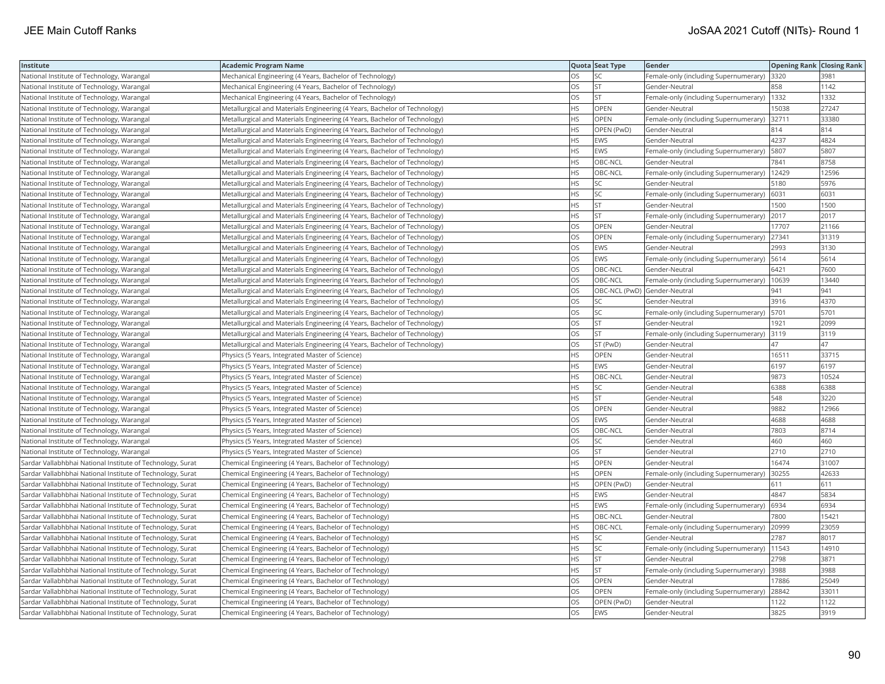| Institute                                                  | Academic Program Name                                                     |           | Quota Seat Type | Gender                                       | <b>Opening Rank Closing Rank</b> |       |
|------------------------------------------------------------|---------------------------------------------------------------------------|-----------|-----------------|----------------------------------------------|----------------------------------|-------|
| National Institute of Technology, Warangal                 | Mechanical Engineering (4 Years, Bachelor of Technology)                  | OS        | SC              | Female-only (including Supernumerary)        | 3320                             | 3981  |
| National Institute of Technology, Warangal                 | Mechanical Engineering (4 Years, Bachelor of Technology)                  | OS        | <b>ST</b>       | Gender-Neutral                               | 858                              | 1142  |
| National Institute of Technology, Warangal                 | Mechanical Engineering (4 Years, Bachelor of Technology)                  | OS.       | <b>ST</b>       | Female-only (including Supernumerary)   1332 |                                  | 1332  |
| National Institute of Technology, Warangal                 | Metallurgical and Materials Engineering (4 Years, Bachelor of Technology) | <b>HS</b> | <b>OPEN</b>     | Gender-Neutral                               | 15038                            | 27247 |
| National Institute of Technology, Warangal                 | Metallurgical and Materials Engineering (4 Years, Bachelor of Technology) | HS        | <b>OPEN</b>     | Female-only (including Supernumerary)        | 32711                            | 33380 |
| National Institute of Technology, Warangal                 | Metallurgical and Materials Engineering (4 Years, Bachelor of Technology) | HS.       | OPEN (PwD)      | Gender-Neutral                               | 814                              | 814   |
| National Institute of Technology, Warangal                 | Metallurgical and Materials Engineering (4 Years, Bachelor of Technology) | HS        | EWS             | Gender-Neutral                               | 4237                             | 4824  |
| National Institute of Technology, Warangal                 | Metallurgical and Materials Engineering (4 Years, Bachelor of Technology) | HS        | EWS             | Female-only (including Supernumerary)        | 5807                             | 5807  |
| National Institute of Technology, Warangal                 | Metallurgical and Materials Engineering (4 Years, Bachelor of Technology) | HS.       | OBC-NCL         | Gender-Neutral                               | 7841                             | 8758  |
| National Institute of Technology, Warangal                 | Metallurgical and Materials Engineering (4 Years, Bachelor of Technology) | HS        | OBC-NCL         | Female-only (including Supernumerary)        | 12429                            | 12596 |
| National Institute of Technology, Warangal                 | Metallurgical and Materials Engineering (4 Years, Bachelor of Technology) | HS        | SC              | Gender-Neutral                               | 5180                             | 5976  |
| National Institute of Technology, Warangal                 | Metallurgical and Materials Engineering (4 Years, Bachelor of Technology) | HS.       | <b>SC</b>       | Female-only (including Supernumerary)        | 6031                             | 6031  |
| National Institute of Technology, Warangal                 | Metallurgical and Materials Engineering (4 Years, Bachelor of Technology) | HS        | <b>ST</b>       | Gender-Neutral                               | 1500                             | 1500  |
| National Institute of Technology, Warangal                 | Metallurgical and Materials Engineering (4 Years, Bachelor of Technology) | ΗS        | <b>ST</b>       | Female-only (including Supernumerary) 2017   |                                  | 2017  |
| National Institute of Technology, Warangal                 | Metallurgical and Materials Engineering (4 Years, Bachelor of Technology) | OS        | <b>OPEN</b>     | Gender-Neutral                               | 17707                            | 21166 |
| National Institute of Technology, Warangal                 | Metallurgical and Materials Engineering (4 Years, Bachelor of Technology) | OS        | OPEN            | Female-only (including Supernumerary)        | 27341                            | 31319 |
| National Institute of Technology, Warangal                 | Metallurgical and Materials Engineering (4 Years, Bachelor of Technology) | OS        | EWS             | Gender-Neutral                               | 2993                             | 3130  |
| National Institute of Technology, Warangal                 | Metallurgical and Materials Engineering (4 Years, Bachelor of Technology) | OS        | EWS             | Female-only (including Supernumerary)        | 5614                             | 5614  |
| National Institute of Technology, Warangal                 | Metallurgical and Materials Engineering (4 Years, Bachelor of Technology) | OS        | OBC-NCL         | Gender-Neutral                               | 6421                             | 7600  |
| National Institute of Technology, Warangal                 | Metallurgical and Materials Engineering (4 Years, Bachelor of Technology) | OS.       | OBC-NCL         | Female-only (including Supernumerary)        | 10639                            | 13440 |
| National Institute of Technology, Warangal                 | Metallurgical and Materials Engineering (4 Years, Bachelor of Technology) | OS        |                 | OBC-NCL (PwD) Gender-Neutral                 | 941                              | 941   |
| National Institute of Technology, Warangal                 | Metallurgical and Materials Engineering (4 Years, Bachelor of Technology) | OS        | SC.             | Gender-Neutral                               | 3916                             | 4370  |
| National Institute of Technology, Warangal                 | Metallurgical and Materials Engineering (4 Years, Bachelor of Technology) | OS        | SC              | Female-only (including Supernumerary)  5701  |                                  | 5701  |
| National Institute of Technology, Warangal                 | Metallurgical and Materials Engineering (4 Years, Bachelor of Technology) | OS        | <b>ST</b>       | Gender-Neutral                               | 1921                             | 2099  |
| National Institute of Technology, Warangal                 | Metallurgical and Materials Engineering (4 Years, Bachelor of Technology) | OS        | <b>ST</b>       | Female-only (including Supernumerary)        | 3119                             | 3119  |
| National Institute of Technology, Warangal                 | Metallurgical and Materials Engineering (4 Years, Bachelor of Technology) | OS        | ST (PwD)        | Gender-Neutral                               | 47                               | 47    |
| National Institute of Technology, Warangal                 | Physics (5 Years, Integrated Master of Science)                           | <b>HS</b> | OPEN            | Gender-Neutral                               | 16511                            | 33715 |
| National Institute of Technology, Warangal                 | Physics (5 Years, Integrated Master of Science)                           | <b>HS</b> | <b>EWS</b>      | Gender-Neutral                               | 6197                             | 6197  |
| National Institute of Technology, Warangal                 | Physics (5 Years, Integrated Master of Science)                           | HS        | OBC-NCL         | Gender-Neutral                               | 9873                             | 10524 |
| National Institute of Technology, Warangal                 | Physics (5 Years, Integrated Master of Science)                           | HS.       | SC              | Gender-Neutral                               | 6388                             | 6388  |
| National Institute of Technology, Warangal                 | Physics (5 Years, Integrated Master of Science)                           | HS        | <b>ST</b>       | Gender-Neutral                               | 548                              | 3220  |
| National Institute of Technology, Warangal                 | Physics (5 Years, Integrated Master of Science)                           | OS        | OPEN            | Gender-Neutral                               | 9882                             | 12966 |
| National Institute of Technology, Warangal                 | Physics (5 Years, Integrated Master of Science)                           | OS        | EWS             | Gender-Neutral                               | 4688                             | 4688  |
| National Institute of Technology, Warangal                 | Physics (5 Years, Integrated Master of Science)                           | OS        | OBC-NCL         | Gender-Neutral                               | 7803                             | 8714  |
| National Institute of Technology, Warangal                 | Physics (5 Years, Integrated Master of Science)                           | OS        | <b>SC</b>       | Gender-Neutral                               | 460                              | 460   |
| National Institute of Technology, Warangal                 | Physics (5 Years, Integrated Master of Science)                           | <b>OS</b> | <b>ST</b>       | Gender-Neutral                               | 2710                             | 2710  |
| Sardar Vallabhbhai National Institute of Technology, Surat | Chemical Engineering (4 Years, Bachelor of Technology)                    | HS        | OPEN            | Gender-Neutral                               | 16474                            | 31007 |
| Sardar Vallabhbhai National Institute of Technology, Surat | Chemical Engineering (4 Years, Bachelor of Technology)                    | HS        | OPEN            | Female-only (including Supernumerary)        | 30255                            | 42633 |
| Sardar Vallabhbhai National Institute of Technology, Surat | Chemical Engineering (4 Years, Bachelor of Technology)                    | ΗS        | OPEN (PwD)      | Gender-Neutral                               | 611                              | 611   |
| Sardar Vallabhbhai National Institute of Technology, Surat | Chemical Engineering (4 Years, Bachelor of Technology)                    | HS        | <b>EWS</b>      | Gender-Neutral                               | 4847                             | 5834  |
| Sardar Vallabhbhai National Institute of Technology, Surat | Chemical Engineering (4 Years, Bachelor of Technology)                    | HS        | <b>EWS</b>      | Female-only (including Supernumerary)        | 6934                             | 6934  |
| Sardar Vallabhbhai National Institute of Technology, Surat | Chemical Engineering (4 Years, Bachelor of Technology)                    | HS        | OBC-NCL         | Gender-Neutral                               | 7800                             | 15421 |
| Sardar Vallabhbhai National Institute of Technology, Surat | Chemical Engineering (4 Years, Bachelor of Technology)                    | HS        | OBC-NCL         | Female-only (including Supernumerary)        | 20999                            | 23059 |
| Sardar Vallabhbhai National Institute of Technology, Surat | Chemical Engineering (4 Years, Bachelor of Technology)                    | HS        | <b>SC</b>       | Gender-Neutral                               | 2787                             | 8017  |
| Sardar Vallabhbhai National Institute of Technology, Surat | Chemical Engineering (4 Years, Bachelor of Technology)                    | HS.       | <b>SC</b>       | Female-only (including Supernumerary)        | 11543                            | 14910 |
| Sardar Vallabhbhai National Institute of Technology, Surat | Chemical Engineering (4 Years, Bachelor of Technology)                    | HS        | <b>ST</b>       | Gender-Neutral                               | 2798                             | 3871  |
| Sardar Vallabhbhai National Institute of Technology, Surat | Chemical Engineering (4 Years, Bachelor of Technology)                    | HS.       | <b>ST</b>       | Female-only (including Supernumerary) 3988   |                                  | 3988  |
| Sardar Vallabhbhai National Institute of Technology, Surat | Chemical Engineering (4 Years, Bachelor of Technology)                    | OS        | OPEN            | Gender-Neutral                               | 17886                            | 25049 |
| Sardar Vallabhbhai National Institute of Technology, Surat | Chemical Engineering (4 Years, Bachelor of Technology)                    | <b>OS</b> | OPEN            | Female-only (including Supernumerary)        | 28842                            | 33011 |
| Sardar Vallabhbhai National Institute of Technology, Surat | Chemical Engineering (4 Years, Bachelor of Technology)                    | OS.       | OPEN (PwD)      | Gender-Neutral                               | 1122                             | 1122  |
| Sardar Vallabhbhai National Institute of Technology, Surat | Chemical Engineering (4 Years, Bachelor of Technology)                    | <b>OS</b> | <b>EWS</b>      | Gender-Neutral                               | 3825                             | 3919  |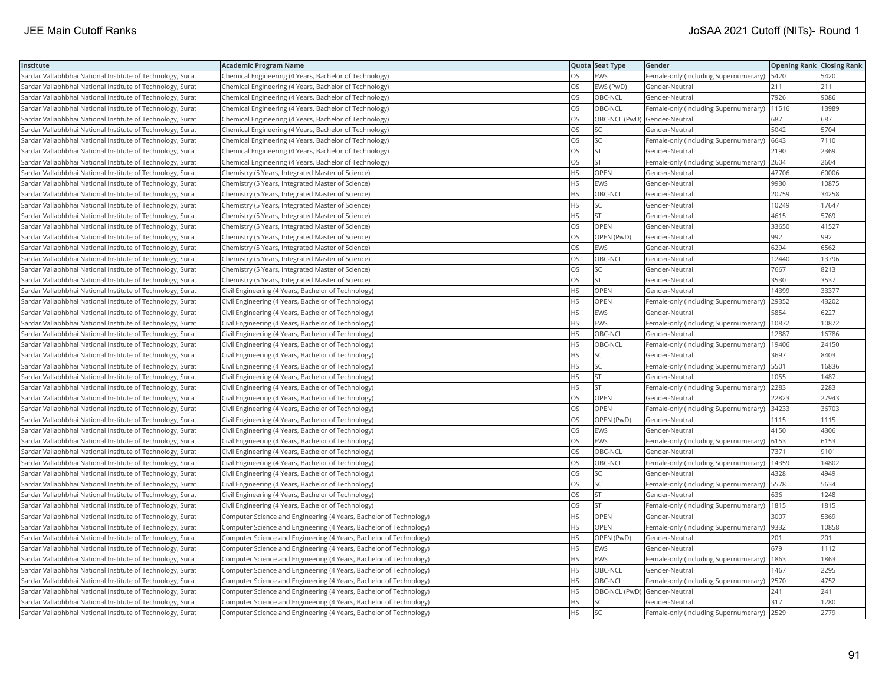| Institute                                                  | <b>Academic Program Name</b>                                       |           | Quota Seat Type              | Gender                                        | <b>Opening Rank Closing Rank</b> |       |
|------------------------------------------------------------|--------------------------------------------------------------------|-----------|------------------------------|-----------------------------------------------|----------------------------------|-------|
| Sardar Vallabhbhai National Institute of Technology, Surat | Chemical Engineering (4 Years, Bachelor of Technology)             | OS        | <b>EWS</b>                   | Female-only (including Supernumerary)   5420  |                                  | 5420  |
| Sardar Vallabhbhai National Institute of Technology, Surat | Chemical Engineering (4 Years, Bachelor of Technology)             | OS        | EWS (PwD)                    | Gender-Neutral                                | 211                              | 211   |
| Sardar Vallabhbhai National Institute of Technology, Surat | Chemical Engineering (4 Years, Bachelor of Technology)             | <b>OS</b> | OBC-NCL                      | Gender-Neutral                                | 7926                             | 9086  |
| Sardar Vallabhbhai National Institute of Technology, Surat | Chemical Engineering (4 Years, Bachelor of Technology)             | OS        | OBC-NCL                      | Female-only (including Supernumerary)         | 11516                            | 13989 |
| Sardar Vallabhbhai National Institute of Technology, Surat | Chemical Engineering (4 Years, Bachelor of Technology)             | OS        | OBC-NCL (PwD) Gender-Neutral |                                               | 687                              | 687   |
| Sardar Vallabhbhai National Institute of Technology, Surat | Chemical Engineering (4 Years, Bachelor of Technology)             | <b>OS</b> | lsc                          | Gender-Neutral                                | 5042                             | 5704  |
| Sardar Vallabhbhai National Institute of Technology, Surat | Chemical Engineering (4 Years, Bachelor of Technology)             | OS        | SC.                          | Female-only (including Supernumerary) 6643    |                                  | 7110  |
| Sardar Vallabhbhai National Institute of Technology, Surat | Chemical Engineering (4 Years, Bachelor of Technology)             | OS        | <b>ST</b>                    | Gender-Neutral                                | 2190                             | 2369  |
| Sardar Vallabhbhai National Institute of Technology, Surat | Chemical Engineering (4 Years, Bachelor of Technology)             | OS        | lst                          | Female-only (including Supernumerary) 2604    |                                  | 2604  |
| Sardar Vallabhbhai National Institute of Technology, Surat | Chemistry (5 Years, Integrated Master of Science)                  | <b>HS</b> | <b>OPEN</b>                  | Gender-Neutral                                | 47706                            | 60006 |
| Sardar Vallabhbhai National Institute of Technology, Surat | Chemistry (5 Years, Integrated Master of Science)                  | <b>HS</b> | EWS                          | Gender-Neutral                                | 9930                             | 10875 |
| Sardar Vallabhbhai National Institute of Technology, Surat | Chemistry (5 Years, Integrated Master of Science)                  | <b>HS</b> | OBC-NCL                      | Gender-Neutral                                | 20759                            | 34258 |
| Sardar Vallabhbhai National Institute of Technology, Surat | Chemistry (5 Years, Integrated Master of Science)                  | <b>HS</b> | SC.                          | Gender-Neutral                                | 10249                            | 17647 |
| Sardar Vallabhbhai National Institute of Technology, Surat | Chemistry (5 Years, Integrated Master of Science)                  | <b>HS</b> | <b>ST</b>                    | Gender-Neutral                                | 4615                             | 5769  |
| Sardar Vallabhbhai National Institute of Technology, Surat | Chemistry (5 Years, Integrated Master of Science)                  | OS        | OPEN                         | Gender-Neutral                                | 33650                            | 41527 |
| Sardar Vallabhbhai National Institute of Technology, Surat | Chemistry (5 Years, Integrated Master of Science)                  | OS        | OPEN (PwD)                   | Gender-Neutral                                | 992                              | 992   |
| Sardar Vallabhbhai National Institute of Technology, Surat | Chemistry (5 Years, Integrated Master of Science)                  | OS        | <b>EWS</b>                   | Gender-Neutral                                | 6294                             | 6562  |
| Sardar Vallabhbhai National Institute of Technology, Surat | Chemistry (5 Years, Integrated Master of Science)                  | OS        | OBC-NCL                      | Gender-Neutral                                | 12440                            | 13796 |
| Sardar Vallabhbhai National Institute of Technology, Surat | Chemistry (5 Years, Integrated Master of Science)                  | OS        | SC                           | Gender-Neutral                                | 7667                             | 8213  |
| Sardar Vallabhbhai National Institute of Technology, Surat | Chemistry (5 Years, Integrated Master of Science)                  | OS        | <b>ST</b>                    | Gender-Neutral                                | 3530                             | 3537  |
| Sardar Vallabhbhai National Institute of Technology, Surat | Civil Engineering (4 Years, Bachelor of Technology)                | <b>HS</b> | OPEN                         | Gender-Neutral                                | 14399                            | 33377 |
| Sardar Vallabhbhai National Institute of Technology, Surat | Civil Engineering (4 Years, Bachelor of Technology)                | <b>HS</b> | OPEN                         | Female-only (including Supernumerary)         | 29352                            | 43202 |
| Sardar Vallabhbhai National Institute of Technology, Surat | Civil Engineering (4 Years, Bachelor of Technology)                | <b>HS</b> | <b>EWS</b>                   | Gender-Neutral                                | 5854                             | 6227  |
| Sardar Vallabhbhai National Institute of Technology, Surat | Civil Engineering (4 Years, Bachelor of Technology)                | <b>HS</b> | EWS                          | Female-only (including Supernumerary)   10872 |                                  | 10872 |
| Sardar Vallabhbhai National Institute of Technology, Surat | Civil Engineering (4 Years, Bachelor of Technology)                | <b>HS</b> | OBC-NCL                      | Gender-Neutral                                | 12887                            | 16786 |
| Sardar Vallabhbhai National Institute of Technology, Surat | Civil Engineering (4 Years, Bachelor of Technology)                | <b>HS</b> | OBC-NCL                      | Female-only (including Supernumerary)         | 19406                            | 24150 |
| Sardar Vallabhbhai National Institute of Technology, Surat | Civil Engineering (4 Years, Bachelor of Technology)                | <b>HS</b> | SC.                          | Gender-Neutral                                | 3697                             | 8403  |
| Sardar Vallabhbhai National Institute of Technology, Surat | Civil Engineering (4 Years, Bachelor of Technology)                | <b>HS</b> | SC.                          | Female-only (including Supernumerary)         | 5501                             | 16836 |
| Sardar Vallabhbhai National Institute of Technology, Surat | Civil Engineering (4 Years, Bachelor of Technology)                | <b>HS</b> | lst                          | Gender-Neutral                                | 1055                             | 1487  |
| Sardar Vallabhbhai National Institute of Technology, Surat | Civil Engineering (4 Years, Bachelor of Technology)                | <b>HS</b> | <b>ST</b>                    | Female-only (including Supernumerary)         | 2283                             | 2283  |
| Sardar Vallabhbhai National Institute of Technology, Surat | Civil Engineering (4 Years, Bachelor of Technology)                | OS        | OPEN                         | Gender-Neutral                                | 22823                            | 27943 |
| Sardar Vallabhbhai National Institute of Technology, Surat | Civil Engineering (4 Years, Bachelor of Technology)                | OS        | OPEN                         | Female-only (including Supernumerary)         | 34233                            | 36703 |
| Sardar Vallabhbhai National Institute of Technology, Surat | Civil Engineering (4 Years, Bachelor of Technology)                | OS        | OPEN (PwD)                   | Gender-Neutral                                | 1115                             | 1115  |
| Sardar Vallabhbhai National Institute of Technology, Surat | Civil Engineering (4 Years, Bachelor of Technology)                | OS        | <b>EWS</b>                   | Gender-Neutral                                | 4150                             | 4306  |
| Sardar Vallabhbhai National Institute of Technology, Surat | Civil Engineering (4 Years, Bachelor of Technology)                | OS        | EWS                          | Female-only (including Supernumerary)         | 6153                             | 6153  |
| Sardar Vallabhbhai National Institute of Technology, Surat | Civil Engineering (4 Years, Bachelor of Technology)                | OS        | OBC-NCL                      | Gender-Neutral                                | 7371                             | 9101  |
| Sardar Vallabhbhai National Institute of Technology, Surat | Civil Engineering (4 Years, Bachelor of Technology)                | <b>OS</b> | OBC-NCL                      | Female-only (including Supernumerary)         | 14359                            | 14802 |
| Sardar Vallabhbhai National Institute of Technology, Surat | Civil Engineering (4 Years, Bachelor of Technology)                | OS        | SC.                          | Gender-Neutral                                | 4328                             | 4949  |
| Sardar Vallabhbhai National Institute of Technology, Surat | Civil Engineering (4 Years, Bachelor of Technology)                | OS        | SC.                          | Female-only (including Supernumerary)   5578  |                                  | 5634  |
| Sardar Vallabhbhai National Institute of Technology, Surat | Civil Engineering (4 Years, Bachelor of Technology)                | OS        | <b>ST</b>                    | Gender-Neutral                                | 636                              | 1248  |
| Sardar Vallabhbhai National Institute of Technology, Surat | Civil Engineering (4 Years, Bachelor of Technology)                | OS        | <b>ST</b>                    | Female-only (including Supernumerary)         | 1815                             | 1815  |
| Sardar Vallabhbhai National Institute of Technology, Surat | Computer Science and Engineering (4 Years, Bachelor of Technology) | <b>HS</b> | OPEN                         | Gender-Neutral                                | 3007                             | 5369  |
| Sardar Vallabhbhai National Institute of Technology, Surat | Computer Science and Engineering (4 Years, Bachelor of Technology) | <b>HS</b> | OPEN                         | Female-only (including Supernumerary)         | 9332                             | 10858 |
| Sardar Vallabhbhai National Institute of Technology, Surat | Computer Science and Engineering (4 Years, Bachelor of Technology) | <b>HS</b> | OPEN (PwD)                   | lGender-Neutral                               | 201                              | 201   |
| Sardar Vallabhbhai National Institute of Technology, Surat | Computer Science and Engineering (4 Years, Bachelor of Technology) | <b>HS</b> | <b>EWS</b>                   | Gender-Neutral                                | 679                              | 1112  |
| Sardar Vallabhbhai National Institute of Technology, Surat | Computer Science and Engineering (4 Years, Bachelor of Technology) | <b>HS</b> | EWS                          | Female-only (including Supernumerary)         | 1863                             | 1863  |
| Sardar Vallabhbhai National Institute of Technology, Surat | Computer Science and Engineering (4 Years, Bachelor of Technology) | <b>HS</b> | OBC-NCL                      | Gender-Neutral                                | 1467                             | 2295  |
| Sardar Vallabhbhai National Institute of Technology, Surat | Computer Science and Engineering (4 Years, Bachelor of Technology) | <b>HS</b> | OBC-NCL                      | Female-only (including Supernumerary)         | 2570                             | 4752  |
| Sardar Vallabhbhai National Institute of Technology, Surat | Computer Science and Engineering (4 Years, Bachelor of Technology) | HS        | OBC-NCL (PwD) Gender-Neutral |                                               | 241                              | 241   |
| Sardar Vallabhbhai National Institute of Technology, Surat | Computer Science and Engineering (4 Years, Bachelor of Technology) | <b>HS</b> | SC                           | Gender-Neutral                                | 317                              | 1280  |
| Sardar Vallabhbhai National Institute of Technology, Surat | Computer Science and Engineering (4 Years, Bachelor of Technology) | <b>HS</b> | <b>SC</b>                    | Female-only (including Supernumerary) 2529    |                                  | 2779  |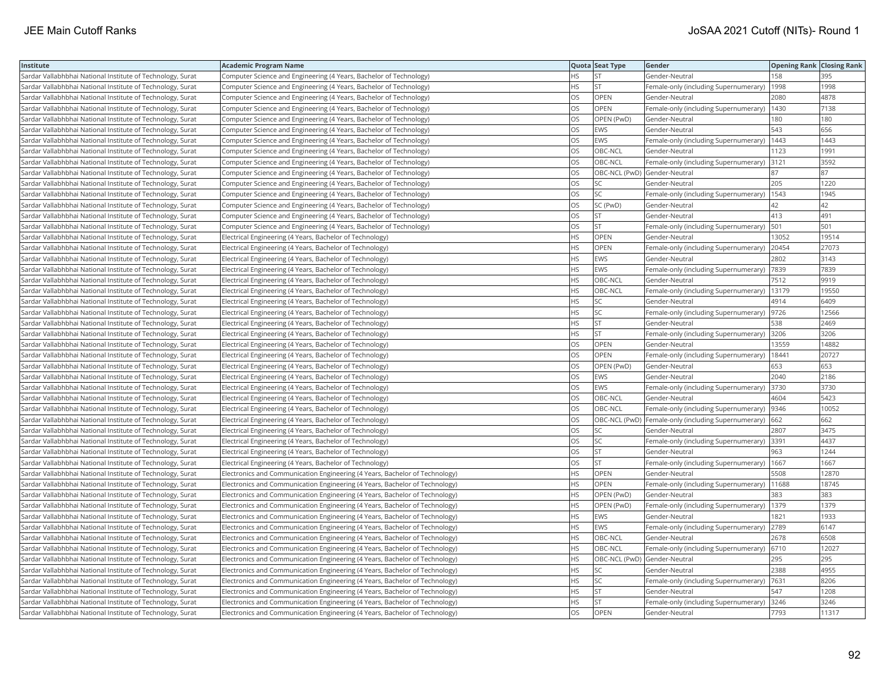| Institute                                                  | <b>Academic Program Name</b>                                                |           | Quota Seat Type              | Gender                                                | <b>Opening Rank   Closing Rank</b> |       |
|------------------------------------------------------------|-----------------------------------------------------------------------------|-----------|------------------------------|-------------------------------------------------------|------------------------------------|-------|
| Sardar Vallabhbhai National Institute of Technology, Surat | Computer Science and Engineering (4 Years, Bachelor of Technology)          | HS        | <b>ST</b>                    | Gender-Neutral                                        | 158                                | 395   |
| Sardar Vallabhbhai National Institute of Technology, Surat | Computer Science and Engineering (4 Years, Bachelor of Technology)          | HS.       | <b>ST</b>                    | Female-only (including Supernumerary)                 | 1998                               | 1998  |
| Sardar Vallabhbhai National Institute of Technology, Surat | Computer Science and Engineering (4 Years, Bachelor of Technology)          | OS.       | OPEN                         | Gender-Neutral                                        | 2080                               | 4878  |
| Sardar Vallabhbhai National Institute of Technology, Surat | Computer Science and Engineering (4 Years, Bachelor of Technology)          | OS        | <b>OPEN</b>                  | Female-only (including Supernumerary)                 | 1430                               | 7138  |
| Sardar Vallabhbhai National Institute of Technology, Surat | Computer Science and Engineering (4 Years, Bachelor of Technology)          | OS        | OPEN (PwD)                   | Gender-Neutral                                        | 180                                | 180   |
| Sardar Vallabhbhai National Institute of Technology, Surat | Computer Science and Engineering (4 Years, Bachelor of Technology)          | OS        | EWS                          | Gender-Neutral                                        | 543                                | 656   |
| Sardar Vallabhbhai National Institute of Technology, Surat | Computer Science and Engineering (4 Years, Bachelor of Technology)          | OS        | EWS                          | Female-only (including Supernumerary)                 | 1443                               | 1443  |
| Sardar Vallabhbhai National Institute of Technology, Surat | Computer Science and Engineering (4 Years, Bachelor of Technology)          | OS        | OBC-NCL                      | Gender-Neutral                                        | 1123                               | 1991  |
| Sardar Vallabhbhai National Institute of Technology, Surat | Computer Science and Engineering (4 Years, Bachelor of Technology)          | OS        | OBC-NCL                      | Female-only (including Supernumerary)                 | 3121                               | 3592  |
| Sardar Vallabhbhai National Institute of Technology, Surat | Computer Science and Engineering (4 Years, Bachelor of Technology)          | OS.       | OBC-NCL (PwD) Gender-Neutral |                                                       | 87                                 | 87    |
| Sardar Vallabhbhai National Institute of Technology, Surat | Computer Science and Engineering (4 Years, Bachelor of Technology)          | OS.       | <b>SC</b>                    | Gender-Neutral                                        | 205                                | 1220  |
| Sardar Vallabhbhai National Institute of Technology, Surat | Computer Science and Engineering (4 Years, Bachelor of Technology)          | OS        | <b>SC</b>                    | Female-only (including Supernumerary)                 | 1543                               | 1945  |
| Sardar Vallabhbhai National Institute of Technology, Surat | Computer Science and Engineering (4 Years, Bachelor of Technology)          | OS.       | SC (PwD)                     | Gender-Neutral                                        | 42                                 | 42    |
| Sardar Vallabhbhai National Institute of Technology, Surat | Computer Science and Engineering (4 Years, Bachelor of Technology)          | OS        | <b>ST</b>                    | Gender-Neutral                                        | 413                                | 491   |
| Sardar Vallabhbhai National Institute of Technology, Surat | Computer Science and Engineering (4 Years, Bachelor of Technology)          | OS        | <b>ST</b>                    | Female-only (including Supernumerary)                 | 501                                | 501   |
| Sardar Vallabhbhai National Institute of Technology, Surat | Electrical Engineering (4 Years, Bachelor of Technology)                    | HS.       | OPEN                         | Gender-Neutral                                        | 13052                              | 19514 |
| Sardar Vallabhbhai National Institute of Technology, Surat | Electrical Engineering (4 Years, Bachelor of Technology)                    | HS        | <b>OPEN</b>                  | Female-only (including Supernumerary)                 | 20454                              | 27073 |
| Sardar Vallabhbhai National Institute of Technology, Surat | Electrical Engineering (4 Years, Bachelor of Technology)                    | HS        | EWS                          | Gender-Neutral                                        | 2802                               | 3143  |
| Sardar Vallabhbhai National Institute of Technology, Surat | Electrical Engineering (4 Years, Bachelor of Technology)                    | HS.       | <b>EWS</b>                   | Female-only (including Supernumerary)                 | 7839                               | 7839  |
| Sardar Vallabhbhai National Institute of Technology, Surat | Electrical Engineering (4 Years, Bachelor of Technology)                    | HS.       | OBC-NCL                      | Gender-Neutral                                        | 7512                               | 9919  |
| Sardar Vallabhbhai National Institute of Technology, Surat | Electrical Engineering (4 Years, Bachelor of Technology)                    | HS        | OBC-NCL                      | Female-only (including Supernumerary)                 | 13179                              | 19550 |
| Sardar Vallabhbhai National Institute of Technology, Surat | Electrical Engineering (4 Years, Bachelor of Technology)                    | HS        | <b>SC</b>                    | Gender-Neutral                                        | 4914                               | 6409  |
| Sardar Vallabhbhai National Institute of Technology, Surat | Electrical Engineering (4 Years, Bachelor of Technology)                    | HS        | <b>SC</b>                    | Female-only (including Supernumerary)                 | 9726                               | 12566 |
| Sardar Vallabhbhai National Institute of Technology, Surat | Electrical Engineering (4 Years, Bachelor of Technology)                    | HS        | <b>ST</b>                    | Gender-Neutral                                        | 538                                | 2469  |
| Sardar Vallabhbhai National Institute of Technology, Surat | Electrical Engineering (4 Years, Bachelor of Technology)                    | HS        | <b>ST</b>                    | Female-only (including Supernumerary)                 | 3206                               | 3206  |
| Sardar Vallabhbhai National Institute of Technology, Surat | Electrical Engineering (4 Years, Bachelor of Technology)                    | OS        | OPEN                         | Gender-Neutral                                        | 13559                              | 14882 |
| Sardar Vallabhbhai National Institute of Technology, Surat | Electrical Engineering (4 Years, Bachelor of Technology)                    | OS.       | OPEN                         | Female-only (including Supernumerary)                 | 18441                              | 20727 |
| Sardar Vallabhbhai National Institute of Technology, Surat | Electrical Engineering (4 Years, Bachelor of Technology)                    | OS        | OPEN (PwD)                   | Gender-Neutral                                        | 653                                | 653   |
| Sardar Vallabhbhai National Institute of Technology, Surat | Electrical Engineering (4 Years, Bachelor of Technology)                    | OS        | EWS                          | Gender-Neutral                                        | 2040                               | 2186  |
| Sardar Vallabhbhai National Institute of Technology, Surat | Electrical Engineering (4 Years, Bachelor of Technology)                    | OS        | EWS                          | Female-only (including Supernumerary)                 | 3730                               | 3730  |
| Sardar Vallabhbhai National Institute of Technology, Surat | Electrical Engineering (4 Years, Bachelor of Technology)                    | <b>OS</b> | OBC-NCL                      | Gender-Neutral                                        | 4604                               | 5423  |
| Sardar Vallabhbhai National Institute of Technology, Surat | Electrical Engineering (4 Years, Bachelor of Technology)                    | OS        | OBC-NCL                      | Female-only (including Supernumerary)                 | 9346                               | 10052 |
| Sardar Vallabhbhai National Institute of Technology, Surat | Electrical Engineering (4 Years, Bachelor of Technology)                    | OS.       |                              | OBC-NCL (PwD)   Female-only (including Supernumerary) | 662                                | 662   |
| Sardar Vallabhbhai National Institute of Technology, Surat | Electrical Engineering (4 Years, Bachelor of Technology)                    | OS        | <b>SC</b>                    | Gender-Neutral                                        | 2807                               | 3475  |
| Sardar Vallabhbhai National Institute of Technology, Surat | Electrical Engineering (4 Years, Bachelor of Technology)                    | OS        | <b>SC</b>                    | Female-only (including Supernumerary)                 | 3391                               | 4437  |
| Sardar Vallabhbhai National Institute of Technology, Surat | Electrical Engineering (4 Years, Bachelor of Technology)                    | OS        | <b>ST</b>                    | Gender-Neutral                                        | 963                                | 1244  |
| Sardar Vallabhbhai National Institute of Technology, Surat | Electrical Engineering (4 Years, Bachelor of Technology)                    | OS        | <b>ST</b>                    | Female-only (including Supernumerary)   1667          |                                    | 1667  |
| Sardar Vallabhbhai National Institute of Technology, Surat | Electronics and Communication Engineering (4 Years, Bachelor of Technology) | HS        | OPEN                         | Gender-Neutral                                        | 5508                               | 12870 |
| Sardar Vallabhbhai National Institute of Technology, Surat | Electronics and Communication Engineering (4 Years, Bachelor of Technology) | HS.       | OPEN                         | Female-only (including Supernumerary)                 | 11688                              | 18745 |
| Sardar Vallabhbhai National Institute of Technology, Surat | Electronics and Communication Engineering (4 Years, Bachelor of Technology) | HS        | OPEN (PwD)                   | Gender-Neutral                                        | 383                                | 383   |
| Sardar Vallabhbhai National Institute of Technology, Surat | Electronics and Communication Engineering (4 Years, Bachelor of Technology) | HS.       | OPEN (PwD)                   | Female-only (including Supernumerary)                 | 1379                               | 1379  |
| Sardar Vallabhbhai National Institute of Technology, Surat | Electronics and Communication Engineering (4 Years, Bachelor of Technology) | HS        | <b>EWS</b>                   | Gender-Neutral                                        | 1821                               | 1933  |
| Sardar Vallabhbhai National Institute of Technology, Surat | Electronics and Communication Engineering (4 Years, Bachelor of Technology) | HS.       | <b>EWS</b>                   | Female-only (including Supernumerary)                 | 2789                               | 6147  |
| Sardar Vallabhbhai National Institute of Technology, Surat | Electronics and Communication Engineering (4 Years, Bachelor of Technology) | <b>HS</b> | OBC-NCL                      | Gender-Neutral                                        | 2678                               | 6508  |
| Sardar Vallabhbhai National Institute of Technology, Surat | Electronics and Communication Engineering (4 Years, Bachelor of Technology) | HS        | OBC-NCL                      | Female-only (including Supernumerary) 6710            |                                    | 12027 |
| Sardar Vallabhbhai National Institute of Technology, Surat | Electronics and Communication Engineering (4 Years, Bachelor of Technology) | ΗS        | OBC-NCL (PwD) Gender-Neutral |                                                       | 295                                | 295   |
| Sardar Vallabhbhai National Institute of Technology, Surat | Electronics and Communication Engineering (4 Years, Bachelor of Technology) | HS.       | <b>SC</b>                    | Gender-Neutral                                        | 2388                               | 4955  |
| Sardar Vallabhbhai National Institute of Technology, Surat | Electronics and Communication Engineering (4 Years, Bachelor of Technology) | HS        | <b>SC</b>                    | Female-only (including Supernumerary)                 | 7631                               | 8206  |
| Sardar Vallabhbhai National Institute of Technology, Surat | Electronics and Communication Engineering (4 Years, Bachelor of Technology) | HS        | <b>ST</b>                    | Gender-Neutral                                        | 547                                | 1208  |
| Sardar Vallabhbhai National Institute of Technology, Surat | Electronics and Communication Engineering (4 Years, Bachelor of Technology) | HS.       | lst.                         | Female-only (including Supernumerary)                 | 3246                               | 3246  |
| Sardar Vallabhbhai National Institute of Technology, Surat | Electronics and Communication Engineering (4 Years, Bachelor of Technology) | <b>OS</b> | <b>OPEN</b>                  | Gender-Neutral                                        | 7793                               | 11317 |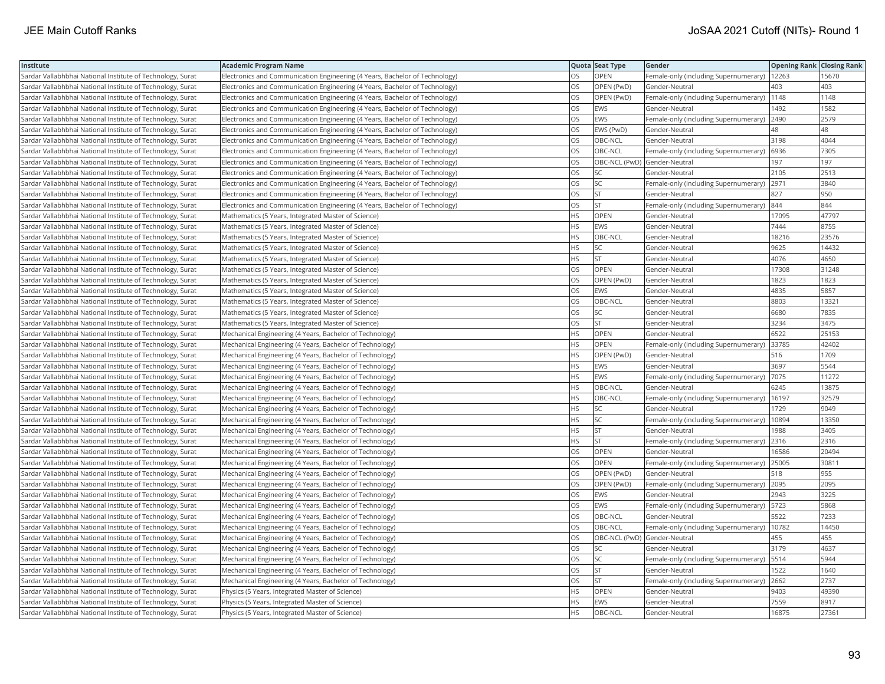| Institute                                                  | <b>Academic Program Name</b>                                                |           | Quota Seat Type              | Gender                                        | <b>Opening Rank Closing Rank</b> |       |
|------------------------------------------------------------|-----------------------------------------------------------------------------|-----------|------------------------------|-----------------------------------------------|----------------------------------|-------|
| Sardar Vallabhbhai National Institute of Technology, Surat | Electronics and Communication Engineering (4 Years, Bachelor of Technology) | <b>OS</b> | <b>OPEN</b>                  | Female-only (including Supernumerary)   12263 |                                  | 15670 |
| Sardar Vallabhbhai National Institute of Technology, Surat | Electronics and Communication Engineering (4 Years, Bachelor of Technology) | OS        | OPEN (PwD)                   | Gender-Neutral                                | 403                              | 403   |
| Sardar Vallabhbhai National Institute of Technology, Surat | Electronics and Communication Engineering (4 Years, Bachelor of Technology) | OS        | OPEN (PwD)                   | Female-only (including Supernumerary)         | 1148                             | 1148  |
| Sardar Vallabhbhai National Institute of Technology, Surat | Electronics and Communication Engineering (4 Years, Bachelor of Technology) | OS        | <b>EWS</b>                   | Gender-Neutral                                | 1492                             | 1582  |
| Sardar Vallabhbhai National Institute of Technology, Surat | Electronics and Communication Engineering (4 Years, Bachelor of Technology) | OS        | <b>EWS</b>                   | Female-only (including Supernumerary)         | 2490                             | 2579  |
| Sardar Vallabhbhai National Institute of Technology, Surat | Electronics and Communication Engineering (4 Years, Bachelor of Technology) | OS        | EWS (PwD)                    | Gender-Neutral                                | 48                               | 48    |
| Sardar Vallabhbhai National Institute of Technology, Surat | Electronics and Communication Engineering (4 Years, Bachelor of Technology) | OS        | OBC-NCL                      | Gender-Neutral                                | 3198                             | 4044  |
| Sardar Vallabhbhai National Institute of Technology, Surat | Electronics and Communication Engineering (4 Years, Bachelor of Technology) | <b>OS</b> | OBC-NCL                      | Female-only (including Supernumerary)         | 6936                             | 7305  |
| Sardar Vallabhbhai National Institute of Technology, Surat | Electronics and Communication Engineering (4 Years, Bachelor of Technology) | OS        | OBC-NCL (PwD) Gender-Neutral |                                               | 197                              | 197   |
| Sardar Vallabhbhai National Institute of Technology, Surat | Electronics and Communication Engineering (4 Years, Bachelor of Technology) | OS        | SC.                          | Gender-Neutral                                | 2105                             | 2513  |
| Sardar Vallabhbhai National Institute of Technology, Surat | Electronics and Communication Engineering (4 Years, Bachelor of Technology) | OS        | <b>SC</b>                    | Female-only (including Supernumerary)         | 2971                             | 3840  |
| Sardar Vallabhbhai National Institute of Technology, Surat | Electronics and Communication Engineering (4 Years, Bachelor of Technology) | <b>OS</b> | lst.                         | Gender-Neutral                                | 827                              | 950   |
| Sardar Vallabhbhai National Institute of Technology, Surat | Electronics and Communication Engineering (4 Years, Bachelor of Technology) | <b>OS</b> | lst.                         | Female-only (including Supernumerary)         | 844                              | 844   |
| Sardar Vallabhbhai National Institute of Technology, Surat | Mathematics (5 Years, Integrated Master of Science)                         | <b>HS</b> | OPEN                         | Gender-Neutral                                | 17095                            | 47797 |
| Sardar Vallabhbhai National Institute of Technology, Surat | Mathematics (5 Years, Integrated Master of Science)                         | <b>HS</b> | EWS                          | Gender-Neutral                                | 7444                             | 8755  |
| Sardar Vallabhbhai National Institute of Technology, Surat | Mathematics (5 Years, Integrated Master of Science)                         | <b>HS</b> | OBC-NCL                      | Gender-Neutral                                | 18216                            | 23576 |
| Sardar Vallabhbhai National Institute of Technology, Surat | Mathematics (5 Years, Integrated Master of Science)                         | <b>HS</b> | lsc                          | Gender-Neutral                                | 9625                             | 14432 |
| Sardar Vallabhbhai National Institute of Technology, Surat | Mathematics (5 Years, Integrated Master of Science)                         | <b>HS</b> | İst                          | Gender-Neutral                                | 4076                             | 4650  |
| Sardar Vallabhbhai National Institute of Technology, Surat | Mathematics (5 Years, Integrated Master of Science)                         | OS        | OPEN                         | Gender-Neutral                                | 17308                            | 31248 |
| Sardar Vallabhbhai National Institute of Technology, Surat | Mathematics (5 Years, Integrated Master of Science)                         | <b>OS</b> | OPEN (PwD)                   | Gender-Neutral                                | 1823                             | 1823  |
| Sardar Vallabhbhai National Institute of Technology, Surat | Mathematics (5 Years, Integrated Master of Science)                         | <b>OS</b> | <b>EWS</b>                   | Gender-Neutral                                | 4835                             | 5857  |
| Sardar Vallabhbhai National Institute of Technology, Surat | Mathematics (5 Years, Integrated Master of Science)                         | OS        | OBC-NCL                      | Gender-Neutral                                | 8803                             | 13321 |
| Sardar Vallabhbhai National Institute of Technology, Surat | Mathematics (5 Years, Integrated Master of Science)                         | OS        | SC                           | Gender-Neutral                                | 6680                             | 7835  |
| Sardar Vallabhbhai National Institute of Technology, Surat | Mathematics (5 Years, Integrated Master of Science)                         | OS.       | lst.                         | Gender-Neutral                                | 3234                             | 3475  |
| Sardar Vallabhbhai National Institute of Technology, Surat | Mechanical Engineering (4 Years, Bachelor of Technology)                    | HS        | OPEN                         | Gender-Neutral                                | 6522                             | 25153 |
| Sardar Vallabhbhai National Institute of Technology, Surat | Mechanical Engineering (4 Years, Bachelor of Technology)                    | <b>HS</b> | <b>OPEN</b>                  | Female-only (including Supernumerary)         | 33785                            | 42402 |
| Sardar Vallabhbhai National Institute of Technology, Surat | Mechanical Engineering (4 Years, Bachelor of Technology)                    | <b>HS</b> | OPEN (PwD)                   | Gender-Neutral                                | 516                              | 1709  |
| Sardar Vallabhbhai National Institute of Technology, Surat | Mechanical Engineering (4 Years, Bachelor of Technology)                    | <b>HS</b> | <b>EWS</b>                   | Gender-Neutral                                | 3697                             | 5544  |
| Sardar Vallabhbhai National Institute of Technology, Surat | Mechanical Engineering (4 Years, Bachelor of Technology)                    | <b>HS</b> | <b>EWS</b>                   | Female-only (including Supernumerary)         | 7075                             | 11272 |
| Sardar Vallabhbhai National Institute of Technology, Surat | Mechanical Engineering (4 Years, Bachelor of Technology)                    | HS        | OBC-NCL                      | Gender-Neutral                                | 6245                             | 13875 |
| Sardar Vallabhbhai National Institute of Technology, Surat | Mechanical Engineering (4 Years, Bachelor of Technology)                    | <b>HS</b> | OBC-NCL                      | Female-only (including Supernumerary)   16197 |                                  | 32579 |
| Sardar Vallabhbhai National Institute of Technology, Surat | Mechanical Engineering (4 Years, Bachelor of Technology)                    | HS        | SC                           | Gender-Neutral                                | 1729                             | 9049  |
| Sardar Vallabhbhai National Institute of Technology, Surat | Mechanical Engineering (4 Years, Bachelor of Technology)                    | HS        | SC.                          | Female-only (including Supernumerary)         | 10894                            | 13350 |
| Sardar Vallabhbhai National Institute of Technology, Surat | Mechanical Engineering (4 Years, Bachelor of Technology)                    | <b>HS</b> | <b>ST</b>                    | Gender-Neutral                                | 1988                             | 3405  |
| Sardar Vallabhbhai National Institute of Technology, Surat | Mechanical Engineering (4 Years, Bachelor of Technology)                    | <b>HS</b> | <b>ST</b>                    | Female-only (including Supernumerary)         | 2316                             | 2316  |
| Sardar Vallabhbhai National Institute of Technology, Surat | Mechanical Engineering (4 Years, Bachelor of Technology)                    | <b>OS</b> | <b>OPEN</b>                  | Gender-Neutral                                | 16586                            | 20494 |
| Sardar Vallabhbhai National Institute of Technology, Surat | Mechanical Engineering (4 Years, Bachelor of Technology)                    | OS        | <b>OPEN</b>                  | Female-only (including Supernumerary)         | 25005                            | 30811 |
| Sardar Vallabhbhai National Institute of Technology, Surat | Mechanical Engineering (4 Years, Bachelor of Technology)                    | <b>OS</b> | OPEN (PwD)                   | Gender-Neutral                                | 518                              | 955   |
| Sardar Vallabhbhai National Institute of Technology, Surat | Mechanical Engineering (4 Years, Bachelor of Technology)                    | OS        | OPEN (PwD)                   | Female-only (including Supernumerary)         | 2095                             | 2095  |
| Sardar Vallabhbhai National Institute of Technology, Surat | Mechanical Engineering (4 Years, Bachelor of Technology)                    | <b>OS</b> | <b>EWS</b>                   | Gender-Neutral                                | 2943                             | 3225  |
| Sardar Vallabhbhai National Institute of Technology, Surat | Mechanical Engineering (4 Years, Bachelor of Technology)                    | <b>OS</b> | EWS                          | Female-only (including Supernumerary)         | 5723                             | 5868  |
| Sardar Vallabhbhai National Institute of Technology, Surat | Mechanical Engineering (4 Years, Bachelor of Technology)                    | OS        | OBC-NCL                      | Gender-Neutral                                | 5522                             | 7233  |
| Sardar Vallabhbhai National Institute of Technology, Surat | Mechanical Engineering (4 Years, Bachelor of Technology)                    | OS        | OBC-NCL                      | Female-only (including Supernumerary)         | 10782                            | 14450 |
| Sardar Vallabhbhai National Institute of Technology, Surat | Mechanical Engineering (4 Years, Bachelor of Technology)                    | <b>OS</b> | OBC-NCL (PwD) Gender-Neutral |                                               | 455                              | 455   |
| Sardar Vallabhbhai National Institute of Technology, Surat | Mechanical Engineering (4 Years, Bachelor of Technology)                    | OS        | <b>SC</b>                    | Gender-Neutral                                | 3179                             | 4637  |
| Sardar Vallabhbhai National Institute of Technology, Surat | Mechanical Engineering (4 Years, Bachelor of Technology)                    | OS        | <b>SC</b>                    | Female-only (including Supernumerary)         | 5514                             | 5944  |
| Sardar Vallabhbhai National Institute of Technology, Surat | Mechanical Engineering (4 Years, Bachelor of Technology)                    | OS        | <b>ST</b>                    | Gender-Neutral                                | 1522                             | 1640  |
| Sardar Vallabhbhai National Institute of Technology, Surat | Mechanical Engineering (4 Years, Bachelor of Technology)                    | OS        | <b>ST</b>                    | Female-only (including Supernumerary)         | 2662                             | 2737  |
| Sardar Vallabhbhai National Institute of Technology, Surat | Physics (5 Years, Integrated Master of Science)                             | HS        | OPEN                         | Gender-Neutral                                | 9403                             | 49390 |
| Sardar Vallabhbhai National Institute of Technology, Surat | Physics (5 Years, Integrated Master of Science)                             | <b>HS</b> | <b>EWS</b>                   | Gender-Neutral                                | 7559                             | 8917  |
| Sardar Vallabhbhai National Institute of Technology, Surat | Physics (5 Years, Integrated Master of Science)                             | <b>HS</b> | OBC-NCL                      | Gender-Neutral                                | 16875                            | 27361 |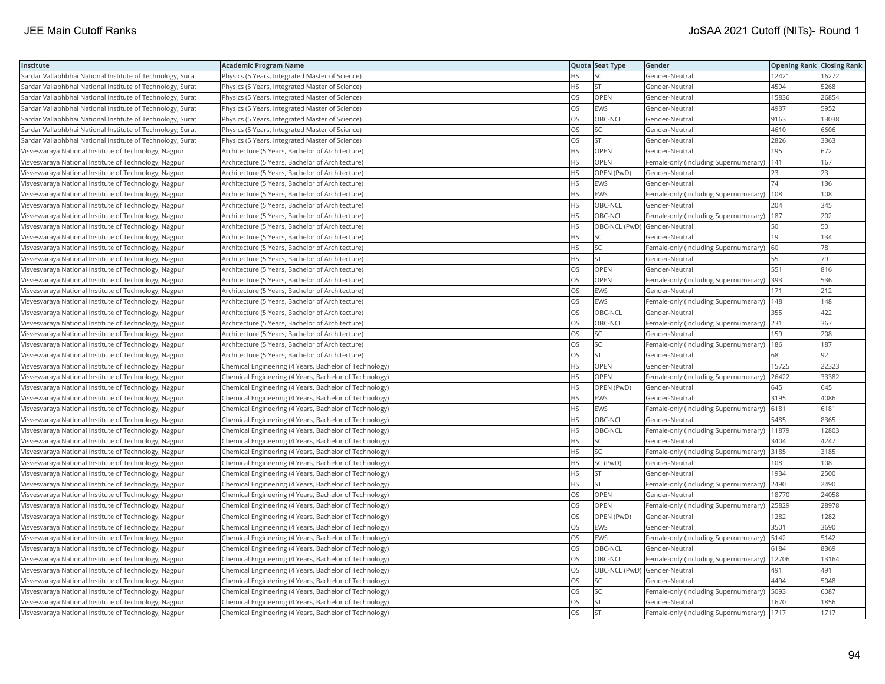| <b>Institute</b>                                           | Academic Program Name                                  |           | Quota Seat Type              | Gender                                      | <b>Opening Rank   Closing Rank</b> |       |
|------------------------------------------------------------|--------------------------------------------------------|-----------|------------------------------|---------------------------------------------|------------------------------------|-------|
| Sardar Vallabhbhai National Institute of Technology, Surat | Physics (5 Years, Integrated Master of Science)        | HS.       | SC                           | Gender-Neutral                              | 12421                              | 16272 |
| Sardar Vallabhbhai National Institute of Technology, Surat | Physics (5 Years, Integrated Master of Science)        | HS.       | <b>ST</b>                    | Gender-Neutral                              | 4594                               | 5268  |
| Sardar Vallabhbhai National Institute of Technology, Surat | Physics (5 Years, Integrated Master of Science)        | OS        | OPEN                         | Gender-Neutral                              | 15836                              | 26854 |
| Sardar Vallabhbhai National Institute of Technology, Surat | Physics (5 Years, Integrated Master of Science)        | OS        | EWS                          | Gender-Neutral                              | 4937                               | 5952  |
| Sardar Vallabhbhai National Institute of Technology, Surat | Physics (5 Years, Integrated Master of Science)        | OS        | OBC-NCL                      | Gender-Neutral                              | 9163                               | 13038 |
| Sardar Vallabhbhai National Institute of Technology, Surat | Physics (5 Years, Integrated Master of Science)        | OS        | <b>SC</b>                    | Gender-Neutral                              | 4610                               | 6606  |
| Sardar Vallabhbhai National Institute of Technology, Surat | Physics (5 Years, Integrated Master of Science)        | OS        | <b>ST</b>                    | Gender-Neutral                              | 2826                               | 3363  |
| Visvesvaraya National Institute of Technology, Nagpur      | Architecture (5 Years, Bachelor of Architecture)       | <b>HS</b> | <b>OPEN</b>                  | Gender-Neutral                              | 195                                | 672   |
| Visvesvaraya National Institute of Technology, Nagpur      | Architecture (5 Years, Bachelor of Architecture)       | HS.       | OPEN                         | Female-only (including Supernumerary)       | 141                                | 167   |
| Visvesvaraya National Institute of Technology, Nagpur      | Architecture (5 Years, Bachelor of Architecture)       | HS        | OPEN (PwD)                   | Gender-Neutral                              | 23                                 | 23    |
| Visvesvaraya National Institute of Technology, Nagpur      | Architecture (5 Years, Bachelor of Architecture)       | HS        | <b>EWS</b>                   | Gender-Neutral                              | 74                                 | 136   |
| Visvesvaraya National Institute of Technology, Nagpur      | Architecture (5 Years, Bachelor of Architecture)       | <b>HS</b> | EWS                          | Female-only (including Supernumerary)       | 108                                | 108   |
| Visvesvaraya National Institute of Technology, Nagpur      | Architecture (5 Years, Bachelor of Architecture)       | HS        | OBC-NCL                      | Gender-Neutral                              | 204                                | 345   |
| Visvesvaraya National Institute of Technology, Nagpur      | Architecture (5 Years, Bachelor of Architecture)       | HS        | OBC-NCL                      | Female-only (including Supernumerary)   187 |                                    | 202   |
| Visvesvaraya National Institute of Technology, Nagpur      | Architecture (5 Years, Bachelor of Architecture)       | HS        | OBC-NCL (PwD) Gender-Neutral |                                             | 50                                 | 50    |
| Visvesvaraya National Institute of Technology, Nagpur      | Architecture (5 Years, Bachelor of Architecture)       | HS        | SC                           | Gender-Neutral                              | 19                                 | 134   |
| Visvesvaraya National Institute of Technology, Nagpur      | Architecture (5 Years, Bachelor of Architecture)       | HS.       | SC                           | Female-only (including Supernumerary)       | 60                                 | 78    |
| Visvesvaraya National Institute of Technology, Nagpur      | Architecture (5 Years, Bachelor of Architecture)       | HS        | <b>ST</b>                    | Gender-Neutral                              | 55                                 | 79    |
| Visvesvaraya National Institute of Technology, Nagpur      | Architecture (5 Years, Bachelor of Architecture)       | OS        | OPEN                         | Gender-Neutral                              | 551                                | 816   |
| Visvesvaraya National Institute of Technology, Nagpur      | Architecture (5 Years, Bachelor of Architecture)       | OS.       | <b>OPEN</b>                  | Female-only (including Supernumerary)       | 393                                | 536   |
| Visvesvaraya National Institute of Technology, Nagpur      | Architecture (5 Years, Bachelor of Architecture)       | OS        | EWS                          | Gender-Neutral                              | 171                                | 212   |
| Visvesvaraya National Institute of Technology, Nagpur      | Architecture (5 Years, Bachelor of Architecture)       | OS        | EWS                          | Female-only (including Supernumerary)       | 148                                | 148   |
| Visvesvaraya National Institute of Technology, Nagpur      | Architecture (5 Years, Bachelor of Architecture)       | OS        | OBC-NCL                      | Gender-Neutral                              | 355                                | 422   |
| Visvesvaraya National Institute of Technology, Nagpur      | Architecture (5 Years, Bachelor of Architecture)       | OS        | OBC-NCL                      | Female-only (including Supernumerary)       | 231                                | 367   |
| Visvesvaraya National Institute of Technology, Nagpur      | Architecture (5 Years, Bachelor of Architecture)       | OS        | SC                           | Gender-Neutral                              | 159                                | 208   |
| Visvesvaraya National Institute of Technology, Nagpur      | Architecture (5 Years, Bachelor of Architecture)       | OS        | SC                           | Female-only (including Supernumerary)       | 186                                | 187   |
| Visvesvaraya National Institute of Technology, Nagpur      | Architecture (5 Years, Bachelor of Architecture)       | <b>OS</b> | lst                          | Gender-Neutral                              | 68                                 | 92    |
| Visvesvaraya National Institute of Technology, Nagpur      | Chemical Engineering (4 Years, Bachelor of Technology) | HS        | OPEN                         | Gender-Neutral                              | 15725                              | 22323 |
| Visvesvaraya National Institute of Technology, Nagpur      | Chemical Engineering (4 Years, Bachelor of Technology) | <b>HS</b> | <b>OPEN</b>                  | Female-only (including Supernumerary)       | 26422                              | 33382 |
| Visvesvaraya National Institute of Technology, Nagpur      | Chemical Engineering (4 Years, Bachelor of Technology) | HS        | OPEN (PwD)                   | Gender-Neutral                              | 645                                | 645   |
| Visvesvaraya National Institute of Technology, Nagpur      | Chemical Engineering (4 Years, Bachelor of Technology) | HS        | <b>EWS</b>                   | Gender-Neutral                              | 3195                               | 4086  |
| Visvesvaraya National Institute of Technology, Nagpur      | Chemical Engineering (4 Years, Bachelor of Technology) | <b>HS</b> | EWS                          | Female-only (including Supernumerary)       | 6181                               | 6181  |
| Visvesvaraya National Institute of Technology, Nagpur      | Chemical Engineering (4 Years, Bachelor of Technology) | HS        | OBC-NCL                      | Gender-Neutral                              | 5485                               | 8365  |
| Visvesvaraya National Institute of Technology, Nagpur      | Chemical Engineering (4 Years, Bachelor of Technology) | HS        | OBC-NCL                      | Female-only (including Supernumerary)       | 11879                              | 12803 |
| Visvesvaraya National Institute of Technology, Nagpur      | Chemical Engineering (4 Years, Bachelor of Technology) | HS        | SC                           | Gender-Neutral                              | 3404                               | 4247  |
| Visvesvaraya National Institute of Technology, Nagpur      | Chemical Engineering (4 Years, Bachelor of Technology) | HS.       | SC                           | Female-only (including Supernumerary)       | 3185                               | 3185  |
| Visvesvaraya National Institute of Technology, Nagpur      | Chemical Engineering (4 Years, Bachelor of Technology) | HS        | SC (PwD)                     | Gender-Neutral                              | 108                                | 108   |
| Visvesvaraya National Institute of Technology, Nagpur      | Chemical Engineering (4 Years, Bachelor of Technology) | HS        | <b>ST</b>                    | Gender-Neutral                              | 1934                               | 2500  |
| Visvesvaraya National Institute of Technology, Nagpur      | Chemical Engineering (4 Years, Bachelor of Technology) | HS        | <b>ST</b>                    | Female-only (including Supernumerary)       | 2490                               | 2490  |
| Visvesvaraya National Institute of Technology, Nagpur      | Chemical Engineering (4 Years, Bachelor of Technology) | OS        | OPEN                         | Gender-Neutral                              | 18770                              | 24058 |
| Visvesvaraya National Institute of Technology, Nagpur      | Chemical Engineering (4 Years, Bachelor of Technology) | OS        | OPEN                         | Female-only (including Supernumerary)       | 25829                              | 28978 |
| Visvesvaraya National Institute of Technology, Nagpur      | Chemical Engineering (4 Years, Bachelor of Technology) | OS        | OPEN (PwD)                   | Gender-Neutral                              | 1282                               | 1282  |
| Visvesvaraya National Institute of Technology, Nagpur      | Chemical Engineering (4 Years, Bachelor of Technology) | OS        | EWS                          | Gender-Neutral                              | 3501                               | 3690  |
| Visvesvaraya National Institute of Technology, Nagpur      | Chemical Engineering (4 Years, Bachelor of Technology) | OS        | EWS                          | Female-only (including Supernumerary)       | 5142                               | 5142  |
| Visvesvaraya National Institute of Technology, Nagpur      | Chemical Engineering (4 Years, Bachelor of Technology) | OS        | OBC-NCL                      | Gender-Neutral                              | 6184                               | 8369  |
| Visvesvaraya National Institute of Technology, Nagpur      | Chemical Engineering (4 Years, Bachelor of Technology) | OS        | OBC-NCL                      | Female-only (including Supernumerary)       | 12706                              | 13164 |
| Visvesvaraya National Institute of Technology, Nagpur      | Chemical Engineering (4 Years, Bachelor of Technology) | OS        |                              | OBC-NCL (PwD) Gender-Neutral                | 491                                | 491   |
| Visvesvaraya National Institute of Technology, Nagpur      | Chemical Engineering (4 Years, Bachelor of Technology) | OS        | SC                           | Gender-Neutral                              | 4494                               | 5048  |
| Visvesvaraya National Institute of Technology, Nagpur      | Chemical Engineering (4 Years, Bachelor of Technology) | OS        | SC                           | Female-only (including Supernumerary)       | 5093                               | 6087  |
| Visvesvaraya National Institute of Technology, Nagpur      | Chemical Engineering (4 Years, Bachelor of Technology) | OS        | lst.                         | Gender-Neutral                              | 1670                               | 1856  |
| Visvesvaraya National Institute of Technology, Nagpur      | Chemical Engineering (4 Years, Bachelor of Technology) | <b>OS</b> | <b>ST</b>                    | Female-only (including Supernumerary)  1717 |                                    | 1717  |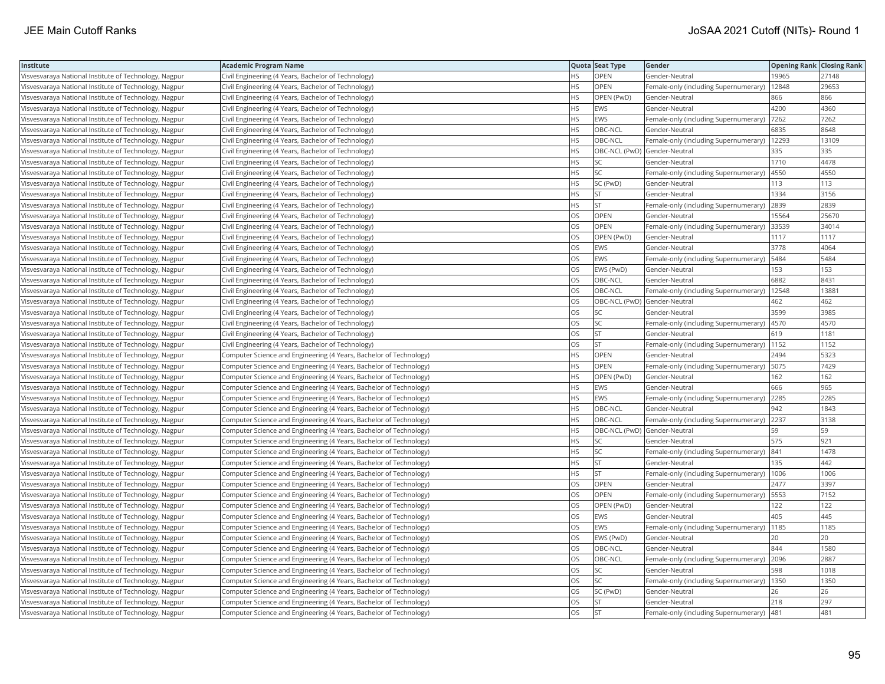| Institute                                             | <b>Academic Program Name</b>                                       |           | Quota Seat Type              | Gender                                       | <b>Opening Rank Closing Rank</b> |       |
|-------------------------------------------------------|--------------------------------------------------------------------|-----------|------------------------------|----------------------------------------------|----------------------------------|-------|
| Visvesvaraya National Institute of Technology, Nagpur | Civil Engineering (4 Years, Bachelor of Technology)                | <b>HS</b> | <b>OPEN</b>                  | Gender-Neutral                               | 19965                            | 27148 |
| Visvesvaraya National Institute of Technology, Nagpur | Civil Engineering (4 Years, Bachelor of Technology)                | HS        | OPEN                         | Female-only (including Supernumerary)        | 12848                            | 29653 |
| Visvesvaraya National Institute of Technology, Nagpur | Civil Engineering (4 Years, Bachelor of Technology)                | HS        | OPEN (PwD)                   | Gender-Neutral                               | 866                              | 866   |
| Visvesvaraya National Institute of Technology, Nagpur | Civil Engineering (4 Years, Bachelor of Technology)                | HS        | EWS                          | Gender-Neutral                               | 4200                             | 4360  |
| Visvesvaraya National Institute of Technology, Nagpur | Civil Engineering (4 Years, Bachelor of Technology)                | HS        | EWS                          | Female-only (including Supernumerary)        | 7262                             | 7262  |
| Visvesvaraya National Institute of Technology, Nagpur | Civil Engineering (4 Years, Bachelor of Technology)                | HS        | OBC-NCL                      | Gender-Neutral                               | 6835                             | 8648  |
| Visvesvaraya National Institute of Technology, Nagpur | Civil Engineering (4 Years, Bachelor of Technology)                | HS        | OBC-NCL                      | Female-only (including Supernumerary)        | 12293                            | 13109 |
| Visvesvaraya National Institute of Technology, Nagpur | Civil Engineering (4 Years, Bachelor of Technology)                | ΗS        |                              | OBC-NCL (PwD) Gender-Neutral                 | 335                              | 335   |
| Visvesvaraya National Institute of Technology, Nagpur | Civil Engineering (4 Years, Bachelor of Technology)                | HS.       | SC                           | Gender-Neutral                               | 1710                             | 4478  |
| Visvesvaraya National Institute of Technology, Nagpur | Civil Engineering (4 Years, Bachelor of Technology)                | HS        | SC                           | Female-only (including Supernumerary)        | 4550                             | 4550  |
| Visvesvaraya National Institute of Technology, Nagpur | Civil Engineering (4 Years, Bachelor of Technology)                | HS        | SC (PwD)                     | Gender-Neutral                               | 113                              | 113   |
| Visvesvaraya National Institute of Technology, Nagpur | Civil Engineering (4 Years, Bachelor of Technology)                | HS.       | <b>ST</b>                    | Gender-Neutral                               | 1334                             | 3156  |
| Visvesvaraya National Institute of Technology, Nagpur | Civil Engineering (4 Years, Bachelor of Technology)                | HS        | lst                          | Female-only (including Supernumerary)        | 2839                             | 2839  |
| Visvesvaraya National Institute of Technology, Nagpur | Civil Engineering (4 Years, Bachelor of Technology)                | OS        | OPEN                         | Gender-Neutral                               | 15564                            | 25670 |
| Visvesvaraya National Institute of Technology, Nagpur | Civil Engineering (4 Years, Bachelor of Technology)                | OS        | OPEN                         | Female-only (including Supernumerary) 33539  |                                  | 34014 |
| Visvesvaraya National Institute of Technology, Nagpur | Civil Engineering (4 Years, Bachelor of Technology)                | OS        | OPEN (PwD)                   | Gender-Neutral                               | 1117                             | 1117  |
| Visvesvaraya National Institute of Technology, Nagpur | Civil Engineering (4 Years, Bachelor of Technology)                | OS        | <b>EWS</b>                   | Gender-Neutral                               | 3778                             | 4064  |
| Visvesvaraya National Institute of Technology, Nagpur | Civil Engineering (4 Years, Bachelor of Technology)                | OS        | EWS                          | Female-only (including Supernumerary)        | 5484                             | 5484  |
| Visvesvaraya National Institute of Technology, Nagpur | Civil Engineering (4 Years, Bachelor of Technology)                | OS        | EWS (PwD)                    | Gender-Neutral                               | 153                              | 153   |
| Visvesvaraya National Institute of Technology, Nagpur | Civil Engineering (4 Years, Bachelor of Technology)                | <b>OS</b> | OBC-NCL                      | Gender-Neutral                               | 6882                             | 8431  |
| Visvesvaraya National Institute of Technology, Nagpur | Civil Engineering (4 Years, Bachelor of Technology)                | OS        | OBC-NCL                      | Female-only (including Supernumerary)        | 12548                            | 13881 |
| Visvesvaraya National Institute of Technology, Nagpur | Civil Engineering (4 Years, Bachelor of Technology)                | OS        | OBC-NCL (PwD) Gender-Neutral |                                              | 462                              | 462   |
| Visvesvaraya National Institute of Technology, Nagpur | Civil Engineering (4 Years, Bachelor of Technology)                | OS        | SC                           | Gender-Neutral                               | 3599                             | 3985  |
| Visvesvaraya National Institute of Technology, Nagpur | Civil Engineering (4 Years, Bachelor of Technology)                | OS        | SC                           | Female-only (including Supernumerary)   4570 |                                  | 4570  |
| Visvesvaraya National Institute of Technology, Nagpur | Civil Engineering (4 Years, Bachelor of Technology)                | OS        | <b>ST</b>                    | Gender-Neutral                               | 619                              | 1181  |
| Visvesvaraya National Institute of Technology, Nagpur | Civil Engineering (4 Years, Bachelor of Technology)                | OS.       | <b>ST</b>                    | Female-only (including Supernumerary)        | 1152                             | 1152  |
| Visvesvaraya National Institute of Technology, Nagpur | Computer Science and Engineering (4 Years, Bachelor of Technology) | HS        | OPEN                         | Gender-Neutral                               | 2494                             | 5323  |
| Visvesvaraya National Institute of Technology, Nagpur | Computer Science and Engineering (4 Years, Bachelor of Technology) | HS        | OPEN                         | Female-only (including Supernumerary)        | 5075                             | 7429  |
| Visvesvaraya National Institute of Technology, Nagpur | Computer Science and Engineering (4 Years, Bachelor of Technology) | <b>HS</b> | OPEN (PwD)                   | Gender-Neutral                               | 162                              | 162   |
| Visvesvaraya National Institute of Technology, Nagpur | Computer Science and Engineering (4 Years, Bachelor of Technology) | HS        | EWS                          | Gender-Neutral                               | 666                              | 965   |
| Visvesvaraya National Institute of Technology, Nagpur | Computer Science and Engineering (4 Years, Bachelor of Technology) | HS        | EWS                          | Female-only (including Supernumerary)        | 2285                             | 2285  |
| Visvesvaraya National Institute of Technology, Nagpur | Computer Science and Engineering (4 Years, Bachelor of Technology) | ΗS        | OBC-NCL                      | Gender-Neutral                               | 942                              | 1843  |
| Visvesvaraya National Institute of Technology, Nagpur | Computer Science and Engineering (4 Years, Bachelor of Technology) | HS        | OBC-NCL                      | Female-only (including Supernumerary)        | 2237                             | 3138  |
| Visvesvaraya National Institute of Technology, Nagpur | Computer Science and Engineering (4 Years, Bachelor of Technology) | HS        | OBC-NCL (PwD) Gender-Neutral |                                              | 59                               | 59    |
| Visvesvaraya National Institute of Technology, Nagpur | Computer Science and Engineering (4 Years, Bachelor of Technology) | HS        | SC                           | Gender-Neutral                               | 575                              | 921   |
| Visvesvaraya National Institute of Technology, Nagpur | Computer Science and Engineering (4 Years, Bachelor of Technology) | HS        | <b>SC</b>                    | Female-only (including Supernumerary)        | 841                              | 1478  |
| Visvesvaraya National Institute of Technology, Nagpur | Computer Science and Engineering (4 Years, Bachelor of Technology) | HS        | <b>ST</b>                    | Gender-Neutral                               | 135                              | 442   |
| Visvesvaraya National Institute of Technology, Nagpur | Computer Science and Engineering (4 Years, Bachelor of Technology) | HS        | <b>ST</b>                    | Female-only (including Supernumerary)   1006 |                                  | 1006  |
| Visvesvaraya National Institute of Technology, Nagpur | Computer Science and Engineering (4 Years, Bachelor of Technology) | OS        | OPEN                         | Gender-Neutral                               | 2477                             | 3397  |
| Visvesvaraya National Institute of Technology, Nagpur | Computer Science and Engineering (4 Years, Bachelor of Technology) | OS        | OPEN                         | Female-only (including Supernumerary)        | 5553                             | 7152  |
| Visvesvaraya National Institute of Technology, Nagpur | Computer Science and Engineering (4 Years, Bachelor of Technology) | OS        | OPEN (PwD)                   | Gender-Neutral                               | 122                              | 122   |
| Visvesvaraya National Institute of Technology, Nagpur | Computer Science and Engineering (4 Years, Bachelor of Technology) | OS        | EWS                          | Gender-Neutral                               | 405                              | 445   |
| Visvesvaraya National Institute of Technology, Nagpur | Computer Science and Engineering (4 Years, Bachelor of Technology) | OS        | EWS                          | Female-only (including Supernumerary)        | 1185                             | 1185  |
| Visvesvaraya National Institute of Technology, Nagpur | Computer Science and Engineering (4 Years, Bachelor of Technology) | OS        | EWS (PwD)                    | Gender-Neutral                               | 20                               | 20    |
| Visvesvaraya National Institute of Technology, Nagpur | Computer Science and Engineering (4 Years, Bachelor of Technology) | <b>OS</b> | OBC-NCL                      | Gender-Neutral                               | 844                              | 1580  |
| Visvesvaraya National Institute of Technology, Nagpur | Computer Science and Engineering (4 Years, Bachelor of Technology) | OS        | OBC-NCL                      | Female-only (including Supernumerary)        | 2096                             | 2887  |
| Visvesvaraya National Institute of Technology, Nagpur | Computer Science and Engineering (4 Years, Bachelor of Technology) | OS        | SC                           | Gender-Neutral                               | 598                              | 1018  |
| Visvesvaraya National Institute of Technology, Nagpur | Computer Science and Engineering (4 Years, Bachelor of Technology) | OS        | SC                           | Female-only (including Supernumerary)        | 1350                             | 1350  |
| Visvesvaraya National Institute of Technology, Nagpur | Computer Science and Engineering (4 Years, Bachelor of Technology) | OS        | SC (PwD)                     | Gender-Neutral                               | 26                               | 26    |
| Visvesvaraya National Institute of Technology, Nagpur | Computer Science and Engineering (4 Years, Bachelor of Technology) | OS.       | <b>ST</b>                    | Gender-Neutral                               | 218                              | 297   |
| Visvesvaraya National Institute of Technology, Nagpur | Computer Science and Engineering (4 Years, Bachelor of Technology) | <b>OS</b> | <b>ST</b>                    | Female-only (including Supernumerary)        | 481                              | 481   |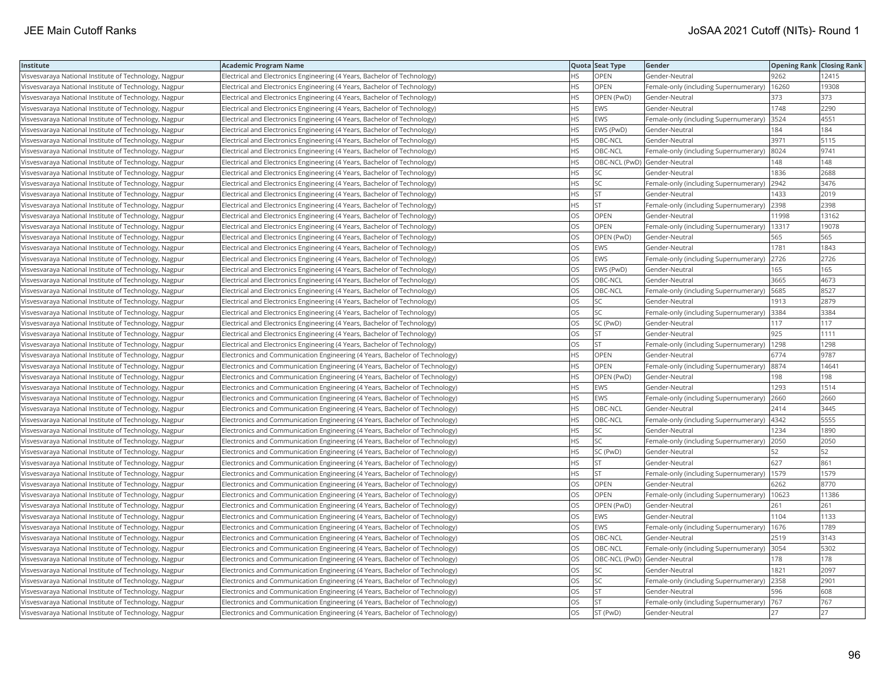| Institute                                             | <b>Academic Program Name</b>                                                 |           | Quota Seat Type | Gender                                       | <b>Opening Rank   Closing Rank</b> |       |
|-------------------------------------------------------|------------------------------------------------------------------------------|-----------|-----------------|----------------------------------------------|------------------------------------|-------|
| Visvesvaraya National Institute of Technology, Nagpur | Electrical and Electronics Engineering (4 Years, Bachelor of Technology)     | НS        | OPEN            | Gender-Neutral                               | 9262                               | 12415 |
| Visvesvaraya National Institute of Technology, Nagpur | Electrical and Electronics Engineering (4 Years, Bachelor of Technology)     | HS.       | OPEN            | Female-only (including Supernumerary)        | 16260                              | 19308 |
| Visvesvaraya National Institute of Technology, Nagpur | Electrical and Electronics Engineering (4 Years, Bachelor of Technology)     | HS.       | OPEN (PwD)      | Gender-Neutral                               | 373                                | 373   |
| Visvesvaraya National Institute of Technology, Nagpur | Electrical and Electronics Engineering (4 Years, Bachelor of Technology)     | HS        | EWS             | Gender-Neutral                               | 1748                               | 2290  |
| Visvesvaraya National Institute of Technology, Nagpur | Electrical and Electronics Engineering (4 Years, Bachelor of Technology)     | <b>HS</b> | EWS             | Female-only (including Supernumerary)        | 3524                               | 4551  |
| Visvesvaraya National Institute of Technology, Nagpur | Electrical and Electronics Engineering (4 Years, Bachelor of Technology)     | HS        | EWS (PwD)       | Gender-Neutral                               | 184                                | 184   |
| Visvesvaraya National Institute of Technology, Nagpur | Electrical and Electronics Engineering (4 Years, Bachelor of Technology)     | ΗS        | OBC-NCL         | Gender-Neutral                               | 3971                               | 5115  |
| Visvesvaraya National Institute of Technology, Nagpur | Electrical and Electronics Engineering (4 Years, Bachelor of Technology)     | HS.       | OBC-NCL         | Female-only (including Supernumerary)        | 8024                               | 9741  |
| Visvesvaraya National Institute of Technology, Nagpur | Electrical and Electronics Engineering (4 Years, Bachelor of Technology)     | HS        |                 | OBC-NCL (PwD) Gender-Neutral                 | 148                                | 148   |
| Visvesvaraya National Institute of Technology, Nagpur | Electrical and Electronics Engineering (4 Years, Bachelor of Technology)     | <b>HS</b> | SC              | Gender-Neutral                               | 1836                               | 2688  |
| Visvesvaraya National Institute of Technology, Nagpur | Electrical and Electronics Engineering (4 Years, Bachelor of Technology)     | HS.       | <b>SC</b>       | Female-only (including Supernumerary)        | 2942                               | 3476  |
| Visvesvaraya National Institute of Technology, Nagpur | Electrical and Electronics Engineering (4 Years, Bachelor of Technology)     | HS        | <b>ST</b>       | Gender-Neutral                               | 1433                               | 2019  |
| Visvesvaraya National Institute of Technology, Nagpur | Electrical and Electronics Engineering (4 Years, Bachelor of Technology)     | <b>HS</b> | <b>ST</b>       | Female-only (including Supernumerary)        | 2398                               | 2398  |
| Visvesvaraya National Institute of Technology, Nagpur | Electrical and Electronics Engineering (4 Years, Bachelor of Technology)     | OS        | OPEN            | Gender-Neutral                               | 11998                              | 13162 |
| Visvesvaraya National Institute of Technology, Nagpur | Electrical and Electronics Engineering (4 Years, Bachelor of Technology)     | OS        | OPEN            | Female-only (including Supernumerary)        | 13317                              | 19078 |
| Visvesvaraya National Institute of Technology, Nagpur | Electrical and Electronics Engineering (4 Years, Bachelor of Technology)     | OS        | OPEN (PwD)      | Gender-Neutral                               | 565                                | 565   |
| Visvesvaraya National Institute of Technology, Nagpur | Electrical and Electronics Engineering (4 Years, Bachelor of Technology)     | OS        | EWS             | Gender-Neutral                               | 1781                               | 1843  |
| Visvesvaraya National Institute of Technology, Nagpur | Electrical and Electronics Engineering (4 Years, Bachelor of Technology)     | OS        | EWS             | Female-only (including Supernumerary)        | 2726                               | 2726  |
| Visvesvaraya National Institute of Technology, Nagpur | Electrical and Electronics Engineering (4 Years, Bachelor of Technology)     | OS        | EWS (PwD)       | Gender-Neutral                               | 165                                | 165   |
| Visvesvaraya National Institute of Technology, Nagpur | Electrical and Electronics Engineering (4 Years, Bachelor of Technology)     | OS        | OBC-NCL         | Gender-Neutral                               | 3665                               | 4673  |
| Visvesvaraya National Institute of Technology, Nagpur | Electrical and Electronics Engineering (4 Years, Bachelor of Technology)     | OS        | OBC-NCL         | Female-only (including Supernumerary)        | 5685                               | 8527  |
| Visvesvaraya National Institute of Technology, Nagpur | Electrical and Electronics Engineering (4 Years, Bachelor of Technology)     | OS        | SC              | Gender-Neutral                               | 1913                               | 2879  |
| Visvesvaraya National Institute of Technology, Nagpur | Electrical and Electronics Engineering (4 Years, Bachelor of Technology)     | OS        | SC              | Female-only (including Supernumerary)        | 3384                               | 3384  |
| Visvesvaraya National Institute of Technology, Nagpur | Electrical and Electronics Engineering (4 Years, Bachelor of Technology)     | OS        | SC (PwD)        | Gender-Neutral                               | 117                                | 117   |
| Visvesvaraya National Institute of Technology, Nagpur | Electrical and Electronics Engineering (4 Years, Bachelor of Technology)     | OS        | <b>ST</b>       | Gender-Neutral                               | 925                                | 1111  |
| Visvesvaraya National Institute of Technology, Nagpur | Electrical and Electronics Engineering (4 Years, Bachelor of Technology)     | OS        | <b>ST</b>       | Female-only (including Supernumerary)        | 1298                               | 1298  |
| Visvesvaraya National Institute of Technology, Nagpur | Electronics and Communication Engineering (4 Years, Bachelor of Technology)  | <b>HS</b> | <b>OPEN</b>     | Gender-Neutral                               | 6774                               | 9787  |
| Visvesvaraya National Institute of Technology, Nagpur | Electronics and Communication Engineering (4 Years, Bachelor of Technology)  | <b>HS</b> | OPEN            | Female-only (including Supernumerary)        | 8874                               | 14641 |
| Visvesvaraya National Institute of Technology, Nagpur | Electronics and Communication Engineering (4 Years, Bachelor of Technology)  | HS        | OPEN (PwD)      | Gender-Neutral                               | 198                                | 198   |
| Visvesvaraya National Institute of Technology, Nagpur | Electronics and Communication Engineering (4 Years, Bachelor of Technology)  | HS        | EWS             | Gender-Neutral                               | 1293                               | 1514  |
| Visvesvaraya National Institute of Technology, Nagpur | Electronics and Communication Engineering (4 Years, Bachelor of Technology)  | <b>HS</b> | <b>EWS</b>      | Female-only (including Supernumerary)        | 2660                               | 2660  |
| Visvesvaraya National Institute of Technology, Nagpur | Electronics and Communication Engineering (4 Years, Bachelor of Technology)  | НS        | OBC-NCL         | Gender-Neutral                               | 2414                               | 3445  |
| Visvesvaraya National Institute of Technology, Nagpur | Electronics and Communication Engineering (4 Years, Bachelor of Technology)  | <b>HS</b> | OBC-NCL         | Female-only (including Supernumerary)        | 4342                               | 5555  |
| Visvesvaraya National Institute of Technology, Nagpur | [Electronics and Communication Engineering (4 Years, Bachelor of Technology) | HS        | SC              | Gender-Neutral                               | 1234                               | 1890  |
| Visvesvaraya National Institute of Technology, Nagpur | Electronics and Communication Engineering (4 Years, Bachelor of Technology)  | HS        | <b>SC</b>       | Female-only (including Supernumerary)        | 2050                               | 2050  |
| Visvesvaraya National Institute of Technology, Nagpur | Electronics and Communication Engineering (4 Years, Bachelor of Technology)  | HS.       | SC (PwD)        | Gender-Neutral                               | 52                                 | 52    |
| Visvesvaraya National Institute of Technology, Nagpur | [Electronics and Communication Engineering (4 Years, Bachelor of Technology) | HS        | <b>ST</b>       | Gender-Neutral                               | 627                                | 861   |
| Visvesvaraya National Institute of Technology, Nagpur | Electronics and Communication Engineering (4 Years, Bachelor of Technology)  | НS        | <b>ST</b>       | Female-only (including Supernumerary)   1579 |                                    | 1579  |
| Visvesvaraya National Institute of Technology, Nagpur | Electronics and Communication Engineering (4 Years, Bachelor of Technology)  | OS        | <b>OPEN</b>     | Gender-Neutral                               | 6262                               | 8770  |
| Visvesvaraya National Institute of Technology, Nagpur | Electronics and Communication Engineering (4 Years, Bachelor of Technology)  | OS        | OPEN            | Female-only (including Supernumerary)        | 10623                              | 11386 |
| Visvesvaraya National Institute of Technology, Nagpur | Electronics and Communication Engineering (4 Years, Bachelor of Technology)  | OS.       | OPEN (PwD)      | Gender-Neutral                               | 261                                | 261   |
| Visvesvaraya National Institute of Technology, Nagpur | Electronics and Communication Engineering (4 Years, Bachelor of Technology)  | OS        | EWS             | Gender-Neutral                               | 1104                               | 1133  |
| Visvesvaraya National Institute of Technology, Nagpur | [Electronics and Communication Engineering (4 Years, Bachelor of Technology) | OS        | <b>EWS</b>      | Female-only (including Supernumerary)        | 1676                               | 1789  |
| Visvesvaraya National Institute of Technology, Nagpur | Electronics and Communication Engineering (4 Years, Bachelor of Technology)  | OS        | OBC-NCL         | Gender-Neutral                               | 2519                               | 3143  |
| Visvesvaraya National Institute of Technology, Nagpur | [Electronics and Communication Engineering (4 Years, Bachelor of Technology) | OS        | OBC-NCL         | Female-only (including Supernumerary)        | 3054                               | 5302  |
| Visvesvaraya National Institute of Technology, Nagpur | Electronics and Communication Engineering (4 Years, Bachelor of Technology)  | OS        |                 | OBC-NCL (PwD) Gender-Neutral                 | 178                                | 178   |
| Visvesvaraya National Institute of Technology, Nagpur | Electronics and Communication Engineering (4 Years, Bachelor of Technology)  | OS.       | SC              | Gender-Neutral                               | 1821                               | 2097  |
| Visvesvaraya National Institute of Technology, Nagpur | Electronics and Communication Engineering (4 Years, Bachelor of Technology)  | OS        | SC              | Female-only (including Supernumerary)        | 2358                               | 2901  |
| Visvesvaraya National Institute of Technology, Nagpur | Electronics and Communication Engineering (4 Years, Bachelor of Technology)  | OS        | <b>ST</b>       | Gender-Neutral                               | 596                                | 608   |
| Visvesvaraya National Institute of Technology, Nagpur | Electronics and Communication Engineering (4 Years, Bachelor of Technology)  | OS        | <b>ST</b>       | Female-only (including Supernumerary)        | 767                                | 767   |
| Visvesvaraya National Institute of Technology, Nagpur | Electronics and Communication Engineering (4 Years, Bachelor of Technology)  | OS        | ST (PwD)        | Gender-Neutral                               | 27                                 | 27    |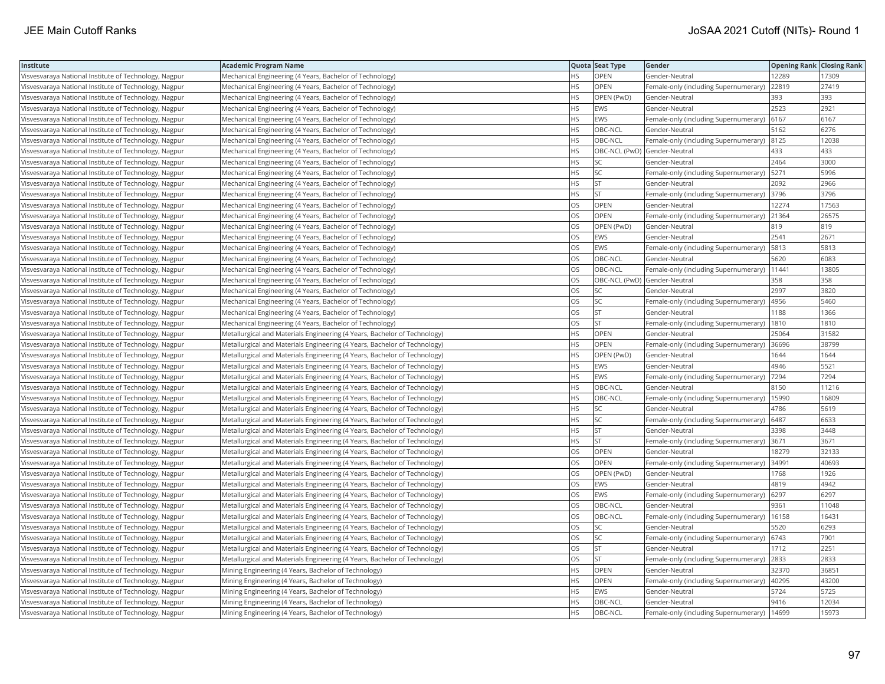| Institute                                             | <b>Academic Program Name</b>                                              |           | Quota Seat Type | Gender                                | <b>Opening Rank Closing Rank</b> |       |
|-------------------------------------------------------|---------------------------------------------------------------------------|-----------|-----------------|---------------------------------------|----------------------------------|-------|
| Visvesvaraya National Institute of Technology, Nagpur | Mechanical Engineering (4 Years, Bachelor of Technology)                  | HS.       | OPEN            | Gender-Neutral                        | 12289                            | 17309 |
| Visvesvaraya National Institute of Technology, Nagpur | Mechanical Engineering (4 Years, Bachelor of Technology)                  | HS.       | <b>OPEN</b>     | Female-only (including Supernumerary) | 22819                            | 27419 |
| Visvesvaraya National Institute of Technology, Nagpur | Mechanical Engineering (4 Years, Bachelor of Technology)                  | HS        | OPEN (PwD)      | Gender-Neutral                        | 393                              | 393   |
| Visvesvaraya National Institute of Technology, Nagpur | Mechanical Engineering (4 Years, Bachelor of Technology)                  | <b>HS</b> | <b>EWS</b>      | Gender-Neutral                        | 2523                             | 2921  |
| Visvesvaraya National Institute of Technology, Nagpur | Mechanical Engineering (4 Years, Bachelor of Technology)                  | <b>HS</b> | EWS             | Female-only (including Supernumerary) | 6167                             | 6167  |
| Visvesvaraya National Institute of Technology, Nagpur | Mechanical Engineering (4 Years, Bachelor of Technology)                  | HS        | OBC-NCL         | Gender-Neutral                        | 5162                             | 6276  |
| Visvesvaraya National Institute of Technology, Nagpur | Mechanical Engineering (4 Years, Bachelor of Technology)                  | НS        | OBC-NCL         | Female-only (including Supernumerary) | 8125                             | 12038 |
| Visvesvaraya National Institute of Technology, Nagpur | Mechanical Engineering (4 Years, Bachelor of Technology)                  | HS.       |                 | OBC-NCL (PwD) Gender-Neutral          | 433                              | 433   |
| Visvesvaraya National Institute of Technology, Nagpur | Mechanical Engineering (4 Years, Bachelor of Technology)                  | HS.       | SC              | Gender-Neutral                        | 2464                             | 3000  |
| Visvesvaraya National Institute of Technology, Nagpur | Mechanical Engineering (4 Years, Bachelor of Technology)                  | HS        | SC              | Female-only (including Supernumerary) | 5271                             | 5996  |
| Visvesvaraya National Institute of Technology, Nagpur | Mechanical Engineering (4 Years, Bachelor of Technology)                  | HS.       | <b>ST</b>       | Gender-Neutral                        | 2092                             | 2966  |
| Visvesvaraya National Institute of Technology, Nagpur | Mechanical Engineering (4 Years, Bachelor of Technology)                  | <b>HS</b> | lst.            | Female-only (including Supernumerary) | 3796                             | 3796  |
| Visvesvaraya National Institute of Technology, Nagpur | Mechanical Engineering (4 Years, Bachelor of Technology)                  | OS        | OPEN            | Gender-Neutral                        | 12274                            | 17563 |
| Visvesvaraya National Institute of Technology, Nagpur | Mechanical Engineering (4 Years, Bachelor of Technology)                  | OS        | OPEN            | Female-only (including Supernumerary) | 21364                            | 26575 |
| Visvesvaraya National Institute of Technology, Nagpur | Mechanical Engineering (4 Years, Bachelor of Technology)                  | OS        | OPEN (PwD)      | Gender-Neutral                        | 819                              | 819   |
| Visvesvaraya National Institute of Technology, Nagpur | Mechanical Engineering (4 Years, Bachelor of Technology)                  | OS        | <b>EWS</b>      | Gender-Neutral                        | 2541                             | 2671  |
| Visvesvaraya National Institute of Technology, Nagpur | Mechanical Engineering (4 Years, Bachelor of Technology)                  | OS        | EWS             | Female-only (including Supernumerary) | 5813                             | 5813  |
| Visvesvaraya National Institute of Technology, Nagpur | Mechanical Engineering (4 Years, Bachelor of Technology)                  | OS        | OBC-NCL         | Gender-Neutral                        | 5620                             | 6083  |
| Visvesvaraya National Institute of Technology, Nagpur | Mechanical Engineering (4 Years, Bachelor of Technology)                  | OS        | OBC-NCL         | Female-only (including Supernumerary) | 11441                            | 13805 |
| Visvesvaraya National Institute of Technology, Nagpur | Mechanical Engineering (4 Years, Bachelor of Technology)                  | OS.       |                 | OBC-NCL (PwD) Gender-Neutral          | 358                              | 358   |
| Visvesvaraya National Institute of Technology, Nagpur | Mechanical Engineering (4 Years, Bachelor of Technology)                  | OS        | SC              | Gender-Neutral                        | 2997                             | 3820  |
| Visvesvaraya National Institute of Technology, Nagpur | Mechanical Engineering (4 Years, Bachelor of Technology)                  | OS        | <b>SC</b>       | Female-only (including Supernumerary) | 4956                             | 5460  |
| Visvesvaraya National Institute of Technology, Nagpur | Mechanical Engineering (4 Years, Bachelor of Technology)                  | OS        | <b>ST</b>       | Gender-Neutral                        | 1188                             | 1366  |
| Visvesvaraya National Institute of Technology, Nagpur | Mechanical Engineering (4 Years, Bachelor of Technology)                  | OS.       | <b>ST</b>       | Female-only (including Supernumerary) | 1810                             | 1810  |
| Visvesvaraya National Institute of Technology, Nagpur | Metallurgical and Materials Engineering (4 Years, Bachelor of Technology) | HS        | OPEN            | Gender-Neutral                        | 25064                            | 31582 |
| Visvesvaraya National Institute of Technology, Nagpur | Metallurgical and Materials Engineering (4 Years, Bachelor of Technology) | HS        | OPEN            | Female-only (including Supernumerary) | 36696                            | 38799 |
| Visvesvaraya National Institute of Technology, Nagpur | Metallurgical and Materials Engineering (4 Years, Bachelor of Technology) | HS        | OPEN (PwD)      | Gender-Neutral                        | 1644                             | 1644  |
| Visvesvaraya National Institute of Technology, Nagpur | Metallurgical and Materials Engineering (4 Years, Bachelor of Technology) | HS        | EWS             | Gender-Neutral                        | 4946                             | 5521  |
| Visvesvaraya National Institute of Technology, Nagpur | Metallurgical and Materials Engineering (4 Years, Bachelor of Technology) | <b>HS</b> | <b>EWS</b>      | Female-only (including Supernumerary) | 7294                             | 7294  |
| Visvesvaraya National Institute of Technology, Nagpur | Metallurgical and Materials Engineering (4 Years, Bachelor of Technology) | HS        | OBC-NCL         | Gender-Neutral                        | 8150                             | 11216 |
| Visvesvaraya National Institute of Technology, Nagpur | Metallurgical and Materials Engineering (4 Years, Bachelor of Technology) | HS        | OBC-NCL         | Female-only (including Supernumerary) | 15990                            | 16809 |
| Visvesvaraya National Institute of Technology, Nagpur | Metallurgical and Materials Engineering (4 Years, Bachelor of Technology) | <b>HS</b> | SC              | Gender-Neutral                        | 4786                             | 5619  |
| Visvesvaraya National Institute of Technology, Nagpur | Metallurgical and Materials Engineering (4 Years, Bachelor of Technology) | HS        | SC              | Female-only (including Supernumerary) | 6487                             | 6633  |
| Visvesvaraya National Institute of Technology, Nagpur | Metallurgical and Materials Engineering (4 Years, Bachelor of Technology) | HS        | <b>ST</b>       | Gender-Neutral                        | 3398                             | 3448  |
| Visvesvaraya National Institute of Technology, Nagpur | Metallurgical and Materials Engineering (4 Years, Bachelor of Technology) | HS        | lst.            | Female-only (including Supernumerary) | 3671                             | 3671  |
| Visvesvaraya National Institute of Technology, Nagpur | Metallurgical and Materials Engineering (4 Years, Bachelor of Technology) | OS        | OPEN            | Gender-Neutral                        | 18279                            | 32133 |
| Visvesvaraya National Institute of Technology, Nagpur | Metallurgical and Materials Engineering (4 Years, Bachelor of Technology) | OS        | OPEN            | Female-only (including Supernumerary) | 34991                            | 40693 |
| Visvesvaraya National Institute of Technology, Nagpur | Metallurgical and Materials Engineering (4 Years, Bachelor of Technology) | OS        | OPEN (PwD)      | Gender-Neutral                        | 1768                             | 1926  |
| Visvesvaraya National Institute of Technology, Nagpur | Metallurgical and Materials Engineering (4 Years, Bachelor of Technology) | OS        | <b>EWS</b>      | Gender-Neutral                        | 4819                             | 4942  |
| Visvesvaraya National Institute of Technology, Nagpur | Metallurgical and Materials Engineering (4 Years, Bachelor of Technology) | OS        | <b>EWS</b>      | Female-only (including Supernumerary) | 6297                             | 6297  |
| Visvesvaraya National Institute of Technology, Nagpur | Metallurgical and Materials Engineering (4 Years, Bachelor of Technology) | OS        | OBC-NCL         | Gender-Neutral                        | 9361                             | 11048 |
| Visvesvaraya National Institute of Technology, Nagpur | Metallurgical and Materials Engineering (4 Years, Bachelor of Technology) | OS        | OBC-NCL         | Female-only (including Supernumerary) | 16158                            | 16431 |
| Visvesvaraya National Institute of Technology, Nagpur | Metallurgical and Materials Engineering (4 Years, Bachelor of Technology) | OS        | SC              | Gender-Neutral                        | 5520                             | 6293  |
| Visvesvaraya National Institute of Technology, Nagpur | Metallurgical and Materials Engineering (4 Years, Bachelor of Technology) | OS        | SC              | Female-only (including Supernumerary) | 6743                             | 7901  |
| Visvesvaraya National Institute of Technology, Nagpur | Metallurgical and Materials Engineering (4 Years, Bachelor of Technology) | OS        | <b>ST</b>       | Gender-Neutral                        | 1712                             | 2251  |
| Visvesvaraya National Institute of Technology, Nagpur | Metallurgical and Materials Engineering (4 Years, Bachelor of Technology) | OS        | <b>ST</b>       | Female-only (including Supernumerary) | 2833                             | 2833  |
| Visvesvaraya National Institute of Technology, Nagpur | Mining Engineering (4 Years, Bachelor of Technology)                      | <b>HS</b> | <b>OPEN</b>     | Gender-Neutral                        | 32370                            | 36851 |
| Visvesvaraya National Institute of Technology, Nagpur | Mining Engineering (4 Years, Bachelor of Technology)                      | HS        | OPEN            | Female-only (including Supernumerary) | 40295                            | 43200 |
| Visvesvaraya National Institute of Technology, Nagpur | Mining Engineering (4 Years, Bachelor of Technology)                      | HS        | EWS             | Gender-Neutral                        | 5724                             | 5725  |
| Visvesvaraya National Institute of Technology, Nagpur | Mining Engineering (4 Years, Bachelor of Technology)                      | HS.       | OBC-NCL         | Gender-Neutral                        | 9416                             | 12034 |
| Visvesvaraya National Institute of Technology, Nagpur | Mining Engineering (4 Years, Bachelor of Technology)                      | <b>HS</b> | OBC-NCL         | Female-only (including Supernumerary) | 14699                            | 15973 |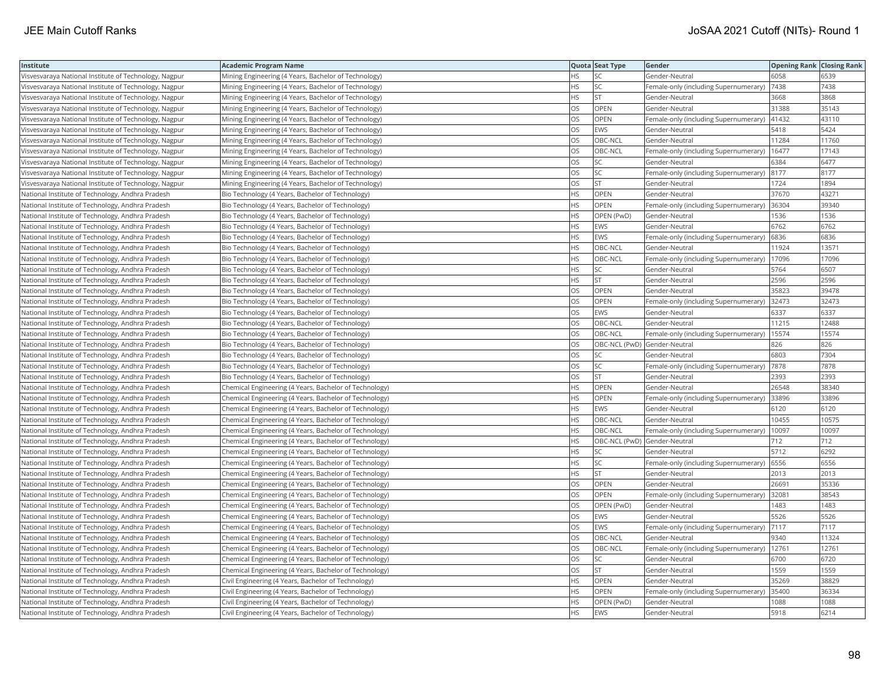| Institute                                             | <b>Academic Program Name</b>                           |           | Quota Seat Type              | Gender                                        | <b>Opening Rank Closing Rank</b> |       |
|-------------------------------------------------------|--------------------------------------------------------|-----------|------------------------------|-----------------------------------------------|----------------------------------|-------|
| Visvesvaraya National Institute of Technology, Nagpur | Mining Engineering (4 Years, Bachelor of Technology)   | HS.       | SC.                          | Gender-Neutral                                | 6058                             | 6539  |
| Visvesvaraya National Institute of Technology, Nagpur | Mining Engineering (4 Years, Bachelor of Technology)   | HS.       | SC                           | Female-only (including Supernumerary)         | 7438                             | 7438  |
| Visvesvaraya National Institute of Technology, Nagpur | Mining Engineering (4 Years, Bachelor of Technology)   | <b>HS</b> | <b>ST</b>                    | Gender-Neutral                                | 3668                             | 3868  |
| Visvesvaraya National Institute of Technology, Nagpur | Mining Engineering (4 Years, Bachelor of Technology)   | OS        | OPEN                         | Gender-Neutral                                | 31388                            | 35143 |
| Visvesvaraya National Institute of Technology, Nagpur | Mining Engineering (4 Years, Bachelor of Technology)   | OS        | OPEN                         | Female-only (including Supernumerary)         | 41432                            | 43110 |
| Visvesvaraya National Institute of Technology, Nagpur | Mining Engineering (4 Years, Bachelor of Technology)   | OS        | EWS                          | Gender-Neutral                                | 5418                             | 5424  |
| Visvesvaraya National Institute of Technology, Nagpur | Mining Engineering (4 Years, Bachelor of Technology)   | OS        | OBC-NCL                      | Gender-Neutral                                | 11284                            | 11760 |
| Visvesvaraya National Institute of Technology, Nagpur | Mining Engineering (4 Years, Bachelor of Technology)   | OS        | OBC-NCL                      | Female-only (including Supernumerary)         | 16477                            | 17143 |
| Visvesvaraya National Institute of Technology, Nagpur | Mining Engineering (4 Years, Bachelor of Technology)   | OS.       | SC                           | Gender-Neutral                                | 6384                             | 6477  |
| Visvesvaraya National Institute of Technology, Nagpur | Mining Engineering (4 Years, Bachelor of Technology)   | OS        | SC                           | Female-only (including Supernumerary)         | 8177                             | 8177  |
| Visvesvaraya National Institute of Technology, Nagpur | Mining Engineering (4 Years, Bachelor of Technology)   | OS        | ST.                          | Gender-Neutral                                | 1724                             | 1894  |
| National Institute of Technology, Andhra Pradesh      | Bio Technology (4 Years, Bachelor of Technology)       | <b>HS</b> | OPEN                         | Gender-Neutral                                | 37670                            | 43271 |
| National Institute of Technology, Andhra Pradesh      | Bio Technology (4 Years, Bachelor of Technology)       | <b>HS</b> | <b>OPEN</b>                  | Female-only (including Supernumerary)         | 36304                            | 39340 |
| National Institute of Technology, Andhra Pradesh      | Bio Technology (4 Years, Bachelor of Technology)       | <b>HS</b> | OPEN (PwD)                   | Gender-Neutral                                | 1536                             | 1536  |
| National Institute of Technology, Andhra Pradesh      | Bio Technology (4 Years, Bachelor of Technology)       | <b>HS</b> | <b>EWS</b>                   | Gender-Neutral                                | 6762                             | 6762  |
| National Institute of Technology, Andhra Pradesh      | Bio Technology (4 Years, Bachelor of Technology)       | <b>HS</b> | EWS                          | Female-only (including Supernumerary)         | 6836                             | 6836  |
| National Institute of Technology, Andhra Pradesh      | Bio Technology (4 Years, Bachelor of Technology)       | <b>HS</b> | OBC-NCL                      | Gender-Neutral                                | 11924                            | 13571 |
| National Institute of Technology, Andhra Pradesh      | Bio Technology (4 Years, Bachelor of Technology)       | <b>HS</b> | OBC-NCL                      | Female-only (including Supernumerary)         | 17096                            | 17096 |
| National Institute of Technology, Andhra Pradesh      | Bio Technology (4 Years, Bachelor of Technology)       | <b>HS</b> | SC                           | Gender-Neutral                                | 5764                             | 6507  |
| National Institute of Technology, Andhra Pradesh      | Bio Technology (4 Years, Bachelor of Technology)       | <b>HS</b> | lst                          | Gender-Neutral                                | 2596                             | 2596  |
| National Institute of Technology, Andhra Pradesh      | Bio Technology (4 Years, Bachelor of Technology)       | OS        | OPEN                         | Gender-Neutral                                | 35823                            | 39478 |
| National Institute of Technology, Andhra Pradesh      | Bio Technology (4 Years, Bachelor of Technology)       | OS        | OPEN                         | Female-only (including Supernumerary) 32473   |                                  | 32473 |
| National Institute of Technology, Andhra Pradesh      | Bio Technology (4 Years, Bachelor of Technology)       | OS        | EWS                          | Gender-Neutral                                | 6337                             | 6337  |
| National Institute of Technology, Andhra Pradesh      | Bio Technology (4 Years, Bachelor of Technology)       | OS        | OBC-NCL                      | Gender-Neutral                                | 11215                            | 12488 |
| National Institute of Technology, Andhra Pradesh      | Bio Technology (4 Years, Bachelor of Technology)       | OS        | OBC-NCL                      | Female-only (including Supernumerary)         | 15574                            | 15574 |
| National Institute of Technology, Andhra Pradesh      | Bio Technology (4 Years, Bachelor of Technology)       | OS        | OBC-NCL (PwD) Gender-Neutral |                                               | 826                              | 826   |
| National Institute of Technology, Andhra Pradesh      | Bio Technology (4 Years, Bachelor of Technology)       | OS        | SC                           | Gender-Neutral                                | 6803                             | 7304  |
| National Institute of Technology, Andhra Pradesh      | Bio Technology (4 Years, Bachelor of Technology)       | <b>OS</b> | lsc                          | Female-only (including Supernumerary)         | 7878                             | 7878  |
| National Institute of Technology, Andhra Pradesh      | Bio Technology (4 Years, Bachelor of Technology)       | OS        | <b>ST</b>                    | Gender-Neutral                                | 2393                             | 2393  |
| National Institute of Technology, Andhra Pradesh      | Chemical Engineering (4 Years, Bachelor of Technology) | <b>HS</b> | <b>OPEN</b>                  | Gender-Neutral                                | 26548                            | 38340 |
| National Institute of Technology, Andhra Pradesh      | Chemical Engineering (4 Years, Bachelor of Technology) | <b>HS</b> | OPEN                         | Female-only (including Supernumerary) 33896   |                                  | 33896 |
| National Institute of Technology, Andhra Pradesh      | Chemical Engineering (4 Years, Bachelor of Technology) | HS.       | EWS                          | Gender-Neutral                                | 6120                             | 6120  |
| National Institute of Technology, Andhra Pradesh      | Chemical Engineering (4 Years, Bachelor of Technology) | <b>HS</b> | OBC-NCL                      | Gender-Neutral                                | 10455                            | 10575 |
| National Institute of Technology, Andhra Pradesh      | Chemical Engineering (4 Years, Bachelor of Technology) | <b>HS</b> | OBC-NCL                      | Female-only (including Supernumerary)         | 10097                            | 10097 |
| National Institute of Technology, Andhra Pradesh      | Chemical Engineering (4 Years, Bachelor of Technology) | <b>HS</b> | OBC-NCL (PwD) Gender-Neutral |                                               | 712                              | 712   |
| National Institute of Technology, Andhra Pradesh      | Chemical Engineering (4 Years, Bachelor of Technology) | <b>HS</b> | SC.                          | Gender-Neutral                                | 5712                             | 6292  |
| National Institute of Technology, Andhra Pradesh      | Chemical Engineering (4 Years, Bachelor of Technology) | <b>HS</b> | SC.                          | Female-only (including Supernumerary)         | 6556                             | 6556  |
| National Institute of Technology, Andhra Pradesh      | Chemical Engineering (4 Years, Bachelor of Technology) | <b>HS</b> | <b>ST</b>                    | Gender-Neutral                                | 2013                             | 2013  |
| National Institute of Technology, Andhra Pradesh      | Chemical Engineering (4 Years, Bachelor of Technology) | OS        | OPEN                         | Gender-Neutral                                | 26691                            | 35336 |
| National Institute of Technology, Andhra Pradesh      | Chemical Engineering (4 Years, Bachelor of Technology) | <b>OS</b> | <b>OPEN</b>                  | Female-only (including Supernumerary)         | 32081                            | 38543 |
| National Institute of Technology, Andhra Pradesh      | Chemical Engineering (4 Years, Bachelor of Technology) | OS        | OPEN (PwD)                   | Gender-Neutral                                | 1483                             | 1483  |
| National Institute of Technology, Andhra Pradesh      | Chemical Engineering (4 Years, Bachelor of Technology) | OS        | EWS                          | Gender-Neutral                                | 5526                             | 5526  |
| National Institute of Technology, Andhra Pradesh      | Chemical Engineering (4 Years, Bachelor of Technology) | <b>OS</b> | <b>EWS</b>                   | Female-only (including Supernumerary)         | 7117                             | 7117  |
| National Institute of Technology, Andhra Pradesh      | Chemical Engineering (4 Years, Bachelor of Technology) | OS        | OBC-NCL                      | Gender-Neutral                                | 9340                             | 11324 |
| National Institute of Technology, Andhra Pradesh      | Chemical Engineering (4 Years, Bachelor of Technology) | OS        | OBC-NCL                      | Female-only (including Supernumerary)   12761 |                                  | 12761 |
| National Institute of Technology, Andhra Pradesh      | Chemical Engineering (4 Years, Bachelor of Technology) | OS        | SC                           | Gender-Neutral                                | 6700                             | 6720  |
| National Institute of Technology, Andhra Pradesh      | Chemical Engineering (4 Years, Bachelor of Technology) | <b>OS</b> | lst                          | Gender-Neutral                                | 1559                             | 1559  |
| National Institute of Technology, Andhra Pradesh      | Civil Engineering (4 Years, Bachelor of Technology)    | HS.       | OPEN                         | Gender-Neutral                                | 35269                            | 38829 |
| National Institute of Technology, Andhra Pradesh      | Civil Engineering (4 Years, Bachelor of Technology)    | <b>HS</b> | OPEN                         | Female-only (including Supernumerary)         | 35400                            | 36334 |
| National Institute of Technology, Andhra Pradesh      | Civil Engineering (4 Years, Bachelor of Technology)    | <b>HS</b> | OPEN (PwD)                   | Gender-Neutral                                | 1088                             | 088   |
| National Institute of Technology, Andhra Pradesh      | Civil Engineering (4 Years, Bachelor of Technology)    | <b>HS</b> | <b>EWS</b>                   | lGender-Neutral                               | 5918                             | 6214  |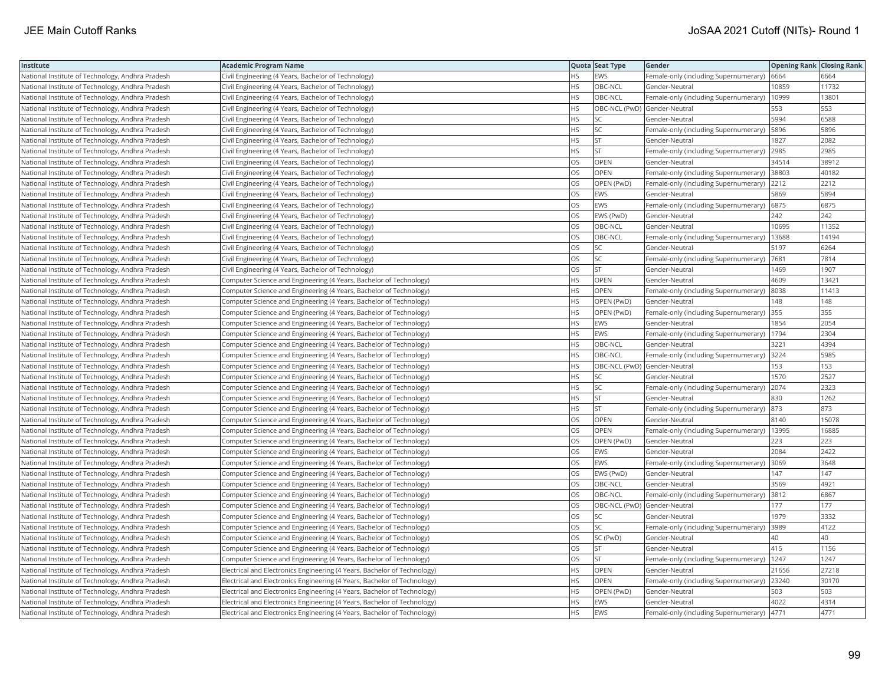| Institute                                        | Academic Program Name                                                    |           | Quota Seat Type              | Gender                                        | <b>Opening Rank Closing Rank</b> |       |
|--------------------------------------------------|--------------------------------------------------------------------------|-----------|------------------------------|-----------------------------------------------|----------------------------------|-------|
| National Institute of Technology, Andhra Pradesh | Civil Engineering (4 Years, Bachelor of Technology)                      | HS.       | <b>EWS</b>                   | Female-only (including Supernumerary)   6664  |                                  | 6664  |
| National Institute of Technology, Andhra Pradesh | Civil Engineering (4 Years, Bachelor of Technology)                      | HS        | OBC-NCL                      | Gender-Neutral                                | 0859                             | 11732 |
| National Institute of Technology, Andhra Pradesh | Civil Engineering (4 Years, Bachelor of Technology)                      | <b>HS</b> | OBC-NCL                      | Female-only (including Supernumerary)         | 10999                            | 13801 |
| National Institute of Technology, Andhra Pradesh | Civil Engineering (4 Years, Bachelor of Technology)                      | HS.       | OBC-NCL (PwD) Gender-Neutral |                                               | 553                              | 553   |
| National Institute of Technology, Andhra Pradesh | Civil Engineering (4 Years, Bachelor of Technology)                      | HS        | SC                           | Gender-Neutral                                | 5994                             | 6588  |
| National Institute of Technology, Andhra Pradesh | Civil Engineering (4 Years, Bachelor of Technology)                      | HS        | SC                           | Female-only (including Supernumerary)         | 5896                             | 5896  |
| National Institute of Technology, Andhra Pradesh | Civil Engineering (4 Years, Bachelor of Technology)                      | HS        | <b>ST</b>                    | Gender-Neutral                                | 1827                             | 2082  |
| National Institute of Technology, Andhra Pradesh | Civil Engineering (4 Years, Bachelor of Technology)                      | HS.       | <b>ST</b>                    | Female-only (including Supernumerary)         | 2985                             | 2985  |
| National Institute of Technology, Andhra Pradesh | Civil Engineering (4 Years, Bachelor of Technology)                      | OS        | <b>OPEN</b>                  | Gender-Neutral                                | 34514                            | 38912 |
| National Institute of Technology, Andhra Pradesh | Civil Engineering (4 Years, Bachelor of Technology)                      | OS        | OPEN                         | Female-only (including Supernumerary)         | 38803                            | 40182 |
| National Institute of Technology, Andhra Pradesh | Civil Engineering (4 Years, Bachelor of Technology)                      | OS        | OPEN (PwD)                   | Female-only (including Supernumerary)         | 2212                             | 2212  |
| National Institute of Technology, Andhra Pradesh | Civil Engineering (4 Years, Bachelor of Technology)                      | OS        | EWS                          | Gender-Neutral                                | 5869                             | 5894  |
| National Institute of Technology, Andhra Pradesh | Civil Engineering (4 Years, Bachelor of Technology)                      | <b>OS</b> | <b>EWS</b>                   | Female-only (including Supernumerary)         | 6875                             | 6875  |
| National Institute of Technology, Andhra Pradesh | Civil Engineering (4 Years, Bachelor of Technology)                      | OS        | EWS (PwD)                    | Gender-Neutral                                | 242                              | 242   |
| National Institute of Technology, Andhra Pradesh | Civil Engineering (4 Years, Bachelor of Technology)                      | OS        | OBC-NCL                      | Gender-Neutral                                | 10695                            | 11352 |
| National Institute of Technology, Andhra Pradesh | Civil Engineering (4 Years, Bachelor of Technology)                      | OS        | OBC-NCL                      | Female-only (including Supernumerary)   13688 |                                  | 14194 |
| National Institute of Technology, Andhra Pradesh | Civil Engineering (4 Years, Bachelor of Technology)                      | <b>OS</b> | <b>SC</b>                    | Gender-Neutral                                | 5197                             | 6264  |
| National Institute of Technology, Andhra Pradesh | Civil Engineering (4 Years, Bachelor of Technology)                      | OS        | SC                           | Female-only (including Supernumerary)         | 7681                             | 7814  |
| National Institute of Technology, Andhra Pradesh | Civil Engineering (4 Years, Bachelor of Technology)                      | OS        | ST                           | Gender-Neutral                                | 1469                             | 1907  |
| National Institute of Technology, Andhra Pradesh | Computer Science and Engineering (4 Years, Bachelor of Technology)       | HS.       | <b>OPEN</b>                  | Gender-Neutral                                | 4609                             | 13421 |
| National Institute of Technology, Andhra Pradesh | Computer Science and Engineering (4 Years, Bachelor of Technology)       | <b>HS</b> | <b>OPEN</b>                  | Female-only (including Supernumerary)         | 8038                             | 11413 |
| National Institute of Technology, Andhra Pradesh | Computer Science and Engineering (4 Years, Bachelor of Technology)       | HS        | OPEN (PwD)                   | Gender-Neutral                                | 148                              | 148   |
| National Institute of Technology, Andhra Pradesh | Computer Science and Engineering (4 Years, Bachelor of Technology)       | ΗS        | OPEN (PwD)                   | Female-only (including Supernumerary) 355     |                                  | 355   |
| National Institute of Technology, Andhra Pradesh | Computer Science and Engineering (4 Years, Bachelor of Technology)       | HS.       | EWS                          | Gender-Neutral                                | 1854                             | 2054  |
| National Institute of Technology, Andhra Pradesh | Computer Science and Engineering (4 Years, Bachelor of Technology)       | HS        | <b>EWS</b>                   | Female-only (including Supernumerary)         | 1794                             | 2304  |
| National Institute of Technology, Andhra Pradesh | Computer Science and Engineering (4 Years, Bachelor of Technology)       | <b>HS</b> | OBC-NCL                      | Gender-Neutral                                | 3221                             | 4394  |
| National Institute of Technology, Andhra Pradesh | Computer Science and Engineering (4 Years, Bachelor of Technology)       | HS.       | OBC-NCL                      | Female-only (including Supernumerary)         | 3224                             | 5985  |
| National Institute of Technology, Andhra Pradesh | Computer Science and Engineering (4 Years, Bachelor of Technology)       | HS        | OBC-NCL (PwD) Gender-Neutral |                                               | 153                              | 153   |
| National Institute of Technology, Andhra Pradesh | Computer Science and Engineering (4 Years, Bachelor of Technology)       | <b>HS</b> | <b>SC</b>                    | Gender-Neutral                                | 1570                             | 2527  |
| National Institute of Technology, Andhra Pradesh | Computer Science and Engineering (4 Years, Bachelor of Technology)       | HS        | SC                           | Female-only (including Supernumerary) 2074    |                                  | 2323  |
| National Institute of Technology, Andhra Pradesh | Computer Science and Engineering (4 Years, Bachelor of Technology)       | HS.       | <b>ST</b>                    | Gender-Neutral                                | 830                              | 1262  |
| National Institute of Technology, Andhra Pradesh | Computer Science and Engineering (4 Years, Bachelor of Technology)       | HS        | <b>ST</b>                    | Female-only (including Supernumerary)  873    |                                  | 873   |
| National Institute of Technology, Andhra Pradesh | Computer Science and Engineering (4 Years, Bachelor of Technology)       | OS        | <b>OPEN</b>                  | Gender-Neutral                                | 8140                             | 15078 |
| National Institute of Technology, Andhra Pradesh | Computer Science and Engineering (4 Years, Bachelor of Technology)       | OS        | OPEN                         | Female-only (including Supernumerary)         | 13995                            | 16885 |
| National Institute of Technology, Andhra Pradesh | Computer Science and Engineering (4 Years, Bachelor of Technology)       | OS        | OPEN (PwD)                   | Gender-Neutral                                | 223                              | 223   |
| National Institute of Technology, Andhra Pradesh | Computer Science and Engineering (4 Years, Bachelor of Technology)       | <b>OS</b> | <b>EWS</b>                   | Gender-Neutral                                | 2084                             | 2422  |
| National Institute of Technology, Andhra Pradesh | Computer Science and Engineering (4 Years, Bachelor of Technology)       | OS        | EWS                          | Female-only (including Supernumerary)  3069   |                                  | 3648  |
| National Institute of Technology, Andhra Pradesh | Computer Science and Engineering (4 Years, Bachelor of Technology)       | OS        | EWS (PwD)                    | Gender-Neutral                                | 147                              | 147   |
| National Institute of Technology, Andhra Pradesh | Computer Science and Engineering (4 Years, Bachelor of Technology)       | OS        | OBC-NCL                      | Gender-Neutral                                | 3569                             | 4921  |
| National Institute of Technology, Andhra Pradesh | Computer Science and Engineering (4 Years, Bachelor of Technology)       | OS        | OBC-NCL                      | Female-only (including Supernumerary) 3812    |                                  | 6867  |
| National Institute of Technology, Andhra Pradesh | Computer Science and Engineering (4 Years, Bachelor of Technology)       | OS        | OBC-NCL (PwD) Gender-Neutral |                                               | 177                              | 177   |
| National Institute of Technology, Andhra Pradesh | Computer Science and Engineering (4 Years, Bachelor of Technology)       | OS        | SC                           | Gender-Neutral                                | 1979                             | 3332  |
| National Institute of Technology, Andhra Pradesh | Computer Science and Engineering (4 Years, Bachelor of Technology)       | OS        | SC                           | Female-only (including Supernumerary)         | 3989                             | 4122  |
| National Institute of Technology, Andhra Pradesh | Computer Science and Engineering (4 Years, Bachelor of Technology)       | OS.       | SC (PwD)                     | Gender-Neutral                                | 40                               | 40    |
| National Institute of Technology, Andhra Pradesh | Computer Science and Engineering (4 Years, Bachelor of Technology)       | OS        | <b>ST</b>                    | Gender-Neutral                                | 415                              | 1156  |
| National Institute of Technology, Andhra Pradesh | Computer Science and Engineering (4 Years, Bachelor of Technology)       | OS        | <b>ST</b>                    | Female-only (including Supernumerary)   1247  |                                  | 1247  |
| National Institute of Technology, Andhra Pradesh | Electrical and Electronics Engineering (4 Years, Bachelor of Technology) | HS.       | OPEN                         | Gender-Neutral                                | 21656                            | 27218 |
| National Institute of Technology, Andhra Pradesh | Electrical and Electronics Engineering (4 Years, Bachelor of Technology) | HS        | <b>OPEN</b>                  | Female-only (including Supernumerary)         | 23240                            | 30170 |
| National Institute of Technology, Andhra Pradesh | Electrical and Electronics Engineering (4 Years, Bachelor of Technology) | HS        | OPEN (PwD)                   | Gender-Neutral                                | 503                              | 503   |
| National Institute of Technology, Andhra Pradesh | Electrical and Electronics Engineering (4 Years, Bachelor of Technology) | <b>HS</b> | <b>EWS</b>                   | Gender-Neutral                                | 4022                             | 4314  |
| National Institute of Technology, Andhra Pradesh | Electrical and Electronics Engineering (4 Years, Bachelor of Technology) | <b>HS</b> | <b>EWS</b>                   | Female-only (including Supernumerary)         | 4771                             | 4771  |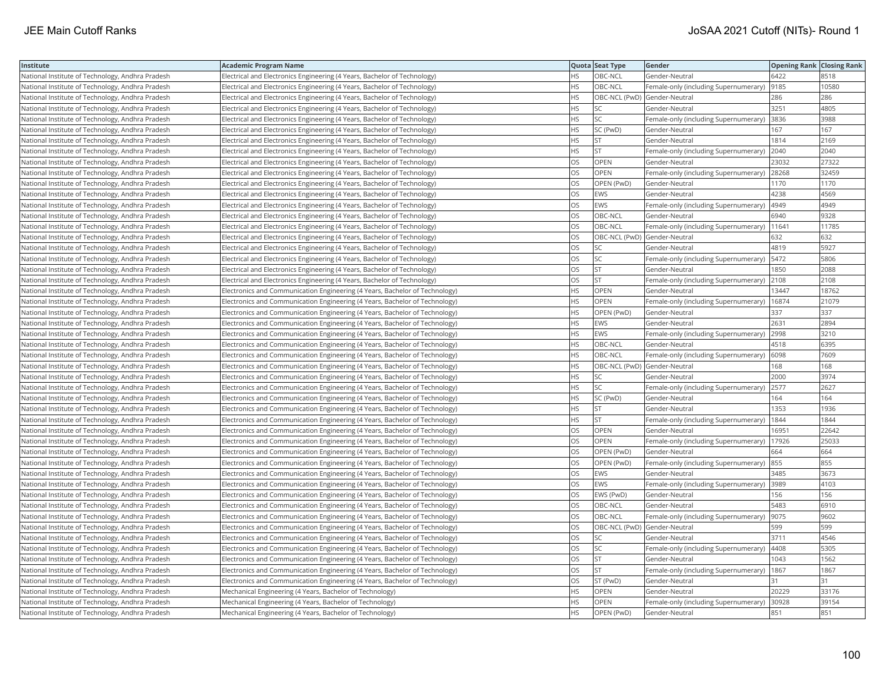| Institute                                        | Academic Program Name                                                       |           | Quota Seat Type              | Gender                                    | <b>Opening Rank   Closing Rank</b> |       |
|--------------------------------------------------|-----------------------------------------------------------------------------|-----------|------------------------------|-------------------------------------------|------------------------------------|-------|
| National Institute of Technology, Andhra Pradesh | Electrical and Electronics Engineering (4 Years, Bachelor of Technology)    | HS        | OBC-NCL                      | Gender-Neutral                            | 6422                               | 8518  |
| National Institute of Technology, Andhra Pradesh | Electrical and Electronics Engineering (4 Years, Bachelor of Technology)    | <b>HS</b> | OBC-NCL                      | Female-only (including Supernumerary)     | 9185                               | 10580 |
| National Institute of Technology, Andhra Pradesh | Electrical and Electronics Engineering (4 Years, Bachelor of Technology)    | <b>HS</b> | OBC-NCL (PwD) Gender-Neutral |                                           | 286                                | 286   |
| National Institute of Technology, Andhra Pradesh | Electrical and Electronics Engineering (4 Years, Bachelor of Technology)    | HS.       | SC                           | Gender-Neutral                            | 3251                               | 4805  |
| National Institute of Technology, Andhra Pradesh | Electrical and Electronics Engineering (4 Years, Bachelor of Technology)    | HS.       | <b>SC</b>                    | Female-only (including Supernumerary)     | 3836                               | 3988  |
| National Institute of Technology, Andhra Pradesh | Electrical and Electronics Engineering (4 Years, Bachelor of Technology)    | HS.       | SC (PwD)                     | Gender-Neutral                            | 167                                | 167   |
| National Institute of Technology, Andhra Pradesh | Electrical and Electronics Engineering (4 Years, Bachelor of Technology)    | HS        | <b>ST</b>                    | Gender-Neutral                            | 1814                               | 2169  |
| National Institute of Technology, Andhra Pradesh | Electrical and Electronics Engineering (4 Years, Bachelor of Technology)    | HS.       | <b>ST</b>                    | Female-only (including Supernumerary)     | 2040                               | 2040  |
| National Institute of Technology, Andhra Pradesh | [Electrical and Electronics Engineering (4 Years, Bachelor of Technology)   | OS        | OPEN                         | Gender-Neutral                            | 23032                              | 27322 |
| National Institute of Technology, Andhra Pradesh | Electrical and Electronics Engineering (4 Years, Bachelor of Technology)    | OS        | OPEN                         | Female-only (including Supernumerary)     | 28268                              | 32459 |
| National Institute of Technology, Andhra Pradesh | Electrical and Electronics Engineering (4 Years, Bachelor of Technology)    | OS.       | OPEN (PwD)                   | Gender-Neutral                            | 1170                               | 1170  |
| National Institute of Technology, Andhra Pradesh | Electrical and Electronics Engineering (4 Years, Bachelor of Technology)    | OS        | EWS                          | Gender-Neutral                            | 4238                               | 4569  |
| National Institute of Technology, Andhra Pradesh | Electrical and Electronics Engineering (4 Years, Bachelor of Technology)    | OS.       | <b>EWS</b>                   | Female-only (including Supernumerary)     | 4949                               | 4949  |
| National Institute of Technology, Andhra Pradesh | Electrical and Electronics Engineering (4 Years, Bachelor of Technology)    | OS        | OBC-NCL                      | Gender-Neutral                            | 6940                               | 9328  |
| National Institute of Technology, Andhra Pradesh | Electrical and Electronics Engineering (4 Years, Bachelor of Technology)    | OS        | OBC-NCL                      | Female-only (including Supernumerary)     | 11641                              | 11785 |
| National Institute of Technology, Andhra Pradesh | Electrical and Electronics Engineering (4 Years, Bachelor of Technology)    | OS.       | OBC-NCL (PwD) Gender-Neutral |                                           | 632                                | 632   |
| National Institute of Technology, Andhra Pradesh | Electrical and Electronics Engineering (4 Years, Bachelor of Technology)    | OS        | SC                           | Gender-Neutral                            | 4819                               | 5927  |
| National Institute of Technology, Andhra Pradesh | Electrical and Electronics Engineering (4 Years, Bachelor of Technology)    | OS        | SC                           | Female-only (including Supernumerary)     | 5472                               | 5806  |
| National Institute of Technology, Andhra Pradesh | Electrical and Electronics Engineering (4 Years, Bachelor of Technology)    | OS.       | <b>ST</b>                    | Gender-Neutral                            | 1850                               | 2088  |
| National Institute of Technology, Andhra Pradesh | Electrical and Electronics Engineering (4 Years, Bachelor of Technology)    | OS        | <b>ST</b>                    | Female-only (including Supernumerary)     | 2108                               | 2108  |
| National Institute of Technology, Andhra Pradesh | Electronics and Communication Engineering (4 Years, Bachelor of Technology) | HS.       | OPEN                         | Gender-Neutral                            | 13447                              | 18762 |
| National Institute of Technology, Andhra Pradesh | Electronics and Communication Engineering (4 Years, Bachelor of Technology) | HS        | <b>OPEN</b>                  | Female-only (including Supernumerary)     | 16874                              | 21079 |
| National Institute of Technology, Andhra Pradesh | Electronics and Communication Engineering (4 Years, Bachelor of Technology) | HS        | OPEN (PwD)                   | Gender-Neutral                            | 337                                | 337   |
| National Institute of Technology, Andhra Pradesh | Electronics and Communication Engineering (4 Years, Bachelor of Technology) | HS        | EWS                          | Gender-Neutral                            | 2631                               | 2894  |
| National Institute of Technology, Andhra Pradesh | Electronics and Communication Engineering (4 Years, Bachelor of Technology) | HS.       | EWS                          | Female-only (including Supernumerary)     | 2998                               | 3210  |
| National Institute of Technology, Andhra Pradesh | Electronics and Communication Engineering (4 Years, Bachelor of Technology) | HS.       | OBC-NCL                      | Gender-Neutral                            | 4518                               | 6395  |
| National Institute of Technology, Andhra Pradesh | Electronics and Communication Engineering (4 Years, Bachelor of Technology) | HS.       | OBC-NCL                      | Female-only (including Supernumerary)     | 6098                               | 7609  |
| National Institute of Technology, Andhra Pradesh | Electronics and Communication Engineering (4 Years, Bachelor of Technology) | HS        | OBC-NCL (PwD) Gender-Neutral |                                           | 168                                | 168   |
| National Institute of Technology, Andhra Pradesh | Electronics and Communication Engineering (4 Years, Bachelor of Technology) | HS        | SC                           | Gender-Neutral                            | 2000                               | 3974  |
| National Institute of Technology, Andhra Pradesh | Electronics and Communication Engineering (4 Years, Bachelor of Technology) | HS        | SC                           | Female-only (including Supernumerary)     | 2577                               | 2627  |
| National Institute of Technology, Andhra Pradesh | Electronics and Communication Engineering (4 Years, Bachelor of Technology) | HS        | SC (PwD)                     | Gender-Neutral                            | 164                                | 164   |
| National Institute of Technology, Andhra Pradesh | Electronics and Communication Engineering (4 Years, Bachelor of Technology) | ΗS        | <b>ST</b>                    | Gender-Neutral                            | 1353                               | 1936  |
| National Institute of Technology, Andhra Pradesh | Electronics and Communication Engineering (4 Years, Bachelor of Technology) | HS.       | <b>ST</b>                    | Female-only (including Supernumerary)     | 1844                               | 1844  |
| National Institute of Technology, Andhra Pradesh | Electronics and Communication Engineering (4 Years, Bachelor of Technology) | OS        | OPEN                         | Gender-Neutral                            | 16951                              | 22642 |
| National Institute of Technology, Andhra Pradesh | Electronics and Communication Engineering (4 Years, Bachelor of Technology) | OS.       | OPEN                         | Female-only (including Supernumerary)     | 17926                              | 25033 |
| National Institute of Technology, Andhra Pradesh | Electronics and Communication Engineering (4 Years, Bachelor of Technology) | OS        | OPEN (PwD)                   | Gender-Neutral                            | 664                                | 664   |
| National Institute of Technology, Andhra Pradesh | Electronics and Communication Engineering (4 Years, Bachelor of Technology) | OS        | OPEN (PwD)                   | Female-only (including Supernumerary) 855 |                                    | 855   |
| National Institute of Technology, Andhra Pradesh | Electronics and Communication Engineering (4 Years, Bachelor of Technology) | OS        | <b>EWS</b>                   | Gender-Neutral                            | 3485                               | 3673  |
| National Institute of Technology, Andhra Pradesh | Electronics and Communication Engineering (4 Years, Bachelor of Technology) | OS.       | <b>EWS</b>                   | Female-only (including Supernumerary)     | 3989                               | 4103  |
| National Institute of Technology, Andhra Pradesh | Electronics and Communication Engineering (4 Years, Bachelor of Technology) | OS        | EWS (PwD)                    | Gender-Neutral                            | 156                                | 156   |
| National Institute of Technology, Andhra Pradesh | Electronics and Communication Engineering (4 Years, Bachelor of Technology) | OS        | OBC-NCL                      | Gender-Neutral                            | 5483                               | 6910  |
| National Institute of Technology, Andhra Pradesh | Electronics and Communication Engineering (4 Years, Bachelor of Technology) | OS        | OBC-NCL                      | Female-only (including Supernumerary)     | 9075                               | 9602  |
| National Institute of Technology, Andhra Pradesh | Electronics and Communication Engineering (4 Years, Bachelor of Technology) | OS        | OBC-NCL (PwD) Gender-Neutral |                                           | 599                                | 599   |
| National Institute of Technology, Andhra Pradesh | Electronics and Communication Engineering (4 Years, Bachelor of Technology) | OS        | <b>SC</b>                    | Gender-Neutral                            | 3711                               | 4546  |
| National Institute of Technology, Andhra Pradesh | Electronics and Communication Engineering (4 Years, Bachelor of Technology) | OS        | SC                           | Female-only (including Supernumerary)     | 4408                               | 5305  |
| National Institute of Technology, Andhra Pradesh | Electronics and Communication Engineering (4 Years, Bachelor of Technology) | OS        | <b>ST</b>                    | Gender-Neutral                            | 043                                | 1562  |
| National Institute of Technology, Andhra Pradesh | Electronics and Communication Engineering (4 Years, Bachelor of Technology) | OS.       | <b>ST</b>                    | Female-only (including Supernumerary)     | 1867                               | 1867  |
| National Institute of Technology, Andhra Pradesh | Electronics and Communication Engineering (4 Years, Bachelor of Technology) | OS        | ST (PwD)                     | Gender-Neutral                            | 31                                 | 31    |
| National Institute of Technology, Andhra Pradesh | Mechanical Engineering (4 Years, Bachelor of Technology)                    | HS        | OPEN                         | Gender-Neutral                            | 20229                              | 33176 |
| National Institute of Technology, Andhra Pradesh | Mechanical Engineering (4 Years, Bachelor of Technology)                    | HS.       | OPEN                         | Female-only (including Supernumerary)     | 30928                              | 39154 |
| National Institute of Technology, Andhra Pradesh | Mechanical Engineering (4 Years, Bachelor of Technology)                    | <b>HS</b> | OPEN (PwD)                   | Gender-Neutral                            | 851                                | 851   |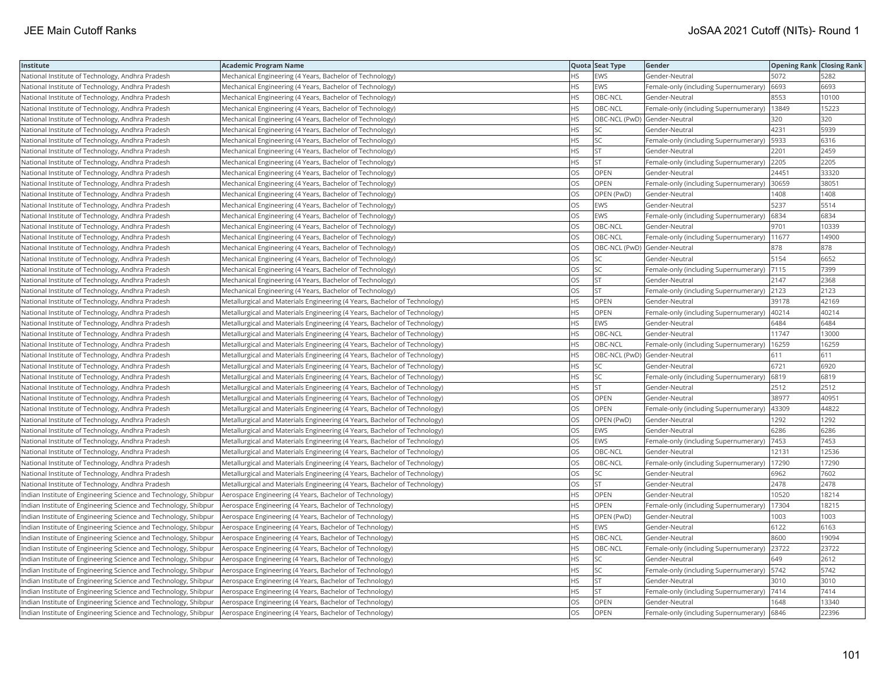| Institute                                                       | Academic Program Name                                                     |     | Quota Seat Type              | Gender                                        | <b>Opening Rank Closing Rank</b> |       |
|-----------------------------------------------------------------|---------------------------------------------------------------------------|-----|------------------------------|-----------------------------------------------|----------------------------------|-------|
| National Institute of Technology, Andhra Pradesh                | Mechanical Engineering (4 Years, Bachelor of Technology)                  | HS. | EWS                          | Gender-Neutral                                | 5072                             | 5282  |
| National Institute of Technology, Andhra Pradesh                | Mechanical Engineering (4 Years, Bachelor of Technology)                  | HS. | <b>EWS</b>                   | Female-only (including Supernumerary)         | 6693                             | 6693  |
| National Institute of Technology, Andhra Pradesh                | Mechanical Engineering (4 Years, Bachelor of Technology)                  | HS. | OBC-NCL                      | Gender-Neutral                                | 8553                             | 10100 |
| National Institute of Technology, Andhra Pradesh                | Mechanical Engineering (4 Years, Bachelor of Technology)                  | HS. | OBC-NCL                      | Female-only (including Supernumerary)         | 13849                            | 15223 |
| National Institute of Technology, Andhra Pradesh                | Mechanical Engineering (4 Years, Bachelor of Technology)                  | HS  | OBC-NCL (PwD) Gender-Neutral |                                               | 320                              | 320   |
| National Institute of Technology, Andhra Pradesh                | Mechanical Engineering (4 Years, Bachelor of Technology)                  | HS  | SC                           | Gender-Neutral                                | 4231                             | 5939  |
| National Institute of Technology, Andhra Pradesh                | Mechanical Engineering (4 Years, Bachelor of Technology)                  | HS  | SC                           | Female-only (including Supernumerary)   5933  |                                  | 6316  |
| National Institute of Technology, Andhra Pradesh                | Mechanical Engineering (4 Years, Bachelor of Technology)                  | HS  | <b>ST</b>                    | Gender-Neutral                                | 2201                             | 2459  |
| National Institute of Technology, Andhra Pradesh                | Mechanical Engineering (4 Years, Bachelor of Technology)                  | HS  | <b>ST</b>                    | Female-only (including Supernumerary)         | 2205                             | 2205  |
| National Institute of Technology, Andhra Pradesh                | Mechanical Engineering (4 Years, Bachelor of Technology)                  | OS. | <b>OPEN</b>                  | Gender-Neutral                                | 24451                            | 33320 |
| National Institute of Technology, Andhra Pradesh                | Mechanical Engineering (4 Years, Bachelor of Technology)                  | OS  | OPEN                         | Female-only (including Supernumerary)         | 30659                            | 3805  |
| National Institute of Technology, Andhra Pradesh                | Mechanical Engineering (4 Years, Bachelor of Technology)                  | OS  | OPEN (PwD)                   | Gender-Neutral                                | 1408                             | 1408  |
| National Institute of Technology, Andhra Pradesh                | Mechanical Engineering (4 Years, Bachelor of Technology)                  | OS. | <b>EWS</b>                   | Gender-Neutral                                | 5237                             | 5514  |
| National Institute of Technology, Andhra Pradesh                | Mechanical Engineering (4 Years, Bachelor of Technology)                  | OS  | EWS                          | Female-only (including Supernumerary)         | 6834                             | 6834  |
| National Institute of Technology, Andhra Pradesh                | Mechanical Engineering (4 Years, Bachelor of Technology)                  | OS  | OBC-NCL                      | Gender-Neutral                                | 9701                             | 10339 |
| National Institute of Technology, Andhra Pradesh                | Mechanical Engineering (4 Years, Bachelor of Technology)                  | OS  | OBC-NCL                      | Female-only (including Supernumerary)   11677 |                                  | 14900 |
| National Institute of Technology, Andhra Pradesh                | Mechanical Engineering (4 Years, Bachelor of Technology)                  | OS  | OBC-NCL (PwD) Gender-Neutral |                                               | 878                              | 878   |
| National Institute of Technology, Andhra Pradesh                | Mechanical Engineering (4 Years, Bachelor of Technology)                  | OS  | SC                           | Gender-Neutral                                | 5154                             | 6652  |
| National Institute of Technology, Andhra Pradesh                | Mechanical Engineering (4 Years, Bachelor of Technology)                  | OS  | SC                           | Female-only (including Supernumerary)  7115   |                                  | 7399  |
| National Institute of Technology, Andhra Pradesh                | Mechanical Engineering (4 Years, Bachelor of Technology)                  | OS  | <b>ST</b>                    | Gender-Neutral                                | 2147                             | 2368  |
| National Institute of Technology, Andhra Pradesh                | Mechanical Engineering (4 Years, Bachelor of Technology)                  | OS. | <b>ST</b>                    | Female-only (including Supernumerary) 2123    |                                  | 2123  |
| National Institute of Technology, Andhra Pradesh                | Metallurgical and Materials Engineering (4 Years, Bachelor of Technology) | HS  | <b>OPEN</b>                  | Gender-Neutral                                | 39178                            | 42169 |
| National Institute of Technology, Andhra Pradesh                | Metallurgical and Materials Engineering (4 Years, Bachelor of Technology) | HS  | OPEN                         | Female-only (including Supernumerary)         | 40214                            | 40214 |
| National Institute of Technology, Andhra Pradesh                | Metallurgical and Materials Engineering (4 Years, Bachelor of Technology) | HS. | EWS                          | Gender-Neutral                                | 6484                             | 6484  |
| National Institute of Technology, Andhra Pradesh                | Metallurgical and Materials Engineering (4 Years, Bachelor of Technology) | HS  | OBC-NCL                      | Gender-Neutral                                | 11747                            | 13000 |
| National Institute of Technology, Andhra Pradesh                | Metallurgical and Materials Engineering (4 Years, Bachelor of Technology) | HS  | OBC-NCL                      | Female-only (including Supernumerary)         | 16259                            | 16259 |
| National Institute of Technology, Andhra Pradesh                | Metallurgical and Materials Engineering (4 Years, Bachelor of Technology) | НS  | OBC-NCL (PwD) Gender-Neutral |                                               | 611                              | 611   |
| National Institute of Technology, Andhra Pradesh                | Metallurgical and Materials Engineering (4 Years, Bachelor of Technology) | HS. | SC                           | Gender-Neutral                                | 6721                             | 6920  |
| National Institute of Technology, Andhra Pradesh                | Metallurgical and Materials Engineering (4 Years, Bachelor of Technology) | HS  | <b>SC</b>                    | Female-only (including Supernumerary)         | 6819                             | 6819  |
| National Institute of Technology, Andhra Pradesh                | Metallurgical and Materials Engineering (4 Years, Bachelor of Technology) | HS  | <b>ST</b>                    | Gender-Neutral                                | 2512                             | 2512  |
| National Institute of Technology, Andhra Pradesh                | Metallurgical and Materials Engineering (4 Years, Bachelor of Technology) | OS  | OPEN                         | Gender-Neutral                                | 38977                            | 40951 |
| National Institute of Technology, Andhra Pradesh                | Metallurgical and Materials Engineering (4 Years, Bachelor of Technology) | OS  | OPEN                         | Female-only (including Supernumerary)         | 43309                            | 44822 |
| National Institute of Technology, Andhra Pradesh                | Metallurgical and Materials Engineering (4 Years, Bachelor of Technology) | OS  | OPEN (PwD)                   | Gender-Neutral                                | 1292                             | 1292  |
| National Institute of Technology, Andhra Pradesh                | Metallurgical and Materials Engineering (4 Years, Bachelor of Technology) | OS  | EWS                          | Gender-Neutral                                | 6286                             | 6286  |
| National Institute of Technology, Andhra Pradesh                | Metallurgical and Materials Engineering (4 Years, Bachelor of Technology) | OS  | EWS                          | Female-only (including Supernumerary)         | 7453                             | 7453  |
| National Institute of Technology, Andhra Pradesh                | Metallurgical and Materials Engineering (4 Years, Bachelor of Technology) | OS  | OBC-NCL                      | Gender-Neutral                                | 12131                            | 12536 |
| National Institute of Technology, Andhra Pradesh                | Metallurgical and Materials Engineering (4 Years, Bachelor of Technology) | OS. | OBC-NCL                      | Female-only (including Supernumerary)         | 17290                            | 17290 |
| National Institute of Technology, Andhra Pradesh                | Metallurgical and Materials Engineering (4 Years, Bachelor of Technology) | OS. | <b>SC</b>                    | Gender-Neutral                                | 6962                             | 7602  |
| National Institute of Technology, Andhra Pradesh                | Metallurgical and Materials Engineering (4 Years, Bachelor of Technology) | OS  | <b>ST</b>                    | Gender-Neutral                                | 2478                             | 2478  |
| Indian Institute of Engineering Science and Technology, Shibpur | Aerospace Engineering (4 Years, Bachelor of Technology)                   | HS. | OPEN                         | Gender-Neutral                                | 10520                            | 18214 |
| Indian Institute of Engineering Science and Technology, Shibpur | Aerospace Engineering (4 Years, Bachelor of Technology)                   | HS  | OPEN                         | Female-only (including Supernumerary)         | 17304                            | 18215 |
| Indian Institute of Engineering Science and Technology, Shibpur | Aerospace Engineering (4 Years, Bachelor of Technology)                   | HS  | OPEN (PwD)                   | Gender-Neutral                                | 1003                             | 1003  |
| Indian Institute of Engineering Science and Technology, Shibpur | Aerospace Engineering (4 Years, Bachelor of Technology)                   | HS  | EWS                          | Gender-Neutral                                | 6122                             | 6163  |
| Indian Institute of Engineering Science and Technology, Shibpur | Aerospace Engineering (4 Years, Bachelor of Technology)                   | HS. | OBC-NCL                      | Gender-Neutral                                | 8600                             | 19094 |
| Indian Institute of Engineering Science and Technology, Shibpur | Aerospace Engineering (4 Years, Bachelor of Technology)                   | HS. | OBC-NCL                      | Female-only (including Supernumerary)         | 23722                            | 23722 |
| Indian Institute of Engineering Science and Technology, Shibpur | Aerospace Engineering (4 Years, Bachelor of Technology)                   | HS. | <b>SC</b>                    | Gender-Neutral                                | 649                              | 2612  |
| Indian Institute of Engineering Science and Technology, Shibpur | Aerospace Engineering (4 Years, Bachelor of Technology)                   | HS  | SC                           | Female-only (including Supernumerary)   5742  |                                  | 5742  |
| Indian Institute of Engineering Science and Technology, Shibpur | Aerospace Engineering (4 Years, Bachelor of Technology)                   | HS  | <b>ST</b>                    | Gender-Neutral                                | 3010                             | 3010  |
| Indian Institute of Engineering Science and Technology, Shibpur | Aerospace Engineering (4 Years, Bachelor of Technology)                   | НS  | <b>ST</b>                    | Female-only (including Supernumerary)  7414   |                                  | 7414  |
| Indian Institute of Engineering Science and Technology, Shibpur | Aerospace Engineering (4 Years, Bachelor of Technology)                   | OS  | OPEN                         | Gender-Neutral                                | 1648                             | 13340 |
| Indian Institute of Engineering Science and Technology, Shibpur | Aerospace Engineering (4 Years, Bachelor of Technology)                   | OS. | OPEN                         | Female-only (including Supernumerary)         | 6846                             | 22396 |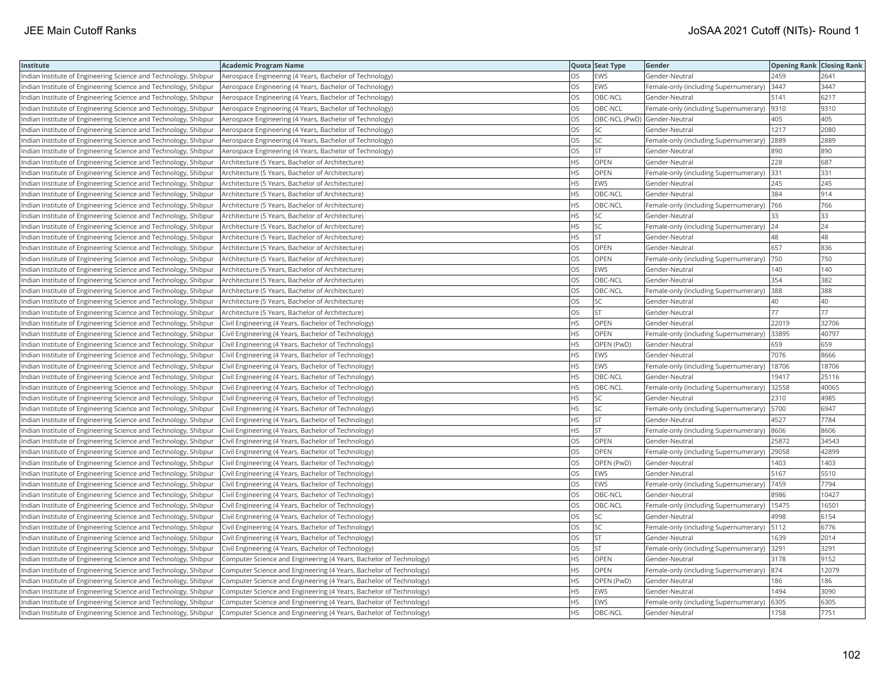| Institute                                                       | <b>Academic Program Name</b>                                       |           | Quota Seat Type              | Gender                                      | <b>Opening Rank Closing Rank</b> |       |
|-----------------------------------------------------------------|--------------------------------------------------------------------|-----------|------------------------------|---------------------------------------------|----------------------------------|-------|
| Indian Institute of Engineering Science and Technology, Shibpur | Aerospace Engineering (4 Years, Bachelor of Technology)            | OS        | EWS                          | Gender-Neutral                              | 2459                             | 2641  |
| Indian Institute of Engineering Science and Technology, Shibpur | Aerospace Engineering (4 Years, Bachelor of Technology)            | OS        | EWS                          | Female-only (including Supernumerary)       | 3447                             | 3447  |
| Indian Institute of Engineering Science and Technology, Shibpur | Aerospace Engineering (4 Years, Bachelor of Technology)            | OS        | OBC-NCL                      | Gender-Neutral                              | 5141                             | 6217  |
| ndian Institute of Engineering Science and Technology, Shibpur  | Aerospace Engineering (4 Years, Bachelor of Technology)            | OS        | OBC-NCL                      | Female-only (including Supernumerary)  9310 |                                  | 9310  |
| Indian Institute of Engineering Science and Technology, Shibpur | Aerospace Engineering (4 Years, Bachelor of Technology)            | OS        | OBC-NCL (PwD) Gender-Neutral |                                             | 405                              | 405   |
| Indian Institute of Engineering Science and Technology, Shibpur | Aerospace Engineering (4 Years, Bachelor of Technology)            | OS        | SC                           | Gender-Neutral                              | 1217                             | 2080  |
| Indian Institute of Engineering Science and Technology, Shibpur | Aerospace Engineering (4 Years, Bachelor of Technology)            | OS.       | <b>SC</b>                    | Female-only (including Supernumerary)       | 2889                             | 2889  |
| Indian Institute of Engineering Science and Technology, Shibpur | Aerospace Engineering (4 Years, Bachelor of Technology)            | OS        | <b>ST</b>                    | Gender-Neutral                              | 890                              | 890   |
| Indian Institute of Engineering Science and Technology, Shibpur | Architecture (5 Years, Bachelor of Architecture)                   | <b>HS</b> | OPEN                         | Gender-Neutral                              | 228                              | 687   |
| Indian Institute of Engineering Science and Technology, Shibpur | Architecture (5 Years, Bachelor of Architecture)                   | <b>HS</b> | OPEN                         | Female-only (including Supernumerary)       | 331                              | 331   |
| Indian Institute of Engineering Science and Technology, Shibpur | Architecture (5 Years, Bachelor of Architecture)                   | <b>HS</b> | EWS                          | Gender-Neutral                              | 245                              | 245   |
| Indian Institute of Engineering Science and Technology, Shibpur | Architecture (5 Years, Bachelor of Architecture)                   | <b>HS</b> | OBC-NCL                      | Gender-Neutral                              | 384                              | 914   |
| Indian Institute of Engineering Science and Technology, Shibpur | Architecture (5 Years, Bachelor of Architecture)                   | <b>HS</b> | OBC-NCL                      | Female-only (including Supernumerary)       | 766                              | 766   |
| Indian Institute of Engineering Science and Technology, Shibpur | Architecture (5 Years, Bachelor of Architecture)                   | <b>HS</b> | SC.                          | Gender-Neutral                              | 33                               | 33    |
| Indian Institute of Engineering Science and Technology, Shibpur | Architecture (5 Years, Bachelor of Architecture)                   | <b>HS</b> | SC                           | Female-only (including Supernumerary)       | 24                               | 24    |
| ndian Institute of Engineering Science and Technology, Shibpur  | Architecture (5 Years, Bachelor of Architecture)                   | HS        | <b>ST</b>                    | Gender-Neutral                              | 48                               | 48    |
| Indian Institute of Engineering Science and Technology, Shibpur | Architecture (5 Years, Bachelor of Architecture)                   | OS        | OPEN                         | Gender-Neutral                              | 657                              | 836   |
| Indian Institute of Engineering Science and Technology, Shibpur | Architecture (5 Years, Bachelor of Architecture)                   | OS        | OPEN                         | Female-only (including Supernumerary)       | 750                              | 750   |
| Indian Institute of Engineering Science and Technology, Shibpur | Architecture (5 Years, Bachelor of Architecture)                   | OS        | EWS                          | Gender-Neutral                              | 140                              | 140   |
| Indian Institute of Engineering Science and Technology, Shibpur | Architecture (5 Years, Bachelor of Architecture)                   | <b>OS</b> | OBC-NCL                      | Gender-Neutral                              | 354                              | 382   |
| Indian Institute of Engineering Science and Technology, Shibpur | Architecture (5 Years, Bachelor of Architecture)                   | OS        | OBC-NCL                      | Female-only (including Supernumerary)       | 388                              | 388   |
| Indian Institute of Engineering Science and Technology, Shibpur | Architecture (5 Years, Bachelor of Architecture)                   | OS        | SC                           | Gender-Neutral                              | 40                               | 40    |
| Indian Institute of Engineering Science and Technology, Shibpur | Architecture (5 Years, Bachelor of Architecture)                   | OS.       | lst                          | Gender-Neutral                              | 77                               | 77    |
| Indian Institute of Engineering Science and Technology, Shibpur | Civil Engineering (4 Years, Bachelor of Technology)                | <b>HS</b> | OPEN                         | Gender-Neutral                              | 22019                            | 32706 |
| Indian Institute of Engineering Science and Technology, Shibpur | Civil Engineering (4 Years, Bachelor of Technology)                | <b>HS</b> | OPEN                         | Female-only (including Supernumerary)       | 33895                            | 40797 |
| Indian Institute of Engineering Science and Technology, Shibpur | Civil Engineering (4 Years, Bachelor of Technology)                | <b>HS</b> | OPEN (PwD)                   | Gender-Neutral                              | 659                              | 659   |
| Indian Institute of Engineering Science and Technology, Shibpur | Civil Engineering (4 Years, Bachelor of Technology)                | <b>HS</b> | EWS                          | Gender-Neutral                              | 7076                             | 8666  |
| Indian Institute of Engineering Science and Technology, Shibpur | Civil Engineering (4 Years, Bachelor of Technology)                | <b>HS</b> | EWS                          | Female-only (including Supernumerary)       | 18706                            | 18706 |
| Indian Institute of Engineering Science and Technology, Shibpur | Civil Engineering (4 Years, Bachelor of Technology)                | <b>HS</b> | OBC-NCL                      | Gender-Neutral                              | 19417                            | 25116 |
| Indian Institute of Engineering Science and Technology, Shibpur | Civil Engineering (4 Years, Bachelor of Technology)                | <b>HS</b> | OBC-NCL                      | Female-only (including Supernumerary)       | 32558                            | 40065 |
| Indian Institute of Engineering Science and Technology, Shibpur | Civil Engineering (4 Years, Bachelor of Technology)                | <b>HS</b> | SC                           | Gender-Neutral                              | 2310                             | 4985  |
| ndian Institute of Engineering Science and Technology, Shibpur  | Civil Engineering (4 Years, Bachelor of Technology)                | HS        | SC                           | Female-only (including Supernumerary)       | 5700                             | 6947  |
| Indian Institute of Engineering Science and Technology, Shibpur | Civil Engineering (4 Years, Bachelor of Technology)                | <b>HS</b> | <b>ST</b>                    | Gender-Neutral                              | 4527                             | 7784  |
| Indian Institute of Engineering Science and Technology, Shibpur | Civil Engineering (4 Years, Bachelor of Technology)                | <b>HS</b> | lst                          | Female-only (including Supernumerary)       | 8606                             | 8606  |
| Indian Institute of Engineering Science and Technology, Shibpur | Civil Engineering (4 Years, Bachelor of Technology)                | <b>OS</b> | OPEN                         | Gender-Neutral                              | 25872                            | 34543 |
| Indian Institute of Engineering Science and Technology, Shibpur | Civil Engineering (4 Years, Bachelor of Technology)                | <b>OS</b> | <b>OPEN</b>                  | Female-only (including Supernumerary)       | 29058                            | 42899 |
| Indian Institute of Engineering Science and Technology, Shibpur | Civil Engineering (4 Years, Bachelor of Technology)                | OS        | OPEN (PwD)                   | Gender-Neutral                              | 1403                             | 1403  |
| Indian Institute of Engineering Science and Technology, Shibpur | Civil Engineering (4 Years, Bachelor of Technology)                | OS        | EWS                          | Gender-Neutral                              | 5167                             | 5510  |
| Indian Institute of Engineering Science and Technology, Shibpur | Civil Engineering (4 Years, Bachelor of Technology)                | <b>OS</b> | EWS                          | Female-only (including Supernumerary)       | 7459                             | 7794  |
| Indian Institute of Engineering Science and Technology, Shibpur | Civil Engineering (4 Years, Bachelor of Technology)                | OS        | OBC-NCL                      | Gender-Neutral                              | 8986                             | 10427 |
| Indian Institute of Engineering Science and Technology, Shibpur | Civil Engineering (4 Years, Bachelor of Technology)                | OS        | OBC-NCL                      | Female-only (including Supernumerary)       | 15475                            | 16501 |
| Indian Institute of Engineering Science and Technology, Shibpur | Civil Engineering (4 Years, Bachelor of Technology)                | OS        | <b>SC</b>                    | Gender-Neutral                              | 4998                             | 6154  |
| Indian Institute of Engineering Science and Technology, Shibpur | Civil Engineering (4 Years, Bachelor of Technology)                | OS        | <b>SC</b>                    | Female-only (including Supernumerary)       | 5112                             | 6776  |
| Indian Institute of Engineering Science and Technology, Shibpur | Civil Engineering (4 Years, Bachelor of Technology)                | OS        | lst                          | Gender-Neutral                              | 1639                             | 2014  |
| Indian Institute of Engineering Science and Technology, Shibpur | Civil Engineering (4 Years, Bachelor of Technology)                | OS        | <b>ST</b>                    | Female-only (including Supernumerary) 3291  |                                  | 3291  |
| Indian Institute of Engineering Science and Technology, Shibpur | Computer Science and Engineering (4 Years, Bachelor of Technology) | <b>HS</b> | OPEN                         | Gender-Neutral                              | 3178                             | 9152  |
| Indian Institute of Engineering Science and Technology, Shibpur | Computer Science and Engineering (4 Years, Bachelor of Technology) | <b>HS</b> | <b>OPEN</b>                  | Female-only (including Supernumerary)       | 874                              | 12079 |
| Indian Institute of Engineering Science and Technology, Shibpur | Computer Science and Engineering (4 Years, Bachelor of Technology) | HS        | OPEN (PwD)                   | Gender-Neutral                              | 186                              | 186   |
| Indian Institute of Engineering Science and Technology, Shibpur | Computer Science and Engineering (4 Years, Bachelor of Technology) | <b>HS</b> | <b>EWS</b>                   | Gender-Neutral                              | 1494                             | 3090  |
| Indian Institute of Engineering Science and Technology, Shibpur | Computer Science and Engineering (4 Years, Bachelor of Technology) | <b>HS</b> | EWS                          | Female-only (including Supernumerary)       | 6305                             | 6305  |
| Indian Institute of Engineering Science and Technology, Shibpur | Computer Science and Engineering (4 Years, Bachelor of Technology) | <b>HS</b> | OBC-NCL                      | Gender-Neutral                              | 1758                             | 7751  |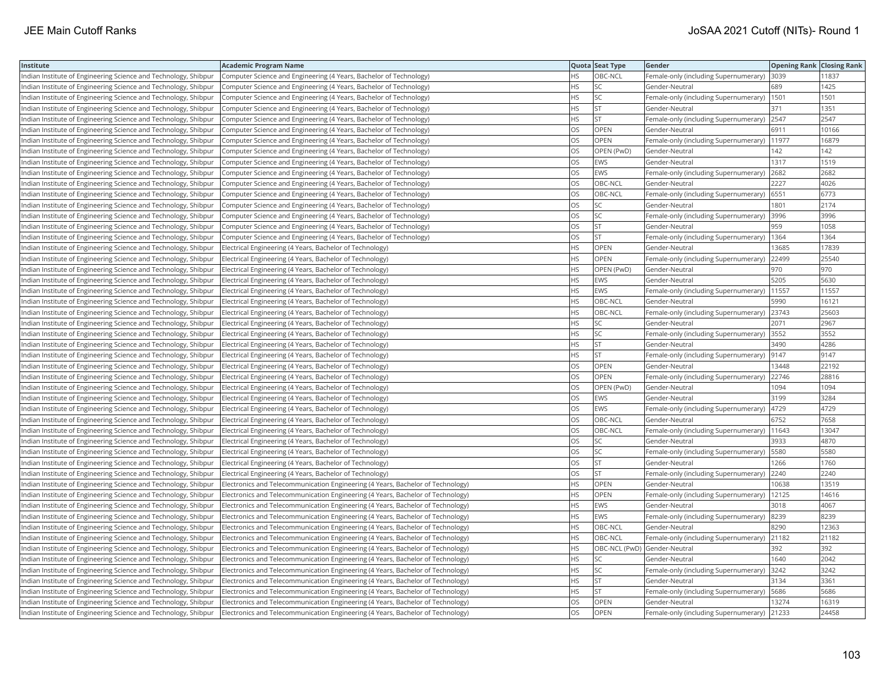| Academic Program Name<br>Institute                                                                                           |                                                                                 |           | Quota Seat Type              | Gender                                        | <b>Opening Rank Closing Rank</b> |       |
|------------------------------------------------------------------------------------------------------------------------------|---------------------------------------------------------------------------------|-----------|------------------------------|-----------------------------------------------|----------------------------------|-------|
| Indian Institute of Engineering Science and Technology, Shibpur                                                              | Computer Science and Engineering (4 Years, Bachelor of Technology)              | HS.       | OBC-NCL                      | Female-only (including Supernumerary) 3039    |                                  | 11837 |
| Indian Institute of Engineering Science and Technology, Shibpur                                                              | Computer Science and Engineering (4 Years, Bachelor of Technology)              | HS.       | SC                           | Gender-Neutral                                | 689                              | 1425  |
| Indian Institute of Engineering Science and Technology, Shibpur                                                              | Computer Science and Engineering (4 Years, Bachelor of Technology)              | HS.       | SC                           | Female-only (including Supernumerary)  1501   |                                  | 1501  |
| Indian Institute of Engineering Science and Technology, Shibpur                                                              | Computer Science and Engineering (4 Years, Bachelor of Technology)              | HS.       | <b>ST</b>                    | Gender-Neutral                                | 371                              | 1351  |
| Indian Institute of Engineering Science and Technology, Shibpur                                                              | Computer Science and Engineering (4 Years, Bachelor of Technology)              | HS.       | <b>ST</b>                    | Female-only (including Supernumerary) 2547    |                                  | 2547  |
| Indian Institute of Engineering Science and Technology, Shibpur                                                              | Computer Science and Engineering (4 Years, Bachelor of Technology)              | OS        | <b>OPEN</b>                  | Gender-Neutral                                | 6911                             | 10166 |
| Indian Institute of Engineering Science and Technology, Shibpur                                                              | Computer Science and Engineering (4 Years, Bachelor of Technology)              | OS        | OPEN                         | Female-only (including Supernumerary)  11977  |                                  | 16879 |
| Indian Institute of Engineering Science and Technology, Shibpur                                                              | Computer Science and Engineering (4 Years, Bachelor of Technology)              | OS.       | OPEN (PwD)                   | Gender-Neutral                                | 142                              | 142   |
| Indian Institute of Engineering Science and Technology, Shibpur                                                              | Computer Science and Engineering (4 Years, Bachelor of Technology)              | OS        | <b>EWS</b>                   | Gender-Neutral                                | 1317                             | 1519  |
| Indian Institute of Engineering Science and Technology, Shibpur                                                              | Computer Science and Engineering (4 Years, Bachelor of Technology)              | OS.       | <b>EWS</b>                   | Female-only (including Supernumerary)         | 2682                             | 2682  |
| Indian Institute of Engineering Science and Technology, Shibpur                                                              | Computer Science and Engineering (4 Years, Bachelor of Technology)              | OS        | OBC-NCL                      | Gender-Neutral                                | 2227                             | 4026  |
| Indian Institute of Engineering Science and Technology, Shibpur                                                              | Computer Science and Engineering (4 Years, Bachelor of Technology)              | OS        | OBC-NCL                      | Female-only (including Supernumerary)         | 6551                             | 6773  |
| Indian Institute of Engineering Science and Technology, Shibpur                                                              | Computer Science and Engineering (4 Years, Bachelor of Technology)              | OS.       | <b>SC</b>                    | Gender-Neutral                                | 1801                             | 2174  |
| Indian Institute of Engineering Science and Technology, Shibpur                                                              | Computer Science and Engineering (4 Years, Bachelor of Technology)              | OS        | SC                           | Female-only (including Supernumerary)  3996   |                                  | 3996  |
| Indian Institute of Engineering Science and Technology, Shibpur                                                              | Computer Science and Engineering (4 Years, Bachelor of Technology)              | OS        | <b>ST</b>                    | Gender-Neutral                                | 959                              | 1058  |
| Indian Institute of Engineering Science and Technology, Shibpur                                                              | Computer Science and Engineering (4 Years, Bachelor of Technology)              | OS        | <b>ST</b>                    | Female-only (including Supernumerary)   1364  |                                  | 1364  |
| Indian Institute of Engineering Science and Technology, Shibpur<br>Electrical Engineering (4 Years, Bachelor of Technology)  |                                                                                 | HS        | OPEN                         | Gender-Neutral                                | 13685                            | 17839 |
| Indian Institute of Engineering Science and Technology, Shibpur<br>Electrical Engineering (4 Years, Bachelor of Technology)  |                                                                                 | HS        | OPEN                         | Female-only (including Supernumerary)         | 22499                            | 25540 |
| Indian Institute of Engineering Science and Technology, Shibpur<br>Electrical Engineering (4 Years, Bachelor of Technology)  |                                                                                 | HS        | OPEN (PwD)                   | Gender-Neutral                                | 970                              | 970   |
| Indian Institute of Engineering Science and Technology, Shibpur<br> Electrical Engineering (4 Years, Bachelor of Technology) |                                                                                 | HS.       | EWS                          | Gender-Neutral                                | 5205                             | 5630  |
| Indian Institute of Engineering Science and Technology, Shibpur<br>Electrical Engineering (4 Years, Bachelor of Technology)  |                                                                                 | <b>HS</b> | <b>EWS</b>                   | Female-only (including Supernumerary)   11557 |                                  | 11557 |
| Indian Institute of Engineering Science and Technology, Shibpur<br>Electrical Engineering (4 Years, Bachelor of Technology)  |                                                                                 | HS        | OBC-NCL                      | Gender-Neutral                                | 5990                             | 16121 |
| Indian Institute of Engineering Science and Technology, Shibpur<br>Electrical Engineering (4 Years, Bachelor of Technology)  |                                                                                 | HS.       | OBC-NCL                      | Female-only (including Supernumerary) 23743   |                                  | 25603 |
| Indian Institute of Engineering Science and Technology, Shibpur<br>Electrical Engineering (4 Years, Bachelor of Technology)  |                                                                                 | HS.       | SC                           | Gender-Neutral                                | 2071                             | 2967  |
| Indian Institute of Engineering Science and Technology, Shibpur<br>Electrical Engineering (4 Years, Bachelor of Technology)  |                                                                                 | HS        | <b>SC</b>                    | Female-only (including Supernumerary) 3552    |                                  | 3552  |
| Indian Institute of Engineering Science and Technology, Shibpur<br>Electrical Engineering (4 Years, Bachelor of Technology)  |                                                                                 | HS        | <b>ST</b>                    | Gender-Neutral                                | 3490                             | 4286  |
| Indian Institute of Engineering Science and Technology, Shibpur<br>Electrical Engineering (4 Years, Bachelor of Technology)  |                                                                                 | HS.       | <b>ST</b>                    | Female-only (including Supernumerary)         | 9147                             | 9147  |
| Indian Institute of Engineering Science and Technology, Shibpur<br>Electrical Engineering (4 Years, Bachelor of Technology)  |                                                                                 | OS        | OPEN                         | Gender-Neutral                                | 13448                            | 22192 |
| Indian Institute of Engineering Science and Technology, Shibpur<br>Electrical Engineering (4 Years, Bachelor of Technology)  |                                                                                 | OS.       | <b>OPEN</b>                  | Female-only (including Supernumerary)         | 22746                            | 28816 |
| Indian Institute of Engineering Science and Technology, Shibpur<br>Electrical Engineering (4 Years, Bachelor of Technology)  |                                                                                 | OS        | OPEN (PwD)                   | Gender-Neutral                                | 1094                             | 1094  |
| Indian Institute of Engineering Science and Technology, Shibpur<br>Electrical Engineering (4 Years, Bachelor of Technology)  |                                                                                 | OS        | EWS                          | Gender-Neutral                                | 3199                             | 3284  |
| Indian Institute of Engineering Science and Technology, Shibpur<br>Electrical Engineering (4 Years, Bachelor of Technology)  |                                                                                 | OS        | EWS                          | Female-only (including Supernumerary)   4729  |                                  | 4729  |
| Indian Institute of Engineering Science and Technology, Shibpur<br>Electrical Engineering (4 Years, Bachelor of Technology)  |                                                                                 | OS.       | OBC-NCL                      | Gender-Neutral                                | 6752                             | 7658  |
| Indian Institute of Engineering Science and Technology, Shibpur<br>Electrical Engineering (4 Years, Bachelor of Technology)  |                                                                                 | OS        | OBC-NCL                      | Female-only (including Supernumerary)         | 11643                            | 13047 |
| Indian Institute of Engineering Science and Technology, Shibpur<br>Electrical Engineering (4 Years, Bachelor of Technology)  |                                                                                 | OS        | <b>SC</b>                    | Gender-Neutral                                | 3933                             | 4870  |
| Indian Institute of Engineering Science and Technology, Shibpur<br> Electrical Engineering (4 Years, Bachelor of Technology) |                                                                                 | OS        | SC                           | Female-only (including Supernumerary)         | 5580                             | 5580  |
| Indian Institute of Engineering Science and Technology, Shibpur<br>Electrical Engineering (4 Years, Bachelor of Technology)  |                                                                                 | OS.       | <b>ST</b>                    | Gender-Neutral                                | 1266                             | 1760  |
| Indian Institute of Engineering Science and Technology, Shibpur<br>Electrical Engineering (4 Years, Bachelor of Technology)  |                                                                                 | OS.       | lst                          | Female-only (including Supernumerary)         | 2240                             | 2240  |
| Indian Institute of Engineering Science and Technology, Shibpur                                                              | Electronics and Telecommunication Engineering (4 Years, Bachelor of Technology) | HS.       | <b>OPEN</b>                  | Gender-Neutral                                | 10638                            | 13519 |
| Indian Institute of Engineering Science and Technology, Shibpur                                                              | Electronics and Telecommunication Engineering (4 Years, Bachelor of Technology) | HS.       | <b>OPEN</b>                  | Female-only (including Supernumerary)   12125 |                                  | 14616 |
| Indian Institute of Engineering Science and Technology, Shibpur                                                              | Electronics and Telecommunication Engineering (4 Years, Bachelor of Technology) | HS        | EWS                          | Gender-Neutral                                | 3018                             | 4067  |
| Indian Institute of Engineering Science and Technology, Shibpur                                                              | Electronics and Telecommunication Engineering (4 Years, Bachelor of Technology) | HS.       | EWS                          | Female-only (including Supernumerary) 8239    |                                  | 8239  |
| Indian Institute of Engineering Science and Technology, Shibpur                                                              | Electronics and Telecommunication Engineering (4 Years, Bachelor of Technology) | НS        | OBC-NCL                      | Gender-Neutral                                | 8290                             | 12363 |
| Indian Institute of Engineering Science and Technology, Shibpur                                                              | Electronics and Telecommunication Engineering (4 Years, Bachelor of Technology) | HS.       | OBC-NCL                      | Female-only (including Supernumerary) 21182   |                                  | 21182 |
| Indian Institute of Engineering Science and Technology, Shibpur                                                              | Electronics and Telecommunication Engineering (4 Years, Bachelor of Technology) | <b>HS</b> | OBC-NCL (PwD) Gender-Neutral |                                               | 392                              | 392   |
| Indian Institute of Engineering Science and Technology, Shibpur                                                              | Electronics and Telecommunication Engineering (4 Years, Bachelor of Technology) | HS.       | <b>SC</b>                    | Gender-Neutral                                | 1640                             | 2042  |
| Indian Institute of Engineering Science and Technology, Shibpur                                                              | Electronics and Telecommunication Engineering (4 Years, Bachelor of Technology) | HS.       | SC                           | Female-only (including Supernumerary) 3242    |                                  | 3242  |
| Indian Institute of Engineering Science and Technology, Shibpur                                                              | Electronics and Telecommunication Engineering (4 Years, Bachelor of Technology) | HS        | <b>ST</b>                    | Gender-Neutral                                | 3134                             | 3361  |
| Indian Institute of Engineering Science and Technology, Shibpur                                                              | Electronics and Telecommunication Engineering (4 Years, Bachelor of Technology) | НS        | <b>ST</b>                    | Female-only (including Supernumerary)   5686  |                                  | 5686  |
| Indian Institute of Engineering Science and Technology, Shibpur                                                              | Electronics and Telecommunication Engineering (4 Years, Bachelor of Technology) | OS        | <b>OPEN</b>                  | Gender-Neutral                                | 13274                            | 16319 |
| Indian Institute of Engineering Science and Technology, Shibpur                                                              | Electronics and Telecommunication Engineering (4 Years, Bachelor of Technology) | <b>OS</b> | OPEN                         | Female-only (including Supernumerary)         | 21233                            | 24458 |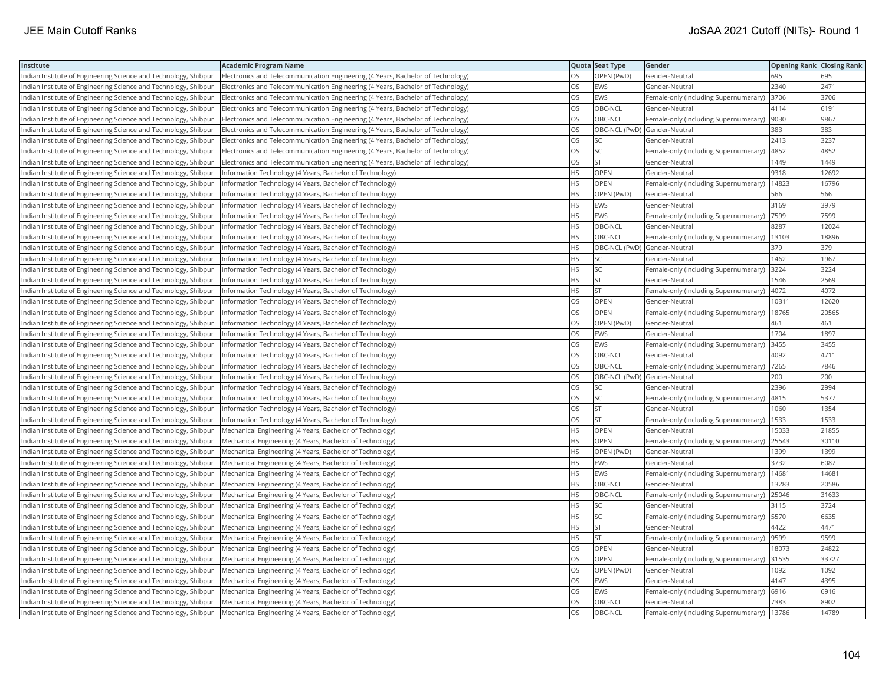| Institute                                                       | <b>Academic Program Name</b>                                                    |           | Quota Seat Type              | Gender                                        | <b>Opening Rank Closing Rank</b> |       |
|-----------------------------------------------------------------|---------------------------------------------------------------------------------|-----------|------------------------------|-----------------------------------------------|----------------------------------|-------|
| Indian Institute of Engineering Science and Technology, Shibpur | Electronics and Telecommunication Engineering (4 Years, Bachelor of Technology) | OS        | OPEN (PwD)                   | Gender-Neutral                                | 695                              | 695   |
| Indian Institute of Engineering Science and Technology, Shibpur | Electronics and Telecommunication Engineering (4 Years, Bachelor of Technology) | OS        | <b>EWS</b>                   | Gender-Neutral                                | 2340                             | 2471  |
| Indian Institute of Engineering Science and Technology, Shibpur | Electronics and Telecommunication Engineering (4 Years, Bachelor of Technology) | <b>OS</b> | EWS                          | Female-only (including Supernumerary)         | 3706                             | 3706  |
| Indian Institute of Engineering Science and Technology, Shibpur | Electronics and Telecommunication Engineering (4 Years, Bachelor of Technology) | OS        | OBC-NCL                      | Gender-Neutral                                | 4114                             | 6191  |
| Indian Institute of Engineering Science and Technology, Shibpur | Electronics and Telecommunication Engineering (4 Years, Bachelor of Technology) | OS        | OBC-NCL                      | Female-only (including Supernumerary)         | 9030                             | 9867  |
| Indian Institute of Engineering Science and Technology, Shibpur | Electronics and Telecommunication Engineering (4 Years, Bachelor of Technology) | OS        | OBC-NCL (PwD) Gender-Neutral |                                               | 383                              | 383   |
| Indian Institute of Engineering Science and Technology, Shibpur | Electronics and Telecommunication Engineering (4 Years, Bachelor of Technology) | OS        | SC                           | Gender-Neutral                                | 2413                             | 3237  |
| Indian Institute of Engineering Science and Technology, Shibpur | Electronics and Telecommunication Engineering (4 Years, Bachelor of Technology) | OS        | SC.                          | Female-only (including Supernumerary)         | 4852                             | 4852  |
| Indian Institute of Engineering Science and Technology, Shibpur | Electronics and Telecommunication Engineering (4 Years, Bachelor of Technology) | OS        | <b>ST</b>                    | Gender-Neutral                                | 1449                             | 1449  |
| Indian Institute of Engineering Science and Technology, Shibpur | Information Technology (4 Years, Bachelor of Technology)                        | <b>HS</b> | OPEN                         | Gender-Neutral                                | 9318                             | 12692 |
| Indian Institute of Engineering Science and Technology, Shibpur | Information Technology (4 Years, Bachelor of Technology)                        | HS        | <b>OPEN</b>                  | Female-only (including Supernumerary)         | 14823                            | 16796 |
| Indian Institute of Engineering Science and Technology, Shibpur | Information Technology (4 Years, Bachelor of Technology)                        | <b>HS</b> | OPEN (PwD)                   | Gender-Neutral                                | 566                              | 566   |
| Indian Institute of Engineering Science and Technology, Shibpur | Information Technology (4 Years, Bachelor of Technology)                        | <b>HS</b> | EWS                          | Gender-Neutral                                | 3169                             | 3979  |
| Indian Institute of Engineering Science and Technology, Shibpur | Information Technology (4 Years, Bachelor of Technology)                        | HS        | <b>EWS</b>                   | Female-only (including Supernumerary)         | 7599                             | 7599  |
| Indian Institute of Engineering Science and Technology, Shibpur | Information Technology (4 Years, Bachelor of Technology)                        | <b>HS</b> | OBC-NCL                      | Gender-Neutral                                | 8287                             | 12024 |
| Indian Institute of Engineering Science and Technology, Shibpur | Information Technology (4 Years, Bachelor of Technology)                        | <b>HS</b> | OBC-NCL                      | Female-only (including Supernumerary)         | 13103                            | 18896 |
| Indian Institute of Engineering Science and Technology, Shibpur | Information Technology (4 Years, Bachelor of Technology)                        | HS        | OBC-NCL (PwD) Gender-Neutral |                                               | 379                              | 379   |
| Indian Institute of Engineering Science and Technology, Shibpur | Information Technology (4 Years, Bachelor of Technology)                        | <b>HS</b> | SC                           | Gender-Neutral                                | 1462                             | 1967  |
| Indian Institute of Engineering Science and Technology, Shibpur | Information Technology (4 Years, Bachelor of Technology)                        | <b>HS</b> | lsc                          | Female-only (including Supernumerary)         | 3224                             | 3224  |
| Indian Institute of Engineering Science and Technology, Shibpur | Information Technology (4 Years, Bachelor of Technology)                        | HS.       | <b>ST</b>                    | Gender-Neutral                                | 1546                             | 2569  |
| Indian Institute of Engineering Science and Technology, Shibpur | Information Technology (4 Years, Bachelor of Technology)                        | <b>HS</b> | <b>ST</b>                    | Female-only (including Supernumerary)         | 4072                             | 4072  |
| Indian Institute of Engineering Science and Technology, Shibpur | Information Technology (4 Years, Bachelor of Technology)                        | OS        | <b>OPEN</b>                  | Gender-Neutral                                | 10311                            | 12620 |
| Indian Institute of Engineering Science and Technology, Shibpur | Information Technology (4 Years, Bachelor of Technology)                        | OS        | <b>OPEN</b>                  | Female-only (including Supernumerary)         | 18765                            | 20565 |
| Indian Institute of Engineering Science and Technology, Shibpur | Information Technology (4 Years, Bachelor of Technology)                        | OS        | OPEN (PwD)                   | Gender-Neutral                                | 461                              | 461   |
| Indian Institute of Engineering Science and Technology, Shibpur | Information Technology (4 Years, Bachelor of Technology)                        | OS        | <b>EWS</b>                   | Gender-Neutral                                | 1704                             | 1897  |
| Indian Institute of Engineering Science and Technology, Shibpur | Information Technology (4 Years, Bachelor of Technology)                        | OS        | <b>EWS</b>                   | Female-only (including Supernumerary)         | 3455                             | 3455  |
| Indian Institute of Engineering Science and Technology, Shibpur | Information Technology (4 Years, Bachelor of Technology)                        | <b>OS</b> | OBC-NCL                      | Gender-Neutral                                | 4092                             | 4711  |
| Indian Institute of Engineering Science and Technology, Shibpur | Information Technology (4 Years, Bachelor of Technology)                        | OS        | OBC-NCL                      | Female-only (including Supernumerary)         | 7265                             | 7846  |
| Indian Institute of Engineering Science and Technology, Shibpur | Information Technology (4 Years, Bachelor of Technology)                        | OS        | OBC-NCL (PwD) Gender-Neutral |                                               | 200                              | 200   |
| Indian Institute of Engineering Science and Technology, Shibpur | Information Technology (4 Years, Bachelor of Technology)                        | OS        | <b>SC</b>                    | Gender-Neutral                                | 2396                             | 2994  |
| Indian Institute of Engineering Science and Technology, Shibpur | Information Technology (4 Years, Bachelor of Technology)                        | OS        | <b>SC</b>                    | Female-only (including Supernumerary)         | 4815                             | 5377  |
| Indian Institute of Engineering Science and Technology, Shibpur | Information Technology (4 Years, Bachelor of Technology)                        | OS        | <b>ST</b>                    | Gender-Neutral                                | 060                              | 1354  |
| Indian Institute of Engineering Science and Technology, Shibpur | Information Technology (4 Years, Bachelor of Technology)                        | OS        | <b>ST</b>                    | Female-only (including Supernumerary)         | 1533                             | 1533  |
| Indian Institute of Engineering Science and Technology, Shibpur | Mechanical Engineering (4 Years, Bachelor of Technology)                        | <b>HS</b> | OPEN                         | Gender-Neutral                                | 15033                            | 21855 |
| Indian Institute of Engineering Science and Technology, Shibpur | Mechanical Engineering (4 Years, Bachelor of Technology)                        | <b>HS</b> | <b>OPEN</b>                  | Female-only (including Supernumerary)         | 25543                            | 30110 |
| Indian Institute of Engineering Science and Technology, Shibpur | Mechanical Engineering (4 Years, Bachelor of Technology)                        | HS        | OPEN (PwD)                   | Gender-Neutral                                | 1399                             | 1399  |
| Indian Institute of Engineering Science and Technology, Shibpur | Mechanical Engineering (4 Years, Bachelor of Technology)                        | <b>HS</b> | <b>EWS</b>                   | Gender-Neutral                                | 3732                             | 6087  |
| Indian Institute of Engineering Science and Technology, Shibpur | Mechanical Engineering (4 Years, Bachelor of Technology)                        | <b>HS</b> | <b>EWS</b>                   | Female-only (including Supernumerary)   14681 |                                  | 14681 |
| Indian Institute of Engineering Science and Technology, Shibpur | Mechanical Engineering (4 Years, Bachelor of Technology)                        | HS        | OBC-NCL                      | Gender-Neutral                                | 13283                            | 20586 |
| Indian Institute of Engineering Science and Technology, Shibpur | Mechanical Engineering (4 Years, Bachelor of Technology)                        | HS.       | OBC-NCL                      | Female-only (including Supernumerary)         | 25046                            | 31633 |
| Indian Institute of Engineering Science and Technology, Shibpur | Mechanical Engineering (4 Years, Bachelor of Technology)                        | <b>HS</b> | <b>SC</b>                    | Gender-Neutral                                | 3115                             | 3724  |
| Indian Institute of Engineering Science and Technology, Shibpur | Mechanical Engineering (4 Years, Bachelor of Technology)                        | HS        | <b>SC</b>                    | Female-only (including Supernumerary)         | 5570                             | 6635  |
| Indian Institute of Engineering Science and Technology, Shibpur | Mechanical Engineering (4 Years, Bachelor of Technology)                        | <b>HS</b> | <b>ST</b>                    | Gender-Neutral                                | 4422                             | 4471  |
| Indian Institute of Engineering Science and Technology, Shibpur | Mechanical Engineering (4 Years, Bachelor of Technology)                        | HS        | <b>ST</b>                    | Female-only (including Supernumerary)         | 9599                             | 9599  |
| Indian Institute of Engineering Science and Technology, Shibpur | Mechanical Engineering (4 Years, Bachelor of Technology)                        | OS        | OPEN                         | Gender-Neutral                                | 18073                            | 24822 |
| Indian Institute of Engineering Science and Technology, Shibpur | Mechanical Engineering (4 Years, Bachelor of Technology)                        | OS        | OPEN                         | Female-only (including Supernumerary)         | 31535                            | 33727 |
| Indian Institute of Engineering Science and Technology, Shibpur | Mechanical Engineering (4 Years, Bachelor of Technology)                        | <b>OS</b> | OPEN (PwD)                   | Gender-Neutral                                | 1092                             | 1092  |
| Indian Institute of Engineering Science and Technology, Shibpur | Mechanical Engineering (4 Years, Bachelor of Technology)                        | OS        | EWS                          | Gender-Neutral                                | 4147                             | 4395  |
| Indian Institute of Engineering Science and Technology, Shibpur | Mechanical Engineering (4 Years, Bachelor of Technology)                        | OS        | <b>EWS</b>                   | Female-only (including Supernumerary)         | 6916                             | 6916  |
| Indian Institute of Engineering Science and Technology, Shibpur | Mechanical Engineering (4 Years, Bachelor of Technology)                        | OS        | OBC-NCL                      | Gender-Neutral                                | 7383                             | 8902  |
| Indian Institute of Engineering Science and Technology, Shibpur | Mechanical Engineering (4 Years, Bachelor of Technology)                        | <b>OS</b> | <b>OBC-NCL</b>               | Female-only (including Supernumerary)   13786 |                                  | 14789 |